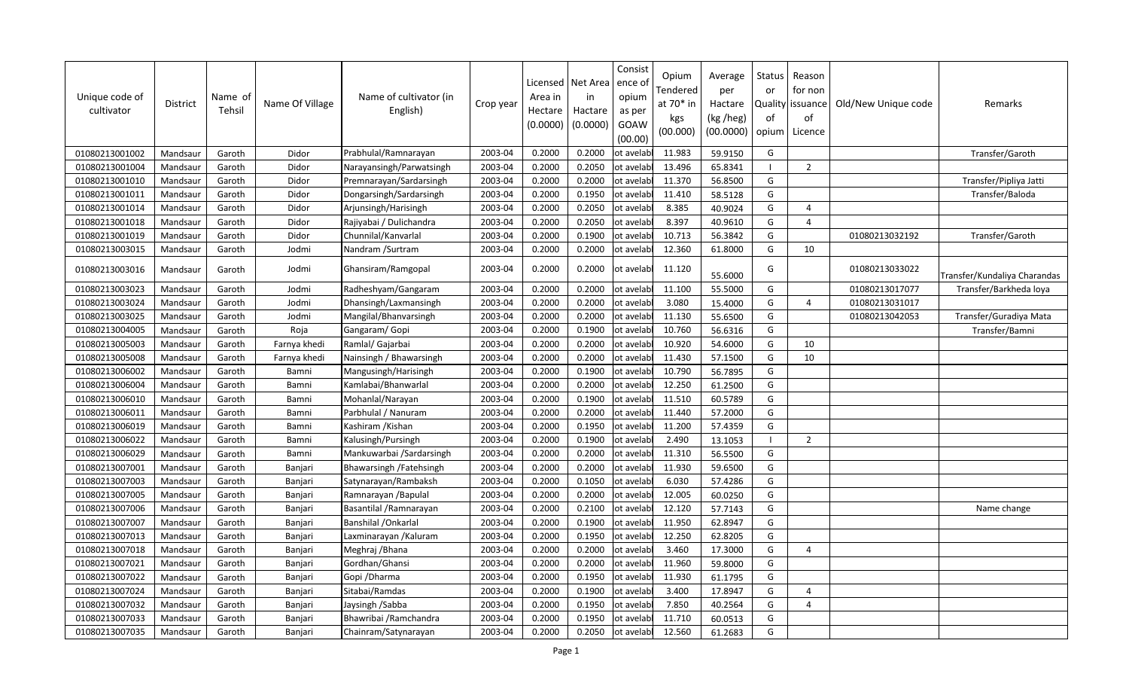| Unique code of<br>cultivator | <b>District</b> | Name of<br>Tehsil | Name Of Village | Name of cultivator (in<br>English) | Crop year | Licensed<br>Area in<br>Hectare<br>(0.0000) | Net Area<br>in<br>Hactare<br>(0.0000) | Consist<br>ence of<br>opium<br>as per<br>GOAW<br>(00.00) | Opium<br>Tendered<br>at 70* in<br>kgs<br>(00.000) | Average<br>per<br>Hactare<br>(kg /heg)<br>(00.0000) | Status<br>or<br><b>Quality</b><br>of<br>opium | Reason<br>for non<br>issuance<br>of<br>Licence | Old/New Unique code | Remarks                      |
|------------------------------|-----------------|-------------------|-----------------|------------------------------------|-----------|--------------------------------------------|---------------------------------------|----------------------------------------------------------|---------------------------------------------------|-----------------------------------------------------|-----------------------------------------------|------------------------------------------------|---------------------|------------------------------|
| 01080213001002               | Mandsaur        | Garoth            | Didor           | Prabhulal/Ramnarayan               | 2003-04   | 0.2000                                     | 0.2000                                | ot avelabl                                               | 11.983                                            | 59.9150                                             | G                                             |                                                |                     | Transfer/Garoth              |
| 01080213001004               | Mandsaur        | Garoth            | Didor           | Narayansingh/Parwatsingh           | 2003-04   | 0.2000                                     | 0.2050                                | ot avelabl                                               | 13.496                                            | 65.8341                                             | - 1                                           | $\overline{2}$                                 |                     |                              |
| 01080213001010               | Mandsaur        | Garoth            | Didor           | Premnarayan/Sardarsingh            | 2003-04   | 0.2000                                     | 0.2000                                | ot avelabl                                               | 11.370                                            | 56.8500                                             | G                                             |                                                |                     | Transfer/Pipliya Jatti       |
| 01080213001011               | Mandsaur        | Garoth            | Didor           | Dongarsingh/Sardarsingh            | 2003-04   | 0.2000                                     | 0.1950                                | ot avelabl                                               | 11.410                                            | 58.5128                                             | G                                             |                                                |                     | Transfer/Baloda              |
| 01080213001014               | Mandsaur        | Garoth            | Didor           | Arjunsingh/Harisingh               | 2003-04   | 0.2000                                     | 0.2050                                | ot avelabl                                               | 8.385                                             | 40.9024                                             | G                                             | $\overline{4}$                                 |                     |                              |
| 01080213001018               | Mandsaur        | Garoth            | Didor           | Rajiyabai / Dulichandra            | 2003-04   | 0.2000                                     | 0.2050                                | ot avelabl                                               | 8.397                                             | 40.9610                                             | G                                             | $\overline{4}$                                 |                     |                              |
| 01080213001019               | Mandsaur        | Garoth            | Didor           | Chunnilal/Kanvarlal                | 2003-04   | 0.2000                                     | 0.1900                                | ot avelabl                                               | 10.713                                            | 56.3842                                             | G                                             |                                                | 01080213032192      | Transfer/Garoth              |
| 01080213003015               | Mandsaur        | Garoth            | Jodmi           | Nandram / Surtram                  | 2003-04   | 0.2000                                     | 0.2000                                | ot avelabl                                               | 12.360                                            | 61.8000                                             | G                                             | 10                                             |                     |                              |
| 01080213003016               | Mandsaur        | Garoth            | Jodmi           | Ghansiram/Ramgopal                 | 2003-04   | 0.2000                                     | 0.2000                                | ot avelabl                                               | 11.120                                            | 55.6000                                             | G                                             |                                                | 01080213033022      | Transfer/Kundaliya Charandas |
| 01080213003023               | Mandsaur        | Garoth            | Jodmi           | Radheshyam/Gangaram                | 2003-04   | 0.2000                                     | 0.2000                                | ot avelabl                                               | 11.100                                            | 55.5000                                             | G                                             |                                                | 01080213017077      | Transfer/Barkheda loya       |
| 01080213003024               | Mandsaur        | Garoth            | Jodmi           | Dhansingh/Laxmansingh              | 2003-04   | 0.2000                                     | 0.2000                                | ot avelabl                                               | 3.080                                             | 15.4000                                             | G                                             | $\overline{4}$                                 | 01080213031017      |                              |
| 01080213003025               | Mandsaur        | Garoth            | Jodmi           | Mangilal/Bhanvarsingh              | 2003-04   | 0.2000                                     | 0.2000                                | ot avelabl                                               | 11.130                                            | 55.6500                                             | G                                             |                                                | 01080213042053      | Transfer/Guradiya Mata       |
| 01080213004005               | Mandsaur        | Garoth            | Roja            | Gangaram/Gopi                      | 2003-04   | 0.2000                                     | 0.1900                                | ot avelabl                                               | 10.760                                            | 56.6316                                             | G                                             |                                                |                     | Transfer/Bamni               |
| 01080213005003               | Mandsaur        | Garoth            | Farnya khedi    | Ramlal/ Gajarbai                   | 2003-04   | 0.2000                                     | 0.2000                                | ot avelabl                                               | 10.920                                            | 54.6000                                             | G                                             | 10                                             |                     |                              |
| 01080213005008               | Mandsaur        | Garoth            | Farnya khedi    | Nainsingh / Bhawarsingh            | 2003-04   | 0.2000                                     | 0.2000                                | ot avelabl                                               | 11.430                                            | 57.1500                                             | G                                             | 10                                             |                     |                              |
| 01080213006002               | Mandsaur        | Garoth            | Bamni           | Mangusingh/Harisingh               | 2003-04   | 0.2000                                     | 0.1900                                | ot avelabl                                               | 10.790                                            | 56.7895                                             | G                                             |                                                |                     |                              |
| 01080213006004               | Mandsaur        | Garoth            | Bamni           | Kamlabai/Bhanwarlal                | 2003-04   | 0.2000                                     | 0.2000                                | ot avelabl                                               | 12.250                                            | 61.2500                                             | G                                             |                                                |                     |                              |
| 01080213006010               | Mandsaur        | Garoth            | Bamni           | Mohanlal/Narayan                   | 2003-04   | 0.2000                                     | 0.1900                                | ot avelabl                                               | 11.510                                            | 60.5789                                             | G                                             |                                                |                     |                              |
| 01080213006011               | Mandsaur        | Garoth            | Bamni           | Parbhulal / Nanuram                | 2003-04   | 0.2000                                     | 0.2000                                | ot avelabl                                               | 11.440                                            | 57.2000                                             | G                                             |                                                |                     |                              |
| 01080213006019               | Mandsaur        | Garoth            | Bamni           | Kashiram /Kishan                   | 2003-04   | 0.2000                                     | 0.1950                                | ot avelabl                                               | 11.200                                            | 57.4359                                             | G                                             |                                                |                     |                              |
| 01080213006022               | Mandsaur        | Garoth            | Bamni           | Kalusingh/Pursingh                 | 2003-04   | 0.2000                                     | 0.1900                                | ot avelabl                                               | 2.490                                             | 13.1053                                             | $\overline{1}$                                | 2                                              |                     |                              |
| 01080213006029               | Mandsaur        | Garoth            | Bamni           | Mankuwarbai / Sardarsingh          | 2003-04   | 0.2000                                     | 0.2000                                | ot avelabl                                               | 11.310                                            | 56.5500                                             | G                                             |                                                |                     |                              |
| 01080213007001               | Mandsaur        | Garoth            | Banjari         | Bhawarsingh / Fatehsingh           | 2003-04   | 0.2000                                     | 0.2000                                | ot avelabl                                               | 11.930                                            | 59.6500                                             | G                                             |                                                |                     |                              |
| 01080213007003               | Mandsaur        | Garoth            | Banjari         | Satynarayan/Rambaksh               | 2003-04   | 0.2000                                     | 0.1050                                | ot avelabl                                               | 6.030                                             | 57.4286                                             | G                                             |                                                |                     |                              |
| 01080213007005               | Mandsaur        | Garoth            | Banjari         | Ramnarayan /Bapulal                | 2003-04   | 0.2000                                     | 0.2000                                | ot avelabl                                               | 12.005                                            | 60.0250                                             | G                                             |                                                |                     |                              |
| 01080213007006               | Mandsaur        | Garoth            | Banjari         | Basantilal / Ramnarayan            | 2003-04   | 0.2000                                     | 0.2100                                | ot avelabl                                               | 12.120                                            | 57.7143                                             | G                                             |                                                |                     | Name change                  |
| 01080213007007               | Mandsaur        | Garoth            | Banjari         | Banshilal / Onkarlal               | 2003-04   | 0.2000                                     | 0.1900                                | ot avelabl                                               | 11.950                                            | 62.8947                                             | G                                             |                                                |                     |                              |
| 01080213007013               | Mandsaur        | Garoth            | Banjari         | Laxminarayan / Kaluram             | 2003-04   | 0.2000                                     | 0.1950                                | ot avelabl                                               | 12.250                                            | 62.8205                                             | G                                             |                                                |                     |                              |
| 01080213007018               | Mandsaur        | Garoth            | Banjari         | Meghraj / Bhana                    | 2003-04   | 0.2000                                     | 0.2000                                | ot avelabl                                               | 3.460                                             | 17.3000                                             | G                                             | $\overline{4}$                                 |                     |                              |
| 01080213007021               | Mandsaur        | Garoth            | Banjari         | Gordhan/Ghansi                     | 2003-04   | 0.2000                                     | 0.2000                                | ot avelabl                                               | 11.960                                            | 59.8000                                             | G                                             |                                                |                     |                              |
| 01080213007022               | Mandsau         | Garoth            | Banjari         | Gopi / Dharma                      | 2003-04   | 0.2000                                     | 0.1950                                | ot avelabl                                               | 11.930                                            | 61.1795                                             | G                                             |                                                |                     |                              |
| 01080213007024               | Mandsaur        | Garoth            | Banjari         | Sitabai/Ramdas                     | 2003-04   | 0.2000                                     | 0.1900                                | ot avelabl                                               | 3.400                                             | 17.8947                                             | G                                             | $\overline{4}$                                 |                     |                              |
| 01080213007032               | Mandsaur        | Garoth            | Banjari         | Jaysingh / Sabba                   | 2003-04   | 0.2000                                     | 0.1950                                | ot avelabl                                               | 7.850                                             | 40.2564                                             | G                                             | $\overline{4}$                                 |                     |                              |
| 01080213007033               | Mandsaur        | Garoth            | Banjari         | Bhawribai / Ramchandra             | 2003-04   | 0.2000                                     | 0.1950                                | ot avelabl                                               | 11.710                                            | 60.0513                                             | G                                             |                                                |                     |                              |
| 01080213007035               | Mandsaur        | Garoth            | Banjari         | Chainram/Satynarayan               | 2003-04   | 0.2000                                     | 0.2050                                | ot avelabl                                               | 12.560                                            | 61.2683                                             | G                                             |                                                |                     |                              |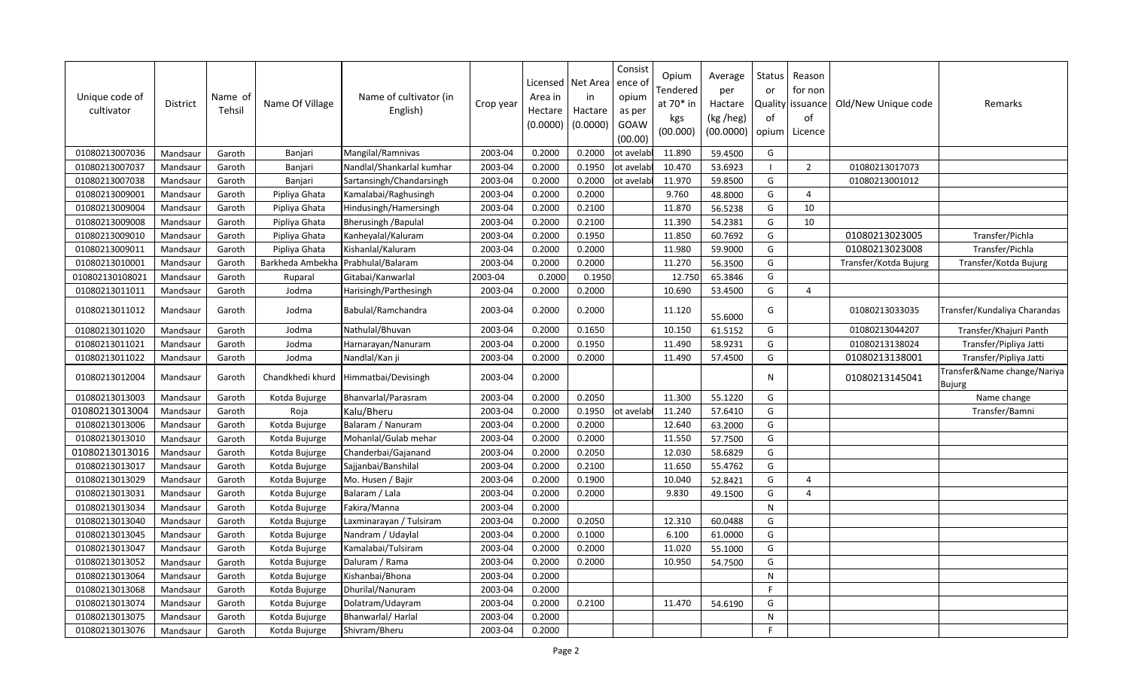| Unique code of<br>cultivator | District | Name of<br>Tehsil | Name Of Village  | Name of cultivator (in<br>English) | Crop year | Licensed<br>Area in<br>Hectare<br>(0.0000) | Net Area<br>in<br>Hactare<br>(0.0000) | Consist<br>ence of<br>opium<br>as per<br>GOAW<br>(00.00) | Opium<br>Tendered<br>at 70* in<br>kgs<br>(00.000) | Average<br>per<br>Hactare<br>(kg /heg)<br>(00.0000) | Status<br>or<br>0f<br>opium | Reason<br>for non<br>Quality   issuance<br>of<br>Licence | Old/New Unique code   | Remarks                               |
|------------------------------|----------|-------------------|------------------|------------------------------------|-----------|--------------------------------------------|---------------------------------------|----------------------------------------------------------|---------------------------------------------------|-----------------------------------------------------|-----------------------------|----------------------------------------------------------|-----------------------|---------------------------------------|
| 01080213007036               | Mandsaur | Garoth            | Banjari          | Mangilal/Ramnivas                  | 2003-04   | 0.2000                                     | 0.2000                                | ot avelabl                                               | 11.890                                            | 59.4500                                             | G                           |                                                          |                       |                                       |
| 01080213007037               | Mandsaur | Garoth            | Banjari          | Nandlal/Shankarlal kumhar          | 2003-04   | 0.2000                                     | 0.1950                                | ot avelabl                                               | 10.470                                            | 53.6923                                             |                             | $\overline{2}$                                           | 01080213017073        |                                       |
| 01080213007038               | Mandsaur | Garoth            | Banjari          | Sartansingh/Chandarsingh           | 2003-04   | 0.2000                                     | 0.2000                                | ot avelabl                                               | 11.970                                            | 59.8500                                             | G                           |                                                          | 01080213001012        |                                       |
| 01080213009001               | Mandsaur | Garoth            | Pipliya Ghata    | Kamalabai/Raghusingh               | 2003-04   | 0.2000                                     | 0.2000                                |                                                          | 9.760                                             | 48.8000                                             | G                           | $\overline{4}$                                           |                       |                                       |
| 01080213009004               | Mandsaur | Garoth            | Pipliya Ghata    | Hindusingh/Hamersingh              | 2003-04   | 0.2000                                     | 0.2100                                |                                                          | 11.870                                            | 56.5238                                             | G                           | 10                                                       |                       |                                       |
| 01080213009008               | Mandsaur | Garoth            | Pipliya Ghata    | <b>Bherusingh / Bapulal</b>        | 2003-04   | 0.2000                                     | 0.2100                                |                                                          | 11.390                                            | 54.2381                                             | G                           | 10                                                       |                       |                                       |
| 01080213009010               | Mandsaur | Garoth            | Pipliya Ghata    | Kanheyalal/Kaluram                 | 2003-04   | 0.2000                                     | 0.1950                                |                                                          | 11.850                                            | 60.7692                                             | G                           |                                                          | 01080213023005        | Transfer/Pichla                       |
| 01080213009011               | Mandsaur | Garoth            | Pipliya Ghata    | Kishanlal/Kaluram                  | 2003-04   | 0.2000                                     | 0.2000                                |                                                          | 11.980                                            | 59.9000                                             | G                           |                                                          | 01080213023008        | Transfer/Pichla                       |
| 01080213010001               | Mandsaur | Garoth            | Barkheda Ambekha | Prabhulal/Balaram                  | 2003-04   | 0.2000                                     | 0.2000                                |                                                          | 11.270                                            | 56.3500                                             | G                           |                                                          | Transfer/Kotda Bujurg | Transfer/Kotda Bujurg                 |
| 010802130108021              | Mandsaur | Garoth            | Ruparal          | Gitabai/Kanwarlal                  | 2003-04   | 0.2000                                     | 0.1950                                |                                                          | 12.750                                            | 65.3846                                             | G                           |                                                          |                       |                                       |
| 01080213011011               | Mandsaur | Garoth            | Jodma            | Harisingh/Parthesingh              | 2003-04   | 0.2000                                     | 0.2000                                |                                                          | 10.690                                            | 53.4500                                             | G                           | $\overline{a}$                                           |                       |                                       |
| 01080213011012               | Mandsaur | Garoth            | Jodma            | Babulal/Ramchandra                 | 2003-04   | 0.2000                                     | 0.2000                                |                                                          | 11.120                                            | 55.6000                                             | G                           |                                                          | 01080213033035        | Transfer/Kundaliya Charandas          |
| 01080213011020               | Mandsaur | Garoth            | Jodma            | Nathulal/Bhuvan                    | 2003-04   | 0.2000                                     | 0.1650                                |                                                          | 10.150                                            | 61.5152                                             | G                           |                                                          | 01080213044207        | Transfer/Khajuri Panth                |
| 01080213011021               | Mandsaur | Garoth            | Jodma            | Harnarayan/Nanuram                 | 2003-04   | 0.2000                                     | 0.1950                                |                                                          | 11.490                                            | 58.9231                                             | G                           |                                                          | 01080213138024        | Transfer/Pipliya Jatti                |
| 01080213011022               | Mandsaur | Garoth            | Jodma            | Nandlal/Kan ji                     | 2003-04   | 0.2000                                     | 0.2000                                |                                                          | 11.490                                            | 57.4500                                             | G                           |                                                          | 01080213138001        | Transfer/Pipliya Jatti                |
| 01080213012004               | Mandsaur | Garoth            | Chandkhedi khurd | Himmatbai/Devisingh                | 2003-04   | 0.2000                                     |                                       |                                                          |                                                   |                                                     | ${\sf N}$                   |                                                          | 01080213145041        | Transfer&Name change/Nariya<br>Bujurg |
| 01080213013003               | Mandsaur | Garoth            | Kotda Bujurge    | Bhanvarlal/Parasram                | 2003-04   | 0.2000                                     | 0.2050                                |                                                          | 11.300                                            | 55.1220                                             | G                           |                                                          |                       | Name change                           |
| 01080213013004               | Mandsaur | Garoth            | Roja             | Kalu/Bheru                         | 2003-04   | 0.2000                                     | 0.1950                                | ot avelabl                                               | 11.240                                            | 57.6410                                             | G                           |                                                          |                       | Transfer/Bamni                        |
| 01080213013006               | Mandsaur | Garoth            | Kotda Bujurge    | Balaram / Nanuram                  | 2003-04   | 0.2000                                     | 0.2000                                |                                                          | 12.640                                            | 63.2000                                             | G                           |                                                          |                       |                                       |
| 01080213013010               | Mandsaur | Garoth            | Kotda Bujurge    | Mohanlal/Gulab mehar               | 2003-04   | 0.2000                                     | 0.2000                                |                                                          | 11.550                                            | 57.7500                                             | G                           |                                                          |                       |                                       |
| 01080213013016               | Mandsaur | Garoth            | Kotda Bujurge    | Chanderbai/Gajanand                | 2003-04   | 0.2000                                     | 0.2050                                |                                                          | 12.030                                            | 58.6829                                             | G                           |                                                          |                       |                                       |
| 01080213013017               | Mandsaur | Garoth            | Kotda Bujurge    | Sajjanbai/Banshilal                | 2003-04   | 0.2000                                     | 0.2100                                |                                                          | 11.650                                            | 55.4762                                             | G                           |                                                          |                       |                                       |
| 01080213013029               | Mandsaur | Garoth            | Kotda Bujurge    | Mo. Husen / Bajir                  | 2003-04   | 0.2000                                     | 0.1900                                |                                                          | 10.040                                            | 52.8421                                             | G                           | $\overline{a}$                                           |                       |                                       |
| 01080213013031               | Mandsaur | Garoth            | Kotda Bujurge    | Balaram / Lala                     | 2003-04   | 0.2000                                     | 0.2000                                |                                                          | 9.830                                             | 49.1500                                             | G                           | $\overline{4}$                                           |                       |                                       |
| 01080213013034               | Mandsaur | Garoth            | Kotda Bujurge    | Fakira/Manna                       | 2003-04   | 0.2000                                     |                                       |                                                          |                                                   |                                                     | N                           |                                                          |                       |                                       |
| 01080213013040               | Mandsaur | Garoth            | Kotda Bujurge    | Laxminarayan / Tulsiram            | 2003-04   | 0.2000                                     | 0.2050                                |                                                          | 12.310                                            | 60.0488                                             | G                           |                                                          |                       |                                       |
| 01080213013045               | Mandsaur | Garoth            | Kotda Bujurge    | Nandram / Udaylal                  | 2003-04   | 0.2000                                     | 0.1000                                |                                                          | 6.100                                             | 61.0000                                             | G                           |                                                          |                       |                                       |
| 01080213013047               | Mandsaur | Garoth            | Kotda Bujurge    | Kamalabai/Tulsiram                 | 2003-04   | 0.2000                                     | 0.2000                                |                                                          | 11.020                                            | 55.1000                                             | G                           |                                                          |                       |                                       |
| 01080213013052               | Mandsaur | Garoth            | Kotda Bujurge    | Daluram / Rama                     | 2003-04   | 0.2000                                     | 0.2000                                |                                                          | 10.950                                            | 54.7500                                             | G                           |                                                          |                       |                                       |
| 01080213013064               | Mandsaur | Garoth            | Kotda Bujurge    | Kishanbai/Bhona                    | 2003-04   | 0.2000                                     |                                       |                                                          |                                                   |                                                     | ${\sf N}$                   |                                                          |                       |                                       |
| 01080213013068               | Mandsaur | Garoth            | Kotda Bujurge    | Dhurilal/Nanuram                   | 2003-04   | 0.2000                                     |                                       |                                                          |                                                   |                                                     | F.                          |                                                          |                       |                                       |
| 01080213013074               | Mandsaur | Garoth            | Kotda Bujurge    | Dolatram/Udayram                   | 2003-04   | 0.2000                                     | 0.2100                                |                                                          | 11.470                                            | 54.6190                                             | G                           |                                                          |                       |                                       |
| 01080213013075               | Mandsaur | Garoth            | Kotda Bujurge    | Bhanwarlal/ Harlal                 | 2003-04   | 0.2000                                     |                                       |                                                          |                                                   |                                                     | ${\sf N}$                   |                                                          |                       |                                       |
| 01080213013076               | Mandsaur | Garoth            | Kotda Bujurge    | Shivram/Bheru                      | 2003-04   | 0.2000                                     |                                       |                                                          |                                                   |                                                     | F                           |                                                          |                       |                                       |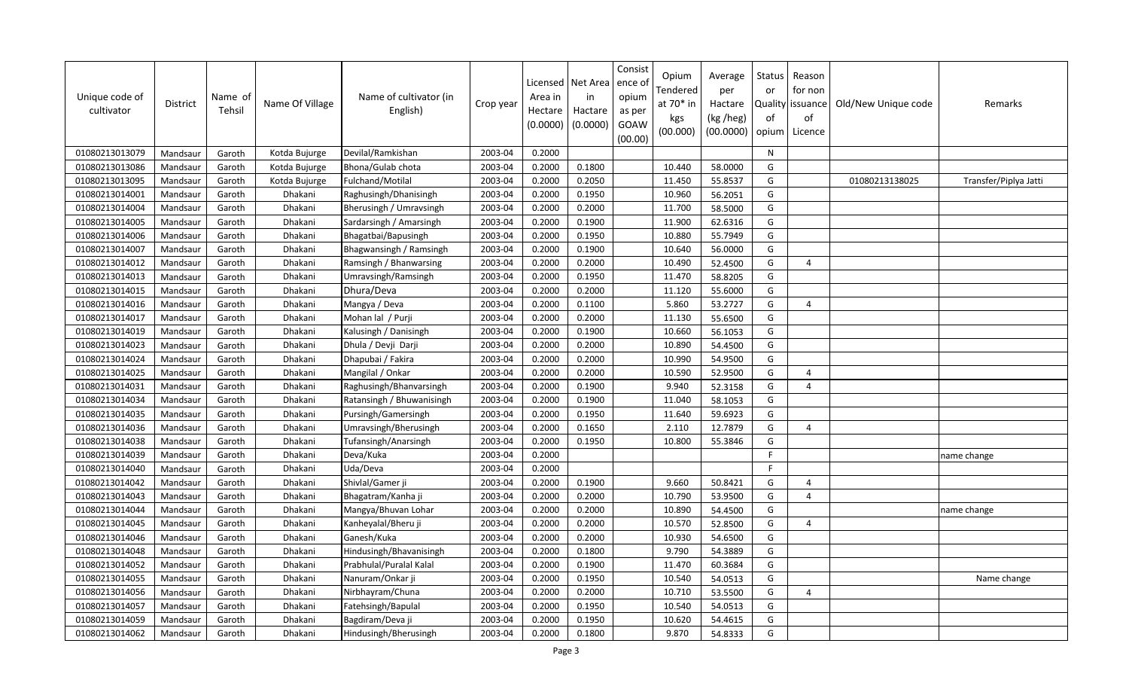| Unique code of<br>cultivator | <b>District</b> | Name of<br>Tehsil | Name Of Village | Name of cultivator (in<br>English) | Crop year | Licensed<br>Area in<br>Hectare<br>(0.0000) | Net Area<br>in<br>Hactare<br>(0.0000) | Consist<br>ence of<br>opium<br>as per<br>GOAW<br>(00.00) | Opium<br>Tendered<br>at $70*$ in<br>kgs<br>(00.000) | Average<br>per<br>Hactare<br>(kg /heg)<br>(00.0000) | Status<br>or<br>of<br>opium | Reason<br>for non<br>Quality issuance<br>of<br>Licence | Old/New Unique code | Remarks               |
|------------------------------|-----------------|-------------------|-----------------|------------------------------------|-----------|--------------------------------------------|---------------------------------------|----------------------------------------------------------|-----------------------------------------------------|-----------------------------------------------------|-----------------------------|--------------------------------------------------------|---------------------|-----------------------|
| 01080213013079               | Mandsaur        | Garoth            | Kotda Bujurge   | Devilal/Ramkishan                  | 2003-04   | 0.2000                                     |                                       |                                                          |                                                     |                                                     | N                           |                                                        |                     |                       |
| 01080213013086               | Mandsaur        | Garoth            | Kotda Bujurge   | Bhona/Gulab chota                  | 2003-04   | 0.2000                                     | 0.1800                                |                                                          | 10.440                                              | 58.0000                                             | G                           |                                                        |                     |                       |
| 01080213013095               | Mandsaur        | Garoth            | Kotda Bujurge   | Fulchand/Motilal                   | 2003-04   | 0.2000                                     | 0.2050                                |                                                          | 11.450                                              | 55.8537                                             | G                           |                                                        | 01080213138025      | Transfer/Piplya Jatti |
| 01080213014001               | Mandsaur        | Garoth            | Dhakani         | Raghusingh/Dhanisingh              | 2003-04   | 0.2000                                     | 0.1950                                |                                                          | 10.960                                              | 56.2051                                             | G                           |                                                        |                     |                       |
| 01080213014004               | Mandsaur        | Garoth            | Dhakani         | Bherusingh / Umravsingh            | 2003-04   | 0.2000                                     | 0.2000                                |                                                          | 11.700                                              | 58.5000                                             | G                           |                                                        |                     |                       |
| 01080213014005               | Mandsaur        | Garoth            | Dhakani         | Sardarsingh / Amarsingh            | 2003-04   | 0.2000                                     | 0.1900                                |                                                          | 11.900                                              | 62.6316                                             | G                           |                                                        |                     |                       |
| 01080213014006               | Mandsaur        | Garoth            | Dhakani         | Bhagatbai/Bapusingh                | 2003-04   | 0.2000                                     | 0.1950                                |                                                          | 10.880                                              | 55.7949                                             | G                           |                                                        |                     |                       |
| 01080213014007               | Mandsaur        | Garoth            | Dhakani         | Bhagwansingh / Ramsingh            | 2003-04   | 0.2000                                     | 0.1900                                |                                                          | 10.640                                              | 56.0000                                             | G                           |                                                        |                     |                       |
| 01080213014012               | Mandsaur        | Garoth            | Dhakani         | Ramsingh / Bhanwarsing             | 2003-04   | 0.2000                                     | 0.2000                                |                                                          | 10.490                                              | 52.4500                                             | G                           | $\overline{a}$                                         |                     |                       |
| 01080213014013               | Mandsaur        | Garoth            | Dhakani         | Umravsingh/Ramsingh                | 2003-04   | 0.2000                                     | 0.1950                                |                                                          | 11.470                                              | 58.8205                                             | G                           |                                                        |                     |                       |
| 01080213014015               | Mandsaur        | Garoth            | Dhakani         | Dhura/Deva                         | 2003-04   | 0.2000                                     | 0.2000                                |                                                          | 11.120                                              | 55.6000                                             | G                           |                                                        |                     |                       |
| 01080213014016               | Mandsaur        | Garoth            | Dhakani         | Mangya / Deva                      | 2003-04   | 0.2000                                     | 0.1100                                |                                                          | 5.860                                               | 53.2727                                             | G                           | $\overline{4}$                                         |                     |                       |
| 01080213014017               | Mandsaur        | Garoth            | Dhakani         | Mohan lal / Purji                  | 2003-04   | 0.2000                                     | 0.2000                                |                                                          | 11.130                                              | 55.6500                                             | G                           |                                                        |                     |                       |
| 01080213014019               | Mandsaur        | Garoth            | Dhakani         | Kalusingh / Danisingh              | 2003-04   | 0.2000                                     | 0.1900                                |                                                          | 10.660                                              | 56.1053                                             | G                           |                                                        |                     |                       |
| 01080213014023               | Mandsaur        | Garoth            | Dhakani         | Dhula / Devji Darji                | 2003-04   | 0.2000                                     | 0.2000                                |                                                          | 10.890                                              | 54.4500                                             | G                           |                                                        |                     |                       |
| 01080213014024               | Mandsaur        | Garoth            | Dhakani         | Dhapubai / Fakira                  | 2003-04   | 0.2000                                     | 0.2000                                |                                                          | 10.990                                              | 54.9500                                             | G                           |                                                        |                     |                       |
| 01080213014025               | Mandsaur        | Garoth            | Dhakani         | Mangilal / Onkar                   | 2003-04   | 0.2000                                     | 0.2000                                |                                                          | 10.590                                              | 52.9500                                             | G                           | $\overline{4}$                                         |                     |                       |
| 01080213014031               | Mandsaur        | Garoth            | Dhakani         | Raghusingh/Bhanvarsingh            | 2003-04   | 0.2000                                     | 0.1900                                |                                                          | 9.940                                               | 52.3158                                             | G                           | $\overline{4}$                                         |                     |                       |
| 01080213014034               | Mandsaur        | Garoth            | Dhakani         | Ratansingh / Bhuwanisingh          | 2003-04   | 0.2000                                     | 0.1900                                |                                                          | 11.040                                              | 58.1053                                             | G                           |                                                        |                     |                       |
| 01080213014035               | Mandsaur        | Garoth            | Dhakani         | Pursingh/Gamersingh                | 2003-04   | 0.2000                                     | 0.1950                                |                                                          | 11.640                                              | 59.6923                                             | G                           |                                                        |                     |                       |
| 01080213014036               | Mandsaur        | Garoth            | Dhakani         | Umravsingh/Bherusingh              | 2003-04   | 0.2000                                     | 0.1650                                |                                                          | 2.110                                               | 12.7879                                             | G                           | $\overline{4}$                                         |                     |                       |
| 01080213014038               | Mandsaur        | Garoth            | Dhakani         | Tufansingh/Anarsingh               | 2003-04   | 0.2000                                     | 0.1950                                |                                                          | 10.800                                              | 55.3846                                             | G                           |                                                        |                     |                       |
| 01080213014039               | Mandsaur        | Garoth            | Dhakani         | Deva/Kuka                          | 2003-04   | 0.2000                                     |                                       |                                                          |                                                     |                                                     | $\mathsf{F}$                |                                                        |                     | name change           |
| 01080213014040               | Mandsaur        | Garoth            | Dhakani         | Uda/Deva                           | 2003-04   | 0.2000                                     |                                       |                                                          |                                                     |                                                     | F.                          |                                                        |                     |                       |
| 01080213014042               | Mandsaur        | Garoth            | Dhakani         | Shivlal/Gamer ji                   | 2003-04   | 0.2000                                     | 0.1900                                |                                                          | 9.660                                               | 50.8421                                             | G                           | $\overline{4}$                                         |                     |                       |
| 01080213014043               | Mandsaur        | Garoth            | Dhakani         | Bhagatram/Kanha ji                 | 2003-04   | 0.2000                                     | 0.2000                                |                                                          | 10.790                                              | 53.9500                                             | G                           | $\overline{4}$                                         |                     |                       |
| 01080213014044               | Mandsaur        | Garoth            | Dhakani         | Mangya/Bhuvan Lohar                | 2003-04   | 0.2000                                     | 0.2000                                |                                                          | 10.890                                              | 54.4500                                             | G                           |                                                        |                     | name change           |
| 01080213014045               | Mandsaur        | Garoth            | Dhakani         | Kanheyalal/Bheru ji                | 2003-04   | 0.2000                                     | 0.2000                                |                                                          | 10.570                                              | 52.8500                                             | G                           | $\overline{4}$                                         |                     |                       |
| 01080213014046               | Mandsaur        | Garoth            | Dhakani         | Ganesh/Kuka                        | 2003-04   | 0.2000                                     | 0.2000                                |                                                          | 10.930                                              | 54.6500                                             | G                           |                                                        |                     |                       |
| 01080213014048               | Mandsaur        | Garoth            | Dhakani         | Hindusingh/Bhavanisingh            | 2003-04   | 0.2000                                     | 0.1800                                |                                                          | 9.790                                               | 54.3889                                             | G                           |                                                        |                     |                       |
| 01080213014052               | Mandsaur        | Garoth            | Dhakani         | Prabhulal/Puralal Kalal            | 2003-04   | 0.2000                                     | 0.1900                                |                                                          | 11.470                                              | 60.3684                                             | G                           |                                                        |                     |                       |
| 01080213014055               | Mandsaur        | Garoth            | Dhakani         | Nanuram/Onkar ji                   | 2003-04   | 0.2000                                     | 0.1950                                |                                                          | 10.540                                              | 54.0513                                             | G                           |                                                        |                     | Name change           |
| 01080213014056               | Mandsaur        | Garoth            | Dhakani         | Nirbhayram/Chuna                   | 2003-04   | 0.2000                                     | 0.2000                                |                                                          | 10.710                                              | 53.5500                                             | G                           | $\overline{4}$                                         |                     |                       |
| 01080213014057               | Mandsaur        | Garoth            | Dhakani         | Fatehsingh/Bapulal                 | 2003-04   | 0.2000                                     | 0.1950                                |                                                          | 10.540                                              | 54.0513                                             | G                           |                                                        |                     |                       |
| 01080213014059               | Mandsaur        | Garoth            | Dhakani         | Bagdiram/Deva ji                   | 2003-04   | 0.2000                                     | 0.1950                                |                                                          | 10.620                                              | 54.4615                                             | G                           |                                                        |                     |                       |
| 01080213014062               | Mandsaur        | Garoth            | Dhakani         | Hindusingh/Bherusingh              | 2003-04   | 0.2000                                     | 0.1800                                |                                                          | 9.870                                               | 54.8333                                             | G                           |                                                        |                     |                       |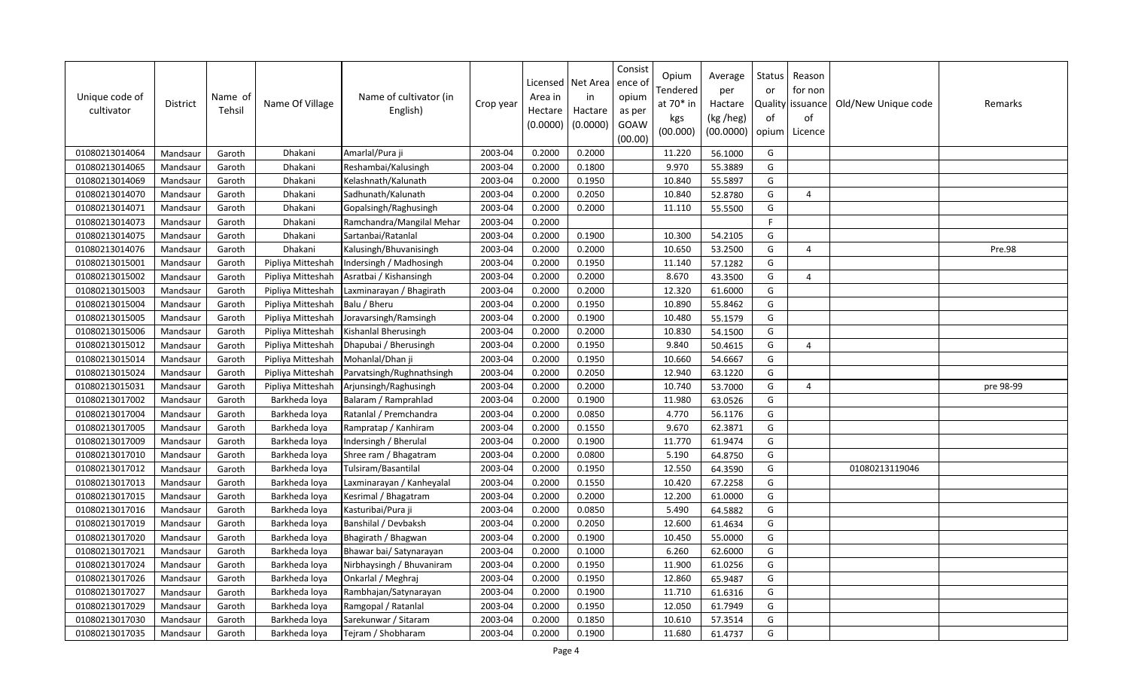| Unique code of<br>cultivator | District | Name of<br>Tehsil | Name Of Village   | Name of cultivator (in<br>English) | Crop year | Licensed<br>Area in<br>Hectare<br>(0.0000) | Net Area<br>in<br>Hactare<br>(0.0000) | Consist<br>ence of<br>opium<br>as per<br>GOAW<br>(00.00) | Opium<br>Tendered<br>at 70* in<br>kgs<br>(00.000) | Average<br>per<br>Hactare<br>(kg /heg)<br>(00.0000) | Status<br>or<br>of<br>opium | Reason<br>for non<br>Quality   issuance  <br>of<br>Licence | Old/New Unique code | Remarks   |
|------------------------------|----------|-------------------|-------------------|------------------------------------|-----------|--------------------------------------------|---------------------------------------|----------------------------------------------------------|---------------------------------------------------|-----------------------------------------------------|-----------------------------|------------------------------------------------------------|---------------------|-----------|
| 01080213014064               | Mandsaur | Garoth            | Dhakani           | Amarlal/Pura ji                    | 2003-04   | 0.2000                                     | 0.2000                                |                                                          | 11.220                                            | 56.1000                                             | G                           |                                                            |                     |           |
| 01080213014065               | Mandsaur | Garoth            | Dhakani           | Reshambai/Kalusingh                | 2003-04   | 0.2000                                     | 0.1800                                |                                                          | 9.970                                             | 55.3889                                             | G                           |                                                            |                     |           |
| 01080213014069               | Mandsaur | Garoth            | Dhakani           | Kelashnath/Kalunath                | 2003-04   | 0.2000                                     | 0.1950                                |                                                          | 10.840                                            | 55.5897                                             | G                           |                                                            |                     |           |
| 01080213014070               | Mandsaur | Garoth            | Dhakani           | Sadhunath/Kalunath                 | 2003-04   | 0.2000                                     | 0.2050                                |                                                          | 10.840                                            | 52.8780                                             | G                           | $\overline{4}$                                             |                     |           |
| 01080213014071               | Mandsaur | Garoth            | Dhakani           | Gopalsingh/Raghusingh              | 2003-04   | 0.2000                                     | 0.2000                                |                                                          | 11.110                                            | 55.5500                                             | G                           |                                                            |                     |           |
| 01080213014073               | Mandsaur | Garoth            | Dhakani           | Ramchandra/Mangilal Mehar          | 2003-04   | 0.2000                                     |                                       |                                                          |                                                   |                                                     | $\mathsf{F}$                |                                                            |                     |           |
| 01080213014075               | Mandsaur | Garoth            | Dhakani           | Sartanbai/Ratanlal                 | 2003-04   | 0.2000                                     | 0.1900                                |                                                          | 10.300                                            | 54.2105                                             | G                           |                                                            |                     |           |
| 01080213014076               | Mandsaur | Garoth            | Dhakani           | Kalusingh/Bhuvanisingh             | 2003-04   | 0.2000                                     | 0.2000                                |                                                          | 10.650                                            | 53.2500                                             | G                           | $\overline{4}$                                             |                     | Pre.98    |
| 01080213015001               | Mandsaur | Garoth            | Pipliya Mitteshah | Indersingh / Madhosingh            | 2003-04   | 0.2000                                     | 0.1950                                |                                                          | 11.140                                            | 57.1282                                             | G                           |                                                            |                     |           |
| 01080213015002               | Mandsaur | Garoth            | Pipliya Mitteshah | Asratbai / Kishansingh             | 2003-04   | 0.2000                                     | 0.2000                                |                                                          | 8.670                                             | 43.3500                                             | G                           | $\overline{4}$                                             |                     |           |
| 01080213015003               | Mandsaur | Garoth            | Pipliya Mitteshah | Laxminarayan / Bhagirath           | 2003-04   | 0.2000                                     | 0.2000                                |                                                          | 12.320                                            | 61.6000                                             | G                           |                                                            |                     |           |
| 01080213015004               | Mandsaur | Garoth            | Pipliya Mitteshah | Balu / Bheru                       | 2003-04   | 0.2000                                     | 0.1950                                |                                                          | 10.890                                            | 55.8462                                             | G                           |                                                            |                     |           |
| 01080213015005               | Mandsaur | Garoth            | Pipliya Mitteshah | Joravarsingh/Ramsingh              | 2003-04   | 0.2000                                     | 0.1900                                |                                                          | 10.480                                            | 55.1579                                             | G                           |                                                            |                     |           |
| 01080213015006               | Mandsaur | Garoth            | Pipliya Mitteshah | Kishanlal Bherusingh               | 2003-04   | 0.2000                                     | 0.2000                                |                                                          | 10.830                                            | 54.1500                                             | G                           |                                                            |                     |           |
| 01080213015012               | Mandsaur | Garoth            | Pipliya Mitteshah | Dhapubai / Bherusingh              | 2003-04   | 0.2000                                     | 0.1950                                |                                                          | 9.840                                             | 50.4615                                             | G                           | $\overline{4}$                                             |                     |           |
| 01080213015014               | Mandsaur | Garoth            | Pipliya Mitteshah | Mohanlal/Dhan ji                   | 2003-04   | 0.2000                                     | 0.1950                                |                                                          | 10.660                                            | 54.6667                                             | G                           |                                                            |                     |           |
| 01080213015024               | Mandsaur | Garoth            | Pipliya Mitteshah | Parvatsingh/Rughnathsingh          | 2003-04   | 0.2000                                     | 0.2050                                |                                                          | 12.940                                            | 63.1220                                             | G                           |                                                            |                     |           |
| 01080213015031               | Mandsaur | Garoth            | Pipliya Mitteshah | Arjunsingh/Raghusingh              | 2003-04   | 0.2000                                     | 0.2000                                |                                                          | 10.740                                            | 53.7000                                             | G                           | $\boldsymbol{\varDelta}$                                   |                     | pre 98-99 |
| 01080213017002               | Mandsaur | Garoth            | Barkheda loya     | Balaram / Ramprahlad               | 2003-04   | 0.2000                                     | 0.1900                                |                                                          | 11.980                                            | 63.0526                                             | G                           |                                                            |                     |           |
| 01080213017004               | Mandsaur | Garoth            | Barkheda loya     | Ratanlal / Premchandra             | 2003-04   | 0.2000                                     | 0.0850                                |                                                          | 4.770                                             | 56.1176                                             | G                           |                                                            |                     |           |
| 01080213017005               | Mandsaur | Garoth            | Barkheda loya     | Rampratap / Kanhiram               | 2003-04   | 0.2000                                     | 0.1550                                |                                                          | 9.670                                             | 62.3871                                             | G                           |                                                            |                     |           |
| 01080213017009               | Mandsaur | Garoth            | Barkheda loya     | Indersingh / Bherulal              | 2003-04   | 0.2000                                     | 0.1900                                |                                                          | 11.770                                            | 61.9474                                             | G                           |                                                            |                     |           |
| 01080213017010               | Mandsaur | Garoth            | Barkheda loya     | Shree ram / Bhagatram              | 2003-04   | 0.2000                                     | 0.0800                                |                                                          | 5.190                                             | 64.8750                                             | G                           |                                                            |                     |           |
| 01080213017012               | Mandsaur | Garoth            | Barkheda loya     | Tulsiram/Basantilal                | 2003-04   | 0.2000                                     | 0.1950                                |                                                          | 12.550                                            | 64.3590                                             | G                           |                                                            | 01080213119046      |           |
| 01080213017013               | Mandsaur | Garoth            | Barkheda loya     | Laxminarayan / Kanheyalal          | 2003-04   | 0.2000                                     | 0.1550                                |                                                          | 10.420                                            | 67.2258                                             | G                           |                                                            |                     |           |
| 01080213017015               | Mandsaur | Garoth            | Barkheda loya     | Kesrimal / Bhagatram               | 2003-04   | 0.2000                                     | 0.2000                                |                                                          | 12.200                                            | 61.0000                                             | G                           |                                                            |                     |           |
| 01080213017016               | Mandsaur | Garoth            | Barkheda loya     | Kasturibai/Pura ji                 | 2003-04   | 0.2000                                     | 0.0850                                |                                                          | 5.490                                             | 64.5882                                             | G                           |                                                            |                     |           |
| 01080213017019               | Mandsaur | Garoth            | Barkheda loya     | Banshilal / Devbaksh               | 2003-04   | 0.2000                                     | 0.2050                                |                                                          | 12.600                                            | 61.4634                                             | G                           |                                                            |                     |           |
| 01080213017020               | Mandsaur | Garoth            | Barkheda loya     | Bhagirath / Bhagwan                | 2003-04   | 0.2000                                     | 0.1900                                |                                                          | 10.450                                            | 55.0000                                             | G                           |                                                            |                     |           |
| 01080213017021               | Mandsaur | Garoth            | Barkheda loya     | Bhawar bai/ Satynarayan            | 2003-04   | 0.2000                                     | 0.1000                                |                                                          | 6.260                                             | 62.6000                                             | G                           |                                                            |                     |           |
| 01080213017024               | Mandsaur | Garoth            | Barkheda loya     | Nirbhaysingh / Bhuvaniram          | 2003-04   | 0.2000                                     | 0.1950                                |                                                          | 11.900                                            | 61.0256                                             | G                           |                                                            |                     |           |
| 01080213017026               | Mandsaur | Garoth            | Barkheda loya     | Onkarlal / Meghraj                 | 2003-04   | 0.2000                                     | 0.1950                                |                                                          | 12.860                                            | 65.9487                                             | G                           |                                                            |                     |           |
| 01080213017027               | Mandsaur | Garoth            | Barkheda loya     | Rambhajan/Satynarayan              | 2003-04   | 0.2000                                     | 0.1900                                |                                                          | 11.710                                            | 61.6316                                             | G                           |                                                            |                     |           |
| 01080213017029               | Mandsaur | Garoth            | Barkheda loya     | Ramgopal / Ratanlal                | 2003-04   | 0.2000                                     | 0.1950                                |                                                          | 12.050                                            | 61.7949                                             | G                           |                                                            |                     |           |
| 01080213017030               | Mandsaur | Garoth            | Barkheda loya     | Sarekunwar / Sitaram               | 2003-04   | 0.2000                                     | 0.1850                                |                                                          | 10.610                                            | 57.3514                                             | G                           |                                                            |                     |           |
| 01080213017035               | Mandsaur | Garoth            | Barkheda lova     | Tejram / Shobharam                 | 2003-04   | 0.2000                                     | 0.1900                                |                                                          | 11.680                                            | 61.4737                                             | G                           |                                                            |                     |           |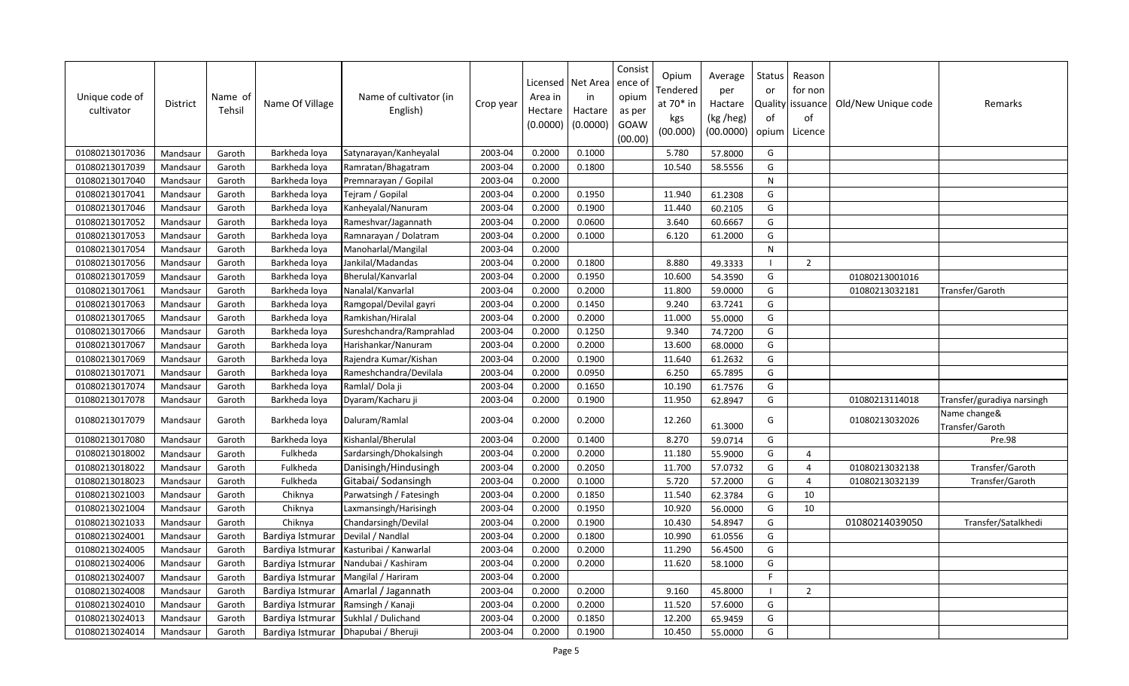| Unique code of<br>cultivator | <b>District</b> | Name of<br>Tehsil | Name Of Village  | Name of cultivator (in<br>English) | Crop year | Licensed<br>Area in<br>Hectare<br>(0.0000) | Net Area<br>in<br>Hactare<br>(0.0000) | Consist<br>ence of<br>opium<br>as per<br>GOAW<br>(00.00) | Opium<br>Tendered<br>at $70*$ in<br>kgs<br>(00.000) | Average<br>per<br>Hactare<br>(kg /heg)<br>(00.0000) | Status<br>or<br>of<br>opium | Reason<br>for non<br>Quality   issuance<br>of<br>Licence | Old/New Unique code | Remarks                         |
|------------------------------|-----------------|-------------------|------------------|------------------------------------|-----------|--------------------------------------------|---------------------------------------|----------------------------------------------------------|-----------------------------------------------------|-----------------------------------------------------|-----------------------------|----------------------------------------------------------|---------------------|---------------------------------|
| 01080213017036               | Mandsaur        | Garoth            | Barkheda loya    | Satynarayan/Kanheyalal             | 2003-04   | 0.2000                                     | 0.1000                                |                                                          | 5.780                                               | 57.8000                                             | G                           |                                                          |                     |                                 |
| 01080213017039               | Mandsaur        | Garoth            | Barkheda loya    | Ramratan/Bhagatram                 | 2003-04   | 0.2000                                     | 0.1800                                |                                                          | 10.540                                              | 58.5556                                             | G                           |                                                          |                     |                                 |
| 01080213017040               | Mandsaur        | Garoth            | Barkheda loya    | Premnarayan / Gopilal              | 2003-04   | 0.2000                                     |                                       |                                                          |                                                     |                                                     | ${\sf N}$                   |                                                          |                     |                                 |
| 01080213017041               | Mandsaur        | Garoth            | Barkheda loya    | Tejram / Gopilal                   | 2003-04   | 0.2000                                     | 0.1950                                |                                                          | 11.940                                              | 61.2308                                             | G                           |                                                          |                     |                                 |
| 01080213017046               | Mandsaur        | Garoth            | Barkheda loya    | Kanheyalal/Nanuram                 | 2003-04   | 0.2000                                     | 0.1900                                |                                                          | 11.440                                              | 60.2105                                             | G                           |                                                          |                     |                                 |
| 01080213017052               | Mandsaur        | Garoth            | Barkheda loya    | Rameshvar/Jagannath                | 2003-04   | 0.2000                                     | 0.0600                                |                                                          | 3.640                                               | 60.6667                                             | G                           |                                                          |                     |                                 |
| 01080213017053               | Mandsaur        | Garoth            | Barkheda loya    | Ramnarayan / Dolatram              | 2003-04   | 0.2000                                     | 0.1000                                |                                                          | 6.120                                               | 61.2000                                             | G                           |                                                          |                     |                                 |
| 01080213017054               | Mandsaur        | Garoth            | Barkheda loya    | Manoharlal/Mangilal                | 2003-04   | 0.2000                                     |                                       |                                                          |                                                     |                                                     | ${\sf N}$                   |                                                          |                     |                                 |
| 01080213017056               | Mandsaur        | Garoth            | Barkheda loya    | Jankilal/Madandas                  | 2003-04   | 0.2000                                     | 0.1800                                |                                                          | 8.880                                               | 49.3333                                             |                             | $\overline{2}$                                           |                     |                                 |
| 01080213017059               | Mandsaur        | Garoth            | Barkheda loya    | Bherulal/Kanvarlal                 | 2003-04   | 0.2000                                     | 0.1950                                |                                                          | 10.600                                              | 54.3590                                             | G                           |                                                          | 01080213001016      |                                 |
| 01080213017061               | Mandsaur        | Garoth            | Barkheda loya    | Nanalal/Kanvarlal                  | 2003-04   | 0.2000                                     | 0.2000                                |                                                          | 11.800                                              | 59.0000                                             | G                           |                                                          | 01080213032181      | Transfer/Garoth                 |
| 01080213017063               | Mandsaur        | Garoth            | Barkheda loya    | Ramgopal/Devilal gayri             | 2003-04   | 0.2000                                     | 0.1450                                |                                                          | 9.240                                               | 63.7241                                             | G                           |                                                          |                     |                                 |
| 01080213017065               | Mandsaur        | Garoth            | Barkheda loya    | Ramkishan/Hiralal                  | 2003-04   | 0.2000                                     | 0.2000                                |                                                          | 11.000                                              | 55.0000                                             | G                           |                                                          |                     |                                 |
| 01080213017066               | Mandsaur        | Garoth            | Barkheda loya    | Sureshchandra/Ramprahlad           | 2003-04   | 0.2000                                     | 0.1250                                |                                                          | 9.340                                               | 74.7200                                             | G                           |                                                          |                     |                                 |
| 01080213017067               | Mandsaur        | Garoth            | Barkheda loya    | Harishankar/Nanuram                | 2003-04   | 0.2000                                     | 0.2000                                |                                                          | 13.600                                              | 68.0000                                             | G                           |                                                          |                     |                                 |
| 01080213017069               | Mandsaur        | Garoth            | Barkheda loya    | Rajendra Kumar/Kishan              | 2003-04   | 0.2000                                     | 0.1900                                |                                                          | 11.640                                              | 61.2632                                             | G                           |                                                          |                     |                                 |
| 01080213017071               | Mandsaur        | Garoth            | Barkheda loya    | Rameshchandra/Devilala             | 2003-04   | 0.2000                                     | 0.0950                                |                                                          | 6.250                                               | 65.7895                                             | G                           |                                                          |                     |                                 |
| 01080213017074               | Mandsaur        | Garoth            | Barkheda loya    | Ramlal/Dola ji                     | 2003-04   | 0.2000                                     | 0.1650                                |                                                          | 10.190                                              | 61.7576                                             | G                           |                                                          |                     |                                 |
| 01080213017078               | Mandsaur        | Garoth            | Barkheda loya    | Dyaram/Kacharu ji                  | 2003-04   | 0.2000                                     | 0.1900                                |                                                          | 11.950                                              | 62.8947                                             | G                           |                                                          | 01080213114018      | Transfer/guradiya narsingh      |
| 01080213017079               | Mandsaur        | Garoth            | Barkheda loya    | Daluram/Ramlal                     | 2003-04   | 0.2000                                     | 0.2000                                |                                                          | 12.260                                              | 61.3000                                             | G                           |                                                          | 01080213032026      | Name change&<br>Transfer/Garoth |
| 01080213017080               | Mandsaur        | Garoth            | Barkheda loya    | Kishanlal/Bherulal                 | 2003-04   | 0.2000                                     | 0.1400                                |                                                          | 8.270                                               | 59.0714                                             | G                           |                                                          |                     | Pre.98                          |
| 01080213018002               | Mandsaur        | Garoth            | Fulkheda         | Sardarsingh/Dhokalsingh            | 2003-04   | 0.2000                                     | 0.2000                                |                                                          | 11.180                                              | 55.9000                                             | G                           | $\overline{4}$                                           |                     |                                 |
| 01080213018022               | Mandsaur        | Garoth            | Fulkheda         | Danisingh/Hindusingh               | 2003-04   | 0.2000                                     | 0.2050                                |                                                          | 11.700                                              | 57.0732                                             | G                           | $\overline{4}$                                           | 01080213032138      | Transfer/Garoth                 |
| 01080213018023               | Mandsaur        | Garoth            | Fulkheda         | Gitabai/ Sodansingh                | 2003-04   | 0.2000                                     | 0.1000                                |                                                          | 5.720                                               | 57.2000                                             | G                           | $\overline{a}$                                           | 01080213032139      | Transfer/Garoth                 |
| 01080213021003               | Mandsaur        | Garoth            | Chiknya          | Parwatsingh / Fatesingh            | 2003-04   | 0.2000                                     | 0.1850                                |                                                          | 11.540                                              | 62.3784                                             | G                           | 10                                                       |                     |                                 |
| 01080213021004               | Mandsaur        | Garoth            | Chiknya          | Laxmansingh/Harisingh              | 2003-04   | 0.2000                                     | 0.1950                                |                                                          | 10.920                                              | 56.0000                                             | G                           | 10                                                       |                     |                                 |
| 01080213021033               | Mandsaur        | Garoth            | Chiknya          | Chandarsingh/Devilal               | 2003-04   | 0.2000                                     | 0.1900                                |                                                          | 10.430                                              | 54.8947                                             | G                           |                                                          | 01080214039050      | Transfer/Satalkhedi             |
| 01080213024001               | Mandsaur        | Garoth            | Bardiya Istmurar | Devilal / Nandlal                  | 2003-04   | 0.2000                                     | 0.1800                                |                                                          | 10.990                                              | 61.0556                                             | G                           |                                                          |                     |                                 |
| 01080213024005               | Mandsaur        | Garoth            | Bardiya Istmurar | Kasturibai / Kanwarlal             | 2003-04   | 0.2000                                     | 0.2000                                |                                                          | 11.290                                              | 56.4500                                             | G                           |                                                          |                     |                                 |
| 01080213024006               | Mandsaur        | Garoth            | Bardiya Istmurar | Nandubai / Kashiram                | 2003-04   | 0.2000                                     | 0.2000                                |                                                          | 11.620                                              | 58.1000                                             | G                           |                                                          |                     |                                 |
| 01080213024007               | Mandsaur        | Garoth            | Bardiya Istmurar | Mangilal / Hariram                 | 2003-04   | 0.2000                                     |                                       |                                                          |                                                     |                                                     | F.                          |                                                          |                     |                                 |
| 01080213024008               | Mandsaur        | Garoth            | Bardiya Istmurar | Amarlal / Jagannath                | 2003-04   | 0.2000                                     | 0.2000                                |                                                          | 9.160                                               | 45.8000                                             |                             | $\overline{2}$                                           |                     |                                 |
| 01080213024010               | Mandsaur        | Garoth            | Bardiya Istmurar | Ramsingh / Kanaji                  | 2003-04   | 0.2000                                     | 0.2000                                |                                                          | 11.520                                              | 57.6000                                             | G                           |                                                          |                     |                                 |
| 01080213024013               | Mandsaur        | Garoth            | Bardiya Istmurar | Sukhlal / Dulichand                | 2003-04   | 0.2000                                     | 0.1850                                |                                                          | 12.200                                              | 65.9459                                             | G                           |                                                          |                     |                                 |
| 01080213024014               | Mandsaur        | Garoth            | Bardiya Istmurar | Dhapubai / Bheruji                 | 2003-04   | 0.2000                                     | 0.1900                                |                                                          | 10.450                                              | 55.0000                                             | G                           |                                                          |                     |                                 |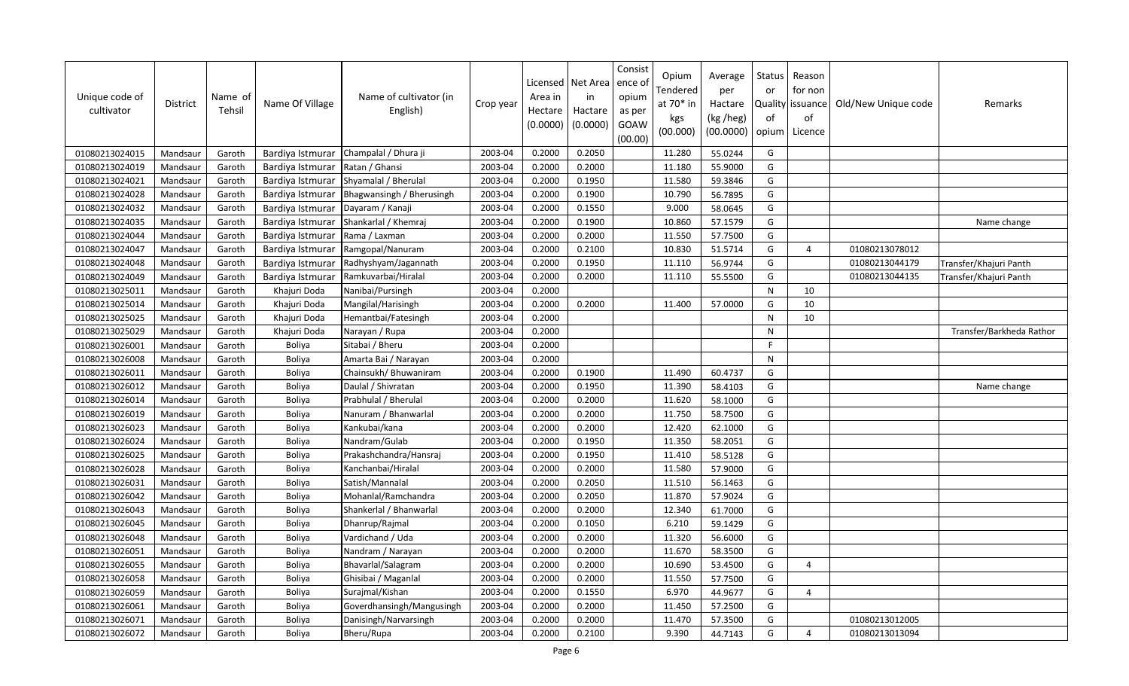| Unique code of<br>cultivator | District | Name of<br>Tehsil | Name Of Village  | Name of cultivator (in<br>English) | Crop year | Licensed<br>Area in<br>Hectare<br>(0.0000) | Net Area<br>in<br>Hactare<br>(0.0000) | Consist<br>ence of<br>opium<br>as per<br>GOAW<br>(00.00) | Opium<br>Tendered<br>at 70* in<br>kgs<br>(00.000) | Average<br>per<br>Hactare<br>(kg /heg)<br>(00.0000) | Status<br>or<br>of<br>opium | Reason<br>for non<br>Quality   issuance<br>of<br>Licence | Old/New Unique code | Remarks                  |
|------------------------------|----------|-------------------|------------------|------------------------------------|-----------|--------------------------------------------|---------------------------------------|----------------------------------------------------------|---------------------------------------------------|-----------------------------------------------------|-----------------------------|----------------------------------------------------------|---------------------|--------------------------|
| 01080213024015               | Mandsaur | Garoth            | Bardiya Istmurar | Champalal / Dhura ji               | 2003-04   | 0.2000                                     | 0.2050                                |                                                          | 11.280                                            | 55.0244                                             | G                           |                                                          |                     |                          |
| 01080213024019               | Mandsaur | Garoth            | Bardiya Istmurar | Ratan / Ghansi                     | 2003-04   | 0.2000                                     | 0.2000                                |                                                          | 11.180                                            | 55.9000                                             | G                           |                                                          |                     |                          |
| 01080213024021               | Mandsaur | Garoth            | Bardiya Istmurar | Shyamalal / Bherulal               | 2003-04   | 0.2000                                     | 0.1950                                |                                                          | 11.580                                            | 59.3846                                             | G                           |                                                          |                     |                          |
| 01080213024028               | Mandsaur | Garoth            | Bardiya Istmurar | Bhagwansingh / Bherusingh          | 2003-04   | 0.2000                                     | 0.1900                                |                                                          | 10.790                                            | 56.7895                                             | G                           |                                                          |                     |                          |
| 01080213024032               | Mandsaur | Garoth            | Bardiya Istmurar | Dayaram / Kanaji                   | 2003-04   | 0.2000                                     | 0.1550                                |                                                          | 9.000                                             | 58.0645                                             | G                           |                                                          |                     |                          |
| 01080213024035               | Mandsaur | Garoth            | Bardiya Istmurar | Shankarlal / Khemraj               | 2003-04   | 0.2000                                     | 0.1900                                |                                                          | 10.860                                            | 57.1579                                             | G                           |                                                          |                     | Name change              |
| 01080213024044               | Mandsaur | Garoth            | Bardiya Istmurar | Rama / Laxman                      | 2003-04   | 0.2000                                     | 0.2000                                |                                                          | 11.550                                            | 57.7500                                             | G                           |                                                          |                     |                          |
| 01080213024047               | Mandsaur | Garoth            | Bardiya Istmurar | Ramgopal/Nanuram                   | 2003-04   | 0.2000                                     | 0.2100                                |                                                          | 10.830                                            | 51.5714                                             | G                           | $\overline{4}$                                           | 01080213078012      |                          |
| 01080213024048               | Mandsaur | Garoth            | Bardiya Istmurar | Radhyshyam/Jagannath               | 2003-04   | 0.2000                                     | 0.1950                                |                                                          | 11.110                                            | 56.9744                                             | G                           |                                                          | 01080213044179      | Transfer/Khajuri Panth   |
| 01080213024049               | Mandsaur | Garoth            | Bardiya Istmurar | Ramkuvarbai/Hiralal                | 2003-04   | 0.2000                                     | 0.2000                                |                                                          | 11.110                                            | 55.5500                                             | G                           |                                                          | 01080213044135      | Transfer/Khajuri Panth   |
| 01080213025011               | Mandsaur | Garoth            | Khajuri Doda     | Nanibai/Pursingh                   | 2003-04   | 0.2000                                     |                                       |                                                          |                                                   |                                                     | ${\sf N}$                   | 10                                                       |                     |                          |
| 01080213025014               | Mandsaur | Garoth            | Khajuri Doda     | Mangilal/Harisingh                 | 2003-04   | 0.2000                                     | 0.2000                                |                                                          | 11.400                                            | 57.0000                                             | G                           | 10                                                       |                     |                          |
| 01080213025025               | Mandsaur | Garoth            | Khajuri Doda     | Hemantbai/Fatesingh                | 2003-04   | 0.2000                                     |                                       |                                                          |                                                   |                                                     | ${\sf N}$                   | 10                                                       |                     |                          |
| 01080213025029               | Mandsaur | Garoth            | Khajuri Doda     | Narayan / Rupa                     | 2003-04   | 0.2000                                     |                                       |                                                          |                                                   |                                                     | N                           |                                                          |                     | Transfer/Barkheda Rathor |
| 01080213026001               | Mandsaur | Garoth            | Boliya           | Sitabai / Bheru                    | 2003-04   | 0.2000                                     |                                       |                                                          |                                                   |                                                     | F                           |                                                          |                     |                          |
| 01080213026008               | Mandsaur | Garoth            | <b>Boliya</b>    | Amarta Bai / Narayan               | 2003-04   | 0.2000                                     |                                       |                                                          |                                                   |                                                     | $\mathsf{N}$                |                                                          |                     |                          |
| 01080213026011               | Mandsaur | Garoth            | Boliya           | Chainsukh/ Bhuwaniram              | 2003-04   | 0.2000                                     | 0.1900                                |                                                          | 11.490                                            | 60.4737                                             | G                           |                                                          |                     |                          |
| 01080213026012               | Mandsaur | Garoth            | <b>Boliya</b>    | Daulal / Shivratan                 | 2003-04   | 0.2000                                     | 0.1950                                |                                                          | 11.390                                            | 58.4103                                             | G                           |                                                          |                     | Name change              |
| 01080213026014               | Mandsaur | Garoth            | <b>Boliya</b>    | Prabhulal / Bherulal               | 2003-04   | 0.2000                                     | 0.2000                                |                                                          | 11.620                                            | 58.1000                                             | G                           |                                                          |                     |                          |
| 01080213026019               | Mandsaur | Garoth            | Boliya           | Nanuram / Bhanwarlal               | 2003-04   | 0.2000                                     | 0.2000                                |                                                          | 11.750                                            | 58.7500                                             | G                           |                                                          |                     |                          |
| 01080213026023               | Mandsaur | Garoth            | <b>Boliya</b>    | Kankubai/kana                      | 2003-04   | 0.2000                                     | 0.2000                                |                                                          | 12.420                                            | 62.1000                                             | G                           |                                                          |                     |                          |
| 01080213026024               | Mandsaur | Garoth            | <b>Boliya</b>    | Nandram/Gulab                      | 2003-04   | 0.2000                                     | 0.1950                                |                                                          | 11.350                                            | 58.2051                                             | G                           |                                                          |                     |                          |
| 01080213026025               | Mandsaur | Garoth            | Boliya           | Prakashchandra/Hansraj             | 2003-04   | 0.2000                                     | 0.1950                                |                                                          | 11.410                                            | 58.5128                                             | G                           |                                                          |                     |                          |
| 01080213026028               | Mandsaur | Garoth            | <b>Boliya</b>    | Kanchanbai/Hiralal                 | 2003-04   | 0.2000                                     | 0.2000                                |                                                          | 11.580                                            | 57.9000                                             | G                           |                                                          |                     |                          |
| 01080213026031               | Mandsaur | Garoth            | <b>Boliya</b>    | Satish/Mannalal                    | 2003-04   | 0.2000                                     | 0.2050                                |                                                          | 11.510                                            | 56.1463                                             | G                           |                                                          |                     |                          |
| 01080213026042               | Mandsaur | Garoth            | <b>Boliya</b>    | Mohanlal/Ramchandra                | 2003-04   | 0.2000                                     | 0.2050                                |                                                          | 11.870                                            | 57.9024                                             | G                           |                                                          |                     |                          |
| 01080213026043               | Mandsaur | Garoth            | Boliya           | Shankerlal / Bhanwarlal            | 2003-04   | 0.2000                                     | 0.2000                                |                                                          | 12.340                                            | 61.7000                                             | G                           |                                                          |                     |                          |
| 01080213026045               | Mandsaur | Garoth            | <b>Boliya</b>    | Dhanrup/Rajmal                     | 2003-04   | 0.2000                                     | 0.1050                                |                                                          | 6.210                                             | 59.1429                                             | G                           |                                                          |                     |                          |
| 01080213026048               | Mandsaur | Garoth            | Boliya           | Vardichand / Uda                   | 2003-04   | 0.2000                                     | 0.2000                                |                                                          | 11.320                                            | 56.6000                                             | G                           |                                                          |                     |                          |
| 01080213026051               | Mandsaur | Garoth            | <b>Boliya</b>    | Nandram / Narayan                  | 2003-04   | 0.2000                                     | 0.2000                                |                                                          | 11.670                                            | 58.3500                                             | G                           |                                                          |                     |                          |
| 01080213026055               | Mandsaur | Garoth            | <b>Boliya</b>    | Bhavarlal/Salagram                 | 2003-04   | 0.2000                                     | 0.2000                                |                                                          | 10.690                                            | 53.4500                                             | G                           | $\overline{4}$                                           |                     |                          |
| 01080213026058               | Mandsaur | Garoth            | <b>Boliya</b>    | Ghisibai / Maganlal                | 2003-04   | 0.2000                                     | 0.2000                                |                                                          | 11.550                                            | 57.7500                                             | G                           |                                                          |                     |                          |
| 01080213026059               | Mandsaur | Garoth            | <b>Boliya</b>    | Surajmal/Kishan                    | 2003-04   | 0.2000                                     | 0.1550                                |                                                          | 6.970                                             | 44.9677                                             | G                           | $\overline{4}$                                           |                     |                          |
| 01080213026061               | Mandsaur | Garoth            | <b>Boliya</b>    | Goverdhansingh/Mangusingh          | 2003-04   | 0.2000                                     | 0.2000                                |                                                          | 11.450                                            | 57.2500                                             | G                           |                                                          |                     |                          |
| 01080213026071               | Mandsaur | Garoth            | <b>Boliya</b>    | Danisingh/Narvarsingh              | 2003-04   | 0.2000                                     | 0.2000                                |                                                          | 11.470                                            | 57.3500                                             | G                           |                                                          | 01080213012005      |                          |
| 01080213026072               | Mandsaur | Garoth            | <b>Boliya</b>    | Bheru/Rupa                         | 2003-04   | 0.2000                                     | 0.2100                                |                                                          | 9.390                                             | 44.7143                                             | G                           | $\overline{a}$                                           | 01080213013094      |                          |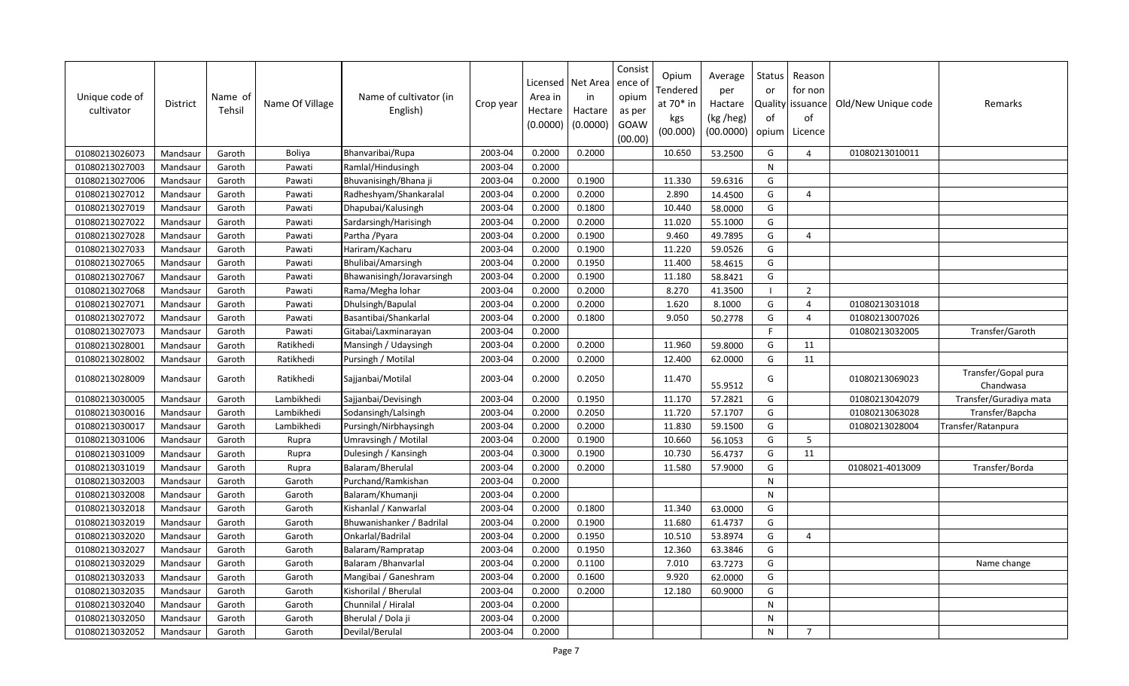| Unique code of<br>cultivator | <b>District</b> | Name of<br>Tehsil | Name Of Village | Name of cultivator (in<br>English) | Crop year | Area in<br>Hectare<br>(0.0000) | Licensed   Net Area<br>in<br>Hactare<br>(0.0000) | Consist<br>ence o<br>opium<br>as per<br>GOAW<br>(00.00) | Opium<br>Tendered<br>at $70*$ in<br>kgs<br>(00.000) | Average<br>per<br>Hactare<br>(kg /heg)<br>(00.0000) | Status<br>or<br>of<br>opium | Reason<br>for non<br>Quality issuance<br>of<br>Licence | Old/New Unique code | Remarks                          |
|------------------------------|-----------------|-------------------|-----------------|------------------------------------|-----------|--------------------------------|--------------------------------------------------|---------------------------------------------------------|-----------------------------------------------------|-----------------------------------------------------|-----------------------------|--------------------------------------------------------|---------------------|----------------------------------|
| 01080213026073               | Mandsaur        | Garoth            | Boliya          | Bhanvaribai/Rupa                   | 2003-04   | 0.2000                         | 0.2000                                           |                                                         | 10.650                                              | 53.2500                                             | G                           | $\overline{4}$                                         | 01080213010011      |                                  |
| 01080213027003               | Mandsaur        | Garoth            | Pawati          | Ramlal/Hindusingh                  | 2003-04   | 0.2000                         |                                                  |                                                         |                                                     |                                                     | $\mathsf{N}$                |                                                        |                     |                                  |
| 01080213027006               | Mandsaur        | Garoth            | Pawati          | Bhuvanisingh/Bhana ji              | 2003-04   | 0.2000                         | 0.1900                                           |                                                         | 11.330                                              | 59.6316                                             | G                           |                                                        |                     |                                  |
| 01080213027012               | Mandsaur        | Garoth            | Pawati          | Radheshyam/Shankaralal             | 2003-04   | 0.2000                         | 0.2000                                           |                                                         | 2.890                                               | 14.4500                                             | G                           | 4                                                      |                     |                                  |
| 01080213027019               | Mandsaur        | Garoth            | Pawati          | Dhapubai/Kalusingh                 | 2003-04   | 0.2000                         | 0.1800                                           |                                                         | 10.440                                              | 58.0000                                             | G                           |                                                        |                     |                                  |
| 01080213027022               | Mandsaur        | Garoth            | Pawati          | Sardarsingh/Harisingh              | 2003-04   | 0.2000                         | 0.2000                                           |                                                         | 11.020                                              | 55.1000                                             | G                           |                                                        |                     |                                  |
| 01080213027028               | Mandsaur        | Garoth            | Pawati          | Partha / Pyara                     | 2003-04   | 0.2000                         | 0.1900                                           |                                                         | 9.460                                               | 49.7895                                             | G                           | 4                                                      |                     |                                  |
| 01080213027033               | Mandsaur        | Garoth            | Pawati          | Hariram/Kacharu                    | 2003-04   | 0.2000                         | 0.1900                                           |                                                         | 11.220                                              | 59.0526                                             | G                           |                                                        |                     |                                  |
| 01080213027065               | Mandsaur        | Garoth            | Pawati          | Bhulibai/Amarsingh                 | 2003-04   | 0.2000                         | 0.1950                                           |                                                         | 11.400                                              | 58.4615                                             | G                           |                                                        |                     |                                  |
| 01080213027067               | Mandsaur        | Garoth            | Pawati          | Bhawanisingh/Joravarsingh          | 2003-04   | 0.2000                         | 0.1900                                           |                                                         | 11.180                                              | 58.8421                                             | G                           |                                                        |                     |                                  |
| 01080213027068               | Mandsaur        | Garoth            | Pawati          | Rama/Megha lohar                   | 2003-04   | 0.2000                         | 0.2000                                           |                                                         | 8.270                                               | 41.3500                                             | $\blacksquare$              | $\overline{2}$                                         |                     |                                  |
| 01080213027071               | Mandsaur        | Garoth            | Pawati          | Dhulsingh/Bapulal                  | 2003-04   | 0.2000                         | 0.2000                                           |                                                         | 1.620                                               | 8.1000                                              | G                           | $\overline{4}$                                         | 01080213031018      |                                  |
| 01080213027072               | Mandsaur        | Garoth            | Pawati          | Basantibai/Shankarlal              | 2003-04   | 0.2000                         | 0.1800                                           |                                                         | 9.050                                               | 50.2778                                             | G                           | $\overline{a}$                                         | 01080213007026      |                                  |
| 01080213027073               | Mandsaur        | Garoth            | Pawati          | Gitabai/Laxminarayan               | 2003-04   | 0.2000                         |                                                  |                                                         |                                                     |                                                     | F                           |                                                        | 01080213032005      | Transfer/Garoth                  |
| 01080213028001               | Mandsaur        | Garoth            | Ratikhedi       | Mansingh / Udaysingh               | 2003-04   | 0.2000                         | 0.2000                                           |                                                         | 11.960                                              | 59.8000                                             | G                           | 11                                                     |                     |                                  |
| 01080213028002               | Mandsaur        | Garoth            | Ratikhedi       | Pursingh / Motilal                 | 2003-04   | 0.2000                         | 0.2000                                           |                                                         | 12.400                                              | 62.0000                                             | G                           | 11                                                     |                     |                                  |
| 01080213028009               | Mandsaur        | Garoth            | Ratikhedi       | Sajjanbai/Motilal                  | 2003-04   | 0.2000                         | 0.2050                                           |                                                         | 11.470                                              | 55.9512                                             | G                           |                                                        | 01080213069023      | Transfer/Gopal pura<br>Chandwasa |
| 01080213030005               | Mandsaur        | Garoth            | Lambikhedi      | Sajjanbai/Devisingh                | 2003-04   | 0.2000                         | 0.1950                                           |                                                         | 11.170                                              | 57.2821                                             | G                           |                                                        | 01080213042079      | Transfer/Guradiya mata           |
| 01080213030016               | Mandsaur        | Garoth            | Lambikhedi      | Sodansingh/Lalsingh                | 2003-04   | 0.2000                         | 0.2050                                           |                                                         | 11.720                                              | 57.1707                                             | G                           |                                                        | 01080213063028      | Transfer/Bapcha                  |
| 01080213030017               | Mandsaur        | Garoth            | Lambikhedi      | Pursingh/Nirbhaysingh              | 2003-04   | 0.2000                         | 0.2000                                           |                                                         | 11.830                                              | 59.1500                                             | G                           |                                                        | 01080213028004      | Transfer/Ratanpura               |
| 01080213031006               | Mandsaur        | Garoth            | Rupra           | Umravsingh / Motilal               | 2003-04   | 0.2000                         | 0.1900                                           |                                                         | 10.660                                              | 56.1053                                             | G                           | -5                                                     |                     |                                  |
| 01080213031009               | Mandsaur        | Garoth            | Rupra           | Dulesingh / Kansingh               | 2003-04   | 0.3000                         | 0.1900                                           |                                                         | 10.730                                              | 56.4737                                             | G                           | 11                                                     |                     |                                  |
| 01080213031019               | Mandsaur        | Garoth            | Rupra           | Balaram/Bherulal                   | 2003-04   | 0.2000                         | 0.2000                                           |                                                         | 11.580                                              | 57.9000                                             | G                           |                                                        | 0108021-4013009     | Transfer/Borda                   |
| 01080213032003               | Mandsaur        | Garoth            | Garoth          | Purchand/Ramkishan                 | 2003-04   | 0.2000                         |                                                  |                                                         |                                                     |                                                     | N                           |                                                        |                     |                                  |
| 01080213032008               | Mandsaur        | Garoth            | Garoth          | Balaram/Khumanji                   | 2003-04   | 0.2000                         |                                                  |                                                         |                                                     |                                                     | N                           |                                                        |                     |                                  |
| 01080213032018               | Mandsaur        | Garoth            | Garoth          | Kishanlal / Kanwarlal              | 2003-04   | 0.2000                         | 0.1800                                           |                                                         | 11.340                                              | 63.0000                                             | G                           |                                                        |                     |                                  |
| 01080213032019               | Mandsaur        | Garoth            | Garoth          | Bhuwanishanker / Badrilal          | 2003-04   | 0.2000                         | 0.1900                                           |                                                         | 11.680                                              | 61.4737                                             | G                           |                                                        |                     |                                  |
| 01080213032020               | Mandsaur        | Garoth            | Garoth          | Onkarlal/Badrilal                  | 2003-04   | 0.2000                         | 0.1950                                           |                                                         | 10.510                                              | 53.8974                                             | G                           | 4                                                      |                     |                                  |
| 01080213032027               | Mandsaur        | Garoth            | Garoth          | Balaram/Rampratap                  | 2003-04   | 0.2000                         | 0.1950                                           |                                                         | 12.360                                              | 63.3846                                             | G                           |                                                        |                     |                                  |
| 01080213032029               | Mandsaur        | Garoth            | Garoth          | Balaram / Bhanvarlal               | 2003-04   | 0.2000                         | 0.1100                                           |                                                         | 7.010                                               | 63.7273                                             | G                           |                                                        |                     | Name change                      |
| 01080213032033               | Mandsaur        | Garoth            | Garoth          | Mangibai / Ganeshram               | 2003-04   | 0.2000                         | 0.1600                                           |                                                         | 9.920                                               | 62.0000                                             | G                           |                                                        |                     |                                  |
| 01080213032035               | Mandsaur        | Garoth            | Garoth          | Kishorilal / Bherulal              | 2003-04   | 0.2000                         | 0.2000                                           |                                                         | 12.180                                              | 60.9000                                             | G                           |                                                        |                     |                                  |
| 01080213032040               | Mandsaur        | Garoth            | Garoth          | Chunnilal / Hiralal                | 2003-04   | 0.2000                         |                                                  |                                                         |                                                     |                                                     | N                           |                                                        |                     |                                  |
| 01080213032050               | Mandsaur        | Garoth            | Garoth          | Bherulal / Dola ji                 | 2003-04   | 0.2000                         |                                                  |                                                         |                                                     |                                                     | N                           |                                                        |                     |                                  |
| 01080213032052               | Mandsaur        | Garoth            | Garoth          | Devilal/Berulal                    | 2003-04   | 0.2000                         |                                                  |                                                         |                                                     |                                                     | N                           | $\overline{7}$                                         |                     |                                  |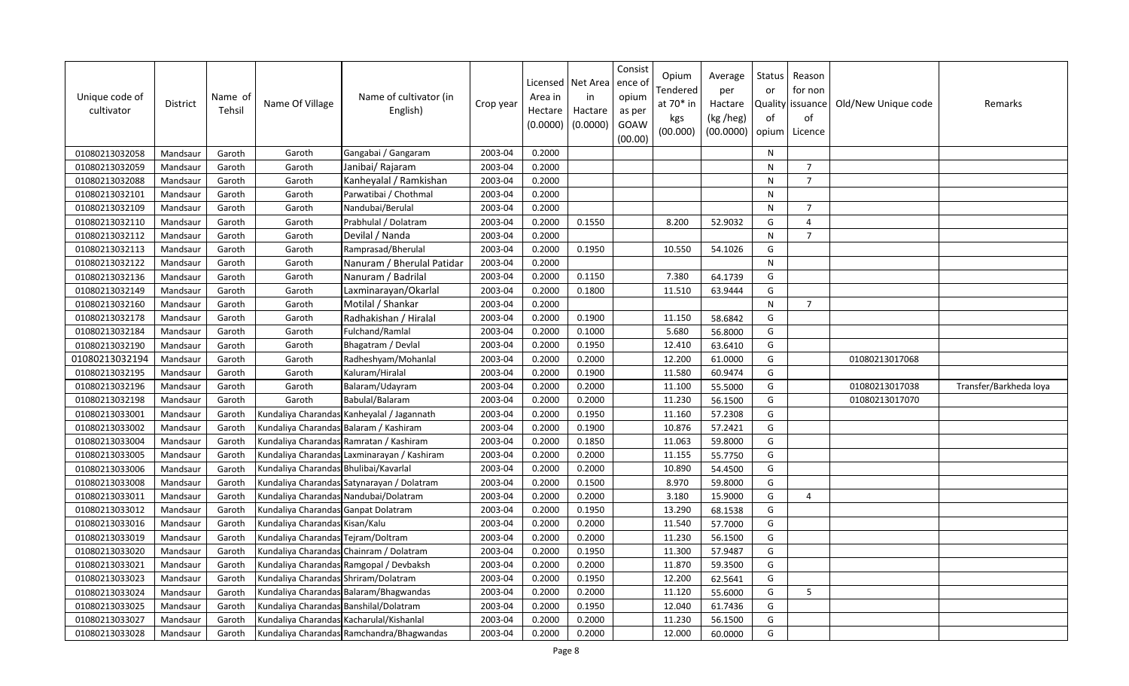| Unique code of<br>cultivator | <b>District</b> | Name of<br>Tehsil | Name Of Village                        | Name of cultivator (in<br>English)          | Crop year | Licensed<br>Area in<br>Hectare<br>(0.0000) | Net Area<br>in<br>Hactare<br>(0.0000) | Consist<br>ence of<br>opium<br>as per<br>GOAW<br>(00.00) | Opium<br>Tendered<br>at 70* in<br>kgs<br>(00.000) | Average<br>per<br>Hactare<br>(kg /heg)<br>(00.0000) | Status<br>or<br>of<br>opium | Reason<br>for non<br>Quality issuance<br>of<br>Licence | Old/New Unique code | Remarks                |
|------------------------------|-----------------|-------------------|----------------------------------------|---------------------------------------------|-----------|--------------------------------------------|---------------------------------------|----------------------------------------------------------|---------------------------------------------------|-----------------------------------------------------|-----------------------------|--------------------------------------------------------|---------------------|------------------------|
| 01080213032058               | Mandsaur        | Garoth            | Garoth                                 | Gangabai / Gangaram                         | 2003-04   | 0.2000                                     |                                       |                                                          |                                                   |                                                     | N                           |                                                        |                     |                        |
| 01080213032059               | Mandsaur        | Garoth            | Garoth                                 | Janibai/ Rajaram                            | 2003-04   | 0.2000                                     |                                       |                                                          |                                                   |                                                     | N                           | $\overline{7}$                                         |                     |                        |
| 01080213032088               | Mandsaur        | Garoth            | Garoth                                 | Kanheyalal / Ramkishan                      | 2003-04   | 0.2000                                     |                                       |                                                          |                                                   |                                                     | N                           | $\overline{7}$                                         |                     |                        |
| 01080213032101               | Mandsaur        | Garoth            | Garoth                                 | Parwatibai / Chothmal                       | 2003-04   | 0.2000                                     |                                       |                                                          |                                                   |                                                     | $\mathsf{N}$                |                                                        |                     |                        |
| 01080213032109               | Mandsaur        | Garoth            | Garoth                                 | Nandubai/Berulal                            | 2003-04   | 0.2000                                     |                                       |                                                          |                                                   |                                                     | $\mathsf{N}$                | $\overline{7}$                                         |                     |                        |
| 01080213032110               | Mandsaur        | Garoth            | Garoth                                 | Prabhulal / Dolatram                        | 2003-04   | 0.2000                                     | 0.1550                                |                                                          | 8.200                                             | 52.9032                                             | G                           | $\overline{4}$                                         |                     |                        |
| 01080213032112               | Mandsaur        | Garoth            | Garoth                                 | Devilal / Nanda                             | 2003-04   | 0.2000                                     |                                       |                                                          |                                                   |                                                     | ${\sf N}$                   | $\overline{7}$                                         |                     |                        |
| 01080213032113               | Mandsaur        | Garoth            | Garoth                                 | Ramprasad/Bherulal                          | 2003-04   | 0.2000                                     | 0.1950                                |                                                          | 10.550                                            | 54.1026                                             | G                           |                                                        |                     |                        |
| 01080213032122               | Mandsaur        | Garoth            | Garoth                                 | Nanuram / Bherulal Patidar                  | 2003-04   | 0.2000                                     |                                       |                                                          |                                                   |                                                     | $\mathsf{N}$                |                                                        |                     |                        |
| 01080213032136               | Mandsaur        | Garoth            | Garoth                                 | Nanuram / Badrilal                          | 2003-04   | 0.2000                                     | 0.1150                                |                                                          | 7.380                                             | 64.1739                                             | G                           |                                                        |                     |                        |
| 01080213032149               | Mandsaur        | Garoth            | Garoth                                 | Laxminarayan/Okarlal                        | 2003-04   | 0.2000                                     | 0.1800                                |                                                          | 11.510                                            | 63.9444                                             | G                           |                                                        |                     |                        |
| 01080213032160               | Mandsaur        | Garoth            | Garoth                                 | Motilal / Shankar                           | 2003-04   | 0.2000                                     |                                       |                                                          |                                                   |                                                     | $\mathsf{N}$                | $\overline{7}$                                         |                     |                        |
| 01080213032178               | Mandsaur        | Garoth            | Garoth                                 | Radhakishan / Hiralal                       | 2003-04   | 0.2000                                     | 0.1900                                |                                                          | 11.150                                            | 58.6842                                             | G                           |                                                        |                     |                        |
| 01080213032184               | Mandsaur        | Garoth            | Garoth                                 | Fulchand/Ramlal                             | 2003-04   | 0.2000                                     | 0.1000                                |                                                          | 5.680                                             | 56.8000                                             | G                           |                                                        |                     |                        |
| 01080213032190               | Mandsaur        | Garoth            | Garoth                                 | Bhagatram / Devlal                          | 2003-04   | 0.2000                                     | 0.1950                                |                                                          | 12.410                                            | 63.6410                                             | G                           |                                                        |                     |                        |
| 01080213032194               | Mandsaur        | Garoth            | Garoth                                 | Radheshyam/Mohanlal                         | 2003-04   | 0.2000                                     | 0.2000                                |                                                          | 12.200                                            | 61.0000                                             | G                           |                                                        | 01080213017068      |                        |
| 01080213032195               | Mandsaur        | Garoth            | Garoth                                 | Kaluram/Hiralal                             | 2003-04   | 0.2000                                     | 0.1900                                |                                                          | 11.580                                            | 60.9474                                             | G                           |                                                        |                     |                        |
| 01080213032196               | Mandsaur        | Garoth            | Garoth                                 | Balaram/Udayram                             | 2003-04   | 0.2000                                     | 0.2000                                |                                                          | 11.100                                            | 55.5000                                             | G                           |                                                        | 01080213017038      | Transfer/Barkheda loya |
| 01080213032198               | Mandsaur        | Garoth            | Garoth                                 | Babulal/Balaram                             | 2003-04   | 0.2000                                     | 0.2000                                |                                                          | 11.230                                            | 56.1500                                             | G                           |                                                        | 01080213017070      |                        |
| 01080213033001               | Mandsaur        | Garoth            |                                        | Kundaliya Charandas Kanheyalal / Jagannath  | 2003-04   | 0.2000                                     | 0.1950                                |                                                          | 11.160                                            | 57.2308                                             | G                           |                                                        |                     |                        |
| 01080213033002               | Mandsaur        | Garoth            | Kundaliya Charandas Balaram / Kashiram |                                             | 2003-04   | 0.2000                                     | 0.1900                                |                                                          | 10.876                                            | 57.2421                                             | G                           |                                                        |                     |                        |
| 01080213033004               | Mandsaur        | Garoth            |                                        | Kundaliya Charandas Ramratan / Kashiram     | 2003-04   | 0.2000                                     | 0.1850                                |                                                          | 11.063                                            | 59.8000                                             | G                           |                                                        |                     |                        |
| 01080213033005               | Mandsaur        | Garoth            |                                        | Kundaliya Charandas Laxminarayan / Kashiram | 2003-04   | 0.2000                                     | 0.2000                                |                                                          | 11.155                                            | 55.7750                                             | G                           |                                                        |                     |                        |
| 01080213033006               | Mandsaur        | Garoth            | Kundaliya Charandas Bhulibai/Kavarlal  |                                             | 2003-04   | 0.2000                                     | 0.2000                                |                                                          | 10.890                                            | 54.4500                                             | G                           |                                                        |                     |                        |
| 01080213033008               | Mandsaur        | Garoth            |                                        | Kundaliya Charandas Satynarayan / Dolatram  | 2003-04   | 0.2000                                     | 0.1500                                |                                                          | 8.970                                             | 59.8000                                             | G                           |                                                        |                     |                        |
| 01080213033011               | Mandsaur        | Garoth            |                                        | Kundaliya Charandas Nandubai/Dolatram       | 2003-04   | 0.2000                                     | 0.2000                                |                                                          | 3.180                                             | 15.9000                                             | G                           | $\overline{4}$                                         |                     |                        |
| 01080213033012               | Mandsaur        | Garoth            | Kundaliya Charandas Ganpat Dolatram    |                                             | 2003-04   | 0.2000                                     | 0.1950                                |                                                          | 13.290                                            | 68.1538                                             | G                           |                                                        |                     |                        |
| 01080213033016               | Mandsaur        | Garoth            | Kundaliya Charandas Kisan/Kalu         |                                             | 2003-04   | 0.2000                                     | 0.2000                                |                                                          | 11.540                                            | 57.7000                                             | G                           |                                                        |                     |                        |
| 01080213033019               | Mandsaur        | Garoth            | Kundaliya Charandas Tejram/Doltram     |                                             | 2003-04   | 0.2000                                     | 0.2000                                |                                                          | 11.230                                            | 56.1500                                             | G                           |                                                        |                     |                        |
| 01080213033020               | Mandsaur        | Garoth            |                                        | Kundaliya Charandas Chainram / Dolatram     | 2003-04   | 0.2000                                     | 0.1950                                |                                                          | 11.300                                            | 57.9487                                             | G                           |                                                        |                     |                        |
| 01080213033021               | Mandsaur        | Garoth            |                                        | Kundaliya Charandas Ramgopal / Devbaksh     | 2003-04   | 0.2000                                     | 0.2000                                |                                                          | 11.870                                            | 59.3500                                             | G                           |                                                        |                     |                        |
| 01080213033023               | Mandsaur        | Garoth            | Kundaliya Charandas Shriram/Dolatram   |                                             | 2003-04   | 0.2000                                     | 0.1950                                |                                                          | 12.200                                            | 62.5641                                             | G                           |                                                        |                     |                        |
| 01080213033024               | Mandsaur        | Garoth            |                                        | Kundaliya Charandas Balaram/Bhagwandas      | 2003-04   | 0.2000                                     | 0.2000                                |                                                          | 11.120                                            | 55.6000                                             | G                           | 5                                                      |                     |                        |
| 01080213033025               | Mandsaur        | Garoth            | Kundaliya Charandas Banshilal/Dolatram |                                             | 2003-04   | 0.2000                                     | 0.1950                                |                                                          | 12.040                                            | 61.7436                                             | G                           |                                                        |                     |                        |
| 01080213033027               | Mandsaur        | Garoth            |                                        | Kundaliya Charandas Kacharulal/Kishanlal    | 2003-04   | 0.2000                                     | 0.2000                                |                                                          | 11.230                                            | 56.1500                                             | G                           |                                                        |                     |                        |
| 01080213033028               | Mandsaur        | Garoth            |                                        | Kundaliya Charandas Ramchandra/Bhagwandas   | 2003-04   | 0.2000                                     | 0.2000                                |                                                          | 12.000                                            | 60.0000                                             | G                           |                                                        |                     |                        |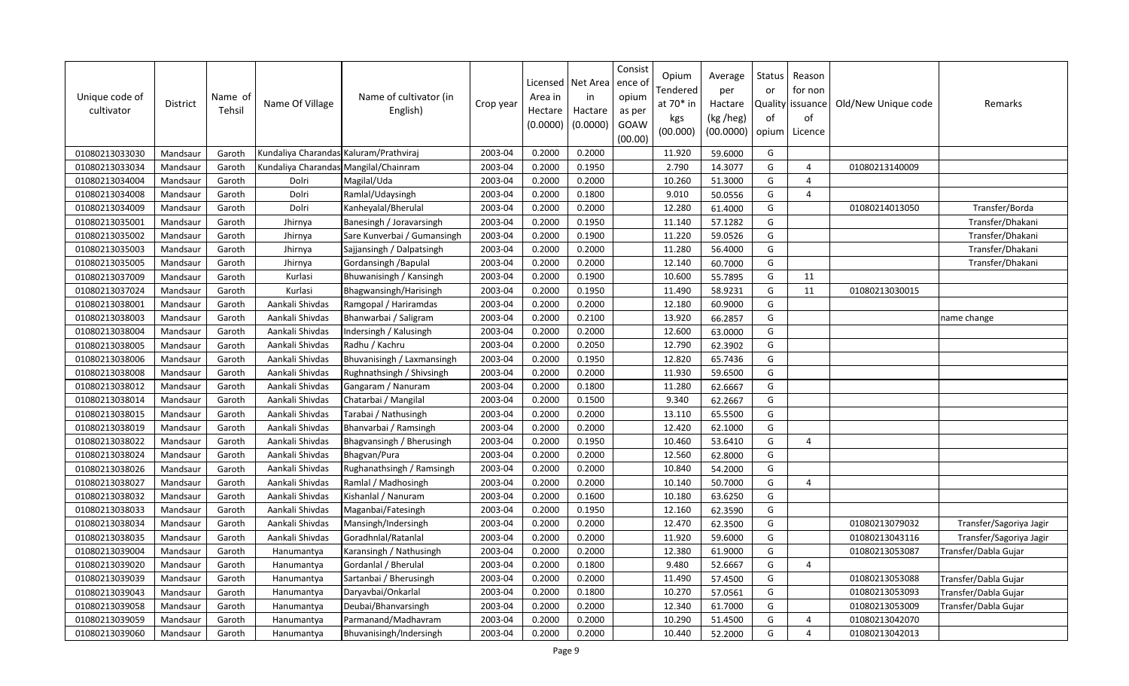| Unique code of<br>cultivator | District | Name of<br>Tehsil | Name Of Village                        | Name of cultivator (in<br>English) | Crop year | Licensed<br>Area in<br>Hectare<br>(0.0000) | Net Area<br>in<br>Hactare<br>(0.0000) | Consist<br>ence of<br>opium<br>as per<br>GOAW<br>(00.00) | Opium<br>Tendered<br>at 70* in<br>kgs<br>(00.000) | Average<br>per<br>Hactare<br>(kg /heg)<br>(00.0000) | Status<br>or<br>of<br>opium | Reason<br>for non<br>Quality   issuance<br>of<br>Licence | Old/New Unique code | Remarks                 |
|------------------------------|----------|-------------------|----------------------------------------|------------------------------------|-----------|--------------------------------------------|---------------------------------------|----------------------------------------------------------|---------------------------------------------------|-----------------------------------------------------|-----------------------------|----------------------------------------------------------|---------------------|-------------------------|
| 01080213033030               | Mandsaur | Garoth            | Kundaliya Charandas Kaluram/Prathviraj |                                    | 2003-04   | 0.2000                                     | 0.2000                                |                                                          | 11.920                                            | 59.6000                                             | G                           |                                                          |                     |                         |
| 01080213033034               | Mandsaur | Garoth            | Kundaliya Charandas Mangilal/Chainram  |                                    | 2003-04   | 0.2000                                     | 0.1950                                |                                                          | 2.790                                             | 14.3077                                             | G                           | $\overline{4}$                                           | 01080213140009      |                         |
| 01080213034004               | Mandsaur | Garoth            | Dolri                                  | Magilal/Uda                        | 2003-04   | 0.2000                                     | 0.2000                                |                                                          | 10.260                                            | 51.3000                                             | G                           | $\overline{4}$                                           |                     |                         |
| 01080213034008               | Mandsaur | Garoth            | Dolri                                  | Ramlal/Udaysingh                   | 2003-04   | 0.2000                                     | 0.1800                                |                                                          | 9.010                                             | 50.0556                                             | G                           | $\overline{a}$                                           |                     |                         |
| 01080213034009               | Mandsaur | Garoth            | Dolri                                  | Kanheyalal/Bherulal                | 2003-04   | 0.2000                                     | 0.2000                                |                                                          | 12.280                                            | 61.4000                                             | G                           |                                                          | 01080214013050      | Transfer/Borda          |
| 01080213035001               | Mandsaur | Garoth            | Jhirnya                                | Banesingh / Joravarsingh           | 2003-04   | 0.2000                                     | 0.1950                                |                                                          | 11.140                                            | 57.1282                                             | G                           |                                                          |                     | Transfer/Dhakani        |
| 01080213035002               | Mandsaur | Garoth            | Jhirnya                                | Sare Kunverbai / Gumansingh        | 2003-04   | 0.2000                                     | 0.1900                                |                                                          | 11.220                                            | 59.0526                                             | G                           |                                                          |                     | Transfer/Dhakani        |
| 01080213035003               | Mandsaur | Garoth            | Jhirnya                                | Sajjansingh / Dalpatsingh          | 2003-04   | 0.2000                                     | 0.2000                                |                                                          | 11.280                                            | 56.4000                                             | G                           |                                                          |                     | Transfer/Dhakani        |
| 01080213035005               | Mandsaur | Garoth            | Jhirnya                                | Gordansingh / Bapulal              | 2003-04   | 0.2000                                     | 0.2000                                |                                                          | 12.140                                            | 60.7000                                             | G                           |                                                          |                     | Transfer/Dhakani        |
| 01080213037009               | Mandsaur | Garoth            | Kurlasi                                | Bhuwanisingh / Kansingh            | 2003-04   | 0.2000                                     | 0.1900                                |                                                          | 10.600                                            | 55.7895                                             | G                           | 11                                                       |                     |                         |
| 01080213037024               | Mandsaur | Garoth            | Kurlasi                                | Bhagwansingh/Harisingh             | 2003-04   | 0.2000                                     | 0.1950                                |                                                          | 11.490                                            | 58.9231                                             | G                           | 11                                                       | 01080213030015      |                         |
| 01080213038001               | Mandsaur | Garoth            | Aankali Shivdas                        | Ramgopal / Hariramdas              | 2003-04   | 0.2000                                     | 0.2000                                |                                                          | 12.180                                            | 60.9000                                             | G                           |                                                          |                     |                         |
| 01080213038003               | Mandsaur | Garoth            | Aankali Shivdas                        | Bhanwarbai / Saligram              | 2003-04   | 0.2000                                     | 0.2100                                |                                                          | 13.920                                            | 66.2857                                             | G                           |                                                          |                     | name change             |
| 01080213038004               | Mandsaur | Garoth            | Aankali Shivdas                        | Indersingh / Kalusingh             | 2003-04   | 0.2000                                     | 0.2000                                |                                                          | 12.600                                            | 63.0000                                             | G                           |                                                          |                     |                         |
| 01080213038005               | Mandsaur | Garoth            | Aankali Shivdas                        | Radhu / Kachru                     | 2003-04   | 0.2000                                     | 0.2050                                |                                                          | 12.790                                            | 62.3902                                             | G                           |                                                          |                     |                         |
| 01080213038006               | Mandsaur | Garoth            | Aankali Shivdas                        | Bhuvanisingh / Laxmansingh         | 2003-04   | 0.2000                                     | 0.1950                                |                                                          | 12.820                                            | 65.7436                                             | G                           |                                                          |                     |                         |
| 01080213038008               | Mandsaur | Garoth            | Aankali Shivdas                        | Rughnathsingh / Shivsingh          | 2003-04   | 0.2000                                     | 0.2000                                |                                                          | 11.930                                            | 59.6500                                             | G                           |                                                          |                     |                         |
| 01080213038012               | Mandsaur | Garoth            | Aankali Shivdas                        | Gangaram / Nanuram                 | 2003-04   | 0.2000                                     | 0.1800                                |                                                          | 11.280                                            | 62.6667                                             | G                           |                                                          |                     |                         |
| 01080213038014               | Mandsaur | Garoth            | Aankali Shivdas                        | Chatarbai / Mangilal               | 2003-04   | 0.2000                                     | 0.1500                                |                                                          | 9.340                                             | 62.2667                                             | G                           |                                                          |                     |                         |
| 01080213038015               | Mandsaur | Garoth            | Aankali Shivdas                        | Tarabai / Nathusingh               | 2003-04   | 0.2000                                     | 0.2000                                |                                                          | 13.110                                            | 65.5500                                             | G                           |                                                          |                     |                         |
| 01080213038019               | Mandsaur | Garoth            | Aankali Shivdas                        | Bhanvarbai / Ramsingh              | 2003-04   | 0.2000                                     | 0.2000                                |                                                          | 12.420                                            | 62.1000                                             | G                           |                                                          |                     |                         |
| 01080213038022               | Mandsaur | Garoth            | Aankali Shivdas                        | Bhagvansingh / Bherusingh          | 2003-04   | 0.2000                                     | 0.1950                                |                                                          | 10.460                                            | 53.6410                                             | G                           | $\overline{4}$                                           |                     |                         |
| 01080213038024               | Mandsaur | Garoth            | Aankali Shivdas                        | Bhagvan/Pura                       | 2003-04   | 0.2000                                     | 0.2000                                |                                                          | 12.560                                            | 62.8000                                             | G                           |                                                          |                     |                         |
| 01080213038026               | Mandsaur | Garoth            | Aankali Shivdas                        | Rughanathsingh / Ramsingh          | 2003-04   | 0.2000                                     | 0.2000                                |                                                          | 10.840                                            | 54.2000                                             | G                           |                                                          |                     |                         |
| 01080213038027               | Mandsaur | Garoth            | Aankali Shivdas                        | Ramlal / Madhosingh                | 2003-04   | 0.2000                                     | 0.2000                                |                                                          | 10.140                                            | 50.7000                                             | G                           | $\overline{4}$                                           |                     |                         |
| 01080213038032               | Mandsaur | Garoth            | Aankali Shivdas                        | Kishanlal / Nanuram                | 2003-04   | 0.2000                                     | 0.1600                                |                                                          | 10.180                                            | 63.6250                                             | G                           |                                                          |                     |                         |
| 01080213038033               | Mandsaur | Garoth            | Aankali Shivdas                        | Maganbai/Fatesingh                 | 2003-04   | 0.2000                                     | 0.1950                                |                                                          | 12.160                                            | 62.3590                                             | G                           |                                                          |                     |                         |
| 01080213038034               | Mandsaur | Garoth            | Aankali Shivdas                        | Mansingh/Indersingh                | 2003-04   | 0.2000                                     | 0.2000                                |                                                          | 12.470                                            | 62.3500                                             | G                           |                                                          | 01080213079032      | Transfer/Sagoriya Jagir |
| 01080213038035               | Mandsaur | Garoth            | Aankali Shivdas                        | Goradhnlal/Ratanlal                | 2003-04   | 0.2000                                     | 0.2000                                |                                                          | 11.920                                            | 59.6000                                             | G                           |                                                          | 01080213043116      | Transfer/Sagoriya Jagir |
| 01080213039004               | Mandsaur | Garoth            | Hanumantya                             | Karansingh / Nathusingh            | 2003-04   | 0.2000                                     | 0.2000                                |                                                          | 12.380                                            | 61.9000                                             | G                           |                                                          | 01080213053087      | Transfer/Dabla Gujar    |
| 01080213039020               | Mandsaur | Garoth            | Hanumantya                             | Gordanial / Bherulal               | 2003-04   | 0.2000                                     | 0.1800                                |                                                          | 9.480                                             | 52.6667                                             | G                           | $\boldsymbol{\varDelta}$                                 |                     |                         |
| 01080213039039               | Mandsaur | Garoth            | Hanumantya                             | Sartanbai / Bherusingh             | 2003-04   | 0.2000                                     | 0.2000                                |                                                          | 11.490                                            | 57.4500                                             | G                           |                                                          | 01080213053088      | Transfer/Dabla Gujar    |
| 01080213039043               | Mandsaur | Garoth            | Hanumantya                             | Daryavbai/Onkarlal                 | 2003-04   | 0.2000                                     | 0.1800                                |                                                          | 10.270                                            | 57.0561                                             | G                           |                                                          | 01080213053093      | Transfer/Dabla Gujar    |
| 01080213039058               | Mandsaur | Garoth            | Hanumantya                             | Deubai/Bhanvarsingh                | 2003-04   | 0.2000                                     | 0.2000                                |                                                          | 12.340                                            | 61.7000                                             | G                           |                                                          | 01080213053009      | Transfer/Dabla Gujar    |
| 01080213039059               | Mandsaur | Garoth            | Hanumantya                             | Parmanand/Madhavram                | 2003-04   | 0.2000                                     | 0.2000                                |                                                          | 10.290                                            | 51.4500                                             | G                           | $\overline{4}$                                           | 01080213042070      |                         |
| 01080213039060               | Mandsaur | Garoth            | Hanumantya                             | Bhuvanisingh/Indersingh            | 2003-04   | 0.2000                                     | 0.2000                                |                                                          | 10.440                                            | 52.2000                                             | G                           | $\overline{4}$                                           | 01080213042013      |                         |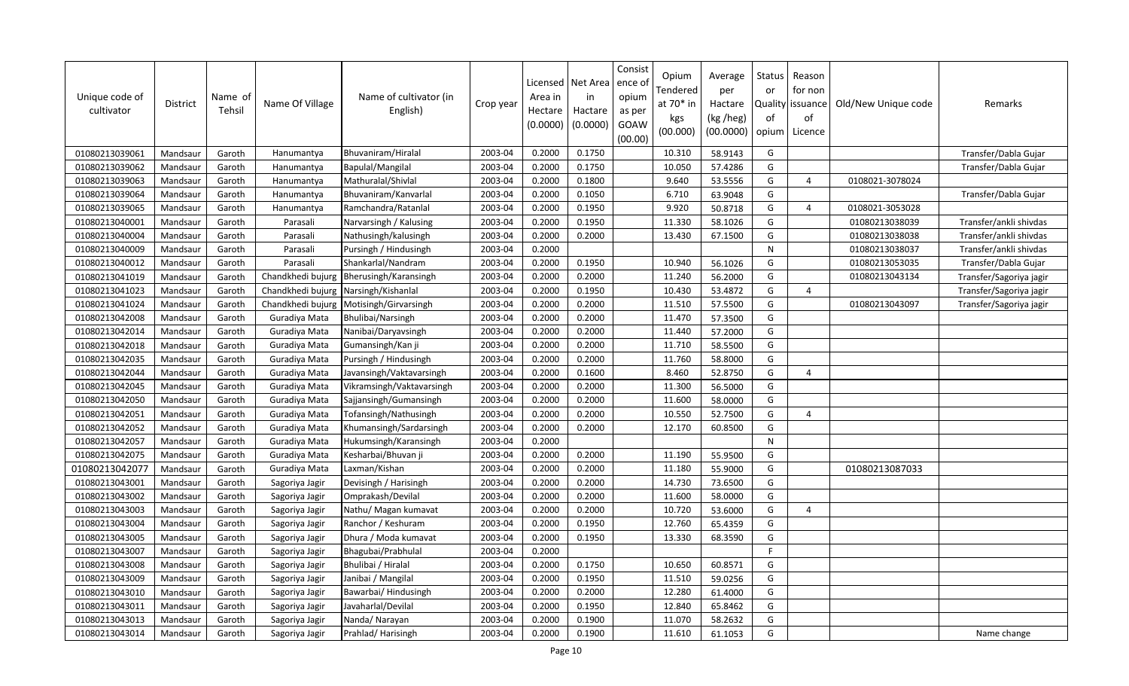| Unique code of<br>cultivator | District | Name of<br>Tehsil | Name Of Village   | Name of cultivator (in<br>English) | Crop year | Area in<br>Hectare<br>(0.0000) | Licensed   Net Area<br>in<br>Hactare<br>(0.0000) | Consist<br>ence o<br>opium<br>as per<br>GOAW<br>(00.00) | Opium<br>Tendered<br>at 70* in<br>kgs<br>(00.000) | Average<br>per<br>Hactare<br>(kg /heg)<br>(00.0000) | Status<br>or<br>оf<br>opium | Reason<br>for non<br>Quality   issuance<br>of<br>Licence | Old/New Unique code | Remarks                 |
|------------------------------|----------|-------------------|-------------------|------------------------------------|-----------|--------------------------------|--------------------------------------------------|---------------------------------------------------------|---------------------------------------------------|-----------------------------------------------------|-----------------------------|----------------------------------------------------------|---------------------|-------------------------|
| 01080213039061               | Mandsaur | Garoth            | Hanumantya        | Bhuvaniram/Hiralal                 | 2003-04   | 0.2000                         | 0.1750                                           |                                                         | 10.310                                            | 58.9143                                             | G                           |                                                          |                     | Transfer/Dabla Gujar    |
| 01080213039062               | Mandsaur | Garoth            | Hanumantya        | Bapulal/Mangilal                   | 2003-04   | 0.2000                         | 0.1750                                           |                                                         | 10.050                                            | 57.4286                                             | G                           |                                                          |                     | Transfer/Dabla Gujar    |
| 01080213039063               | Mandsaur | Garoth            | Hanumantya        | Mathuralal/Shivlal                 | 2003-04   | 0.2000                         | 0.1800                                           |                                                         | 9.640                                             | 53.5556                                             | G                           | $\overline{4}$                                           | 0108021-3078024     |                         |
| 01080213039064               | Mandsaur | Garoth            | Hanumantya        | Bhuvaniram/Kanvarlal               | 2003-04   | 0.2000                         | 0.1050                                           |                                                         | 6.710                                             | 63.9048                                             | G                           |                                                          |                     | Transfer/Dabla Gujar    |
| 01080213039065               | Mandsaur | Garoth            | Hanumantya        | Ramchandra/Ratanlal                | 2003-04   | 0.2000                         | 0.1950                                           |                                                         | 9.920                                             | 50.8718                                             | G                           | $\overline{4}$                                           | 0108021-3053028     |                         |
| 01080213040001               | Mandsaur | Garoth            | Parasali          | Narvarsingh / Kalusing             | 2003-04   | 0.2000                         | 0.1950                                           |                                                         | 11.330                                            | 58.1026                                             | G                           |                                                          | 01080213038039      | Transfer/ankli shivdas  |
| 01080213040004               | Mandsaur | Garoth            | Parasali          | Nathusingh/kalusingh               | 2003-04   | 0.2000                         | 0.2000                                           |                                                         | 13.430                                            | 67.1500                                             | G                           |                                                          | 01080213038038      | Transfer/ankli shivdas  |
| 01080213040009               | Mandsaur | Garoth            | Parasali          | Pursingh / Hindusingh              | 2003-04   | 0.2000                         |                                                  |                                                         |                                                   |                                                     | $\mathsf{N}$                |                                                          | 01080213038037      | Transfer/ankli shivdas  |
| 01080213040012               | Mandsaur | Garoth            | Parasali          | Shankarlal/Nandram                 | 2003-04   | 0.2000                         | 0.1950                                           |                                                         | 10.940                                            | 56.1026                                             | G                           |                                                          | 01080213053035      | Transfer/Dabla Gujar    |
| 01080213041019               | Mandsaur | Garoth            | Chandkhedi bujurg | Bherusingh/Karansingh              | 2003-04   | 0.2000                         | 0.2000                                           |                                                         | 11.240                                            | 56.2000                                             | G                           |                                                          | 01080213043134      | Transfer/Sagoriya jagir |
| 01080213041023               | Mandsaur | Garoth            | Chandkhedi bujurg | Narsingh/Kishanlal                 | 2003-04   | 0.2000                         | 0.1950                                           |                                                         | 10.430                                            | 53.4872                                             | G                           | $\overline{4}$                                           |                     | Transfer/Sagoriya jagir |
| 01080213041024               | Mandsaur | Garoth            | Chandkhedi bujurg | Motisingh/Girvarsingh              | 2003-04   | 0.2000                         | 0.2000                                           |                                                         | 11.510                                            | 57.5500                                             | G                           |                                                          | 01080213043097      | Transfer/Sagoriya jagir |
| 01080213042008               | Mandsaur | Garoth            | Guradiya Mata     | Bhulibai/Narsingh                  | 2003-04   | 0.2000                         | 0.2000                                           |                                                         | 11.470                                            | 57.3500                                             | G                           |                                                          |                     |                         |
| 01080213042014               | Mandsaur | Garoth            | Guradiya Mata     | Nanibai/Daryavsingh                | 2003-04   | 0.2000                         | 0.2000                                           |                                                         | 11.440                                            | 57.2000                                             | G                           |                                                          |                     |                         |
| 01080213042018               | Mandsaur | Garoth            | Guradiya Mata     | Gumansingh/Kan ji                  | 2003-04   | 0.2000                         | 0.2000                                           |                                                         | 11.710                                            | 58.5500                                             | G                           |                                                          |                     |                         |
| 01080213042035               | Mandsaur | Garoth            | Guradiya Mata     | Pursingh / Hindusingh              | 2003-04   | 0.2000                         | 0.2000                                           |                                                         | 11.760                                            | 58.8000                                             | G                           |                                                          |                     |                         |
| 01080213042044               | Mandsaur | Garoth            | Guradiya Mata     | Javansingh/Vaktavarsingh           | 2003-04   | 0.2000                         | 0.1600                                           |                                                         | 8.460                                             | 52.8750                                             | G                           | $\overline{a}$                                           |                     |                         |
| 01080213042045               | Mandsaur | Garoth            | Guradiya Mata     | Vikramsingh/Vaktavarsingh          | 2003-04   | 0.2000                         | 0.2000                                           |                                                         | 11.300                                            | 56.5000                                             | G                           |                                                          |                     |                         |
| 01080213042050               | Mandsaur | Garoth            | Guradiya Mata     | Sajjansingh/Gumansingh             | 2003-04   | 0.2000                         | 0.2000                                           |                                                         | 11.600                                            | 58.0000                                             | G                           |                                                          |                     |                         |
| 01080213042051               | Mandsaur | Garoth            | Guradiya Mata     | Tofansingh/Nathusingh              | 2003-04   | 0.2000                         | 0.2000                                           |                                                         | 10.550                                            | 52.7500                                             | G                           | $\overline{4}$                                           |                     |                         |
| 01080213042052               | Mandsaur | Garoth            | Guradiya Mata     | Khumansingh/Sardarsingh            | 2003-04   | 0.2000                         | 0.2000                                           |                                                         | 12.170                                            | 60.8500                                             | G                           |                                                          |                     |                         |
| 01080213042057               | Mandsaur | Garoth            | Guradiya Mata     | Hukumsingh/Karansingh              | 2003-04   | 0.2000                         |                                                  |                                                         |                                                   |                                                     | $\mathsf{N}$                |                                                          |                     |                         |
| 01080213042075               | Mandsaur | Garoth            | Guradiya Mata     | Kesharbai/Bhuvan ji                | 2003-04   | 0.2000                         | 0.2000                                           |                                                         | 11.190                                            | 55.9500                                             | G                           |                                                          |                     |                         |
| 01080213042077               | Mandsaur | Garoth            | Guradiya Mata     | Laxman/Kishan                      | 2003-04   | 0.2000                         | 0.2000                                           |                                                         | 11.180                                            | 55.9000                                             | G                           |                                                          | 01080213087033      |                         |
| 01080213043001               | Mandsaur | Garoth            | Sagoriya Jagir    | Devisingh / Harisingh              | 2003-04   | 0.2000                         | 0.2000                                           |                                                         | 14.730                                            | 73.6500                                             | G                           |                                                          |                     |                         |
| 01080213043002               | Mandsaur | Garoth            | Sagoriya Jagir    | Omprakash/Devilal                  | 2003-04   | 0.2000                         | 0.2000                                           |                                                         | 11.600                                            | 58.0000                                             | G                           |                                                          |                     |                         |
| 01080213043003               | Mandsaur | Garoth            | Sagoriya Jagir    | Nathu/ Magan kumavat               | 2003-04   | 0.2000                         | 0.2000                                           |                                                         | 10.720                                            | 53.6000                                             | G                           | $\overline{4}$                                           |                     |                         |
| 01080213043004               | Mandsaur | Garoth            | Sagoriya Jagir    | Ranchor / Keshuram                 | 2003-04   | 0.2000                         | 0.1950                                           |                                                         | 12.760                                            | 65.4359                                             | G                           |                                                          |                     |                         |
| 01080213043005               | Mandsaur | Garoth            | Sagoriya Jagir    | Dhura / Moda kumavat               | 2003-04   | 0.2000                         | 0.1950                                           |                                                         | 13.330                                            | 68.3590                                             | G                           |                                                          |                     |                         |
| 01080213043007               | Mandsaur | Garoth            | Sagoriya Jagir    | Bhagubai/Prabhulal                 | 2003-04   | 0.2000                         |                                                  |                                                         |                                                   |                                                     | E                           |                                                          |                     |                         |
| 01080213043008               | Mandsaur | Garoth            | Sagoriya Jagir    | Bhulibai / Hiralal                 | 2003-04   | 0.2000                         | 0.1750                                           |                                                         | 10.650                                            | 60.8571                                             | G                           |                                                          |                     |                         |
| 01080213043009               | Mandsaur | Garoth            | Sagoriya Jagir    | Janibai / Mangilal                 | 2003-04   | 0.2000                         | 0.1950                                           |                                                         | 11.510                                            | 59.0256                                             | G                           |                                                          |                     |                         |
| 01080213043010               | Mandsaur | Garoth            | Sagoriya Jagir    | Bawarbai/ Hindusingh               | 2003-04   | 0.2000                         | 0.2000                                           |                                                         | 12.280                                            | 61.4000                                             | G                           |                                                          |                     |                         |
| 01080213043011               | Mandsaur | Garoth            | Sagoriya Jagir    | Javaharlal/Devilal                 | 2003-04   | 0.2000                         | 0.1950                                           |                                                         | 12.840                                            | 65.8462                                             | G                           |                                                          |                     |                         |
| 01080213043013               | Mandsaur | Garoth            | Sagoriya Jagir    | Nanda/Narayan                      | 2003-04   | 0.2000                         | 0.1900                                           |                                                         | 11.070                                            | 58.2632                                             | G                           |                                                          |                     |                         |
| 01080213043014               | Mandsaur | Garoth            | Sagoriya Jagir    | Prahlad/Harisingh                  | 2003-04   | 0.2000                         | 0.1900                                           |                                                         | 11.610                                            | 61.1053                                             | G                           |                                                          |                     | Name change             |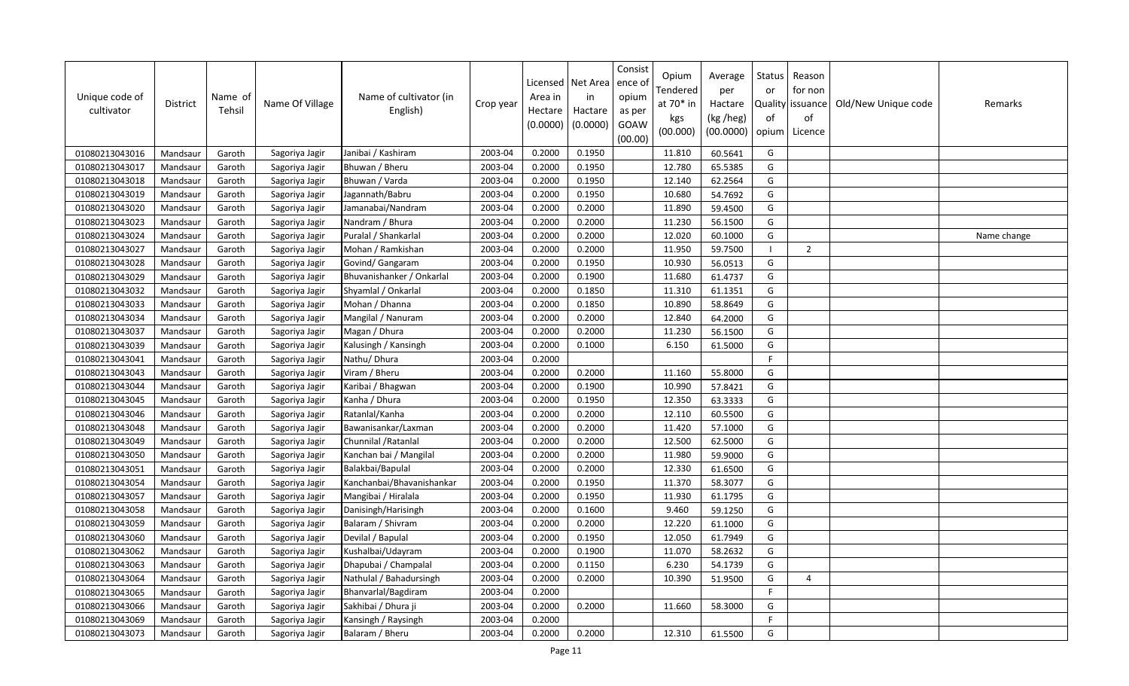| Unique code of<br>cultivator | District | Name of<br>Tehsil | Name Of Village | Name of cultivator (in<br>English) | Crop year | Licensed<br>Area in<br>Hectare<br>(0.0000) | Net Area<br>in<br>Hactare<br>(0.0000) | Consist<br>ence of<br>opium<br>as per<br>GOAW<br>(00.00) | Opium<br>Tendered<br>at 70* in<br>kgs<br>(00.000) | Average<br>per<br>Hactare<br>(kg /heg)<br>(00.0000) | Status<br>or<br>of<br>opium | Reason<br>for non<br>Quality issuance<br>of<br>Licence | Old/New Unique code | Remarks     |
|------------------------------|----------|-------------------|-----------------|------------------------------------|-----------|--------------------------------------------|---------------------------------------|----------------------------------------------------------|---------------------------------------------------|-----------------------------------------------------|-----------------------------|--------------------------------------------------------|---------------------|-------------|
| 01080213043016               | Mandsaur | Garoth            | Sagoriya Jagir  | Janibai / Kashiram                 | 2003-04   | 0.2000                                     | 0.1950                                |                                                          | 11.810                                            | 60.5641                                             | G                           |                                                        |                     |             |
| 01080213043017               | Mandsaur | Garoth            | Sagoriya Jagir  | Bhuwan / Bheru                     | 2003-04   | 0.2000                                     | 0.1950                                |                                                          | 12.780                                            | 65.5385                                             | G                           |                                                        |                     |             |
| 01080213043018               | Mandsaur | Garoth            | Sagoriya Jagir  | Bhuwan / Varda                     | 2003-04   | 0.2000                                     | 0.1950                                |                                                          | 12.140                                            | 62.2564                                             | G                           |                                                        |                     |             |
| 01080213043019               | Mandsaur | Garoth            | Sagoriya Jagir  | Jagannath/Babru                    | 2003-04   | 0.2000                                     | 0.1950                                |                                                          | 10.680                                            | 54.7692                                             | G                           |                                                        |                     |             |
| 01080213043020               | Mandsaur | Garoth            | Sagoriya Jagir  | Jamanabai/Nandram                  | 2003-04   | 0.2000                                     | 0.2000                                |                                                          | 11.890                                            | 59.4500                                             | G                           |                                                        |                     |             |
| 01080213043023               | Mandsaur | Garoth            | Sagoriya Jagir  | Nandram / Bhura                    | 2003-04   | 0.2000                                     | 0.2000                                |                                                          | 11.230                                            | 56.1500                                             | G                           |                                                        |                     |             |
| 01080213043024               | Mandsaur | Garoth            | Sagoriya Jagir  | Puralal / Shankarlal               | 2003-04   | 0.2000                                     | 0.2000                                |                                                          | 12.020                                            | 60.1000                                             | G                           |                                                        |                     | Name change |
| 01080213043027               | Mandsaur | Garoth            | Sagoriya Jagir  | Mohan / Ramkishan                  | 2003-04   | 0.2000                                     | 0.2000                                |                                                          | 11.950                                            | 59.7500                                             |                             | $\overline{2}$                                         |                     |             |
| 01080213043028               | Mandsaur | Garoth            | Sagoriya Jagir  | Govind/ Gangaram                   | 2003-04   | 0.2000                                     | 0.1950                                |                                                          | 10.930                                            | 56.0513                                             | G                           |                                                        |                     |             |
| 01080213043029               | Mandsaur | Garoth            | Sagoriya Jagir  | Bhuvanishanker / Onkarlal          | 2003-04   | 0.2000                                     | 0.1900                                |                                                          | 11.680                                            | 61.4737                                             | G                           |                                                        |                     |             |
| 01080213043032               | Mandsaur | Garoth            | Sagoriya Jagir  | Shyamlal / Onkarlal                | 2003-04   | 0.2000                                     | 0.1850                                |                                                          | 11.310                                            | 61.1351                                             | G                           |                                                        |                     |             |
| 01080213043033               | Mandsaur | Garoth            | Sagoriya Jagir  | Mohan / Dhanna                     | 2003-04   | 0.2000                                     | 0.1850                                |                                                          | 10.890                                            | 58.8649                                             | G                           |                                                        |                     |             |
| 01080213043034               | Mandsaur | Garoth            | Sagoriya Jagir  | Mangilal / Nanuram                 | 2003-04   | 0.2000                                     | 0.2000                                |                                                          | 12.840                                            | 64.2000                                             | G                           |                                                        |                     |             |
| 01080213043037               | Mandsaur | Garoth            | Sagoriya Jagir  | Magan / Dhura                      | 2003-04   | 0.2000                                     | 0.2000                                |                                                          | 11.230                                            | 56.1500                                             | G                           |                                                        |                     |             |
| 01080213043039               | Mandsaur | Garoth            | Sagoriya Jagir  | Kalusingh / Kansingh               | 2003-04   | 0.2000                                     | 0.1000                                |                                                          | 6.150                                             | 61.5000                                             | G                           |                                                        |                     |             |
| 01080213043041               | Mandsaur | Garoth            | Sagoriya Jagir  | Nathu/ Dhura                       | 2003-04   | 0.2000                                     |                                       |                                                          |                                                   |                                                     | F                           |                                                        |                     |             |
| 01080213043043               | Mandsaur | Garoth            | Sagoriya Jagir  | Viram / Bheru                      | 2003-04   | 0.2000                                     | 0.2000                                |                                                          | 11.160                                            | 55.8000                                             | G                           |                                                        |                     |             |
| 01080213043044               | Mandsaur | Garoth            | Sagoriya Jagir  | Karibai / Bhagwan                  | 2003-04   | 0.2000                                     | 0.1900                                |                                                          | 10.990                                            | 57.8421                                             | G                           |                                                        |                     |             |
| 01080213043045               | Mandsaur | Garoth            | Sagoriya Jagir  | Kanha / Dhura                      | 2003-04   | 0.2000                                     | 0.1950                                |                                                          | 12.350                                            | 63.3333                                             | G                           |                                                        |                     |             |
| 01080213043046               | Mandsaur | Garoth            | Sagoriya Jagir  | Ratanlal/Kanha                     | 2003-04   | 0.2000                                     | 0.2000                                |                                                          | 12.110                                            | 60.5500                                             | G                           |                                                        |                     |             |
| 01080213043048               | Mandsaur | Garoth            | Sagoriya Jagir  | Bawanisankar/Laxman                | 2003-04   | 0.2000                                     | 0.2000                                |                                                          | 11.420                                            | 57.1000                                             | G                           |                                                        |                     |             |
| 01080213043049               | Mandsaur | Garoth            | Sagoriya Jagir  | Chunnilal / Ratanlal               | 2003-04   | 0.2000                                     | 0.2000                                |                                                          | 12.500                                            | 62.5000                                             | G                           |                                                        |                     |             |
| 01080213043050               | Mandsaur | Garoth            | Sagoriya Jagir  | Kanchan bai / Mangilal             | 2003-04   | 0.2000                                     | 0.2000                                |                                                          | 11.980                                            | 59.9000                                             | G                           |                                                        |                     |             |
| 01080213043051               | Mandsaur | Garoth            | Sagoriya Jagir  | Balakbai/Bapulal                   | 2003-04   | 0.2000                                     | 0.2000                                |                                                          | 12.330                                            | 61.6500                                             | G                           |                                                        |                     |             |
| 01080213043054               | Mandsaur | Garoth            | Sagoriya Jagir  | Kanchanbai/Bhavanishankar          | 2003-04   | 0.2000                                     | 0.1950                                |                                                          | 11.370                                            | 58.3077                                             | G                           |                                                        |                     |             |
| 01080213043057               | Mandsaur | Garoth            | Sagoriya Jagir  | Mangibai / Hiralala                | 2003-04   | 0.2000                                     | 0.1950                                |                                                          | 11.930                                            | 61.1795                                             | G                           |                                                        |                     |             |
| 01080213043058               | Mandsaur | Garoth            | Sagoriya Jagir  | Danisingh/Harisingh                | 2003-04   | 0.2000                                     | 0.1600                                |                                                          | 9.460                                             | 59.1250                                             | G                           |                                                        |                     |             |
| 01080213043059               | Mandsaur | Garoth            | Sagoriya Jagir  | Balaram / Shivram                  | 2003-04   | 0.2000                                     | 0.2000                                |                                                          | 12.220                                            | 61.1000                                             | G                           |                                                        |                     |             |
| 01080213043060               | Mandsaur | Garoth            | Sagoriya Jagir  | Devilal / Bapulal                  | 2003-04   | 0.2000                                     | 0.1950                                |                                                          | 12.050                                            | 61.7949                                             | G                           |                                                        |                     |             |
| 01080213043062               | Mandsaur | Garoth            | Sagoriya Jagir  | Kushalbai/Udayram                  | 2003-04   | 0.2000                                     | 0.1900                                |                                                          | 11.070                                            | 58.2632                                             | G                           |                                                        |                     |             |
| 01080213043063               | Mandsaur | Garoth            | Sagoriya Jagir  | Dhapubai / Champalal               | 2003-04   | 0.2000                                     | 0.1150                                |                                                          | 6.230                                             | 54.1739                                             | G                           |                                                        |                     |             |
| 01080213043064               | Mandsaur | Garoth            | Sagoriya Jagir  | Nathulal / Bahadursingh            | 2003-04   | 0.2000                                     | 0.2000                                |                                                          | 10.390                                            | 51.9500                                             | G                           | $\overline{a}$                                         |                     |             |
| 01080213043065               | Mandsaur | Garoth            | Sagoriya Jagir  | Bhanvarlal/Bagdiram                | 2003-04   | 0.2000                                     |                                       |                                                          |                                                   |                                                     | E                           |                                                        |                     |             |
| 01080213043066               | Mandsaur | Garoth            | Sagoriya Jagir  | Sakhibai / Dhura ji                | 2003-04   | 0.2000                                     | 0.2000                                |                                                          | 11.660                                            | 58.3000                                             | G                           |                                                        |                     |             |
| 01080213043069               | Mandsaur | Garoth            | Sagoriya Jagir  | Kansingh / Raysingh                | 2003-04   | 0.2000                                     |                                       |                                                          |                                                   |                                                     | F.                          |                                                        |                     |             |
| 01080213043073               | Mandsaur | Garoth            | Sagoriya Jagir  | Balaram / Bheru                    | 2003-04   | 0.2000                                     | 0.2000                                |                                                          | 12.310                                            | 61.5500                                             | G                           |                                                        |                     |             |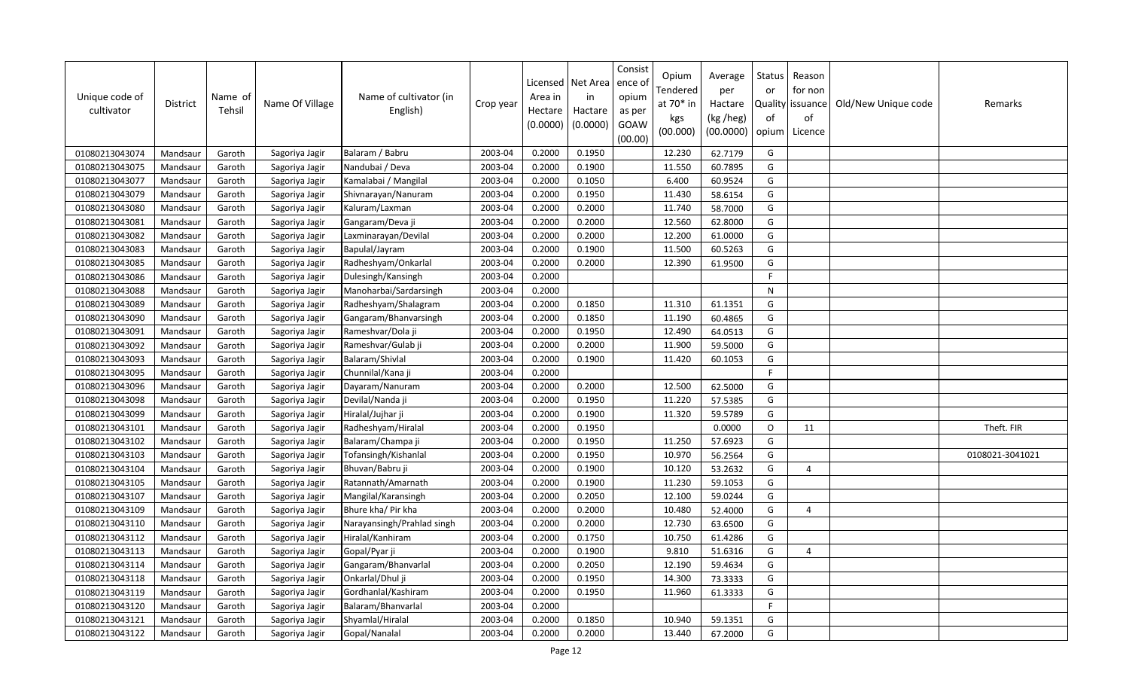| Unique code of<br>cultivator | District | Name of<br>Tehsil | Name Of Village | Name of cultivator (in<br>English) | Crop year | Licensed<br>Area in<br>Hectare<br>(0.0000) | Net Area<br>in<br>Hactare<br>(0.0000) | Consist<br>ence of<br>opium<br>as per<br>GOAW<br>(00.00) | Opium<br>Tendered<br>at 70* in<br>kgs<br>(00.000) | Average<br>per<br>Hactare<br>(kg /heg)<br>(00.0000) | Status<br>or<br>of<br>opium | Reason<br>for non<br>Quality   issuance<br>of<br>Licence | Old/New Unique code | Remarks         |
|------------------------------|----------|-------------------|-----------------|------------------------------------|-----------|--------------------------------------------|---------------------------------------|----------------------------------------------------------|---------------------------------------------------|-----------------------------------------------------|-----------------------------|----------------------------------------------------------|---------------------|-----------------|
| 01080213043074               | Mandsaur | Garoth            | Sagoriya Jagir  | Balaram / Babru                    | 2003-04   | 0.2000                                     | 0.1950                                |                                                          | 12.230                                            | 62.7179                                             | G                           |                                                          |                     |                 |
| 01080213043075               | Mandsaur | Garoth            | Sagoriya Jagir  | Nandubai / Deva                    | 2003-04   | 0.2000                                     | 0.1900                                |                                                          | 11.550                                            | 60.7895                                             | G                           |                                                          |                     |                 |
| 01080213043077               | Mandsaur | Garoth            | Sagoriya Jagir  | Kamalabai / Mangilal               | 2003-04   | 0.2000                                     | 0.1050                                |                                                          | 6.400                                             | 60.9524                                             | G                           |                                                          |                     |                 |
| 01080213043079               | Mandsaur | Garoth            | Sagoriya Jagir  | Shivnarayan/Nanuram                | 2003-04   | 0.2000                                     | 0.1950                                |                                                          | 11.430                                            | 58.6154                                             | G                           |                                                          |                     |                 |
| 01080213043080               | Mandsaur | Garoth            | Sagoriya Jagir  | Kaluram/Laxman                     | 2003-04   | 0.2000                                     | 0.2000                                |                                                          | 11.740                                            | 58.7000                                             | G                           |                                                          |                     |                 |
| 01080213043081               | Mandsaur | Garoth            | Sagoriya Jagir  | Gangaram/Deva ji                   | 2003-04   | 0.2000                                     | 0.2000                                |                                                          | 12.560                                            | 62.8000                                             | G                           |                                                          |                     |                 |
| 01080213043082               | Mandsaur | Garoth            | Sagoriya Jagir  | Laxminarayan/Devilal               | 2003-04   | 0.2000                                     | 0.2000                                |                                                          | 12.200                                            | 61.0000                                             | G                           |                                                          |                     |                 |
| 01080213043083               | Mandsaur | Garoth            | Sagoriya Jagir  | Bapulal/Jayram                     | 2003-04   | 0.2000                                     | 0.1900                                |                                                          | 11.500                                            | 60.5263                                             | G                           |                                                          |                     |                 |
| 01080213043085               | Mandsaur | Garoth            | Sagoriya Jagir  | Radheshyam/Onkarlal                | 2003-04   | 0.2000                                     | 0.2000                                |                                                          | 12.390                                            | 61.9500                                             | G                           |                                                          |                     |                 |
| 01080213043086               | Mandsaur | Garoth            | Sagoriya Jagir  | Dulesingh/Kansingh                 | 2003-04   | 0.2000                                     |                                       |                                                          |                                                   |                                                     | F.                          |                                                          |                     |                 |
| 01080213043088               | Mandsaur | Garoth            | Sagoriya Jagir  | Manoharbai/Sardarsingh             | 2003-04   | 0.2000                                     |                                       |                                                          |                                                   |                                                     | ${\sf N}$                   |                                                          |                     |                 |
| 01080213043089               | Mandsaur | Garoth            | Sagoriya Jagir  | Radheshyam/Shalagram               | 2003-04   | 0.2000                                     | 0.1850                                |                                                          | 11.310                                            | 61.1351                                             | G                           |                                                          |                     |                 |
| 01080213043090               | Mandsaur | Garoth            | Sagoriya Jagir  | Gangaram/Bhanvarsingh              | 2003-04   | 0.2000                                     | 0.1850                                |                                                          | 11.190                                            | 60.4865                                             | G                           |                                                          |                     |                 |
| 01080213043091               | Mandsaur | Garoth            | Sagoriya Jagir  | Rameshvar/Dola ji                  | 2003-04   | 0.2000                                     | 0.1950                                |                                                          | 12.490                                            | 64.0513                                             | G                           |                                                          |                     |                 |
| 01080213043092               | Mandsaur | Garoth            | Sagoriya Jagir  | Rameshvar/Gulab ji                 | 2003-04   | 0.2000                                     | 0.2000                                |                                                          | 11.900                                            | 59.5000                                             | G                           |                                                          |                     |                 |
| 01080213043093               | Mandsaur | Garoth            | Sagoriya Jagir  | Balaram/Shivlal                    | 2003-04   | 0.2000                                     | 0.1900                                |                                                          | 11.420                                            | 60.1053                                             | G                           |                                                          |                     |                 |
| 01080213043095               | Mandsaur | Garoth            | Sagoriya Jagir  | Chunnilal/Kana ji                  | 2003-04   | 0.2000                                     |                                       |                                                          |                                                   |                                                     | F                           |                                                          |                     |                 |
| 01080213043096               | Mandsaur | Garoth            | Sagoriya Jagir  | Dayaram/Nanuram                    | 2003-04   | 0.2000                                     | 0.2000                                |                                                          | 12.500                                            | 62.5000                                             | G                           |                                                          |                     |                 |
| 01080213043098               | Mandsaur | Garoth            | Sagoriya Jagir  | Devilal/Nanda ji                   | 2003-04   | 0.2000                                     | 0.1950                                |                                                          | 11.220                                            | 57.5385                                             | G                           |                                                          |                     |                 |
| 01080213043099               | Mandsaur | Garoth            | Sagoriya Jagir  | Hiralal/Jujhar ji                  | 2003-04   | 0.2000                                     | 0.1900                                |                                                          | 11.320                                            | 59.5789                                             | G                           |                                                          |                     |                 |
| 01080213043101               | Mandsaur | Garoth            | Sagoriya Jagir  | Radheshyam/Hiralal                 | 2003-04   | 0.2000                                     | 0.1950                                |                                                          |                                                   | 0.0000                                              | $\circ$                     | 11                                                       |                     | Theft. FIR      |
| 01080213043102               | Mandsaur | Garoth            | Sagoriya Jagir  | Balaram/Champa ji                  | 2003-04   | 0.2000                                     | 0.1950                                |                                                          | 11.250                                            | 57.6923                                             | G                           |                                                          |                     |                 |
| 01080213043103               | Mandsaur | Garoth            | Sagoriya Jagir  | Tofansingh/Kishanlal               | 2003-04   | 0.2000                                     | 0.1950                                |                                                          | 10.970                                            | 56.2564                                             | G                           |                                                          |                     | 0108021-3041021 |
| 01080213043104               | Mandsaur | Garoth            | Sagoriya Jagir  | Bhuvan/Babru ji                    | 2003-04   | 0.2000                                     | 0.1900                                |                                                          | 10.120                                            | 53.2632                                             | G                           | $\overline{4}$                                           |                     |                 |
| 01080213043105               | Mandsaur | Garoth            | Sagoriya Jagir  | Ratannath/Amarnath                 | 2003-04   | 0.2000                                     | 0.1900                                |                                                          | 11.230                                            | 59.1053                                             | G                           |                                                          |                     |                 |
| 01080213043107               | Mandsaur | Garoth            | Sagoriya Jagir  | Mangilal/Karansingh                | 2003-04   | 0.2000                                     | 0.2050                                |                                                          | 12.100                                            | 59.0244                                             | G                           |                                                          |                     |                 |
| 01080213043109               | Mandsaur | Garoth            | Sagoriya Jagir  | Bhure kha/ Pir kha                 | 2003-04   | 0.2000                                     | 0.2000                                |                                                          | 10.480                                            | 52.4000                                             | G                           | $\overline{4}$                                           |                     |                 |
| 01080213043110               | Mandsaur | Garoth            | Sagoriya Jagir  | Narayansingh/Prahlad singh         | 2003-04   | 0.2000                                     | 0.2000                                |                                                          | 12.730                                            | 63.6500                                             | G                           |                                                          |                     |                 |
| 01080213043112               | Mandsaur | Garoth            | Sagoriya Jagir  | Hiralal/Kanhiram                   | 2003-04   | 0.2000                                     | 0.1750                                |                                                          | 10.750                                            | 61.4286                                             | G                           |                                                          |                     |                 |
| 01080213043113               | Mandsaur | Garoth            | Sagoriya Jagir  | Gopal/Pyar ji                      | 2003-04   | 0.2000                                     | 0.1900                                |                                                          | 9.810                                             | 51.6316                                             | G                           | $\overline{a}$                                           |                     |                 |
| 01080213043114               | Mandsaur | Garoth            | Sagoriya Jagir  | Gangaram/Bhanvarlal                | 2003-04   | 0.2000                                     | 0.2050                                |                                                          | 12.190                                            | 59.4634                                             | G                           |                                                          |                     |                 |
| 01080213043118               | Mandsaur | Garoth            | Sagoriya Jagir  | Onkarlal/Dhul ji                   | 2003-04   | 0.2000                                     | 0.1950                                |                                                          | 14.300                                            | 73.3333                                             | G                           |                                                          |                     |                 |
| 01080213043119               | Mandsaur | Garoth            | Sagoriya Jagir  | Gordhanlal/Kashiram                | 2003-04   | 0.2000                                     | 0.1950                                |                                                          | 11.960                                            | 61.3333                                             | G                           |                                                          |                     |                 |
| 01080213043120               | Mandsaur | Garoth            | Sagoriya Jagir  | Balaram/Bhanvarlal                 | 2003-04   | 0.2000                                     |                                       |                                                          |                                                   |                                                     | E                           |                                                          |                     |                 |
| 01080213043121               | Mandsaur | Garoth            | Sagoriya Jagir  | Shyamlal/Hiralal                   | 2003-04   | 0.2000                                     | 0.1850                                |                                                          | 10.940                                            | 59.1351                                             | G                           |                                                          |                     |                 |
| 01080213043122               | Mandsaur | Garoth            | Sagoriya Jagir  | Gopal/Nanalal                      | 2003-04   | 0.2000                                     | 0.2000                                |                                                          | 13.440                                            | 67.2000                                             | G                           |                                                          |                     |                 |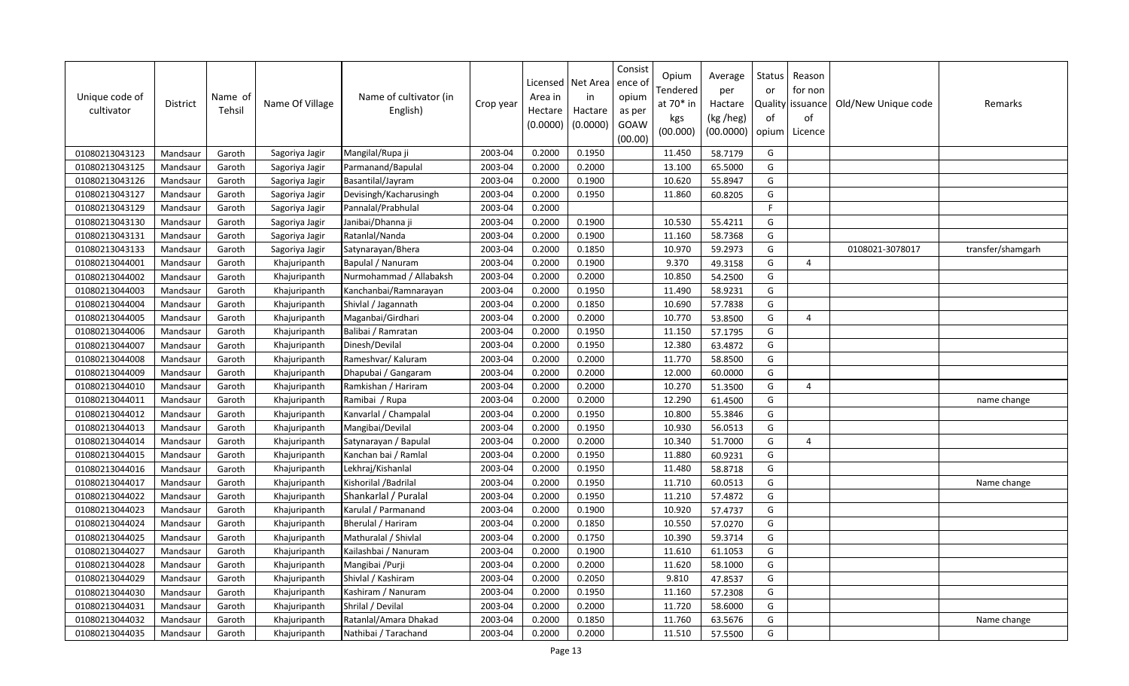| Unique code of<br>cultivator | District | Name of<br>Tehsil | Name Of Village | Name of cultivator (in<br>English) | Crop year | Licensed<br>Area in<br>Hectare<br>(0.0000) | Net Area<br>in<br>Hactare<br>(0.0000) | Consist<br>ence of<br>opium<br>as per<br>GOAW<br>(00.00) | Opium<br>Tendered<br>at 70* in<br>kgs<br>(00.000) | Average<br>per<br>Hactare<br>(kg /heg)<br>(00.0000) | <b>Status</b><br>or<br>of<br>opium | Reason<br>for non<br>Quality   issuance<br>of<br>Licence | Old/New Unique code | Remarks           |
|------------------------------|----------|-------------------|-----------------|------------------------------------|-----------|--------------------------------------------|---------------------------------------|----------------------------------------------------------|---------------------------------------------------|-----------------------------------------------------|------------------------------------|----------------------------------------------------------|---------------------|-------------------|
| 01080213043123               | Mandsaur | Garoth            | Sagoriya Jagir  | Mangilal/Rupa ji                   | 2003-04   | 0.2000                                     | 0.1950                                |                                                          | 11.450                                            | 58.7179                                             | G                                  |                                                          |                     |                   |
| 01080213043125               | Mandsaur | Garoth            | Sagoriya Jagir  | Parmanand/Bapulal                  | 2003-04   | 0.2000                                     | 0.2000                                |                                                          | 13.100                                            | 65.5000                                             | G                                  |                                                          |                     |                   |
| 01080213043126               | Mandsaur | Garoth            | Sagoriya Jagir  | Basantilal/Jayram                  | 2003-04   | 0.2000                                     | 0.1900                                |                                                          | 10.620                                            | 55.8947                                             | G                                  |                                                          |                     |                   |
| 01080213043127               | Mandsaur | Garoth            | Sagoriya Jagir  | Devisingh/Kacharusingh             | 2003-04   | 0.2000                                     | 0.1950                                |                                                          | 11.860                                            | 60.8205                                             | G                                  |                                                          |                     |                   |
| 01080213043129               | Mandsaur | Garoth            | Sagoriya Jagir  | Pannalal/Prabhulal                 | 2003-04   | 0.2000                                     |                                       |                                                          |                                                   |                                                     | F.                                 |                                                          |                     |                   |
| 01080213043130               | Mandsaur | Garoth            | Sagoriya Jagir  | Janibai/Dhanna ji                  | 2003-04   | 0.2000                                     | 0.1900                                |                                                          | 10.530                                            | 55.4211                                             | G                                  |                                                          |                     |                   |
| 01080213043131               | Mandsaur | Garoth            | Sagoriya Jagir  | Ratanlal/Nanda                     | 2003-04   | 0.2000                                     | 0.1900                                |                                                          | 11.160                                            | 58.7368                                             | G                                  |                                                          |                     |                   |
| 01080213043133               | Mandsaur | Garoth            | Sagoriya Jagir  | Satynarayan/Bhera                  | 2003-04   | 0.2000                                     | 0.1850                                |                                                          | 10.970                                            | 59.2973                                             | G                                  |                                                          | 0108021-3078017     | transfer/shamgarh |
| 01080213044001               | Mandsaur | Garoth            | Khajuripanth    | Bapulal / Nanuram                  | 2003-04   | 0.2000                                     | 0.1900                                |                                                          | 9.370                                             | 49.3158                                             | G                                  | $\overline{4}$                                           |                     |                   |
| 01080213044002               | Mandsaur | Garoth            | Khajuripanth    | Nurmohammad / Allabaksh            | 2003-04   | 0.2000                                     | 0.2000                                |                                                          | 10.850                                            | 54.2500                                             | G                                  |                                                          |                     |                   |
| 01080213044003               | Mandsaur | Garoth            | Khajuripanth    | Kanchanbai/Ramnarayan              | 2003-04   | 0.2000                                     | 0.1950                                |                                                          | 11.490                                            | 58.9231                                             | G                                  |                                                          |                     |                   |
| 01080213044004               | Mandsaur | Garoth            | Khajuripanth    | Shivlal / Jagannath                | 2003-04   | 0.2000                                     | 0.1850                                |                                                          | 10.690                                            | 57.7838                                             | G                                  |                                                          |                     |                   |
| 01080213044005               | Mandsaur | Garoth            | Khajuripanth    | Maganbai/Girdhari                  | 2003-04   | 0.2000                                     | 0.2000                                |                                                          | 10.770                                            | 53.8500                                             | G                                  | $\Delta$                                                 |                     |                   |
| 01080213044006               | Mandsaur | Garoth            | Khajuripanth    | Balibai / Ramratan                 | 2003-04   | 0.2000                                     | 0.1950                                |                                                          | 11.150                                            | 57.1795                                             | G                                  |                                                          |                     |                   |
| 01080213044007               | Mandsaur | Garoth            | Khajuripanth    | Dinesh/Devilal                     | 2003-04   | 0.2000                                     | 0.1950                                |                                                          | 12.380                                            | 63.4872                                             | G                                  |                                                          |                     |                   |
| 01080213044008               | Mandsaur | Garoth            | Khajuripanth    | Rameshvar/ Kaluram                 | 2003-04   | 0.2000                                     | 0.2000                                |                                                          | 11.770                                            | 58.8500                                             | G                                  |                                                          |                     |                   |
| 01080213044009               | Mandsaur | Garoth            | Khajuripanth    | Dhapubai / Gangaram                | 2003-04   | 0.2000                                     | 0.2000                                |                                                          | 12.000                                            | 60.0000                                             | G                                  |                                                          |                     |                   |
| 01080213044010               | Mandsaur | Garoth            | Khajuripanth    | Ramkishan / Hariram                | 2003-04   | 0.2000                                     | 0.2000                                |                                                          | 10.270                                            | 51.3500                                             | G                                  | $\boldsymbol{\varDelta}$                                 |                     |                   |
| 01080213044011               | Mandsaur | Garoth            | Khajuripanth    | Ramibai / Rupa                     | 2003-04   | 0.2000                                     | 0.2000                                |                                                          | 12.290                                            | 61.4500                                             | G                                  |                                                          |                     | name change       |
| 01080213044012               | Mandsaur | Garoth            | Khajuripanth    | Kanvarlal / Champalal              | 2003-04   | 0.2000                                     | 0.1950                                |                                                          | 10.800                                            | 55.3846                                             | G                                  |                                                          |                     |                   |
| 01080213044013               | Mandsaur | Garoth            | Khajuripanth    | Mangibai/Devilal                   | 2003-04   | 0.2000                                     | 0.1950                                |                                                          | 10.930                                            | 56.0513                                             | G                                  |                                                          |                     |                   |
| 01080213044014               | Mandsaur | Garoth            | Khajuripanth    | Satynarayan / Bapulal              | 2003-04   | 0.2000                                     | 0.2000                                |                                                          | 10.340                                            | 51.7000                                             | G                                  | $\overline{4}$                                           |                     |                   |
| 01080213044015               | Mandsaur | Garoth            | Khajuripanth    | Kanchan bai / Ramlal               | 2003-04   | 0.2000                                     | 0.1950                                |                                                          | 11.880                                            | 60.9231                                             | G                                  |                                                          |                     |                   |
| 01080213044016               | Mandsaur | Garoth            | Khajuripanth    | Lekhraj/Kishanlal                  | 2003-04   | 0.2000                                     | 0.1950                                |                                                          | 11.480                                            | 58.8718                                             | G                                  |                                                          |                     |                   |
| 01080213044017               | Mandsaur | Garoth            | Khajuripanth    | Kishorilal / Badrilal              | 2003-04   | 0.2000                                     | 0.1950                                |                                                          | 11.710                                            | 60.0513                                             | G                                  |                                                          |                     | Name change       |
| 01080213044022               | Mandsaur | Garoth            | Khajuripanth    | Shankarlal / Puralal               | 2003-04   | 0.2000                                     | 0.1950                                |                                                          | 11.210                                            | 57.4872                                             | G                                  |                                                          |                     |                   |
| 01080213044023               | Mandsaur | Garoth            | Khajuripanth    | Karulal / Parmanand                | 2003-04   | 0.2000                                     | 0.1900                                |                                                          | 10.920                                            | 57.4737                                             | G                                  |                                                          |                     |                   |
| 01080213044024               | Mandsaur | Garoth            | Khajuripanth    | Bherulal / Hariram                 | 2003-04   | 0.2000                                     | 0.1850                                |                                                          | 10.550                                            | 57.0270                                             | G                                  |                                                          |                     |                   |
| 01080213044025               | Mandsaur | Garoth            | Khajuripanth    | Mathuralal / Shivlal               | 2003-04   | 0.2000                                     | 0.1750                                |                                                          | 10.390                                            | 59.3714                                             | G                                  |                                                          |                     |                   |
| 01080213044027               | Mandsaur | Garoth            | Khajuripanth    | Kailashbai / Nanuram               | 2003-04   | 0.2000                                     | 0.1900                                |                                                          | 11.610                                            | 61.1053                                             | G                                  |                                                          |                     |                   |
| 01080213044028               | Mandsaur | Garoth            | Khajuripanth    | Mangibai / Purji                   | 2003-04   | 0.2000                                     | 0.2000                                |                                                          | 11.620                                            | 58.1000                                             | G                                  |                                                          |                     |                   |
| 01080213044029               | Mandsaur | Garoth            | Khajuripanth    | Shivlal / Kashiram                 | 2003-04   | 0.2000                                     | 0.2050                                |                                                          | 9.810                                             | 47.8537                                             | G                                  |                                                          |                     |                   |
| 01080213044030               | Mandsaur | Garoth            | Khajuripanth    | Kashiram / Nanuram                 | 2003-04   | 0.2000                                     | 0.1950                                |                                                          | 11.160                                            | 57.2308                                             | G                                  |                                                          |                     |                   |
| 01080213044031               | Mandsaur | Garoth            | Khajuripanth    | Shrilal / Devilal                  | 2003-04   | 0.2000                                     | 0.2000                                |                                                          | 11.720                                            | 58.6000                                             | G                                  |                                                          |                     |                   |
| 01080213044032               | Mandsaur | Garoth            | Khajuripanth    | Ratanlal/Amara Dhakad              | 2003-04   | 0.2000                                     | 0.1850                                |                                                          | 11.760                                            | 63.5676                                             | G                                  |                                                          |                     | Name change       |
| 01080213044035               | Mandsaur | Garoth            | Khajuripanth    | Nathibai / Tarachand               | 2003-04   | 0.2000                                     | 0.2000                                |                                                          | 11.510                                            | 57.5500                                             | G                                  |                                                          |                     |                   |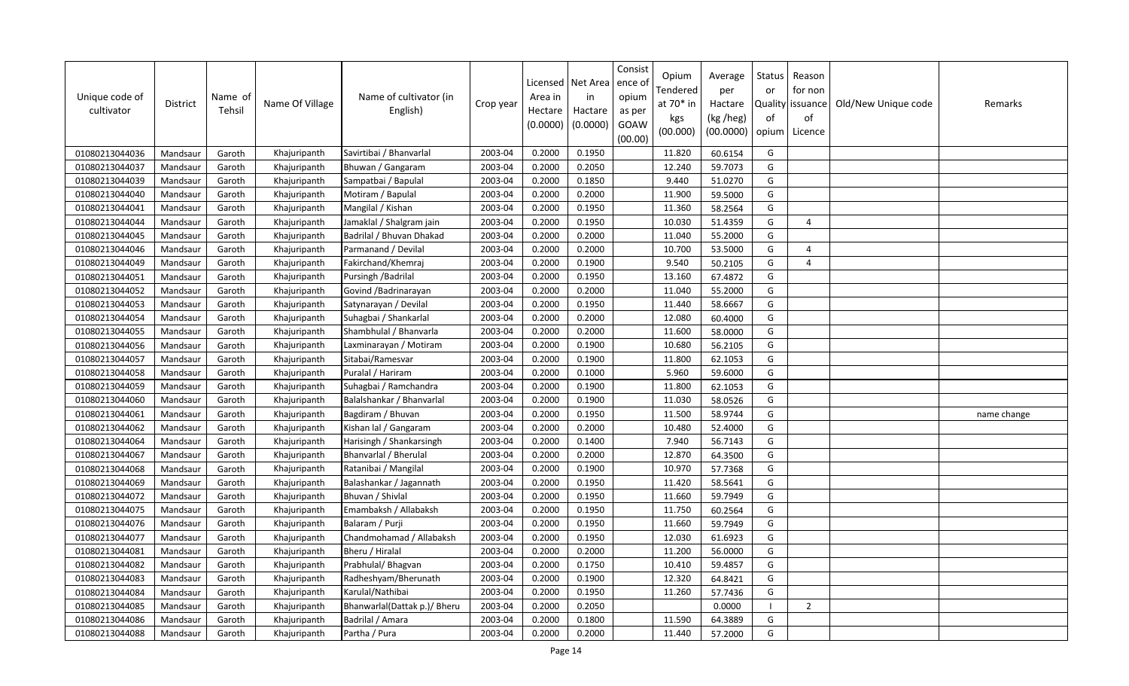| Unique code of<br>cultivator | District | Name of<br>Tehsil | Name Of Village | Name of cultivator (in<br>English) | Crop year | Licensed<br>Area in<br>Hectare<br>(0.0000) | Net Area<br>in<br>Hactare<br>(0.0000) | Consist<br>ence of<br>opium<br>as per<br>GOAW<br>(00.00) | Opium<br>Tendered<br>at 70* in<br>kgs<br>(00.000) | Average<br>per<br>Hactare<br>(kg /heg)<br>(00.0000) | Status<br>or<br>of<br>opium | Reason<br>for non<br>Quality   issuance<br>of<br>Licence | Old/New Unique code | Remarks     |
|------------------------------|----------|-------------------|-----------------|------------------------------------|-----------|--------------------------------------------|---------------------------------------|----------------------------------------------------------|---------------------------------------------------|-----------------------------------------------------|-----------------------------|----------------------------------------------------------|---------------------|-------------|
| 01080213044036               | Mandsaur | Garoth            | Khajuripanth    | Savirtibai / Bhanvarlal            | 2003-04   | 0.2000                                     | 0.1950                                |                                                          | 11.820                                            | 60.6154                                             | G                           |                                                          |                     |             |
| 01080213044037               | Mandsaur | Garoth            | Khajuripanth    | Bhuwan / Gangaram                  | 2003-04   | 0.2000                                     | 0.2050                                |                                                          | 12.240                                            | 59.7073                                             | G                           |                                                          |                     |             |
| 01080213044039               | Mandsaur | Garoth            | Khajuripanth    | Sampatbai / Bapulal                | 2003-04   | 0.2000                                     | 0.1850                                |                                                          | 9.440                                             | 51.0270                                             | G                           |                                                          |                     |             |
| 01080213044040               | Mandsaur | Garoth            | Khajuripanth    | Motiram / Bapulal                  | 2003-04   | 0.2000                                     | 0.2000                                |                                                          | 11.900                                            | 59.5000                                             | G                           |                                                          |                     |             |
| 01080213044041               | Mandsaur | Garoth            | Khajuripanth    | Mangilal / Kishan                  | 2003-04   | 0.2000                                     | 0.1950                                |                                                          | 11.360                                            | 58.2564                                             | G                           |                                                          |                     |             |
| 01080213044044               | Mandsaur | Garoth            | Khajuripanth    | Jamaklal / Shalgram jain           | 2003-04   | 0.2000                                     | 0.1950                                |                                                          | 10.030                                            | 51.4359                                             | G                           | $\overline{4}$                                           |                     |             |
| 01080213044045               | Mandsaur | Garoth            | Khajuripanth    | Badrilal / Bhuvan Dhakad           | 2003-04   | 0.2000                                     | 0.2000                                |                                                          | 11.040                                            | 55.2000                                             | G                           |                                                          |                     |             |
| 01080213044046               | Mandsaur | Garoth            | Khajuripanth    | Parmanand / Devilal                | 2003-04   | 0.2000                                     | 0.2000                                |                                                          | 10.700                                            | 53.5000                                             | G                           | $\overline{4}$                                           |                     |             |
| 01080213044049               | Mandsaur | Garoth            | Khajuripanth    | Fakirchand/Khemraj                 | 2003-04   | 0.2000                                     | 0.1900                                |                                                          | 9.540                                             | 50.2105                                             | G                           | $\overline{4}$                                           |                     |             |
| 01080213044051               | Mandsaur | Garoth            | Khajuripanth    | Pursingh / Badrilal                | 2003-04   | 0.2000                                     | 0.1950                                |                                                          | 13.160                                            | 67.4872                                             | G                           |                                                          |                     |             |
| 01080213044052               | Mandsaur | Garoth            | Khajuripanth    | Govind / Badrinarayan              | 2003-04   | 0.2000                                     | 0.2000                                |                                                          | 11.040                                            | 55.2000                                             | G                           |                                                          |                     |             |
| 01080213044053               | Mandsaur | Garoth            | Khajuripanth    | Satynarayan / Devilal              | 2003-04   | 0.2000                                     | 0.1950                                |                                                          | 11.440                                            | 58.6667                                             | G                           |                                                          |                     |             |
| 01080213044054               | Mandsaur | Garoth            | Khajuripanth    | Suhagbai / Shankarlal              | 2003-04   | 0.2000                                     | 0.2000                                |                                                          | 12.080                                            | 60.4000                                             | G                           |                                                          |                     |             |
| 01080213044055               | Mandsaur | Garoth            | Khajuripanth    | Shambhulal / Bhanvarla             | 2003-04   | 0.2000                                     | 0.2000                                |                                                          | 11.600                                            | 58.0000                                             | G                           |                                                          |                     |             |
| 01080213044056               | Mandsaur | Garoth            | Khajuripanth    | Laxminarayan / Motiram             | 2003-04   | 0.2000                                     | 0.1900                                |                                                          | 10.680                                            | 56.2105                                             | G                           |                                                          |                     |             |
| 01080213044057               | Mandsaur | Garoth            | Khajuripanth    | Sitabai/Ramesvar                   | 2003-04   | 0.2000                                     | 0.1900                                |                                                          | 11.800                                            | 62.1053                                             | G                           |                                                          |                     |             |
| 01080213044058               | Mandsaur | Garoth            | Khajuripanth    | Puralal / Hariram                  | 2003-04   | 0.2000                                     | 0.1000                                |                                                          | 5.960                                             | 59.6000                                             | G                           |                                                          |                     |             |
| 01080213044059               | Mandsaur | Garoth            | Khajuripanth    | Suhagbai / Ramchandra              | 2003-04   | 0.2000                                     | 0.1900                                |                                                          | 11.800                                            | 62.1053                                             | G                           |                                                          |                     |             |
| 01080213044060               | Mandsaur | Garoth            | Khajuripanth    | Balalshankar / Bhanvarlal          | 2003-04   | 0.2000                                     | 0.1900                                |                                                          | 11.030                                            | 58.0526                                             | G                           |                                                          |                     |             |
| 01080213044061               | Mandsaur | Garoth            | Khajuripanth    | Bagdiram / Bhuvan                  | 2003-04   | 0.2000                                     | 0.1950                                |                                                          | 11.500                                            | 58.9744                                             | G                           |                                                          |                     | name change |
| 01080213044062               | Mandsaur | Garoth            | Khajuripanth    | Kishan lal / Gangaram              | 2003-04   | 0.2000                                     | 0.2000                                |                                                          | 10.480                                            | 52.4000                                             | G                           |                                                          |                     |             |
| 01080213044064               | Mandsaur | Garoth            | Khajuripanth    | Harisingh / Shankarsingh           | 2003-04   | 0.2000                                     | 0.1400                                |                                                          | 7.940                                             | 56.7143                                             | G                           |                                                          |                     |             |
| 01080213044067               | Mandsaur | Garoth            | Khajuripanth    | Bhanvarlal / Bherulal              | 2003-04   | 0.2000                                     | 0.2000                                |                                                          | 12.870                                            | 64.3500                                             | G                           |                                                          |                     |             |
| 01080213044068               | Mandsaur | Garoth            | Khajuripanth    | Ratanibai / Mangilal               | 2003-04   | 0.2000                                     | 0.1900                                |                                                          | 10.970                                            | 57.7368                                             | G                           |                                                          |                     |             |
| 01080213044069               | Mandsaur | Garoth            | Khajuripanth    | Balashankar / Jagannath            | 2003-04   | 0.2000                                     | 0.1950                                |                                                          | 11.420                                            | 58.5641                                             | G                           |                                                          |                     |             |
| 01080213044072               | Mandsaur | Garoth            | Khajuripanth    | Bhuvan / Shivlal                   | 2003-04   | 0.2000                                     | 0.1950                                |                                                          | 11.660                                            | 59.7949                                             | G                           |                                                          |                     |             |
| 01080213044075               | Mandsaur | Garoth            | Khajuripanth    | Emambaksh / Allabaksh              | 2003-04   | 0.2000                                     | 0.1950                                |                                                          | 11.750                                            | 60.2564                                             | G                           |                                                          |                     |             |
| 01080213044076               | Mandsaur | Garoth            | Khajuripanth    | Balaram / Purji                    | 2003-04   | 0.2000                                     | 0.1950                                |                                                          | 11.660                                            | 59.7949                                             | G                           |                                                          |                     |             |
| 01080213044077               | Mandsaur | Garoth            | Khajuripanth    | Chandmohamad / Allabaksh           | 2003-04   | 0.2000                                     | 0.1950                                |                                                          | 12.030                                            | 61.6923                                             | G                           |                                                          |                     |             |
| 01080213044081               | Mandsaur | Garoth            | Khajuripanth    | Bheru / Hiralal                    | 2003-04   | 0.2000                                     | 0.2000                                |                                                          | 11.200                                            | 56.0000                                             | G                           |                                                          |                     |             |
| 01080213044082               | Mandsaur | Garoth            | Khajuripanth    | Prabhulal/Bhagvan                  | 2003-04   | 0.2000                                     | 0.1750                                |                                                          | 10.410                                            | 59.4857                                             | G                           |                                                          |                     |             |
| 01080213044083               | Mandsaur | Garoth            | Khajuripanth    | Radheshyam/Bherunath               | 2003-04   | 0.2000                                     | 0.1900                                |                                                          | 12.320                                            | 64.8421                                             | G                           |                                                          |                     |             |
| 01080213044084               | Mandsaur | Garoth            | Khajuripanth    | Karulal/Nathibai                   | 2003-04   | 0.2000                                     | 0.1950                                |                                                          | 11.260                                            | 57.7436                                             | G                           |                                                          |                     |             |
| 01080213044085               | Mandsaur | Garoth            | Khajuripanth    | Bhanwarlal(Dattak p.)/ Bheru       | 2003-04   | 0.2000                                     | 0.2050                                |                                                          |                                                   | 0.0000                                              |                             | $\overline{2}$                                           |                     |             |
| 01080213044086               | Mandsaur | Garoth            | Khajuripanth    | Badrilal / Amara                   | 2003-04   | 0.2000                                     | 0.1800                                |                                                          | 11.590                                            | 64.3889                                             | G                           |                                                          |                     |             |
| 01080213044088               | Mandsaur | Garoth            | Khajuripanth    | Partha / Pura                      | 2003-04   | 0.2000                                     | 0.2000                                |                                                          | 11.440                                            | 57.2000                                             | G                           |                                                          |                     |             |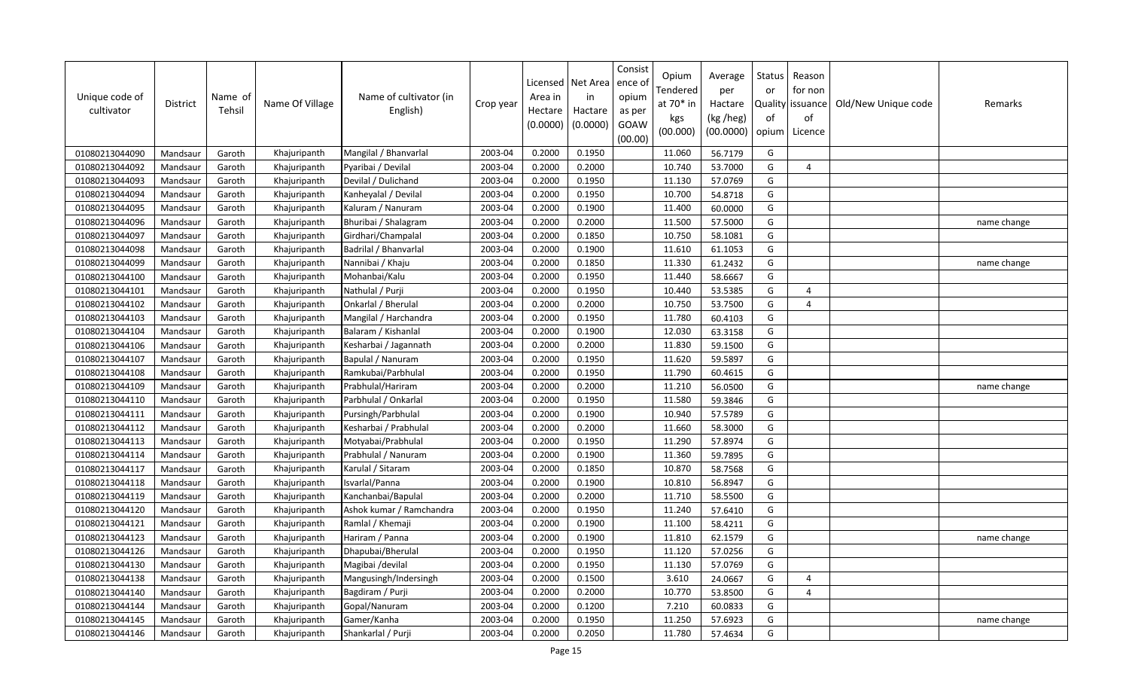| Unique code of<br>cultivator | District | Name of<br>Tehsil | Name Of Village | Name of cultivator (in<br>English) | Crop year | Licensed<br>Area in<br>Hectare<br>(0.0000) | Net Area<br>in<br>Hactare<br>(0.0000) | Consist<br>ence of<br>opium<br>as per<br>GOAW<br>(00.00) | Opium<br>Tendered<br>at 70* in<br>kgs<br>(00.000) | Average<br>per<br>Hactare<br>(kg /heg)<br>(00.0000) | <b>Status</b><br>or<br>of<br>opium | Reason<br>for non<br>Quality   issuance<br>of<br>Licence | Old/New Unique code | Remarks     |
|------------------------------|----------|-------------------|-----------------|------------------------------------|-----------|--------------------------------------------|---------------------------------------|----------------------------------------------------------|---------------------------------------------------|-----------------------------------------------------|------------------------------------|----------------------------------------------------------|---------------------|-------------|
| 01080213044090               | Mandsaur | Garoth            | Khajuripanth    | Mangilal / Bhanvarlal              | 2003-04   | 0.2000                                     | 0.1950                                |                                                          | 11.060                                            | 56.7179                                             | G                                  |                                                          |                     |             |
| 01080213044092               | Mandsaur | Garoth            | Khajuripanth    | Pyaribai / Devilal                 | 2003-04   | 0.2000                                     | 0.2000                                |                                                          | 10.740                                            | 53.7000                                             | G                                  | $\boldsymbol{\varDelta}$                                 |                     |             |
| 01080213044093               | Mandsaur | Garoth            | Khajuripanth    | Devilal / Dulichand                | 2003-04   | 0.2000                                     | 0.1950                                |                                                          | 11.130                                            | 57.0769                                             | G                                  |                                                          |                     |             |
| 01080213044094               | Mandsaur | Garoth            | Khajuripanth    | Kanheyalal / Devilal               | 2003-04   | 0.2000                                     | 0.1950                                |                                                          | 10.700                                            | 54.8718                                             | G                                  |                                                          |                     |             |
| 01080213044095               | Mandsaur | Garoth            | Khajuripanth    | Kaluram / Nanuram                  | 2003-04   | 0.2000                                     | 0.1900                                |                                                          | 11.400                                            | 60.0000                                             | G                                  |                                                          |                     |             |
| 01080213044096               | Mandsaur | Garoth            | Khajuripanth    | Bhuribai / Shalagram               | 2003-04   | 0.2000                                     | 0.2000                                |                                                          | 11.500                                            | 57.5000                                             | G                                  |                                                          |                     | name change |
| 01080213044097               | Mandsaur | Garoth            | Khajuripanth    | Girdhari/Champalal                 | 2003-04   | 0.2000                                     | 0.1850                                |                                                          | 10.750                                            | 58.1081                                             | G                                  |                                                          |                     |             |
| 01080213044098               | Mandsaur | Garoth            | Khajuripanth    | Badrilal / Bhanvarlal              | 2003-04   | 0.2000                                     | 0.1900                                |                                                          | 11.610                                            | 61.1053                                             | G                                  |                                                          |                     |             |
| 01080213044099               | Mandsaur | Garoth            | Khajuripanth    | Nannibai / Khaju                   | 2003-04   | 0.2000                                     | 0.1850                                |                                                          | 11.330                                            | 61.2432                                             | G                                  |                                                          |                     | name change |
| 01080213044100               | Mandsaur | Garoth            | Khajuripanth    | Mohanbai/Kalu                      | 2003-04   | 0.2000                                     | 0.1950                                |                                                          | 11.440                                            | 58.6667                                             | G                                  |                                                          |                     |             |
| 01080213044101               | Mandsaur | Garoth            | Khajuripanth    | Nathulal / Purji                   | 2003-04   | 0.2000                                     | 0.1950                                |                                                          | 10.440                                            | 53.5385                                             | G                                  | $\overline{4}$                                           |                     |             |
| 01080213044102               | Mandsaur | Garoth            | Khajuripanth    | Onkarlal / Bherulal                | 2003-04   | 0.2000                                     | 0.2000                                |                                                          | 10.750                                            | 53.7500                                             | G                                  | $\overline{4}$                                           |                     |             |
| 01080213044103               | Mandsaur | Garoth            | Khajuripanth    | Mangilal / Harchandra              | 2003-04   | 0.2000                                     | 0.1950                                |                                                          | 11.780                                            | 60.4103                                             | G                                  |                                                          |                     |             |
| 01080213044104               | Mandsaur | Garoth            | Khajuripanth    | Balaram / Kishanlal                | 2003-04   | 0.2000                                     | 0.1900                                |                                                          | 12.030                                            | 63.3158                                             | G                                  |                                                          |                     |             |
| 01080213044106               | Mandsaur | Garoth            | Khajuripanth    | Kesharbai / Jagannath              | 2003-04   | 0.2000                                     | 0.2000                                |                                                          | 11.830                                            | 59.1500                                             | G                                  |                                                          |                     |             |
| 01080213044107               | Mandsaur | Garoth            | Khajuripanth    | Bapulal / Nanuram                  | 2003-04   | 0.2000                                     | 0.1950                                |                                                          | 11.620                                            | 59.5897                                             | G                                  |                                                          |                     |             |
| 01080213044108               | Mandsaur | Garoth            | Khajuripanth    | Ramkubai/Parbhulal                 | 2003-04   | 0.2000                                     | 0.1950                                |                                                          | 11.790                                            | 60.4615                                             | G                                  |                                                          |                     |             |
| 01080213044109               | Mandsaur | Garoth            | Khajuripanth    | Prabhulal/Hariram                  | 2003-04   | 0.2000                                     | 0.2000                                |                                                          | 11.210                                            | 56.0500                                             | G                                  |                                                          |                     | name change |
| 01080213044110               | Mandsaur | Garoth            | Khajuripanth    | Parbhulal / Onkarlal               | 2003-04   | 0.2000                                     | 0.1950                                |                                                          | 11.580                                            | 59.3846                                             | G                                  |                                                          |                     |             |
| 01080213044111               | Mandsaur | Garoth            | Khajuripanth    | Pursingh/Parbhulal                 | 2003-04   | 0.2000                                     | 0.1900                                |                                                          | 10.940                                            | 57.5789                                             | G                                  |                                                          |                     |             |
| 01080213044112               | Mandsaur | Garoth            | Khajuripanth    | Kesharbai / Prabhulal              | 2003-04   | 0.2000                                     | 0.2000                                |                                                          | 11.660                                            | 58.3000                                             | G                                  |                                                          |                     |             |
| 01080213044113               | Mandsaur | Garoth            | Khajuripanth    | Motyabai/Prabhulal                 | 2003-04   | 0.2000                                     | 0.1950                                |                                                          | 11.290                                            | 57.8974                                             | G                                  |                                                          |                     |             |
| 01080213044114               | Mandsaur | Garoth            | Khajuripanth    | Prabhulal / Nanuram                | 2003-04   | 0.2000                                     | 0.1900                                |                                                          | 11.360                                            | 59.7895                                             | G                                  |                                                          |                     |             |
| 01080213044117               | Mandsaur | Garoth            | Khajuripanth    | Karulal / Sitaram                  | 2003-04   | 0.2000                                     | 0.1850                                |                                                          | 10.870                                            | 58.7568                                             | G                                  |                                                          |                     |             |
| 01080213044118               | Mandsaur | Garoth            | Khajuripanth    | Isvarlal/Panna                     | 2003-04   | 0.2000                                     | 0.1900                                |                                                          | 10.810                                            | 56.8947                                             | G                                  |                                                          |                     |             |
| 01080213044119               | Mandsaur | Garoth            | Khajuripanth    | Kanchanbai/Bapulal                 | 2003-04   | 0.2000                                     | 0.2000                                |                                                          | 11.710                                            | 58.5500                                             | G                                  |                                                          |                     |             |
| 01080213044120               | Mandsaur | Garoth            | Khajuripanth    | Ashok kumar / Ramchandra           | 2003-04   | 0.2000                                     | 0.1950                                |                                                          | 11.240                                            | 57.6410                                             | G                                  |                                                          |                     |             |
| 01080213044121               | Mandsaur | Garoth            | Khajuripanth    | Ramlal / Khemaji                   | 2003-04   | 0.2000                                     | 0.1900                                |                                                          | 11.100                                            | 58.4211                                             | G                                  |                                                          |                     |             |
| 01080213044123               | Mandsaur | Garoth            | Khajuripanth    | Hariram / Panna                    | 2003-04   | 0.2000                                     | 0.1900                                |                                                          | 11.810                                            | 62.1579                                             | G                                  |                                                          |                     | name change |
| 01080213044126               | Mandsaur | Garoth            | Khajuripanth    | Dhapubai/Bherulal                  | 2003-04   | 0.2000                                     | 0.1950                                |                                                          | 11.120                                            | 57.0256                                             | G                                  |                                                          |                     |             |
| 01080213044130               | Mandsaur | Garoth            | Khajuripanth    | Magibai /devilal                   | 2003-04   | 0.2000                                     | 0.1950                                |                                                          | 11.130                                            | 57.0769                                             | G                                  |                                                          |                     |             |
| 01080213044138               | Mandsaur | Garoth            | Khajuripanth    | Mangusingh/Indersingh              | 2003-04   | 0.2000                                     | 0.1500                                |                                                          | 3.610                                             | 24.0667                                             | G                                  | $\overline{a}$                                           |                     |             |
| 01080213044140               | Mandsaur | Garoth            | Khajuripanth    | Bagdiram / Purji                   | 2003-04   | 0.2000                                     | 0.2000                                |                                                          | 10.770                                            | 53.8500                                             | G                                  | $\Delta$                                                 |                     |             |
| 01080213044144               | Mandsaur | Garoth            | Khajuripanth    | Gopal/Nanuram                      | 2003-04   | 0.2000                                     | 0.1200                                |                                                          | 7.210                                             | 60.0833                                             | G                                  |                                                          |                     |             |
| 01080213044145               | Mandsaur | Garoth            | Khajuripanth    | Gamer/Kanha                        | 2003-04   | 0.2000                                     | 0.1950                                |                                                          | 11.250                                            | 57.6923                                             | G                                  |                                                          |                     | name change |
| 01080213044146               | Mandsaur | Garoth            | Khajuripanth    | Shankarlal / Purji                 | 2003-04   | 0.2000                                     | 0.2050                                |                                                          | 11.780                                            | 57.4634                                             | G                                  |                                                          |                     |             |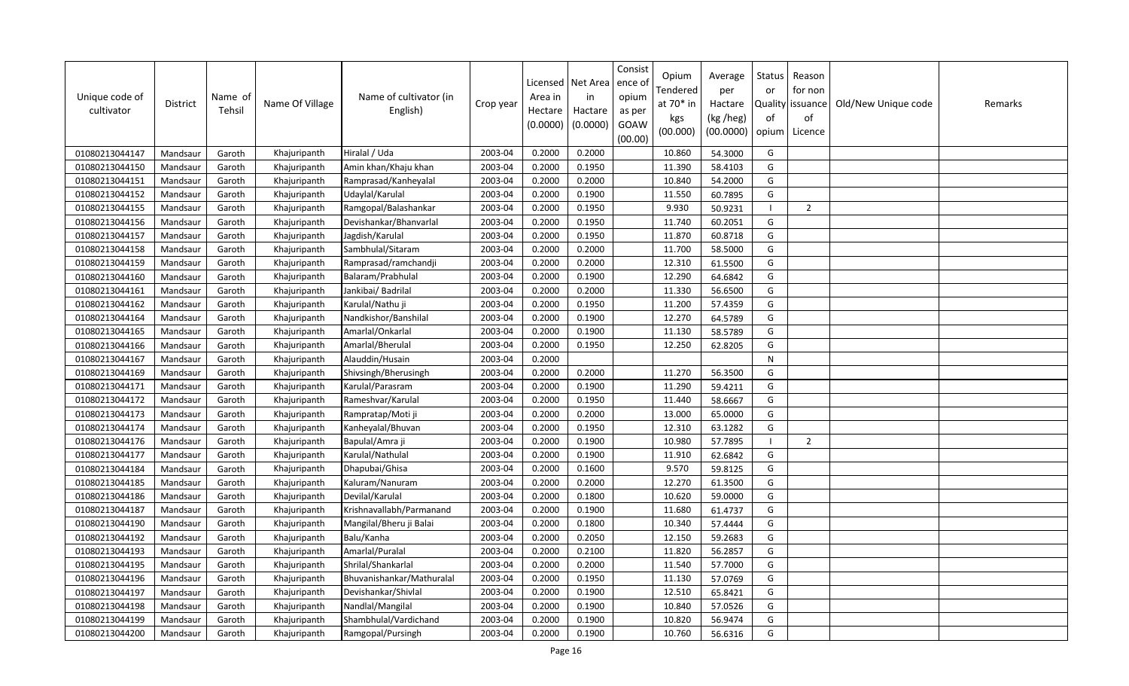| Unique code of<br>cultivator | <b>District</b> | Name of<br>Tehsil | Name Of Village | Name of cultivator (in<br>English) | Crop year | Area in<br>Hectare<br>(0.0000) | Licensed   Net Area<br>in<br>Hactare<br>(0.0000) | Consist<br>ence of<br>opium<br>as per<br>GOAW<br>(00.00) | Opium<br>Tendered<br>at 70* in<br>kgs<br>(00.000) | Average<br>per<br>Hactare<br>(kg /heg)<br>(00.0000) | Status<br>or<br>of<br>opium | Reason<br>for non<br>Quality issuance<br>of<br>Licence | Old/New Unique code | Remarks |
|------------------------------|-----------------|-------------------|-----------------|------------------------------------|-----------|--------------------------------|--------------------------------------------------|----------------------------------------------------------|---------------------------------------------------|-----------------------------------------------------|-----------------------------|--------------------------------------------------------|---------------------|---------|
| 01080213044147               | Mandsaur        | Garoth            | Khajuripanth    | Hiralal / Uda                      | 2003-04   | 0.2000                         | 0.2000                                           |                                                          | 10.860                                            | 54.3000                                             | G                           |                                                        |                     |         |
| 01080213044150               | Mandsaur        | Garoth            | Khajuripanth    | Amin khan/Khaju khan               | 2003-04   | 0.2000                         | 0.1950                                           |                                                          | 11.390                                            | 58.4103                                             | G                           |                                                        |                     |         |
| 01080213044151               | Mandsaur        | Garoth            | Khajuripanth    | Ramprasad/Kanheyalal               | 2003-04   | 0.2000                         | 0.2000                                           |                                                          | 10.840                                            | 54.2000                                             | G                           |                                                        |                     |         |
| 01080213044152               | Mandsaur        | Garoth            | Khajuripanth    | Udaylal/Karulal                    | 2003-04   | 0.2000                         | 0.1900                                           |                                                          | 11.550                                            | 60.7895                                             | G                           |                                                        |                     |         |
| 01080213044155               | Mandsaur        | Garoth            | Khajuripanth    | Ramgopal/Balashankar               | 2003-04   | 0.2000                         | 0.1950                                           |                                                          | 9.930                                             | 50.9231                                             |                             | $\overline{2}$                                         |                     |         |
| 01080213044156               | Mandsau         | Garoth            | Khajuripanth    | Devishankar/Bhanvarlal             | 2003-04   | 0.2000                         | 0.1950                                           |                                                          | 11.740                                            | 60.2051                                             | G                           |                                                        |                     |         |
| 01080213044157               | Mandsaur        | Garoth            | Khajuripanth    | Jagdish/Karulal                    | 2003-04   | 0.2000                         | 0.1950                                           |                                                          | 11.870                                            | 60.8718                                             | G                           |                                                        |                     |         |
| 01080213044158               | Mandsaur        | Garoth            | Khajuripanth    | Sambhulal/Sitaram                  | 2003-04   | 0.2000                         | 0.2000                                           |                                                          | 11.700                                            | 58.5000                                             | G                           |                                                        |                     |         |
| 01080213044159               | Mandsaur        | Garoth            | Khajuripanth    | Ramprasad/ramchandji               | 2003-04   | 0.2000                         | 0.2000                                           |                                                          | 12.310                                            | 61.5500                                             | G                           |                                                        |                     |         |
| 01080213044160               | Mandsaur        | Garoth            | Khajuripanth    | Balaram/Prabhulal                  | 2003-04   | 0.2000                         | 0.1900                                           |                                                          | 12.290                                            | 64.6842                                             | G                           |                                                        |                     |         |
| 01080213044161               | Mandsaur        | Garoth            | Khajuripanth    | Jankibai/ Badrilal                 | 2003-04   | 0.2000                         | 0.2000                                           |                                                          | 11.330                                            | 56.6500                                             | G                           |                                                        |                     |         |
| 01080213044162               | Mandsaur        | Garoth            | Khajuripanth    | Karulal/Nathu ji                   | 2003-04   | 0.2000                         | 0.1950                                           |                                                          | 11.200                                            | 57.4359                                             | G                           |                                                        |                     |         |
| 01080213044164               | Mandsaur        | Garoth            | Khajuripanth    | Nandkishor/Banshilal               | 2003-04   | 0.2000                         | 0.1900                                           |                                                          | 12.270                                            | 64.5789                                             | G                           |                                                        |                     |         |
| 01080213044165               | Mandsaur        | Garoth            | Khajuripanth    | Amarlal/Onkarlal                   | 2003-04   | 0.2000                         | 0.1900                                           |                                                          | 11.130                                            | 58.5789                                             | G                           |                                                        |                     |         |
| 01080213044166               | Mandsaur        | Garoth            | Khajuripanth    | Amarlal/Bherulal                   | 2003-04   | 0.2000                         | 0.1950                                           |                                                          | 12.250                                            | 62.8205                                             | G                           |                                                        |                     |         |
| 01080213044167               | Mandsaur        | Garoth            | Khajuripanth    | Alauddin/Husain                    | 2003-04   | 0.2000                         |                                                  |                                                          |                                                   |                                                     | N                           |                                                        |                     |         |
| 01080213044169               | Mandsaur        | Garoth            | Khajuripanth    | Shivsingh/Bherusingh               | 2003-04   | 0.2000                         | 0.2000                                           |                                                          | 11.270                                            | 56.3500                                             | G                           |                                                        |                     |         |
| 01080213044171               | Mandsaur        | Garoth            | Khajuripanth    | Karulal/Parasram                   | 2003-04   | 0.2000                         | 0.1900                                           |                                                          | 11.290                                            | 59.4211                                             | G                           |                                                        |                     |         |
| 01080213044172               | Mandsaur        | Garoth            | Khajuripanth    | Rameshvar/Karulal                  | 2003-04   | 0.2000                         | 0.1950                                           |                                                          | 11.440                                            | 58.6667                                             | G                           |                                                        |                     |         |
| 01080213044173               | Mandsaur        | Garoth            | Khajuripanth    | Rampratap/Moti ji                  | 2003-04   | 0.2000                         | 0.2000                                           |                                                          | 13.000                                            | 65.0000                                             | G                           |                                                        |                     |         |
| 01080213044174               | Mandsaur        | Garoth            | Khajuripanth    | Kanheyalal/Bhuvan                  | 2003-04   | 0.2000                         | 0.1950                                           |                                                          | 12.310                                            | 63.1282                                             | G                           |                                                        |                     |         |
| 01080213044176               | Mandsaur        | Garoth            | Khajuripanth    | Bapulal/Amra ji                    | 2003-04   | 0.2000                         | 0.1900                                           |                                                          | 10.980                                            | 57.7895                                             |                             | $\overline{2}$                                         |                     |         |
| 01080213044177               | Mandsaur        | Garoth            | Khajuripanth    | Karulal/Nathulal                   | 2003-04   | 0.2000                         | 0.1900                                           |                                                          | 11.910                                            | 62.6842                                             | G                           |                                                        |                     |         |
| 01080213044184               | Mandsaur        | Garoth            | Khajuripanth    | Dhapubai/Ghisa                     | 2003-04   | 0.2000                         | 0.1600                                           |                                                          | 9.570                                             | 59.8125                                             | G                           |                                                        |                     |         |
| 01080213044185               | Mandsaur        | Garoth            | Khajuripanth    | Kaluram/Nanuram                    | 2003-04   | 0.2000                         | 0.2000                                           |                                                          | 12.270                                            | 61.3500                                             | G                           |                                                        |                     |         |
| 01080213044186               | Mandsaur        | Garoth            | Khajuripanth    | Devilal/Karulal                    | 2003-04   | 0.2000                         | 0.1800                                           |                                                          | 10.620                                            | 59.0000                                             | G                           |                                                        |                     |         |
| 01080213044187               | Mandsaur        | Garoth            | Khajuripanth    | Krishnavallabh/Parmanand           | 2003-04   | 0.2000                         | 0.1900                                           |                                                          | 11.680                                            | 61.4737                                             | G                           |                                                        |                     |         |
| 01080213044190               | Mandsaur        | Garoth            | Khajuripanth    | Mangilal/Bheru ji Balai            | 2003-04   | 0.2000                         | 0.1800                                           |                                                          | 10.340                                            | 57.4444                                             | G                           |                                                        |                     |         |
| 01080213044192               | Mandsaur        | Garoth            | Khajuripanth    | Balu/Kanha                         | 2003-04   | 0.2000                         | 0.2050                                           |                                                          | 12.150                                            | 59.2683                                             | G                           |                                                        |                     |         |
| 01080213044193               | Mandsaur        | Garoth            | Khajuripanth    | Amarlal/Puralal                    | 2003-04   | 0.2000                         | 0.2100                                           |                                                          | 11.820                                            | 56.2857                                             | G                           |                                                        |                     |         |
| 01080213044195               | Mandsaur        | Garoth            | Khajuripanth    | Shrilal/Shankarlal                 | 2003-04   | 0.2000                         | 0.2000                                           |                                                          | 11.540                                            | 57.7000                                             | G                           |                                                        |                     |         |
| 01080213044196               | Mandsaur        | Garoth            | Khajuripanth    | Bhuvanishankar/Mathuralal          | 2003-04   | 0.2000                         | 0.1950                                           |                                                          | 11.130                                            | 57.0769                                             | G                           |                                                        |                     |         |
| 01080213044197               | Mandsaur        | Garoth            | Khajuripanth    | Devishankar/Shivlal                | 2003-04   | 0.2000                         | 0.1900                                           |                                                          | 12.510                                            | 65.8421                                             | G                           |                                                        |                     |         |
| 01080213044198               | Mandsaur        | Garoth            | Khajuripanth    | Nandlal/Mangilal                   | 2003-04   | 0.2000                         | 0.1900                                           |                                                          | 10.840                                            | 57.0526                                             | G                           |                                                        |                     |         |
| 01080213044199               | Mandsaur        | Garoth            | Khajuripanth    | Shambhulal/Vardichand              | 2003-04   | 0.2000                         | 0.1900                                           |                                                          | 10.820                                            | 56.9474                                             | G                           |                                                        |                     |         |
| 01080213044200               | Mandsaur        | Garoth            | Khajuripanth    | Ramgopal/Pursingh                  | 2003-04   | 0.2000                         | 0.1900                                           |                                                          | 10.760                                            | 56.6316                                             | G                           |                                                        |                     |         |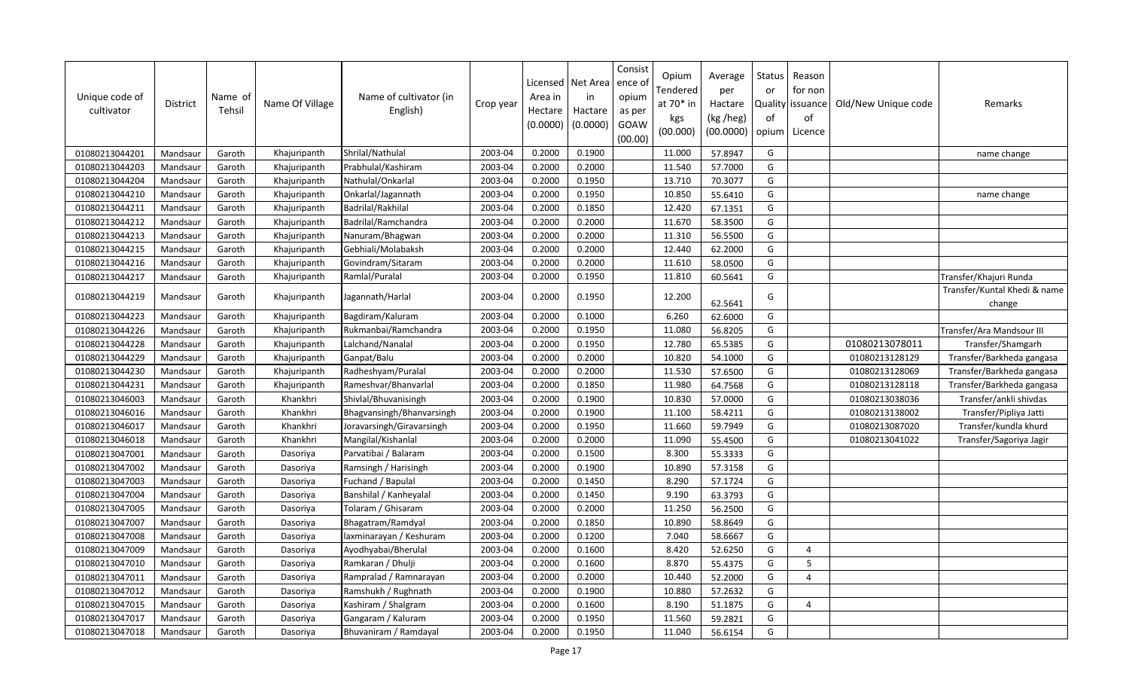| Unique code of<br>cultivator | <b>District</b> | Name of<br>Tehsil | Name Of Village | Name of cultivator (in<br>English) | Crop year | Licensed<br>Area in<br>Hectare<br>(0.0000) | Net Area<br>in<br>Hactare<br>(0.0000) | Consist<br>ence of<br>opium<br>as per<br>GOAW<br>(00.00) | Opium<br>Tendered<br>at 70* in<br>kgs<br>(00.000) | Average<br>per<br>Hactare<br>(kg /heg)<br>(00.0000) | Status<br>or<br><b>Quality</b><br>of<br>opium | Reason<br>for non<br>issuance<br>of<br>Licence | Old/New Unique code | Remarks                                |
|------------------------------|-----------------|-------------------|-----------------|------------------------------------|-----------|--------------------------------------------|---------------------------------------|----------------------------------------------------------|---------------------------------------------------|-----------------------------------------------------|-----------------------------------------------|------------------------------------------------|---------------------|----------------------------------------|
| 01080213044201               | Mandsaur        | Garoth            | Khajuripanth    | Shrilal/Nathulal                   | 2003-04   | 0.2000                                     | 0.1900                                |                                                          | 11.000                                            | 57.8947                                             | G                                             |                                                |                     | name change                            |
| 01080213044203               | Mandsaur        | Garoth            | Khajuripanth    | Prabhulal/Kashiram                 | 2003-04   | 0.2000                                     | 0.2000                                |                                                          | 11.540                                            | 57.7000                                             | G                                             |                                                |                     |                                        |
| 01080213044204               | Mandsaur        | Garoth            | Khajuripanth    | Nathulal/Onkarlal                  | 2003-04   | 0.2000                                     | 0.1950                                |                                                          | 13.710                                            | 70.3077                                             | G                                             |                                                |                     |                                        |
| 01080213044210               | Mandsaur        | Garoth            | Khajuripanth    | Onkarlal/Jagannath                 | 2003-04   | 0.2000                                     | 0.1950                                |                                                          | 10.850                                            | 55.6410                                             | G                                             |                                                |                     | name change                            |
| 01080213044211               | Mandsaur        | Garoth            | Khajuripanth    | Badrilal/Rakhilal                  | 2003-04   | 0.2000                                     | 0.1850                                |                                                          | 12.420                                            | 67.1351                                             | G                                             |                                                |                     |                                        |
| 01080213044212               | Mandsaur        | Garoth            | Khajuripanth    | Badrilal/Ramchandra                | 2003-04   | 0.2000                                     | 0.2000                                |                                                          | 11.670                                            | 58.3500                                             | G                                             |                                                |                     |                                        |
| 01080213044213               | Mandsaur        | Garoth            | Khajuripanth    | Nanuram/Bhagwan                    | 2003-04   | 0.2000                                     | 0.2000                                |                                                          | 11.310                                            | 56.5500                                             | G                                             |                                                |                     |                                        |
| 01080213044215               | Mandsaur        | Garoth            | Khajuripanth    | Gebhiali/Molabaksh                 | 2003-04   | 0.2000                                     | 0.2000                                |                                                          | 12.440                                            | 62.2000                                             | G                                             |                                                |                     |                                        |
| 01080213044216               | Mandsaur        | Garoth            | Khajuripanth    | Govindram/Sitaram                  | 2003-04   | 0.2000                                     | 0.2000                                |                                                          | 11.610                                            | 58.0500                                             | G                                             |                                                |                     |                                        |
| 01080213044217               | Mandsaur        | Garoth            | Khajuripanth    | Ramlal/Puralal                     | 2003-04   | 0.2000                                     | 0.1950                                |                                                          | 11.810                                            | 60.5641                                             | G                                             |                                                |                     | Transfer/Khajuri Runda                 |
| 01080213044219               | Mandsaur        | Garoth            | Khajuripanth    | Jagannath/Harlal                   | 2003-04   | 0.2000                                     | 0.1950                                |                                                          | 12.200                                            | 62.5641                                             | G                                             |                                                |                     | Transfer/Kuntal Khedi & name<br>change |
| 01080213044223               | Mandsaur        | Garoth            | Khajuripanth    | Bagdiram/Kaluram                   | 2003-04   | 0.2000                                     | 0.1000                                |                                                          | 6.260                                             | 62.6000                                             | G                                             |                                                |                     |                                        |
| 01080213044226               | Mandsaur        | Garoth            | Khajuripanth    | Rukmanbai/Ramchandra               | 2003-04   | 0.2000                                     | 0.1950                                |                                                          | 11.080                                            | 56.8205                                             | G                                             |                                                |                     | Transfer/Ara Mandsour III              |
| 01080213044228               | Mandsaur        | Garoth            | Khajuripanth    | Lalchand/Nanalal                   | 2003-04   | 0.2000                                     | 0.1950                                |                                                          | 12.780                                            | 65.5385                                             | G                                             |                                                | 01080213078011      | Transfer/Shamgarh                      |
| 01080213044229               | Mandsaur        | Garoth            | Khajuripanth    | Ganpat/Balu                        | 2003-04   | 0.2000                                     | 0.2000                                |                                                          | 10.820                                            | 54.1000                                             | G                                             |                                                | 01080213128129      | Transfer/Barkheda gangasa              |
| 01080213044230               | Mandsaur        | Garoth            | Khajuripanth    | Radheshyam/Puralal                 | 2003-04   | 0.2000                                     | 0.2000                                |                                                          | 11.530                                            | 57.6500                                             | G                                             |                                                | 01080213128069      | Transfer/Barkheda gangasa              |
| 01080213044231               | Mandsaur        | Garoth            | Khajuripanth    | Rameshvar/Bhanvarlal               | 2003-04   | 0.2000                                     | 0.1850                                |                                                          | 11.980                                            | 64.7568                                             | G                                             |                                                | 01080213128118      | Transfer/Barkheda gangasa              |
| 01080213046003               | Mandsaur        | Garoth            | Khankhri        | Shivlal/Bhuvanisingh               | 2003-04   | 0.2000                                     | 0.1900                                |                                                          | 10.830                                            | 57.0000                                             | G                                             |                                                | 01080213038036      | Transfer/ankli shivdas                 |
| 01080213046016               | Mandsaur        | Garoth            | Khankhri        | Bhagvansingh/Bhanvarsingh          | 2003-04   | 0.2000                                     | 0.1900                                |                                                          | 11.100                                            | 58.4211                                             | G                                             |                                                | 01080213138002      | Transfer/Pipliya Jatti                 |
| 01080213046017               | Mandsaur        | Garoth            | Khankhri        | Joravarsingh/Giravarsingh          | 2003-04   | 0.2000                                     | 0.1950                                |                                                          | 11.660                                            | 59.7949                                             | G                                             |                                                | 01080213087020      | Transfer/kundla khurd                  |
| 01080213046018               | Mandsaur        | Garoth            | Khankhri        | Mangilal/Kishanlal                 | 2003-04   | 0.2000                                     | 0.2000                                |                                                          | 11.090                                            | 55.4500                                             | G                                             |                                                | 01080213041022      | Transfer/Sagoriya Jagir                |
| 01080213047001               | Mandsaur        | Garoth            | Dasoriya        | Parvatibai / Balaram               | 2003-04   | 0.2000                                     | 0.1500                                |                                                          | 8.300                                             | 55.3333                                             | G                                             |                                                |                     |                                        |
| 01080213047002               | Mandsaur        | Garoth            | Dasoriya        | Ramsingh / Harisingh               | 2003-04   | 0.2000                                     | 0.1900                                |                                                          | 10.890                                            | 57.3158                                             | G                                             |                                                |                     |                                        |
| 01080213047003               | Mandsaur        | Garoth            | Dasoriya        | Fuchand / Bapulal                  | 2003-04   | 0.2000                                     | 0.1450                                |                                                          | 8.290                                             | 57.1724                                             | G                                             |                                                |                     |                                        |
| 01080213047004               | Mandsaur        | Garoth            | Dasoriya        | Banshilal / Kanheyalal             | 2003-04   | 0.2000                                     | 0.1450                                |                                                          | 9.190                                             | 63.3793                                             | G                                             |                                                |                     |                                        |
| 01080213047005               | Mandsaur        | Garoth            | Dasoriya        | Tolaram / Ghisaram                 | 2003-04   | 0.2000                                     | 0.2000                                |                                                          | 11.250                                            | 56.2500                                             | G                                             |                                                |                     |                                        |
| 01080213047007               | Mandsaur        | Garoth            | Dasoriya        | Bhagatram/Ramdyal                  | 2003-04   | 0.2000                                     | 0.1850                                |                                                          | 10.890                                            | 58.8649                                             | G                                             |                                                |                     |                                        |
| 01080213047008               | Mandsaur        | Garoth            | Dasoriya        | laxminarayan / Keshuram            | 2003-04   | 0.2000                                     | 0.1200                                |                                                          | 7.040                                             | 58.6667                                             | G                                             |                                                |                     |                                        |
| 01080213047009               | Mandsaur        | Garoth            | Dasoriya        | Ayodhyabai/Bherulal                | 2003-04   | 0.2000                                     | 0.1600                                |                                                          | 8.420                                             | 52.6250                                             | G                                             | $\overline{4}$                                 |                     |                                        |
| 01080213047010               | Mandsaur        | Garoth            | Dasoriya        | Ramkaran / Dhulji                  | 2003-04   | 0.2000                                     | 0.1600                                |                                                          | 8.870                                             | 55.4375                                             | G                                             | 5                                              |                     |                                        |
| 01080213047011               | Mandsau         | Garoth            | Dasoriya        | Rampralad / Ramnarayan             | 2003-04   | 0.2000                                     | 0.2000                                |                                                          | 10.440                                            | 52.2000                                             | G                                             | $\overline{4}$                                 |                     |                                        |
| 01080213047012               | Mandsaur        | Garoth            | Dasoriya        | Ramshukh / Rughnath                | 2003-04   | 0.2000                                     | 0.1900                                |                                                          | 10.880                                            | 57.2632                                             | G                                             |                                                |                     |                                        |
| 01080213047015               | Mandsaur        | Garoth            | Dasoriya        | Kashiram / Shalgram                | 2003-04   | 0.2000                                     | 0.1600                                |                                                          | 8.190                                             | 51.1875                                             | G                                             | $\overline{4}$                                 |                     |                                        |
| 01080213047017               | Mandsaur        | Garoth            | Dasoriya        | Gangaram / Kaluram                 | 2003-04   | 0.2000                                     | 0.1950                                |                                                          | 11.560                                            | 59.2821                                             | G                                             |                                                |                     |                                        |
| 01080213047018               | Mandsaur        | Garoth            | Dasoriya        | Bhuvaniram / Ramdayal              | 2003-04   | 0.2000                                     | 0.1950                                |                                                          | 11.040                                            | 56.6154                                             | G                                             |                                                |                     |                                        |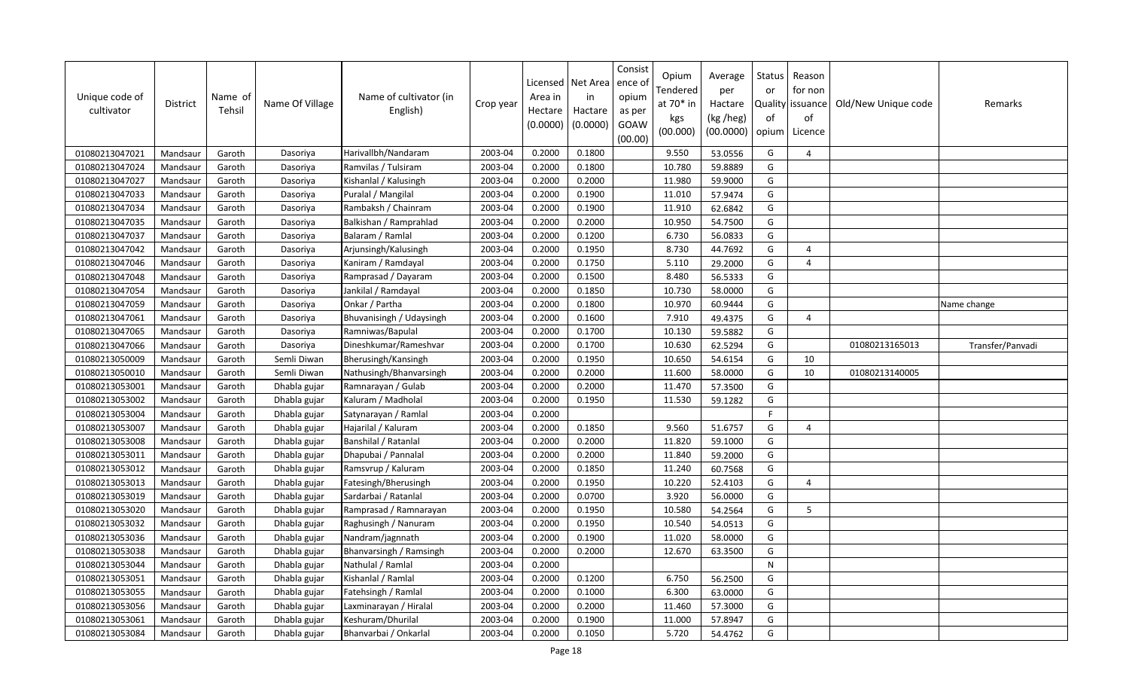| Unique code of<br>cultivator | District | Name of<br>Tehsil | Name Of Village | Name of cultivator (in<br>English) | Crop year | Licensed<br>Area in<br>Hectare<br>(0.0000) | Net Area<br>in<br>Hactare<br>(0.0000) | Consist<br>ence of<br>opium<br>as per<br>GOAW<br>(00.00) | Opium<br>Tendered<br>at 70* in<br>kgs<br>(00.000) | Average<br>per<br>Hactare<br>(kg /heg)<br>(00.0000) | Status<br>or<br>of<br>opium | Reason<br>for non<br>Quality   issuance<br>of<br>Licence | Old/New Unique code | Remarks          |
|------------------------------|----------|-------------------|-----------------|------------------------------------|-----------|--------------------------------------------|---------------------------------------|----------------------------------------------------------|---------------------------------------------------|-----------------------------------------------------|-----------------------------|----------------------------------------------------------|---------------------|------------------|
| 01080213047021               | Mandsaur | Garoth            | Dasoriya        | Harivallbh/Nandaram                | 2003-04   | 0.2000                                     | 0.1800                                |                                                          | 9.550                                             | 53.0556                                             | G                           | $\Delta$                                                 |                     |                  |
| 01080213047024               | Mandsaur | Garoth            | Dasoriya        | Ramvilas / Tulsiram                | 2003-04   | 0.2000                                     | 0.1800                                |                                                          | 10.780                                            | 59.8889                                             | G                           |                                                          |                     |                  |
| 01080213047027               | Mandsaur | Garoth            | Dasoriya        | Kishanlal / Kalusingh              | 2003-04   | 0.2000                                     | 0.2000                                |                                                          | 11.980                                            | 59.9000                                             | G                           |                                                          |                     |                  |
| 01080213047033               | Mandsaur | Garoth            | Dasoriya        | Puralal / Mangilal                 | 2003-04   | 0.2000                                     | 0.1900                                |                                                          | 11.010                                            | 57.9474                                             | G                           |                                                          |                     |                  |
| 01080213047034               | Mandsaur | Garoth            | Dasoriya        | Rambaksh / Chainram                | 2003-04   | 0.2000                                     | 0.1900                                |                                                          | 11.910                                            | 62.6842                                             | G                           |                                                          |                     |                  |
| 01080213047035               | Mandsaur | Garoth            | Dasoriya        | Balkishan / Ramprahlad             | 2003-04   | 0.2000                                     | 0.2000                                |                                                          | 10.950                                            | 54.7500                                             | G                           |                                                          |                     |                  |
| 01080213047037               | Mandsaur | Garoth            | Dasoriya        | Balaram / Ramlal                   | 2003-04   | 0.2000                                     | 0.1200                                |                                                          | 6.730                                             | 56.0833                                             | G                           |                                                          |                     |                  |
| 01080213047042               | Mandsaur | Garoth            | Dasoriya        | Arjunsingh/Kalusingh               | 2003-04   | 0.2000                                     | 0.1950                                |                                                          | 8.730                                             | 44.7692                                             | G                           | $\overline{a}$                                           |                     |                  |
| 01080213047046               | Mandsaur | Garoth            | Dasoriya        | Kaniram / Ramdayal                 | 2003-04   | 0.2000                                     | 0.1750                                |                                                          | 5.110                                             | 29.2000                                             | G                           | $\overline{a}$                                           |                     |                  |
| 01080213047048               | Mandsaur | Garoth            | Dasoriya        | Ramprasad / Dayaram                | 2003-04   | 0.2000                                     | 0.1500                                |                                                          | 8.480                                             | 56.5333                                             | G                           |                                                          |                     |                  |
| 01080213047054               | Mandsaur | Garoth            | Dasoriya        | Jankilal / Ramdayal                | 2003-04   | 0.2000                                     | 0.1850                                |                                                          | 10.730                                            | 58.0000                                             | G                           |                                                          |                     |                  |
| 01080213047059               | Mandsaur | Garoth            | Dasoriya        | Onkar / Partha                     | 2003-04   | 0.2000                                     | 0.1800                                |                                                          | 10.970                                            | 60.9444                                             | G                           |                                                          |                     | Name change      |
| 01080213047061               | Mandsaur | Garoth            | Dasoriya        | Bhuvanisingh / Udaysingh           | 2003-04   | 0.2000                                     | 0.1600                                |                                                          | 7.910                                             | 49.4375                                             | G                           | $\overline{4}$                                           |                     |                  |
| 01080213047065               | Mandsaur | Garoth            | Dasoriya        | Ramniwas/Bapulal                   | 2003-04   | 0.2000                                     | 0.1700                                |                                                          | 10.130                                            | 59.5882                                             | G                           |                                                          |                     |                  |
| 01080213047066               | Mandsaur | Garoth            | Dasoriya        | Dineshkumar/Rameshvar              | 2003-04   | 0.2000                                     | 0.1700                                |                                                          | 10.630                                            | 62.5294                                             | G                           |                                                          | 01080213165013      | Transfer/Panvadi |
| 01080213050009               | Mandsaur | Garoth            | Semli Diwan     | Bherusingh/Kansingh                | 2003-04   | 0.2000                                     | 0.1950                                |                                                          | 10.650                                            | 54.6154                                             | G                           | 10                                                       |                     |                  |
| 01080213050010               | Mandsaur | Garoth            | Semli Diwan     | Nathusingh/Bhanvarsingh            | 2003-04   | 0.2000                                     | 0.2000                                |                                                          | 11.600                                            | 58.0000                                             | G                           | 10                                                       | 01080213140005      |                  |
| 01080213053001               | Mandsaur | Garoth            | Dhabla gujar    | Ramnarayan / Gulab                 | 2003-04   | 0.2000                                     | 0.2000                                |                                                          | 11.470                                            | 57.3500                                             | G                           |                                                          |                     |                  |
| 01080213053002               | Mandsaur | Garoth            | Dhabla gujar    | Kaluram / Madholal                 | 2003-04   | 0.2000                                     | 0.1950                                |                                                          | 11.530                                            | 59.1282                                             | G                           |                                                          |                     |                  |
| 01080213053004               | Mandsaur | Garoth            | Dhabla gujar    | Satynarayan / Ramlal               | 2003-04   | 0.2000                                     |                                       |                                                          |                                                   |                                                     | F                           |                                                          |                     |                  |
| 01080213053007               | Mandsaur | Garoth            | Dhabla gujar    | Hajarilal / Kaluram                | 2003-04   | 0.2000                                     | 0.1850                                |                                                          | 9.560                                             | 51.6757                                             | G                           | $\overline{4}$                                           |                     |                  |
| 01080213053008               | Mandsaur | Garoth            | Dhabla gujar    | Banshilal / Ratanlal               | 2003-04   | 0.2000                                     | 0.2000                                |                                                          | 11.820                                            | 59.1000                                             | G                           |                                                          |                     |                  |
| 01080213053011               | Mandsaur | Garoth            | Dhabla gujar    | Dhapubai / Pannalal                | 2003-04   | 0.2000                                     | 0.2000                                |                                                          | 11.840                                            | 59.2000                                             | G                           |                                                          |                     |                  |
| 01080213053012               | Mandsaur | Garoth            | Dhabla gujar    | Ramsvrup / Kaluram                 | 2003-04   | 0.2000                                     | 0.1850                                |                                                          | 11.240                                            | 60.7568                                             | G                           |                                                          |                     |                  |
| 01080213053013               | Mandsaur | Garoth            | Dhabla gujar    | Fatesingh/Bherusingh               | 2003-04   | 0.2000                                     | 0.1950                                |                                                          | 10.220                                            | 52.4103                                             | G                           | $\overline{4}$                                           |                     |                  |
| 01080213053019               | Mandsaur | Garoth            | Dhabla gujar    | Sardarbai / Ratanlal               | 2003-04   | 0.2000                                     | 0.0700                                |                                                          | 3.920                                             | 56.0000                                             | G                           |                                                          |                     |                  |
| 01080213053020               | Mandsaur | Garoth            | Dhabla gujar    | Ramprasad / Ramnarayan             | 2003-04   | 0.2000                                     | 0.1950                                |                                                          | 10.580                                            | 54.2564                                             | G                           | 5                                                        |                     |                  |
| 01080213053032               | Mandsaur | Garoth            | Dhabla gujar    | Raghusingh / Nanuram               | 2003-04   | 0.2000                                     | 0.1950                                |                                                          | 10.540                                            | 54.0513                                             | G                           |                                                          |                     |                  |
| 01080213053036               | Mandsaur | Garoth            | Dhabla gujar    | Nandram/jagnnath                   | 2003-04   | 0.2000                                     | 0.1900                                |                                                          | 11.020                                            | 58.0000                                             | G                           |                                                          |                     |                  |
| 01080213053038               | Mandsaur | Garoth            | Dhabla gujar    | Bhanvarsingh / Ramsingh            | 2003-04   | 0.2000                                     | 0.2000                                |                                                          | 12.670                                            | 63.3500                                             | G                           |                                                          |                     |                  |
| 01080213053044               | Mandsaur | Garoth            | Dhabla gujar    | Nathulal / Ramlal                  | 2003-04   | 0.2000                                     |                                       |                                                          |                                                   |                                                     | ${\sf N}$                   |                                                          |                     |                  |
| 01080213053051               | Mandsaur | Garoth            | Dhabla gujar    | Kishanlal / Ramlal                 | 2003-04   | 0.2000                                     | 0.1200                                |                                                          | 6.750                                             | 56.2500                                             | G                           |                                                          |                     |                  |
| 01080213053055               | Mandsaur | Garoth            | Dhabla gujar    | Fatehsingh / Ramlal                | 2003-04   | 0.2000                                     | 0.1000                                |                                                          | 6.300                                             | 63.0000                                             | G                           |                                                          |                     |                  |
| 01080213053056               | Mandsaur | Garoth            | Dhabla gujar    | Laxminarayan / Hiralal             | 2003-04   | 0.2000                                     | 0.2000                                |                                                          | 11.460                                            | 57.3000                                             | G                           |                                                          |                     |                  |
| 01080213053061               | Mandsaur | Garoth            | Dhabla gujar    | Keshuram/Dhurilal                  | 2003-04   | 0.2000                                     | 0.1900                                |                                                          | 11.000                                            | 57.8947                                             | G                           |                                                          |                     |                  |
| 01080213053084               | Mandsaur | Garoth            | Dhabla gujar    | Bhanvarbai / Onkarlal              | 2003-04   | 0.2000                                     | 0.1050                                |                                                          | 5.720                                             | 54.4762                                             | G                           |                                                          |                     |                  |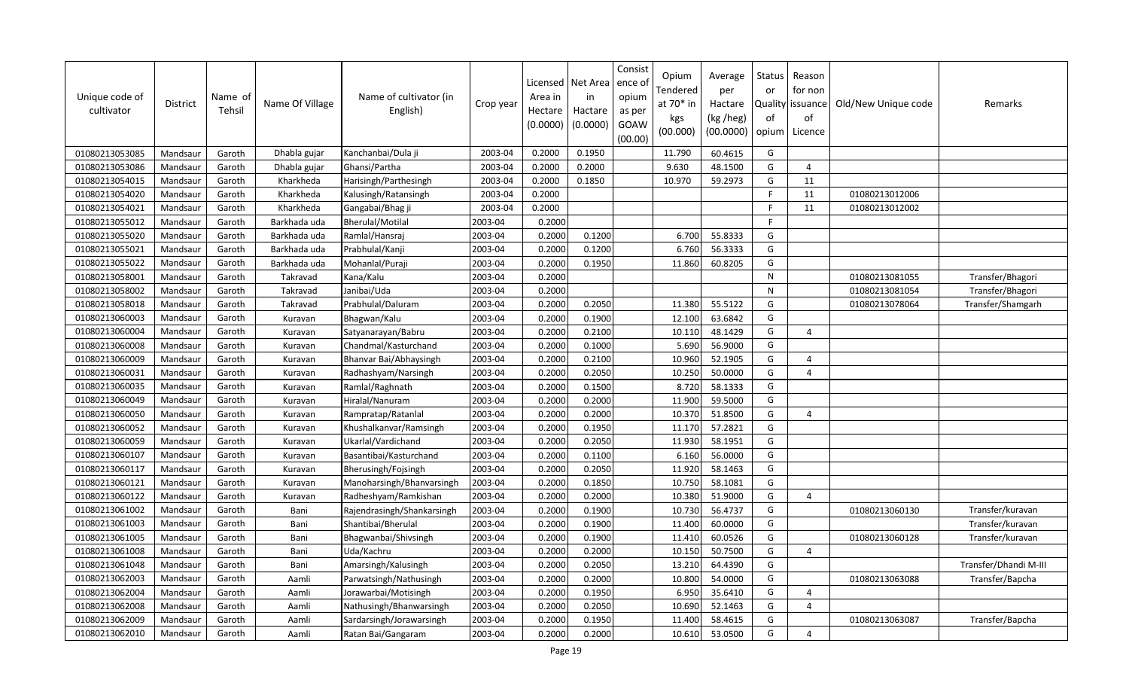| Unique code of<br>cultivator | <b>District</b> | Name of<br>Tehsil | Name Of Village | Name of cultivator (in<br>English) | Crop year | Licensed<br>Area in<br>Hectare<br>(0.0000) | Net Area<br>in<br>Hactare<br>(0.0000) | Consist<br>ence o<br>opium<br>as per<br>GOAW<br>(00.00) | Opium<br>Tendered<br>at 70* in<br>kgs<br>(00.000) | Average<br>per<br>Hactare<br>(kg /heg)<br>(00.0000) | Status<br>or<br>of<br>opium | Reason<br>for non<br>Quality issuance<br>of<br>Licence | Old/New Unique code | Remarks               |
|------------------------------|-----------------|-------------------|-----------------|------------------------------------|-----------|--------------------------------------------|---------------------------------------|---------------------------------------------------------|---------------------------------------------------|-----------------------------------------------------|-----------------------------|--------------------------------------------------------|---------------------|-----------------------|
| 01080213053085               | Mandsaur        | Garoth            | Dhabla gujar    | Kanchanbai/Dula ji                 | 2003-04   | 0.2000                                     | 0.1950                                |                                                         | 11.790                                            | 60.4615                                             | G                           |                                                        |                     |                       |
| 01080213053086               | Mandsaur        | Garoth            | Dhabla gujar    | Ghansi/Partha                      | 2003-04   | 0.2000                                     | 0.2000                                |                                                         | 9.630                                             | 48.1500                                             | G                           | $\overline{4}$                                         |                     |                       |
| 01080213054015               | Mandsaur        | Garoth            | Kharkheda       | Harisingh/Parthesingh              | 2003-04   | 0.2000                                     | 0.1850                                |                                                         | 10.970                                            | 59.2973                                             | G                           | 11                                                     |                     |                       |
| 01080213054020               | Mandsaur        | Garoth            | Kharkheda       | Kalusingh/Ratansingh               | 2003-04   | 0.2000                                     |                                       |                                                         |                                                   |                                                     | E                           | 11                                                     | 01080213012006      |                       |
| 01080213054021               | Mandsaur        | Garoth            | Kharkheda       | Gangabai/Bhag ji                   | 2003-04   | 0.2000                                     |                                       |                                                         |                                                   |                                                     | F.                          | 11                                                     | 01080213012002      |                       |
| 01080213055012               | Mandsaur        | Garoth            | Barkhada uda    | <b>Bherulal/Motilal</b>            | 2003-04   | 0.2000                                     |                                       |                                                         |                                                   |                                                     | E                           |                                                        |                     |                       |
| 01080213055020               | Mandsaur        | Garoth            | Barkhada uda    | Ramlal/Hansraj                     | 2003-04   | 0.2000                                     | 0.1200                                |                                                         | 6.700                                             | 55.8333                                             | G                           |                                                        |                     |                       |
| 01080213055021               | Mandsaur        | Garoth            | Barkhada uda    | Prabhulal/Kanji                    | 2003-04   | 0.2000                                     | 0.1200                                |                                                         | 6.760                                             | 56.3333                                             | G                           |                                                        |                     |                       |
| 01080213055022               | Mandsaur        | Garoth            | Barkhada uda    | Mohanlal/Puraji                    | 2003-04   | 0.2000                                     | 0.1950                                |                                                         | 11.860                                            | 60.8205                                             | G                           |                                                        |                     |                       |
| 01080213058001               | Mandsaur        | Garoth            | Takravad        | Kana/Kalu                          | 2003-04   | 0.2000                                     |                                       |                                                         |                                                   |                                                     | $\mathsf{N}$                |                                                        | 01080213081055      | Transfer/Bhagori      |
| 01080213058002               | Mandsaur        | Garoth            | Takravad        | Janibai/Uda                        | 2003-04   | 0.2000                                     |                                       |                                                         |                                                   |                                                     | N                           |                                                        | 01080213081054      | Transfer/Bhagori      |
| 01080213058018               | Mandsaur        | Garoth            | Takravad        | Prabhulal/Daluram                  | 2003-04   | 0.2000                                     | 0.2050                                |                                                         | 11.380                                            | 55.5122                                             | G                           |                                                        | 01080213078064      | Transfer/Shamgarh     |
| 01080213060003               | Mandsaur        | Garoth            | Kuravan         | Bhagwan/Kalu                       | 2003-04   | 0.2000                                     | 0.1900                                |                                                         | 12.100                                            | 63.6842                                             | G                           |                                                        |                     |                       |
| 01080213060004               | Mandsaur        | Garoth            | Kuravan         | Satyanarayan/Babru                 | 2003-04   | 0.2000                                     | 0.2100                                |                                                         | 10.110                                            | 48.1429                                             | G                           | $\overline{a}$                                         |                     |                       |
| 01080213060008               | Mandsaur        | Garoth            | Kuravan         | Chandmal/Kasturchand               | 2003-04   | 0.2000                                     | 0.1000                                |                                                         | 5.690                                             | 56.9000                                             | G                           |                                                        |                     |                       |
| 01080213060009               | Mandsaur        | Garoth            | Kuravan         | Bhanvar Bai/Abhaysingh             | 2003-04   | 0.2000                                     | 0.2100                                |                                                         | 10.960                                            | 52.1905                                             | G                           | $\overline{4}$                                         |                     |                       |
| 01080213060031               | Mandsaur        | Garoth            | Kuravan         | Radhashyam/Narsingh                | 2003-04   | 0.2000                                     | 0.2050                                |                                                         | 10.250                                            | 50.0000                                             | G                           | $\overline{4}$                                         |                     |                       |
| 01080213060035               | Mandsaur        | Garoth            | Kuravan         | Ramlal/Raghnath                    | 2003-04   | 0.2000                                     | 0.1500                                |                                                         | 8.720                                             | 58.1333                                             | G                           |                                                        |                     |                       |
| 01080213060049               | Mandsaur        | Garoth            | Kuravan         | Hiralal/Nanuram                    | 2003-04   | 0.2000                                     | 0.2000                                |                                                         | 11.900                                            | 59.5000                                             | G                           |                                                        |                     |                       |
| 01080213060050               | Mandsaur        | Garoth            | Kuravan         | Rampratap/Ratanlal                 | 2003-04   | 0.2000                                     | 0.2000                                |                                                         | 10.370                                            | 51.8500                                             | G                           | $\overline{4}$                                         |                     |                       |
| 01080213060052               | Mandsaur        | Garoth            | Kuravan         | Khushalkanvar/Ramsingh             | 2003-04   | 0.2000                                     | 0.1950                                |                                                         | 11.170                                            | 57.2821                                             | G                           |                                                        |                     |                       |
| 01080213060059               | Mandsaur        | Garoth            | Kuravan         | Ukarlal/Vardichand                 | 2003-04   | 0.2000                                     | 0.2050                                |                                                         | 11.930                                            | 58.1951                                             | G                           |                                                        |                     |                       |
| 01080213060107               | Mandsaur        | Garoth            | Kuravan         | Basantibai/Kasturchand             | 2003-04   | 0.2000                                     | 0.1100                                |                                                         | 6.160                                             | 56.0000                                             | G                           |                                                        |                     |                       |
| 01080213060117               | Mandsau         | Garoth            | Kuravan         | Bherusingh/Fojsingh                | 2003-04   | 0.2000                                     | 0.2050                                |                                                         | 11.920                                            | 58.1463                                             | G                           |                                                        |                     |                       |
| 01080213060121               | Mandsaur        | Garoth            | Kuravan         | Manoharsingh/Bhanvarsingh          | 2003-04   | 0.2000                                     | 0.1850                                |                                                         | 10.750                                            | 58.1081                                             | G                           |                                                        |                     |                       |
| 01080213060122               | Mandsaur        | Garoth            | Kuravan         | Radheshyam/Ramkishan               | 2003-04   | 0.2000                                     | 0.2000                                |                                                         | 10.380                                            | 51.9000                                             | G                           | $\overline{4}$                                         |                     |                       |
| 01080213061002               | Mandsaur        | Garoth            | Bani            | Rajendrasingh/Shankarsingh         | 2003-04   | 0.2000                                     | 0.1900                                |                                                         | 10.730                                            | 56.4737                                             | G                           |                                                        | 01080213060130      | Transfer/kuravan      |
| 01080213061003               | Mandsaur        | Garoth            | Bani            | Shantibai/Bherulal                 | 2003-04   | 0.2000                                     | 0.1900                                |                                                         | 11.400                                            | 60.0000                                             | G                           |                                                        |                     | Transfer/kuravan      |
| 01080213061005               | Mandsaur        | Garoth            | Bani            | Bhagwanbai/Shivsingh               | 2003-04   | 0.2000                                     | 0.1900                                |                                                         | 11.410                                            | 60.0526                                             | G                           |                                                        | 01080213060128      | Transfer/kuravan      |
| 01080213061008               | Mandsaur        | Garoth            | Bani            | Uda/Kachru                         | 2003-04   | 0.2000                                     | 0.2000                                |                                                         | 10.150                                            | 50.7500                                             | G                           | $\overline{4}$                                         |                     |                       |
| 01080213061048               | Mandsaur        | Garoth            | Bani            | Amarsingh/Kalusingh                | 2003-04   | 0.2000                                     | 0.2050                                |                                                         | 13.210                                            | 64.4390                                             | G                           |                                                        |                     | Transfer/Dhandi M-III |
| 01080213062003               | Mandsaur        | Garoth            | Aamli           | Parwatsingh/Nathusingh             | 2003-04   | 0.2000                                     | 0.2000                                |                                                         | 10.800                                            | 54.0000                                             | G                           |                                                        | 01080213063088      | Transfer/Bapcha       |
| 01080213062004               | Mandsaur        | Garoth            | Aamli           | Jorawarbai/Motisingh               | 2003-04   | 0.2000                                     | 0.1950                                |                                                         | 6.950                                             | 35.6410                                             | G                           | $\overline{4}$                                         |                     |                       |
| 01080213062008               | Mandsaur        | Garoth            | Aamli           | Nathusingh/Bhanwarsingh            | 2003-04   | 0.2000                                     | 0.2050                                |                                                         | 10.690                                            | 52.1463                                             | G                           | $\overline{4}$                                         |                     |                       |
| 01080213062009               | Mandsaur        | Garoth            | Aamli           | Sardarsingh/Jorawarsingh           | 2003-04   | 0.2000                                     | 0.1950                                |                                                         | 11.400                                            | 58.4615                                             | G                           |                                                        | 01080213063087      | Transfer/Bapcha       |
| 01080213062010               | Mandsaur        | Garoth            | Aamli           | Ratan Bai/Gangaram                 | 2003-04   | 0.2000                                     | 0.2000                                |                                                         | 10.610                                            | 53.0500                                             | G                           | $\overline{4}$                                         |                     |                       |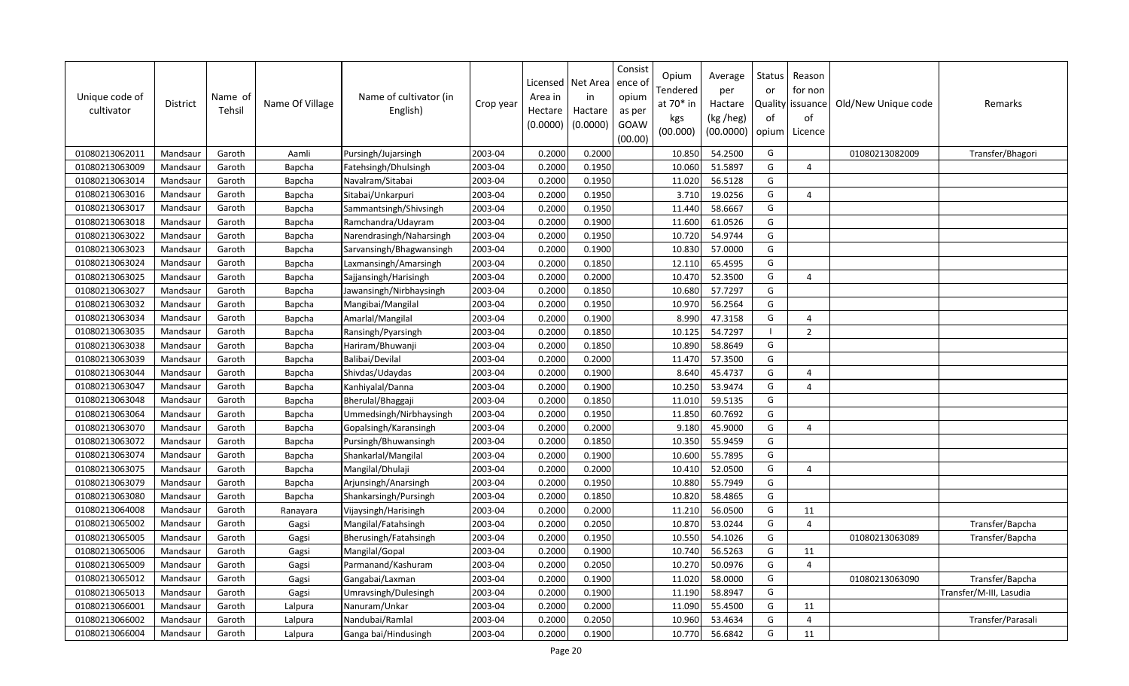| Unique code of<br>cultivator | District | Name of<br>Tehsil | Name Of Village | Name of cultivator (in<br>English) | Crop year | Licensed<br>Area in<br>Hectare<br>(0.0000) | Net Area<br>in<br>Hactare<br>(0.0000) | Consist<br>ence o<br>opium<br>as per<br>GOAW<br>(00.00) | Opium<br>Fendered<br>at 70* in<br>kgs<br>(00.000) | Average<br>per<br>Hactare<br>(kg /heg)<br>(00.0000) | Status<br>or<br>of<br>opium | Reason<br>for non<br>Quality issuance<br>of<br>Licence | Old/New Unique code | Remarks                 |
|------------------------------|----------|-------------------|-----------------|------------------------------------|-----------|--------------------------------------------|---------------------------------------|---------------------------------------------------------|---------------------------------------------------|-----------------------------------------------------|-----------------------------|--------------------------------------------------------|---------------------|-------------------------|
| 01080213062011               | Mandsaur | Garoth            | Aamli           | Pursingh/Jujarsingh                | 2003-04   | 0.2000                                     | 0.2000                                |                                                         | 10.850                                            | 54.2500                                             | G                           |                                                        | 01080213082009      | Transfer/Bhagori        |
| 01080213063009               | Mandsaur | Garoth            | Bapcha          | Fatehsingh/Dhulsingh               | 2003-04   | 0.2000                                     | 0.1950                                |                                                         | 10.060                                            | 51.5897                                             | G                           | $\overline{4}$                                         |                     |                         |
| 01080213063014               | Mandsaur | Garoth            | Bapcha          | Navalram/Sitabai                   | 2003-04   | 0.2000                                     | 0.1950                                |                                                         | 11.020                                            | 56.5128                                             | G                           |                                                        |                     |                         |
| 01080213063016               | Mandsaur | Garoth            | Bapcha          | Sitabai/Unkarpuri                  | 2003-04   | 0.2000                                     | 0.1950                                |                                                         | 3.710                                             | 19.0256                                             | G                           | $\overline{4}$                                         |                     |                         |
| 01080213063017               | Mandsaur | Garoth            | Bapcha          | Sammantsingh/Shivsingh             | 2003-04   | 0.2000                                     | 0.1950                                |                                                         | 11.440                                            | 58.6667                                             | G                           |                                                        |                     |                         |
| 01080213063018               | Mandsaur | Garoth            | Bapcha          | Ramchandra/Udayram                 | 2003-04   | 0.2000                                     | 0.1900                                |                                                         | 11.600                                            | 61.0526                                             | G                           |                                                        |                     |                         |
| 01080213063022               | Mandsaur | Garoth            | Bapcha          | Narendrasingh/Naharsingh           | 2003-04   | 0.2000                                     | 0.1950                                |                                                         | 10.720                                            | 54.9744                                             | G                           |                                                        |                     |                         |
| 01080213063023               | Mandsaur | Garoth            | Bapcha          | Sarvansingh/Bhagwansingh           | 2003-04   | 0.2000                                     | 0.1900                                |                                                         | 10.830                                            | 57.0000                                             | G                           |                                                        |                     |                         |
| 01080213063024               | Mandsaur | Garoth            | Bapcha          | Laxmansingh/Amarsingh              | 2003-04   | 0.2000                                     | 0.1850                                |                                                         | 12.110                                            | 65.4595                                             | G                           |                                                        |                     |                         |
| 01080213063025               | Mandsaur | Garoth            | Bapcha          | Sajjansingh/Harisingh              | 2003-04   | 0.2000                                     | 0.2000                                |                                                         | 10.470                                            | 52.3500                                             | G                           | $\Delta$                                               |                     |                         |
| 01080213063027               | Mandsaur | Garoth            | Bapcha          | Jawansingh/Nirbhaysingh            | 2003-04   | 0.2000                                     | 0.1850                                |                                                         | 10.680                                            | 57.7297                                             | G                           |                                                        |                     |                         |
| 01080213063032               | Mandsaur | Garoth            | Bapcha          | Mangibai/Mangilal                  | 2003-04   | 0.2000                                     | 0.1950                                |                                                         | 10.970                                            | 56.2564                                             | G                           |                                                        |                     |                         |
| 01080213063034               | Mandsaur | Garoth            | Bapcha          | Amarlal/Mangilal                   | 2003-04   | 0.2000                                     | 0.1900                                |                                                         | 8.990                                             | 47.3158                                             | G                           | $\overline{4}$                                         |                     |                         |
| 01080213063035               | Mandsaur | Garoth            | Bapcha          | Ransingh/Pyarsingh                 | 2003-04   | 0.2000                                     | 0.1850                                |                                                         | 10.125                                            | 54.7297                                             | $\overline{\phantom{a}}$    | 2                                                      |                     |                         |
| 01080213063038               | Mandsaur | Garoth            | Bapcha          | Hariram/Bhuwanji                   | 2003-04   | 0.2000                                     | 0.1850                                |                                                         | 10.890                                            | 58.8649                                             | G                           |                                                        |                     |                         |
| 01080213063039               | Mandsaur | Garoth            | Bapcha          | Balibai/Devilal                    | 2003-04   | 0.2000                                     | 0.2000                                |                                                         | 11.470                                            | 57.3500                                             | G                           |                                                        |                     |                         |
| 01080213063044               | Mandsaur | Garoth            | Bapcha          | Shivdas/Udaydas                    | 2003-04   | 0.2000                                     | 0.1900                                |                                                         | 8.640                                             | 45.4737                                             | G                           | $\overline{4}$                                         |                     |                         |
| 01080213063047               | Mandsaur | Garoth            | Bapcha          | Kanhiyalal/Danna                   | 2003-04   | 0.2000                                     | 0.1900                                |                                                         | 10.250                                            | 53.9474                                             | G                           | $\overline{a}$                                         |                     |                         |
| 01080213063048               | Mandsaur | Garoth            | Bapcha          | Bherulal/Bhaggaji                  | 2003-04   | 0.2000                                     | 0.1850                                |                                                         | 11.010                                            | 59.5135                                             | G                           |                                                        |                     |                         |
| 01080213063064               | Mandsaur | Garoth            | Bapcha          | Ummedsingh/Nirbhaysingh            | 2003-04   | 0.2000                                     | 0.1950                                |                                                         | 11.850                                            | 60.7692                                             | G                           |                                                        |                     |                         |
| 01080213063070               | Mandsaur | Garoth            | Bapcha          | Gopalsingh/Karansingh              | 2003-04   | 0.2000                                     | 0.2000                                |                                                         | 9.180                                             | 45.9000                                             | G                           | $\overline{4}$                                         |                     |                         |
| 01080213063072               | Mandsaur | Garoth            | Bapcha          | Pursingh/Bhuwansingh               | 2003-04   | 0.2000                                     | 0.1850                                |                                                         | 10.350                                            | 55.9459                                             | G                           |                                                        |                     |                         |
| 01080213063074               | Mandsaur | Garoth            | Bapcha          | Shankarlal/Mangilal                | 2003-04   | 0.2000                                     | 0.1900                                |                                                         | 10.600                                            | 55.7895                                             | G                           |                                                        |                     |                         |
| 01080213063075               | Mandsaur | Garoth            | Bapcha          | Mangilal/Dhulaji                   | 2003-04   | 0.2000                                     | 0.2000                                |                                                         | 10.410                                            | 52.0500                                             | G                           | $\overline{4}$                                         |                     |                         |
| 01080213063079               | Mandsaur | Garoth            | Bapcha          | Arjunsingh/Anarsingh               | 2003-04   | 0.2000                                     | 0.1950                                |                                                         | 10.880                                            | 55.7949                                             | G                           |                                                        |                     |                         |
| 01080213063080               | Mandsaur | Garoth            | Bapcha          | Shankarsingh/Pursingh              | 2003-04   | 0.2000                                     | 0.1850                                |                                                         | 10.820                                            | 58.4865                                             | G                           |                                                        |                     |                         |
| 01080213064008               | Mandsaur | Garoth            | Ranayara        | Vijaysingh/Harisingh               | 2003-04   | 0.2000                                     | 0.2000                                |                                                         | 11.210                                            | 56.0500                                             | G                           | 11                                                     |                     |                         |
| 01080213065002               | Mandsaur | Garoth            | Gagsi           | Mangilal/Fatahsingh                | 2003-04   | 0.2000                                     | 0.2050                                |                                                         | 10.870                                            | 53.0244                                             | G                           | $\overline{4}$                                         |                     | Transfer/Bapcha         |
| 01080213065005               | Mandsaur | Garoth            | Gagsi           | Bherusingh/Fatahsingh              | 2003-04   | 0.2000                                     | 0.1950                                |                                                         | 10.550                                            | 54.1026                                             | G                           |                                                        | 01080213063089      | Transfer/Bapcha         |
| 01080213065006               | Mandsaur | Garoth            | Gagsi           | Mangilal/Gopal                     | 2003-04   | 0.2000                                     | 0.1900                                |                                                         | 10.740                                            | 56.5263                                             | G                           | 11                                                     |                     |                         |
| 01080213065009               | Mandsaur | Garoth            | Gagsi           | Parmanand/Kashuram                 | 2003-04   | 0.2000                                     | 0.2050                                |                                                         | 10.270                                            | 50.0976                                             | G                           | $\overline{4}$                                         |                     |                         |
| 01080213065012               | Mandsaur | Garoth            | Gagsi           | Gangabai/Laxman                    | 2003-04   | 0.2000                                     | 0.1900                                |                                                         | 11.020                                            | 58.0000                                             | G                           |                                                        | 01080213063090      | Transfer/Bapcha         |
| 01080213065013               | Mandsaur | Garoth            | Gagsi           | Umravsingh/Dulesingh               | 2003-04   | 0.2000                                     | 0.1900                                |                                                         | 11.190                                            | 58.8947                                             | G                           |                                                        |                     | Transfer/M-III, Lasudia |
| 01080213066001               | Mandsaur | Garoth            | Lalpura         | Nanuram/Unkar                      | 2003-04   | 0.2000                                     | 0.2000                                |                                                         | 11.090                                            | 55.4500                                             | G                           | 11                                                     |                     |                         |
| 01080213066002               | Mandsaur | Garoth            | Lalpura         | Nandubai/Ramlal                    | 2003-04   | 0.2000                                     | 0.2050                                |                                                         | 10.960                                            | 53.4634                                             | G                           | $\overline{4}$                                         |                     | Transfer/Parasali       |
| 01080213066004               | Mandsaur | Garoth            | Lalpura         | Ganga bai/Hindusingh               | 2003-04   | 0.2000                                     | 0.1900                                |                                                         | 10.770                                            | 56.6842                                             | G                           | 11                                                     |                     |                         |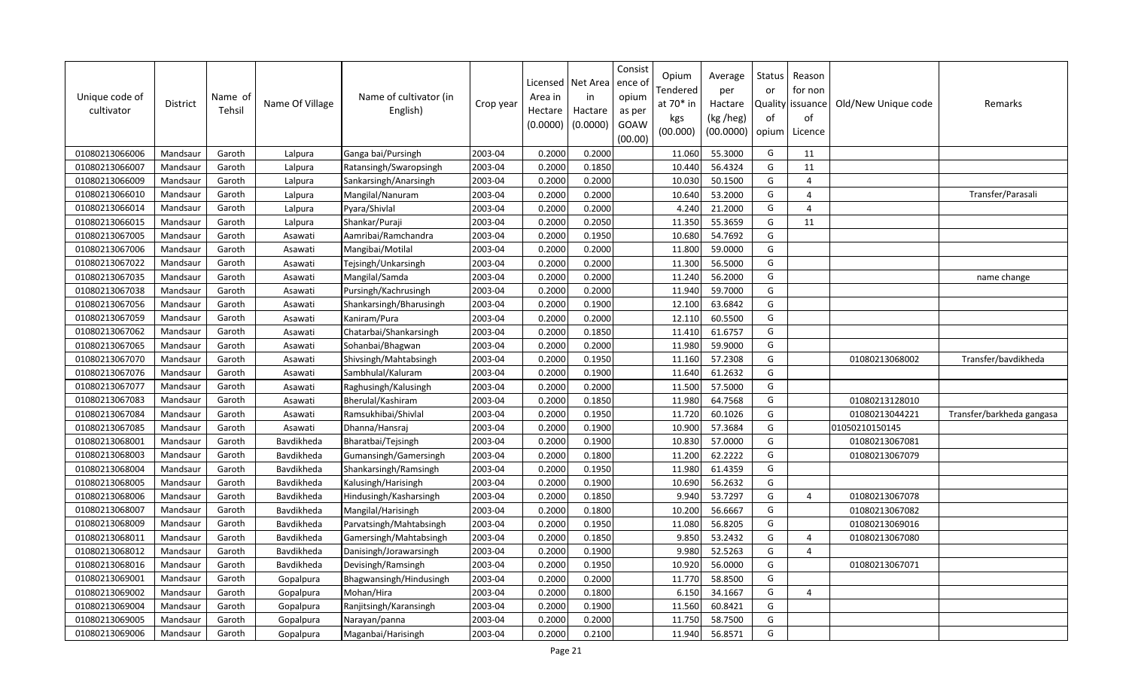| Unique code of<br>cultivator | District | Name of<br>Tehsil | Name Of Village | Name of cultivator (in<br>English) | Crop year | Licensed<br>Area in<br>Hectare<br>(0.0000) | Net Area<br>in<br>Hactare<br>(0.0000) | Consist<br>ence o<br>opium<br>as per<br>GOAW<br>(00.00) | Opium<br>Fendered<br>at 70* in<br>kgs<br>(00.000) | Average<br>per<br>Hactare<br>(kg /heg)<br>(00.0000) | Status<br>or<br>of<br>opium | Reason<br>for non<br>Quality issuance<br>of<br>Licence | Old/New Unique code | Remarks                   |
|------------------------------|----------|-------------------|-----------------|------------------------------------|-----------|--------------------------------------------|---------------------------------------|---------------------------------------------------------|---------------------------------------------------|-----------------------------------------------------|-----------------------------|--------------------------------------------------------|---------------------|---------------------------|
| 01080213066006               | Mandsaur | Garoth            | Lalpura         | Ganga bai/Pursingh                 | 2003-04   | 0.2000                                     | 0.2000                                |                                                         | 11.060                                            | 55.3000                                             | G                           | 11                                                     |                     |                           |
| 01080213066007               | Mandsaur | Garoth            | Lalpura         | Ratansingh/Swaropsingh             | 2003-04   | 0.2000                                     | 0.1850                                |                                                         | 10.440                                            | 56.4324                                             | G                           | 11                                                     |                     |                           |
| 01080213066009               | Mandsaur | Garoth            | Lalpura         | Sankarsingh/Anarsingh              | 2003-04   | 0.2000                                     | 0.2000                                |                                                         | 10.030                                            | 50.1500                                             | G                           | $\overline{4}$                                         |                     |                           |
| 01080213066010               | Mandsaur | Garoth            | Lalpura         | Mangilal/Nanuram                   | 2003-04   | 0.2000                                     | 0.2000                                |                                                         | 10.640                                            | 53.2000                                             | G                           | $\overline{4}$                                         |                     | Transfer/Parasali         |
| 01080213066014               | Mandsaur | Garoth            | Lalpura         | Pyara/Shivlal                      | 2003-04   | 0.2000                                     | 0.2000                                |                                                         | 4.240                                             | 21.2000                                             | G                           | $\overline{4}$                                         |                     |                           |
| 01080213066015               | Mandsaur | Garoth            | Lalpura         | Shankar/Puraji                     | 2003-04   | 0.2000                                     | 0.2050                                |                                                         | 11.350                                            | 55.3659                                             | G                           | 11                                                     |                     |                           |
| 01080213067005               | Mandsaur | Garoth            | Asawati         | Aamribai/Ramchandra                | 2003-04   | 0.2000                                     | 0.1950                                |                                                         | 10.680                                            | 54.7692                                             | G                           |                                                        |                     |                           |
| 01080213067006               | Mandsaur | Garoth            | Asawati         | Mangibai/Motilal                   | 2003-04   | 0.2000                                     | 0.2000                                |                                                         | 11.800                                            | 59.0000                                             | G                           |                                                        |                     |                           |
| 01080213067022               | Mandsaur | Garoth            | Asawati         | Tejsingh/Unkarsingh                | 2003-04   | 0.2000                                     | 0.2000                                |                                                         | 11.300                                            | 56.5000                                             | G                           |                                                        |                     |                           |
| 01080213067035               | Mandsaur | Garoth            | Asawati         | Mangilal/Samda                     | 2003-04   | 0.2000                                     | 0.2000                                |                                                         | 11.240                                            | 56.2000                                             | G                           |                                                        |                     | name change               |
| 01080213067038               | Mandsaur | Garoth            | Asawati         | Pursingh/Kachrusingh               | 2003-04   | 0.2000                                     | 0.2000                                |                                                         | 11.940                                            | 59.7000                                             | G                           |                                                        |                     |                           |
| 01080213067056               | Mandsaur | Garoth            | Asawati         | Shankarsingh/Bharusingh            | 2003-04   | 0.2000                                     | 0.1900                                |                                                         | 12.100                                            | 63.6842                                             | G                           |                                                        |                     |                           |
| 01080213067059               | Mandsaur | Garoth            | Asawati         | Kaniram/Pura                       | 2003-04   | 0.2000                                     | 0.2000                                |                                                         | 12.110                                            | 60.5500                                             | G                           |                                                        |                     |                           |
| 01080213067062               | Mandsaur | Garoth            | Asawati         | Chatarbai/Shankarsingh             | 2003-04   | 0.2000                                     | 0.1850                                |                                                         | 11.410                                            | 61.6757                                             | G                           |                                                        |                     |                           |
| 01080213067065               | Mandsau  | Garoth            | Asawati         | Sohanbai/Bhagwan                   | 2003-04   | 0.2000                                     | 0.2000                                |                                                         | 11.980                                            | 59.9000                                             | G                           |                                                        |                     |                           |
| 01080213067070               | Mandsaur | Garoth            | Asawati         | Shivsingh/Mahtabsingh              | 2003-04   | 0.2000                                     | 0.1950                                |                                                         | 11.160                                            | 57.2308                                             | G                           |                                                        | 01080213068002      | Transfer/bavdikheda       |
| 01080213067076               | Mandsaur | Garoth            | Asawati         | Sambhulal/Kaluram                  | 2003-04   | 0.2000                                     | 0.1900                                |                                                         | 11.640                                            | 61.2632                                             | G                           |                                                        |                     |                           |
| 01080213067077               | Mandsaur | Garoth            | Asawati         | Raghusingh/Kalusingh               | 2003-04   | 0.2000                                     | 0.2000                                |                                                         | 11.500                                            | 57.5000                                             | G                           |                                                        |                     |                           |
| 01080213067083               | Mandsaur | Garoth            | Asawati         | Bherulal/Kashiram                  | 2003-04   | 0.2000                                     | 0.1850                                |                                                         | 11.980                                            | 64.7568                                             | G                           |                                                        | 01080213128010      |                           |
| 01080213067084               | Mandsaur | Garoth            | Asawati         | Ramsukhibai/Shivlal                | 2003-04   | 0.2000                                     | 0.1950                                |                                                         | 11.720                                            | 60.1026                                             | G                           |                                                        | 01080213044221      | Transfer/barkheda gangasa |
| 01080213067085               | Mandsaur | Garoth            | Asawati         | Dhanna/Hansraj                     | 2003-04   | 0.2000                                     | 0.1900                                |                                                         | 10.900                                            | 57.3684                                             | G                           |                                                        | 01050210150145      |                           |
| 01080213068001               | Mandsaur | Garoth            | Bavdikheda      | Bharatbai/Tejsingh                 | 2003-04   | 0.2000                                     | 0.1900                                |                                                         | 10.830                                            | 57.0000                                             | G                           |                                                        | 01080213067081      |                           |
| 01080213068003               | Mandsaur | Garoth            | Bavdikheda      | Gumansingh/Gamersingh              | 2003-04   | 0.2000                                     | 0.1800                                |                                                         | 11.200                                            | 62.2222                                             | G                           |                                                        | 01080213067079      |                           |
| 01080213068004               | Mandsaur | Garoth            | Bavdikheda      | Shankarsingh/Ramsingh              | 2003-04   | 0.2000                                     | 0.1950                                |                                                         | 11.980                                            | 61.4359                                             | G                           |                                                        |                     |                           |
| 01080213068005               | Mandsaur | Garoth            | Bavdikheda      | Kalusingh/Harisingh                | 2003-04   | 0.2000                                     | 0.1900                                |                                                         | 10.690                                            | 56.2632                                             | G                           |                                                        |                     |                           |
| 01080213068006               | Mandsaur | Garoth            | Bavdikheda      | Hindusingh/Kasharsingh             | 2003-04   | 0.2000                                     | 0.1850                                |                                                         | 9.940                                             | 53.7297                                             | G                           | $\overline{4}$                                         | 01080213067078      |                           |
| 01080213068007               | Mandsaur | Garoth            | Bavdikheda      | Mangilal/Harisingh                 | 2003-04   | 0.2000                                     | 0.1800                                |                                                         | 10.200                                            | 56.6667                                             | G                           |                                                        | 01080213067082      |                           |
| 01080213068009               | Mandsaur | Garoth            | Bavdikheda      | Parvatsingh/Mahtabsingh            | 2003-04   | 0.2000                                     | 0.1950                                |                                                         | 11.080                                            | 56.8205                                             | G                           |                                                        | 01080213069016      |                           |
| 01080213068011               | Mandsaur | Garoth            | Bavdikheda      | Gamersingh/Mahtabsingh             | 2003-04   | 0.2000                                     | 0.1850                                |                                                         | 9.850                                             | 53.2432                                             | G                           | $\overline{4}$                                         | 01080213067080      |                           |
| 01080213068012               | Mandsaur | Garoth            | Bavdikheda      | Danisingh/Jorawarsingh             | 2003-04   | 0.2000                                     | 0.1900                                |                                                         | 9.980                                             | 52.5263                                             | G                           | $\overline{4}$                                         |                     |                           |
| 01080213068016               | Mandsaur | Garoth            | Bavdikheda      | Devisingh/Ramsingh                 | 2003-04   | 0.2000                                     | 0.1950                                |                                                         | 10.920                                            | 56.0000                                             | G                           |                                                        | 01080213067071      |                           |
| 01080213069001               | Mandsaur | Garoth            | Gopalpura       | Bhagwansingh/Hindusingh            | 2003-04   | 0.2000                                     | 0.2000                                |                                                         | 11.770                                            | 58.8500                                             | G                           |                                                        |                     |                           |
| 01080213069002               | Mandsaur | Garoth            | Gopalpura       | Mohan/Hira                         | 2003-04   | 0.2000                                     | 0.1800                                |                                                         | 6.150                                             | 34.1667                                             | G                           | $\overline{4}$                                         |                     |                           |
| 01080213069004               | Mandsaur | Garoth            | Gopalpura       | Ranjitsingh/Karansingh             | 2003-04   | 0.2000                                     | 0.1900                                |                                                         | 11.560                                            | 60.8421                                             | G                           |                                                        |                     |                           |
| 01080213069005               | Mandsaur | Garoth            | Gopalpura       | Narayan/panna                      | 2003-04   | 0.2000                                     | 0.2000                                |                                                         | 11.750                                            | 58.7500                                             | G                           |                                                        |                     |                           |
| 01080213069006               | Mandsaur | Garoth            | Gopalpura       | Maganbai/Harisingh                 | 2003-04   | 0.2000                                     | 0.2100                                |                                                         | 11.940                                            | 56.8571                                             | G                           |                                                        |                     |                           |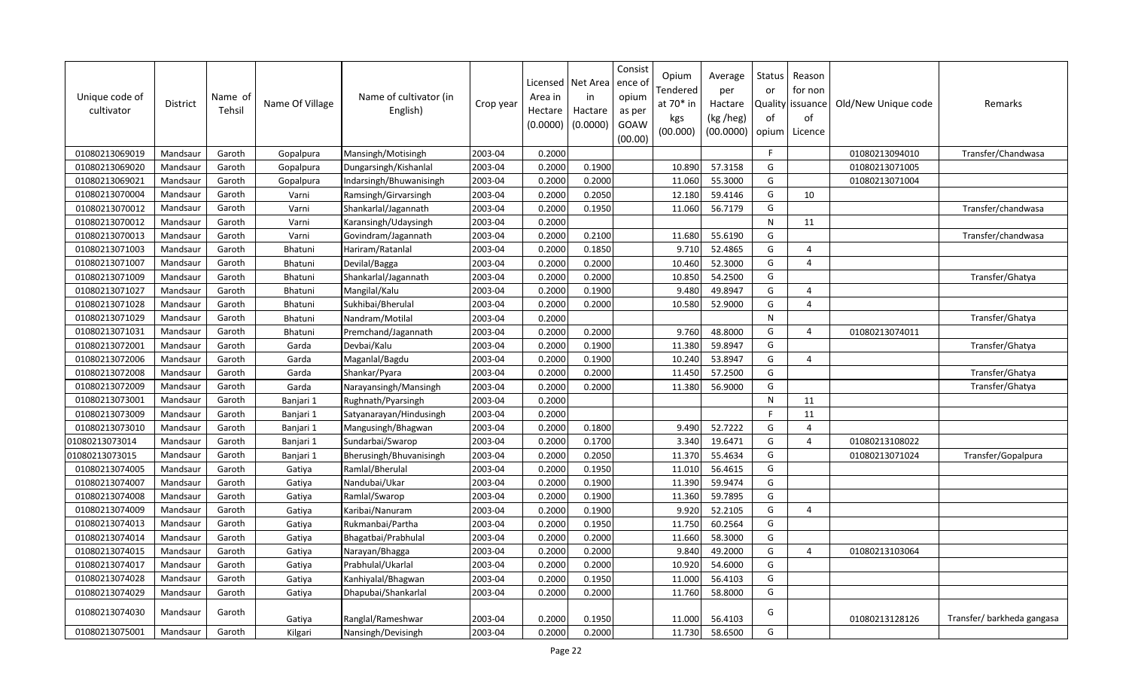| Unique code of<br>cultivator | District | Name of<br>Tehsil | Name Of Village | Name of cultivator (in<br>English) | Crop year | Area in<br>Hectare<br>(0.0000) | Licensed   Net Area<br>in<br>Hactare<br>(0.0000) | Consist<br>ence o<br>opium<br>as per<br>GOAW<br>(00.00) | Opium<br>Tendered<br>at 70* in<br>kgs<br>(00.000) | Average<br>per<br>Hactare<br>(kg /heg)<br>(00.0000) | <b>Status</b><br>or<br>of<br>opium | Reason<br>for non<br>Quality issuance<br>of<br>Licence | Old/New Unique code | Remarks                   |
|------------------------------|----------|-------------------|-----------------|------------------------------------|-----------|--------------------------------|--------------------------------------------------|---------------------------------------------------------|---------------------------------------------------|-----------------------------------------------------|------------------------------------|--------------------------------------------------------|---------------------|---------------------------|
| 01080213069019               | Mandsaur | Garoth            | Gopalpura       | Mansingh/Motisingh                 | 2003-04   | 0.2000                         |                                                  |                                                         |                                                   |                                                     | F.                                 |                                                        | 01080213094010      | Transfer/Chandwasa        |
| 01080213069020               | Mandsaur | Garoth            | Gopalpura       | Dungarsingh/Kishanlal              | 2003-04   | 0.2000                         | 0.1900                                           |                                                         | 10.890                                            | 57.3158                                             | G                                  |                                                        | 01080213071005      |                           |
| 01080213069021               | Mandsaur | Garoth            | Gopalpura       | Indarsingh/Bhuwanisingh            | 2003-04   | 0.2000                         | 0.2000                                           |                                                         | 11.060                                            | 55.3000                                             | G                                  |                                                        | 01080213071004      |                           |
| 01080213070004               | Mandsaur | Garoth            | Varni           | Ramsingh/Girvarsingh               | 2003-04   | 0.2000                         | 0.2050                                           |                                                         | 12.180                                            | 59.4146                                             | G                                  | 10                                                     |                     |                           |
| 01080213070012               | Mandsaur | Garoth            | Varni           | Shankarlal/Jagannath               | 2003-04   | 0.2000                         | 0.1950                                           |                                                         | 11.060                                            | 56.7179                                             | G                                  |                                                        |                     | Transfer/chandwasa        |
| 01080213070012               | Mandsaur | Garoth            | Varni           | Karansingh/Udaysingh               | 2003-04   | 0.2000                         |                                                  |                                                         |                                                   |                                                     | ${\sf N}$                          | 11                                                     |                     |                           |
| 01080213070013               | Mandsaur | Garoth            | Varni           | Govindram/Jagannath                | 2003-04   | 0.2000                         | 0.2100                                           |                                                         | 11.680                                            | 55.6190                                             | G                                  |                                                        |                     | Transfer/chandwasa        |
| 01080213071003               | Mandsaur | Garoth            | Bhatuni         | Hariram/Ratanlal                   | 2003-04   | 0.2000                         | 0.1850                                           |                                                         | 9.710                                             | 52.4865                                             | G                                  | $\overline{4}$                                         |                     |                           |
| 01080213071007               | Mandsaur | Garoth            | Bhatuni         | Devilal/Bagga                      | 2003-04   | 0.2000                         | 0.2000                                           |                                                         | 10.460                                            | 52.3000                                             | G                                  | $\overline{4}$                                         |                     |                           |
| 01080213071009               | Mandsaur | Garoth            | Bhatuni         | Shankarlal/Jagannath               | 2003-04   | 0.2000                         | 0.2000                                           |                                                         | 10.850                                            | 54.2500                                             | G                                  |                                                        |                     | Transfer/Ghatya           |
| 01080213071027               | Mandsaur | Garoth            | Bhatuni         | Mangilal/Kalu                      | 2003-04   | 0.2000                         | 0.1900                                           |                                                         | 9.480                                             | 49.8947                                             | G                                  | $\overline{4}$                                         |                     |                           |
| 01080213071028               | Mandsaur | Garoth            | Bhatuni         | Sukhibai/Bherulal                  | 2003-04   | 0.2000                         | 0.2000                                           |                                                         | 10.580                                            | 52.9000                                             | G                                  | $\overline{4}$                                         |                     |                           |
| 01080213071029               | Mandsaur | Garoth            | <b>Bhatuni</b>  | Nandram/Motilal                    | 2003-04   | 0.2000                         |                                                  |                                                         |                                                   |                                                     | N                                  |                                                        |                     | Transfer/Ghatya           |
| 01080213071031               | Mandsaur | Garoth            | <b>Bhatuni</b>  | Premchand/Jagannath                | 2003-04   | 0.2000                         | 0.2000                                           |                                                         | 9.760                                             | 48.8000                                             | G                                  | $\overline{a}$                                         | 01080213074011      |                           |
| 01080213072001               | Mandsaur | Garoth            | Garda           | Devbai/Kalu                        | 2003-04   | 0.2000                         | 0.1900                                           |                                                         | 11.380                                            | 59.8947                                             | G                                  |                                                        |                     | Transfer/Ghatya           |
| 01080213072006               | Mandsaur | Garoth            | Garda           | Maganlal/Bagdu                     | 2003-04   | 0.2000                         | 0.1900                                           |                                                         | 10.240                                            | 53.8947                                             | G                                  | $\overline{4}$                                         |                     |                           |
| 01080213072008               | Mandsaur | Garoth            | Garda           | Shankar/Pyara                      | 2003-04   | 0.2000                         | 0.2000                                           |                                                         | 11.450                                            | 57.2500                                             | G                                  |                                                        |                     | Transfer/Ghatya           |
| 01080213072009               | Mandsaur | Garoth            | Garda           | Narayansingh/Mansingh              | 2003-04   | 0.2000                         | 0.2000                                           |                                                         | 11.380                                            | 56.9000                                             | G                                  |                                                        |                     | Transfer/Ghatya           |
| 01080213073001               | Mandsaur | Garoth            | Banjari 1       | Rughnath/Pyarsingh                 | 2003-04   | 0.2000                         |                                                  |                                                         |                                                   |                                                     | N                                  | 11                                                     |                     |                           |
| 01080213073009               | Mandsaur | Garoth            | Banjari 1       | Satyanarayan/Hindusingh            | 2003-04   | 0.2000                         |                                                  |                                                         |                                                   |                                                     | E                                  | 11                                                     |                     |                           |
| 01080213073010               | Mandsaur | Garoth            | Banjari 1       | Mangusingh/Bhagwan                 | 2003-04   | 0.2000                         | 0.1800                                           |                                                         | 9.490                                             | 52.7222                                             | G                                  | $\overline{4}$                                         |                     |                           |
| 01080213073014               | Mandsaur | Garoth            | Banjari 1       | Sundarbai/Swarop                   | 2003-04   | 0.2000                         | 0.1700                                           |                                                         | 3.340                                             | 19.6471                                             | G                                  | $\overline{4}$                                         | 01080213108022      |                           |
| 01080213073015               | Mandsaur | Garoth            | Banjari 1       | Bherusingh/Bhuvanisingh            | 2003-04   | 0.2000                         | 0.2050                                           |                                                         | 11.370                                            | 55.4634                                             | G                                  |                                                        | 01080213071024      | Transfer/Gopalpura        |
| 01080213074005               | Mandsaur | Garoth            | Gatiya          | Ramlal/Bherulal                    | 2003-04   | 0.2000                         | 0.1950                                           |                                                         | 11.010                                            | 56.4615                                             | G                                  |                                                        |                     |                           |
| 01080213074007               | Mandsaur | Garoth            | Gatiya          | Nandubai/Ukar                      | 2003-04   | 0.2000                         | 0.1900                                           |                                                         | 11.390                                            | 59.9474                                             | G                                  |                                                        |                     |                           |
| 01080213074008               | Mandsaur | Garoth            | Gatiya          | Ramlal/Swarop                      | 2003-04   | 0.2000                         | 0.1900                                           |                                                         | 11.360                                            | 59.7895                                             | G                                  |                                                        |                     |                           |
| 01080213074009               | Mandsaur | Garoth            | Gatiya          | Karibai/Nanuram                    | 2003-04   | 0.2000                         | 0.1900                                           |                                                         | 9.920                                             | 52.2105                                             | G                                  | $\overline{4}$                                         |                     |                           |
| 01080213074013               | Mandsaur | Garoth            | Gatiya          | Rukmanbai/Partha                   | 2003-04   | 0.2000                         | 0.1950                                           |                                                         | 11.750                                            | 60.2564                                             | G                                  |                                                        |                     |                           |
| 01080213074014               | Mandsaur | Garoth            | Gatiya          | Bhagatbai/Prabhulal                | 2003-04   | 0.2000                         | 0.2000                                           |                                                         | 11.660                                            | 58.3000                                             | G                                  |                                                        |                     |                           |
| 01080213074015               | Mandsaur | Garoth            | Gatiya          | Narayan/Bhagga                     | 2003-04   | 0.2000                         | 0.2000                                           |                                                         | 9.840                                             | 49.2000                                             | G                                  | $\overline{4}$                                         | 01080213103064      |                           |
| 01080213074017               | Mandsaur | Garoth            | Gatiya          | Prabhulal/Ukarlal                  | 2003-04   | 0.2000                         | 0.2000                                           |                                                         | 10.920                                            | 54.6000                                             | G                                  |                                                        |                     |                           |
| 01080213074028               | Mandsaur | Garoth            | Gatiya          | Kanhiyalal/Bhagwan                 | 2003-04   | 0.2000                         | 0.1950                                           |                                                         | 11.000                                            | 56.4103                                             | G                                  |                                                        |                     |                           |
| 01080213074029               | Mandsaur | Garoth            | Gatiya          | Dhapubai/Shankarlal                | 2003-04   | 0.2000                         | 0.2000                                           |                                                         | 11.760                                            | 58.8000                                             | G                                  |                                                        |                     |                           |
| 01080213074030               | Mandsaur | Garoth            | Gatiya          | Ranglal/Rameshwar                  | 2003-04   | 0.2000                         | 0.1950                                           |                                                         | 11.000                                            | 56.4103                                             | G                                  |                                                        | 01080213128126      | Transfer/barkheda gangasa |
| 01080213075001               | Mandsaur | Garoth            | Kilgari         | Nansingh/Devisingh                 | 2003-04   | 0.2000                         | 0.2000                                           |                                                         | 11.730                                            | 58.6500                                             | G                                  |                                                        |                     |                           |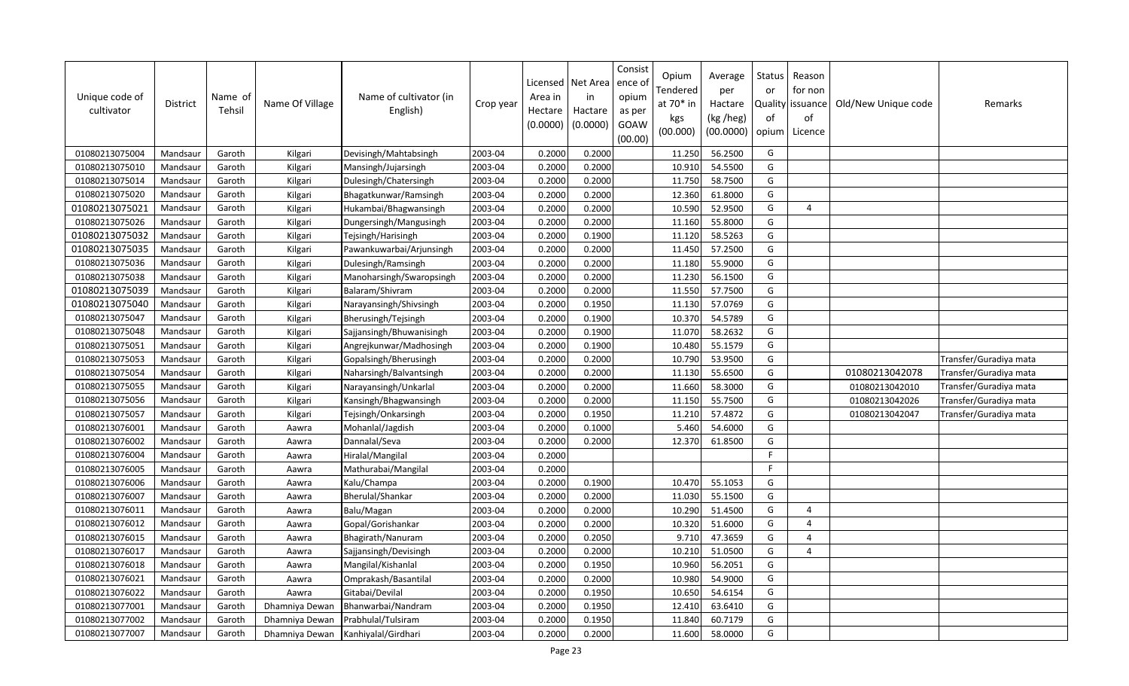| Unique code of<br>cultivator | <b>District</b> | Name of<br>Tehsil | Name Of Village | Name of cultivator (in<br>English) | Crop year | Licensed<br>Area in<br>Hectare<br>(0.0000) | Net Area<br>in<br>Hactare<br>(0.0000) | Consist<br>ence ol<br>opium<br>as per<br>GOAW<br>(00.00) | Opium<br>Tendered<br>at 70* in<br>kgs<br>(00.000) | Average<br>per<br>Hactare<br>(kg /heg)<br>(00.0000) | Status<br>or<br>of<br>opium | Reason<br>for non<br>Quality   issuance<br>of<br>Licence | Old/New Unique code | Remarks                |
|------------------------------|-----------------|-------------------|-----------------|------------------------------------|-----------|--------------------------------------------|---------------------------------------|----------------------------------------------------------|---------------------------------------------------|-----------------------------------------------------|-----------------------------|----------------------------------------------------------|---------------------|------------------------|
| 01080213075004               | Mandsaur        | Garoth            | Kilgari         | Devisingh/Mahtabsingh              | 2003-04   | 0.2000                                     | 0.2000                                |                                                          | 11.250                                            | 56.2500                                             | G                           |                                                          |                     |                        |
| 01080213075010               | Mandsaur        | Garoth            | Kilgari         | Mansingh/Jujarsingh                | 2003-04   | 0.2000                                     | 0.2000                                |                                                          | 10.910                                            | 54.5500                                             | G                           |                                                          |                     |                        |
| 01080213075014               | Mandsaur        | Garoth            | Kilgari         | Dulesingh/Chatersingh              | 2003-04   | 0.2000                                     | 0.2000                                |                                                          | 11.750                                            | 58.7500                                             | G                           |                                                          |                     |                        |
| 01080213075020               | Mandsaur        | Garoth            | Kilgari         | Bhagatkunwar/Ramsingh              | 2003-04   | 0.2000                                     | 0.2000                                |                                                          | 12.360                                            | 61.8000                                             | G                           |                                                          |                     |                        |
| 01080213075021               | Mandsaur        | Garoth            | Kilgari         | Hukambai/Bhagwansingh              | 2003-04   | 0.2000                                     | 0.2000                                |                                                          | 10.590                                            | 52.9500                                             | G                           | 4                                                        |                     |                        |
| 01080213075026               | Mandsaur        | Garoth            | Kilgari         | Dungersingh/Mangusingh             | 2003-04   | 0.2000                                     | 0.2000                                |                                                          | 11.160                                            | 55.8000                                             | G                           |                                                          |                     |                        |
| 01080213075032               | Mandsaur        | Garoth            | Kilgari         | Tejsingh/Harisingh                 | 2003-04   | 0.2000                                     | 0.1900                                |                                                          | 11.120                                            | 58.5263                                             | G                           |                                                          |                     |                        |
| 01080213075035               | Mandsaur        | Garoth            | Kilgari         | Pawankuwarbai/Arjunsingh           | 2003-04   | 0.2000                                     | 0.2000                                |                                                          | 11.450                                            | 57.2500                                             | G                           |                                                          |                     |                        |
| 01080213075036               | Mandsaur        | Garoth            | Kilgari         | Dulesingh/Ramsingh                 | 2003-04   | 0.2000                                     | 0.2000                                |                                                          | 11.180                                            | 55.9000                                             | G                           |                                                          |                     |                        |
| 01080213075038               | Mandsaur        | Garoth            | Kilgari         | Manoharsingh/Swaropsingh           | 2003-04   | 0.2000                                     | 0.2000                                |                                                          | 11.230                                            | 56.1500                                             | G                           |                                                          |                     |                        |
| 01080213075039               | Mandsaur        | Garoth            | Kilgari         | Balaram/Shivram                    | 2003-04   | 0.2000                                     | 0.2000                                |                                                          | 11.550                                            | 57.7500                                             | G                           |                                                          |                     |                        |
| 01080213075040               | Mandsaur        | Garoth            | Kilgari         | Narayansingh/Shivsingh             | 2003-04   | 0.2000                                     | 0.1950                                |                                                          | 11.130                                            | 57.0769                                             | G                           |                                                          |                     |                        |
| 01080213075047               | Mandsaur        | Garoth            | Kilgari         | Bherusingh/Tejsingh                | 2003-04   | 0.2000                                     | 0.1900                                |                                                          | 10.370                                            | 54.5789                                             | G                           |                                                          |                     |                        |
| 01080213075048               | Mandsaur        | Garoth            | Kilgari         | Sajjansingh/Bhuwanisingh           | 2003-04   | 0.2000                                     | 0.1900                                |                                                          | 11.070                                            | 58.2632                                             | G                           |                                                          |                     |                        |
| 01080213075051               | Mandsaur        | Garoth            | Kilgari         | Angrejkunwar/Madhosingh            | 2003-04   | 0.2000                                     | 0.1900                                |                                                          | 10.480                                            | 55.1579                                             | G                           |                                                          |                     |                        |
| 01080213075053               | Mandsaur        | Garoth            | Kilgari         | Gopalsingh/Bherusingh              | 2003-04   | 0.2000                                     | 0.2000                                |                                                          | 10.790                                            | 53.9500                                             | G                           |                                                          |                     | Transfer/Guradiya mata |
| 01080213075054               | Mandsaur        | Garoth            | Kilgari         | Naharsingh/Balvantsingh            | 2003-04   | 0.2000                                     | 0.2000                                |                                                          | 11.130                                            | 55.6500                                             | G                           |                                                          | 01080213042078      | Transfer/Guradiya mata |
| 01080213075055               | Mandsaur        | Garoth            | Kilgari         | Narayansingh/Unkarlal              | 2003-04   | 0.2000                                     | 0.2000                                |                                                          | 11.660                                            | 58.3000                                             | G                           |                                                          | 01080213042010      | Transfer/Guradiya mata |
| 01080213075056               | Mandsaur        | Garoth            | Kilgari         | Kansingh/Bhagwansingh              | 2003-04   | 0.2000                                     | 0.2000                                |                                                          | 11.150                                            | 55.7500                                             | G                           |                                                          | 01080213042026      | Transfer/Guradiya mata |
| 01080213075057               | Mandsaur        | Garoth            | Kilgari         | Tejsingh/Onkarsingh                | 2003-04   | 0.2000                                     | 0.1950                                |                                                          | 11.210                                            | 57.4872                                             | G                           |                                                          | 01080213042047      | Transfer/Guradiya mata |
| 01080213076001               | Mandsaur        | Garoth            | Aawra           | Mohanlal/Jagdish                   | 2003-04   | 0.2000                                     | 0.1000                                |                                                          | 5.460                                             | 54.6000                                             | G                           |                                                          |                     |                        |
| 01080213076002               | Mandsaur        | Garoth            | Aawra           | Dannalal/Seva                      | 2003-04   | 0.2000                                     | 0.2000                                |                                                          | 12.370                                            | 61.8500                                             | G                           |                                                          |                     |                        |
| 01080213076004               | Mandsaur        | Garoth            | Aawra           | Hiralal/Mangilal                   | 2003-04   | 0.2000                                     |                                       |                                                          |                                                   |                                                     | $\mathsf{F}$                |                                                          |                     |                        |
| 01080213076005               | Mandsaur        | Garoth            | Aawra           | Mathurabai/Mangilal                | 2003-04   | 0.2000                                     |                                       |                                                          |                                                   |                                                     | $\mathsf{F}$                |                                                          |                     |                        |
| 01080213076006               | Mandsaur        | Garoth            | Aawra           | Kalu/Champa                        | 2003-04   | 0.2000                                     | 0.1900                                |                                                          | 10.470                                            | 55.1053                                             | G                           |                                                          |                     |                        |
| 01080213076007               | Mandsaur        | Garoth            | Aawra           | Bherulal/Shankar                   | 2003-04   | 0.2000                                     | 0.2000                                |                                                          | 11.030                                            | 55.1500                                             | G                           |                                                          |                     |                        |
| 01080213076011               | Mandsaur        | Garoth            | Aawra           | Balu/Magan                         | 2003-04   | 0.2000                                     | 0.2000                                |                                                          | 10.290                                            | 51.4500                                             | G                           | $\Delta$                                                 |                     |                        |
| 01080213076012               | Mandsaur        | Garoth            | Aawra           | Gopal/Gorishankar                  | 2003-04   | 0.2000                                     | 0.2000                                |                                                          | 10.320                                            | 51.6000                                             | G                           | $\overline{a}$                                           |                     |                        |
| 01080213076015               | Mandsaur        | Garoth            | Aawra           | Bhagirath/Nanuram                  | 2003-04   | 0.2000                                     | 0.2050                                |                                                          | 9.710                                             | 47.3659                                             | G                           | $\overline{4}$                                           |                     |                        |
| 01080213076017               | Mandsaur        | Garoth            | Aawra           | Sajjansingh/Devisingh              | 2003-04   | 0.2000                                     | 0.2000                                |                                                          | 10.210                                            | 51.0500                                             | G                           | 4                                                        |                     |                        |
| 01080213076018               | Mandsaur        | Garoth            | Aawra           | Mangilal/Kishanlal                 | 2003-04   | 0.2000                                     | 0.1950                                |                                                          | 10.960                                            | 56.2051                                             | G                           |                                                          |                     |                        |
| 01080213076021               | Mandsaur        | Garoth            | Aawra           | Omprakash/Basantilal               | 2003-04   | 0.2000                                     | 0.2000                                |                                                          | 10.980                                            | 54.9000                                             | G                           |                                                          |                     |                        |
| 01080213076022               | Mandsaur        | Garoth            | Aawra           | Gitabai/Devilal                    | 2003-04   | 0.2000                                     | 0.1950                                |                                                          | 10.650                                            | 54.6154                                             | G                           |                                                          |                     |                        |
| 01080213077001               | Mandsaur        | Garoth            | Dhamniya Dewan  | Bhanwarbai/Nandram                 | 2003-04   | 0.2000                                     | 0.1950                                |                                                          | 12.410                                            | 63.6410                                             | G                           |                                                          |                     |                        |
| 01080213077002               | Mandsaur        | Garoth            | Dhamniya Dewan  | Prabhulal/Tulsiram                 | 2003-04   | 0.2000                                     | 0.1950                                |                                                          | 11.840                                            | 60.7179                                             | G                           |                                                          |                     |                        |
| 01080213077007               | Mandsaur        | Garoth            | Dhamniya Dewan  | Kanhiyalal/Girdhari                | 2003-04   | 0.2000                                     | 0.2000                                |                                                          | 11.600                                            | 58.0000                                             | G                           |                                                          |                     |                        |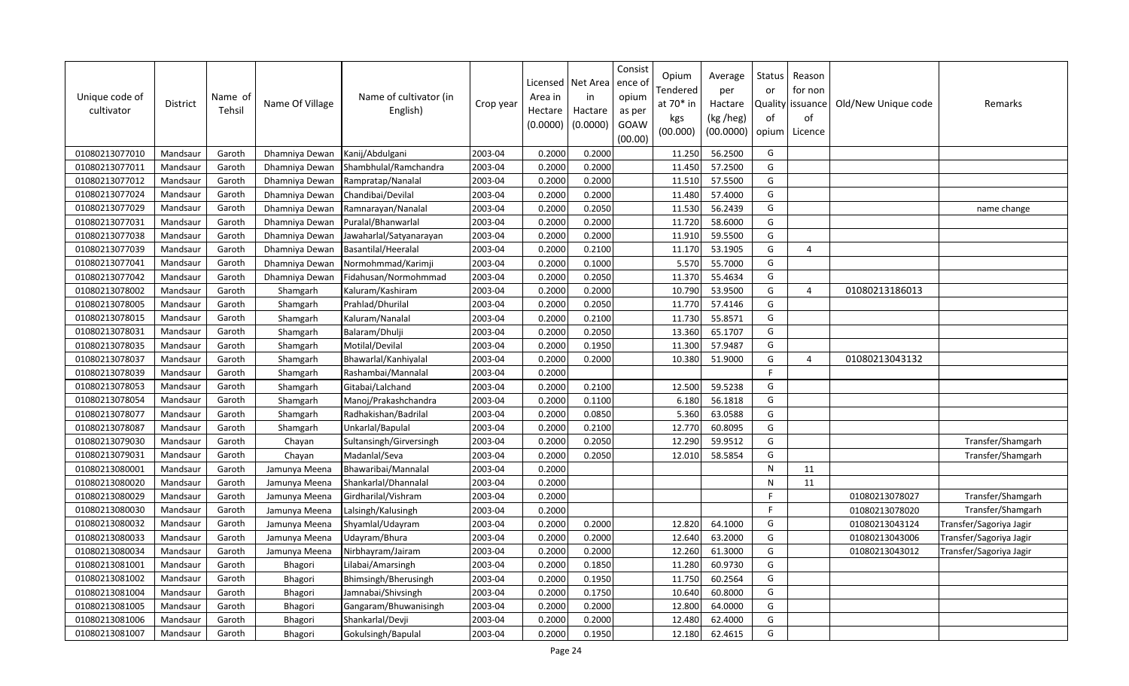| Unique code of<br>cultivator | District | Name of<br>Tehsil | Name Of Village | Name of cultivator (in<br>English) | Crop year | Licensed<br>Area in<br>Hectare<br>(0.0000) | Net Area<br>in<br>Hactare<br>(0.0000) | Consist<br>ence of<br>opium<br>as per<br>GOAW<br>(00.00) | Opium<br>Tendered<br>at 70* in<br>kgs<br>(00.000) | Average<br>per<br>Hactare<br>(kg /heg)<br>(00.0000) | Status<br>or<br>Quality<br>of<br>opium | Reason<br>for non<br>issuance<br>of<br>Licence | Old/New Unique code | Remarks                 |
|------------------------------|----------|-------------------|-----------------|------------------------------------|-----------|--------------------------------------------|---------------------------------------|----------------------------------------------------------|---------------------------------------------------|-----------------------------------------------------|----------------------------------------|------------------------------------------------|---------------------|-------------------------|
| 01080213077010               | Mandsaur | Garoth            | Dhamniya Dewan  | Kanij/Abdulgani                    | 2003-04   | 0.2000                                     | 0.2000                                |                                                          | 11.250                                            | 56.2500                                             | G                                      |                                                |                     |                         |
| 01080213077011               | Mandsaur | Garoth            | Dhamniya Dewan  | Shambhulal/Ramchandra              | 2003-04   | 0.2000                                     | 0.2000                                |                                                          | 11.450                                            | 57.2500                                             | G                                      |                                                |                     |                         |
| 01080213077012               | Mandsaur | Garoth            | Dhamniya Dewan  | Rampratap/Nanalal                  | 2003-04   | 0.2000                                     | 0.2000                                |                                                          | 11.510                                            | 57.5500                                             | G                                      |                                                |                     |                         |
| 01080213077024               | Mandsaur | Garoth            | Dhamniya Dewan  | Chandibai/Devilal                  | 2003-04   | 0.2000                                     | 0.2000                                |                                                          | 11.480                                            | 57.4000                                             | G                                      |                                                |                     |                         |
| 01080213077029               | Mandsaur | Garoth            | Dhamniya Dewan  | Ramnarayan/Nanalal                 | 2003-04   | 0.2000                                     | 0.2050                                |                                                          | 11.530                                            | 56.2439                                             | G                                      |                                                |                     | name change             |
| 01080213077031               | Mandsaur | Garoth            | Dhamniya Dewan  | Puralal/Bhanwarlal                 | 2003-04   | 0.2000                                     | 0.2000                                |                                                          | 11.720                                            | 58.6000                                             | G                                      |                                                |                     |                         |
| 01080213077038               | Mandsaur | Garoth            | Dhamniya Dewan  | Jawaharlal/Satyanarayan            | 2003-04   | 0.2000                                     | 0.2000                                |                                                          | 11.910                                            | 59.5500                                             | G                                      |                                                |                     |                         |
| 01080213077039               | Mandsaur | Garoth            | Dhamniya Dewan  | Basantilal/Heeralal                | 2003-04   | 0.2000                                     | 0.2100                                |                                                          | 11.170                                            | 53.1905                                             | G                                      | $\overline{4}$                                 |                     |                         |
| 01080213077041               | Mandsaur | Garoth            | Dhamniya Dewan  | Normohmmad/Karimji                 | 2003-04   | 0.2000                                     | 0.1000                                |                                                          | 5.570                                             | 55.7000                                             | G                                      |                                                |                     |                         |
| 01080213077042               | Mandsaur | Garoth            | Dhamniya Dewan  | Fidahusan/Normohmmad               | 2003-04   | 0.2000                                     | 0.2050                                |                                                          | 11.370                                            | 55.4634                                             | G                                      |                                                |                     |                         |
| 01080213078002               | Mandsaur | Garoth            | Shamgarh        | Kaluram/Kashiram                   | 2003-04   | 0.2000                                     | 0.2000                                |                                                          | 10.790                                            | 53.9500                                             | G                                      | $\overline{4}$                                 | 01080213186013      |                         |
| 01080213078005               | Mandsaur | Garoth            | Shamgarh        | Prahlad/Dhurilal                   | 2003-04   | 0.2000                                     | 0.2050                                |                                                          | 11.770                                            | 57.4146                                             | G                                      |                                                |                     |                         |
| 01080213078015               | Mandsaur | Garoth            | Shamgarh        | Kaluram/Nanalal                    | 2003-04   | 0.2000                                     | 0.2100                                |                                                          | 11.730                                            | 55.8571                                             | G                                      |                                                |                     |                         |
| 01080213078031               | Mandsaur | Garoth            | Shamgarh        | Balaram/Dhulji                     | 2003-04   | 0.2000                                     | 0.2050                                |                                                          | 13.360                                            | 65.1707                                             | G                                      |                                                |                     |                         |
| 01080213078035               | Mandsaur | Garoth            | Shamgarh        | Motilal/Devilal                    | 2003-04   | 0.2000                                     | 0.1950                                |                                                          | 11.300                                            | 57.9487                                             | G                                      |                                                |                     |                         |
| 01080213078037               | Mandsaur | Garoth            | Shamgarh        | Bhawarlal/Kanhiyalal               | 2003-04   | 0.2000                                     | 0.2000                                |                                                          | 10.380                                            | 51.9000                                             | G                                      | $\overline{4}$                                 | 01080213043132      |                         |
| 01080213078039               | Mandsaur | Garoth            | Shamgarh        | Rashambai/Mannalal                 | 2003-04   | 0.2000                                     |                                       |                                                          |                                                   |                                                     | F                                      |                                                |                     |                         |
| 01080213078053               | Mandsaur | Garoth            | Shamgarh        | Gitabai/Lalchand                   | 2003-04   | 0.2000                                     | 0.2100                                |                                                          | 12.500                                            | 59.5238                                             | G                                      |                                                |                     |                         |
| 01080213078054               | Mandsaur | Garoth            | Shamgarh        | Manoj/Prakashchandra               | 2003-04   | 0.2000                                     | 0.1100                                |                                                          | 6.180                                             | 56.1818                                             | G                                      |                                                |                     |                         |
| 01080213078077               | Mandsaur | Garoth            | Shamgarh        | Radhakishan/Badrilal               | 2003-04   | 0.2000                                     | 0.0850                                |                                                          | 5.360                                             | 63.0588                                             | G                                      |                                                |                     |                         |
| 01080213078087               | Mandsaur | Garoth            | Shamgarh        | Unkarlal/Bapulal                   | 2003-04   | 0.2000                                     | 0.2100                                |                                                          | 12.770                                            | 60.8095                                             | G                                      |                                                |                     |                         |
| 01080213079030               | Mandsaur | Garoth            | Chayan          | Sultansingh/Girversingh            | 2003-04   | 0.2000                                     | 0.2050                                |                                                          | 12.290                                            | 59.9512                                             | G                                      |                                                |                     | Transfer/Shamgarh       |
| 01080213079031               | Mandsaur | Garoth            | Chayan          | Madanlal/Seva                      | 2003-04   | 0.2000                                     | 0.2050                                |                                                          | 12.010                                            | 58.5854                                             | G                                      |                                                |                     | Transfer/Shamgarh       |
| 01080213080001               | Mandsaur | Garoth            | Jamunya Meena   | Bhawaribai/Mannalal                | 2003-04   | 0.2000                                     |                                       |                                                          |                                                   |                                                     | N                                      | 11                                             |                     |                         |
| 01080213080020               | Mandsaur | Garoth            | Jamunya Meena   | Shankarlal/Dhannalal               | 2003-04   | 0.2000                                     |                                       |                                                          |                                                   |                                                     | N                                      | 11                                             |                     |                         |
| 01080213080029               | Mandsaur | Garoth            | Jamunya Meena   | Girdharilal/Vishram                | 2003-04   | 0.2000                                     |                                       |                                                          |                                                   |                                                     | F                                      |                                                | 01080213078027      | Transfer/Shamgarh       |
| 01080213080030               | Mandsaur | Garoth            | Jamunya Meena   | Lalsingh/Kalusingh                 | 2003-04   | 0.2000                                     |                                       |                                                          |                                                   |                                                     | $\mathsf{F}$                           |                                                | 01080213078020      | Transfer/Shamgarh       |
| 01080213080032               | Mandsaur | Garoth            | Jamunya Meena   | Shyamlal/Udayram                   | 2003-04   | 0.2000                                     | 0.2000                                |                                                          | 12.820                                            | 64.1000                                             | G                                      |                                                | 01080213043124      | Transfer/Sagoriya Jagir |
| 01080213080033               | Mandsaur | Garoth            | Jamunya Meena   | Udayram/Bhura                      | 2003-04   | 0.2000                                     | 0.2000                                |                                                          | 12.640                                            | 63.2000                                             | G                                      |                                                | 01080213043006      | Transfer/Sagoriya Jagir |
| 01080213080034               | Mandsaur | Garoth            | Jamunya Meena   | Nirbhayram/Jairam                  | 2003-04   | 0.2000                                     | 0.2000                                |                                                          | 12.260                                            | 61.3000                                             | G                                      |                                                | 01080213043012      | Transfer/Sagoriya Jagir |
| 01080213081001               | Mandsaur | Garoth            | Bhagori         | Lilabai/Amarsingh                  | 2003-04   | 0.2000                                     | 0.1850                                |                                                          | 11.280                                            | 60.9730                                             | G                                      |                                                |                     |                         |
| 01080213081002               | Mandsaur | Garoth            | Bhagori         | Bhimsingh/Bherusingh               | 2003-04   | 0.2000                                     | 0.1950                                |                                                          | 11.750                                            | 60.2564                                             | G                                      |                                                |                     |                         |
| 01080213081004               | Mandsaur | Garoth            | Bhagori         | Jamnabai/Shivsingh                 | 2003-04   | 0.2000                                     | 0.1750                                |                                                          | 10.640                                            | 60.8000                                             | G                                      |                                                |                     |                         |
| 01080213081005               | Mandsaur | Garoth            | Bhagori         | Gangaram/Bhuwanisingh              | 2003-04   | 0.2000                                     | 0.2000                                |                                                          | 12.800                                            | 64.0000                                             | G                                      |                                                |                     |                         |
| 01080213081006               | Mandsaur | Garoth            | Bhagori         | Shankarlal/Devji                   | 2003-04   | 0.2000                                     | 0.2000                                |                                                          | 12.480                                            | 62.4000                                             | G                                      |                                                |                     |                         |
| 01080213081007               | Mandsaur | Garoth            | Bhagori         | Gokulsingh/Bapulal                 | 2003-04   | 0.2000                                     | 0.1950                                |                                                          | 12.180                                            | 62.4615                                             | G                                      |                                                |                     |                         |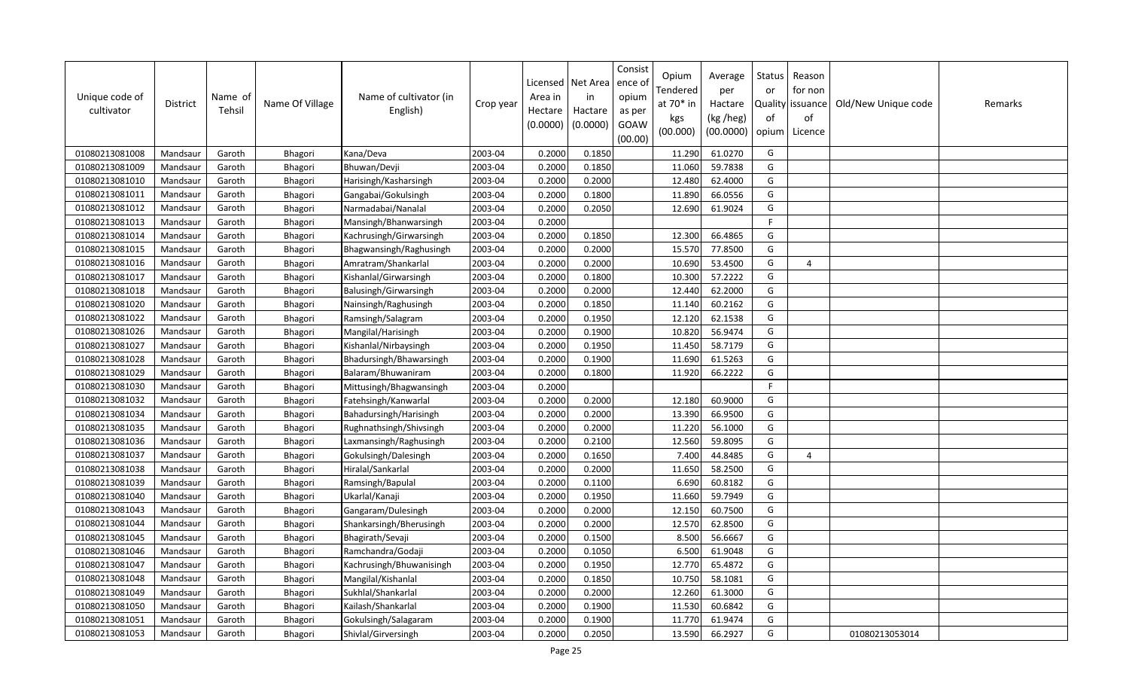| Unique code of<br>cultivator | <b>District</b> | Name of<br>Tehsil | Name Of Village | Name of cultivator (in<br>English) | Crop year | Licensed<br>Area in<br>Hectare<br>(0.0000) | Net Area<br>in<br>Hactare<br>(0.0000) | Consist<br>ence ol<br>opium<br>as per<br>GOAW<br>(00.00) | Opium<br>Tendered<br>at 70* in<br>kgs<br>(00.000) | Average<br>per<br>Hactare<br>(kg /heg)<br>(00.0000) | Status<br>or<br>of<br>opium | Reason<br>for non<br>Quality issuance<br>of<br>Licence | Old/New Unique code | Remarks |
|------------------------------|-----------------|-------------------|-----------------|------------------------------------|-----------|--------------------------------------------|---------------------------------------|----------------------------------------------------------|---------------------------------------------------|-----------------------------------------------------|-----------------------------|--------------------------------------------------------|---------------------|---------|
| 01080213081008               | Mandsaur        | Garoth            | Bhagori         | Kana/Deva                          | 2003-04   | 0.2000                                     | 0.1850                                |                                                          | 11.290                                            | 61.0270                                             | G                           |                                                        |                     |         |
| 01080213081009               | Mandsaur        | Garoth            | Bhagori         | Bhuwan/Devji                       | 2003-04   | 0.2000                                     | 0.1850                                |                                                          | 11.060                                            | 59.7838                                             | G                           |                                                        |                     |         |
| 01080213081010               | Mandsaur        | Garoth            | Bhagori         | Harisingh/Kasharsingh              | 2003-04   | 0.2000                                     | 0.2000                                |                                                          | 12.480                                            | 62.4000                                             | G                           |                                                        |                     |         |
| 01080213081011               | Mandsaur        | Garoth            | Bhagori         | Gangabai/Gokulsingh                | 2003-04   | 0.2000                                     | 0.1800                                |                                                          | 11.890                                            | 66.0556                                             | G                           |                                                        |                     |         |
| 01080213081012               | Mandsaur        | Garoth            | Bhagori         | Narmadabai/Nanalal                 | 2003-04   | 0.2000                                     | 0.2050                                |                                                          | 12.690                                            | 61.9024                                             | G                           |                                                        |                     |         |
| 01080213081013               | Mandsaur        | Garoth            | Bhagori         | Mansingh/Bhanwarsingh              | 2003-04   | 0.2000                                     |                                       |                                                          |                                                   |                                                     | $\mathsf{F}$                |                                                        |                     |         |
| 01080213081014               | Mandsaur        | Garoth            | Bhagori         | Kachrusingh/Girwarsingh            | 2003-04   | 0.2000                                     | 0.1850                                |                                                          | 12.300                                            | 66.4865                                             | G                           |                                                        |                     |         |
| 01080213081015               | Mandsaur        | Garoth            | Bhagori         | Bhagwansingh/Raghusingh            | 2003-04   | 0.2000                                     | 0.2000                                |                                                          | 15.570                                            | 77.8500                                             | G                           |                                                        |                     |         |
| 01080213081016               | Mandsaur        | Garoth            | Bhagori         | Amratram/Shankarlal                | 2003-04   | 0.2000                                     | 0.2000                                |                                                          | 10.690                                            | 53.4500                                             | G                           | 4                                                      |                     |         |
| 01080213081017               | Mandsaur        | Garoth            | Bhagori         | Kishanlal/Girwarsingh              | 2003-04   | 0.2000                                     | 0.1800                                |                                                          | 10.300                                            | 57.2222                                             | G                           |                                                        |                     |         |
| 01080213081018               | Mandsaur        | Garoth            | Bhagori         | Balusingh/Girwarsingh              | 2003-04   | 0.2000                                     | 0.2000                                |                                                          | 12.440                                            | 62.2000                                             | G                           |                                                        |                     |         |
| 01080213081020               | Mandsaur        | Garoth            | Bhagori         | Nainsingh/Raghusingh               | 2003-04   | 0.2000                                     | 0.1850                                |                                                          | 11.140                                            | 60.2162                                             | G                           |                                                        |                     |         |
| 01080213081022               | Mandsaur        | Garoth            | Bhagori         | Ramsingh/Salagram                  | 2003-04   | 0.2000                                     | 0.1950                                |                                                          | 12.120                                            | 62.1538                                             | G                           |                                                        |                     |         |
| 01080213081026               | Mandsaur        | Garoth            | Bhagori         | Mangilal/Harisingh                 | 2003-04   | 0.2000                                     | 0.1900                                |                                                          | 10.820                                            | 56.9474                                             | G                           |                                                        |                     |         |
| 01080213081027               | Mandsaur        | Garoth            | Bhagori         | Kishanlal/Nirbaysingh              | 2003-04   | 0.2000                                     | 0.1950                                |                                                          | 11.450                                            | 58.7179                                             | G                           |                                                        |                     |         |
| 01080213081028               | Mandsaur        | Garoth            | Bhagori         | Bhadursingh/Bhawarsingh            | 2003-04   | 0.2000                                     | 0.1900                                |                                                          | 11.690                                            | 61.5263                                             | G                           |                                                        |                     |         |
| 01080213081029               | Mandsaur        | Garoth            | Bhagori         | Balaram/Bhuwaniram                 | 2003-04   | 0.2000                                     | 0.1800                                |                                                          | 11.920                                            | 66.2222                                             | G                           |                                                        |                     |         |
| 01080213081030               | Mandsaur        | Garoth            | Bhagori         | Mittusingh/Bhagwansingh            | 2003-04   | 0.2000                                     |                                       |                                                          |                                                   |                                                     | F.                          |                                                        |                     |         |
| 01080213081032               | Mandsaur        | Garoth            | Bhagori         | Fatehsingh/Kanwarlal               | 2003-04   | 0.2000                                     | 0.2000                                |                                                          | 12.180                                            | 60.9000                                             | G                           |                                                        |                     |         |
| 01080213081034               | Mandsaur        | Garoth            | Bhagori         | Bahadursingh/Harisingh             | 2003-04   | 0.2000                                     | 0.2000                                |                                                          | 13.390                                            | 66.9500                                             | G                           |                                                        |                     |         |
| 01080213081035               | Mandsaur        | Garoth            | Bhagori         | Rughnathsingh/Shivsingh            | 2003-04   | 0.2000                                     | 0.2000                                |                                                          | 11.220                                            | 56.1000                                             | G                           |                                                        |                     |         |
| 01080213081036               | Mandsaur        | Garoth            | Bhagori         | Laxmansingh/Raghusingh             | 2003-04   | 0.2000                                     | 0.2100                                |                                                          | 12.560                                            | 59.8095                                             | G                           |                                                        |                     |         |
| 01080213081037               | Mandsaur        | Garoth            | Bhagori         | Gokulsingh/Dalesingh               | 2003-04   | 0.2000                                     | 0.1650                                |                                                          | 7.400                                             | 44.8485                                             | G                           | 4                                                      |                     |         |
| 01080213081038               | Mandsaur        | Garoth            | Bhagori         | Hiralal/Sankarlal                  | 2003-04   | 0.2000                                     | 0.2000                                |                                                          | 11.650                                            | 58.2500                                             | G                           |                                                        |                     |         |
| 01080213081039               | Mandsaur        | Garoth            | Bhagori         | Ramsingh/Bapulal                   | 2003-04   | 0.2000                                     | 0.1100                                |                                                          | 6.690                                             | 60.8182                                             | G                           |                                                        |                     |         |
| 01080213081040               | Mandsaur        | Garoth            | Bhagori         | Ukarlal/Kanaji                     | 2003-04   | 0.2000                                     | 0.1950                                |                                                          | 11.660                                            | 59.7949                                             | G                           |                                                        |                     |         |
| 01080213081043               | Mandsaur        | Garoth            | Bhagori         | Gangaram/Dulesingh                 | 2003-04   | 0.2000                                     | 0.2000                                |                                                          | 12.150                                            | 60.7500                                             | G                           |                                                        |                     |         |
| 01080213081044               | Mandsaur        | Garoth            | Bhagori         | Shankarsingh/Bherusingh            | 2003-04   | 0.2000                                     | 0.2000                                |                                                          | 12.570                                            | 62.8500                                             | G                           |                                                        |                     |         |
| 01080213081045               | Mandsaur        | Garoth            | Bhagori         | Bhagirath/Sevaji                   | 2003-04   | 0.2000                                     | 0.1500                                |                                                          | 8.500                                             | 56.6667                                             | G                           |                                                        |                     |         |
| 01080213081046               | Mandsaur        | Garoth            | Bhagori         | Ramchandra/Godaji                  | 2003-04   | 0.2000                                     | 0.1050                                |                                                          | 6.500                                             | 61.9048                                             | G                           |                                                        |                     |         |
| 01080213081047               | Mandsaur        | Garoth            | Bhagori         | Kachrusingh/Bhuwanisingh           | 2003-04   | 0.2000                                     | 0.1950                                |                                                          | 12.770                                            | 65.4872                                             | G                           |                                                        |                     |         |
| 01080213081048               | Mandsaur        | Garoth            | Bhagori         | Mangilal/Kishanlal                 | 2003-04   | 0.2000                                     | 0.1850                                |                                                          | 10.750                                            | 58.1081                                             | G                           |                                                        |                     |         |
| 01080213081049               | Mandsaur        | Garoth            | Bhagori         | Sukhlal/Shankarlal                 | 2003-04   | 0.2000                                     | 0.2000                                |                                                          | 12.260                                            | 61.3000                                             | G                           |                                                        |                     |         |
| 01080213081050               | Mandsaur        | Garoth            | Bhagori         | Kailash/Shankarlal                 | 2003-04   | 0.2000                                     | 0.1900                                |                                                          | 11.530                                            | 60.6842                                             | G                           |                                                        |                     |         |
| 01080213081051               | Mandsaur        | Garoth            | Bhagori         | Gokulsingh/Salagaram               | 2003-04   | 0.2000                                     | 0.1900                                |                                                          | 11.770                                            | 61.9474                                             | G                           |                                                        |                     |         |
| 01080213081053               | Mandsaur        | Garoth            | Bhagori         | Shivlal/Girversingh                | 2003-04   | 0.2000                                     | 0.2050                                |                                                          | 13.590                                            | 66.2927                                             | G                           |                                                        | 01080213053014      |         |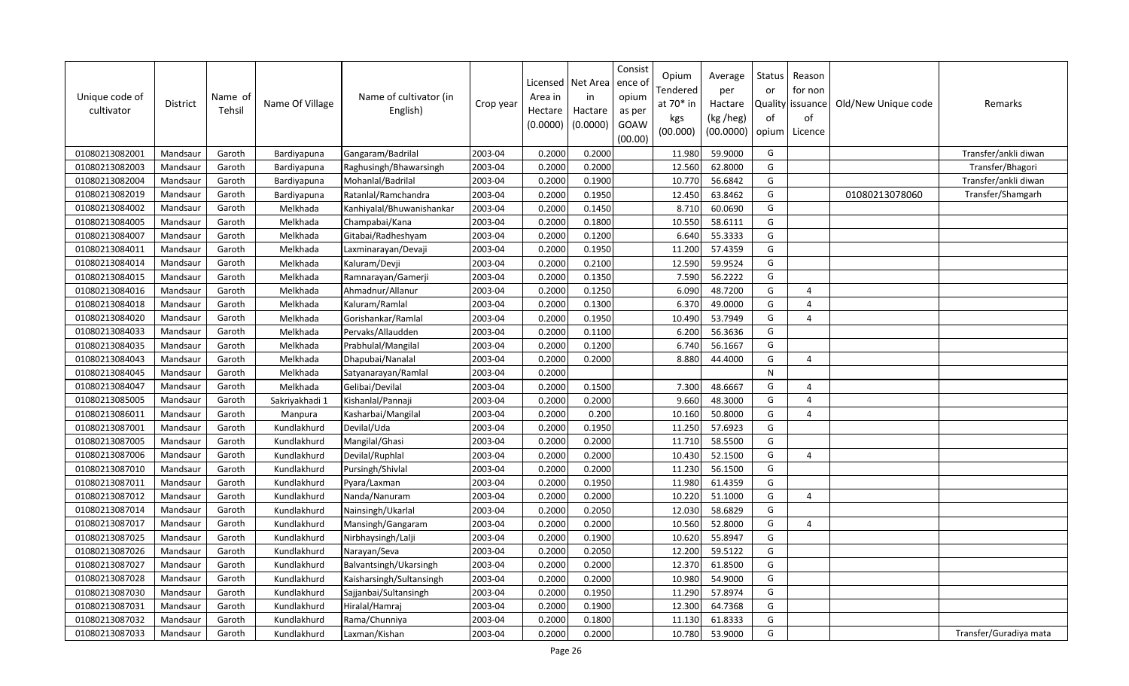| Unique code of<br>cultivator | District | Name of<br>Tehsil | Name Of Village | Name of cultivator (in<br>English) | Crop year | Area in<br>Hectare<br>(0.0000) | Licensed   Net Area<br>in<br>Hactare<br>(0.0000) | Consist<br>ence o<br>opium<br>as per<br>GOAW<br>(00.00) | Opium<br>Tendered<br>at 70* in<br>kgs<br>(00.000) | Average<br>per<br>Hactare<br>(kg /heg)<br>(00.0000) | Status<br>or<br>of<br>opium | Reason<br>for non<br>Quality issuance<br>οf<br>Licence | Old/New Unique code | Remarks                |
|------------------------------|----------|-------------------|-----------------|------------------------------------|-----------|--------------------------------|--------------------------------------------------|---------------------------------------------------------|---------------------------------------------------|-----------------------------------------------------|-----------------------------|--------------------------------------------------------|---------------------|------------------------|
| 01080213082001               | Mandsaur | Garoth            | Bardiyapuna     | Gangaram/Badrilal                  | 2003-04   | 0.2000                         | 0.2000                                           |                                                         | 11.980                                            | 59.9000                                             | G                           |                                                        |                     | Transfer/ankli diwan   |
| 01080213082003               | Mandsaur | Garoth            | Bardiyapuna     | Raghusingh/Bhawarsingh             | 2003-04   | 0.2000                         | 0.2000                                           |                                                         | 12.560                                            | 62.8000                                             | G                           |                                                        |                     | Transfer/Bhagori       |
| 01080213082004               | Mandsaur | Garoth            | Bardiyapuna     | Mohanlal/Badrilal                  | 2003-04   | 0.2000                         | 0.1900                                           |                                                         | 10.770                                            | 56.6842                                             | G                           |                                                        |                     | Transfer/ankli diwan   |
| 01080213082019               | Mandsaur | Garoth            | Bardiyapuna     | Ratanlal/Ramchandra                | 2003-04   | 0.2000                         | 0.1950                                           |                                                         | 12.450                                            | 63.8462                                             | G                           |                                                        | 01080213078060      | Transfer/Shamgarh      |
| 01080213084002               | Mandsaur | Garoth            | Melkhada        | Kanhiyalal/Bhuwanishankar          | 2003-04   | 0.2000                         | 0.1450                                           |                                                         | 8.710                                             | 60.0690                                             | G                           |                                                        |                     |                        |
| 01080213084005               | Mandsaur | Garoth            | Melkhada        | Champabai/Kana                     | 2003-04   | 0.2000                         | 0.1800                                           |                                                         | 10.550                                            | 58.6111                                             | G                           |                                                        |                     |                        |
| 01080213084007               | Mandsaur | Garoth            | Melkhada        | Gitabai/Radheshyam                 | 2003-04   | 0.2000                         | 0.1200                                           |                                                         | 6.640                                             | 55.3333                                             | G                           |                                                        |                     |                        |
| 01080213084011               | Mandsaur | Garoth            | Melkhada        | Laxminarayan/Devaji                | 2003-04   | 0.2000                         | 0.1950                                           |                                                         | 11.200                                            | 57.4359                                             | G                           |                                                        |                     |                        |
| 01080213084014               | Mandsaur | Garoth            | Melkhada        | Kaluram/Devji                      | 2003-04   | 0.2000                         | 0.2100                                           |                                                         | 12.590                                            | 59.9524                                             | G                           |                                                        |                     |                        |
| 01080213084015               | Mandsaur | Garoth            | Melkhada        | Ramnarayan/Gamerji                 | 2003-04   | 0.2000                         | 0.1350                                           |                                                         | 7.590                                             | 56.2222                                             | G                           |                                                        |                     |                        |
| 01080213084016               | Mandsaur | Garoth            | Melkhada        | Ahmadnur/Allanur                   | 2003-04   | 0.2000                         | 0.1250                                           |                                                         | 6.090                                             | 48.7200                                             | G                           | $\overline{4}$                                         |                     |                        |
| 01080213084018               | Mandsaur | Garoth            | Melkhada        | Kaluram/Ramlal                     | 2003-04   | 0.2000                         | 0.1300                                           |                                                         | 6.370                                             | 49.0000                                             | G                           | $\overline{4}$                                         |                     |                        |
| 01080213084020               | Mandsaur | Garoth            | Melkhada        | Gorishankar/Ramlal                 | 2003-04   | 0.2000                         | 0.1950                                           |                                                         | 10.490                                            | 53.7949                                             | G                           | $\overline{4}$                                         |                     |                        |
| 01080213084033               | Mandsaur | Garoth            | Melkhada        | Pervaks/Allaudden                  | 2003-04   | 0.2000                         | 0.1100                                           |                                                         | 6.200                                             | 56.3636                                             | G                           |                                                        |                     |                        |
| 01080213084035               | Mandsaur | Garoth            | Melkhada        | Prabhulal/Mangilal                 | 2003-04   | 0.2000                         | 0.1200                                           |                                                         | 6.740                                             | 56.1667                                             | G                           |                                                        |                     |                        |
| 01080213084043               | Mandsaur | Garoth            | Melkhada        | Dhapubai/Nanalal                   | 2003-04   | 0.2000                         | 0.2000                                           |                                                         | 8.880                                             | 44.4000                                             | G                           | $\overline{4}$                                         |                     |                        |
| 01080213084045               | Mandsaur | Garoth            | Melkhada        | Satyanarayan/Ramlal                | 2003-04   | 0.2000                         |                                                  |                                                         |                                                   |                                                     | $\mathsf{N}$                |                                                        |                     |                        |
| 01080213084047               | Mandsaur | Garoth            | Melkhada        | Gelibai/Devilal                    | 2003-04   | 0.2000                         | 0.1500                                           |                                                         | 7.300                                             | 48.6667                                             | G                           | $\overline{a}$                                         |                     |                        |
| 01080213085005               | Mandsaur | Garoth            | Sakriyakhadi 1  | Kishanlal/Pannaji                  | 2003-04   | 0.2000                         | 0.2000                                           |                                                         | 9.660                                             | 48.3000                                             | G                           | $\overline{4}$                                         |                     |                        |
| 01080213086011               | Mandsaur | Garoth            | Manpura         | Kasharbai/Mangilal                 | 2003-04   | 0.2000                         | 0.200                                            |                                                         | 10.160                                            | 50.8000                                             | G                           | $\overline{4}$                                         |                     |                        |
| 01080213087001               | Mandsaur | Garoth            | Kundlakhurd     | Devilal/Uda                        | 2003-04   | 0.2000                         | 0.1950                                           |                                                         | 11.250                                            | 57.6923                                             | G                           |                                                        |                     |                        |
| 01080213087005               | Mandsaur | Garoth            | Kundlakhurd     | Mangilal/Ghasi                     | 2003-04   | 0.2000                         | 0.2000                                           |                                                         | 11.710                                            | 58.5500                                             | G                           |                                                        |                     |                        |
| 01080213087006               | Mandsaur | Garoth            | Kundlakhurd     | Devilal/Ruphlal                    | 2003-04   | 0.2000                         | 0.2000                                           |                                                         | 10.430                                            | 52.1500                                             | G                           | $\Delta$                                               |                     |                        |
| 01080213087010               | Mandsaur | Garoth            | Kundlakhurd     | Pursingh/Shivlal                   | 2003-04   | 0.2000                         | 0.2000                                           |                                                         | 11.230                                            | 56.1500                                             | G                           |                                                        |                     |                        |
| 01080213087011               | Mandsaur | Garoth            | Kundlakhurd     | Pyara/Laxman                       | 2003-04   | 0.2000                         | 0.1950                                           |                                                         | 11.980                                            | 61.4359                                             | G                           |                                                        |                     |                        |
| 01080213087012               | Mandsaur | Garoth            | Kundlakhurd     | Nanda/Nanuram                      | 2003-04   | 0.2000                         | 0.2000                                           |                                                         | 10.220                                            | 51.1000                                             | G                           | $\overline{4}$                                         |                     |                        |
| 01080213087014               | Mandsaur | Garoth            | Kundlakhurd     | Nainsingh/Ukarlal                  | 2003-04   | 0.2000                         | 0.2050                                           |                                                         | 12.030                                            | 58.6829                                             | G                           |                                                        |                     |                        |
| 01080213087017               | Mandsaur | Garoth            | Kundlakhurd     | Mansingh/Gangaram                  | 2003-04   | 0.2000                         | 0.2000                                           |                                                         | 10.560                                            | 52.8000                                             | G                           | $\overline{4}$                                         |                     |                        |
| 01080213087025               | Mandsaur | Garoth            | Kundlakhurd     | Nirbhaysingh/Lalji                 | 2003-04   | 0.2000                         | 0.1900                                           |                                                         | 10.620                                            | 55.8947                                             | G                           |                                                        |                     |                        |
| 01080213087026               | Mandsaur | Garoth            | Kundlakhurd     | Narayan/Seva                       | 2003-04   | 0.2000                         | 0.2050                                           |                                                         | 12.200                                            | 59.5122                                             | G                           |                                                        |                     |                        |
| 01080213087027               | Mandsaur | Garoth            | Kundlakhurd     | Balvantsingh/Ukarsingh             | 2003-04   | 0.2000                         | 0.2000                                           |                                                         | 12.370                                            | 61.8500                                             | G                           |                                                        |                     |                        |
| 01080213087028               | Mandsaur | Garoth            | Kundlakhurd     | Kaisharsingh/Sultansingh           | 2003-04   | 0.2000                         | 0.2000                                           |                                                         | 10.980                                            | 54.9000                                             | G                           |                                                        |                     |                        |
| 01080213087030               | Mandsaur | Garoth            | Kundlakhurd     | Sajjanbai/Sultansingh              | 2003-04   | 0.2000                         | 0.1950                                           |                                                         | 11.290                                            | 57.8974                                             | G                           |                                                        |                     |                        |
| 01080213087031               | Mandsaur | Garoth            | Kundlakhurd     | Hiralal/Hamraj                     | 2003-04   | 0.2000                         | 0.1900                                           |                                                         | 12.300                                            | 64.7368                                             | G                           |                                                        |                     |                        |
| 01080213087032               | Mandsaur | Garoth            | Kundlakhurd     | Rama/Chunniya                      | 2003-04   | 0.2000                         | 0.1800                                           |                                                         | 11.130                                            | 61.8333                                             | G                           |                                                        |                     |                        |
| 01080213087033               | Mandsaur | Garoth            | Kundlakhurd     | Laxman/Kishan                      | 2003-04   | 0.2000                         | 0.2000                                           |                                                         | 10.780                                            | 53.9000                                             | G                           |                                                        |                     | Transfer/Guradiya mata |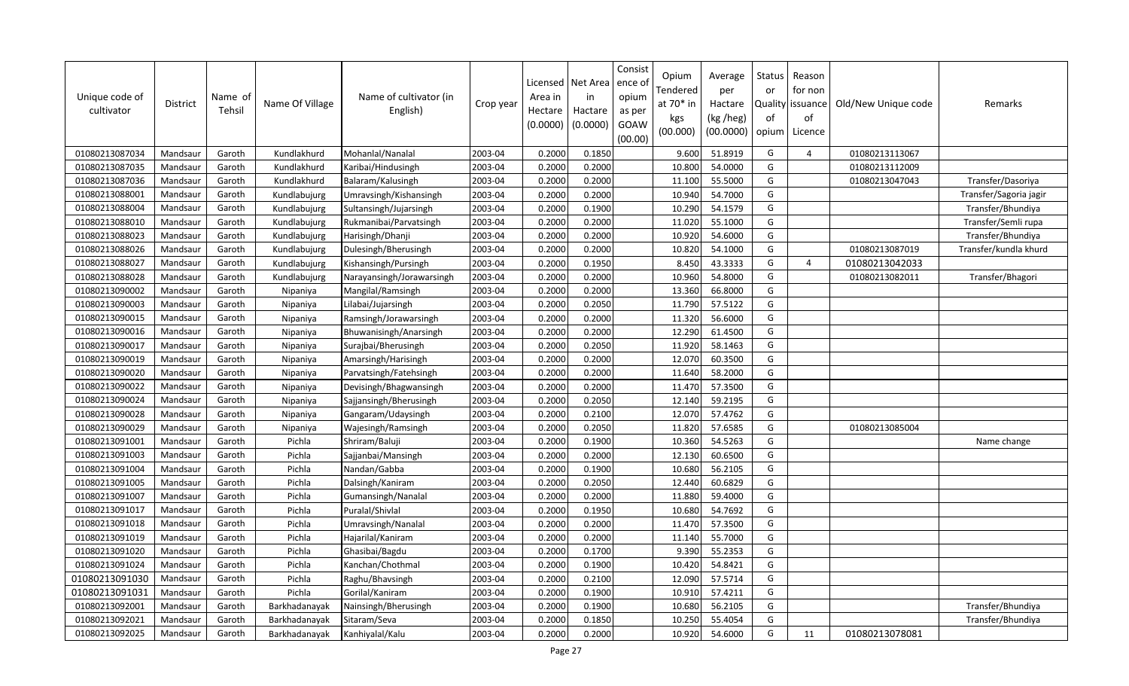| Unique code of<br>cultivator | District | Name of<br>Tehsil | Name Of Village | Name of cultivator (in<br>English) | Crop year | Area in<br>Hectare<br>(0.0000) | Licensed   Net Area<br>in<br>Hactare<br>(0.0000) | Consist<br>ence o<br>opium<br>as per<br>GOAW<br>(00.00) | Opium<br>Tendered<br>at 70* in<br>kgs<br>(00.000) | Average<br>per<br>Hactare<br>(kg /heg)<br>(00.0000) | Status<br>or<br>of<br>opium | Reason<br>for non<br>Quality issuance<br>οf<br>Licence | Old/New Unique code | Remarks                |
|------------------------------|----------|-------------------|-----------------|------------------------------------|-----------|--------------------------------|--------------------------------------------------|---------------------------------------------------------|---------------------------------------------------|-----------------------------------------------------|-----------------------------|--------------------------------------------------------|---------------------|------------------------|
| 01080213087034               | Mandsaur | Garoth            | Kundlakhurd     | Mohanlal/Nanalal                   | 2003-04   | 0.2000                         | 0.1850                                           |                                                         | 9.600                                             | 51.8919                                             | G                           | $\overline{4}$                                         | 01080213113067      |                        |
| 01080213087035               | Mandsaur | Garoth            | Kundlakhurd     | Karibai/Hindusingh                 | 2003-04   | 0.2000                         | 0.2000                                           |                                                         | 10.800                                            | 54.0000                                             | G                           |                                                        | 01080213112009      |                        |
| 01080213087036               | Mandsaur | Garoth            | Kundlakhurd     | Balaram/Kalusingh                  | 2003-04   | 0.2000                         | 0.2000                                           |                                                         | 11.100                                            | 55.5000                                             | G                           |                                                        | 01080213047043      | Transfer/Dasoriya      |
| 01080213088001               | Mandsaur | Garoth            | Kundlabujurg    | Umravsingh/Kishansingh             | 2003-04   | 0.2000                         | 0.2000                                           |                                                         | 10.940                                            | 54.7000                                             | G                           |                                                        |                     | Transfer/Sagoria jagir |
| 01080213088004               | Mandsaur | Garoth            | Kundlabujurg    | Sultansingh/Jujarsingh             | 2003-04   | 0.2000                         | 0.1900                                           |                                                         | 10.290                                            | 54.1579                                             | G                           |                                                        |                     | Transfer/Bhundiya      |
| 01080213088010               | Mandsaur | Garoth            | Kundlabujurg    | Rukmanibai/Parvatsingh             | 2003-04   | 0.2000                         | 0.2000                                           |                                                         | 11.020                                            | 55.1000                                             | G                           |                                                        |                     | Transfer/Semli rupa    |
| 01080213088023               | Mandsaur | Garoth            | Kundlabujurg    | Harisingh/Dhanji                   | 2003-04   | 0.2000                         | 0.2000                                           |                                                         | 10.920                                            | 54.6000                                             | G                           |                                                        |                     | Transfer/Bhundiya      |
| 01080213088026               | Mandsaur | Garoth            | Kundlabujurg    | Dulesingh/Bherusingh               | 2003-04   | 0.2000                         | 0.2000                                           |                                                         | 10.820                                            | 54.1000                                             | G                           |                                                        | 01080213087019      | Transfer/kundla khurd  |
| 01080213088027               | Mandsaur | Garoth            | Kundlabujurg    | Kishansingh/Pursingh               | 2003-04   | 0.2000                         | 0.1950                                           |                                                         | 8.450                                             | 43.3333                                             | G                           | 4                                                      | 01080213042033      |                        |
| 01080213088028               | Mandsaur | Garoth            | Kundlabujurg    | Narayansingh/Jorawarsingh          | 2003-04   | 0.2000                         | 0.2000                                           |                                                         | 10.960                                            | 54.8000                                             | G                           |                                                        | 01080213082011      | Transfer/Bhagori       |
| 01080213090002               | Mandsaur | Garoth            | Nipaniya        | Mangilal/Ramsingh                  | 2003-04   | 0.2000                         | 0.2000                                           |                                                         | 13.360                                            | 66.8000                                             | G                           |                                                        |                     |                        |
| 01080213090003               | Mandsaur | Garoth            | Nipaniya        | Lilabai/Jujarsingh                 | 2003-04   | 0.2000                         | 0.2050                                           |                                                         | 11.790                                            | 57.5122                                             | G                           |                                                        |                     |                        |
| 01080213090015               | Mandsaur | Garoth            | Nipaniya        | Ramsingh/Jorawarsingh              | 2003-04   | 0.2000                         | 0.2000                                           |                                                         | 11.320                                            | 56.6000                                             | G                           |                                                        |                     |                        |
| 01080213090016               | Mandsaur | Garoth            | Nipaniya        | Bhuwanisingh/Anarsingh             | 2003-04   | 0.2000                         | 0.2000                                           |                                                         | 12.290                                            | 61.4500                                             | G                           |                                                        |                     |                        |
| 01080213090017               | Mandsaur | Garoth            | Nipaniya        | Surajbai/Bherusingh                | 2003-04   | 0.2000                         | 0.2050                                           |                                                         | 11.920                                            | 58.1463                                             | G                           |                                                        |                     |                        |
| 01080213090019               | Mandsaur | Garoth            | Nipaniya        | Amarsingh/Harisingh                | 2003-04   | 0.2000                         | 0.2000                                           |                                                         | 12.070                                            | 60.3500                                             | G                           |                                                        |                     |                        |
| 01080213090020               | Mandsaur | Garoth            | Nipaniya        | Parvatsingh/Fatehsingh             | 2003-04   | 0.2000                         | 0.2000                                           |                                                         | 11.640                                            | 58.2000                                             | G                           |                                                        |                     |                        |
| 01080213090022               | Mandsaur | Garoth            | Nipaniya        | Devisingh/Bhagwansingh             | 2003-04   | 0.2000                         | 0.2000                                           |                                                         | 11.470                                            | 57.3500                                             | G                           |                                                        |                     |                        |
| 01080213090024               | Mandsaur | Garoth            | Nipaniya        | Sajjansingh/Bherusingh             | 2003-04   | 0.2000                         | 0.2050                                           |                                                         | 12.140                                            | 59.2195                                             | G                           |                                                        |                     |                        |
| 01080213090028               | Mandsaur | Garoth            | Nipaniya        | Gangaram/Udaysingh                 | 2003-04   | 0.2000                         | 0.2100                                           |                                                         | 12.070                                            | 57.4762                                             | G                           |                                                        |                     |                        |
| 01080213090029               | Mandsaur | Garoth            | Nipaniya        | Wajesingh/Ramsingh                 | 2003-04   | 0.2000                         | 0.2050                                           |                                                         | 11.820                                            | 57.6585                                             | G                           |                                                        | 01080213085004      |                        |
| 01080213091001               | Mandsaur | Garoth            | Pichla          | Shriram/Baluji                     | 2003-04   | 0.2000                         | 0.1900                                           |                                                         | 10.360                                            | 54.5263                                             | G                           |                                                        |                     | Name change            |
| 01080213091003               | Mandsaur | Garoth            | Pichla          | Sajjanbai/Mansingh                 | 2003-04   | 0.2000                         | 0.2000                                           |                                                         | 12.130                                            | 60.6500                                             | G                           |                                                        |                     |                        |
| 01080213091004               | Mandsaur | Garoth            | Pichla          | Nandan/Gabba                       | 2003-04   | 0.2000                         | 0.1900                                           |                                                         | 10.680                                            | 56.2105                                             | G                           |                                                        |                     |                        |
| 01080213091005               | Mandsaur | Garoth            | Pichla          | Dalsingh/Kaniram                   | 2003-04   | 0.2000                         | 0.2050                                           |                                                         | 12.440                                            | 60.6829                                             | G                           |                                                        |                     |                        |
| 01080213091007               | Mandsaur | Garoth            | Pichla          | Gumansingh/Nanalal                 | 2003-04   | 0.2000                         | 0.2000                                           |                                                         | 11.880                                            | 59.4000                                             | G                           |                                                        |                     |                        |
| 01080213091017               | Mandsaur | Garoth            | Pichla          | Puralal/Shivlal                    | 2003-04   | 0.2000                         | 0.1950                                           |                                                         | 10.680                                            | 54.7692                                             | G                           |                                                        |                     |                        |
| 01080213091018               | Mandsaur | Garoth            | Pichla          | Umravsingh/Nanalal                 | 2003-04   | 0.2000                         | 0.2000                                           |                                                         | 11.470                                            | 57.3500                                             | G                           |                                                        |                     |                        |
| 01080213091019               | Mandsaur | Garoth            | Pichla          | Hajarilal/Kaniram                  | 2003-04   | 0.2000                         | 0.2000                                           |                                                         | 11.140                                            | 55.7000                                             | G                           |                                                        |                     |                        |
| 01080213091020               | Mandsaur | Garoth            | Pichla          | Ghasibai/Bagdu                     | 2003-04   | 0.2000                         | 0.1700                                           |                                                         | 9.390                                             | 55.2353                                             | G                           |                                                        |                     |                        |
| 01080213091024               | Mandsaur | Garoth            | Pichla          | Kanchan/Chothmal                   | 2003-04   | 0.2000                         | 0.1900                                           |                                                         | 10.420                                            | 54.8421                                             | G                           |                                                        |                     |                        |
| 01080213091030               | Mandsaur | Garoth            | Pichla          | Raghu/Bhavsingh                    | 2003-04   | 0.2000                         | 0.2100                                           |                                                         | 12.090                                            | 57.5714                                             | G                           |                                                        |                     |                        |
| 01080213091031               | Mandsaur | Garoth            | Pichla          | Gorilal/Kaniram                    | 2003-04   | 0.2000                         | 0.1900                                           |                                                         | 10.910                                            | 57.4211                                             | G                           |                                                        |                     |                        |
| 01080213092001               | Mandsaur | Garoth            | Barkhadanayak   | Nainsingh/Bherusingh               | 2003-04   | 0.2000                         | 0.1900                                           |                                                         | 10.680                                            | 56.2105                                             | G                           |                                                        |                     | Transfer/Bhundiya      |
| 01080213092021               | Mandsaur | Garoth            | Barkhadanayak   | Sitaram/Seva                       | 2003-04   | 0.2000                         | 0.1850                                           |                                                         | 10.250                                            | 55.4054                                             | G                           |                                                        |                     | Transfer/Bhundiya      |
| 01080213092025               | Mandsaur | Garoth            | Barkhadanayak   | Kanhiyalal/Kalu                    | 2003-04   | 0.2000                         | 0.2000                                           |                                                         | 10.920                                            | 54.6000                                             | G                           | 11                                                     | 01080213078081      |                        |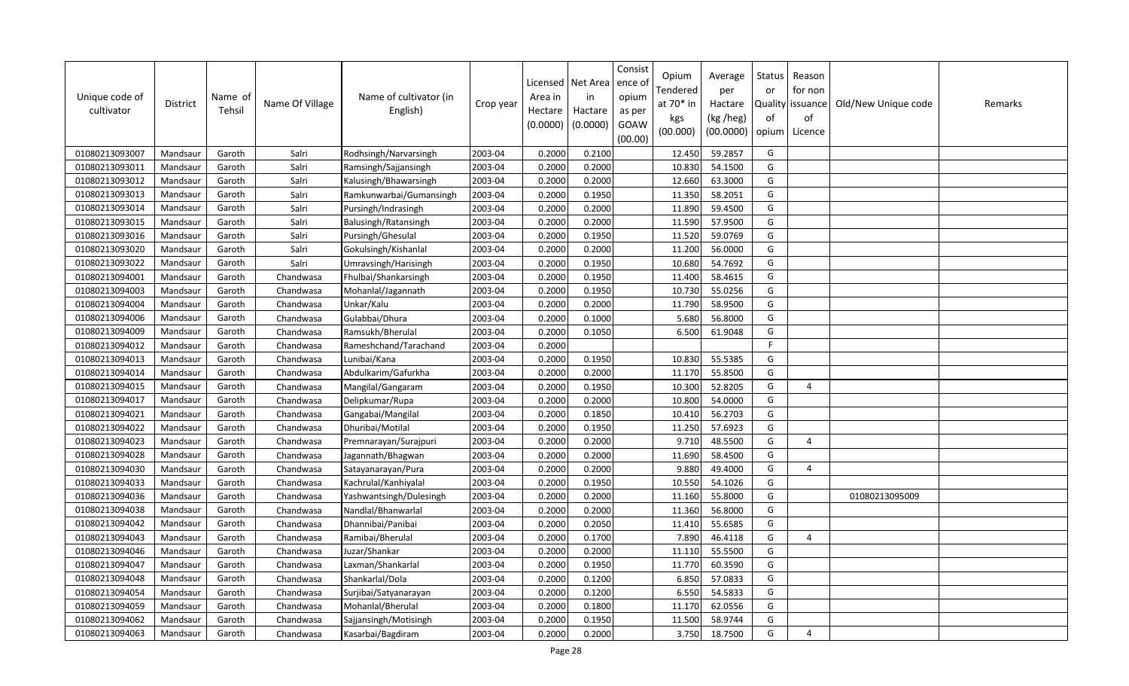| Unique code of<br>cultivator | <b>District</b> | Name of<br>Tehsil | Name Of Village | Name of cultivator (in<br>English) | Crop year | Licensed<br>Area in<br>Hectare<br>(0.0000) | Net Area<br>in<br>Hactare<br>(0.0000) | Consist<br>ence of<br>opium<br>as per<br>GOAW<br>(00.00) | Opium<br>Tendered<br>at 70* in<br>kgs<br>(00.000) | Average<br>per<br>Hactare<br>(kg /heg)<br>(00.0000) | Status<br>or<br>of<br>opium | Reason<br>for non<br>Quality issuance<br>of<br>Licence | Old/New Unique code | Remarks |
|------------------------------|-----------------|-------------------|-----------------|------------------------------------|-----------|--------------------------------------------|---------------------------------------|----------------------------------------------------------|---------------------------------------------------|-----------------------------------------------------|-----------------------------|--------------------------------------------------------|---------------------|---------|
| 01080213093007               | Mandsaur        | Garoth            | Salri           | Rodhsingh/Narvarsingh              | 2003-04   | 0.2000                                     | 0.2100                                |                                                          | 12.450                                            | 59.2857                                             | G                           |                                                        |                     |         |
| 01080213093011               | Mandsaur        | Garoth            | Salri           | Ramsingh/Sajjansingh               | 2003-04   | 0.2000                                     | 0.2000                                |                                                          | 10.830                                            | 54.1500                                             | G                           |                                                        |                     |         |
| 01080213093012               | Mandsaur        | Garoth            | Salri           | Kalusingh/Bhawarsingh              | 2003-04   | 0.2000                                     | 0.2000                                |                                                          | 12.660                                            | 63.3000                                             | G                           |                                                        |                     |         |
| 01080213093013               | Mandsaur        | Garoth            | Salri           | Ramkunwarbai/Gumansingh            | 2003-04   | 0.2000                                     | 0.1950                                |                                                          | 11.350                                            | 58.2051                                             | G                           |                                                        |                     |         |
| 01080213093014               | Mandsaur        | Garoth            | Salri           | Pursingh/Indrasingh                | 2003-04   | 0.2000                                     | 0.2000                                |                                                          | 11.890                                            | 59.4500                                             | G                           |                                                        |                     |         |
| 01080213093015               | Mandsaur        | Garoth            | Salri           | Balusingh/Ratansingh               | 2003-04   | 0.2000                                     | 0.2000                                |                                                          | 11.590                                            | 57.9500                                             | G                           |                                                        |                     |         |
| 01080213093016               | Mandsaur        | Garoth            | Salri           | Pursingh/Ghesulal                  | 2003-04   | 0.2000                                     | 0.1950                                |                                                          | 11.520                                            | 59.0769                                             | G                           |                                                        |                     |         |
| 01080213093020               | Mandsaur        | Garoth            | Salri           | Gokulsingh/Kishanlal               | 2003-04   | 0.2000                                     | 0.2000                                |                                                          | 11.200                                            | 56.0000                                             | G                           |                                                        |                     |         |
| 01080213093022               | Mandsaur        | Garoth            | Salri           | Umravsingh/Harisingh               | 2003-04   | 0.2000                                     | 0.1950                                |                                                          | 10.680                                            | 54.7692                                             | G                           |                                                        |                     |         |
| 01080213094001               | Mandsaur        | Garoth            | Chandwasa       | Fhulbai/Shankarsingh               | 2003-04   | 0.2000                                     | 0.1950                                |                                                          | 11.400                                            | 58.4615                                             | G                           |                                                        |                     |         |
| 01080213094003               | Mandsaur        | Garoth            | Chandwasa       | Mohanlal/Jagannath                 | 2003-04   | 0.2000                                     | 0.1950                                |                                                          | 10.730                                            | 55.0256                                             | G                           |                                                        |                     |         |
| 01080213094004               | Mandsaur        | Garoth            | Chandwasa       | Unkar/Kalu                         | 2003-04   | 0.2000                                     | 0.2000                                |                                                          | 11.790                                            | 58.9500                                             | G                           |                                                        |                     |         |
| 01080213094006               | Mandsaur        | Garoth            | Chandwasa       | Gulabbai/Dhura                     | 2003-04   | 0.2000                                     | 0.1000                                |                                                          | 5.680                                             | 56.8000                                             | G                           |                                                        |                     |         |
| 01080213094009               | Mandsaur        | Garoth            | Chandwasa       | Ramsukh/Bherulal                   | 2003-04   | 0.2000                                     | 0.1050                                |                                                          | 6.500                                             | 61.9048                                             | G                           |                                                        |                     |         |
| 01080213094012               | Mandsaur        | Garoth            | Chandwasa       | Rameshchand/Tarachand              | 2003-04   | 0.2000                                     |                                       |                                                          |                                                   |                                                     | F.                          |                                                        |                     |         |
| 01080213094013               | Mandsaur        | Garoth            | Chandwasa       | Lunibai/Kana                       | 2003-04   | 0.2000                                     | 0.1950                                |                                                          | 10.830                                            | 55.5385                                             | G                           |                                                        |                     |         |
| 01080213094014               | Mandsaur        | Garoth            | Chandwasa       | Abdulkarim/Gafurkha                | 2003-04   | 0.2000                                     | 0.2000                                |                                                          | 11.170                                            | 55.8500                                             | G                           |                                                        |                     |         |
| 01080213094015               | Mandsaur        | Garoth            | Chandwasa       | Mangilal/Gangaram                  | 2003-04   | 0.2000                                     | 0.1950                                |                                                          | 10.300                                            | 52.8205                                             | G                           | 4                                                      |                     |         |
| 01080213094017               | Mandsaur        | Garoth            | Chandwasa       | Delipkumar/Rupa                    | 2003-04   | 0.2000                                     | 0.2000                                |                                                          | 10.800                                            | 54.0000                                             | G                           |                                                        |                     |         |
| 01080213094021               | Mandsaur        | Garoth            | Chandwasa       | Gangabai/Mangilal                  | 2003-04   | 0.2000                                     | 0.1850                                |                                                          | 10.410                                            | 56.2703                                             | G                           |                                                        |                     |         |
| 01080213094022               | Mandsaur        | Garoth            | Chandwasa       | Dhuribai/Motilal                   | 2003-04   | 0.2000                                     | 0.1950                                |                                                          | 11.250                                            | 57.6923                                             | G                           |                                                        |                     |         |
| 01080213094023               | Mandsaur        | Garoth            | Chandwasa       | Premnarayan/Surajpuri              | 2003-04   | 0.2000                                     | 0.2000                                |                                                          | 9.710                                             | 48.5500                                             | G                           | 4                                                      |                     |         |
| 01080213094028               | Mandsaur        | Garoth            | Chandwasa       | Jagannath/Bhagwan                  | 2003-04   | 0.2000                                     | 0.2000                                |                                                          | 11.690                                            | 58.4500                                             | G                           |                                                        |                     |         |
| 01080213094030               | Mandsaur        | Garoth            | Chandwasa       | Satayanarayan/Pura                 | 2003-04   | 0.2000                                     | 0.2000                                |                                                          | 9.880                                             | 49.4000                                             | G                           | 4                                                      |                     |         |
| 01080213094033               | Mandsaur        | Garoth            | Chandwasa       | Kachrulal/Kanhiyalal               | 2003-04   | 0.2000                                     | 0.1950                                |                                                          | 10.550                                            | 54.1026                                             | G                           |                                                        |                     |         |
| 01080213094036               | Mandsaur        | Garoth            | Chandwasa       | Yashwantsingh/Dulesingh            | 2003-04   | 0.2000                                     | 0.2000                                |                                                          | 11.160                                            | 55.8000                                             | G                           |                                                        | 01080213095009      |         |
| 01080213094038               | Mandsaur        | Garoth            | Chandwasa       | Nandlal/Bhanwarlal                 | 2003-04   | 0.2000                                     | 0.2000                                |                                                          | 11.360                                            | 56.8000                                             | G                           |                                                        |                     |         |
| 01080213094042               | Mandsaur        | Garoth            | Chandwasa       | Dhannibai/Panibai                  | 2003-04   | 0.2000                                     | 0.2050                                |                                                          | 11.410                                            | 55.6585                                             | G                           |                                                        |                     |         |
| 01080213094043               | Mandsaur        | Garoth            | Chandwasa       | Ramibai/Bherulal                   | 2003-04   | 0.2000                                     | 0.1700                                |                                                          | 7.890                                             | 46.4118                                             | G                           | 4                                                      |                     |         |
| 01080213094046               | Mandsaur        | Garoth            | Chandwasa       | Juzar/Shankar                      | 2003-04   | 0.2000                                     | 0.2000                                |                                                          | 11.110                                            | 55.5500                                             | G                           |                                                        |                     |         |
| 01080213094047               | Mandsaur        | Garoth            | Chandwasa       | Laxman/Shankarlal                  | 2003-04   | 0.2000                                     | 0.1950                                |                                                          | 11.770                                            | 60.3590                                             | G                           |                                                        |                     |         |
| 01080213094048               | Mandsaur        | Garoth            | Chandwasa       | Shankarlal/Dola                    | 2003-04   | 0.2000                                     | 0.1200                                |                                                          | 6.850                                             | 57.0833                                             | G                           |                                                        |                     |         |
| 01080213094054               | Mandsaur        | Garoth            | Chandwasa       | Surjibai/Satyanarayan              | 2003-04   | 0.2000                                     | 0.1200                                |                                                          | 6.550                                             | 54.5833                                             | G                           |                                                        |                     |         |
| 01080213094059               | Mandsaur        | Garoth            | Chandwasa       | Mohanlal/Bherulal                  | 2003-04   | 0.2000                                     | 0.1800                                |                                                          | 11.170                                            | 62.0556                                             | G                           |                                                        |                     |         |
| 01080213094062               | Mandsaur        | Garoth            | Chandwasa       | Sajjansingh/Motisingh              | 2003-04   | 0.2000                                     | 0.1950                                |                                                          | 11.500                                            | 58.9744                                             | G                           |                                                        |                     |         |
| 01080213094063               | Mandsaur        | Garoth            | Chandwasa       | Kasarbai/Bagdiram                  | 2003-04   | 0.2000                                     | 0.2000                                |                                                          | 3.750                                             | 18.7500                                             | G                           | $\overline{a}$                                         |                     |         |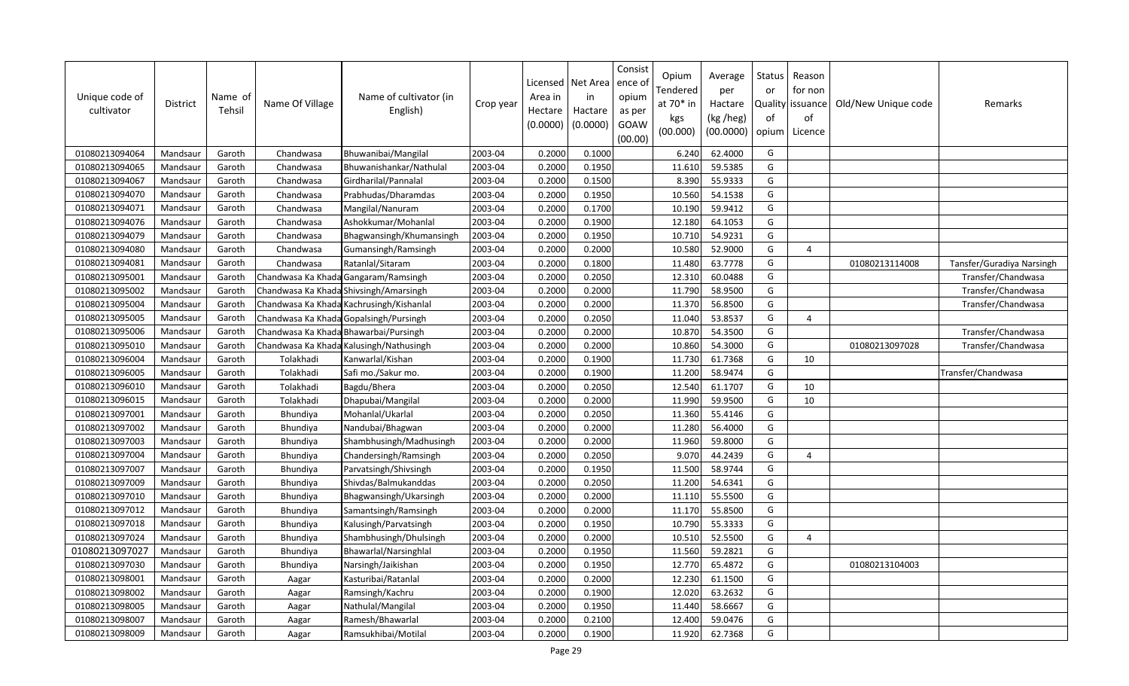| Unique code of<br>cultivator | District | Name of<br>Tehsil | Name Of Village | Name of cultivator (in<br>English)       | Crop year | Licensed<br>Area in<br>Hectare<br>(0.0000) | Net Area<br>in<br>Hactare<br>(0.0000) | Consist<br>ence ol<br>opium<br>as per<br>GOAW<br>(00.00) | Opium<br>Tendered<br>at $70*$ in<br>kgs<br>(00.000) | Average<br>per<br>Hactare<br>(kg /heg)<br>(00.0000) | Status<br>or<br>of<br>opium | Reason<br>for non<br>Quality   issuance<br>of<br>Licence | Old/New Unique code | Remarks                   |
|------------------------------|----------|-------------------|-----------------|------------------------------------------|-----------|--------------------------------------------|---------------------------------------|----------------------------------------------------------|-----------------------------------------------------|-----------------------------------------------------|-----------------------------|----------------------------------------------------------|---------------------|---------------------------|
| 01080213094064               | Mandsaur | Garoth            | Chandwasa       | Bhuwanibai/Mangilal                      | 2003-04   | 0.2000                                     | 0.1000                                |                                                          | 6.240                                               | 62.4000                                             | G                           |                                                          |                     |                           |
| 01080213094065               | Mandsaur | Garoth            | Chandwasa       | Bhuwanishankar/Nathulal                  | 2003-04   | 0.2000                                     | 0.1950                                |                                                          | 11.610                                              | 59.5385                                             | G                           |                                                          |                     |                           |
| 01080213094067               | Mandsaur | Garoth            | Chandwasa       | Girdharilal/Pannalal                     | 2003-04   | 0.2000                                     | 0.1500                                |                                                          | 8.390                                               | 55.9333                                             | G                           |                                                          |                     |                           |
| 01080213094070               | Mandsaur | Garoth            | Chandwasa       | Prabhudas/Dharamdas                      | 2003-04   | 0.2000                                     | 0.1950                                |                                                          | 10.560                                              | 54.1538                                             | G                           |                                                          |                     |                           |
| 01080213094071               | Mandsaur | Garoth            | Chandwasa       | Mangilal/Nanuram                         | 2003-04   | 0.2000                                     | 0.1700                                |                                                          | 10.190                                              | 59.9412                                             | G                           |                                                          |                     |                           |
| 01080213094076               | Mandsaur | Garoth            | Chandwasa       | Ashokkumar/Mohanlal                      | 2003-04   | 0.2000                                     | 0.1900                                |                                                          | 12.180                                              | 64.1053                                             | G                           |                                                          |                     |                           |
| 01080213094079               | Mandsaur | Garoth            | Chandwasa       | Bhagwansingh/Khumansingh                 | 2003-04   | 0.2000                                     | 0.1950                                |                                                          | 10.710                                              | 54.9231                                             | G                           |                                                          |                     |                           |
| 01080213094080               | Mandsaur | Garoth            | Chandwasa       | Gumansingh/Ramsingh                      | 2003-04   | 0.2000                                     | 0.2000                                |                                                          | 10.580                                              | 52.9000                                             | G                           | $\overline{a}$                                           |                     |                           |
| 01080213094081               | Mandsaur | Garoth            | Chandwasa       | Ratanlal/Sitaram                         | 2003-04   | 0.2000                                     | 0.1800                                |                                                          | 11.480                                              | 63.7778                                             | G                           |                                                          | 01080213114008      | Tansfer/Guradiya Narsingh |
| 01080213095001               | Mandsaur | Garoth            |                 | Chandwasa Ka Khada Gangaram/Ramsingh     | 2003-04   | 0.2000                                     | 0.2050                                |                                                          | 12.310                                              | 60.0488                                             | G                           |                                                          |                     | Transfer/Chandwasa        |
| 01080213095002               | Mandsaur | Garoth            |                 | Chandwasa Ka Khada Shivsingh/Amarsingh   | 2003-04   | 0.2000                                     | 0.2000                                |                                                          | 11.790                                              | 58.9500                                             | G                           |                                                          |                     | Transfer/Chandwasa        |
| 01080213095004               | Mandsaur | Garoth            |                 | Chandwasa Ka Khada Kachrusingh/Kishanlal | 2003-04   | 0.2000                                     | 0.2000                                |                                                          | 11.370                                              | 56.8500                                             | G                           |                                                          |                     | Transfer/Chandwasa        |
| 01080213095005               | Mandsaur | Garoth            |                 | Chandwasa Ka Khada Gopalsingh/Pursingh   | 2003-04   | 0.2000                                     | 0.2050                                |                                                          | 11.040                                              | 53.8537                                             | G                           | 4                                                        |                     |                           |
| 01080213095006               | Mandsaur | Garoth            |                 | Chandwasa Ka Khada Bhawarbai/Pursingh    | 2003-04   | 0.2000                                     | 0.2000                                |                                                          | 10.870                                              | 54.3500                                             | G                           |                                                          |                     | Transfer/Chandwasa        |
| 01080213095010               | Mandsaur | Garoth            |                 | Chandwasa Ka Khada Kalusingh/Nathusingh  | 2003-04   | 0.2000                                     | 0.2000                                |                                                          | 10.860                                              | 54.3000                                             | G                           |                                                          | 01080213097028      | Transfer/Chandwasa        |
| 01080213096004               | Mandsaur | Garoth            | Tolakhadi       | Kanwarlal/Kishan                         | 2003-04   | 0.2000                                     | 0.1900                                |                                                          | 11.730                                              | 61.7368                                             | G                           | 10                                                       |                     |                           |
| 01080213096005               | Mandsaur | Garoth            | Tolakhadi       | Safi mo./Sakur mo.                       | 2003-04   | 0.2000                                     | 0.1900                                |                                                          | 11.200                                              | 58.9474                                             | G                           |                                                          |                     | Transfer/Chandwasa        |
| 01080213096010               | Mandsaur | Garoth            | Tolakhadi       | Bagdu/Bhera                              | 2003-04   | 0.2000                                     | 0.2050                                |                                                          | 12.540                                              | 61.1707                                             | G                           | 10                                                       |                     |                           |
| 01080213096015               | Mandsaur | Garoth            | Tolakhadi       | Dhapubai/Mangilal                        | 2003-04   | 0.2000                                     | 0.2000                                |                                                          | 11.990                                              | 59.9500                                             | G                           | 10                                                       |                     |                           |
| 01080213097001               | Mandsaur | Garoth            | Bhundiya        | Mohanlal/Ukarlal                         | 2003-04   | 0.2000                                     | 0.2050                                |                                                          | 11.360                                              | 55.4146                                             | G                           |                                                          |                     |                           |
| 01080213097002               | Mandsaur | Garoth            | Bhundiya        | Nandubai/Bhagwan                         | 2003-04   | 0.2000                                     | 0.2000                                |                                                          | 11.280                                              | 56.4000                                             | G                           |                                                          |                     |                           |
| 01080213097003               | Mandsaur | Garoth            | <b>Bhundiya</b> | Shambhusingh/Madhusingh                  | 2003-04   | 0.2000                                     | 0.2000                                |                                                          | 11.960                                              | 59.8000                                             | G                           |                                                          |                     |                           |
| 01080213097004               | Mandsaur | Garoth            | Bhundiya        | Chandersingh/Ramsingh                    | 2003-04   | 0.2000                                     | 0.2050                                |                                                          | 9.070                                               | 44.2439                                             | G                           | $\Delta$                                                 |                     |                           |
| 01080213097007               | Mandsaur | Garoth            | Bhundiya        | Parvatsingh/Shivsingh                    | 2003-04   | 0.2000                                     | 0.1950                                |                                                          | 11.500                                              | 58.9744                                             | G                           |                                                          |                     |                           |
| 01080213097009               | Mandsaur | Garoth            | Bhundiya        | Shivdas/Balmukanddas                     | 2003-04   | 0.2000                                     | 0.2050                                |                                                          | 11.200                                              | 54.6341                                             | G                           |                                                          |                     |                           |
| 01080213097010               | Mandsaur | Garoth            | Bhundiya        | Bhagwansingh/Ukarsingh                   | 2003-04   | 0.2000                                     | 0.2000                                |                                                          | 11.110                                              | 55.5500                                             | G                           |                                                          |                     |                           |
| 01080213097012               | Mandsaur | Garoth            | Bhundiya        | Samantsingh/Ramsingh                     | 2003-04   | 0.2000                                     | 0.2000                                |                                                          | 11.170                                              | 55.8500                                             | G                           |                                                          |                     |                           |
| 01080213097018               | Mandsaur | Garoth            | Bhundiya        | Kalusingh/Parvatsingh                    | 2003-04   | 0.2000                                     | 0.1950                                |                                                          | 10.790                                              | 55.3333                                             | G                           |                                                          |                     |                           |
| 01080213097024               | Mandsaur | Garoth            | Bhundiya        | Shambhusingh/Dhulsingh                   | 2003-04   | 0.2000                                     | 0.2000                                |                                                          | 10.510                                              | 52.5500                                             | G                           | 4                                                        |                     |                           |
| 01080213097027               | Mandsaur | Garoth            | Bhundiya        | Bhawarlal/Narsinghlal                    | 2003-04   | 0.2000                                     | 0.1950                                |                                                          | 11.560                                              | 59.2821                                             | G                           |                                                          |                     |                           |
| 01080213097030               | Mandsaur | Garoth            | Bhundiya        | Narsingh/Jaikishan                       | 2003-04   | 0.2000                                     | 0.1950                                |                                                          | 12.770                                              | 65.4872                                             | G                           |                                                          | 01080213104003      |                           |
| 01080213098001               | Mandsaur | Garoth            | Aagar           | Kasturibai/Ratanlal                      | 2003-04   | 0.2000                                     | 0.2000                                |                                                          | 12.230                                              | 61.1500                                             | G                           |                                                          |                     |                           |
| 01080213098002               | Mandsaur | Garoth            | Aagar           | Ramsingh/Kachru                          | 2003-04   | 0.2000                                     | 0.1900                                |                                                          | 12.020                                              | 63.2632                                             | G                           |                                                          |                     |                           |
| 01080213098005               | Mandsaur | Garoth            | Aagar           | Nathulal/Mangilal                        | 2003-04   | 0.2000                                     | 0.1950                                |                                                          | 11.440                                              | 58.6667                                             | G                           |                                                          |                     |                           |
| 01080213098007               | Mandsaur | Garoth            | Aagar           | Ramesh/Bhawarlal                         | 2003-04   | 0.2000                                     | 0.2100                                |                                                          | 12.400                                              | 59.0476                                             | G                           |                                                          |                     |                           |
| 01080213098009               | Mandsaur | Garoth            | Aagar           | Ramsukhibai/Motilal                      | 2003-04   | 0.2000                                     | 0.1900                                |                                                          | 11.920                                              | 62.7368                                             | G                           |                                                          |                     |                           |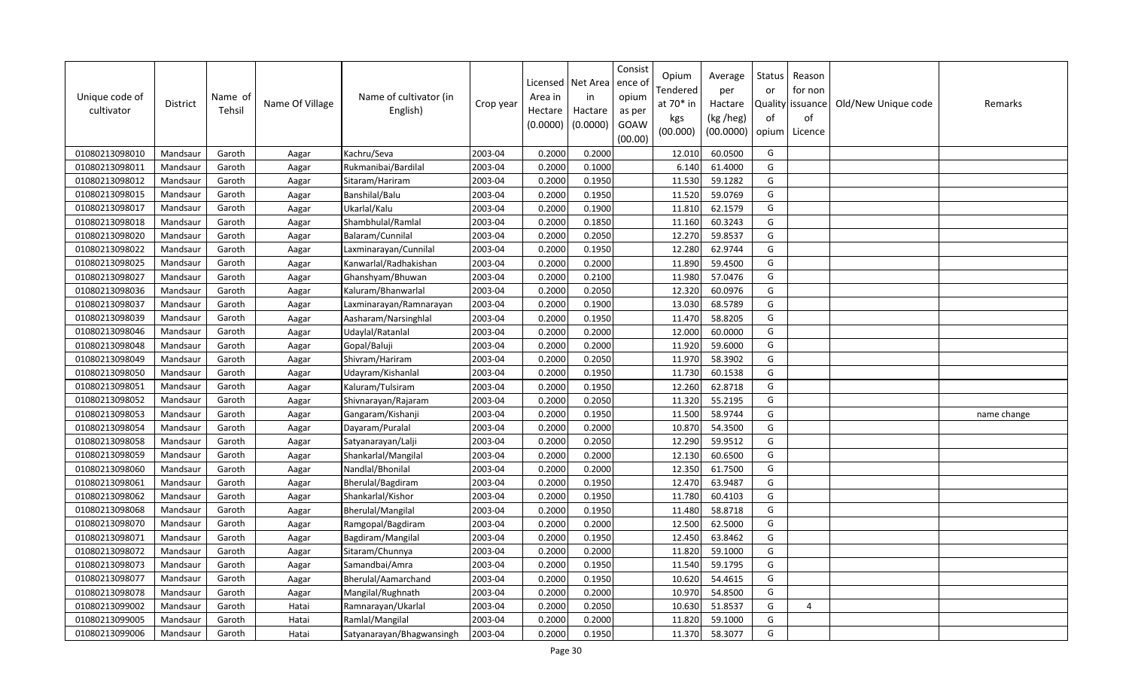| Unique code of<br>cultivator | <b>District</b> | Name of<br>Tehsil | Name Of Village | Name of cultivator (in<br>English) | Crop year | Licensed<br>Area in<br>Hectare<br>(0.0000) | Net Area<br>in<br>Hactare<br>(0.0000) | Consist<br>ence of<br>opium<br>as per<br>GOAW<br>(00.00) | Opium<br>Tendered<br>at 70* in<br>kgs<br>(00.000) | Average<br>per<br>Hactare<br>(kg /heg)<br>(00.0000) | Status<br>or<br>of<br>opium | Reason<br>for non<br>Quality issuance<br>of<br>Licence | Old/New Unique code | Remarks     |
|------------------------------|-----------------|-------------------|-----------------|------------------------------------|-----------|--------------------------------------------|---------------------------------------|----------------------------------------------------------|---------------------------------------------------|-----------------------------------------------------|-----------------------------|--------------------------------------------------------|---------------------|-------------|
| 01080213098010               | Mandsaur        | Garoth            | Aagar           | Kachru/Seva                        | 2003-04   | 0.2000                                     | 0.2000                                |                                                          | 12.010                                            | 60.0500                                             | G                           |                                                        |                     |             |
| 01080213098011               | Mandsaur        | Garoth            | Aagar           | Rukmanibai/Bardilal                | 2003-04   | 0.2000                                     | 0.1000                                |                                                          | 6.140                                             | 61.4000                                             | G                           |                                                        |                     |             |
| 01080213098012               | Mandsaur        | Garoth            | Aagar           | Sitaram/Hariram                    | 2003-04   | 0.2000                                     | 0.1950                                |                                                          | 11.530                                            | 59.1282                                             | G                           |                                                        |                     |             |
| 01080213098015               | Mandsaur        | Garoth            | Aagar           | Banshilal/Balu                     | 2003-04   | 0.2000                                     | 0.1950                                |                                                          | 11.520                                            | 59.0769                                             | G                           |                                                        |                     |             |
| 01080213098017               | Mandsaur        | Garoth            | Aagar           | Ukarlal/Kalu                       | 2003-04   | 0.2000                                     | 0.1900                                |                                                          | 11.810                                            | 62.1579                                             | G                           |                                                        |                     |             |
| 01080213098018               | Mandsaur        | Garoth            | Aagar           | Shambhulal/Ramlal                  | 2003-04   | 0.2000                                     | 0.1850                                |                                                          | 11.160                                            | 60.3243                                             | G                           |                                                        |                     |             |
| 01080213098020               | Mandsaur        | Garoth            | Aagar           | Balaram/Cunnilal                   | 2003-04   | 0.2000                                     | 0.2050                                |                                                          | 12.270                                            | 59.8537                                             | G                           |                                                        |                     |             |
| 01080213098022               | Mandsaur        | Garoth            | Aagar           | Laxminarayan/Cunnilal              | 2003-04   | 0.2000                                     | 0.1950                                |                                                          | 12.280                                            | 62.9744                                             | G                           |                                                        |                     |             |
| 01080213098025               | Mandsaur        | Garoth            | Aagar           | Kanwarlal/Radhakishan              | 2003-04   | 0.2000                                     | 0.2000                                |                                                          | 11.890                                            | 59.4500                                             | G                           |                                                        |                     |             |
| 01080213098027               | Mandsaur        | Garoth            | Aagar           | Ghanshyam/Bhuwan                   | 2003-04   | 0.2000                                     | 0.2100                                |                                                          | 11.980                                            | 57.0476                                             | G                           |                                                        |                     |             |
| 01080213098036               | Mandsaur        | Garoth            | Aagar           | Kaluram/Bhanwarlal                 | 2003-04   | 0.2000                                     | 0.2050                                |                                                          | 12.320                                            | 60.0976                                             | G                           |                                                        |                     |             |
| 01080213098037               | Mandsaur        | Garoth            | Aagar           | Laxminarayan/Ramnarayan            | 2003-04   | 0.2000                                     | 0.1900                                |                                                          | 13.030                                            | 68.5789                                             | G                           |                                                        |                     |             |
| 01080213098039               | Mandsaur        | Garoth            | Aagar           | Aasharam/Narsinghlal               | 2003-04   | 0.2000                                     | 0.1950                                |                                                          | 11.470                                            | 58.8205                                             | G                           |                                                        |                     |             |
| 01080213098046               | Mandsaur        | Garoth            | Aagar           | Udaylal/Ratanlal                   | 2003-04   | 0.2000                                     | 0.2000                                |                                                          | 12.000                                            | 60.0000                                             | G                           |                                                        |                     |             |
| 01080213098048               | Mandsaur        | Garoth            | Aagar           | Gopal/Baluji                       | 2003-04   | 0.2000                                     | 0.2000                                |                                                          | 11.920                                            | 59.6000                                             | G                           |                                                        |                     |             |
| 01080213098049               | Mandsaur        | Garoth            | Aagar           | Shivram/Hariram                    | 2003-04   | 0.2000                                     | 0.2050                                |                                                          | 11.970                                            | 58.3902                                             | G                           |                                                        |                     |             |
| 01080213098050               | Mandsaur        | Garoth            | Aagar           | Udayram/Kishanlal                  | 2003-04   | 0.2000                                     | 0.1950                                |                                                          | 11.730                                            | 60.1538                                             | G                           |                                                        |                     |             |
| 01080213098051               | Mandsaur        | Garoth            | Aagar           | Kaluram/Tulsiram                   | 2003-04   | 0.2000                                     | 0.1950                                |                                                          | 12.260                                            | 62.8718                                             | G                           |                                                        |                     |             |
| 01080213098052               | Mandsaur        | Garoth            | Aagar           | Shivnarayan/Rajaram                | 2003-04   | 0.2000                                     | 0.2050                                |                                                          | 11.320                                            | 55.2195                                             | G                           |                                                        |                     |             |
| 01080213098053               | Mandsaur        | Garoth            | Aagar           | Gangaram/Kishanji                  | 2003-04   | 0.2000                                     | 0.1950                                |                                                          | 11.500                                            | 58.9744                                             | G                           |                                                        |                     | name change |
| 01080213098054               | Mandsaur        | Garoth            | Aagar           | Dayaram/Puralal                    | 2003-04   | 0.2000                                     | 0.2000                                |                                                          | 10.870                                            | 54.3500                                             | G                           |                                                        |                     |             |
| 01080213098058               | Mandsaur        | Garoth            | Aagar           | Satyanarayan/Lalji                 | 2003-04   | 0.2000                                     | 0.2050                                |                                                          | 12.290                                            | 59.9512                                             | G                           |                                                        |                     |             |
| 01080213098059               | Mandsaur        | Garoth            | Aagar           | Shankarlal/Mangilal                | 2003-04   | 0.2000                                     | 0.2000                                |                                                          | 12.130                                            | 60.6500                                             | G                           |                                                        |                     |             |
| 01080213098060               | Mandsaur        | Garoth            | Aagar           | Nandlal/Bhonilal                   | 2003-04   | 0.2000                                     | 0.2000                                |                                                          | 12.350                                            | 61.7500                                             | G                           |                                                        |                     |             |
| 01080213098061               | Mandsaur        | Garoth            | Aagar           | Bherulal/Bagdiram                  | 2003-04   | 0.2000                                     | 0.1950                                |                                                          | 12.470                                            | 63.9487                                             | G                           |                                                        |                     |             |
| 01080213098062               | Mandsaur        | Garoth            | Aagar           | Shankarlal/Kishor                  | 2003-04   | 0.2000                                     | 0.1950                                |                                                          | 11.780                                            | 60.4103                                             | G                           |                                                        |                     |             |
| 01080213098068               | Mandsaur        | Garoth            | Aagar           | <b>Bherulal/Mangilal</b>           | 2003-04   | 0.2000                                     | 0.1950                                |                                                          | 11.480                                            | 58.8718                                             | G                           |                                                        |                     |             |
| 01080213098070               | Mandsaur        | Garoth            | Aagar           | Ramgopal/Bagdiram                  | 2003-04   | 0.2000                                     | 0.2000                                |                                                          | 12.500                                            | 62.5000                                             | G                           |                                                        |                     |             |
| 01080213098071               | Mandsaur        | Garoth            | Aagar           | Bagdiram/Mangilal                  | 2003-04   | 0.2000                                     | 0.1950                                |                                                          | 12.450                                            | 63.8462                                             | G                           |                                                        |                     |             |
| 01080213098072               | Mandsaur        | Garoth            | Aagar           | Sitaram/Chunnya                    | 2003-04   | 0.2000                                     | 0.2000                                |                                                          | 11.820                                            | 59.1000                                             | G                           |                                                        |                     |             |
| 01080213098073               | Mandsaur        | Garoth            | Aagar           | Samandbai/Amra                     | 2003-04   | 0.2000                                     | 0.1950                                |                                                          | 11.540                                            | 59.1795                                             | G                           |                                                        |                     |             |
| 01080213098077               | Mandsaur        | Garoth            | Aagar           | Bherulal/Aamarchand                | 2003-04   | 0.2000                                     | 0.1950                                |                                                          | 10.620                                            | 54.4615                                             | G                           |                                                        |                     |             |
| 01080213098078               | Mandsaur        | Garoth            | Aagar           | Mangilal/Rughnath                  | 2003-04   | 0.2000                                     | 0.2000                                |                                                          | 10.970                                            | 54.8500                                             | G                           |                                                        |                     |             |
| 01080213099002               | Mandsaur        | Garoth            | Hatai           | Ramnarayan/Ukarlal                 | 2003-04   | 0.2000                                     | 0.2050                                |                                                          | 10.630                                            | 51.8537                                             | G                           | $\overline{a}$                                         |                     |             |
| 01080213099005               | Mandsaur        | Garoth            | Hatai           | Ramlal/Mangilal                    | 2003-04   | 0.2000                                     | 0.2000                                |                                                          | 11.820                                            | 59.1000                                             | G                           |                                                        |                     |             |
| 01080213099006               | Mandsaur        | Garoth            | Hatai           | Satyanarayan/Bhagwansingh          | 2003-04   | 0.2000                                     | 0.1950                                |                                                          | 11.370                                            | 58.3077                                             | G                           |                                                        |                     |             |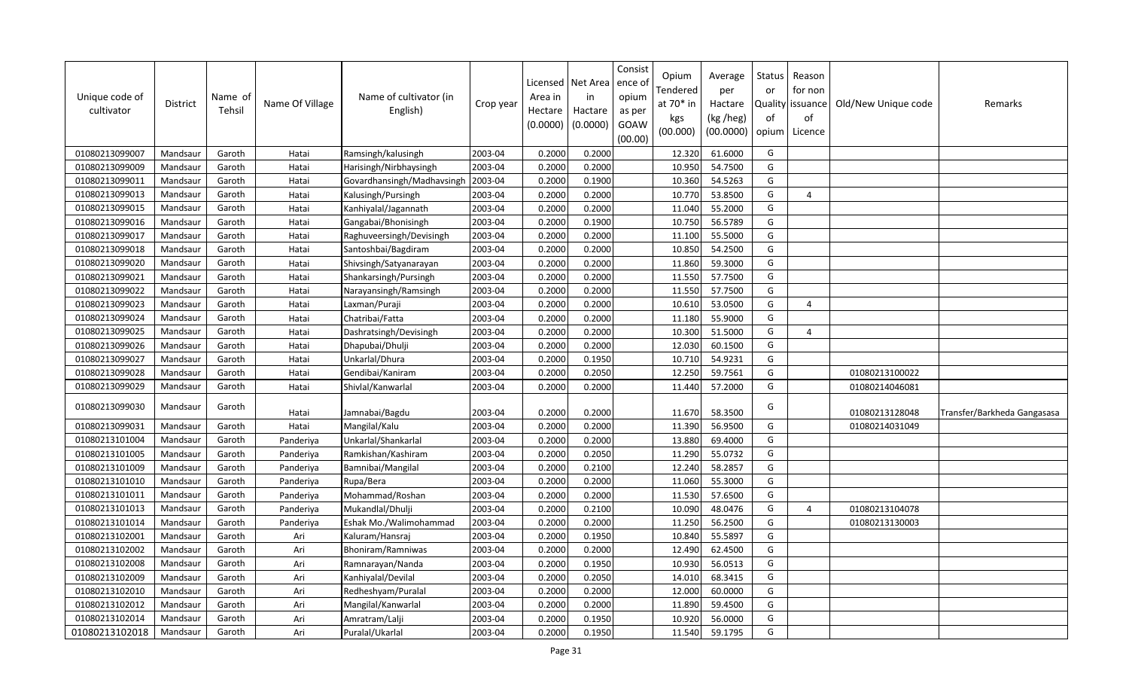| Unique code of<br>cultivator | <b>District</b> | Name of<br>Tehsil | Name Of Village | Name of cultivator (in<br>English) | Crop year | Area in<br>Hectare<br>(0.0000) | Licensed   Net Area<br>in<br>Hactare<br>(0.0000) | Consist<br>ence o<br>opium<br>as per<br>GOAW<br>(00.00) | Opium<br>Tendered<br>at 70* in<br>kgs<br>(00.000) | Average<br>per<br>Hactare<br>(kg /heg)<br>(00.0000) | Status<br>or<br>of<br>opium | Reason<br>for non<br>Quality issuance<br>of<br>Licence | Old/New Unique code | Remarks                     |
|------------------------------|-----------------|-------------------|-----------------|------------------------------------|-----------|--------------------------------|--------------------------------------------------|---------------------------------------------------------|---------------------------------------------------|-----------------------------------------------------|-----------------------------|--------------------------------------------------------|---------------------|-----------------------------|
| 01080213099007               | Mandsaur        | Garoth            | Hatai           | Ramsingh/kalusingh                 | 2003-04   | 0.2000                         | 0.2000                                           |                                                         | 12.320                                            | 61.6000                                             | G                           |                                                        |                     |                             |
| 01080213099009               | Mandsaur        | Garoth            | Hatai           | Harisingh/Nirbhaysingh             | 2003-04   | 0.2000                         | 0.2000                                           |                                                         | 10.950                                            | 54.7500                                             | G                           |                                                        |                     |                             |
| 01080213099011               | Mandsaur        | Garoth            | Hatai           | Govardhansingh/Madhavsingh         | 2003-04   | 0.2000                         | 0.1900                                           |                                                         | 10.360                                            | 54.5263                                             | G                           |                                                        |                     |                             |
| 01080213099013               | Mandsaur        | Garoth            | Hatai           | Kalusingh/Pursingh                 | 2003-04   | 0.2000                         | 0.2000                                           |                                                         | 10.770                                            | 53.8500                                             | G                           | $\overline{4}$                                         |                     |                             |
| 01080213099015               | Mandsaur        | Garoth            | Hatai           | Kanhiyalal/Jagannath               | 2003-04   | 0.2000                         | 0.2000                                           |                                                         | 11.040                                            | 55.2000                                             | G                           |                                                        |                     |                             |
| 01080213099016               | Mandsaur        | Garoth            | Hatai           | Gangabai/Bhonisingh                | 2003-04   | 0.2000                         | 0.1900                                           |                                                         | 10.750                                            | 56.5789                                             | G                           |                                                        |                     |                             |
| 01080213099017               | Mandsaur        | Garoth            | Hatai           | Raghuveersingh/Devisingh           | 2003-04   | 0.2000                         | 0.2000                                           |                                                         | 11.100                                            | 55.5000                                             | G                           |                                                        |                     |                             |
| 01080213099018               | Mandsaur        | Garoth            | Hatai           | Santoshbai/Bagdiram                | 2003-04   | 0.2000                         | 0.2000                                           |                                                         | 10.850                                            | 54.2500                                             | G                           |                                                        |                     |                             |
| 01080213099020               | Mandsaur        | Garoth            | Hatai           | Shivsingh/Satyanarayan             | 2003-04   | 0.2000                         | 0.2000                                           |                                                         | 11.860                                            | 59.3000                                             | G                           |                                                        |                     |                             |
| 01080213099021               | Mandsaur        | Garoth            | Hatai           | Shankarsingh/Pursingh              | 2003-04   | 0.2000                         | 0.2000                                           |                                                         | 11.550                                            | 57.7500                                             | G                           |                                                        |                     |                             |
| 01080213099022               | Mandsaur        | Garoth            | Hatai           | Narayansingh/Ramsingh              | 2003-04   | 0.2000                         | 0.2000                                           |                                                         | 11.550                                            | 57.7500                                             | G                           |                                                        |                     |                             |
| 01080213099023               | Mandsaur        | Garoth            | Hatai           | Laxman/Puraji                      | 2003-04   | 0.2000                         | 0.2000                                           |                                                         | 10.610                                            | 53.0500                                             | G                           | $\overline{4}$                                         |                     |                             |
| 01080213099024               | Mandsaur        | Garoth            | Hatai           | Chatribai/Fatta                    | 2003-04   | 0.2000                         | 0.2000                                           |                                                         | 11.180                                            | 55.9000                                             | G                           |                                                        |                     |                             |
| 01080213099025               | Mandsaur        | Garoth            | Hatai           | Dashratsingh/Devisingh             | 2003-04   | 0.2000                         | 0.2000                                           |                                                         | 10.300                                            | 51.5000                                             | G                           | $\overline{4}$                                         |                     |                             |
| 01080213099026               | Mandsaur        | Garoth            | Hatai           | Dhapubai/Dhulji                    | 2003-04   | 0.2000                         | 0.2000                                           |                                                         | 12.030                                            | 60.1500                                             | G                           |                                                        |                     |                             |
| 01080213099027               | Mandsaur        | Garoth            | Hatai           | Unkarlal/Dhura                     | 2003-04   | 0.2000                         | 0.1950                                           |                                                         | 10.710                                            | 54.9231                                             | G                           |                                                        |                     |                             |
| 01080213099028               | Mandsaur        | Garoth            | Hatai           | Gendibai/Kaniram                   | 2003-04   | 0.2000                         | 0.2050                                           |                                                         | 12.250                                            | 59.7561                                             | G                           |                                                        | 01080213100022      |                             |
| 01080213099029               | Mandsaur        | Garoth            | Hatai           | Shivlal/Kanwarlal                  | 2003-04   | 0.2000                         | 0.2000                                           |                                                         | 11.440                                            | 57.2000                                             | G                           |                                                        | 01080214046081      |                             |
| 01080213099030               | Mandsaur        | Garoth            | Hatai           | Jamnabai/Bagdu                     | 2003-04   | 0.2000                         | 0.2000                                           |                                                         | 11.670                                            | 58.3500                                             | G                           |                                                        | 01080213128048      | Transfer/Barkheda Gangasasa |
| 01080213099031               | Mandsaur        | Garoth            | Hatai           | Mangilal/Kalu                      | 2003-04   | 0.2000                         | 0.2000                                           |                                                         | 11.390                                            | 56.9500                                             | G                           |                                                        | 01080214031049      |                             |
| 01080213101004               | Mandsaur        | Garoth            | Panderiya       | Unkarlal/Shankarlal                | 2003-04   | 0.2000                         | 0.2000                                           |                                                         | 13.880                                            | 69.4000                                             | G                           |                                                        |                     |                             |
| 01080213101005               | Mandsaur        | Garoth            | Panderiya       | Ramkishan/Kashiram                 | 2003-04   | 0.2000                         | 0.2050                                           |                                                         | 11.290                                            | 55.0732                                             | G                           |                                                        |                     |                             |
| 01080213101009               | Mandsaur        | Garoth            | Panderiya       | Bamnibai/Mangilal                  | 2003-04   | 0.2000                         | 0.2100                                           |                                                         | 12.240                                            | 58.2857                                             | G                           |                                                        |                     |                             |
| 01080213101010               | Mandsaur        | Garoth            | Panderiya       | Rupa/Bera                          | 2003-04   | 0.2000                         | 0.2000                                           |                                                         | 11.060                                            | 55.3000                                             | G                           |                                                        |                     |                             |
| 01080213101011               | Mandsaur        | Garoth            | Panderiya       | Mohammad/Roshan                    | 2003-04   | 0.2000                         | 0.2000                                           |                                                         | 11.530                                            | 57.6500                                             | G                           |                                                        |                     |                             |
| 01080213101013               | Mandsaur        | Garoth            | Panderiya       | Mukandlal/Dhulji                   | 2003-04   | 0.2000                         | 0.2100                                           |                                                         | 10.090                                            | 48.0476                                             | G                           | $\Delta$                                               | 01080213104078      |                             |
| 01080213101014               | Mandsaur        | Garoth            | Panderiya       | Eshak Mo./Walimohammad             | 2003-04   | 0.2000                         | 0.2000                                           |                                                         | 11.250                                            | 56.2500                                             | G                           |                                                        | 01080213130003      |                             |
| 01080213102001               | Mandsaur        | Garoth            | Ari             | Kaluram/Hansraj                    | 2003-04   | 0.2000                         | 0.1950                                           |                                                         | 10.840                                            | 55.5897                                             | G                           |                                                        |                     |                             |
| 01080213102002               | Mandsaur        | Garoth            | Ari             | Bhoniram/Ramniwas                  | 2003-04   | 0.2000                         | 0.2000                                           |                                                         | 12.490                                            | 62.4500                                             | G                           |                                                        |                     |                             |
| 01080213102008               | Mandsaur        | Garoth            | Ari             | Ramnarayan/Nanda                   | 2003-04   | 0.2000                         | 0.1950                                           |                                                         | 10.930                                            | 56.0513                                             | G                           |                                                        |                     |                             |
| 01080213102009               | Mandsaur        | Garoth            | Ari             | Kanhiyalal/Devilal                 | 2003-04   | 0.2000                         | 0.2050                                           |                                                         | 14.010                                            | 68.3415                                             | G                           |                                                        |                     |                             |
| 01080213102010               | Mandsaur        | Garoth            | Ari             | Redheshyam/Puralal                 | 2003-04   | 0.2000                         | 0.2000                                           |                                                         | 12.000                                            | 60.0000                                             | G                           |                                                        |                     |                             |
| 01080213102012               | Mandsaur        | Garoth            | Ari             | Mangilal/Kanwarlal                 | 2003-04   | 0.2000                         | 0.2000                                           |                                                         | 11.890                                            | 59.4500                                             | G                           |                                                        |                     |                             |
| 01080213102014               | Mandsaur        | Garoth            | Ari             | Amratram/Lalji                     | 2003-04   | 0.2000                         | 0.1950                                           |                                                         | 10.920                                            | 56.0000                                             | G                           |                                                        |                     |                             |
| 01080213102018               | Mandsaur        | Garoth            | Ari             | Puralal/Ukarlal                    | 2003-04   | 0.2000                         | 0.1950                                           |                                                         | 11.540                                            | 59.1795                                             | G                           |                                                        |                     |                             |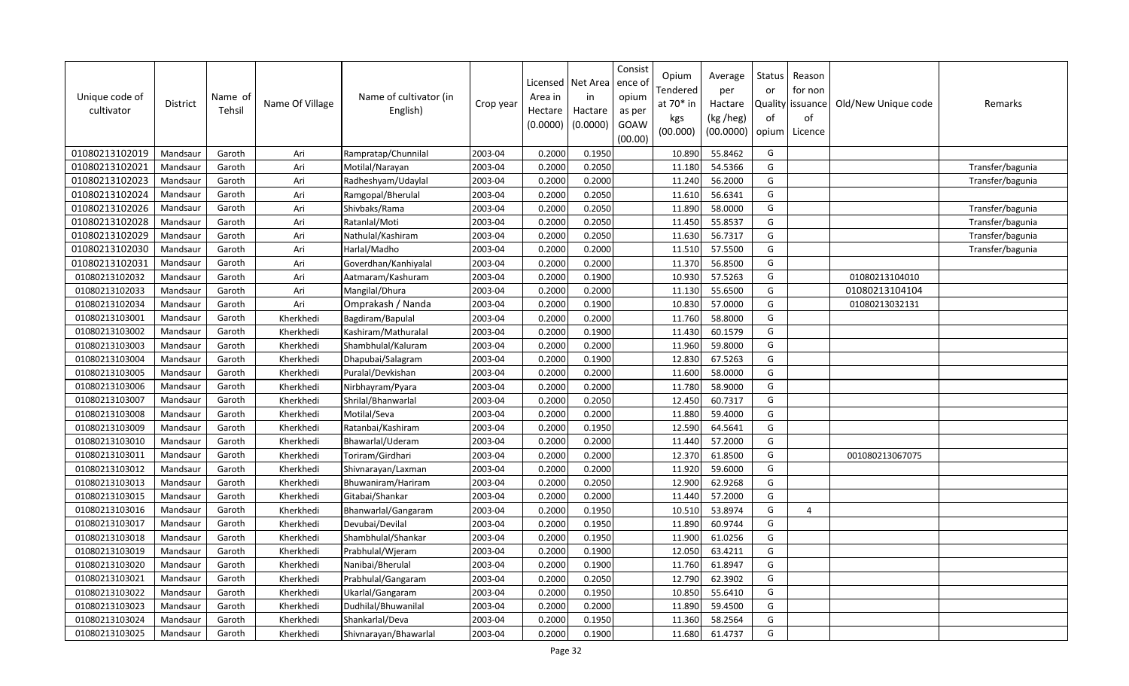| Unique code of<br>cultivator | <b>District</b> | Name of<br>Tehsil | Name Of Village | Name of cultivator (in<br>English) | Crop year | Licensed<br>Area in<br>Hectare<br>(0.0000) | Net Area<br>in<br>Hactare<br>(0.0000) | Consist<br>ence o<br>opium<br>as per<br>GOAW<br>(00.00) | Opium<br>Tendered<br>at 70* in<br>kgs<br>(00.000) | Average<br>per<br>Hactare<br>(kg /heg)<br>(00.0000) | Status<br>or<br>of<br>opium | Reason<br>for non<br>Quality issuance<br>of<br>Licence | Old/New Unique code | Remarks          |
|------------------------------|-----------------|-------------------|-----------------|------------------------------------|-----------|--------------------------------------------|---------------------------------------|---------------------------------------------------------|---------------------------------------------------|-----------------------------------------------------|-----------------------------|--------------------------------------------------------|---------------------|------------------|
| 01080213102019               | Mandsaur        | Garoth            | Ari             | Rampratap/Chunnilal                | 2003-04   | 0.2000                                     | 0.1950                                |                                                         | 10.890                                            | 55.8462                                             | G                           |                                                        |                     |                  |
| 01080213102021               | Mandsaur        | Garoth            | Ari             | Motilal/Narayan                    | 2003-04   | 0.2000                                     | 0.2050                                |                                                         | 11.180                                            | 54.5366                                             | G                           |                                                        |                     | Transfer/bagunia |
| 01080213102023               | Mandsaur        | Garoth            | Ari             | Radheshyam/Udaylal                 | 2003-04   | 0.2000                                     | 0.2000                                |                                                         | 11.240                                            | 56.2000                                             | G                           |                                                        |                     | Transfer/bagunia |
| 01080213102024               | Mandsaur        | Garoth            | Ari             | Ramgopal/Bherulal                  | 2003-04   | 0.2000                                     | 0.2050                                |                                                         | 11.610                                            | 56.6341                                             | G                           |                                                        |                     |                  |
| 01080213102026               | Mandsaur        | Garoth            | Ari             | Shivbaks/Rama                      | 2003-04   | 0.2000                                     | 0.2050                                |                                                         | 11.890                                            | 58.0000                                             | G                           |                                                        |                     | Transfer/bagunia |
| 01080213102028               | Mandsaur        | Garoth            | Ari             | Ratanlal/Moti                      | 2003-04   | 0.2000                                     | 0.2050                                |                                                         | 11.450                                            | 55.8537                                             | G                           |                                                        |                     | Transfer/bagunia |
| 01080213102029               | Mandsaur        | Garoth            | Ari             | Nathulal/Kashiram                  | 2003-04   | 0.2000                                     | 0.2050                                |                                                         | 11.630                                            | 56.7317                                             | G                           |                                                        |                     | Transfer/bagunia |
| 01080213102030               | Mandsaur        | Garoth            | Ari             | Harlal/Madho                       | 2003-04   | 0.2000                                     | 0.2000                                |                                                         | 11.510                                            | 57.5500                                             | G                           |                                                        |                     | Transfer/bagunia |
| 01080213102031               | Mandsaur        | Garoth            | Ari             | Goverdhan/Kanhiyalal               | 2003-04   | 0.2000                                     | 0.2000                                |                                                         | 11.370                                            | 56.8500                                             | G                           |                                                        |                     |                  |
| 01080213102032               | Mandsaur        | Garoth            | Ari             | Aatmaram/Kashuram                  | 2003-04   | 0.2000                                     | 0.1900                                |                                                         | 10.930                                            | 57.5263                                             | G                           |                                                        | 01080213104010      |                  |
| 01080213102033               | Mandsau         | Garoth            | Ari             | Mangilal/Dhura                     | 2003-04   | 0.2000                                     | 0.2000                                |                                                         | 11.130                                            | 55.6500                                             | G                           |                                                        | 01080213104104      |                  |
| 01080213102034               | Mandsaur        | Garoth            | Ari             | Omprakash / Nanda                  | 2003-04   | 0.2000                                     | 0.1900                                |                                                         | 10.830                                            | 57.0000                                             | G                           |                                                        | 01080213032131      |                  |
| 01080213103001               | Mandsaur        | Garoth            | Kherkhedi       | Bagdiram/Bapulal                   | 2003-04   | 0.2000                                     | 0.2000                                |                                                         | 11.760                                            | 58.8000                                             | G                           |                                                        |                     |                  |
| 01080213103002               | Mandsaur        | Garoth            | Kherkhedi       | Kashiram/Mathuralal                | 2003-04   | 0.2000                                     | 0.1900                                |                                                         | 11.430                                            | 60.1579                                             | G                           |                                                        |                     |                  |
| 01080213103003               | Mandsaur        | Garoth            | Kherkhedi       | Shambhulal/Kaluram                 | 2003-04   | 0.2000                                     | 0.2000                                |                                                         | 11.960                                            | 59.8000                                             | G                           |                                                        |                     |                  |
| 01080213103004               | Mandsaur        | Garoth            | Kherkhedi       | Dhapubai/Salagram                  | 2003-04   | 0.2000                                     | 0.1900                                |                                                         | 12.830                                            | 67.5263                                             | G                           |                                                        |                     |                  |
| 01080213103005               | Mandsaur        | Garoth            | Kherkhedi       | Puralal/Devkishan                  | 2003-04   | 0.2000                                     | 0.2000                                |                                                         | 11.600                                            | 58.0000                                             | G                           |                                                        |                     |                  |
| 01080213103006               | Mandsaur        | Garoth            | Kherkhedi       | Nirbhayram/Pyara                   | 2003-04   | 0.2000                                     | 0.2000                                |                                                         | 11.780                                            | 58.9000                                             | G                           |                                                        |                     |                  |
| 01080213103007               | Mandsaur        | Garoth            | Kherkhedi       | Shrilal/Bhanwarlal                 | 2003-04   | 0.2000                                     | 0.2050                                |                                                         | 12.450                                            | 60.7317                                             | G                           |                                                        |                     |                  |
| 01080213103008               | Mandsaur        | Garoth            | Kherkhedi       | Motilal/Seva                       | 2003-04   | 0.2000                                     | 0.2000                                |                                                         | 11.880                                            | 59.4000                                             | G                           |                                                        |                     |                  |
| 01080213103009               | Mandsaur        | Garoth            | Kherkhedi       | Ratanbai/Kashiram                  | 2003-04   | 0.2000                                     | 0.1950                                |                                                         | 12.590                                            | 64.5641                                             | G                           |                                                        |                     |                  |
| 01080213103010               | Mandsaur        | Garoth            | Kherkhedi       | Bhawarlal/Uderam                   | 2003-04   | 0.2000                                     | 0.2000                                |                                                         | 11.440                                            | 57.2000                                             | G                           |                                                        |                     |                  |
| 01080213103011               | Mandsaur        | Garoth            | Kherkhedi       | Toriram/Girdhari                   | 2003-04   | 0.2000                                     | 0.2000                                |                                                         | 12.370                                            | 61.8500                                             | G                           |                                                        | 001080213067075     |                  |
| 01080213103012               | Mandsau         | Garoth            | Kherkhedi       | Shivnarayan/Laxman                 | 2003-04   | 0.2000                                     | 0.2000                                |                                                         | 11.920                                            | 59.6000                                             | G                           |                                                        |                     |                  |
| 01080213103013               | Mandsaur        | Garoth            | Kherkhedi       | Bhuwaniram/Hariram                 | 2003-04   | 0.2000                                     | 0.2050                                |                                                         | 12.900                                            | 62.9268                                             | G                           |                                                        |                     |                  |
| 01080213103015               | Mandsaur        | Garoth            | Kherkhedi       | Gitabai/Shankar                    | 2003-04   | 0.2000                                     | 0.2000                                |                                                         | 11.440                                            | 57.2000                                             | G                           |                                                        |                     |                  |
| 01080213103016               | Mandsaur        | Garoth            | Kherkhedi       | Bhanwarlal/Gangaram                | 2003-04   | 0.2000                                     | 0.1950                                |                                                         | 10.510                                            | 53.8974                                             | G                           | $\overline{4}$                                         |                     |                  |
| 01080213103017               | Mandsaur        | Garoth            | Kherkhedi       | Devubai/Devilal                    | 2003-04   | 0.2000                                     | 0.1950                                |                                                         | 11.890                                            | 60.9744                                             | G                           |                                                        |                     |                  |
| 01080213103018               | Mandsaur        | Garoth            | Kherkhedi       | Shambhulal/Shankar                 | 2003-04   | 0.2000                                     | 0.1950                                |                                                         | 11.900                                            | 61.0256                                             | G                           |                                                        |                     |                  |
| 01080213103019               | Mandsaur        | Garoth            | Kherkhedi       | Prabhulal/Wjeram                   | 2003-04   | 0.2000                                     | 0.1900                                |                                                         | 12.050                                            | 63.4211                                             | G                           |                                                        |                     |                  |
| 01080213103020               | Mandsaur        | Garoth            | Kherkhedi       | Nanibai/Bherulal                   | 2003-04   | 0.2000                                     | 0.1900                                |                                                         | 11.760                                            | 61.8947                                             | G                           |                                                        |                     |                  |
| 01080213103021               | Mandsaur        | Garoth            | Kherkhedi       | Prabhulal/Gangaram                 | 2003-04   | 0.2000                                     | 0.2050                                |                                                         | 12.790                                            | 62.3902                                             | G                           |                                                        |                     |                  |
| 01080213103022               | Mandsaur        | Garoth            | Kherkhedi       | Ukarlal/Gangaram                   | 2003-04   | 0.2000                                     | 0.1950                                |                                                         | 10.850                                            | 55.6410                                             | G                           |                                                        |                     |                  |
| 01080213103023               | Mandsaur        | Garoth            | Kherkhedi       | Dudhilal/Bhuwanilal                | 2003-04   | 0.2000                                     | 0.2000                                |                                                         | 11.890                                            | 59.4500                                             | G                           |                                                        |                     |                  |
| 01080213103024               | Mandsaur        | Garoth            | Kherkhedi       | Shankarlal/Deva                    | 2003-04   | 0.2000                                     | 0.1950                                |                                                         | 11.360                                            | 58.2564                                             | G                           |                                                        |                     |                  |
| 01080213103025               | Mandsaur        | Garoth            | Kherkhedi       | Shivnarayan/Bhawarlal              | 2003-04   | 0.2000                                     | 0.1900                                |                                                         | 11.680                                            | 61.4737                                             | G                           |                                                        |                     |                  |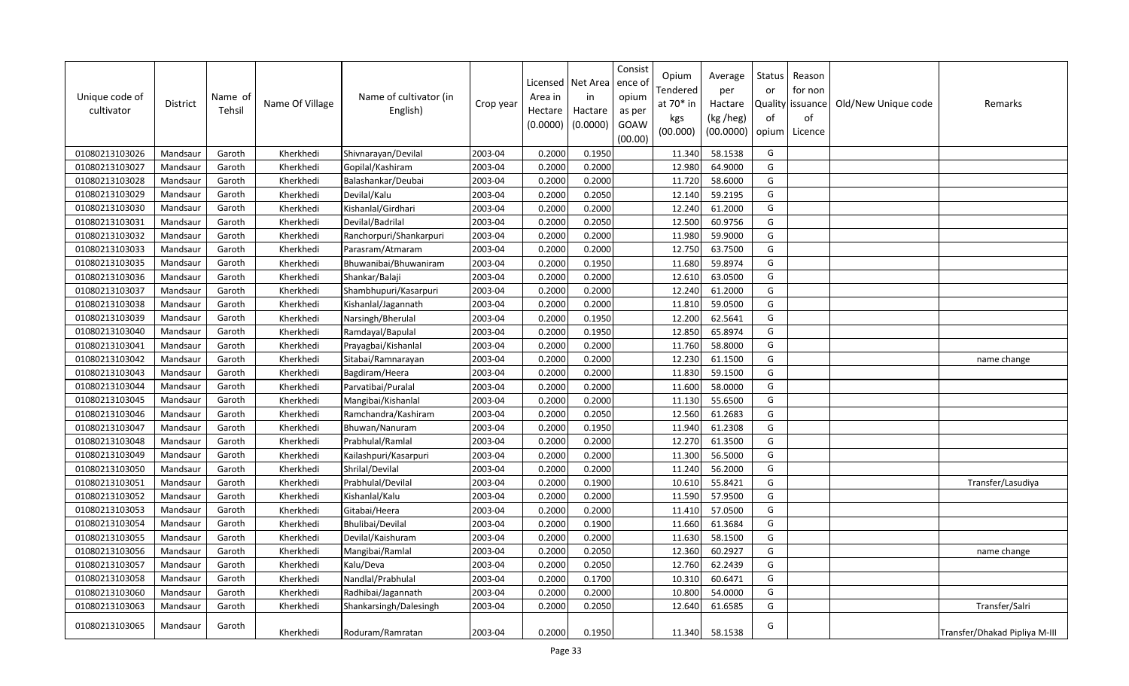| Unique code of<br>cultivator | District | Name of<br>Tehsil | Name Of Village | Name of cultivator (in<br>English) | Crop year | Licensed<br>Area in<br>Hectare<br>(0.0000) | Net Area<br>in<br>Hactare<br>(0.0000) | Consist<br>ence ol<br>opium<br>as per<br>GOAW<br>(00.00) | Opium<br>Tendered<br>at $70*$ in<br>kgs<br>(00.000) | Average<br>per<br>Hactare<br>(kg /heg)<br>(00.0000) | Status<br>or<br>of<br>opium | Reason<br>for non<br>Quality   issuance<br>of<br>Licence | Old/New Unique code | Remarks                       |
|------------------------------|----------|-------------------|-----------------|------------------------------------|-----------|--------------------------------------------|---------------------------------------|----------------------------------------------------------|-----------------------------------------------------|-----------------------------------------------------|-----------------------------|----------------------------------------------------------|---------------------|-------------------------------|
| 01080213103026               | Mandsaur | Garoth            | Kherkhedi       | Shivnarayan/Devilal                | 2003-04   | 0.2000                                     | 0.1950                                |                                                          | 11.340                                              | 58.1538                                             | G                           |                                                          |                     |                               |
| 01080213103027               | Mandsaur | Garoth            | Kherkhedi       | Gopilal/Kashiram                   | 2003-04   | 0.2000                                     | 0.2000                                |                                                          | 12.980                                              | 64.9000                                             | G                           |                                                          |                     |                               |
| 01080213103028               | Mandsaur | Garoth            | Kherkhedi       | Balashankar/Deubai                 | 2003-04   | 0.2000                                     | 0.2000                                |                                                          | 11.720                                              | 58.6000                                             | G                           |                                                          |                     |                               |
| 01080213103029               | Mandsaur | Garoth            | Kherkhedi       | Devilal/Kalu                       | 2003-04   | 0.2000                                     | 0.2050                                |                                                          | 12.140                                              | 59.2195                                             | G                           |                                                          |                     |                               |
| 01080213103030               | Mandsaur | Garoth            | Kherkhedi       | Kishanlal/Girdhari                 | 2003-04   | 0.2000                                     | 0.2000                                |                                                          | 12.240                                              | 61.2000                                             | G                           |                                                          |                     |                               |
| 01080213103031               | Mandsaur | Garoth            | Kherkhedi       | Devilal/Badrilal                   | 2003-04   | 0.2000                                     | 0.2050                                |                                                          | 12.500                                              | 60.9756                                             | G                           |                                                          |                     |                               |
| 01080213103032               | Mandsaur | Garoth            | Kherkhedi       | Ranchorpuri/Shankarpuri            | 2003-04   | 0.2000                                     | 0.2000                                |                                                          | 11.980                                              | 59.9000                                             | G                           |                                                          |                     |                               |
| 01080213103033               | Mandsaur | Garoth            | Kherkhedi       | Parasram/Atmaram                   | 2003-04   | 0.2000                                     | 0.2000                                |                                                          | 12.750                                              | 63.7500                                             | G                           |                                                          |                     |                               |
| 01080213103035               | Mandsaur | Garoth            | Kherkhedi       | Bhuwanibai/Bhuwaniram              | 2003-04   | 0.2000                                     | 0.1950                                |                                                          | 11.680                                              | 59.8974                                             | G                           |                                                          |                     |                               |
| 01080213103036               | Mandsaur | Garoth            | Kherkhedi       | Shankar/Balaji                     | 2003-04   | 0.2000                                     | 0.2000                                |                                                          | 12.610                                              | 63.0500                                             | G                           |                                                          |                     |                               |
| 01080213103037               | Mandsaur | Garoth            | Kherkhedi       | Shambhupuri/Kasarpuri              | 2003-04   | 0.2000                                     | 0.2000                                |                                                          | 12.240                                              | 61.2000                                             | G                           |                                                          |                     |                               |
| 01080213103038               | Mandsaur | Garoth            | Kherkhedi       | Kishanlal/Jagannath                | 2003-04   | 0.2000                                     | 0.2000                                |                                                          | 11.810                                              | 59.0500                                             | G                           |                                                          |                     |                               |
| 01080213103039               | Mandsaur | Garoth            | Kherkhedi       | Narsingh/Bherulal                  | 2003-04   | 0.2000                                     | 0.1950                                |                                                          | 12.200                                              | 62.5641                                             | G                           |                                                          |                     |                               |
| 01080213103040               | Mandsaur | Garoth            | Kherkhedi       | Ramdayal/Bapulal                   | 2003-04   | 0.2000                                     | 0.1950                                |                                                          | 12.850                                              | 65.8974                                             | G                           |                                                          |                     |                               |
| 01080213103041               | Mandsaur | Garoth            | Kherkhedi       | Prayagbai/Kishanlal                | 2003-04   | 0.2000                                     | 0.2000                                |                                                          | 11.760                                              | 58.8000                                             | G                           |                                                          |                     |                               |
| 01080213103042               | Mandsaur | Garoth            | Kherkhedi       | Sitabai/Ramnarayan                 | 2003-04   | 0.2000                                     | 0.2000                                |                                                          | 12.230                                              | 61.1500                                             | G                           |                                                          |                     | name change                   |
| 01080213103043               | Mandsaur | Garoth            | Kherkhedi       | Bagdiram/Heera                     | 2003-04   | 0.2000                                     | 0.2000                                |                                                          | 11.830                                              | 59.1500                                             | G                           |                                                          |                     |                               |
| 01080213103044               | Mandsaur | Garoth            | Kherkhedi       | Parvatibai/Puralal                 | 2003-04   | 0.2000                                     | 0.2000                                |                                                          | 11.600                                              | 58.0000                                             | G                           |                                                          |                     |                               |
| 01080213103045               | Mandsaur | Garoth            | Kherkhedi       | Mangibai/Kishanlal                 | 2003-04   | 0.2000                                     | 0.2000                                |                                                          | 11.130                                              | 55.6500                                             | G                           |                                                          |                     |                               |
| 01080213103046               | Mandsaur | Garoth            | Kherkhedi       | Ramchandra/Kashiram                | 2003-04   | 0.2000                                     | 0.2050                                |                                                          | 12.560                                              | 61.2683                                             | G                           |                                                          |                     |                               |
| 01080213103047               | Mandsaur | Garoth            | Kherkhedi       | Bhuwan/Nanuram                     | 2003-04   | 0.2000                                     | 0.1950                                |                                                          | 11.940                                              | 61.2308                                             | G                           |                                                          |                     |                               |
| 01080213103048               | Mandsaur | Garoth            | Kherkhedi       | Prabhulal/Ramlal                   | 2003-04   | 0.2000                                     | 0.2000                                |                                                          | 12.270                                              | 61.3500                                             | G                           |                                                          |                     |                               |
| 01080213103049               | Mandsaur | Garoth            | Kherkhedi       | Kailashpuri/Kasarpuri              | 2003-04   | 0.2000                                     | 0.2000                                |                                                          | 11.300                                              | 56.5000                                             | G                           |                                                          |                     |                               |
| 01080213103050               | Mandsaur | Garoth            | Kherkhedi       | Shrilal/Devilal                    | 2003-04   | 0.2000                                     | 0.2000                                |                                                          | 11.240                                              | 56.2000                                             | G                           |                                                          |                     |                               |
| 01080213103051               | Mandsaur | Garoth            | Kherkhedi       | Prabhulal/Devilal                  | 2003-04   | 0.2000                                     | 0.1900                                |                                                          | 10.610                                              | 55.8421                                             | G                           |                                                          |                     | Transfer/Lasudiya             |
| 01080213103052               | Mandsaur | Garoth            | Kherkhedi       | Kishanlal/Kalu                     | 2003-04   | 0.2000                                     | 0.2000                                |                                                          | 11.590                                              | 57.9500                                             | G                           |                                                          |                     |                               |
| 01080213103053               | Mandsaur | Garoth            | Kherkhedi       | Gitabai/Heera                      | 2003-04   | 0.2000                                     | 0.2000                                |                                                          | 11.410                                              | 57.0500                                             | G                           |                                                          |                     |                               |
| 01080213103054               | Mandsaur | Garoth            | Kherkhedi       | Bhulibai/Devilal                   | 2003-04   | 0.2000                                     | 0.1900                                |                                                          | 11.660                                              | 61.3684                                             | G                           |                                                          |                     |                               |
| 01080213103055               | Mandsaur | Garoth            | Kherkhedi       | Devilal/Kaishuram                  | 2003-04   | 0.2000                                     | 0.2000                                |                                                          | 11.630                                              | 58.1500                                             | G                           |                                                          |                     |                               |
| 01080213103056               | Mandsaur | Garoth            | Kherkhedi       | Mangibai/Ramlal                    | 2003-04   | 0.2000                                     | 0.2050                                |                                                          | 12.360                                              | 60.2927                                             | G                           |                                                          |                     | name change                   |
| 01080213103057               | Mandsaur | Garoth            | Kherkhedi       | Kalu/Deva                          | 2003-04   | 0.2000                                     | 0.2050                                |                                                          | 12.760                                              | 62.2439                                             | G                           |                                                          |                     |                               |
| 01080213103058               | Mandsaur | Garoth            | Kherkhedi       | Nandlal/Prabhulal                  | 2003-04   | 0.2000                                     | 0.1700                                |                                                          | 10.310                                              | 60.6471                                             | G                           |                                                          |                     |                               |
| 01080213103060               | Mandsaur | Garoth            | Kherkhedi       | Radhibai/Jagannath                 | 2003-04   | 0.2000                                     | 0.2000                                |                                                          | 10.800                                              | 54.0000                                             | G                           |                                                          |                     |                               |
| 01080213103063               | Mandsaur | Garoth            | Kherkhedi       | Shankarsingh/Dalesingh             | 2003-04   | 0.2000                                     | 0.2050                                |                                                          | 12.640                                              | 61.6585                                             | G                           |                                                          |                     | Transfer/Salri                |
| 01080213103065               | Mandsaur | Garoth            | Kherkhedi       | Roduram/Ramratan                   | 2003-04   | 0.2000                                     | 0.1950                                |                                                          | 11.340                                              | 58.1538                                             | G                           |                                                          |                     | Transfer/Dhakad Pipliya M-III |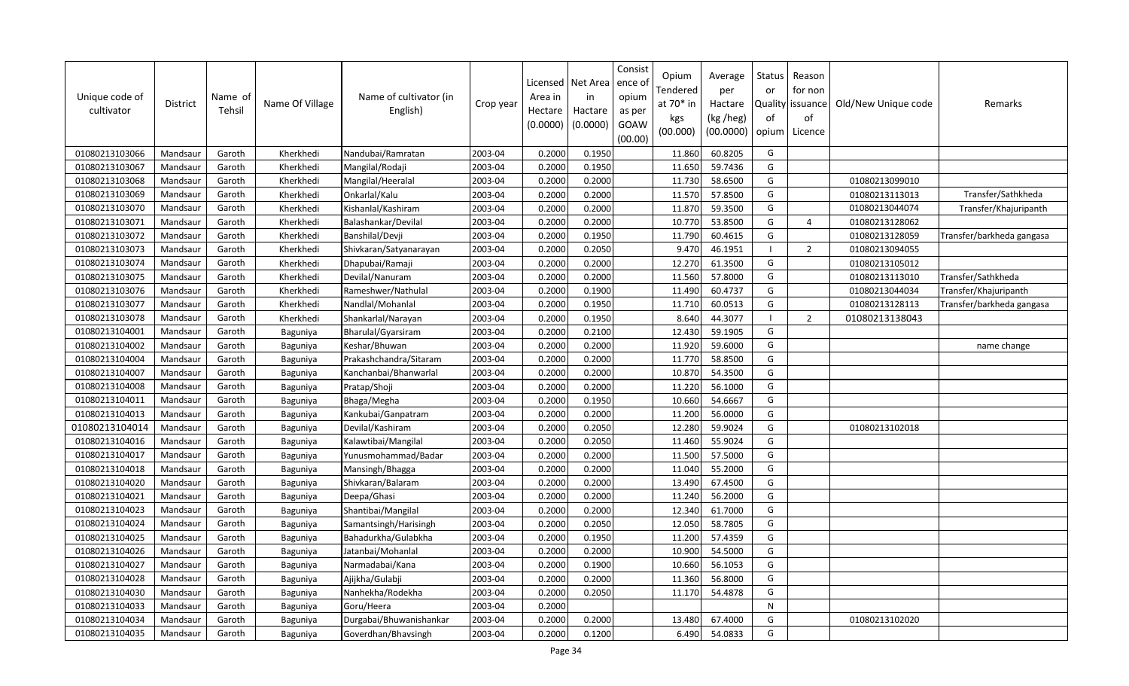| Unique code of<br>cultivator | District | Name of<br>Tehsil | Name Of Village | Name of cultivator (in<br>English) | Crop year | Licensed<br>Area in<br>Hectare<br>(0.0000) | Net Area<br>in<br>Hactare<br>(0.0000) | Consist<br>ence of<br>opium<br>as per<br>GOAW<br>(00.00) | Opium<br>Tendered<br>at $70*$ in<br>kgs<br>(00.000) | Average<br>per<br>Hactare<br>(kg /heg)<br>(00.0000) | Status<br>or<br>of<br>opium | Reason<br>for non<br>Quality   issuance<br>of<br>Licence | Old/New Unique code | Remarks                   |
|------------------------------|----------|-------------------|-----------------|------------------------------------|-----------|--------------------------------------------|---------------------------------------|----------------------------------------------------------|-----------------------------------------------------|-----------------------------------------------------|-----------------------------|----------------------------------------------------------|---------------------|---------------------------|
| 01080213103066               | Mandsaur | Garoth            | Kherkhedi       | Nandubai/Ramratan                  | 2003-04   | 0.2000                                     | 0.1950                                |                                                          | 11.860                                              | 60.8205                                             | G                           |                                                          |                     |                           |
| 01080213103067               | Mandsaur | Garoth            | Kherkhedi       | Mangilal/Rodaji                    | 2003-04   | 0.2000                                     | 0.1950                                |                                                          | 11.650                                              | 59.7436                                             | G                           |                                                          |                     |                           |
| 01080213103068               | Mandsaur | Garoth            | Kherkhedi       | Mangilal/Heeralal                  | 2003-04   | 0.2000                                     | 0.2000                                |                                                          | 11.730                                              | 58.6500                                             | G                           |                                                          | 01080213099010      |                           |
| 01080213103069               | Mandsaur | Garoth            | Kherkhedi       | Onkarlal/Kalu                      | 2003-04   | 0.2000                                     | 0.2000                                |                                                          | 11.570                                              | 57.8500                                             | G                           |                                                          | 01080213113013      | Transfer/Sathkheda        |
| 01080213103070               | Mandsaur | Garoth            | Kherkhedi       | Kishanlal/Kashiram                 | 2003-04   | 0.2000                                     | 0.2000                                |                                                          | 11.870                                              | 59.3500                                             | G                           |                                                          | 01080213044074      | Transfer/Khajuripanth     |
| 01080213103071               | Mandsaur | Garoth            | Kherkhedi       | Balashankar/Devilal                | 2003-04   | 0.2000                                     | 0.2000                                |                                                          | 10.770                                              | 53.8500                                             | G                           | $\overline{4}$                                           | 01080213128062      |                           |
| 01080213103072               | Mandsaur | Garoth            | Kherkhedi       | Banshilal/Devji                    | 2003-04   | 0.2000                                     | 0.1950                                |                                                          | 11.790                                              | 60.4615                                             | G                           |                                                          | 01080213128059      | Transfer/barkheda gangasa |
| 01080213103073               | Mandsaur | Garoth            | Kherkhedi       | Shivkaran/Satyanarayan             | 2003-04   | 0.2000                                     | 0.2050                                |                                                          | 9.470                                               | 46.1951                                             |                             | $\overline{2}$                                           | 01080213094055      |                           |
| 01080213103074               | Mandsaur | Garoth            | Kherkhedi       | Dhapubai/Ramaji                    | 2003-04   | 0.2000                                     | 0.2000                                |                                                          | 12.270                                              | 61.3500                                             | G                           |                                                          | 01080213105012      |                           |
| 01080213103075               | Mandsaur | Garoth            | Kherkhedi       | Devilal/Nanuram                    | 2003-04   | 0.2000                                     | 0.2000                                |                                                          | 11.560                                              | 57.8000                                             | G                           |                                                          | 01080213113010      | Transfer/Sathkheda        |
| 01080213103076               | Mandsaur | Garoth            | Kherkhedi       | Rameshwer/Nathulal                 | 2003-04   | 0.2000                                     | 0.1900                                |                                                          | 11.490                                              | 60.4737                                             | G                           |                                                          | 01080213044034      | Transfer/Khajuripanth     |
| 01080213103077               | Mandsaur | Garoth            | Kherkhedi       | Nandlal/Mohanlal                   | 2003-04   | 0.2000                                     | 0.1950                                |                                                          | 11.710                                              | 60.0513                                             | G                           |                                                          | 01080213128113      | Transfer/barkheda gangasa |
| 01080213103078               | Mandsaur | Garoth            | Kherkhedi       | Shankarlal/Narayan                 | 2003-04   | 0.2000                                     | 0.1950                                |                                                          | 8.640                                               | 44.3077                                             |                             | $\overline{2}$                                           | 01080213138043      |                           |
| 01080213104001               | Mandsaur | Garoth            | Baguniya        | Bharulal/Gyarsiram                 | 2003-04   | 0.2000                                     | 0.2100                                |                                                          | 12.430                                              | 59.1905                                             | G                           |                                                          |                     |                           |
| 01080213104002               | Mandsaur | Garoth            | Baguniya        | Keshar/Bhuwan                      | 2003-04   | 0.2000                                     | 0.2000                                |                                                          | 11.920                                              | 59.6000                                             | G                           |                                                          |                     | name change               |
| 01080213104004               | Mandsaur | Garoth            | Baguniya        | Prakashchandra/Sitaram             | 2003-04   | 0.2000                                     | 0.2000                                |                                                          | 11.770                                              | 58.8500                                             | G                           |                                                          |                     |                           |
| 01080213104007               | Mandsaur | Garoth            | Baguniya        | Kanchanbai/Bhanwarlal              | 2003-04   | 0.2000                                     | 0.2000                                |                                                          | 10.870                                              | 54.3500                                             | G                           |                                                          |                     |                           |
| 01080213104008               | Mandsaur | Garoth            | Baguniya        | Pratap/Shoji                       | 2003-04   | 0.2000                                     | 0.2000                                |                                                          | 11.220                                              | 56.1000                                             | G                           |                                                          |                     |                           |
| 01080213104011               | Mandsaur | Garoth            | Baguniya        | Bhaga/Megha                        | 2003-04   | 0.2000                                     | 0.1950                                |                                                          | 10.660                                              | 54.6667                                             | G                           |                                                          |                     |                           |
| 01080213104013               | Mandsaur | Garoth            | Baguniya        | Kankubai/Ganpatram                 | 2003-04   | 0.2000                                     | 0.2000                                |                                                          | 11.200                                              | 56.0000                                             | G                           |                                                          |                     |                           |
| 01080213104014               | Mandsaur | Garoth            | Baguniya        | Devilal/Kashiram                   | 2003-04   | 0.2000                                     | 0.2050                                |                                                          | 12.280                                              | 59.9024                                             | G                           |                                                          | 01080213102018      |                           |
| 01080213104016               | Mandsaur | Garoth            | Baguniya        | Kalawtibai/Mangilal                | 2003-04   | 0.2000                                     | 0.2050                                |                                                          | 11.460                                              | 55.9024                                             | G                           |                                                          |                     |                           |
| 01080213104017               | Mandsaur | Garoth            | Baguniya        | Yunusmohammad/Badar                | 2003-04   | 0.2000                                     | 0.2000                                |                                                          | 11.500                                              | 57.5000                                             | G                           |                                                          |                     |                           |
| 01080213104018               | Mandsaur | Garoth            | Baguniya        | Mansingh/Bhagga                    | 2003-04   | 0.2000                                     | 0.2000                                |                                                          | 11.040                                              | 55.2000                                             | G                           |                                                          |                     |                           |
| 01080213104020               | Mandsaur | Garoth            | Baguniya        | Shivkaran/Balaram                  | 2003-04   | 0.2000                                     | 0.2000                                |                                                          | 13.490                                              | 67.4500                                             | G                           |                                                          |                     |                           |
| 01080213104021               | Mandsaur | Garoth            | Baguniya        | Deepa/Ghasi                        | 2003-04   | 0.2000                                     | 0.2000                                |                                                          | 11.240                                              | 56.2000                                             | G                           |                                                          |                     |                           |
| 01080213104023               | Mandsaur | Garoth            | Baguniya        | Shantibai/Mangilal                 | 2003-04   | 0.2000                                     | 0.2000                                |                                                          | 12.340                                              | 61.7000                                             | G                           |                                                          |                     |                           |
| 01080213104024               | Mandsaur | Garoth            | Baguniya        | Samantsingh/Harisingh              | 2003-04   | 0.2000                                     | 0.2050                                |                                                          | 12.050                                              | 58.7805                                             | G                           |                                                          |                     |                           |
| 01080213104025               | Mandsaur | Garoth            | Baguniya        | Bahadurkha/Gulabkha                | 2003-04   | 0.2000                                     | 0.1950                                |                                                          | 11.200                                              | 57.4359                                             | G                           |                                                          |                     |                           |
| 01080213104026               | Mandsaur | Garoth            | Baguniya        | Jatanbai/Mohanlal                  | 2003-04   | 0.2000                                     | 0.2000                                |                                                          | 10.900                                              | 54.5000                                             | G                           |                                                          |                     |                           |
| 01080213104027               | Mandsaur | Garoth            | Baguniya        | Narmadabai/Kana                    | 2003-04   | 0.2000                                     | 0.1900                                |                                                          | 10.660                                              | 56.1053                                             | G                           |                                                          |                     |                           |
| 01080213104028               | Mandsaur | Garoth            | Baguniya        | Ajijkha/Gulabji                    | 2003-04   | 0.2000                                     | 0.2000                                |                                                          | 11.360                                              | 56.8000                                             | G                           |                                                          |                     |                           |
| 01080213104030               | Mandsaur | Garoth            | Baguniya        | Nanhekha/Rodekha                   | 2003-04   | 0.2000                                     | 0.2050                                |                                                          | 11.170                                              | 54.4878                                             | G                           |                                                          |                     |                           |
| 01080213104033               | Mandsaur | Garoth            | Baguniya        | Goru/Heera                         | 2003-04   | 0.2000                                     |                                       |                                                          |                                                     |                                                     | N                           |                                                          |                     |                           |
| 01080213104034               | Mandsaur | Garoth            | Baguniya        | Durgabai/Bhuwanishankar            | 2003-04   | 0.2000                                     | 0.2000                                |                                                          | 13.480                                              | 67.4000                                             | G                           |                                                          | 01080213102020      |                           |
| 01080213104035               | Mandsaur | Garoth            | Baguniya        | Goverdhan/Bhavsingh                | 2003-04   | 0.2000                                     | 0.1200                                |                                                          | 6.490                                               | 54.0833                                             | G                           |                                                          |                     |                           |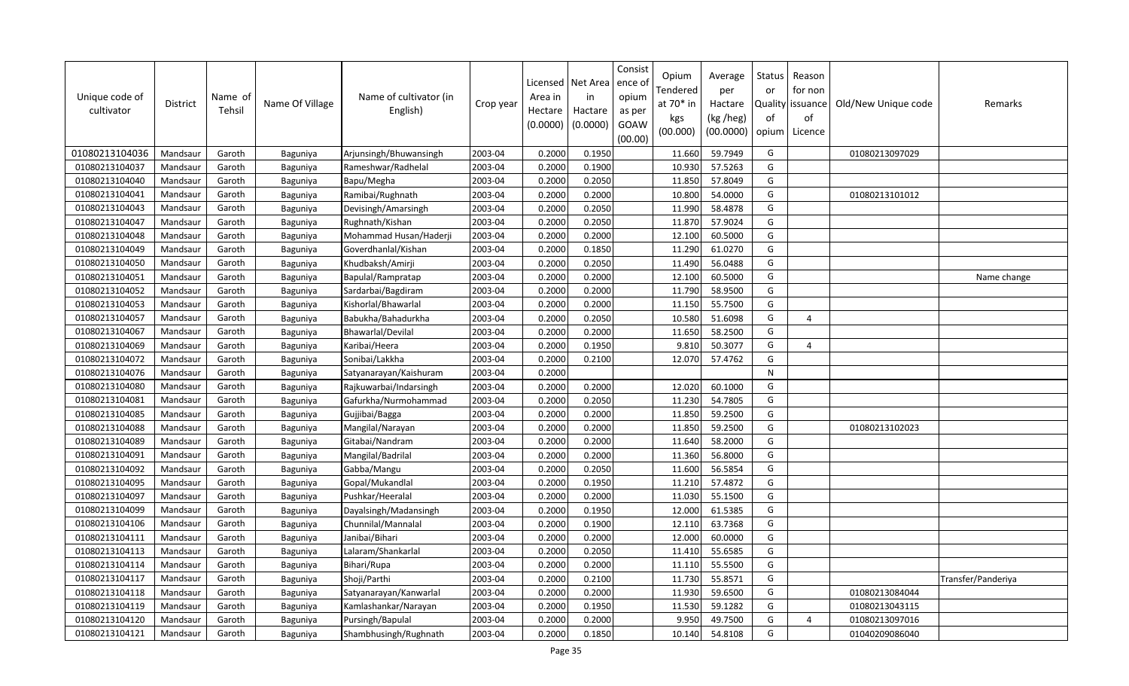| Unique code of<br>cultivator | District | Name of<br>Tehsil | Name Of Village | Name of cultivator (in<br>English) | Crop year | Licensed<br>Area in<br>Hectare<br>(0.0000) | Net Area<br>in<br>Hactare<br>(0.0000) | Consist<br>ence ol<br>opium<br>as per<br>GOAW<br>(00.00) | Opium<br>Tendered<br>at $70*$ in<br>kgs<br>(00.000) | Average<br>per<br>Hactare<br>(kg /heg)<br>(00.0000) | Status<br>or<br>of<br>opium | Reason<br>for non<br>Quality   issuance<br>of<br>Licence | Old/New Unique code | Remarks            |
|------------------------------|----------|-------------------|-----------------|------------------------------------|-----------|--------------------------------------------|---------------------------------------|----------------------------------------------------------|-----------------------------------------------------|-----------------------------------------------------|-----------------------------|----------------------------------------------------------|---------------------|--------------------|
| 01080213104036               | Mandsaur | Garoth            | Baguniya        | Arjunsingh/Bhuwansingh             | 2003-04   | 0.2000                                     | 0.1950                                |                                                          | 11.660                                              | 59.7949                                             | G                           |                                                          | 01080213097029      |                    |
| 01080213104037               | Mandsaur | Garoth            | Baguniya        | Rameshwar/Radhelal                 | 2003-04   | 0.2000                                     | 0.1900                                |                                                          | 10.930                                              | 57.5263                                             | G                           |                                                          |                     |                    |
| 01080213104040               | Mandsaur | Garoth            | Baguniya        | Bapu/Megha                         | 2003-04   | 0.2000                                     | 0.2050                                |                                                          | 11.850                                              | 57.8049                                             | G                           |                                                          |                     |                    |
| 01080213104041               | Mandsaur | Garoth            | Baguniya        | Ramibai/Rughnath                   | 2003-04   | 0.2000                                     | 0.2000                                |                                                          | 10.800                                              | 54.0000                                             | G                           |                                                          | 01080213101012      |                    |
| 01080213104043               | Mandsaur | Garoth            | Baguniya        | Devisingh/Amarsingh                | 2003-04   | 0.2000                                     | 0.2050                                |                                                          | 11.990                                              | 58.4878                                             | G                           |                                                          |                     |                    |
| 01080213104047               | Mandsaur | Garoth            | Baguniya        | Rughnath/Kishan                    | 2003-04   | 0.2000                                     | 0.2050                                |                                                          | 11.870                                              | 57.9024                                             | G                           |                                                          |                     |                    |
| 01080213104048               | Mandsaur | Garoth            | Baguniya        | Mohammad Husan/Haderji             | 2003-04   | 0.2000                                     | 0.2000                                |                                                          | 12.100                                              | 60.5000                                             | G                           |                                                          |                     |                    |
| 01080213104049               | Mandsaur | Garoth            | Baguniya        | Goverdhanlal/Kishan                | 2003-04   | 0.2000                                     | 0.1850                                |                                                          | 11.290                                              | 61.0270                                             | G                           |                                                          |                     |                    |
| 01080213104050               | Mandsaur | Garoth            | Baguniya        | Khudbaksh/Amirji                   | 2003-04   | 0.2000                                     | 0.2050                                |                                                          | 11.490                                              | 56.0488                                             | G                           |                                                          |                     |                    |
| 01080213104051               | Mandsaur | Garoth            | Baguniya        | Bapulal/Rampratap                  | 2003-04   | 0.2000                                     | 0.2000                                |                                                          | 12.100                                              | 60.5000                                             | G                           |                                                          |                     | Name change        |
| 01080213104052               | Mandsaur | Garoth            | Baguniya        | Sardarbai/Bagdiram                 | 2003-04   | 0.2000                                     | 0.2000                                |                                                          | 11.790                                              | 58.9500                                             | G                           |                                                          |                     |                    |
| 01080213104053               | Mandsaur | Garoth            | Baguniya        | Kishorlal/Bhawarlal                | 2003-04   | 0.2000                                     | 0.2000                                |                                                          | 11.150                                              | 55.7500                                             | G                           |                                                          |                     |                    |
| 01080213104057               | Mandsaur | Garoth            | Baguniya        | Babukha/Bahadurkha                 | 2003-04   | 0.2000                                     | 0.2050                                |                                                          | 10.580                                              | 51.6098                                             | G                           | 4                                                        |                     |                    |
| 01080213104067               | Mandsaur | Garoth            | Baguniya        | Bhawarlal/Devilal                  | 2003-04   | 0.2000                                     | 0.2000                                |                                                          | 11.650                                              | 58.2500                                             | G                           |                                                          |                     |                    |
| 01080213104069               | Mandsaur | Garoth            | Baguniya        | Karibai/Heera                      | 2003-04   | 0.2000                                     | 0.1950                                |                                                          | 9.810                                               | 50.3077                                             | G                           | 4                                                        |                     |                    |
| 01080213104072               | Mandsaur | Garoth            | Baguniya        | Sonibai/Lakkha                     | 2003-04   | 0.2000                                     | 0.2100                                |                                                          | 12.070                                              | 57.4762                                             | G                           |                                                          |                     |                    |
| 01080213104076               | Mandsaur | Garoth            | Baguniya        | Satyanarayan/Kaishuram             | 2003-04   | 0.2000                                     |                                       |                                                          |                                                     |                                                     | ${\sf N}$                   |                                                          |                     |                    |
| 01080213104080               | Mandsaur | Garoth            | Baguniya        | Rajkuwarbai/Indarsingh             | 2003-04   | 0.2000                                     | 0.2000                                |                                                          | 12.020                                              | 60.1000                                             | G                           |                                                          |                     |                    |
| 01080213104081               | Mandsaur | Garoth            | Baguniya        | Gafurkha/Nurmohammad               | 2003-04   | 0.2000                                     | 0.2050                                |                                                          | 11.230                                              | 54.7805                                             | G                           |                                                          |                     |                    |
| 01080213104085               | Mandsaur | Garoth            | Baguniya        | Gujjibai/Bagga                     | 2003-04   | 0.2000                                     | 0.2000                                |                                                          | 11.850                                              | 59.2500                                             | G                           |                                                          |                     |                    |
| 01080213104088               | Mandsaur | Garoth            | Baguniya        | Mangilal/Narayan                   | 2003-04   | 0.2000                                     | 0.2000                                |                                                          | 11.850                                              | 59.2500                                             | G                           |                                                          | 01080213102023      |                    |
| 01080213104089               | Mandsaur | Garoth            | Baguniya        | Gitabai/Nandram                    | 2003-04   | 0.2000                                     | 0.2000                                |                                                          | 11.640                                              | 58.2000                                             | G                           |                                                          |                     |                    |
| 01080213104091               | Mandsaur | Garoth            | Baguniya        | Mangilal/Badrilal                  | 2003-04   | 0.2000                                     | 0.2000                                |                                                          | 11.360                                              | 56.8000                                             | G                           |                                                          |                     |                    |
| 01080213104092               | Mandsaur | Garoth            | Baguniya        | Gabba/Mangu                        | 2003-04   | 0.2000                                     | 0.2050                                |                                                          | 11.600                                              | 56.5854                                             | G                           |                                                          |                     |                    |
| 01080213104095               | Mandsaur | Garoth            | Baguniya        | Gopal/Mukandlal                    | 2003-04   | 0.2000                                     | 0.1950                                |                                                          | 11.210                                              | 57.4872                                             | G                           |                                                          |                     |                    |
| 01080213104097               | Mandsaur | Garoth            | Baguniya        | Pushkar/Heeralal                   | 2003-04   | 0.2000                                     | 0.2000                                |                                                          | 11.030                                              | 55.1500                                             | G                           |                                                          |                     |                    |
| 01080213104099               | Mandsaur | Garoth            | Baguniya        | Dayalsingh/Madansingh              | 2003-04   | 0.2000                                     | 0.1950                                |                                                          | 12.000                                              | 61.5385                                             | G                           |                                                          |                     |                    |
| 01080213104106               | Mandsaur | Garoth            | Baguniya        | Chunnilal/Mannalal                 | 2003-04   | 0.2000                                     | 0.1900                                |                                                          | 12.110                                              | 63.7368                                             | G                           |                                                          |                     |                    |
| 01080213104111               | Mandsaur | Garoth            | Baguniya        | Janibai/Bihari                     | 2003-04   | 0.2000                                     | 0.2000                                |                                                          | 12.000                                              | 60.0000                                             | G                           |                                                          |                     |                    |
| 01080213104113               | Mandsaur | Garoth            | Baguniya        | Lalaram/Shankarlal                 | 2003-04   | 0.2000                                     | 0.2050                                |                                                          | 11.410                                              | 55.6585                                             | G                           |                                                          |                     |                    |
| 01080213104114               | Mandsaur | Garoth            | Baguniya        | Bihari/Rupa                        | 2003-04   | 0.2000                                     | 0.2000                                |                                                          | 11.110                                              | 55.5500                                             | G                           |                                                          |                     |                    |
| 01080213104117               | Mandsaur | Garoth            | Baguniya        | Shoji/Parthi                       | 2003-04   | 0.2000                                     | 0.2100                                |                                                          | 11.730                                              | 55.8571                                             | G                           |                                                          |                     | Transfer/Panderiya |
| 01080213104118               | Mandsaur | Garoth            | Baguniya        | Satyanarayan/Kanwarlal             | 2003-04   | 0.2000                                     | 0.2000                                |                                                          | 11.930                                              | 59.6500                                             | G                           |                                                          | 01080213084044      |                    |
| 01080213104119               | Mandsaur | Garoth            | Baguniya        | Kamlashankar/Narayan               | 2003-04   | 0.2000                                     | 0.1950                                |                                                          | 11.530                                              | 59.1282                                             | G                           |                                                          | 01080213043115      |                    |
| 01080213104120               | Mandsaur | Garoth            | Baguniya        | Pursingh/Bapulal                   | 2003-04   | 0.2000                                     | 0.2000                                |                                                          | 9.950                                               | 49.7500                                             | G                           | $\overline{a}$                                           | 01080213097016      |                    |
| 01080213104121               | Mandsaur | Garoth            | Baguniya        | Shambhusingh/Rughnath              | 2003-04   | 0.2000                                     | 0.1850                                |                                                          | 10.140                                              | 54.8108                                             | G                           |                                                          | 01040209086040      |                    |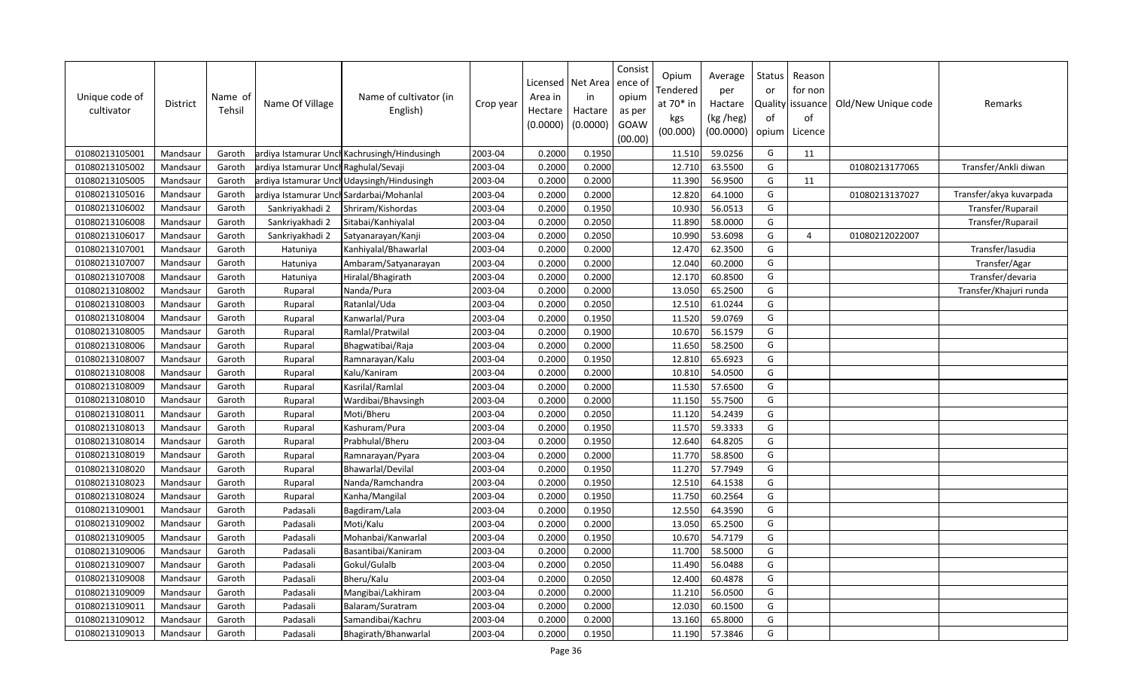| Unique code of<br>cultivator | <b>District</b> | Name of<br>Tehsil | Name Of Village                       | Name of cultivator (in<br>English)           | Crop year | Area in<br>Hectare<br>(0.0000) | Licensed   Net Area<br>in<br>Hactare<br>(0.0000) | Consist<br>ence o<br>opium<br>as per<br>GOAW<br>(00.00) | Opium<br>Tendered<br>at 70* in<br>kgs<br>(00.000) | Average<br>per<br>Hactare<br>(kg /heg)<br>(00.0000) | Status<br>or<br>of<br>opium | Reason<br>for non<br>Quality issuance<br>of<br>Licence | Old/New Unique code | Remarks                 |
|------------------------------|-----------------|-------------------|---------------------------------------|----------------------------------------------|-----------|--------------------------------|--------------------------------------------------|---------------------------------------------------------|---------------------------------------------------|-----------------------------------------------------|-----------------------------|--------------------------------------------------------|---------------------|-------------------------|
| 01080213105001               | Mandsaur        | Garoth            |                                       | ardiya Istamurar Unch Kachrusingh/Hindusingh | 2003-04   | 0.2000                         | 0.1950                                           |                                                         | 11.510                                            | 59.0256                                             | G                           | 11                                                     |                     |                         |
| 01080213105002               | Mandsaur        | Garoth            | ardiya Istamurar Unch Raghulal/Sevaji |                                              | 2003-04   | 0.2000                         | 0.2000                                           |                                                         | 12.710                                            | 63.5500                                             | G                           |                                                        | 01080213177065      | Transfer/Ankli diwan    |
| 01080213105005               | Mandsaur        | Garoth            |                                       | ardiya Istamurar UnchUdaysingh/Hindusingh    | 2003-04   | 0.2000                         | 0.2000                                           |                                                         | 11.390                                            | 56.9500                                             | G                           | 11                                                     |                     |                         |
| 01080213105016               | Mandsaur        | Garoth            |                                       | ardiya Istamurar Unch Sardarbai/Mohanlal     | 2003-04   | 0.2000                         | 0.2000                                           |                                                         | 12.820                                            | 64.1000                                             | G                           |                                                        | 01080213137027      | Transfer/akya kuvarpada |
| 01080213106002               | Mandsaur        | Garoth            | Sankriyakhadi 2                       | Shriram/Kishordas                            | 2003-04   | 0.2000                         | 0.1950                                           |                                                         | 10.930                                            | 56.0513                                             | G                           |                                                        |                     | Transfer/Ruparail       |
| 01080213106008               | Mandsaur        | Garoth            | Sankriyakhadi 2                       | Sitabai/Kanhiyalal                           | 2003-04   | 0.2000                         | 0.2050                                           |                                                         | 11.890                                            | 58.0000                                             | G                           |                                                        |                     | Transfer/Ruparail       |
| 01080213106017               | Mandsaur        | Garoth            | Sankriyakhadi 2                       | Satyanarayan/Kanji                           | 2003-04   | 0.2000                         | 0.2050                                           |                                                         | 10.990                                            | 53.6098                                             | G                           | $\overline{4}$                                         | 01080212022007      |                         |
| 01080213107001               | Mandsaur        | Garoth            | Hatuniya                              | Kanhiyalal/Bhawarlal                         | 2003-04   | 0.2000                         | 0.2000                                           |                                                         | 12.470                                            | 62.3500                                             | G                           |                                                        |                     | Transfer/lasudia        |
| 01080213107007               | Mandsaur        | Garoth            | Hatuniya                              | Ambaram/Satyanarayan                         | 2003-04   | 0.2000                         | 0.2000                                           |                                                         | 12.040                                            | 60.2000                                             | G                           |                                                        |                     | Transfer/Agar           |
| 01080213107008               | Mandsaur        | Garoth            | Hatuniya                              | Hiralal/Bhagirath                            | 2003-04   | 0.2000                         | 0.2000                                           |                                                         | 12.170                                            | 60.8500                                             | G                           |                                                        |                     | Transfer/devaria        |
| 01080213108002               | Mandsaur        | Garoth            | Ruparal                               | Nanda/Pura                                   | 2003-04   | 0.2000                         | 0.2000                                           |                                                         | 13.050                                            | 65.2500                                             | G                           |                                                        |                     | Transfer/Khajuri runda  |
| 01080213108003               | Mandsaur        | Garoth            | Ruparal                               | Ratanlal/Uda                                 | 2003-04   | 0.2000                         | 0.2050                                           |                                                         | 12.510                                            | 61.0244                                             | G                           |                                                        |                     |                         |
| 01080213108004               | Mandsaur        | Garoth            | Ruparal                               | Kanwarlal/Pura                               | 2003-04   | 0.2000                         | 0.1950                                           |                                                         | 11.520                                            | 59.0769                                             | G                           |                                                        |                     |                         |
| 01080213108005               | Mandsaur        | Garoth            | Ruparal                               | Ramlal/Pratwilal                             | 2003-04   | 0.2000                         | 0.1900                                           |                                                         | 10.670                                            | 56.1579                                             | G                           |                                                        |                     |                         |
| 01080213108006               | Mandsaur        | Garoth            | Ruparal                               | Bhagwatibai/Raja                             | 2003-04   | 0.2000                         | 0.2000                                           |                                                         | 11.650                                            | 58.2500                                             | G                           |                                                        |                     |                         |
| 01080213108007               | Mandsaur        | Garoth            | Ruparal                               | Ramnarayan/Kalu                              | 2003-04   | 0.2000                         | 0.1950                                           |                                                         | 12.810                                            | 65.6923                                             | G                           |                                                        |                     |                         |
| 01080213108008               | Mandsaur        | Garoth            | Ruparal                               | Kalu/Kaniram                                 | 2003-04   | 0.2000                         | 0.2000                                           |                                                         | 10.810                                            | 54.0500                                             | G                           |                                                        |                     |                         |
| 01080213108009               | Mandsaur        | Garoth            | Ruparal                               | Kasrilal/Ramlal                              | 2003-04   | 0.2000                         | 0.2000                                           |                                                         | 11.530                                            | 57.6500                                             | G                           |                                                        |                     |                         |
| 01080213108010               | Mandsaur        | Garoth            | Ruparal                               | Wardibai/Bhavsingh                           | 2003-04   | 0.2000                         | 0.2000                                           |                                                         | 11.150                                            | 55.7500                                             | G                           |                                                        |                     |                         |
| 01080213108011               | Mandsaur        | Garoth            | Ruparal                               | Moti/Bheru                                   | 2003-04   | 0.2000                         | 0.2050                                           |                                                         | 11.120                                            | 54.2439                                             | G                           |                                                        |                     |                         |
| 01080213108013               | Mandsaur        | Garoth            | Ruparal                               | Kashuram/Pura                                | 2003-04   | 0.2000                         | 0.1950                                           |                                                         | 11.570                                            | 59.3333                                             | G                           |                                                        |                     |                         |
| 01080213108014               | Mandsaur        | Garoth            | Ruparal                               | Prabhulal/Bheru                              | 2003-04   | 0.2000                         | 0.1950                                           |                                                         | 12.640                                            | 64.8205                                             | G                           |                                                        |                     |                         |
| 01080213108019               | Mandsaur        | Garoth            | Ruparal                               | Ramnarayan/Pyara                             | 2003-04   | 0.2000                         | 0.2000                                           |                                                         | 11.770                                            | 58.8500                                             | G                           |                                                        |                     |                         |
| 01080213108020               | Mandsaur        | Garoth            | Ruparal                               | Bhawarlal/Devilal                            | 2003-04   | 0.2000                         | 0.1950                                           |                                                         | 11.270                                            | 57.7949                                             | G                           |                                                        |                     |                         |
| 01080213108023               | Mandsaur        | Garoth            | Ruparal                               | Nanda/Ramchandra                             | 2003-04   | 0.2000                         | 0.1950                                           |                                                         | 12.510                                            | 64.1538                                             | G                           |                                                        |                     |                         |
| 01080213108024               | Mandsaur        | Garoth            | Ruparal                               | Kanha/Mangilal                               | 2003-04   | 0.2000                         | 0.1950                                           |                                                         | 11.750                                            | 60.2564                                             | G                           |                                                        |                     |                         |
| 01080213109001               | Mandsaur        | Garoth            | Padasali                              | Bagdiram/Lala                                | 2003-04   | 0.2000                         | 0.1950                                           |                                                         | 12.550                                            | 64.3590                                             | G                           |                                                        |                     |                         |
| 01080213109002               | Mandsaur        | Garoth            | Padasali                              | Moti/Kalu                                    | 2003-04   | 0.2000                         | 0.2000                                           |                                                         | 13.050                                            | 65.2500                                             | G                           |                                                        |                     |                         |
| 01080213109005               | Mandsaur        | Garoth            | Padasali                              | Mohanbai/Kanwarlal                           | 2003-04   | 0.2000                         | 0.1950                                           |                                                         | 10.670                                            | 54.7179                                             | G                           |                                                        |                     |                         |
| 01080213109006               | Mandsaur        | Garoth            | Padasali                              | Basantibai/Kaniram                           | 2003-04   | 0.2000                         | 0.2000                                           |                                                         | 11.700                                            | 58.5000                                             | G                           |                                                        |                     |                         |
| 01080213109007               | Mandsaur        | Garoth            | Padasali                              | Gokul/Gulalb                                 | 2003-04   | 0.2000                         | 0.2050                                           |                                                         | 11.490                                            | 56.0488                                             | G                           |                                                        |                     |                         |
| 01080213109008               | Mandsaur        | Garoth            | Padasali                              | Bheru/Kalu                                   | 2003-04   | 0.2000                         | 0.2050                                           |                                                         | 12.400                                            | 60.4878                                             | G                           |                                                        |                     |                         |
| 01080213109009               | Mandsaur        | Garoth            | Padasali                              | Mangibai/Lakhiram                            | 2003-04   | 0.2000                         | 0.2000                                           |                                                         | 11.210                                            | 56.0500                                             | G                           |                                                        |                     |                         |
| 01080213109011               | Mandsaur        | Garoth            | Padasali                              | Balaram/Suratram                             | 2003-04   | 0.2000                         | 0.2000                                           |                                                         | 12.030                                            | 60.1500                                             | G                           |                                                        |                     |                         |
| 01080213109012               | Mandsaur        | Garoth            | Padasali                              | Samandibai/Kachru                            | 2003-04   | 0.2000                         | 0.2000                                           |                                                         | 13.160                                            | 65.8000                                             | G                           |                                                        |                     |                         |
| 01080213109013               | Mandsaur        | Garoth            | Padasali                              | Bhagirath/Bhanwarlal                         | 2003-04   | 0.2000                         | 0.1950                                           |                                                         | 11.190                                            | 57.3846                                             | G                           |                                                        |                     |                         |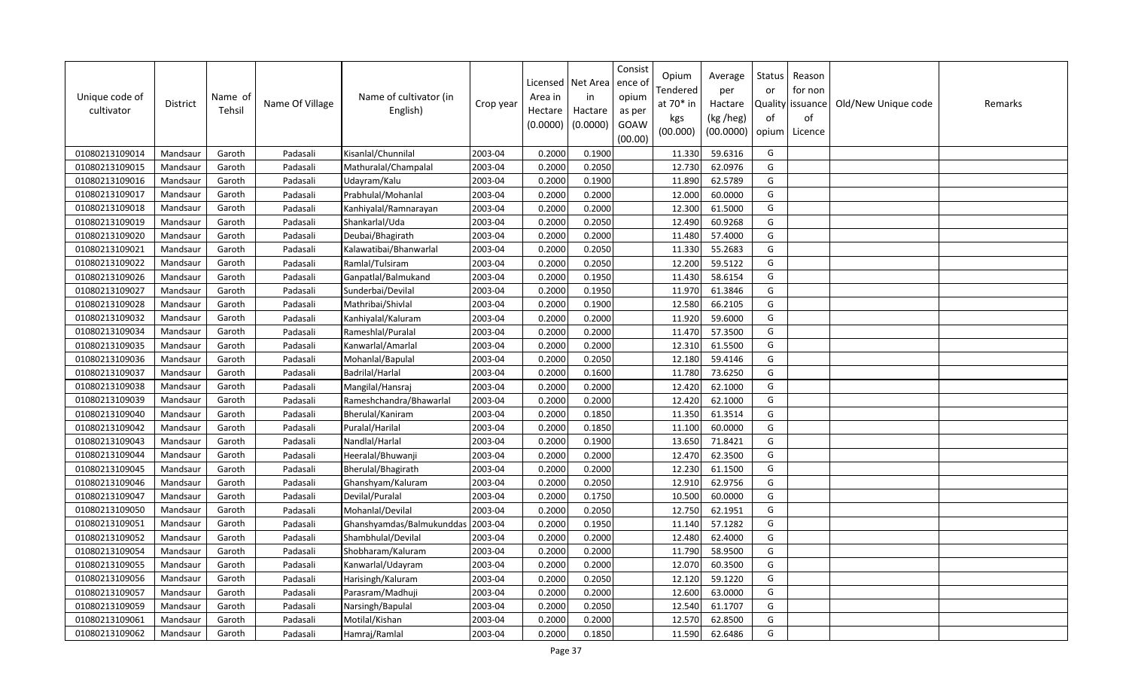| Unique code of<br>cultivator | <b>District</b> | Name of<br>Tehsil | Name Of Village | Name of cultivator (in<br>English) | Crop year | Licensed<br>Area in<br>Hectare<br>(0.0000) | Net Area<br>in<br>Hactare<br>(0.0000) | Consist<br>ence ol<br>opium<br>as per<br>GOAW<br>(00.00) | Opium<br>Tendered<br>at 70* in<br>kgs<br>(00.000) | Average<br>per<br>Hactare<br>(kg /heg)<br>(00.0000) | Status<br>or<br>of<br>opium | Reason<br>for non<br>Quality issuance<br>of<br>Licence | Old/New Unique code | Remarks |
|------------------------------|-----------------|-------------------|-----------------|------------------------------------|-----------|--------------------------------------------|---------------------------------------|----------------------------------------------------------|---------------------------------------------------|-----------------------------------------------------|-----------------------------|--------------------------------------------------------|---------------------|---------|
| 01080213109014               | Mandsaur        | Garoth            | Padasali        | Kisanlal/Chunnilal                 | 2003-04   | 0.2000                                     | 0.1900                                |                                                          | 11.330                                            | 59.6316                                             | G                           |                                                        |                     |         |
| 01080213109015               | Mandsaur        | Garoth            | Padasali        | Mathuralal/Champalal               | 2003-04   | 0.2000                                     | 0.2050                                |                                                          | 12.730                                            | 62.0976                                             | G                           |                                                        |                     |         |
| 01080213109016               | Mandsaur        | Garoth            | Padasali        | Udayram/Kalu                       | 2003-04   | 0.2000                                     | 0.1900                                |                                                          | 11.890                                            | 62.5789                                             | G                           |                                                        |                     |         |
| 01080213109017               | Mandsaur        | Garoth            | Padasali        | Prabhulal/Mohanlal                 | 2003-04   | 0.2000                                     | 0.2000                                |                                                          | 12.000                                            | 60.0000                                             | G                           |                                                        |                     |         |
| 01080213109018               | Mandsaur        | Garoth            | Padasali        | Kanhiyalal/Ramnarayan              | 2003-04   | 0.2000                                     | 0.2000                                |                                                          | 12.300                                            | 61.5000                                             | G                           |                                                        |                     |         |
| 01080213109019               | Mandsaur        | Garoth            | Padasali        | Shankarlal/Uda                     | 2003-04   | 0.2000                                     | 0.2050                                |                                                          | 12.490                                            | 60.9268                                             | G                           |                                                        |                     |         |
| 01080213109020               | Mandsaur        | Garoth            | Padasali        | Deubai/Bhagirath                   | 2003-04   | 0.2000                                     | 0.2000                                |                                                          | 11.480                                            | 57.4000                                             | G                           |                                                        |                     |         |
| 01080213109021               | Mandsaur        | Garoth            | Padasali        | Kalawatibai/Bhanwarlal             | 2003-04   | 0.2000                                     | 0.2050                                |                                                          | 11.330                                            | 55.2683                                             | G                           |                                                        |                     |         |
| 01080213109022               | Mandsaur        | Garoth            | Padasali        | Ramlal/Tulsiram                    | 2003-04   | 0.2000                                     | 0.2050                                |                                                          | 12.200                                            | 59.5122                                             | G                           |                                                        |                     |         |
| 01080213109026               | Mandsaur        | Garoth            | Padasali        | Ganpatlal/Balmukand                | 2003-04   | 0.2000                                     | 0.1950                                |                                                          | 11.430                                            | 58.6154                                             | G                           |                                                        |                     |         |
| 01080213109027               | Mandsaur        | Garoth            | Padasali        | Sunderbai/Devilal                  | 2003-04   | 0.2000                                     | 0.1950                                |                                                          | 11.970                                            | 61.3846                                             | G                           |                                                        |                     |         |
| 01080213109028               | Mandsaur        | Garoth            | Padasali        | Mathribai/Shivlal                  | 2003-04   | 0.2000                                     | 0.1900                                |                                                          | 12.580                                            | 66.2105                                             | G                           |                                                        |                     |         |
| 01080213109032               | Mandsaur        | Garoth            | Padasali        | Kanhiyalal/Kaluram                 | 2003-04   | 0.2000                                     | 0.2000                                |                                                          | 11.920                                            | 59.6000                                             | G                           |                                                        |                     |         |
| 01080213109034               | Mandsaur        | Garoth            | Padasali        | Rameshlal/Puralal                  | 2003-04   | 0.2000                                     | 0.2000                                |                                                          | 11.470                                            | 57.3500                                             | G                           |                                                        |                     |         |
| 01080213109035               | Mandsaur        | Garoth            | Padasali        | Kanwarlal/Amarlal                  | 2003-04   | 0.2000                                     | 0.2000                                |                                                          | 12.310                                            | 61.5500                                             | G                           |                                                        |                     |         |
| 01080213109036               | Mandsaur        | Garoth            | Padasali        | Mohanlal/Bapulal                   | 2003-04   | 0.2000                                     | 0.2050                                |                                                          | 12.180                                            | 59.4146                                             | G                           |                                                        |                     |         |
| 01080213109037               | Mandsaur        | Garoth            | Padasali        | <b>Badrilal/Harlal</b>             | 2003-04   | 0.2000                                     | 0.1600                                |                                                          | 11.780                                            | 73.6250                                             | G                           |                                                        |                     |         |
| 01080213109038               | Mandsaur        | Garoth            | Padasali        | Mangilal/Hansraj                   | 2003-04   | 0.2000                                     | 0.2000                                |                                                          | 12.420                                            | 62.1000                                             | G                           |                                                        |                     |         |
| 01080213109039               | Mandsaur        | Garoth            | Padasali        | Rameshchandra/Bhawarlal            | 2003-04   | 0.2000                                     | 0.2000                                |                                                          | 12.420                                            | 62.1000                                             | G                           |                                                        |                     |         |
| 01080213109040               | Mandsaur        | Garoth            | Padasali        | Bherulal/Kaniram                   | 2003-04   | 0.2000                                     | 0.1850                                |                                                          | 11.350                                            | 61.3514                                             | G                           |                                                        |                     |         |
| 01080213109042               | Mandsaur        | Garoth            | Padasali        | Puralal/Harilal                    | 2003-04   | 0.2000                                     | 0.1850                                |                                                          | 11.100                                            | 60.0000                                             | G                           |                                                        |                     |         |
| 01080213109043               | Mandsaur        | Garoth            | Padasali        | Nandlal/Harlal                     | 2003-04   | 0.2000                                     | 0.1900                                |                                                          | 13.650                                            | 71.8421                                             | G                           |                                                        |                     |         |
| 01080213109044               | Mandsaur        | Garoth            | Padasali        | Heeralal/Bhuwanji                  | 2003-04   | 0.2000                                     | 0.2000                                |                                                          | 12.470                                            | 62.3500                                             | G                           |                                                        |                     |         |
| 01080213109045               | Mandsaur        | Garoth            | Padasali        | Bherulal/Bhagirath                 | 2003-04   | 0.2000                                     | 0.2000                                |                                                          | 12.230                                            | 61.1500                                             | G                           |                                                        |                     |         |
| 01080213109046               | Mandsaur        | Garoth            | Padasali        | Ghanshyam/Kaluram                  | 2003-04   | 0.2000                                     | 0.2050                                |                                                          | 12.910                                            | 62.9756                                             | G                           |                                                        |                     |         |
| 01080213109047               | Mandsaur        | Garoth            | Padasali        | Devilal/Puralal                    | 2003-04   | 0.2000                                     | 0.1750                                |                                                          | 10.500                                            | 60.0000                                             | G                           |                                                        |                     |         |
| 01080213109050               | Mandsaur        | Garoth            | Padasali        | Mohanlal/Devilal                   | 2003-04   | 0.2000                                     | 0.2050                                |                                                          | 12.750                                            | 62.1951                                             | G                           |                                                        |                     |         |
| 01080213109051               | Mandsaur        | Garoth            | Padasali        | Ghanshyamdas/Balmukunddas          | 2003-04   | 0.2000                                     | 0.1950                                |                                                          | 11.140                                            | 57.1282                                             | G                           |                                                        |                     |         |
| 01080213109052               | Mandsaur        | Garoth            | Padasali        | Shambhulal/Devilal                 | 2003-04   | 0.2000                                     | 0.2000                                |                                                          | 12.480                                            | 62.4000                                             | G                           |                                                        |                     |         |
| 01080213109054               | Mandsaur        | Garoth            | Padasali        | Shobharam/Kaluram                  | 2003-04   | 0.2000                                     | 0.2000                                |                                                          | 11.790                                            | 58.9500                                             | G                           |                                                        |                     |         |
| 01080213109055               | Mandsaur        | Garoth            | Padasali        | Kanwarlal/Udayram                  | 2003-04   | 0.2000                                     | 0.2000                                |                                                          | 12.070                                            | 60.3500                                             | G                           |                                                        |                     |         |
| 01080213109056               | Mandsaur        | Garoth            | Padasali        | Harisingh/Kaluram                  | 2003-04   | 0.2000                                     | 0.2050                                |                                                          | 12.120                                            | 59.1220                                             | G                           |                                                        |                     |         |
| 01080213109057               | Mandsaur        | Garoth            | Padasali        | Parasram/Madhuji                   | 2003-04   | 0.2000                                     | 0.2000                                |                                                          | 12.600                                            | 63.0000                                             | G                           |                                                        |                     |         |
| 01080213109059               | Mandsaur        | Garoth            | Padasali        | Narsingh/Bapulal                   | 2003-04   | 0.2000                                     | 0.2050                                |                                                          | 12.540                                            | 61.1707                                             | G                           |                                                        |                     |         |
| 01080213109061               | Mandsaur        | Garoth            | Padasali        | Motilal/Kishan                     | 2003-04   | 0.2000                                     | 0.2000                                |                                                          | 12.570                                            | 62.8500                                             | G                           |                                                        |                     |         |
| 01080213109062               | Mandsaur        | Garoth            | Padasali        | Hamraj/Ramlal                      | 2003-04   | 0.2000                                     | 0.1850                                |                                                          | 11.590                                            | 62.6486                                             | G                           |                                                        |                     |         |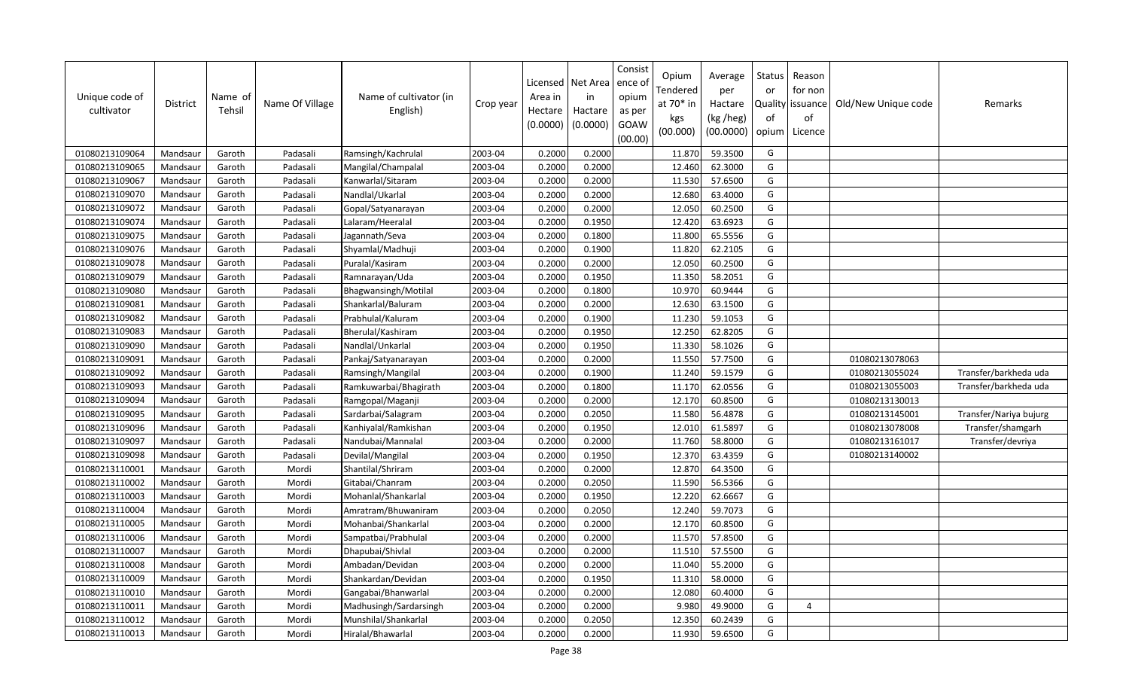| Unique code of<br>cultivator | <b>District</b> | Name of<br>Tehsil | Name Of Village | Name of cultivator (in<br>English) | Crop year | Licensed<br>Area in<br>Hectare<br>(0.0000) | Net Area<br>in<br>Hactare<br>(0.0000) | Consist<br>ence ol<br>opium<br>as per<br>GOAW<br>(00.00) | Opium<br>Tendered<br>at $70*$ in<br>kgs<br>(00.000) | Average<br>per<br>Hactare<br>(kg /heg)<br>(00.0000) | Status<br>or<br>of<br>opium | Reason<br>for non<br>Quality   issuance<br>of<br>Licence | Old/New Unique code | Remarks                |
|------------------------------|-----------------|-------------------|-----------------|------------------------------------|-----------|--------------------------------------------|---------------------------------------|----------------------------------------------------------|-----------------------------------------------------|-----------------------------------------------------|-----------------------------|----------------------------------------------------------|---------------------|------------------------|
| 01080213109064               | Mandsaur        | Garoth            | Padasali        | Ramsingh/Kachrulal                 | 2003-04   | 0.2000                                     | 0.2000                                |                                                          | 11.870                                              | 59.3500                                             | G                           |                                                          |                     |                        |
| 01080213109065               | Mandsaur        | Garoth            | Padasali        | Mangilal/Champalal                 | 2003-04   | 0.2000                                     | 0.2000                                |                                                          | 12.460                                              | 62.3000                                             | G                           |                                                          |                     |                        |
| 01080213109067               | Mandsaur        | Garoth            | Padasali        | Kanwarlal/Sitaram                  | 2003-04   | 0.2000                                     | 0.2000                                |                                                          | 11.530                                              | 57.6500                                             | G                           |                                                          |                     |                        |
| 01080213109070               | Mandsaur        | Garoth            | Padasali        | Nandlal/Ukarlal                    | 2003-04   | 0.2000                                     | 0.2000                                |                                                          | 12.680                                              | 63.4000                                             | G                           |                                                          |                     |                        |
| 01080213109072               | Mandsaur        | Garoth            | Padasali        | Gopal/Satyanarayan                 | 2003-04   | 0.2000                                     | 0.2000                                |                                                          | 12.050                                              | 60.2500                                             | G                           |                                                          |                     |                        |
| 01080213109074               | Mandsaur        | Garoth            | Padasali        | Lalaram/Heeralal                   | 2003-04   | 0.2000                                     | 0.1950                                |                                                          | 12.420                                              | 63.6923                                             | G                           |                                                          |                     |                        |
| 01080213109075               | Mandsaur        | Garoth            | Padasali        | Jagannath/Seva                     | 2003-04   | 0.2000                                     | 0.1800                                |                                                          | 11.800                                              | 65.5556                                             | G                           |                                                          |                     |                        |
| 01080213109076               | Mandsaur        | Garoth            | Padasali        | Shyamlal/Madhuji                   | 2003-04   | 0.2000                                     | 0.1900                                |                                                          | 11.820                                              | 62.2105                                             | G                           |                                                          |                     |                        |
| 01080213109078               | Mandsaur        | Garoth            | Padasali        | Puralal/Kasiram                    | 2003-04   | 0.2000                                     | 0.2000                                |                                                          | 12.050                                              | 60.2500                                             | G                           |                                                          |                     |                        |
| 01080213109079               | Mandsaur        | Garoth            | Padasali        | Ramnarayan/Uda                     | 2003-04   | 0.2000                                     | 0.1950                                |                                                          | 11.350                                              | 58.2051                                             | G                           |                                                          |                     |                        |
| 01080213109080               | Mandsaur        | Garoth            | Padasali        | Bhagwansingh/Motilal               | 2003-04   | 0.2000                                     | 0.1800                                |                                                          | 10.970                                              | 60.9444                                             | G                           |                                                          |                     |                        |
| 01080213109081               | Mandsaur        | Garoth            | Padasali        | Shankarlal/Baluram                 | 2003-04   | 0.2000                                     | 0.2000                                |                                                          | 12.630                                              | 63.1500                                             | G                           |                                                          |                     |                        |
| 01080213109082               | Mandsaur        | Garoth            | Padasali        | Prabhulal/Kaluram                  | 2003-04   | 0.2000                                     | 0.1900                                |                                                          | 11.230                                              | 59.1053                                             | G                           |                                                          |                     |                        |
| 01080213109083               | Mandsaur        | Garoth            | Padasali        | Bherulal/Kashiram                  | 2003-04   | 0.2000                                     | 0.1950                                |                                                          | 12.250                                              | 62.8205                                             | G                           |                                                          |                     |                        |
| 01080213109090               | Mandsaur        | Garoth            | Padasali        | Nandlal/Unkarlal                   | 2003-04   | 0.2000                                     | 0.1950                                |                                                          | 11.330                                              | 58.1026                                             | G                           |                                                          |                     |                        |
| 01080213109091               | Mandsaur        | Garoth            | Padasali        | Pankaj/Satyanarayan                | 2003-04   | 0.2000                                     | 0.2000                                |                                                          | 11.550                                              | 57.7500                                             | G                           |                                                          | 01080213078063      |                        |
| 01080213109092               | Mandsaur        | Garoth            | Padasali        | Ramsingh/Mangilal                  | 2003-04   | 0.2000                                     | 0.1900                                |                                                          | 11.240                                              | 59.1579                                             | G                           |                                                          | 01080213055024      | Transfer/barkheda uda  |
| 01080213109093               | Mandsaur        | Garoth            | Padasali        | Ramkuwarbai/Bhagirath              | 2003-04   | 0.2000                                     | 0.1800                                |                                                          | 11.170                                              | 62.0556                                             | G                           |                                                          | 01080213055003      | Transfer/barkheda uda  |
| 01080213109094               | Mandsaur        | Garoth            | Padasali        | Ramgopal/Maganji                   | 2003-04   | 0.2000                                     | 0.2000                                |                                                          | 12.170                                              | 60.8500                                             | G                           |                                                          | 01080213130013      |                        |
| 01080213109095               | Mandsaur        | Garoth            | Padasali        | Sardarbai/Salagram                 | 2003-04   | 0.2000                                     | 0.2050                                |                                                          | 11.580                                              | 56.4878                                             | G                           |                                                          | 01080213145001      | Transfer/Nariya bujurg |
| 01080213109096               | Mandsaur        | Garoth            | Padasali        | Kanhiyalal/Ramkishan               | 2003-04   | 0.2000                                     | 0.1950                                |                                                          | 12.010                                              | 61.5897                                             | G                           |                                                          | 01080213078008      | Transfer/shamgarh      |
| 01080213109097               | Mandsaur        | Garoth            | Padasali        | Nandubai/Mannalal                  | 2003-04   | 0.2000                                     | 0.2000                                |                                                          | 11.760                                              | 58.8000                                             | G                           |                                                          | 01080213161017      | Transfer/devriya       |
| 01080213109098               | Mandsaur        | Garoth            | Padasali        | Devilal/Mangilal                   | 2003-04   | 0.2000                                     | 0.1950                                |                                                          | 12.370                                              | 63.4359                                             | G                           |                                                          | 01080213140002      |                        |
| 01080213110001               | Mandsaur        | Garoth            | Mordi           | Shantilal/Shriram                  | 2003-04   | 0.2000                                     | 0.2000                                |                                                          | 12.870                                              | 64.3500                                             | G                           |                                                          |                     |                        |
| 01080213110002               | Mandsaur        | Garoth            | Mordi           | Gitabai/Chanram                    | 2003-04   | 0.2000                                     | 0.2050                                |                                                          | 11.590                                              | 56.5366                                             | G                           |                                                          |                     |                        |
| 01080213110003               | Mandsaur        | Garoth            | Mordi           | Mohanlal/Shankarlal                | 2003-04   | 0.2000                                     | 0.1950                                |                                                          | 12.220                                              | 62.6667                                             | G                           |                                                          |                     |                        |
| 01080213110004               | Mandsaur        | Garoth            | Mordi           | Amratram/Bhuwaniram                | 2003-04   | 0.2000                                     | 0.2050                                |                                                          | 12.240                                              | 59.7073                                             | G                           |                                                          |                     |                        |
| 01080213110005               | Mandsaur        | Garoth            | Mordi           | Mohanbai/Shankarlal                | 2003-04   | 0.2000                                     | 0.2000                                |                                                          | 12.170                                              | 60.8500                                             | G                           |                                                          |                     |                        |
| 01080213110006               | Mandsaur        | Garoth            | Mordi           | Sampatbai/Prabhulal                | 2003-04   | 0.2000                                     | 0.2000                                |                                                          | 11.570                                              | 57.8500                                             | G                           |                                                          |                     |                        |
| 01080213110007               | Mandsaur        | Garoth            | Mordi           | Dhapubai/Shivlal                   | 2003-04   | 0.2000                                     | 0.2000                                |                                                          | 11.510                                              | 57.5500                                             | G                           |                                                          |                     |                        |
| 01080213110008               | Mandsaur        | Garoth            | Mordi           | Ambadan/Devidan                    | 2003-04   | 0.2000                                     | 0.2000                                |                                                          | 11.040                                              | 55.2000                                             | G                           |                                                          |                     |                        |
| 01080213110009               | Mandsaur        | Garoth            | Mordi           | Shankardan/Devidan                 | 2003-04   | 0.2000                                     | 0.1950                                |                                                          | 11.310                                              | 58.0000                                             | G                           |                                                          |                     |                        |
| 01080213110010               | Mandsaur        | Garoth            | Mordi           | Gangabai/Bhanwarlal                | 2003-04   | 0.2000                                     | 0.2000                                |                                                          | 12.080                                              | 60.4000                                             | G                           |                                                          |                     |                        |
| 01080213110011               | Mandsaur        | Garoth            | Mordi           | Madhusingh/Sardarsingh             | 2003-04   | 0.2000                                     | 0.2000                                |                                                          | 9.980                                               | 49.9000                                             | G                           | 4                                                        |                     |                        |
| 01080213110012               | Mandsaur        | Garoth            | Mordi           | Munshilal/Shankarlal               | 2003-04   | 0.2000                                     | 0.2050                                |                                                          | 12.350                                              | 60.2439                                             | G                           |                                                          |                     |                        |
| 01080213110013               | Mandsaur        | Garoth            | Mordi           | Hiralal/Bhawarlal                  | 2003-04   | 0.2000                                     | 0.2000                                |                                                          | 11.930                                              | 59.6500                                             | G                           |                                                          |                     |                        |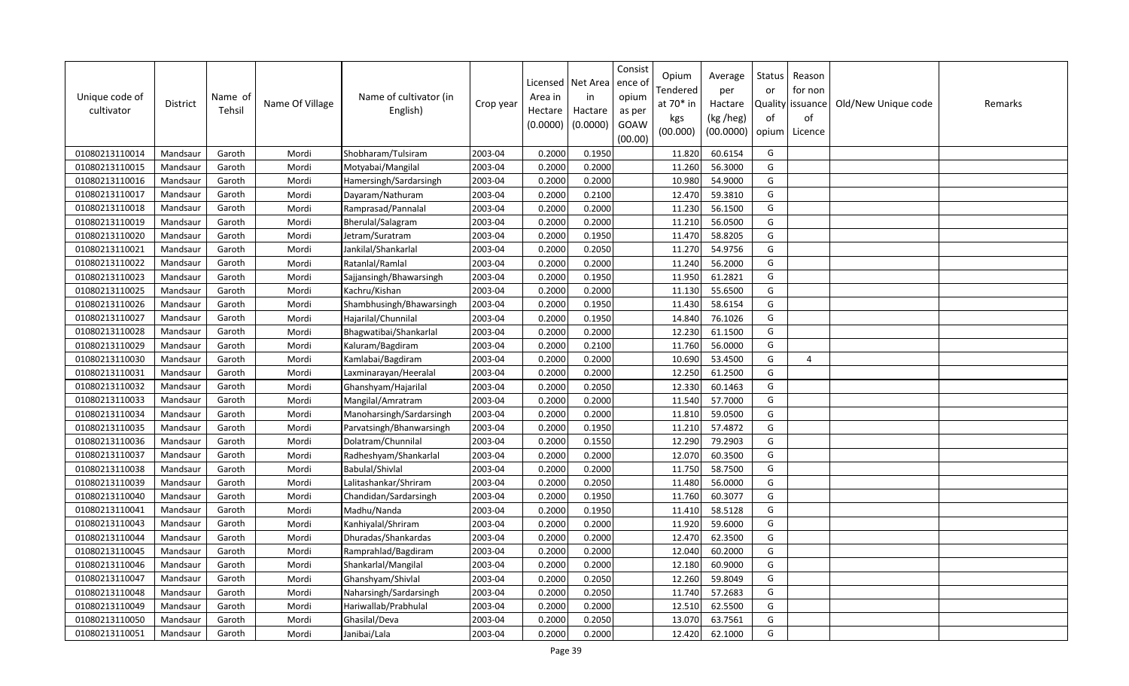| Unique code of<br>cultivator | <b>District</b> | Name of<br>Tehsil | Name Of Village | Name of cultivator (in<br>English) | Crop year | Area in<br>Hectare<br>(0.0000) | Licensed   Net Area<br>in<br>Hactare<br>(0.0000) | Consist<br>ence o<br>opium<br>as per<br>GOAW<br>(00.00) | Opium<br>Tendered<br>at 70* in<br>kgs<br>(00.000) | Average<br>per<br>Hactare<br>(kg /heg)<br>(00.0000) | Status<br>or<br>of<br>opium | Reason<br>for non<br>Quality issuance<br>of<br>Licence | Old/New Unique code | Remarks |
|------------------------------|-----------------|-------------------|-----------------|------------------------------------|-----------|--------------------------------|--------------------------------------------------|---------------------------------------------------------|---------------------------------------------------|-----------------------------------------------------|-----------------------------|--------------------------------------------------------|---------------------|---------|
| 01080213110014               | Mandsaur        | Garoth            | Mordi           | Shobharam/Tulsiram                 | 2003-04   | 0.2000                         | 0.1950                                           |                                                         | 11.820                                            | 60.6154                                             | G                           |                                                        |                     |         |
| 01080213110015               | Mandsaur        | Garoth            | Mordi           | Motyabai/Mangilal                  | 2003-04   | 0.2000                         | 0.2000                                           |                                                         | 11.260                                            | 56.3000                                             | G                           |                                                        |                     |         |
| 01080213110016               | Mandsaur        | Garoth            | Mordi           | Hamersingh/Sardarsingh             | 2003-04   | 0.2000                         | 0.2000                                           |                                                         | 10.980                                            | 54.9000                                             | G                           |                                                        |                     |         |
| 01080213110017               | Mandsaur        | Garoth            | Mordi           | Dayaram/Nathuram                   | 2003-04   | 0.2000                         | 0.2100                                           |                                                         | 12.470                                            | 59.3810                                             | G                           |                                                        |                     |         |
| 01080213110018               | Mandsaur        | Garoth            | Mordi           | Ramprasad/Pannalal                 | 2003-04   | 0.2000                         | 0.2000                                           |                                                         | 11.230                                            | 56.1500                                             | G                           |                                                        |                     |         |
| 01080213110019               | Mandsaur        | Garoth            | Mordi           | Bherulal/Salagram                  | 2003-04   | 0.2000                         | 0.2000                                           |                                                         | 11.210                                            | 56.0500                                             | G                           |                                                        |                     |         |
| 01080213110020               | Mandsaur        | Garoth            | Mordi           | Jetram/Suratram                    | 2003-04   | 0.2000                         | 0.1950                                           |                                                         | 11.470                                            | 58.8205                                             | G                           |                                                        |                     |         |
| 01080213110021               | Mandsaur        | Garoth            | Mordi           | Jankilal/Shankarlal                | 2003-04   | 0.2000                         | 0.2050                                           |                                                         | 11.270                                            | 54.9756                                             | G                           |                                                        |                     |         |
| 01080213110022               | Mandsaur        | Garoth            | Mordi           | Ratanlal/Ramlal                    | 2003-04   | 0.2000                         | 0.2000                                           |                                                         | 11.240                                            | 56.2000                                             | G                           |                                                        |                     |         |
| 01080213110023               | Mandsaur        | Garoth            | Mordi           | Sajjansingh/Bhawarsingh            | 2003-04   | 0.2000                         | 0.1950                                           |                                                         | 11.950                                            | 61.2821                                             | G                           |                                                        |                     |         |
| 01080213110025               | Mandsaur        | Garoth            | Mordi           | Kachru/Kishan                      | 2003-04   | 0.2000                         | 0.2000                                           |                                                         | 11.130                                            | 55.6500                                             | G                           |                                                        |                     |         |
| 01080213110026               | Mandsaur        | Garoth            | Mordi           | Shambhusingh/Bhawarsingh           | 2003-04   | 0.2000                         | 0.1950                                           |                                                         | 11.430                                            | 58.6154                                             | G                           |                                                        |                     |         |
| 01080213110027               | Mandsaur        | Garoth            | Mordi           | Hajarilal/Chunnilal                | 2003-04   | 0.2000                         | 0.1950                                           |                                                         | 14.840                                            | 76.1026                                             | G                           |                                                        |                     |         |
| 01080213110028               | Mandsaur        | Garoth            | Mordi           | Bhagwatibai/Shankarlal             | 2003-04   | 0.2000                         | 0.2000                                           |                                                         | 12.230                                            | 61.1500                                             | G                           |                                                        |                     |         |
| 01080213110029               | Mandsaur        | Garoth            | Mordi           | Kaluram/Bagdiram                   | 2003-04   | 0.2000                         | 0.2100                                           |                                                         | 11.760                                            | 56.0000                                             | G                           |                                                        |                     |         |
| 01080213110030               | Mandsaur        | Garoth            | Mordi           | Kamlabai/Bagdiram                  | 2003-04   | 0.2000                         | 0.2000                                           |                                                         | 10.690                                            | 53.4500                                             | G                           | $\overline{4}$                                         |                     |         |
| 01080213110031               | Mandsaur        | Garoth            | Mordi           | Laxminarayan/Heeralal              | 2003-04   | 0.2000                         | 0.2000                                           |                                                         | 12.250                                            | 61.2500                                             | G                           |                                                        |                     |         |
| 01080213110032               | Mandsaur        | Garoth            | Mordi           | Ghanshyam/Hajarilal                | 2003-04   | 0.2000                         | 0.2050                                           |                                                         | 12.330                                            | 60.1463                                             | G                           |                                                        |                     |         |
| 01080213110033               | Mandsaur        | Garoth            | Mordi           | Mangilal/Amratram                  | 2003-04   | 0.2000                         | 0.2000                                           |                                                         | 11.540                                            | 57.7000                                             | G                           |                                                        |                     |         |
| 01080213110034               | Mandsaur        | Garoth            | Mordi           | Manoharsingh/Sardarsingh           | 2003-04   | 0.2000                         | 0.2000                                           |                                                         | 11.810                                            | 59.0500                                             | G                           |                                                        |                     |         |
| 01080213110035               | Mandsaur        | Garoth            | Mordi           | Parvatsingh/Bhanwarsingh           | 2003-04   | 0.2000                         | 0.1950                                           |                                                         | 11.210                                            | 57.4872                                             | G                           |                                                        |                     |         |
| 01080213110036               | Mandsaur        | Garoth            | Mordi           | Dolatram/Chunnilal                 | 2003-04   | 0.2000                         | 0.1550                                           |                                                         | 12.290                                            | 79.2903                                             | G                           |                                                        |                     |         |
| 01080213110037               | Mandsaur        | Garoth            | Mordi           | Radheshyam/Shankarlal              | 2003-04   | 0.2000                         | 0.2000                                           |                                                         | 12.070                                            | 60.3500                                             | G                           |                                                        |                     |         |
| 01080213110038               | Mandsaur        | Garoth            | Mordi           | Babulal/Shivlal                    | 2003-04   | 0.2000                         | 0.2000                                           |                                                         | 11.750                                            | 58.7500                                             | G                           |                                                        |                     |         |
| 01080213110039               | Mandsaur        | Garoth            | Mordi           | Lalitashankar/Shriram              | 2003-04   | 0.2000                         | 0.2050                                           |                                                         | 11.480                                            | 56.0000                                             | G                           |                                                        |                     |         |
| 01080213110040               | Mandsaur        | Garoth            | Mordi           | Chandidan/Sardarsingh              | 2003-04   | 0.2000                         | 0.1950                                           |                                                         | 11.760                                            | 60.3077                                             | G                           |                                                        |                     |         |
| 01080213110041               | Mandsaur        | Garoth            | Mordi           | Madhu/Nanda                        | 2003-04   | 0.2000                         | 0.1950                                           |                                                         | 11.410                                            | 58.5128                                             | G                           |                                                        |                     |         |
| 01080213110043               | Mandsaur        | Garoth            | Mordi           | Kanhiyalal/Shriram                 | 2003-04   | 0.2000                         | 0.2000                                           |                                                         | 11.920                                            | 59.6000                                             | G                           |                                                        |                     |         |
| 01080213110044               | Mandsaur        | Garoth            | Mordi           | Dhuradas/Shankardas                | 2003-04   | 0.2000                         | 0.2000                                           |                                                         | 12.470                                            | 62.3500                                             | G                           |                                                        |                     |         |
| 01080213110045               | Mandsaur        | Garoth            | Mordi           | Ramprahlad/Bagdiram                | 2003-04   | 0.2000                         | 0.2000                                           |                                                         | 12.040                                            | 60.2000                                             | G                           |                                                        |                     |         |
| 01080213110046               | Mandsaur        | Garoth            | Mordi           | Shankarlal/Mangilal                | 2003-04   | 0.2000                         | 0.2000                                           |                                                         | 12.180                                            | 60.9000                                             | G                           |                                                        |                     |         |
| 01080213110047               | Mandsaur        | Garoth            | Mordi           | Ghanshyam/Shivlal                  | 2003-04   | 0.2000                         | 0.2050                                           |                                                         | 12.260                                            | 59.8049                                             | G                           |                                                        |                     |         |
| 01080213110048               | Mandsaur        | Garoth            | Mordi           | Naharsingh/Sardarsingh             | 2003-04   | 0.2000                         | 0.2050                                           |                                                         | 11.740                                            | 57.2683                                             | G                           |                                                        |                     |         |
| 01080213110049               | Mandsaur        | Garoth            | Mordi           | Hariwallab/Prabhulal               | 2003-04   | 0.2000                         | 0.2000                                           |                                                         | 12.510                                            | 62.5500                                             | G                           |                                                        |                     |         |
| 01080213110050               | Mandsaur        | Garoth            | Mordi           | Ghasilal/Deva                      | 2003-04   | 0.2000                         | 0.2050                                           |                                                         | 13.070                                            | 63.7561                                             | G                           |                                                        |                     |         |
| 01080213110051               | Mandsaur        | Garoth            | Mordi           | Janibai/Lala                       | 2003-04   | 0.2000                         | 0.2000                                           |                                                         | 12.420                                            | 62.1000                                             | G                           |                                                        |                     |         |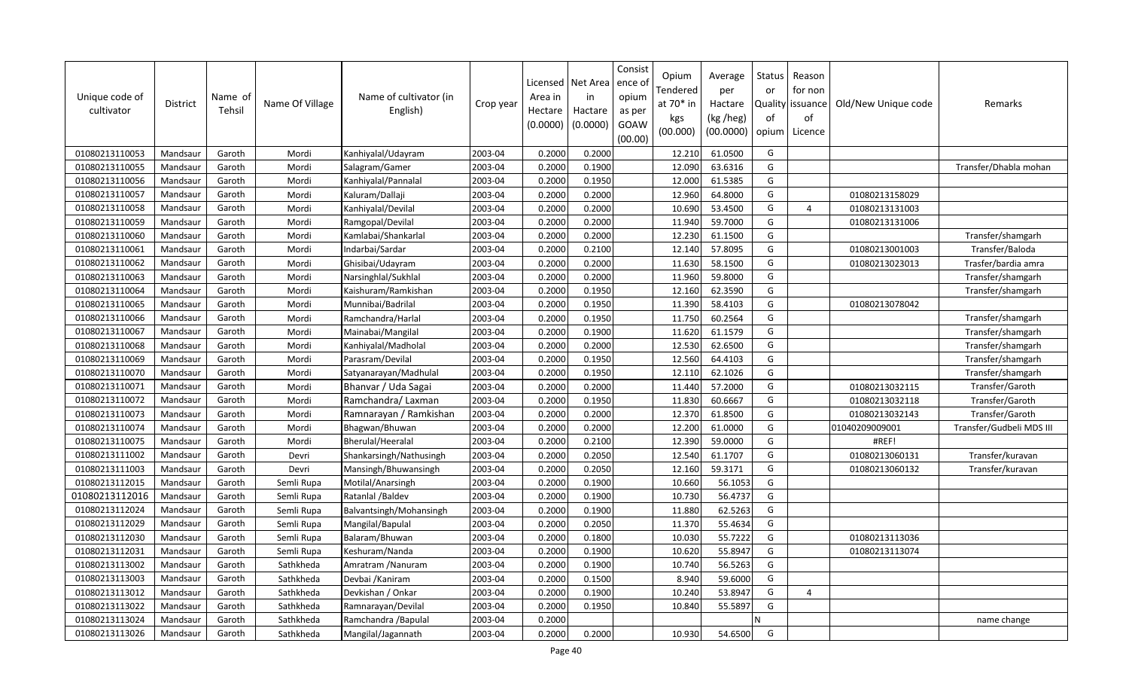| Unique code of<br>cultivator | District | Name of<br>Tehsil | Name Of Village | Name of cultivator (in<br>English) | Crop year | Area in<br>Hectare<br>(0.0000) | Licensed   Net Area<br>in<br>Hactare<br>(0.0000) | Consist<br>ence o<br>opium<br>as per<br>GOAW<br>(00.00) | Opium<br>Tendered<br>at 70* in<br>kgs<br>(00.000) | Average<br>per<br>Hactare<br>(kg /heg)<br>(00.0000) | <b>Status</b><br>or<br>Quality<br>of<br>opium | Reason<br>for non<br>issuance<br>of<br>Licence | Old/New Unique code | Remarks                  |
|------------------------------|----------|-------------------|-----------------|------------------------------------|-----------|--------------------------------|--------------------------------------------------|---------------------------------------------------------|---------------------------------------------------|-----------------------------------------------------|-----------------------------------------------|------------------------------------------------|---------------------|--------------------------|
| 01080213110053               | Mandsaur | Garoth            | Mordi           | Kanhiyalal/Udayram                 | 2003-04   | 0.2000                         | 0.2000                                           |                                                         | 12.210                                            | 61.0500                                             | G                                             |                                                |                     |                          |
| 01080213110055               | Mandsaur | Garoth            | Mordi           | Salagram/Gamer                     | 2003-04   | 0.2000                         | 0.1900                                           |                                                         | 12.090                                            | 63.6316                                             | G                                             |                                                |                     | Transfer/Dhabla mohan    |
| 01080213110056               | Mandsaur | Garoth            | Mordi           | Kanhiyalal/Pannalal                | 2003-04   | 0.2000                         | 0.1950                                           |                                                         | 12.000                                            | 61.5385                                             | G                                             |                                                |                     |                          |
| 01080213110057               | Mandsaur | Garoth            | Mordi           | Kaluram/Dallaji                    | 2003-04   | 0.2000                         | 0.2000                                           |                                                         | 12.960                                            | 64.8000                                             | G                                             |                                                | 01080213158029      |                          |
| 01080213110058               | Mandsaur | Garoth            | Mordi           | Kanhiyalal/Devilal                 | 2003-04   | 0.2000                         | 0.2000                                           |                                                         | 10.690                                            | 53.4500                                             | G                                             | $\overline{a}$                                 | 01080213131003      |                          |
| 01080213110059               | Mandsaur | Garoth            | Mordi           | Ramgopal/Devilal                   | 2003-04   | 0.2000                         | 0.2000                                           |                                                         | 11.940                                            | 59.7000                                             | G                                             |                                                | 01080213131006      |                          |
| 01080213110060               | Mandsaur | Garoth            | Mordi           | Kamlabai/Shankarlal                | 2003-04   | 0.2000                         | 0.2000                                           |                                                         | 12.230                                            | 61.1500                                             | G                                             |                                                |                     | Transfer/shamgarh        |
| 01080213110061               | Mandsaur | Garoth            | Mordi           | Indarbai/Sardar                    | 2003-04   | 0.2000                         | 0.2100                                           |                                                         | 12.140                                            | 57.8095                                             | G                                             |                                                | 01080213001003      | Transfer/Baloda          |
| 01080213110062               | Mandsaur | Garoth            | Mordi           | Ghisibai/Udayram                   | 2003-04   | 0.2000                         | 0.2000                                           |                                                         | 11.630                                            | 58.1500                                             | G                                             |                                                | 01080213023013      | Trasfer/bardia amra      |
| 01080213110063               | Mandsaur | Garoth            | Mordi           | Narsinghlal/Sukhlal                | 2003-04   | 0.2000                         | 0.2000                                           |                                                         | 11.960                                            | 59.8000                                             | G                                             |                                                |                     | Transfer/shamgarh        |
| 01080213110064               | Mandsaur | Garoth            | Mordi           | Kaishuram/Ramkishan                | 2003-04   | 0.2000                         | 0.1950                                           |                                                         | 12.160                                            | 62.3590                                             | G                                             |                                                |                     | Transfer/shamgarh        |
| 01080213110065               | Mandsaur | Garoth            | Mordi           | Munnibai/Badrilal                  | 2003-04   | 0.2000                         | 0.1950                                           |                                                         | 11.390                                            | 58.4103                                             | G                                             |                                                | 01080213078042      |                          |
| 01080213110066               | Mandsaur | Garoth            | Mordi           | Ramchandra/Harlal                  | 2003-04   | 0.2000                         | 0.1950                                           |                                                         | 11.750                                            | 60.2564                                             | G                                             |                                                |                     | Transfer/shamgarh        |
| 01080213110067               | Mandsaur | Garoth            | Mordi           | Mainabai/Mangilal                  | 2003-04   | 0.2000                         | 0.1900                                           |                                                         | 11.620                                            | 61.1579                                             | G                                             |                                                |                     | Transfer/shamgarh        |
| 01080213110068               | Mandsaur | Garoth            | Mordi           | Kanhiyalal/Madholal                | 2003-04   | 0.2000                         | 0.2000                                           |                                                         | 12.530                                            | 62.6500                                             | G                                             |                                                |                     | Transfer/shamgarh        |
| 01080213110069               | Mandsaur | Garoth            | Mordi           | Parasram/Devilal                   | 2003-04   | 0.2000                         | 0.1950                                           |                                                         | 12.560                                            | 64.4103                                             | G                                             |                                                |                     | Transfer/shamgarh        |
| 01080213110070               | Mandsaur | Garoth            | Mordi           | Satyanarayan/Madhulal              | 2003-04   | 0.2000                         | 0.1950                                           |                                                         | 12.110                                            | 62.1026                                             | G                                             |                                                |                     | Transfer/shamgarh        |
| 01080213110071               | Mandsaur | Garoth            | Mordi           | Bhanvar / Uda Sagai                | 2003-04   | 0.2000                         | 0.2000                                           |                                                         | 11.440                                            | 57.2000                                             | G                                             |                                                | 01080213032115      | Transfer/Garoth          |
| 01080213110072               | Mandsaur | Garoth            | Mordi           | Ramchandra/Laxman                  | 2003-04   | 0.2000                         | 0.1950                                           |                                                         | 11.830                                            | 60.6667                                             | G                                             |                                                | 01080213032118      | Transfer/Garoth          |
| 01080213110073               | Mandsaur | Garoth            | Mordi           | Ramnarayan / Ramkishan             | 2003-04   | 0.2000                         | 0.2000                                           |                                                         | 12.370                                            | 61.8500                                             | G                                             |                                                | 01080213032143      | Transfer/Garoth          |
| 01080213110074               | Mandsaur | Garoth            | Mordi           | Bhagwan/Bhuwan                     | 2003-04   | 0.2000                         | 0.2000                                           |                                                         | 12.200                                            | 61.0000                                             | G                                             |                                                | 01040209009001      | Transfer/Gudbeli MDS III |
| 01080213110075               | Mandsaur | Garoth            | Mordi           | Bherulal/Heeralal                  | 2003-04   | 0.2000                         | 0.2100                                           |                                                         | 12.390                                            | 59.0000                                             | G                                             |                                                | #REF!               |                          |
| 01080213111002               | Mandsaur | Garoth            | Devri           | Shankarsingh/Nathusingh            | 2003-04   | 0.2000                         | 0.2050                                           |                                                         | 12.540                                            | 61.1707                                             | G                                             |                                                | 01080213060131      | Transfer/kuravan         |
| 01080213111003               | Mandsaur | Garoth            | Devri           | Mansingh/Bhuwansingh               | 2003-04   | 0.2000                         | 0.2050                                           |                                                         | 12.160                                            | 59.3171                                             | G                                             |                                                | 01080213060132      | Transfer/kuravan         |
| 01080213112015               | Mandsaur | Garoth            | Semli Rupa      | Motilal/Anarsingh                  | 2003-04   | 0.2000                         | 0.1900                                           |                                                         | 10.660                                            | 56.105                                              | G                                             |                                                |                     |                          |
| 01080213112016               | Mandsaur | Garoth            | Semli Rupa      | Ratanlal /Baldev                   | 2003-04   | 0.2000                         | 0.1900                                           |                                                         | 10.730                                            | 56.4737                                             | G                                             |                                                |                     |                          |
| 01080213112024               | Mandsaur | Garoth            | Semli Rupa      | Balvantsingh/Mohansingh            | 2003-04   | 0.2000                         | 0.1900                                           |                                                         | 11.880                                            | 62.5263                                             | G                                             |                                                |                     |                          |
| 01080213112029               | Mandsaur | Garoth            | Semli Rupa      | Mangilal/Bapulal                   | 2003-04   | 0.2000                         | 0.2050                                           |                                                         | 11.370                                            | 55.4634                                             | G                                             |                                                |                     |                          |
| 01080213112030               | Mandsaur | Garoth            | Semli Rupa      | Balaram/Bhuwan                     | 2003-04   | 0.2000                         | 0.1800                                           |                                                         | 10.030                                            | 55.7222                                             | G                                             |                                                | 01080213113036      |                          |
| 01080213112031               | Mandsaur | Garoth            | Semli Rupa      | Keshuram/Nanda                     | 2003-04   | 0.2000                         | 0.1900                                           |                                                         | 10.620                                            | 55.8947                                             | G                                             |                                                | 01080213113074      |                          |
| 01080213113002               | Mandsaur | Garoth            | Sathkheda       | Amratram / Nanuram                 | 2003-04   | 0.2000                         | 0.1900                                           |                                                         | 10.740                                            | 56.5263                                             | G                                             |                                                |                     |                          |
| 01080213113003               | Mandsaur | Garoth            | Sathkheda       | Devbai / Kaniram                   | 2003-04   | 0.2000                         | 0.1500                                           |                                                         | 8.940                                             | 59.6000                                             | G                                             |                                                |                     |                          |
| 01080213113012               | Mandsaur | Garoth            | Sathkheda       | Devkishan / Onkar                  | 2003-04   | 0.2000                         | 0.1900                                           |                                                         | 10.240                                            | 53.8947                                             | G                                             | $\overline{4}$                                 |                     |                          |
| 01080213113022               | Mandsaur | Garoth            | Sathkheda       | Ramnarayan/Devilal                 | 2003-04   | 0.2000                         | 0.1950                                           |                                                         | 10.840                                            | 55.5897                                             | G                                             |                                                |                     |                          |
| 01080213113024               | Mandsaur | Garoth            | Sathkheda       | Ramchandra / Bapulal               | 2003-04   | 0.2000                         |                                                  |                                                         |                                                   |                                                     | N                                             |                                                |                     | name change              |
| 01080213113026               | Mandsaur | Garoth            | Sathkheda       | Mangilal/Jagannath                 | 2003-04   | 0.2000                         | 0.2000                                           |                                                         | 10.930                                            | 54.6500                                             | G                                             |                                                |                     |                          |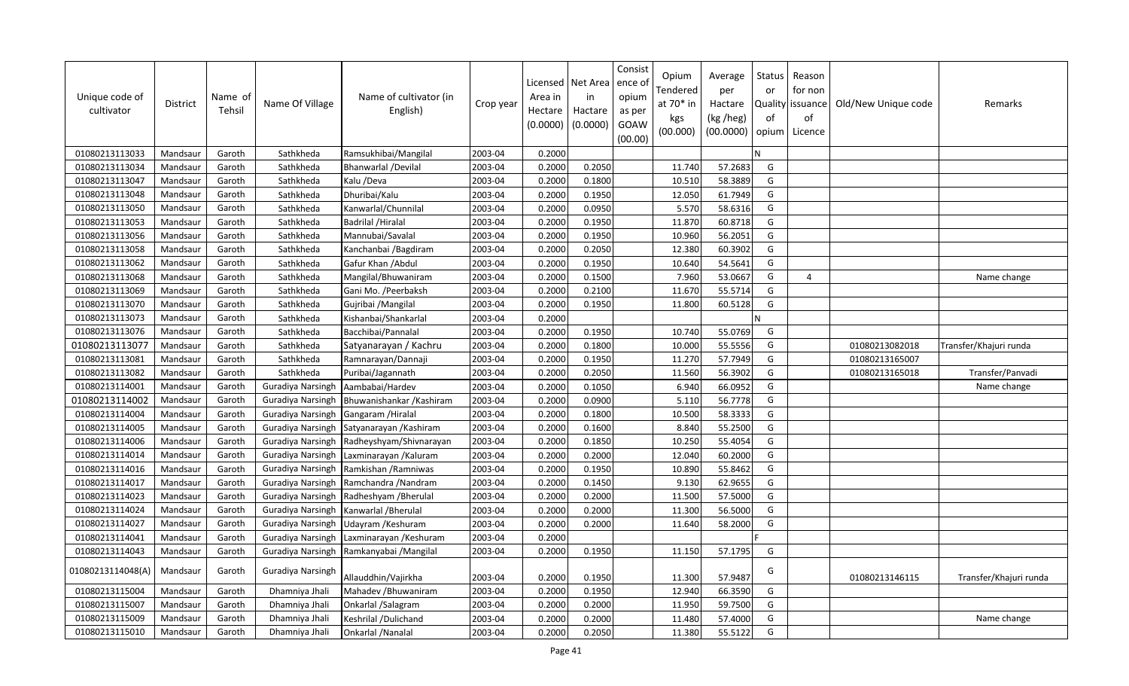| Unique code of<br>cultivator | <b>District</b> | Name of<br>Tehsil | Name Of Village          | Name of cultivator (in<br>English) | Crop year | Licensed<br>Area in<br>Hectare<br>(0.0000) | Net Area<br>in<br>Hactare<br>(0.0000) | Consist<br>ence of<br>opium<br>as per<br>GOAW<br>(00.00) | Opium<br>Tendered<br>at 70* in<br>kgs<br>(00.000) | Average<br>per<br>Hactare<br>(kg /heg)<br>(00.0000) | Status<br>or<br>of<br>opium | Reason<br>for non<br>Quality issuance<br>of<br>Licence | Old/New Unique code | Remarks                |
|------------------------------|-----------------|-------------------|--------------------------|------------------------------------|-----------|--------------------------------------------|---------------------------------------|----------------------------------------------------------|---------------------------------------------------|-----------------------------------------------------|-----------------------------|--------------------------------------------------------|---------------------|------------------------|
| 01080213113033               | Mandsaur        | Garoth            | Sathkheda                | Ramsukhibai/Mangilal               | 2003-04   | 0.2000                                     |                                       |                                                          |                                                   |                                                     | N                           |                                                        |                     |                        |
| 01080213113034               | Mandsaur        | Garoth            | Sathkheda                | <b>Bhanwarlal /Devilal</b>         | 2003-04   | 0.2000                                     | 0.2050                                |                                                          | 11.740                                            | 57.2683                                             | G                           |                                                        |                     |                        |
| 01080213113047               | Mandsaur        | Garoth            | Sathkheda                | Kalu /Deva                         | 2003-04   | 0.2000                                     | 0.1800                                |                                                          | 10.510                                            | 58.3889                                             | G                           |                                                        |                     |                        |
| 01080213113048               | Mandsaur        | Garoth            | Sathkheda                | Dhuribai/Kalu                      | 2003-04   | 0.2000                                     | 0.1950                                |                                                          | 12.050                                            | 61.7949                                             | G                           |                                                        |                     |                        |
| 01080213113050               | Mandsaur        | Garoth            | Sathkheda                | Kanwarlal/Chunnilal                | 2003-04   | 0.2000                                     | 0.0950                                |                                                          | 5.570                                             | 58.6316                                             | G                           |                                                        |                     |                        |
| 01080213113053               | Mandsaur        | Garoth            | Sathkheda                | Badrilal / Hiralal                 | 2003-04   | 0.2000                                     | 0.1950                                |                                                          | 11.870                                            | 60.8718                                             | G                           |                                                        |                     |                        |
| 01080213113056               | Mandsaur        | Garoth            | Sathkheda                | Mannubai/Savalal                   | 2003-04   | 0.2000                                     | 0.1950                                |                                                          | 10.960                                            | 56.2051                                             | G                           |                                                        |                     |                        |
| 01080213113058               | Mandsaur        | Garoth            | Sathkheda                | Kanchanbai / Bagdiram              | 2003-04   | 0.2000                                     | 0.2050                                |                                                          | 12.380                                            | 60.3902                                             | G                           |                                                        |                     |                        |
| 01080213113062               | Mandsaur        | Garoth            | Sathkheda                | Gafur Khan / Abdul                 | 2003-04   | 0.2000                                     | 0.1950                                |                                                          | 10.640                                            | 54.5641                                             | G                           |                                                        |                     |                        |
| 01080213113068               | Mandsaur        | Garoth            | Sathkheda                | Mangilal/Bhuwaniram                | 2003-04   | 0.2000                                     | 0.1500                                |                                                          | 7.960                                             | 53.0667                                             | G                           | 4                                                      |                     | Name change            |
| 01080213113069               | Mandsaur        | Garoth            | Sathkheda                | Gani Mo. / Peerbaksh               | 2003-04   | 0.2000                                     | 0.2100                                |                                                          | 11.670                                            | 55.5714                                             | G                           |                                                        |                     |                        |
| 01080213113070               | Mandsaur        | Garoth            | Sathkheda                | Gujribai / Mangilal                | 2003-04   | 0.2000                                     | 0.1950                                |                                                          | 11.800                                            | 60.5128                                             | G                           |                                                        |                     |                        |
| 01080213113073               | Mandsaur        | Garoth            | Sathkheda                | Kishanbai/Shankarlal               | 2003-04   | 0.2000                                     |                                       |                                                          |                                                   |                                                     | N                           |                                                        |                     |                        |
| 01080213113076               | Mandsaur        | Garoth            | Sathkheda                | Bacchibai/Pannalal                 | 2003-04   | 0.2000                                     | 0.1950                                |                                                          | 10.740                                            | 55.0769                                             | G                           |                                                        |                     |                        |
| 01080213113077               | Mandsaur        | Garoth            | Sathkheda                | Satyanarayan / Kachru              | 2003-04   | 0.2000                                     | 0.1800                                |                                                          | 10.000                                            | 55.5556                                             | G                           |                                                        | 01080213082018      | Transfer/Khajuri runda |
| 01080213113081               | Mandsaur        | Garoth            | Sathkheda                | Ramnarayan/Dannaji                 | 2003-04   | 0.2000                                     | 0.1950                                |                                                          | 11.270                                            | 57.7949                                             | G                           |                                                        | 01080213165007      |                        |
| 01080213113082               | Mandsaur        | Garoth            | Sathkheda                | Puribai/Jagannath                  | 2003-04   | 0.2000                                     | 0.2050                                |                                                          | 11.560                                            | 56.3902                                             | G                           |                                                        | 01080213165018      | Transfer/Panvadi       |
| 01080213114001               | Mandsaur        | Garoth            | Guradiya Narsingh        | Aambabai/Hardev                    | 2003-04   | 0.2000                                     | 0.1050                                |                                                          | 6.940                                             | 66.0952                                             | G                           |                                                        |                     | Name change            |
| 01080213114002               | Mandsaur        | Garoth            | Guradiya Narsingh        | Bhuwanishankar / Kashiram          | 2003-04   | 0.2000                                     | 0.0900                                |                                                          | 5.110                                             | 56.7778                                             | G                           |                                                        |                     |                        |
| 01080213114004               | Mandsaur        | Garoth            | Guradiya Narsingh        | Gangaram / Hiralal                 | 2003-04   | 0.2000                                     | 0.1800                                |                                                          | 10.500                                            | 58.3333                                             | G                           |                                                        |                     |                        |
| 01080213114005               | Mandsaur        | Garoth            | Guradiya Narsingh        | Satyanarayan / Kashiram            | 2003-04   | 0.2000                                     | 0.1600                                |                                                          | 8.840                                             | 55.2500                                             | G                           |                                                        |                     |                        |
| 01080213114006               | Mandsaur        | Garoth            | Guradiya Narsingh        | Radheyshyam/Shivnarayan            | 2003-04   | 0.2000                                     | 0.1850                                |                                                          | 10.250                                            | 55.4054                                             | G                           |                                                        |                     |                        |
| 01080213114014               | Mandsaur        | Garoth            | Guradiya Narsingh        | Laxminarayan / Kaluram             | 2003-04   | 0.2000                                     | 0.2000                                |                                                          | 12.040                                            | 60.2000                                             | G                           |                                                        |                     |                        |
| 01080213114016               | Mandsaur        | Garoth            | Guradiya Narsingh        | Ramkishan / Ramniwas               | 2003-04   | 0.2000                                     | 0.1950                                |                                                          | 10.890                                            | 55.8462                                             | G                           |                                                        |                     |                        |
| 01080213114017               | Mandsaur        | Garoth            | Guradiya Narsingh        | Ramchandra / Nandram               | 2003-04   | 0.2000                                     | 0.1450                                |                                                          | 9.130                                             | 62.9655                                             | G                           |                                                        |                     |                        |
| 01080213114023               | Mandsaur        | Garoth            | <b>Guradiya Narsingh</b> | Radheshyam / Bherulal              | 2003-04   | 0.2000                                     | 0.2000                                |                                                          | 11.500                                            | 57.5000                                             | G                           |                                                        |                     |                        |
| 01080213114024               | Mandsaur        | Garoth            | Guradiya Narsingh        | Kanwarlal / Bherulal               | 2003-04   | 0.2000                                     | 0.2000                                |                                                          | 11.300                                            | 56.5000                                             | G                           |                                                        |                     |                        |
| 01080213114027               | Mandsaur        | Garoth            | Guradiya Narsingh        | Udayram / Keshuram                 | 2003-04   | 0.2000                                     | 0.2000                                |                                                          | 11.640                                            | 58.2000                                             | G                           |                                                        |                     |                        |
| 01080213114041               | Mandsaur        | Garoth            | Guradiya Narsingh        | Laxminarayan / Keshuram            | 2003-04   | 0.2000                                     |                                       |                                                          |                                                   |                                                     |                             |                                                        |                     |                        |
| 01080213114043               | Mandsaur        | Garoth            | Guradiya Narsingh        | Ramkanyabai / Mangilal             | 2003-04   | 0.2000                                     | 0.1950                                |                                                          | 11.150                                            | 57.1795                                             | G                           |                                                        |                     |                        |
| 01080213114048(A)            | Mandsaur        | Garoth            | Guradiya Narsingh        | Allauddhin/Vajirkha                | 2003-04   | 0.2000                                     | 0.1950                                |                                                          | 11.300                                            | 57.9487                                             | G                           |                                                        | 01080213146115      | Transfer/Khajuri runda |
| 01080213115004               | Mandsaur        | Garoth            | Dhamniya Jhali           | Mahadev / Bhuwaniram               | 2003-04   | 0.2000                                     | 0.1950                                |                                                          | 12.940                                            | 66.3590                                             | G                           |                                                        |                     |                        |
| 01080213115007               | Mandsaur        | Garoth            | Dhamniya Jhali           | Onkarlal /Salagram                 | 2003-04   | 0.2000                                     | 0.2000                                |                                                          | 11.950                                            | 59.7500                                             | G                           |                                                        |                     |                        |
| 01080213115009               | Mandsaur        | Garoth            | Dhamniya Jhali           | Keshrilal /Dulichand               | 2003-04   | 0.2000                                     | 0.2000                                |                                                          | 11.480                                            | 57.4000                                             | G                           |                                                        |                     | Name change            |
| 01080213115010               | Mandsaur        | Garoth            | Dhamniya Jhali           | Onkarlal /Nanalal                  | 2003-04   | 0.2000                                     | 0.2050                                |                                                          | 11.380                                            | 55.5122                                             | G                           |                                                        |                     |                        |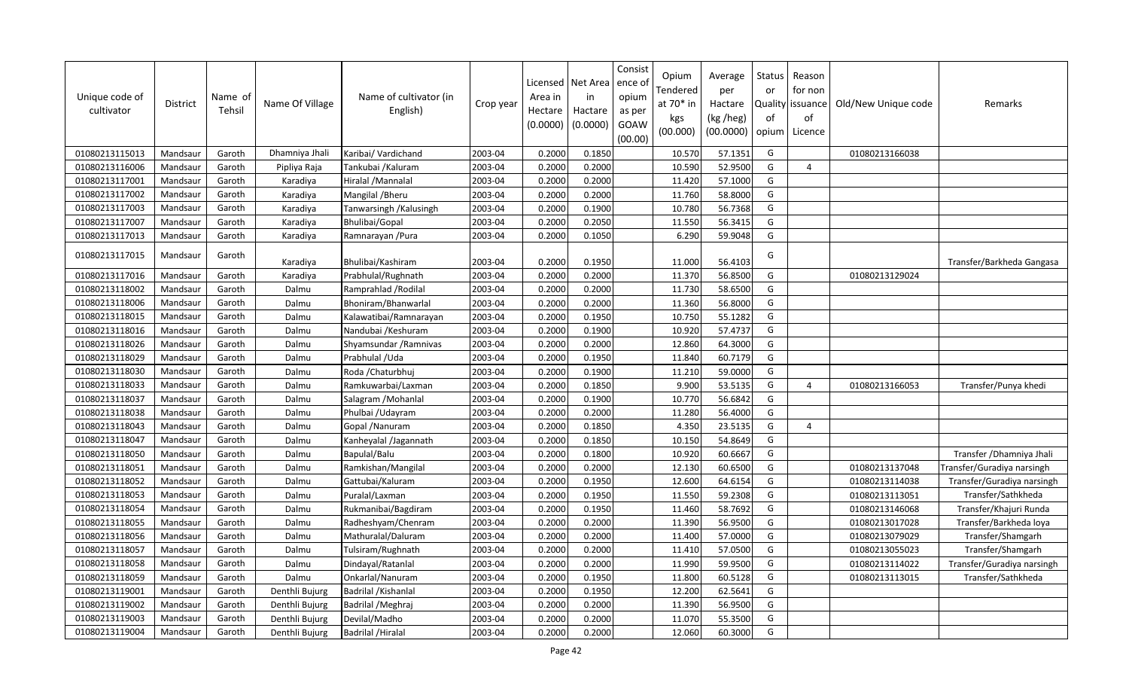| Unique code of<br>cultivator | <b>District</b> | Name of<br>Tehsil | Name Of Village | Name of cultivator (in<br>English) | Crop year | Licensed<br>Area in<br>Hectare<br>(0.0000) | Net Area<br>in<br>Hactare<br>(0.0000) | Consist<br>ence of<br>opium<br>as per<br>GOAW<br>(00.00) | Opium<br>Tendered<br>at $70*$ in<br>kgs<br>(00.000) | Average<br>per<br>Hactare<br>(kg /heg)<br>(00.0000) | <b>Status</b><br>or<br>of<br>opium | Reason<br>for non<br>Quality   issuance<br>of<br>Licence | Old/New Unique code | Remarks                    |
|------------------------------|-----------------|-------------------|-----------------|------------------------------------|-----------|--------------------------------------------|---------------------------------------|----------------------------------------------------------|-----------------------------------------------------|-----------------------------------------------------|------------------------------------|----------------------------------------------------------|---------------------|----------------------------|
| 01080213115013               | Mandsaur        | Garoth            | Dhamniya Jhali  | Karibai/ Vardichand                | 2003-04   | 0.2000                                     | 0.1850                                |                                                          | 10.570                                              | 57.1351                                             | G                                  |                                                          | 01080213166038      |                            |
| 01080213116006               | Mandsaur        | Garoth            | Pipliya Raja    | Tankubai / Kaluram                 | 2003-04   | 0.2000                                     | 0.2000                                |                                                          | 10.590                                              | 52.9500                                             | G                                  | 4                                                        |                     |                            |
| 01080213117001               | Mandsaur        | Garoth            | Karadiya        | Hiralal / Mannalal                 | 2003-04   | 0.2000                                     | 0.2000                                |                                                          | 11.420                                              | 57.1000                                             | G                                  |                                                          |                     |                            |
| 01080213117002               | Mandsaur        | Garoth            | Karadiya        | Mangilal / Bheru                   | 2003-04   | 0.2000                                     | 0.2000                                |                                                          | 11.760                                              | 58.8000                                             | G                                  |                                                          |                     |                            |
| 01080213117003               | Mandsaur        | Garoth            | Karadiya        | Tanwarsingh / Kalusingh            | 2003-04   | 0.2000                                     | 0.1900                                |                                                          | 10.780                                              | 56.7368                                             | G                                  |                                                          |                     |                            |
| 01080213117007               | Mandsaur        | Garoth            | Karadiya        | Bhulibai/Gopal                     | 2003-04   | 0.2000                                     | 0.2050                                |                                                          | 11.550                                              | 56.3415                                             | G                                  |                                                          |                     |                            |
| 01080213117013               | Mandsaur        | Garoth            | Karadiya        | Ramnarayan / Pura                  | 2003-04   | 0.2000                                     | 0.1050                                |                                                          | 6.290                                               | 59.9048                                             | G                                  |                                                          |                     |                            |
| 01080213117015               | Mandsaur        | Garoth            | Karadiya        | Bhulibai/Kashiram                  | 2003-04   | 0.2000                                     | 0.1950                                |                                                          | 11.000                                              | 56.4103                                             | G                                  |                                                          |                     | Transfer/Barkheda Gangasa  |
| 01080213117016               | Mandsaur        | Garoth            | Karadiya        | Prabhulal/Rughnath                 | 2003-04   | 0.2000                                     | 0.2000                                |                                                          | 11.370                                              | 56.8500                                             | G                                  |                                                          | 01080213129024      |                            |
| 01080213118002               | Mandsaur        | Garoth            | Dalmu           | Ramprahlad / Rodilal               | 2003-04   | 0.2000                                     | 0.2000                                |                                                          | 11.730                                              | 58.6500                                             | G                                  |                                                          |                     |                            |
| 01080213118006               | Mandsaur        | Garoth            | Dalmu           | Bhoniram/Bhanwarlal                | 2003-04   | 0.2000                                     | 0.2000                                |                                                          | 11.360                                              | 56.8000                                             | G                                  |                                                          |                     |                            |
| 01080213118015               | Mandsaur        | Garoth            | Dalmu           | Kalawatibai/Ramnarayan             | 2003-04   | 0.2000                                     | 0.1950                                |                                                          | 10.750                                              | 55.1282                                             | G                                  |                                                          |                     |                            |
| 01080213118016               | Mandsaur        | Garoth            | Dalmu           | Nandubai / Keshuram                | 2003-04   | 0.2000                                     | 0.1900                                |                                                          | 10.920                                              | 57.4737                                             | G                                  |                                                          |                     |                            |
| 01080213118026               | Mandsaur        | Garoth            | Dalmu           | Shyamsundar / Ramnivas             | 2003-04   | 0.2000                                     | 0.2000                                |                                                          | 12.860                                              | 64.3000                                             | G                                  |                                                          |                     |                            |
| 01080213118029               | Mandsaur        | Garoth            | Dalmu           | Prabhulal / Uda                    | 2003-04   | 0.2000                                     | 0.1950                                |                                                          | 11.840                                              | 60.7179                                             | G                                  |                                                          |                     |                            |
| 01080213118030               | Mandsaur        | Garoth            | Dalmu           | Roda / Chaturbhui                  | 2003-04   | 0.2000                                     | 0.1900                                |                                                          | 11.210                                              | 59.0000                                             | G                                  |                                                          |                     |                            |
| 01080213118033               | Mandsaur        | Garoth            | Dalmu           | Ramkuwarbai/Laxman                 | 2003-04   | 0.2000                                     | 0.1850                                |                                                          | 9.900                                               | 53.5135                                             | G                                  | 4                                                        | 01080213166053      | Transfer/Punya khedi       |
| 01080213118037               | Mandsaur        | Garoth            | Dalmu           | Salagram / Mohanlal                | 2003-04   | 0.2000                                     | 0.1900                                |                                                          | 10.770                                              | 56.6842                                             | G                                  |                                                          |                     |                            |
| 01080213118038               | Mandsaur        | Garoth            | Dalmu           | Phulbai /Udayram                   | 2003-04   | 0.2000                                     | 0.2000                                |                                                          | 11.280                                              | 56.4000                                             | G                                  |                                                          |                     |                            |
| 01080213118043               | Mandsaur        | Garoth            | Dalmu           | Gopal /Nanuram                     | 2003-04   | 0.2000                                     | 0.1850                                |                                                          | 4.350                                               | 23.5135                                             | G                                  | 4                                                        |                     |                            |
| 01080213118047               | Mandsaur        | Garoth            | Dalmu           | Kanheyalal /Jagannath              | 2003-04   | 0.2000                                     | 0.1850                                |                                                          | 10.150                                              | 54.8649                                             | G                                  |                                                          |                     |                            |
| 01080213118050               | Mandsaur        | Garoth            | Dalmu           | Bapulal/Balu                       | 2003-04   | 0.2000                                     | 0.1800                                |                                                          | 10.920                                              | 60.6667                                             | G                                  |                                                          |                     | Transfer / Dhamniya Jhali  |
| 01080213118051               | Mandsaur        | Garoth            | Dalmu           | Ramkishan/Mangilal                 | 2003-04   | 0.2000                                     | 0.2000                                |                                                          | 12.130                                              | 60.6500                                             | G                                  |                                                          | 01080213137048      | Transfer/Guradiya narsingh |
| 01080213118052               | Mandsaur        | Garoth            | Dalmu           | Gattubai/Kaluram                   | 2003-04   | 0.2000                                     | 0.1950                                |                                                          | 12.600                                              | 64.6154                                             | G                                  |                                                          | 01080213114038      | Transfer/Guradiya narsingh |
| 01080213118053               | Mandsaur        | Garoth            | Dalmu           | Puralal/Laxman                     | 2003-04   | 0.2000                                     | 0.1950                                |                                                          | 11.550                                              | 59.2308                                             | G                                  |                                                          | 01080213113051      | Transfer/Sathkheda         |
| 01080213118054               | Mandsaur        | Garoth            | Dalmu           | Rukmanibai/Bagdiram                | 2003-04   | 0.2000                                     | 0.1950                                |                                                          | 11.460                                              | 58.7692                                             | G                                  |                                                          | 01080213146068      | Transfer/Khajuri Runda     |
| 01080213118055               | Mandsaur        | Garoth            | Dalmu           | Radheshyam/Chenram                 | 2003-04   | 0.2000                                     | 0.2000                                |                                                          | 11.390                                              | 56.9500                                             | G                                  |                                                          | 01080213017028      | Transfer/Barkheda loya     |
| 01080213118056               | Mandsaur        | Garoth            | Dalmu           | Mathuralal/Daluram                 | 2003-04   | 0.2000                                     | 0.2000                                |                                                          | 11.400                                              | 57.0000                                             | G                                  |                                                          | 01080213079029      | Transfer/Shamgarh          |
| 01080213118057               | Mandsaur        | Garoth            | Dalmu           | Tulsiram/Rughnath                  | 2003-04   | 0.2000                                     | 0.2000                                |                                                          | 11.410                                              | 57.0500                                             | G                                  |                                                          | 01080213055023      | Transfer/Shamgarh          |
| 01080213118058               | Mandsaur        | Garoth            | Dalmu           | Dindayal/Ratanlal                  | 2003-04   | 0.2000                                     | 0.2000                                |                                                          | 11.990                                              | 59.9500                                             | G                                  |                                                          | 01080213114022      | Transfer/Guradiya narsingh |
| 01080213118059               | Mandsaur        | Garoth            | Dalmu           | Onkarlal/Nanuram                   | 2003-04   | 0.2000                                     | 0.1950                                |                                                          | 11.800                                              | 60.5128                                             | G                                  |                                                          | 01080213113015      | Transfer/Sathkheda         |
| 01080213119001               | Mandsaur        | Garoth            | Denthli Bujurg  | Badrilal / Kishanlal               | 2003-04   | 0.2000                                     | 0.1950                                |                                                          | 12.200                                              | 62.5641                                             | G                                  |                                                          |                     |                            |
| 01080213119002               | Mandsaur        | Garoth            | Denthli Bujurg  | Badrilal / Meghraj                 | 2003-04   | 0.2000                                     | 0.2000                                |                                                          | 11.390                                              | 56.9500                                             | G                                  |                                                          |                     |                            |
| 01080213119003               | Mandsaur        | Garoth            | Denthli Bujurg  | Devilal/Madho                      | 2003-04   | 0.2000                                     | 0.2000                                |                                                          | 11.070                                              | 55.3500                                             | G                                  |                                                          |                     |                            |
| 01080213119004               | Mandsaur        | Garoth            | Denthli Bujurg  | <b>Badrilal /Hiralal</b>           | 2003-04   | 0.2000                                     | 0.2000                                |                                                          | 12.060                                              | 60.3000                                             | G                                  |                                                          |                     |                            |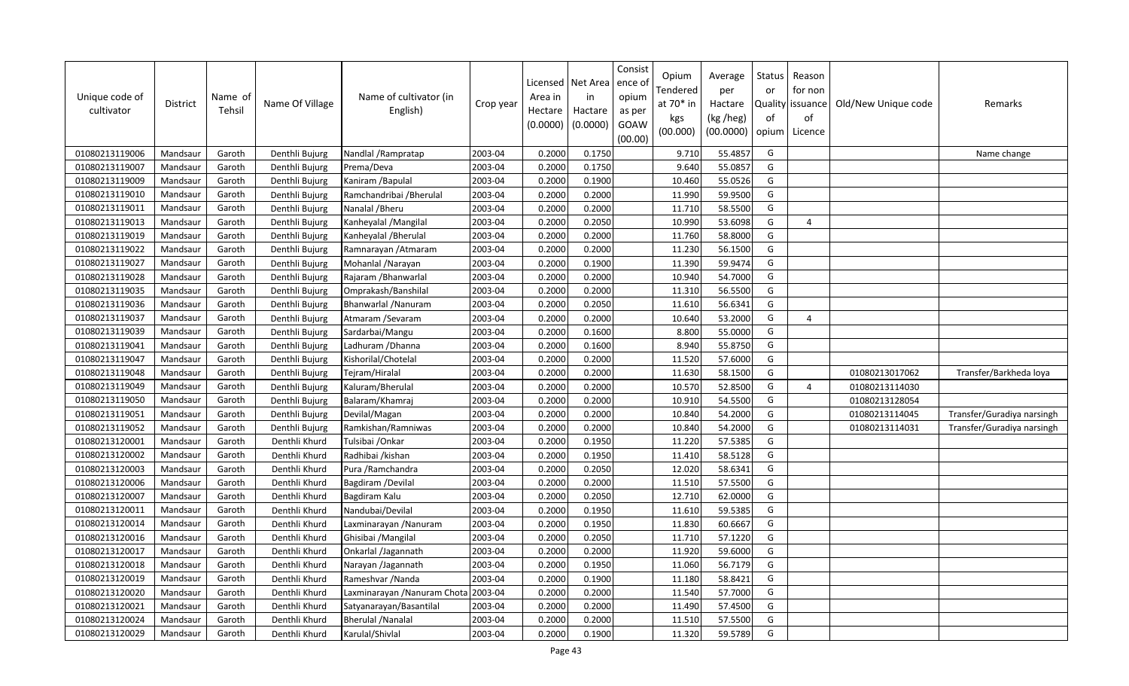| Unique code of<br>cultivator | <b>District</b> | Name of<br>Tehsil | Name Of Village | Name of cultivator (in<br>English) | Crop year | Licensed<br>Area in<br>Hectare<br>(0.0000) | Net Area<br>in<br>Hactare<br>(0.0000) | Consist<br>ence of<br>opium<br>as per<br>GOAW<br>(00.00) | Opium<br>Tendered<br>at $70*$ in<br>kgs<br>(00.000) | Average<br>per<br>Hactare<br>(kg /heg)<br>(00.0000) | Status<br>or<br>of<br>opium | Reason<br>for non<br>Quality   issuance<br>of<br>Licence | Old/New Unique code | Remarks                    |
|------------------------------|-----------------|-------------------|-----------------|------------------------------------|-----------|--------------------------------------------|---------------------------------------|----------------------------------------------------------|-----------------------------------------------------|-----------------------------------------------------|-----------------------------|----------------------------------------------------------|---------------------|----------------------------|
| 01080213119006               | Mandsaur        | Garoth            | Denthli Bujurg  | Nandlal / Rampratap                | 2003-04   | 0.2000                                     | 0.1750                                |                                                          | 9.710                                               | 55.4857                                             | G                           |                                                          |                     | Name change                |
| 01080213119007               | Mandsaur        | Garoth            | Denthli Bujurg  | Prema/Deva                         | 2003-04   | 0.2000                                     | 0.1750                                |                                                          | 9.640                                               | 55.0857                                             | G                           |                                                          |                     |                            |
| 01080213119009               | Mandsaur        | Garoth            | Denthli Bujurg  | Kaniram / Bapulal                  | 2003-04   | 0.2000                                     | 0.1900                                |                                                          | 10.460                                              | 55.0526                                             | G                           |                                                          |                     |                            |
| 01080213119010               | Mandsaur        | Garoth            | Denthli Bujurg  | Ramchandribai / Bherulal           | 2003-04   | 0.2000                                     | 0.2000                                |                                                          | 11.990                                              | 59.9500                                             | G                           |                                                          |                     |                            |
| 01080213119011               | Mandsaur        | Garoth            | Denthli Bujurg  | Nanalal / Bheru                    | 2003-04   | 0.2000                                     | 0.2000                                |                                                          | 11.710                                              | 58.5500                                             | G                           |                                                          |                     |                            |
| 01080213119013               | Mandsaur        | Garoth            | Denthli Bujurg  | Kanheyalal / Mangilal              | 2003-04   | 0.2000                                     | 0.2050                                |                                                          | 10.990                                              | 53.6098                                             | G                           | $\overline{4}$                                           |                     |                            |
| 01080213119019               | Mandsaur        | Garoth            | Denthli Bujurg  | Kanheyalal / Bherulal              | 2003-04   | 0.2000                                     | 0.2000                                |                                                          | 11.760                                              | 58.8000                                             | G                           |                                                          |                     |                            |
| 01080213119022               | Mandsaur        | Garoth            | Denthli Bujurg  | Ramnarayan / Atmaram               | 2003-04   | 0.2000                                     | 0.2000                                |                                                          | 11.230                                              | 56.1500                                             | G                           |                                                          |                     |                            |
| 01080213119027               | Mandsaur        | Garoth            | Denthli Bujurg  | Mohanlal / Narayan                 | 2003-04   | 0.2000                                     | 0.1900                                |                                                          | 11.390                                              | 59.9474                                             | G                           |                                                          |                     |                            |
| 01080213119028               | Mandsaur        | Garoth            | Denthli Bujurg  | Rajaram / Bhanwarlal               | 2003-04   | 0.2000                                     | 0.2000                                |                                                          | 10.940                                              | 54.7000                                             | G                           |                                                          |                     |                            |
| 01080213119035               | Mandsaur        | Garoth            | Denthli Bujurg  | Omprakash/Banshilal                | 2003-04   | 0.2000                                     | 0.2000                                |                                                          | 11.310                                              | 56.5500                                             | G                           |                                                          |                     |                            |
| 01080213119036               | Mandsaur        | Garoth            | Denthli Bujurg  | Bhanwarlal / Nanuram               | 2003-04   | 0.2000                                     | 0.2050                                |                                                          | 11.610                                              | 56.6341                                             | G                           |                                                          |                     |                            |
| 01080213119037               | Mandsaur        | Garoth            | Denthli Bujurg  | Atmaram / Sevaram                  | 2003-04   | 0.2000                                     | 0.2000                                |                                                          | 10.640                                              | 53.2000                                             | G                           | 4                                                        |                     |                            |
| 01080213119039               | Mandsaur        | Garoth            | Denthli Bujurg  | Sardarbai/Mangu                    | 2003-04   | 0.2000                                     | 0.1600                                |                                                          | 8.800                                               | 55.0000                                             | G                           |                                                          |                     |                            |
| 01080213119041               | Mandsaur        | Garoth            | Denthli Bujurg  | Ladhuram / Dhanna                  | 2003-04   | 0.2000                                     | 0.1600                                |                                                          | 8.940                                               | 55.8750                                             | G                           |                                                          |                     |                            |
| 01080213119047               | Mandsaur        | Garoth            | Denthli Bujurg  | Kishorilal/Chotelal                | 2003-04   | 0.2000                                     | 0.2000                                |                                                          | 11.520                                              | 57.6000                                             | G                           |                                                          |                     |                            |
| 01080213119048               | Mandsaur        | Garoth            | Denthli Bujurg  | Tejram/Hiralal                     | 2003-04   | 0.2000                                     | 0.2000                                |                                                          | 11.630                                              | 58.1500                                             | G                           |                                                          | 01080213017062      | Transfer/Barkheda loya     |
| 01080213119049               | Mandsaur        | Garoth            | Denthli Bujurg  | Kaluram/Bherulal                   | 2003-04   | 0.2000                                     | 0.2000                                |                                                          | 10.570                                              | 52.8500                                             | G                           | $\Delta$                                                 | 01080213114030      |                            |
| 01080213119050               | Mandsaur        | Garoth            | Denthli Bujurg  | Balaram/Khamraj                    | 2003-04   | 0.2000                                     | 0.2000                                |                                                          | 10.910                                              | 54.5500                                             | G                           |                                                          | 01080213128054      |                            |
| 01080213119051               | Mandsaur        | Garoth            | Denthli Bujurg  | Devilal/Magan                      | 2003-04   | 0.2000                                     | 0.2000                                |                                                          | 10.840                                              | 54.2000                                             | G                           |                                                          | 01080213114045      | Transfer/Guradiya narsingh |
| 01080213119052               | Mandsaur        | Garoth            | Denthli Bujurg  | Ramkishan/Ramniwas                 | 2003-04   | 0.2000                                     | 0.2000                                |                                                          | 10.840                                              | 54.2000                                             | G                           |                                                          | 01080213114031      | Transfer/Guradiya narsingh |
| 01080213120001               | Mandsaur        | Garoth            | Denthli Khurd   | Tulsibai / Onkar                   | 2003-04   | 0.2000                                     | 0.1950                                |                                                          | 11.220                                              | 57.5385                                             | G                           |                                                          |                     |                            |
| 01080213120002               | Mandsaur        | Garoth            | Denthli Khurd   | Radhibai /kishan                   | 2003-04   | 0.2000                                     | 0.1950                                |                                                          | 11.410                                              | 58.5128                                             | G                           |                                                          |                     |                            |
| 01080213120003               | Mandsaur        | Garoth            | Denthli Khurd   | Pura / Ramchandra                  | 2003-04   | 0.2000                                     | 0.2050                                |                                                          | 12.020                                              | 58.6341                                             | G                           |                                                          |                     |                            |
| 01080213120006               | Mandsaur        | Garoth            | Denthli Khurd   | Bagdiram / Devilal                 | 2003-04   | 0.2000                                     | 0.2000                                |                                                          | 11.510                                              | 57.5500                                             | G                           |                                                          |                     |                            |
| 01080213120007               | Mandsaur        | Garoth            | Denthli Khurd   | Bagdiram Kalu                      | 2003-04   | 0.2000                                     | 0.2050                                |                                                          | 12.710                                              | 62.0000                                             | G                           |                                                          |                     |                            |
| 01080213120011               | Mandsaur        | Garoth            | Denthli Khurd   | Nandubai/Devilal                   | 2003-04   | 0.2000                                     | 0.1950                                |                                                          | 11.610                                              | 59.5385                                             | G                           |                                                          |                     |                            |
| 01080213120014               | Mandsaur        | Garoth            | Denthli Khurd   | Laxminarayan / Nanuram             | 2003-04   | 0.2000                                     | 0.1950                                |                                                          | 11.830                                              | 60.6667                                             | G                           |                                                          |                     |                            |
| 01080213120016               | Mandsaur        | Garoth            | Denthli Khurd   | Ghisibai / Mangilal                | 2003-04   | 0.2000                                     | 0.2050                                |                                                          | 11.710                                              | 57.1220                                             | G                           |                                                          |                     |                            |
| 01080213120017               | Mandsaur        | Garoth            | Denthli Khurd   | Onkarlal /Jagannath                | 2003-04   | 0.2000                                     | 0.2000                                |                                                          | 11.920                                              | 59.6000                                             | G                           |                                                          |                     |                            |
| 01080213120018               | Mandsaur        | Garoth            | Denthli Khurd   | Narayan /Jagannath                 | 2003-04   | 0.2000                                     | 0.1950                                |                                                          | 11.060                                              | 56.7179                                             | G                           |                                                          |                     |                            |
| 01080213120019               | Mandsaur        | Garoth            | Denthli Khurd   | Rameshvar / Nanda                  | 2003-04   | 0.2000                                     | 0.1900                                |                                                          | 11.180                                              | 58.8421                                             | G                           |                                                          |                     |                            |
| 01080213120020               | Mandsaur        | Garoth            | Denthli Khurd   | Laxminarayan / Nanuram Chota       | 2003-04   | 0.2000                                     | 0.2000                                |                                                          | 11.540                                              | 57.7000                                             | G                           |                                                          |                     |                            |
| 01080213120021               | Mandsaur        | Garoth            | Denthli Khurd   | Satyanarayan/Basantilal            | 2003-04   | 0.2000                                     | 0.2000                                |                                                          | 11.490                                              | 57.4500                                             | G                           |                                                          |                     |                            |
| 01080213120024               | Mandsaur        | Garoth            | Denthli Khurd   | <b>Bherulal / Nanalal</b>          | 2003-04   | 0.2000                                     | 0.2000                                |                                                          | 11.510                                              | 57.5500                                             | G                           |                                                          |                     |                            |
| 01080213120029               | Mandsaur        | Garoth            | Denthli Khurd   | Karulal/Shivlal                    | 2003-04   | 0.2000                                     | 0.1900                                |                                                          | 11.320                                              | 59.5789                                             | G                           |                                                          |                     |                            |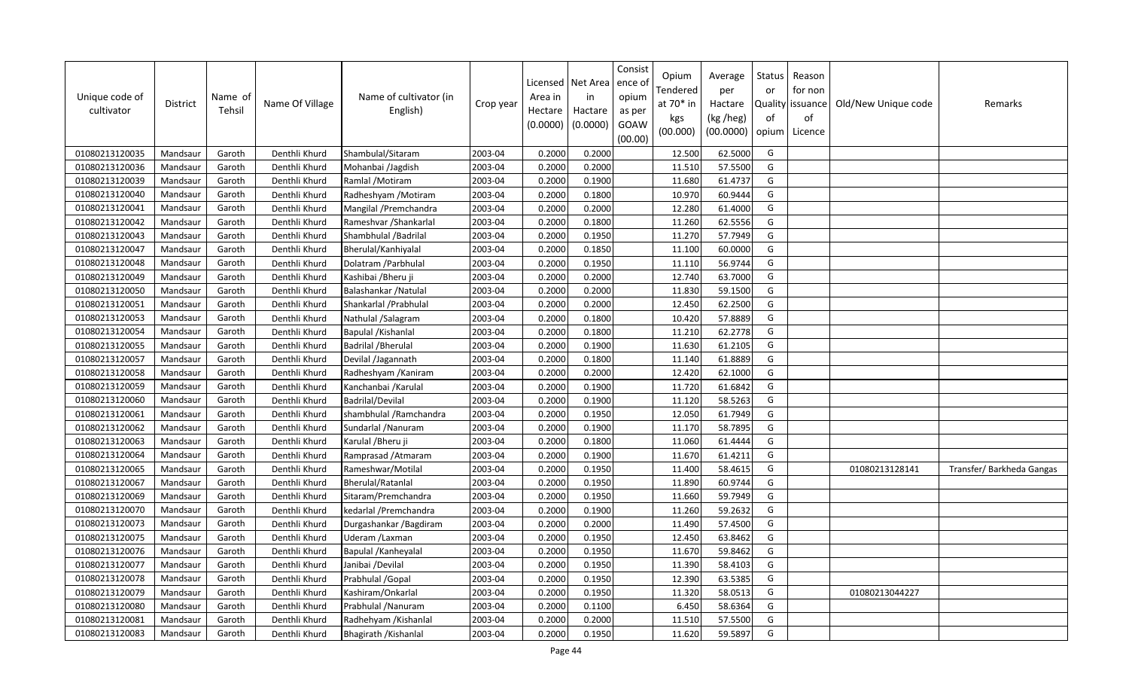| Unique code of<br>cultivator | <b>District</b> | Name of<br>Tehsil | Name Of Village | Name of cultivator (in<br>English) | Crop year | Area in<br>Hectare<br>(0.0000) | Licensed   Net Area<br>in<br>Hactare<br>(0.0000) | Consist<br>ence of<br>opium<br>as per<br>GOAW<br>(00.00) | Opium<br>Tendered<br>at $70*$ in<br>kgs<br>(00.000) | Average<br>per<br>Hactare<br>(kg /heg)<br>(00.0000) | Status<br>or<br>of<br>opium | Reason<br>for non<br>Quality issuance<br>of<br>Licence | Old/New Unique code | Remarks                  |
|------------------------------|-----------------|-------------------|-----------------|------------------------------------|-----------|--------------------------------|--------------------------------------------------|----------------------------------------------------------|-----------------------------------------------------|-----------------------------------------------------|-----------------------------|--------------------------------------------------------|---------------------|--------------------------|
| 01080213120035               | Mandsaur        | Garoth            | Denthli Khurd   | Shambulal/Sitaram                  | 2003-04   | 0.2000                         | 0.2000                                           |                                                          | 12.500                                              | 62.5000                                             | G                           |                                                        |                     |                          |
| 01080213120036               | Mandsaur        | Garoth            | Denthli Khurd   | Mohanbai /Jagdish                  | 2003-04   | 0.2000                         | 0.2000                                           |                                                          | 11.510                                              | 57.5500                                             | G                           |                                                        |                     |                          |
| 01080213120039               | Mandsaur        | Garoth            | Denthli Khurd   | Ramlal /Motiram                    | 2003-04   | 0.2000                         | 0.1900                                           |                                                          | 11.680                                              | 61.4737                                             | G                           |                                                        |                     |                          |
| 01080213120040               | Mandsaur        | Garoth            | Denthli Khurd   | Radheshyam / Motiram               | 2003-04   | 0.2000                         | 0.1800                                           |                                                          | 10.970                                              | 60.9444                                             | G                           |                                                        |                     |                          |
| 01080213120041               | Mandsaur        | Garoth            | Denthli Khurd   | Mangilal / Premchandra             | 2003-04   | 0.2000                         | 0.2000                                           |                                                          | 12.280                                              | 61.4000                                             | G                           |                                                        |                     |                          |
| 01080213120042               | Mandsaur        | Garoth            | Denthli Khurd   | Rameshvar / Shankarlal             | 2003-04   | 0.2000                         | 0.1800                                           |                                                          | 11.260                                              | 62.5556                                             | G                           |                                                        |                     |                          |
| 01080213120043               | Mandsaur        | Garoth            | Denthli Khurd   | Shambhulal /Badrilal               | 2003-04   | 0.2000                         | 0.1950                                           |                                                          | 11.270                                              | 57.7949                                             | G                           |                                                        |                     |                          |
| 01080213120047               | Mandsaur        | Garoth            | Denthli Khurd   | Bherulal/Kanhiyalal                | 2003-04   | 0.2000                         | 0.1850                                           |                                                          | 11.100                                              | 60.0000                                             | G                           |                                                        |                     |                          |
| 01080213120048               | Mandsaur        | Garoth            | Denthli Khurd   | Dolatram / Parbhulal               | 2003-04   | 0.2000                         | 0.1950                                           |                                                          | 11.110                                              | 56.9744                                             | G                           |                                                        |                     |                          |
| 01080213120049               | Mandsaur        | Garoth            | Denthli Khurd   | Kashibai / Bheru ji                | 2003-04   | 0.2000                         | 0.2000                                           |                                                          | 12.740                                              | 63.7000                                             | G                           |                                                        |                     |                          |
| 01080213120050               | Mandsaur        | Garoth            | Denthli Khurd   | Balashankar / Natulal              | 2003-04   | 0.2000                         | 0.2000                                           |                                                          | 11.830                                              | 59.1500                                             | G                           |                                                        |                     |                          |
| 01080213120051               | Mandsaur        | Garoth            | Denthli Khurd   | Shankarlal / Prabhulal             | 2003-04   | 0.2000                         | 0.2000                                           |                                                          | 12.450                                              | 62.2500                                             | G                           |                                                        |                     |                          |
| 01080213120053               | Mandsaur        | Garoth            | Denthli Khurd   | Nathulal /Salagram                 | 2003-04   | 0.2000                         | 0.1800                                           |                                                          | 10.420                                              | 57.8889                                             | G                           |                                                        |                     |                          |
| 01080213120054               | Mandsaur        | Garoth            | Denthli Khurd   | Bapulal / Kishanlal                | 2003-04   | 0.2000                         | 0.1800                                           |                                                          | 11.210                                              | 62.2778                                             | G                           |                                                        |                     |                          |
| 01080213120055               | Mandsaur        | Garoth            | Denthli Khurd   | <b>Badrilal / Bherulal</b>         | 2003-04   | 0.2000                         | 0.1900                                           |                                                          | 11.630                                              | 61.2105                                             | G                           |                                                        |                     |                          |
| 01080213120057               | Mandsaur        | Garoth            | Denthli Khurd   | Devilal /Jagannath                 | 2003-04   | 0.2000                         | 0.1800                                           |                                                          | 11.140                                              | 61.8889                                             | G                           |                                                        |                     |                          |
| 01080213120058               | Mandsaur        | Garoth            | Denthli Khurd   | Radheshyam / Kaniram               | 2003-04   | 0.2000                         | 0.2000                                           |                                                          | 12.420                                              | 62.1000                                             | G                           |                                                        |                     |                          |
| 01080213120059               | Mandsaur        | Garoth            | Denthli Khurd   | Kanchanbai / Karulal               | 2003-04   | 0.2000                         | 0.1900                                           |                                                          | 11.720                                              | 61.6842                                             | G                           |                                                        |                     |                          |
| 01080213120060               | Mandsaur        | Garoth            | Denthli Khurd   | Badrilal/Devilal                   | 2003-04   | 0.2000                         | 0.1900                                           |                                                          | 11.120                                              | 58.5263                                             | G                           |                                                        |                     |                          |
| 01080213120061               | Mandsaur        | Garoth            | Denthli Khurd   | shambhulal / Ramchandra            | 2003-04   | 0.2000                         | 0.1950                                           |                                                          | 12.050                                              | 61.7949                                             | G                           |                                                        |                     |                          |
| 01080213120062               | Mandsaur        | Garoth            | Denthli Khurd   | Sundarlal / Nanuram                | 2003-04   | 0.2000                         | 0.1900                                           |                                                          | 11.170                                              | 58.7895                                             | G                           |                                                        |                     |                          |
| 01080213120063               | Mandsaur        | Garoth            | Denthli Khurd   | Karulal / Bheru ji                 | 2003-04   | 0.2000                         | 0.1800                                           |                                                          | 11.060                                              | 61.4444                                             | G                           |                                                        |                     |                          |
| 01080213120064               | Mandsaur        | Garoth            | Denthli Khurd   | Ramprasad / Atmaram                | 2003-04   | 0.2000                         | 0.1900                                           |                                                          | 11.670                                              | 61.4211                                             | G                           |                                                        |                     |                          |
| 01080213120065               | Mandsaur        | Garoth            | Denthli Khurd   | Rameshwar/Motilal                  | 2003-04   | 0.2000                         | 0.1950                                           |                                                          | 11.400                                              | 58.4615                                             | G                           |                                                        | 01080213128141      | Transfer/Barkheda Gangas |
| 01080213120067               | Mandsaur        | Garoth            | Denthli Khurd   | Bherulal/Ratanlal                  | 2003-04   | 0.2000                         | 0.1950                                           |                                                          | 11.890                                              | 60.9744                                             | G                           |                                                        |                     |                          |
| 01080213120069               | Mandsaur        | Garoth            | Denthli Khurd   | Sitaram/Premchandra                | 2003-04   | 0.2000                         | 0.1950                                           |                                                          | 11.660                                              | 59.7949                                             | G                           |                                                        |                     |                          |
| 01080213120070               | Mandsaur        | Garoth            | Denthli Khurd   | kedarlal / Premchandra             | 2003-04   | 0.2000                         | 0.1900                                           |                                                          | 11.260                                              | 59.2632                                             | G                           |                                                        |                     |                          |
| 01080213120073               | Mandsaur        | Garoth            | Denthli Khurd   | Durgashankar / Bagdiram            | 2003-04   | 0.2000                         | 0.2000                                           |                                                          | 11.490                                              | 57.4500                                             | G                           |                                                        |                     |                          |
| 01080213120075               | Mandsaur        | Garoth            | Denthli Khurd   | Uderam / Laxman                    | 2003-04   | 0.2000                         | 0.1950                                           |                                                          | 12.450                                              | 63.8462                                             | G                           |                                                        |                     |                          |
| 01080213120076               | Mandsaur        | Garoth            | Denthli Khurd   | Bapulal / Kanheyalal               | 2003-04   | 0.2000                         | 0.1950                                           |                                                          | 11.670                                              | 59.8462                                             | G                           |                                                        |                     |                          |
| 01080213120077               | Mandsaur        | Garoth            | Denthli Khurd   | Janibai /Devilal                   | 2003-04   | 0.2000                         | 0.1950                                           |                                                          | 11.390                                              | 58.4103                                             | G                           |                                                        |                     |                          |
| 01080213120078               | Mandsaur        | Garoth            | Denthli Khurd   | Prabhulal / Gopal                  | 2003-04   | 0.2000                         | 0.1950                                           |                                                          | 12.390                                              | 63.5385                                             | G                           |                                                        |                     |                          |
| 01080213120079               | Mandsaur        | Garoth            | Denthli Khurd   | Kashiram/Onkarlal                  | 2003-04   | 0.2000                         | 0.1950                                           |                                                          | 11.320                                              | 58.0513                                             | G                           |                                                        | 01080213044227      |                          |
| 01080213120080               | Mandsaur        | Garoth            | Denthli Khurd   | Prabhulal / Nanuram                | 2003-04   | 0.2000                         | 0.1100                                           |                                                          | 6.450                                               | 58.6364                                             | G                           |                                                        |                     |                          |
| 01080213120081               | Mandsaur        | Garoth            | Denthli Khurd   | Radhehyam / Kishanlal              | 2003-04   | 0.2000                         | 0.2000                                           |                                                          | 11.510                                              | 57.5500                                             | G                           |                                                        |                     |                          |
| 01080213120083               | Mandsaur        | Garoth            | Denthli Khurd   | Bhagirath / Kishanlal              | 2003-04   | 0.2000                         | 0.1950                                           |                                                          | 11.620                                              | 59.5897                                             | G                           |                                                        |                     |                          |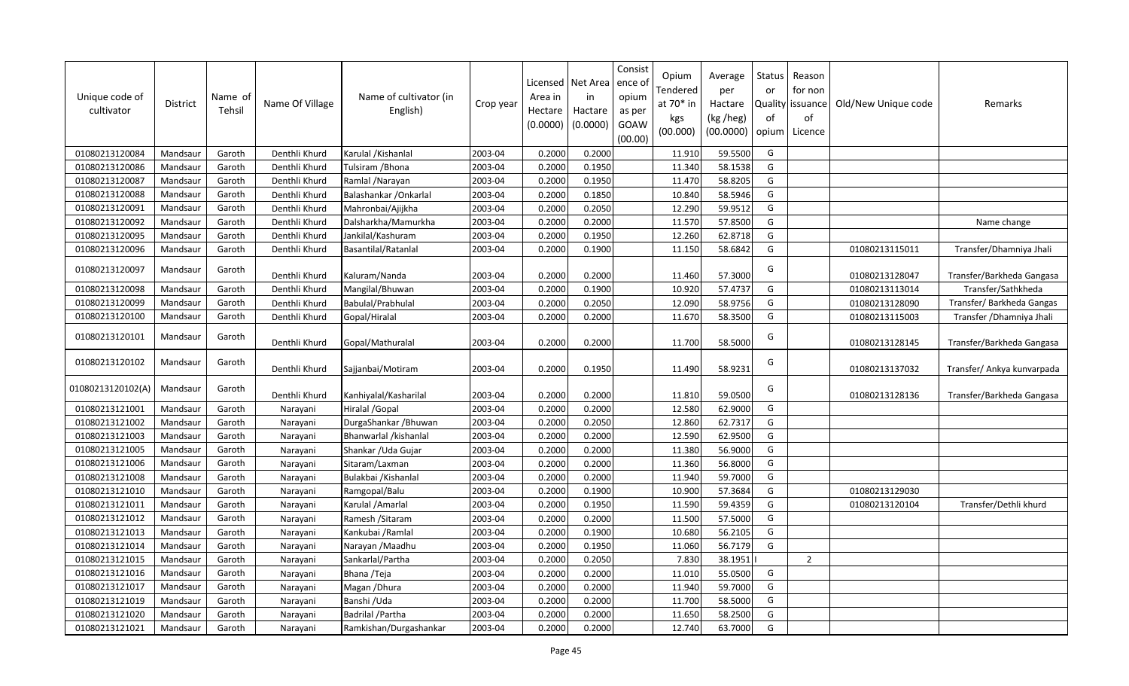| Unique code of<br>cultivator | District | Name of<br>Tehsil | Name Of Village | Name of cultivator (in<br>English) | Crop year | Area in<br>Hectare<br>(0.0000) | Licensed   Net Area<br>in<br>Hactare<br>(0.0000) | Consist<br>ence o<br>opium<br>as per<br>GOAW<br>(00.00) | Opium<br>Tendered<br>at $70*$ in<br>kgs<br>(00.000) | Average<br>per<br>Hactare<br>(kg /heg)<br>(00.0000) | Status<br>or<br>of<br>opium | Reason<br>for non<br>Quality issuance<br>of<br>Licence | Old/New Unique code | Remarks                    |
|------------------------------|----------|-------------------|-----------------|------------------------------------|-----------|--------------------------------|--------------------------------------------------|---------------------------------------------------------|-----------------------------------------------------|-----------------------------------------------------|-----------------------------|--------------------------------------------------------|---------------------|----------------------------|
| 01080213120084               | Mandsaur | Garoth            | Denthli Khurd   | Karulal / Kishanlal                | 2003-04   | 0.2000                         | 0.2000                                           |                                                         | 11.910                                              | 59.5500                                             | G                           |                                                        |                     |                            |
| 01080213120086               | Mandsaur | Garoth            | Denthli Khurd   | Tulsiram / Bhona                   | 2003-04   | 0.2000                         | 0.1950                                           |                                                         | 11.340                                              | 58.1538                                             | G                           |                                                        |                     |                            |
| 01080213120087               | Mandsaur | Garoth            | Denthli Khurd   | Ramlal /Narayan                    | 2003-04   | 0.2000                         | 0.1950                                           |                                                         | 11.470                                              | 58.8205                                             | G                           |                                                        |                     |                            |
| 01080213120088               | Mandsaur | Garoth            | Denthli Khurd   | Balashankar / Onkarlal             | 2003-04   | 0.2000                         | 0.1850                                           |                                                         | 10.840                                              | 58.5946                                             | G                           |                                                        |                     |                            |
| 01080213120091               | Mandsaur | Garoth            | Denthli Khurd   | Mahronbai/Ajijkha                  | 2003-04   | 0.2000                         | 0.2050                                           |                                                         | 12.290                                              | 59.9512                                             | G                           |                                                        |                     |                            |
| 01080213120092               | Mandsaur | Garoth            | Denthli Khurd   | Dalsharkha/Mamurkha                | 2003-04   | 0.2000                         | 0.2000                                           |                                                         | 11.570                                              | 57.8500                                             | G                           |                                                        |                     | Name change                |
| 01080213120095               | Mandsaur | Garoth            | Denthli Khurd   | Jankilal/Kashuram                  | 2003-04   | 0.2000                         | 0.1950                                           |                                                         | 12.260                                              | 62.8718                                             | G                           |                                                        |                     |                            |
| 01080213120096               | Mandsaur | Garoth            | Denthli Khurd   | <b>Basantilal/Ratanlal</b>         | 2003-04   | 0.2000                         | 0.1900                                           |                                                         | 11.150                                              | 58.6842                                             | G                           |                                                        | 01080213115011      | Transfer/Dhamniya Jhali    |
| 01080213120097               | Mandsaur | Garoth            | Denthli Khurd   | Kaluram/Nanda                      | 2003-04   | 0.2000                         | 0.2000                                           |                                                         | 11.460                                              | 57.3000                                             | G                           |                                                        | 01080213128047      | Transfer/Barkheda Gangasa  |
| 01080213120098               | Mandsaur | Garoth            | Denthli Khurd   | Mangilal/Bhuwan                    | 2003-04   | 0.2000                         | 0.1900                                           |                                                         | 10.920                                              | 57.4737                                             | G                           |                                                        | 01080213113014      | Transfer/Sathkheda         |
| 01080213120099               | Mandsaur | Garoth            | Denthli Khurd   | Babulal/Prabhulal                  | 2003-04   | 0.2000                         | 0.2050                                           |                                                         | 12.090                                              | 58.9756                                             | G                           |                                                        | 01080213128090      | Transfer/ Barkheda Gangas  |
| 01080213120100               | Mandsaur | Garoth            | Denthli Khurd   | Gopal/Hiralal                      | 2003-04   | 0.2000                         | 0.2000                                           |                                                         | 11.670                                              | 58.3500                                             | G                           |                                                        | 01080213115003      | Transfer / Dhamniya Jhali  |
| 01080213120101               | Mandsaur | Garoth            | Denthli Khurd   | Gopal/Mathuralal                   | 2003-04   | 0.2000                         | 0.2000                                           |                                                         | 11.700                                              | 58.5000                                             | G                           |                                                        | 01080213128145      | Transfer/Barkheda Gangasa  |
| 01080213120102               | Mandsaur | Garoth            | Denthli Khurd   | Sajjanbai/Motiram                  | 2003-04   | 0.2000                         | 0.1950                                           |                                                         | 11.490                                              | 58.9231                                             | G                           |                                                        | 01080213137032      | Transfer/ Ankya kunvarpada |
| 01080213120102(A)            | Mandsaur | Garoth            | Denthli Khurd   | Kanhiyalal/Kasharilal              | 2003-04   | 0.2000                         | 0.2000                                           |                                                         | 11.810                                              | 59.0500                                             | G                           |                                                        | 01080213128136      | Transfer/Barkheda Gangasa  |
| 01080213121001               | Mandsaur | Garoth            | Narayani        | Hiralal / Gopal                    | 2003-04   | 0.2000                         | 0.2000                                           |                                                         | 12.580                                              | 62.9000                                             | G                           |                                                        |                     |                            |
| 01080213121002               | Mandsaur | Garoth            | Narayani        | DurgaShankar / Bhuwan              | 2003-04   | 0.2000                         | 0.2050                                           |                                                         | 12.860                                              | 62.7317                                             | G                           |                                                        |                     |                            |
| 01080213121003               | Mandsaur | Garoth            | Narayani        | Bhanwarlal /kishanlal              | 2003-04   | 0.2000                         | 0.2000                                           |                                                         | 12.590                                              | 62.9500                                             | G                           |                                                        |                     |                            |
| 01080213121005               | Mandsaur | Garoth            | Narayani        | Shankar /Uda Gujar                 | 2003-04   | 0.2000                         | 0.2000                                           |                                                         | 11.380                                              | 56.9000                                             | G                           |                                                        |                     |                            |
| 01080213121006               | Mandsaur | Garoth            | Narayani        | Sitaram/Laxman                     | 2003-04   | 0.2000                         | 0.2000                                           |                                                         | 11.360                                              | 56.8000                                             | G                           |                                                        |                     |                            |
| 01080213121008               | Mandsaur | Garoth            | Narayani        | Bulakbai /Kishanlal                | 2003-04   | 0.2000                         | 0.2000                                           |                                                         | 11.940                                              | 59.7000                                             | G                           |                                                        |                     |                            |
| 01080213121010               | Mandsaur | Garoth            | Narayani        | Ramgopal/Balu                      | 2003-04   | 0.2000                         | 0.1900                                           |                                                         | 10.900                                              | 57.3684                                             | ${\mathsf G}$               |                                                        | 01080213129030      |                            |
| 01080213121011               | Mandsaur | Garoth            | Narayani        | Karulal / Amarlal                  | 2003-04   | 0.2000                         | 0.1950                                           |                                                         | 11.590                                              | 59.4359                                             | G                           |                                                        | 01080213120104      | Transfer/Dethli khurd      |
| 01080213121012               | Mandsaur | Garoth            | Narayani        | Ramesh / Sitaram                   | 2003-04   | 0.2000                         | 0.2000                                           |                                                         | 11.500                                              | 57.5000                                             | G                           |                                                        |                     |                            |
| 01080213121013               | Mandsaur | Garoth            | Narayani        | Kankubai / Ramlal                  | 2003-04   | 0.2000                         | 0.1900                                           |                                                         | 10.680                                              | 56.2105                                             | G                           |                                                        |                     |                            |
| 01080213121014               | Mandsaur | Garoth            | Narayani        | Narayan / Maadhu                   | 2003-04   | 0.2000                         | 0.1950                                           |                                                         | 11.060                                              | 56.7179                                             | G                           |                                                        |                     |                            |
| 01080213121015               | Mandsaur | Garoth            | Narayani        | Sankarlal/Partha                   | 2003-04   | 0.2000                         | 0.2050                                           |                                                         | 7.830                                               | 38.1951                                             |                             | $\overline{2}$                                         |                     |                            |
| 01080213121016               | Mandsaur | Garoth            | Narayani        | Bhana /Teja                        | 2003-04   | 0.2000                         | 0.2000                                           |                                                         | 11.010                                              | 55.0500                                             | G                           |                                                        |                     |                            |
| 01080213121017               | Mandsaur | Garoth            | Narayani        | Magan / Dhura                      | 2003-04   | 0.2000                         | 0.2000                                           |                                                         | 11.940                                              | 59.7000                                             | G                           |                                                        |                     |                            |
| 01080213121019               | Mandsaur | Garoth            | Narayani        | Banshi /Uda                        | 2003-04   | 0.2000                         | 0.2000                                           |                                                         | 11.700                                              | 58.5000                                             | G                           |                                                        |                     |                            |
| 01080213121020               | Mandsaur | Garoth            | Narayani        | Badrilal / Partha                  | 2003-04   | 0.2000                         | 0.2000                                           |                                                         | 11.650                                              | 58.2500                                             | G                           |                                                        |                     |                            |
| 01080213121021               | Mandsaur | Garoth            | Narayani        | Ramkishan/Durgashankar             | 2003-04   | 0.2000                         | 0.2000                                           |                                                         | 12.740                                              | 63.7000                                             | G                           |                                                        |                     |                            |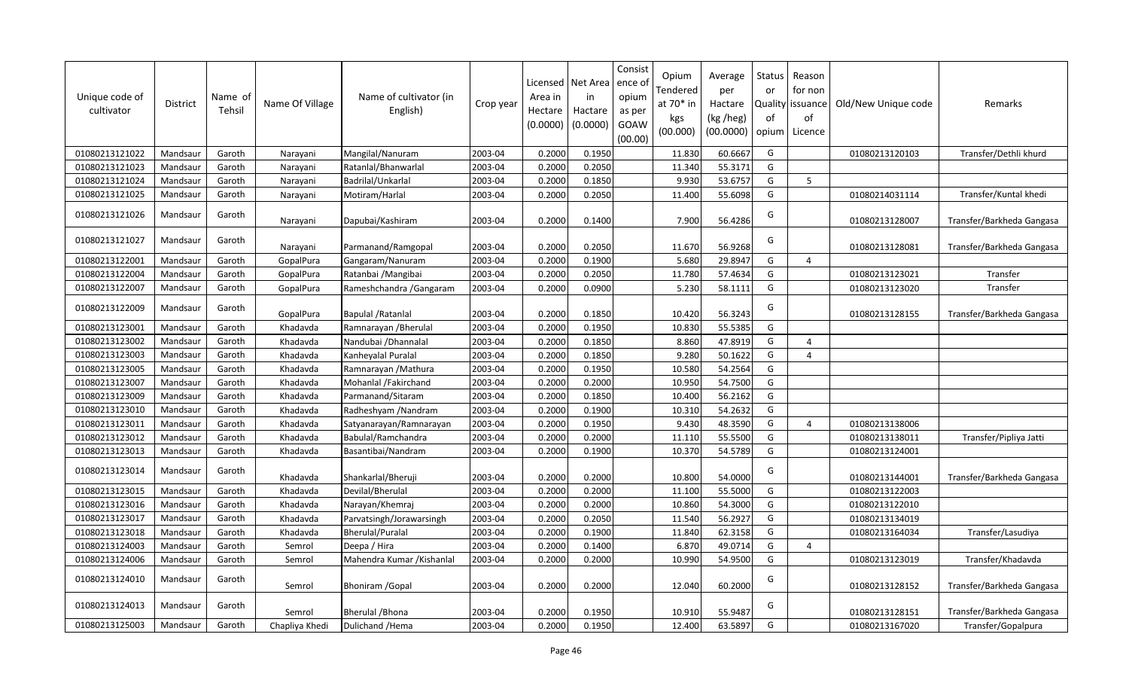| Unique code of<br>cultivator | <b>District</b> | Name of<br>Tehsil | Name Of Village | Name of cultivator (in<br>English) | Crop year | Area in<br>Hectare<br>(0.0000) | Licensed   Net Area<br>in<br>Hactare<br>(0.0000) | Consist<br>ence o<br>opium<br>as per<br>GOAW<br>(00.00) | Opium<br>Tendered<br>at 70* in<br>kgs<br>(00.000) | Average<br>per<br>Hactare<br>(kg /heg)<br>(00.0000) | Status<br>or<br>Quality<br>0f<br>opium | Reason<br>for non<br>issuance<br>of<br>Licence | Old/New Unique code | Remarks                   |
|------------------------------|-----------------|-------------------|-----------------|------------------------------------|-----------|--------------------------------|--------------------------------------------------|---------------------------------------------------------|---------------------------------------------------|-----------------------------------------------------|----------------------------------------|------------------------------------------------|---------------------|---------------------------|
| 01080213121022               | Mandsaur        | Garoth            | Narayani        | Mangilal/Nanuram                   | 2003-04   | 0.2000                         | 0.1950                                           |                                                         | 11.830                                            | 60.6667                                             | G                                      |                                                | 01080213120103      | Transfer/Dethli khurd     |
| 01080213121023               | Mandsaur        | Garoth            | Narayani        | Ratanlal/Bhanwarlal                | 2003-04   | 0.2000                         | 0.2050                                           |                                                         | 11.340                                            | 55.3171                                             | G                                      |                                                |                     |                           |
| 01080213121024               | Mandsaur        | Garoth            | Narayani        | Badrilal/Unkarlal                  | 2003-04   | 0.2000                         | 0.1850                                           |                                                         | 9.930                                             | 53.6757                                             | G                                      | 5                                              |                     |                           |
| 01080213121025               | Mandsaur        | Garoth            | Narayani        | Motiram/Harlal                     | 2003-04   | 0.2000                         | 0.2050                                           |                                                         | 11.400                                            | 55.6098                                             | G                                      |                                                | 01080214031114      | Transfer/Kuntal khedi     |
| 01080213121026               | Mandsaur        | Garoth            | Narayani        | Dapubai/Kashiram                   | 2003-04   | 0.2000                         | 0.1400                                           |                                                         | 7.900                                             | 56.4286                                             | G                                      |                                                | 01080213128007      | Transfer/Barkheda Gangasa |
| 01080213121027               | Mandsaur        | Garoth            | Narayani        | Parmanand/Ramgopal                 | 2003-04   | 0.2000                         | 0.2050                                           |                                                         | 11.670                                            | 56.9268                                             | G                                      |                                                | 01080213128081      | Transfer/Barkheda Gangasa |
| 01080213122001               | Mandsaur        | Garoth            | GopalPura       | Gangaram/Nanuram                   | 2003-04   | 0.2000                         | 0.1900                                           |                                                         | 5.680                                             | 29.8947                                             | G                                      | $\overline{4}$                                 |                     |                           |
| 01080213122004               | Mandsaur        | Garoth            | GopalPura       | Ratanbai / Mangibai                | 2003-04   | 0.2000                         | 0.2050                                           |                                                         | 11.780                                            | 57.4634                                             | G                                      |                                                | 01080213123021      | Transfer                  |
| 01080213122007               | Mandsaur        | Garoth            | GopalPura       | Rameshchandra / Gangaram           | 2003-04   | 0.2000                         | 0.0900                                           |                                                         | 5.230                                             | 58.1111                                             | G                                      |                                                | 01080213123020      | Transfer                  |
| 01080213122009               | Mandsaur        | Garoth            | GopalPura       | Bapulal / Ratanlal                 | 2003-04   | 0.2000                         | 0.1850                                           |                                                         | 10.420                                            | 56.3243                                             | G                                      |                                                | 01080213128155      | Transfer/Barkheda Gangasa |
| 01080213123001               | Mandsaur        | Garoth            | Khadavda        | Ramnarayan / Bherulal              | 2003-04   | 0.2000                         | 0.1950                                           |                                                         | 10.830                                            | 55.5385                                             | G                                      |                                                |                     |                           |
| 01080213123002               | Mandsaur        | Garoth            | Khadavda        | Nandubai / Dhannalal               | 2003-04   | 0.2000                         | 0.1850                                           |                                                         | 8.860                                             | 47.8919                                             | G                                      | $\overline{4}$                                 |                     |                           |
| 01080213123003               | Mandsaur        | Garoth            | Khadavda        | Kanheyalal Puralal                 | 2003-04   | 0.2000                         | 0.1850                                           |                                                         | 9.280                                             | 50.1622                                             | G                                      | $\overline{4}$                                 |                     |                           |
| 01080213123005               | Mandsaur        | Garoth            | Khadavda        | Ramnarayan / Mathura               | 2003-04   | 0.2000                         | 0.1950                                           |                                                         | 10.580                                            | 54.2564                                             | G                                      |                                                |                     |                           |
| 01080213123007               | Mandsaur        | Garoth            | Khadavda        | Mohanlal /Fakirchand               | 2003-04   | 0.2000                         | 0.2000                                           |                                                         | 10.950                                            | 54.7500                                             | G                                      |                                                |                     |                           |
| 01080213123009               | Mandsaur        | Garoth            | Khadavda        | Parmanand/Sitaram                  | 2003-04   | 0.2000                         | 0.1850                                           |                                                         | 10.400                                            | 56.2162                                             | G                                      |                                                |                     |                           |
| 01080213123010               | Mandsaur        | Garoth            | Khadavda        | Radheshyam / Nandram               | 2003-04   | 0.2000                         | 0.1900                                           |                                                         | 10.310                                            | 54.2632                                             | G                                      |                                                |                     |                           |
| 01080213123011               | Mandsaur        | Garoth            | Khadavda        | Satyanarayan/Ramnarayan            | 2003-04   | 0.2000                         | 0.1950                                           |                                                         | 9.430                                             | 48.3590                                             | G                                      | $\overline{4}$                                 | 01080213138006      |                           |
| 01080213123012               | Mandsaur        | Garoth            | Khadavda        | Babulal/Ramchandra                 | 2003-04   | 0.2000                         | 0.2000                                           |                                                         | 11.110                                            | 55.5500                                             | G                                      |                                                | 01080213138011      | Transfer/Pipliya Jatti    |
| 01080213123013               | Mandsaur        | Garoth            | Khadavda        | Basantibai/Nandram                 | 2003-04   | 0.2000                         | 0.1900                                           |                                                         | 10.370                                            | 54.5789                                             | G                                      |                                                | 01080213124001      |                           |
| 01080213123014               | Mandsaur        | Garoth            | Khadavda        | Shankarlal/Bheruji                 | 2003-04   | 0.2000                         | 0.2000                                           |                                                         | 10.800                                            | 54.0000                                             | G                                      |                                                | 01080213144001      | Transfer/Barkheda Gangasa |
| 01080213123015               | Mandsaur        | Garoth            | Khadavda        | Devilal/Bherulal                   | 2003-04   | 0.2000                         | 0.2000                                           |                                                         | 11.100                                            | 55.5000                                             | G                                      |                                                | 01080213122003      |                           |
| 01080213123016               | Mandsaur        | Garoth            | Khadavda        | Narayan/Khemraj                    | 2003-04   | 0.2000                         | 0.2000                                           |                                                         | 10.860                                            | 54.3000                                             | G                                      |                                                | 01080213122010      |                           |
| 01080213123017               | Mandsaur        | Garoth            | Khadavda        | Parvatsingh/Jorawarsingh           | 2003-04   | 0.2000                         | 0.2050                                           |                                                         | 11.540                                            | 56.2927                                             | ${\mathsf G}$                          |                                                | 01080213134019      |                           |
| 01080213123018               | Mandsaur        | Garoth            | Khadavda        | <b>Bherulal/Puralal</b>            | 2003-04   | 0.2000                         | 0.1900                                           |                                                         | 11.840                                            | 62.3158                                             | G                                      |                                                | 01080213164034      | Transfer/Lasudiya         |
| 01080213124003               | Mandsaur        | Garoth            | Semrol          | Deepa / Hira                       | 2003-04   | 0.2000                         | 0.1400                                           |                                                         | 6.870                                             | 49.0714                                             | G                                      | $\overline{4}$                                 |                     |                           |
| 01080213124006               | Mandsaur        | Garoth            | Semrol          | Mahendra Kumar / Kishanlal         | 2003-04   | 0.2000                         | 0.2000                                           |                                                         | 10.990                                            | 54.9500                                             | G                                      |                                                | 01080213123019      | Transfer/Khadavda         |
| 01080213124010               | Mandsaur        | Garoth            | Semrol          | <b>Bhoniram / Gopal</b>            | 2003-04   | 0.2000                         | 0.2000                                           |                                                         | 12.040                                            | 60.2000                                             | G                                      |                                                | 01080213128152      | Transfer/Barkheda Gangasa |
| 01080213124013               | Mandsaur        | Garoth            | Semrol          | <b>Bherulal / Bhona</b>            | 2003-04   | 0.2000                         | 0.1950                                           |                                                         | 10.910                                            | 55.9487                                             | G                                      |                                                | 01080213128151      | Transfer/Barkheda Gangasa |
| 01080213125003               | Mandsaur        | Garoth            | Chapliya Khedi  | Dulichand / Hema                   | 2003-04   | 0.2000                         | 0.1950                                           |                                                         | 12.400                                            | 63.5897                                             | G                                      |                                                | 01080213167020      | Transfer/Gopalpura        |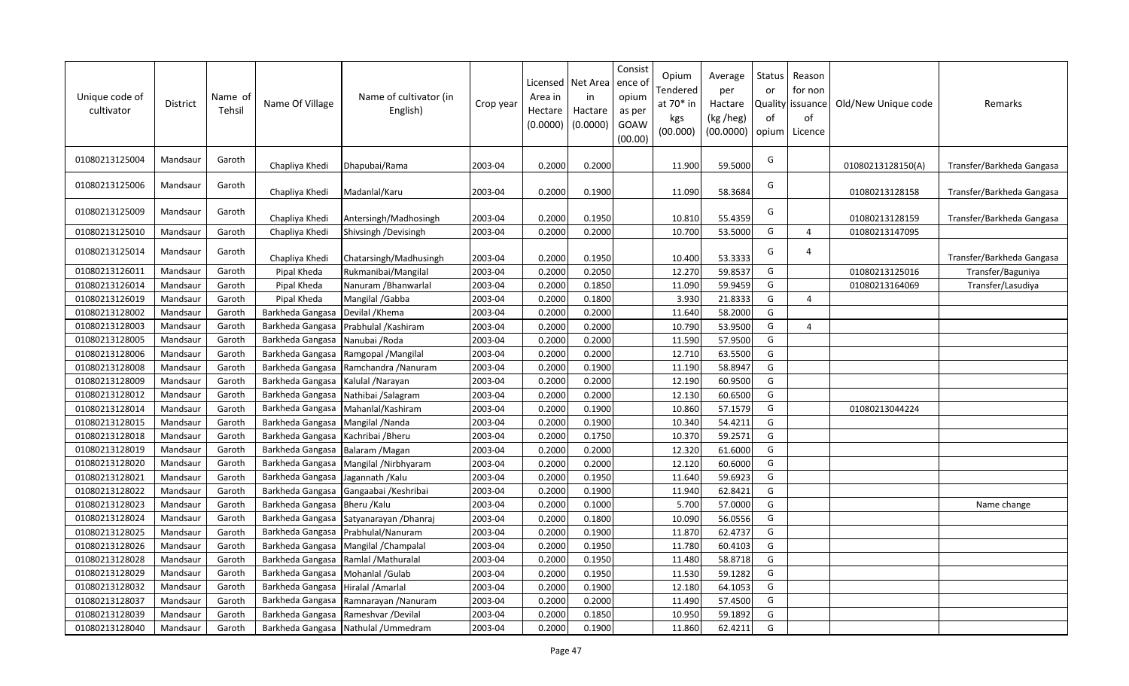| Unique code of<br>cultivator | <b>District</b> | Name of<br>Tehsil | Name Of Village  | Name of cultivator (in<br>English) | Crop year | Area in<br>Hectare<br>(0.0000) | Licensed   Net Area<br>in<br>Hactare<br>(0.0000) | Consist<br>ence o<br>opium<br>as per<br>GOAW<br>(00.00) | Opium<br>Tendered<br>at 70* in<br>kgs<br>(00.000) | Average<br>per<br>Hactare<br>(kg /heg)<br>(00.0000) | Status<br>or<br>of<br>opium | Reason<br>for non<br>Quality issuance<br>of<br>Licence | Old/New Unique code | Remarks                   |
|------------------------------|-----------------|-------------------|------------------|------------------------------------|-----------|--------------------------------|--------------------------------------------------|---------------------------------------------------------|---------------------------------------------------|-----------------------------------------------------|-----------------------------|--------------------------------------------------------|---------------------|---------------------------|
| 01080213125004               | Mandsaur        | Garoth            | Chapliya Khedi   | Dhapubai/Rama                      | 2003-04   | 0.2000                         | 0.2000                                           |                                                         | 11.900                                            | 59.5000                                             | G                           |                                                        | 01080213128150(A)   | Transfer/Barkheda Gangasa |
| 01080213125006               | Mandsaur        | Garoth            | Chapliya Khedi   | Madanlal/Karu                      | 2003-04   | 0.2000                         | 0.1900                                           |                                                         | 11.090                                            | 58.3684                                             | G                           |                                                        | 01080213128158      | Transfer/Barkheda Gangasa |
| 01080213125009               | Mandsaur        | Garoth            | Chapliya Khedi   | Antersingh/Madhosingh              | 2003-04   | 0.2000                         | 0.1950                                           |                                                         | 10.810                                            | 55.4359                                             | G                           |                                                        | 01080213128159      | Transfer/Barkheda Gangasa |
| 01080213125010               | Mandsaur        | Garoth            | Chapliya Khedi   | Shivsingh /Devisingh               | 2003-04   | 0.2000                         | 0.2000                                           |                                                         | 10.700                                            | 53.5000                                             | G                           | $\overline{4}$                                         | 01080213147095      |                           |
| 01080213125014               | Mandsaur        | Garoth            | Chapliya Khedi   | Chatarsingh/Madhusingh             | 2003-04   | 0.2000                         | 0.1950                                           |                                                         | 10.400                                            | 53.3333                                             | G                           | $\overline{4}$                                         |                     | Transfer/Barkheda Gangasa |
| 01080213126011               | Mandsaur        | Garoth            | Pipal Kheda      | Rukmanibai/Mangilal                | 2003-04   | 0.2000                         | 0.2050                                           |                                                         | 12.270                                            | 59.8537                                             | G                           |                                                        | 01080213125016      | Transfer/Baguniya         |
| 01080213126014               | Mandsaur        | Garoth            | Pipal Kheda      | Nanuram / Bhanwarlal               | 2003-04   | 0.2000                         | 0.1850                                           |                                                         | 11.090                                            | 59.9459                                             | G                           |                                                        | 01080213164069      | Transfer/Lasudiya         |
| 01080213126019               | Mandsaur        | Garoth            | Pipal Kheda      | Mangilal /Gabba                    | 2003-04   | 0.2000                         | 0.1800                                           |                                                         | 3.930                                             | 21.8333                                             | ${\mathsf G}$               | $\overline{a}$                                         |                     |                           |
| 01080213128002               | Mandsaur        | Garoth            | Barkheda Gangasa | Devilal / Khema                    | 2003-04   | 0.2000                         | 0.2000                                           |                                                         | 11.640                                            | 58.2000                                             | G                           |                                                        |                     |                           |
| 01080213128003               | Mandsaur        | Garoth            | Barkheda Gangasa | Prabhulal / Kashiram               | 2003-04   | 0.2000                         | 0.2000                                           |                                                         | 10.790                                            | 53.9500                                             | G                           | $\overline{4}$                                         |                     |                           |
| 01080213128005               | Mandsaur        | Garoth            | Barkheda Gangasa | Nanubai / Roda                     | 2003-04   | 0.2000                         | 0.2000                                           |                                                         | 11.590                                            | 57.9500                                             | G                           |                                                        |                     |                           |
| 01080213128006               | Mandsaur        | Garoth            | Barkheda Gangasa | Ramgopal / Mangilal                | 2003-04   | 0.2000                         | 0.2000                                           |                                                         | 12.710                                            | 63.5500                                             | G                           |                                                        |                     |                           |
| 01080213128008               | Mandsaur        | Garoth            | Barkheda Gangasa | Ramchandra / Nanuram               | 2003-04   | 0.2000                         | 0.1900                                           |                                                         | 11.190                                            | 58.8947                                             | G                           |                                                        |                     |                           |
| 01080213128009               | Mandsaur        | Garoth            | Barkheda Gangasa | Kalulal /Narayan                   | 2003-04   | 0.2000                         | 0.2000                                           |                                                         | 12.190                                            | 60.9500                                             | G                           |                                                        |                     |                           |
| 01080213128012               | Mandsaur        | Garoth            | Barkheda Gangasa | Nathibai /Salagram                 | 2003-04   | 0.2000                         | 0.2000                                           |                                                         | 12.130                                            | 60.6500                                             | G                           |                                                        |                     |                           |
| 01080213128014               | Mandsaur        | Garoth            | Barkheda Gangasa | Mahanlal/Kashiram                  | 2003-04   | 0.2000                         | 0.1900                                           |                                                         | 10.860                                            | 57.1579                                             | G                           |                                                        | 01080213044224      |                           |
| 01080213128015               | Mandsaur        | Garoth            | Barkheda Gangasa | Mangilal / Nanda                   | 2003-04   | 0.2000                         | 0.1900                                           |                                                         | 10.340                                            | 54.4211                                             | G                           |                                                        |                     |                           |
| 01080213128018               | Mandsaur        | Garoth            | Barkheda Gangasa | Kachribai / Bheru                  | 2003-04   | 0.2000                         | 0.1750                                           |                                                         | 10.370                                            | 59.2571                                             | G                           |                                                        |                     |                           |
| 01080213128019               | Mandsaur        | Garoth            | Barkheda Gangasa | Balaram / Magan                    | 2003-04   | 0.2000                         | 0.2000                                           |                                                         | 12.320                                            | 61.6000                                             | G                           |                                                        |                     |                           |
| 01080213128020               | Mandsaur        | Garoth            | Barkheda Gangasa | Mangilal /Nirbhyaram               | 2003-04   | 0.2000                         | 0.2000                                           |                                                         | 12.120                                            | 60.6000                                             | G                           |                                                        |                     |                           |
| 01080213128021               | Mandsaur        | Garoth            | Barkheda Gangasa | Jagannath / Kalu                   | 2003-04   | 0.2000                         | 0.1950                                           |                                                         | 11.640                                            | 59.6923                                             | G                           |                                                        |                     |                           |
| 01080213128022               | Mandsaur        | Garoth            | Barkheda Gangasa | Gangaabai / Keshribai              | 2003-04   | 0.2000                         | 0.1900                                           |                                                         | 11.940                                            | 62.8421                                             | G                           |                                                        |                     |                           |
| 01080213128023               | Mandsaur        | Garoth            | Barkheda Gangasa | Bheru / Kalu                       | 2003-04   | 0.2000                         | 0.1000                                           |                                                         | 5.700                                             | 57.0000                                             | G                           |                                                        |                     | Name change               |
| 01080213128024               | Mandsaur        | Garoth            | Barkheda Gangasa | Satyanarayan / Dhanraj             | 2003-04   | 0.2000                         | 0.1800                                           |                                                         | 10.090                                            | 56.0556                                             | G                           |                                                        |                     |                           |
| 01080213128025               | Mandsaur        | Garoth            | Barkheda Gangasa | Prabhulal/Nanuram                  | 2003-04   | 0.2000                         | 0.1900                                           |                                                         | 11.870                                            | 62.4737                                             | G                           |                                                        |                     |                           |
| 01080213128026               | Mandsaur        | Garoth            | Barkheda Gangasa | Mangilal / Champalal               | 2003-04   | 0.2000                         | 0.1950                                           |                                                         | 11.780                                            | 60.4103                                             | G                           |                                                        |                     |                           |
| 01080213128028               | Mandsaur        | Garoth            | Barkheda Gangasa | Ramlal / Mathuralal                | 2003-04   | 0.2000                         | 0.1950                                           |                                                         | 11.480                                            | 58.8718                                             | G                           |                                                        |                     |                           |
| 01080213128029               | Mandsaur        | Garoth            | Barkheda Gangasa | Mohanlal /Gulab                    | 2003-04   | 0.2000                         | 0.1950                                           |                                                         | 11.530                                            | 59.1282                                             | G                           |                                                        |                     |                           |
| 01080213128032               | Mandsaur        | Garoth            | Barkheda Gangasa | Hiralal / Amarlal                  | 2003-04   | 0.2000                         | 0.1900                                           |                                                         | 12.180                                            | 64.1053                                             | G                           |                                                        |                     |                           |
| 01080213128037               | Mandsaur        | Garoth            | Barkheda Gangasa | Ramnarayan / Nanuram               | 2003-04   | 0.2000                         | 0.2000                                           |                                                         | 11.490                                            | 57.4500                                             | G                           |                                                        |                     |                           |
| 01080213128039               | Mandsaur        | Garoth            | Barkheda Gangasa | Rameshvar / Devilal                | 2003-04   | 0.2000                         | 0.1850                                           |                                                         | 10.950                                            | 59.1892                                             | G                           |                                                        |                     |                           |
| 01080213128040               | Mandsaur        | Garoth            | Barkheda Gangasa | Nathulal / Ummedram                | 2003-04   | 0.2000                         | 0.1900                                           |                                                         | 11.860                                            | 62.4211                                             | G                           |                                                        |                     |                           |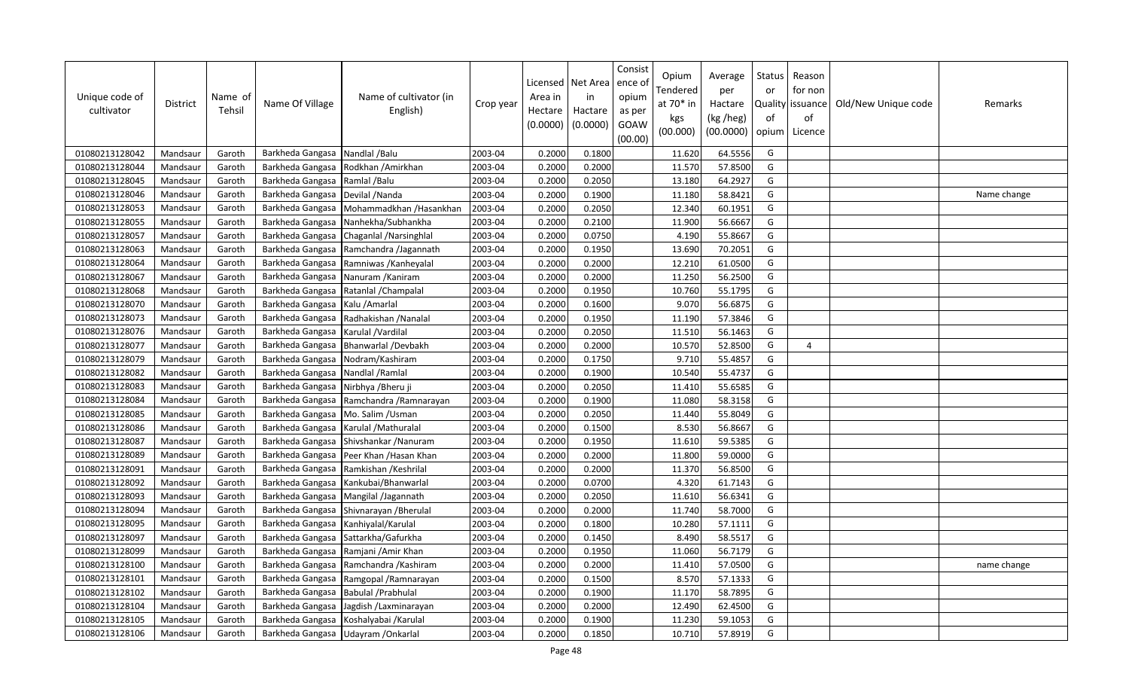| Unique code of<br>cultivator | <b>District</b> | Name of<br>Tehsil | Name Of Village  | Name of cultivator (in<br>English)    | Crop year | Licensed<br>Area in<br>Hectare<br>(0.0000) | Net Area<br>in<br>Hactare<br>(0.0000) | Consist<br>ence of<br>opium<br>as per<br>GOAW<br>(00.00) | Opium<br>Tendered<br>at 70* in<br>kgs<br>(00.000) | Average<br>per<br>Hactare<br>(kg /heg)<br>(00.0000) | Status<br>or<br>of<br>opium | Reason<br>for non<br>Quality issuance<br>of<br>Licence | Old/New Unique code | Remarks     |
|------------------------------|-----------------|-------------------|------------------|---------------------------------------|-----------|--------------------------------------------|---------------------------------------|----------------------------------------------------------|---------------------------------------------------|-----------------------------------------------------|-----------------------------|--------------------------------------------------------|---------------------|-------------|
| 01080213128042               | Mandsaur        | Garoth            | Barkheda Gangasa | Nandlal /Balu                         | 2003-04   | 0.2000                                     | 0.1800                                |                                                          | 11.620                                            | 64.5556                                             | G                           |                                                        |                     |             |
| 01080213128044               | Mandsaur        | Garoth            | Barkheda Gangasa | Rodkhan / Amirkhan                    | 2003-04   | 0.2000                                     | 0.2000                                |                                                          | 11.570                                            | 57.8500                                             | G                           |                                                        |                     |             |
| 01080213128045               | Mandsaur        | Garoth            | Barkheda Gangasa | Ramlal /Balu                          | 2003-04   | 0.2000                                     | 0.2050                                |                                                          | 13.180                                            | 64.2927                                             | G                           |                                                        |                     |             |
| 01080213128046               | Mandsaur        | Garoth            | Barkheda Gangasa | Devilal /Nanda                        | 2003-04   | 0.2000                                     | 0.1900                                |                                                          | 11.180                                            | 58.8421                                             | G                           |                                                        |                     | Name change |
| 01080213128053               | Mandsaur        | Garoth            | Barkheda Gangasa | Mohammadkhan /Hasankhan               | 2003-04   | 0.2000                                     | 0.2050                                |                                                          | 12.340                                            | 60.1951                                             | G                           |                                                        |                     |             |
| 01080213128055               | Mandsaur        | Garoth            | Barkheda Gangasa | Nanhekha/Subhankha                    | 2003-04   | 0.2000                                     | 0.2100                                |                                                          | 11.900                                            | 56.6667                                             | G                           |                                                        |                     |             |
| 01080213128057               | Mandsaur        | Garoth            | Barkheda Gangasa | Chaganlal / Narsinghlal               | 2003-04   | 0.2000                                     | 0.0750                                |                                                          | 4.190                                             | 55.8667                                             | G                           |                                                        |                     |             |
| 01080213128063               | Mandsaur        | Garoth            | Barkheda Gangasa | Ramchandra /Jagannath                 | 2003-04   | 0.2000                                     | 0.1950                                |                                                          | 13.690                                            | 70.2051                                             | G                           |                                                        |                     |             |
| 01080213128064               | Mandsaur        | Garoth            | Barkheda Gangasa | Ramniwas /Kanheyalal                  | 2003-04   | 0.2000                                     | 0.2000                                |                                                          | 12.210                                            | 61.0500                                             | G                           |                                                        |                     |             |
| 01080213128067               | Mandsaur        | Garoth            | Barkheda Gangasa | Nanuram / Kaniram                     | 2003-04   | 0.2000                                     | 0.2000                                |                                                          | 11.250                                            | 56.2500                                             | G                           |                                                        |                     |             |
| 01080213128068               | Mandsaur        | Garoth            | Barkheda Gangasa | Ratanlal / Champalal                  | 2003-04   | 0.2000                                     | 0.1950                                |                                                          | 10.760                                            | 55.1795                                             | G                           |                                                        |                     |             |
| 01080213128070               | Mandsaur        | Garoth            | Barkheda Gangasa | Kalu / Amarlal                        | 2003-04   | 0.2000                                     | 0.1600                                |                                                          | 9.070                                             | 56.6875                                             | G                           |                                                        |                     |             |
| 01080213128073               | Mandsaur        | Garoth            | Barkheda Gangasa | Radhakishan / Nanalal                 | 2003-04   | 0.2000                                     | 0.1950                                |                                                          | 11.190                                            | 57.3846                                             | G                           |                                                        |                     |             |
| 01080213128076               | Mandsaur        | Garoth            | Barkheda Gangasa | Karulal /Vardilal                     | 2003-04   | 0.2000                                     | 0.2050                                |                                                          | 11.510                                            | 56.1463                                             | G                           |                                                        |                     |             |
| 01080213128077               | Mandsaur        | Garoth            | Barkheda Gangasa | Bhanwarlal /Devbakh                   | 2003-04   | 0.2000                                     | 0.2000                                |                                                          | 10.570                                            | 52.8500                                             | G                           | $\Delta$                                               |                     |             |
| 01080213128079               | Mandsaur        | Garoth            | Barkheda Gangasa | Nodram/Kashiram                       | 2003-04   | 0.2000                                     | 0.1750                                |                                                          | 9.710                                             | 55.4857                                             | G                           |                                                        |                     |             |
| 01080213128082               | Mandsaur        | Garoth            | Barkheda Gangasa | Nandlal /Ramlal                       | 2003-04   | 0.2000                                     | 0.1900                                |                                                          | 10.540                                            | 55.4737                                             | G                           |                                                        |                     |             |
| 01080213128083               | Mandsaur        | Garoth            | Barkheda Gangasa | Nirbhya /Bheru ji                     | 2003-04   | 0.2000                                     | 0.2050                                |                                                          | 11.410                                            | 55.6585                                             | G                           |                                                        |                     |             |
| 01080213128084               | Mandsaur        | Garoth            | Barkheda Gangasa | Ramchandra / Ramnarayan               | 2003-04   | 0.2000                                     | 0.1900                                |                                                          | 11.080                                            | 58.3158                                             | G                           |                                                        |                     |             |
| 01080213128085               | Mandsaur        | Garoth            | Barkheda Gangasa | Mo. Salim / Usman                     | 2003-04   | 0.2000                                     | 0.2050                                |                                                          | 11.440                                            | 55.8049                                             | G                           |                                                        |                     |             |
| 01080213128086               | Mandsaur        | Garoth            | Barkheda Gangasa | Karulal / Mathuralal                  | 2003-04   | 0.2000                                     | 0.1500                                |                                                          | 8.530                                             | 56.8667                                             | G                           |                                                        |                     |             |
| 01080213128087               | Mandsaur        | Garoth            | Barkheda Gangasa | Shivshankar / Nanuram                 | 2003-04   | 0.2000                                     | 0.1950                                |                                                          | 11.610                                            | 59.5385                                             | G                           |                                                        |                     |             |
| 01080213128089               | Mandsaur        | Garoth            | Barkheda Gangasa | Peer Khan / Hasan Khan                | 2003-04   | 0.2000                                     | 0.2000                                |                                                          | 11.800                                            | 59.0000                                             | G                           |                                                        |                     |             |
| 01080213128091               | Mandsaur        | Garoth            | Barkheda Gangasa | Ramkishan / Keshrilal                 | 2003-04   | 0.2000                                     | 0.2000                                |                                                          | 11.370                                            | 56.8500                                             | G                           |                                                        |                     |             |
| 01080213128092               | Mandsaur        | Garoth            | Barkheda Gangasa | Kankubai/Bhanwarlal                   | 2003-04   | 0.2000                                     | 0.0700                                |                                                          | 4.320                                             | 61.7143                                             | G                           |                                                        |                     |             |
| 01080213128093               | Mandsaur        | Garoth            | Barkheda Gangasa | Mangilal /Jagannath                   | 2003-04   | 0.2000                                     | 0.2050                                |                                                          | 11.610                                            | 56.6341                                             | G                           |                                                        |                     |             |
| 01080213128094               | Mandsaur        | Garoth            | Barkheda Gangasa | Shivnarayan / Bherulal                | 2003-04   | 0.2000                                     | 0.2000                                |                                                          | 11.740                                            | 58.7000                                             | G                           |                                                        |                     |             |
| 01080213128095               | Mandsaur        | Garoth            | Barkheda Gangasa | Kanhiyalal/Karulal                    | 2003-04   | 0.2000                                     | 0.1800                                |                                                          | 10.280                                            | 57.1111                                             | G                           |                                                        |                     |             |
| 01080213128097               | Mandsaur        | Garoth            | Barkheda Gangasa | Sattarkha/Gafurkha                    | 2003-04   | 0.2000                                     | 0.1450                                |                                                          | 8.490                                             | 58.5517                                             | G                           |                                                        |                     |             |
| 01080213128099               | Mandsaur        | Garoth            | Barkheda Gangasa | Ramjani /Amir Khan                    | 2003-04   | 0.2000                                     | 0.1950                                |                                                          | 11.060                                            | 56.7179                                             | G                           |                                                        |                     |             |
| 01080213128100               | Mandsaur        | Garoth            | Barkheda Gangasa | Ramchandra /Kashiram                  | 2003-04   | 0.2000                                     | 0.2000                                |                                                          | 11.410                                            | 57.0500                                             | G                           |                                                        |                     | name change |
| 01080213128101               | Mandsaur        | Garoth            | Barkheda Gangasa | Ramgopal / Ramnarayan                 | 2003-04   | 0.2000                                     | 0.1500                                |                                                          | 8.570                                             | 57.1333                                             | G                           |                                                        |                     |             |
| 01080213128102               | Mandsaur        | Garoth            | Barkheda Gangasa | Babulal / Prabhulal                   | 2003-04   | 0.2000                                     | 0.1900                                |                                                          | 11.170                                            | 58.7895                                             | G                           |                                                        |                     |             |
| 01080213128104               | Mandsaur        | Garoth            | Barkheda Gangasa | Jagdish / Laxminarayan                | 2003-04   | 0.2000                                     | 0.2000                                |                                                          | 12.490                                            | 62.4500                                             | G                           |                                                        |                     |             |
| 01080213128105               | Mandsaur        | Garoth            | Barkheda Gangasa | Koshalyabai /Karulal                  | 2003-04   | 0.2000                                     | 0.1900                                |                                                          | 11.230                                            | 59.1053                                             | G                           |                                                        |                     |             |
| 01080213128106               | Mandsaur        | Garoth            |                  | Barkheda Gangasa   Udayram / Onkarlal | 2003-04   | 0.2000                                     | 0.1850                                |                                                          | 10.710                                            | 57.8919                                             | G                           |                                                        |                     |             |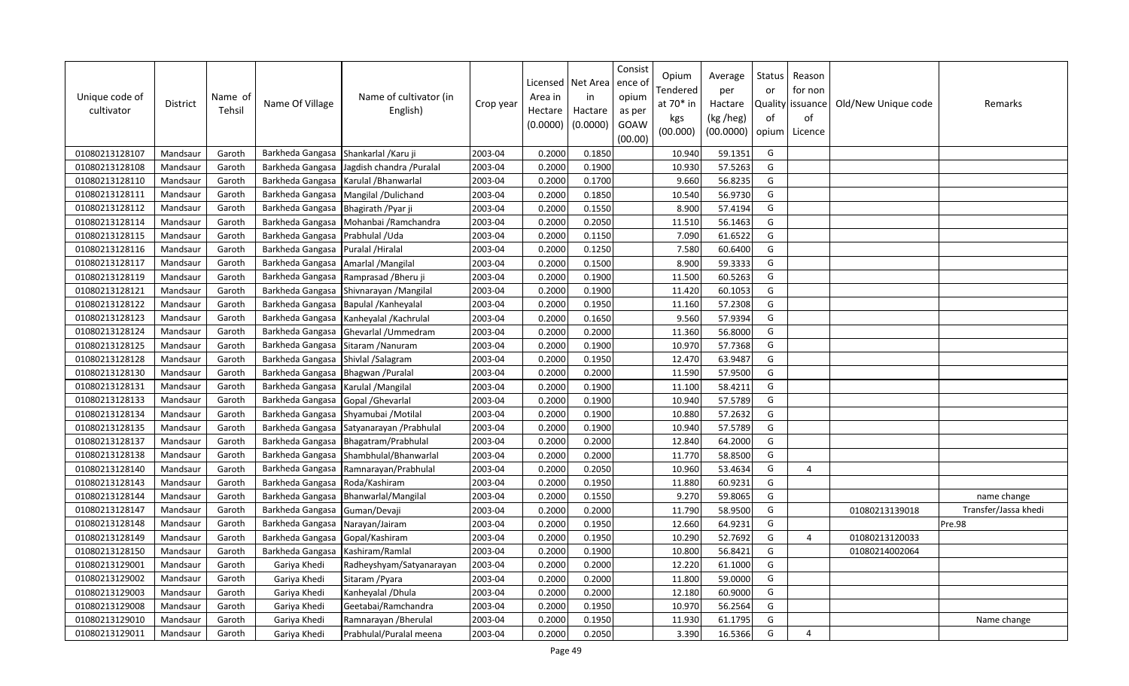| Unique code of<br>cultivator | <b>District</b> | Name of<br>Tehsil | Name Of Village  | Name of cultivator (in<br>English) | Crop year | Licensed<br>Area in<br>Hectare<br>(0.0000) | Net Area<br>in<br>Hactare<br>(0.0000) | Consist<br>ence of<br>opium<br>as per<br>GOAW<br>(00.00) | Opium<br>Tendered<br>at $70*$ in<br>kgs<br>(00.000) | Average<br>per<br>Hactare<br>(kg /heg)<br>(00.0000) | Status<br>or<br>of<br>opium | Reason<br>for non<br>Quality   issuance<br>of<br>Licence | Old/New Unique code | Remarks              |
|------------------------------|-----------------|-------------------|------------------|------------------------------------|-----------|--------------------------------------------|---------------------------------------|----------------------------------------------------------|-----------------------------------------------------|-----------------------------------------------------|-----------------------------|----------------------------------------------------------|---------------------|----------------------|
| 01080213128107               | Mandsaur        | Garoth            | Barkheda Gangasa | Shankarlal / Karu ji               | 2003-04   | 0.2000                                     | 0.1850                                |                                                          | 10.940                                              | 59.1351                                             | G                           |                                                          |                     |                      |
| 01080213128108               | Mandsaur        | Garoth            | Barkheda Gangasa | Jagdish chandra / Puralal          | 2003-04   | 0.2000                                     | 0.1900                                |                                                          | 10.930                                              | 57.5263                                             | G                           |                                                          |                     |                      |
| 01080213128110               | Mandsaur        | Garoth            | Barkheda Gangasa | Karulal /Bhanwarlal                | 2003-04   | 0.2000                                     | 0.1700                                |                                                          | 9.660                                               | 56.8235                                             | G                           |                                                          |                     |                      |
| 01080213128111               | Mandsaur        | Garoth            | Barkheda Gangasa | Mangilal /Dulichand                | 2003-04   | 0.2000                                     | 0.1850                                |                                                          | 10.540                                              | 56.9730                                             | G                           |                                                          |                     |                      |
| 01080213128112               | Mandsaur        | Garoth            | Barkheda Gangasa | Bhagirath / Pyar ji                | 2003-04   | 0.2000                                     | 0.1550                                |                                                          | 8.900                                               | 57.4194                                             | G                           |                                                          |                     |                      |
| 01080213128114               | Mandsaur        | Garoth            | Barkheda Gangasa | Mohanbai / Ramchandra              | 2003-04   | 0.2000                                     | 0.2050                                |                                                          | 11.510                                              | 56.1463                                             | G                           |                                                          |                     |                      |
| 01080213128115               | Mandsaur        | Garoth            | Barkheda Gangasa | Prabhulal / Uda                    | 2003-04   | 0.2000                                     | 0.1150                                |                                                          | 7.090                                               | 61.6522                                             | G                           |                                                          |                     |                      |
| 01080213128116               | Mandsaur        | Garoth            | Barkheda Gangasa | Puralal / Hiralal                  | 2003-04   | 0.2000                                     | 0.1250                                |                                                          | 7.580                                               | 60.6400                                             | G                           |                                                          |                     |                      |
| 01080213128117               | Mandsaur        | Garoth            | Barkheda Gangasa | Amarlal /Mangilal                  | 2003-04   | 0.2000                                     | 0.1500                                |                                                          | 8.900                                               | 59.3333                                             | G                           |                                                          |                     |                      |
| 01080213128119               | Mandsaur        | Garoth            | Barkheda Gangasa | Ramprasad / Bheru ji               | 2003-04   | 0.2000                                     | 0.1900                                |                                                          | 11.500                                              | 60.5263                                             | G                           |                                                          |                     |                      |
| 01080213128121               | Mandsaur        | Garoth            | Barkheda Gangasa | Shivnarayan / Mangilal             | 2003-04   | 0.2000                                     | 0.1900                                |                                                          | 11.420                                              | 60.1053                                             | G                           |                                                          |                     |                      |
| 01080213128122               | Mandsaur        | Garoth            | Barkheda Gangasa | Bapulal / Kanheyalal               | 2003-04   | 0.2000                                     | 0.1950                                |                                                          | 11.160                                              | 57.2308                                             | G                           |                                                          |                     |                      |
| 01080213128123               | Mandsaur        | Garoth            | Barkheda Gangasa | Kanheyalal / Kachrulal             | 2003-04   | 0.2000                                     | 0.1650                                |                                                          | 9.560                                               | 57.9394                                             | G                           |                                                          |                     |                      |
| 01080213128124               | Mandsaur        | Garoth            | Barkheda Gangasa | Ghevarlal / Ummedram               | 2003-04   | 0.2000                                     | 0.2000                                |                                                          | 11.360                                              | 56.8000                                             | G                           |                                                          |                     |                      |
| 01080213128125               | Mandsaur        | Garoth            | Barkheda Gangasa | Sitaram / Nanuram                  | 2003-04   | 0.2000                                     | 0.1900                                |                                                          | 10.970                                              | 57.7368                                             | G                           |                                                          |                     |                      |
| 01080213128128               | Mandsaur        | Garoth            | Barkheda Gangasa | Shivlal /Salagram                  | 2003-04   | 0.2000                                     | 0.1950                                |                                                          | 12.470                                              | 63.9487                                             | G                           |                                                          |                     |                      |
| 01080213128130               | Mandsaur        | Garoth            | Barkheda Gangasa | Bhagwan / Puralal                  | 2003-04   | 0.2000                                     | 0.2000                                |                                                          | 11.590                                              | 57.9500                                             | G                           |                                                          |                     |                      |
| 01080213128131               | Mandsaur        | Garoth            | Barkheda Gangasa | Karulal / Mangilal                 | 2003-04   | 0.2000                                     | 0.1900                                |                                                          | 11.100                                              | 58.4211                                             | G                           |                                                          |                     |                      |
| 01080213128133               | Mandsaur        | Garoth            | Barkheda Gangasa | Gopal / Ghevarlal                  | 2003-04   | 0.2000                                     | 0.1900                                |                                                          | 10.940                                              | 57.5789                                             | G                           |                                                          |                     |                      |
| 01080213128134               | Mandsaur        | Garoth            | Barkheda Gangasa | Shyamubai / Motilal                | 2003-04   | 0.2000                                     | 0.1900                                |                                                          | 10.880                                              | 57.2632                                             | G                           |                                                          |                     |                      |
| 01080213128135               | Mandsaur        | Garoth            | Barkheda Gangasa | Satyanarayan / Prabhulal           | 2003-04   | 0.2000                                     | 0.1900                                |                                                          | 10.940                                              | 57.5789                                             | G                           |                                                          |                     |                      |
| 01080213128137               | Mandsaur        | Garoth            | Barkheda Gangasa | Bhagatram/Prabhulal                | 2003-04   | 0.2000                                     | 0.2000                                |                                                          | 12.840                                              | 64.2000                                             | G                           |                                                          |                     |                      |
| 01080213128138               | Mandsaur        | Garoth            | Barkheda Gangasa | Shambhulal/Bhanwarlal              | 2003-04   | 0.2000                                     | 0.2000                                |                                                          | 11.770                                              | 58.8500                                             | G                           |                                                          |                     |                      |
| 01080213128140               | Mandsaur        | Garoth            | Barkheda Gangasa | Ramnarayan/Prabhulal               | 2003-04   | 0.2000                                     | 0.2050                                |                                                          | 10.960                                              | 53.4634                                             | G                           | 4                                                        |                     |                      |
| 01080213128143               | Mandsaur        | Garoth            | Barkheda Gangasa | Roda/Kashiram                      | 2003-04   | 0.2000                                     | 0.1950                                |                                                          | 11.880                                              | 60.9231                                             | G                           |                                                          |                     |                      |
| 01080213128144               | Mandsaur        | Garoth            | Barkheda Gangasa | Bhanwarlal/Mangilal                | 2003-04   | 0.2000                                     | 0.1550                                |                                                          | 9.270                                               | 59.8065                                             | G                           |                                                          |                     | name change          |
| 01080213128147               | Mandsaur        | Garoth            | Barkheda Gangasa | Guman/Devaji                       | 2003-04   | 0.2000                                     | 0.2000                                |                                                          | 11.790                                              | 58.9500                                             | G                           |                                                          | 01080213139018      | Transfer/Jassa khedi |
| 01080213128148               | Mandsaur        | Garoth            | Barkheda Gangasa | Narayan/Jairam                     | 2003-04   | 0.2000                                     | 0.1950                                |                                                          | 12.660                                              | 64.9231                                             | G                           |                                                          |                     | Pre.98               |
| 01080213128149               | Mandsaur        | Garoth            | Barkheda Gangasa | Gopal/Kashiram                     | 2003-04   | 0.2000                                     | 0.1950                                |                                                          | 10.290                                              | 52.7692                                             | G                           | 4                                                        | 01080213120033      |                      |
| 01080213128150               | Mandsaur        | Garoth            | Barkheda Gangasa | Kashiram/Ramlal                    | 2003-04   | 0.2000                                     | 0.1900                                |                                                          | 10.800                                              | 56.8421                                             | G                           |                                                          | 01080214002064      |                      |
| 01080213129001               | Mandsaur        | Garoth            | Gariya Khedi     | Radheyshyam/Satyanarayan           | 2003-04   | 0.2000                                     | 0.2000                                |                                                          | 12.220                                              | 61.1000                                             | G                           |                                                          |                     |                      |
| 01080213129002               | Mandsaur        | Garoth            | Gariya Khedi     | Sitaram / Pyara                    | 2003-04   | 0.2000                                     | 0.2000                                |                                                          | 11.800                                              | 59.0000                                             | G                           |                                                          |                     |                      |
| 01080213129003               | Mandsaur        | Garoth            | Gariya Khedi     | Kanheyalal / Dhula                 | 2003-04   | 0.2000                                     | 0.2000                                |                                                          | 12.180                                              | 60.9000                                             | G                           |                                                          |                     |                      |
| 01080213129008               | Mandsaur        | Garoth            | Gariya Khedi     | Geetabai/Ramchandra                | 2003-04   | 0.2000                                     | 0.1950                                |                                                          | 10.970                                              | 56.2564                                             | G                           |                                                          |                     |                      |
| 01080213129010               | Mandsaur        | Garoth            | Gariya Khedi     | Ramnarayan / Bherulal              | 2003-04   | 0.2000                                     | 0.1950                                |                                                          | 11.930                                              | 61.1795                                             | G                           |                                                          |                     | Name change          |
| 01080213129011               | Mandsaur        | Garoth            | Gariya Khedi     | Prabhulal/Puralal meena            | 2003-04   | 0.2000                                     | 0.2050                                |                                                          | 3.390                                               | 16.5366                                             | G                           | $\overline{a}$                                           |                     |                      |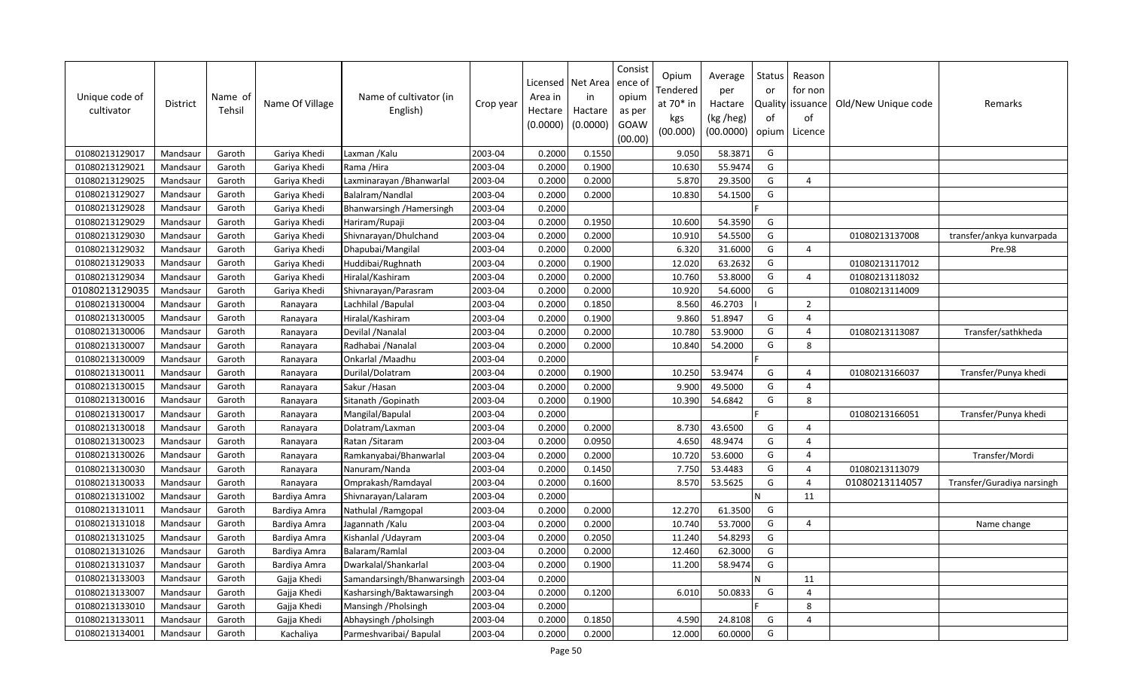| Unique code of<br>cultivator | <b>District</b> | Name of<br>Tehsil | Name Of Village | Name of cultivator (in<br>English) | Crop year | Licensed<br>Area in<br>Hectare<br>(0.0000) | Net Area<br>in<br>Hactare<br>(0.0000) | Consist<br>ence ol<br>opium<br>as per<br>GOAW<br>(00.00) | Opium<br>Tendered<br>at $70*$ in<br>kgs<br>(00.000) | Average<br>per<br>Hactare<br>(kg /heg)<br>(00.0000) | Status<br>or<br>of<br>opium | Reason<br>for non<br>Quality   issuance<br>of<br>Licence | Old/New Unique code | Remarks                    |
|------------------------------|-----------------|-------------------|-----------------|------------------------------------|-----------|--------------------------------------------|---------------------------------------|----------------------------------------------------------|-----------------------------------------------------|-----------------------------------------------------|-----------------------------|----------------------------------------------------------|---------------------|----------------------------|
| 01080213129017               | Mandsaur        | Garoth            | Gariya Khedi    | Laxman / Kalu                      | 2003-04   | 0.2000                                     | 0.1550                                |                                                          | 9.050                                               | 58.3871                                             | G                           |                                                          |                     |                            |
| 01080213129021               | Mandsaur        | Garoth            | Gariya Khedi    | Rama /Hira                         | 2003-04   | 0.2000                                     | 0.1900                                |                                                          | 10.630                                              | 55.9474                                             | G                           |                                                          |                     |                            |
| 01080213129025               | Mandsaur        | Garoth            | Gariya Khedi    | Laxminarayan / Bhanwarlal          | 2003-04   | 0.2000                                     | 0.2000                                |                                                          | 5.870                                               | 29.3500                                             | G                           | $\overline{4}$                                           |                     |                            |
| 01080213129027               | Mandsaur        | Garoth            | Gariya Khedi    | Balalram/Nandlal                   | 2003-04   | 0.2000                                     | 0.2000                                |                                                          | 10.830                                              | 54.1500                                             | G                           |                                                          |                     |                            |
| 01080213129028               | Mandsaur        | Garoth            | Gariya Khedi    | Bhanwarsingh / Hamersingh          | 2003-04   | 0.2000                                     |                                       |                                                          |                                                     |                                                     |                             |                                                          |                     |                            |
| 01080213129029               | Mandsaur        | Garoth            | Gariya Khedi    | Hariram/Rupaji                     | 2003-04   | 0.2000                                     | 0.1950                                |                                                          | 10.600                                              | 54.3590                                             | G                           |                                                          |                     |                            |
| 01080213129030               | Mandsaur        | Garoth            | Gariya Khedi    | Shivnarayan/Dhulchand              | 2003-04   | 0.2000                                     | 0.2000                                |                                                          | 10.910                                              | 54.5500                                             | G                           |                                                          | 01080213137008      | transfer/ankya kunvarpada  |
| 01080213129032               | Mandsaur        | Garoth            | Gariya Khedi    | Dhapubai/Mangilal                  | 2003-04   | 0.2000                                     | 0.2000                                |                                                          | 6.320                                               | 31.6000                                             | G                           | $\overline{4}$                                           |                     | Pre.98                     |
| 01080213129033               | Mandsaur        | Garoth            | Gariya Khedi    | Huddibai/Rughnath                  | 2003-04   | 0.2000                                     | 0.1900                                |                                                          | 12.020                                              | 63.2632                                             | G                           |                                                          | 01080213117012      |                            |
| 01080213129034               | Mandsaur        | Garoth            | Gariya Khedi    | Hiralal/Kashiram                   | 2003-04   | 0.2000                                     | 0.2000                                |                                                          | 10.760                                              | 53.8000                                             | G                           | $\overline{4}$                                           | 01080213118032      |                            |
| 01080213129035               | Mandsaur        | Garoth            | Gariya Khedi    | Shivnarayan/Parasram               | 2003-04   | 0.2000                                     | 0.2000                                |                                                          | 10.920                                              | 54.6000                                             | G                           |                                                          | 01080213114009      |                            |
| 01080213130004               | Mandsaur        | Garoth            | Ranayara        | Lachhilal / Bapulal                | 2003-04   | 0.2000                                     | 0.1850                                |                                                          | 8.560                                               | 46.2703                                             |                             | $\overline{2}$                                           |                     |                            |
| 01080213130005               | Mandsaur        | Garoth            | Ranayara        | Hiralal/Kashiram                   | 2003-04   | 0.2000                                     | 0.1900                                |                                                          | 9.860                                               | 51.8947                                             | G                           | $\overline{4}$                                           |                     |                            |
| 01080213130006               | Mandsaur        | Garoth            | Ranayara        | Devilal / Nanalal                  | 2003-04   | 0.2000                                     | 0.2000                                |                                                          | 10.780                                              | 53.9000                                             | G                           | $\overline{4}$                                           | 01080213113087      | Transfer/sathkheda         |
| 01080213130007               | Mandsaur        | Garoth            | Ranayara        | Radhabai / Nanalal                 | 2003-04   | 0.2000                                     | 0.2000                                |                                                          | 10.840                                              | 54.2000                                             | G                           | 8                                                        |                     |                            |
| 01080213130009               | Mandsaur        | Garoth            | Ranayara        | Onkarlal / Maadhu                  | 2003-04   | 0.2000                                     |                                       |                                                          |                                                     |                                                     |                             |                                                          |                     |                            |
| 01080213130011               | Mandsaur        | Garoth            | Ranayara        | Durilal/Dolatram                   | 2003-04   | 0.2000                                     | 0.1900                                |                                                          | 10.250                                              | 53.9474                                             | G                           | $\overline{a}$                                           | 01080213166037      | Transfer/Punya khedi       |
| 01080213130015               | Mandsaur        | Garoth            | Ranayara        | Sakur / Hasan                      | 2003-04   | 0.2000                                     | 0.2000                                |                                                          | 9.900                                               | 49.5000                                             | G                           | $\overline{4}$                                           |                     |                            |
| 01080213130016               | Mandsaur        | Garoth            | Ranayara        | Sitanath / Gopinath                | 2003-04   | 0.2000                                     | 0.1900                                |                                                          | 10.390                                              | 54.6842                                             | G                           | $\mathsf{R}$                                             |                     |                            |
| 01080213130017               | Mandsaur        | Garoth            | Ranayara        | Mangilal/Bapulal                   | 2003-04   | 0.2000                                     |                                       |                                                          |                                                     |                                                     |                             |                                                          | 01080213166051      | Transfer/Punya khedi       |
| 01080213130018               | Mandsaur        | Garoth            | Ranayara        | Dolatram/Laxman                    | 2003-04   | 0.2000                                     | 0.2000                                |                                                          | 8.730                                               | 43.6500                                             | G                           | $\overline{4}$                                           |                     |                            |
| 01080213130023               | Mandsaur        | Garoth            | Ranayara        | Ratan / Sitaram                    | 2003-04   | 0.2000                                     | 0.0950                                |                                                          | 4.650                                               | 48.9474                                             | G                           | $\Delta$                                                 |                     |                            |
| 01080213130026               | Mandsaur        | Garoth            | Ranayara        | Ramkanyabai/Bhanwarlal             | 2003-04   | 0.2000                                     | 0.2000                                |                                                          | 10.720                                              | 53.6000                                             | G                           | $\overline{4}$                                           |                     | Transfer/Mordi             |
| 01080213130030               | Mandsaur        | Garoth            | Ranayara        | Nanuram/Nanda                      | 2003-04   | 0.2000                                     | 0.1450                                |                                                          | 7.750                                               | 53.4483                                             | G                           | $\overline{4}$                                           | 01080213113079      |                            |
| 01080213130033               | Mandsaur        | Garoth            | Ranayara        | Omprakash/Ramdayal                 | 2003-04   | 0.2000                                     | 0.1600                                |                                                          | 8.570                                               | 53.5625                                             | G                           | $\overline{4}$                                           | 01080213114057      | Transfer/Guradiya narsingh |
| 01080213131002               | Mandsaur        | Garoth            | Bardiya Amra    | Shivnarayan/Lalaram                | 2003-04   | 0.2000                                     |                                       |                                                          |                                                     |                                                     | N                           | 11                                                       |                     |                            |
| 01080213131011               | Mandsaur        | Garoth            | Bardiya Amra    | Nathulal / Ramgopal                | 2003-04   | 0.2000                                     | 0.2000                                |                                                          | 12.270                                              | 61.3500                                             | G                           |                                                          |                     |                            |
| 01080213131018               | Mandsaur        | Garoth            | Bardiya Amra    | Jagannath / Kalu                   | 2003-04   | 0.2000                                     | 0.2000                                |                                                          | 10.740                                              | 53.7000                                             | G                           | $\overline{4}$                                           |                     | Name change                |
| 01080213131025               | Mandsaur        | Garoth            | Bardiya Amra    | Kishanlal / Udayram                | 2003-04   | 0.2000                                     | 0.2050                                |                                                          | 11.240                                              | 54.8293                                             | G                           |                                                          |                     |                            |
| 01080213131026               | Mandsaur        | Garoth            | Bardiya Amra    | Balaram/Ramlal                     | 2003-04   | 0.2000                                     | 0.2000                                |                                                          | 12.460                                              | 62.3000                                             | G                           |                                                          |                     |                            |
| 01080213131037               | Mandsaur        | Garoth            | Bardiya Amra    | Dwarkalal/Shankarlal               | 2003-04   | 0.2000                                     | 0.1900                                |                                                          | 11.200                                              | 58.9474                                             | G                           |                                                          |                     |                            |
| 01080213133003               | Mandsaur        | Garoth            | Gajja Khedi     | Samandarsingh/Bhanwarsingh         | 2003-04   | 0.2000                                     |                                       |                                                          |                                                     |                                                     | N                           | 11                                                       |                     |                            |
| 01080213133007               | Mandsaur        | Garoth            | Gajja Khedi     | Kasharsingh/Baktawarsingh          | 2003-04   | 0.2000                                     | 0.1200                                |                                                          | 6.010                                               | 50.0833                                             | G                           | $\overline{4}$                                           |                     |                            |
| 01080213133010               | Mandsaur        | Garoth            | Gajja Khedi     | Mansingh / Pholsingh               | 2003-04   | 0.2000                                     |                                       |                                                          |                                                     |                                                     |                             | 8                                                        |                     |                            |
| 01080213133011               | Mandsaur        | Garoth            | Gajja Khedi     | Abhaysingh /pholsingh              | 2003-04   | 0.2000                                     | 0.1850                                |                                                          | 4.590                                               | 24.8108                                             | G                           | $\Delta$                                                 |                     |                            |
| 01080213134001               | Mandsaur        | Garoth            | Kachaliya       | Parmeshvaribai/ Bapulal            | 2003-04   | 0.2000                                     | 0.2000                                |                                                          | 12.000                                              | 60.0000                                             | G                           |                                                          |                     |                            |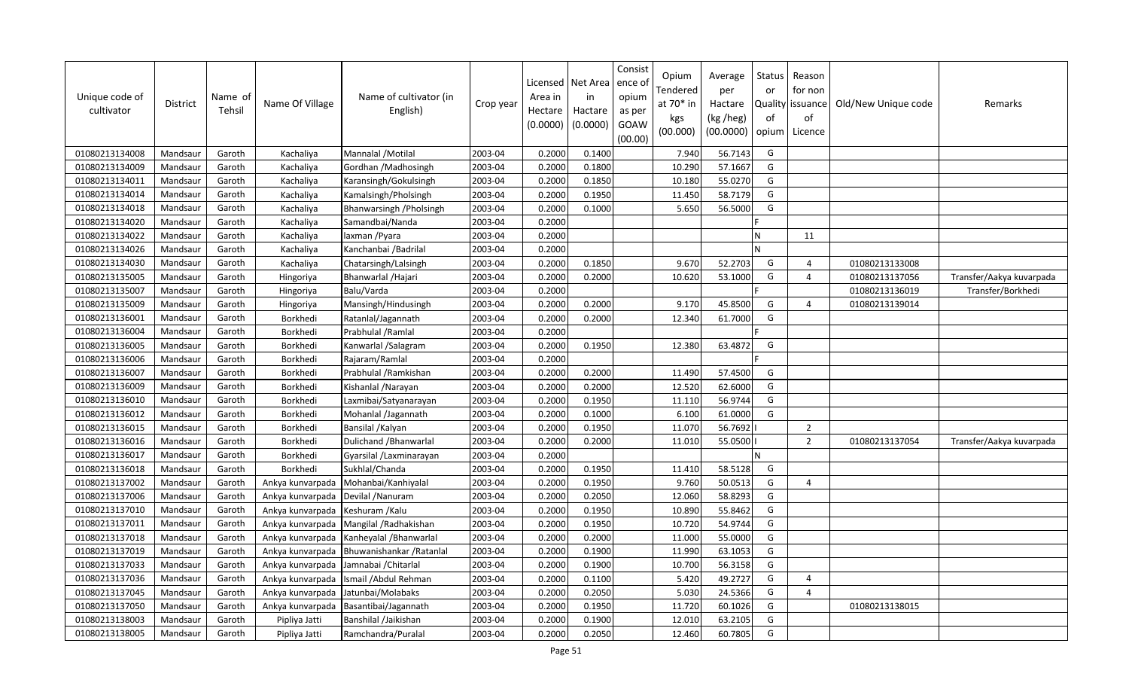| Unique code of<br>cultivator | <b>District</b> | Name of<br>Tehsil | Name Of Village  | Name of cultivator (in<br>English) | Crop year | Licensed<br>Area in<br>Hectare<br>(0.0000) | Net Area<br>in<br>Hactare<br>(0.0000) | Consist<br>ence of<br>opium<br>as per<br>GOAW<br>(00.00) | Opium<br>Tendered<br>at 70* in<br>kgs<br>(00.000) | Average<br>per<br>Hactare<br>(kg /heg)<br>(00.0000) | Status<br>or<br>of<br>opium | Reason<br>for non<br>Quality issuance<br>of<br>Licence | Old/New Unique code | Remarks                  |
|------------------------------|-----------------|-------------------|------------------|------------------------------------|-----------|--------------------------------------------|---------------------------------------|----------------------------------------------------------|---------------------------------------------------|-----------------------------------------------------|-----------------------------|--------------------------------------------------------|---------------------|--------------------------|
| 01080213134008               | Mandsaur        | Garoth            | Kachaliya        | Mannalal / Motilal                 | 2003-04   | 0.2000                                     | 0.1400                                |                                                          | 7.940                                             | 56.7143                                             | G                           |                                                        |                     |                          |
| 01080213134009               | Mandsaur        | Garoth            | Kachaliya        | Gordhan / Madhosingh               | 2003-04   | 0.2000                                     | 0.1800                                |                                                          | 10.290                                            | 57.1667                                             | G                           |                                                        |                     |                          |
| 01080213134011               | Mandsaur        | Garoth            | Kachaliya        | Karansingh/Gokulsingh              | 2003-04   | 0.2000                                     | 0.1850                                |                                                          | 10.180                                            | 55.0270                                             | G                           |                                                        |                     |                          |
| 01080213134014               | Mandsaur        | Garoth            | Kachaliya        | Kamalsingh/Pholsingh               | 2003-04   | 0.2000                                     | 0.1950                                |                                                          | 11.450                                            | 58.7179                                             | G                           |                                                        |                     |                          |
| 01080213134018               | Mandsaur        | Garoth            | Kachaliya        | Bhanwarsingh / Pholsingh           | 2003-04   | 0.2000                                     | 0.1000                                |                                                          | 5.650                                             | 56.5000                                             | G                           |                                                        |                     |                          |
| 01080213134020               | Mandsaur        | Garoth            | Kachaliya        | Samandbai/Nanda                    | 2003-04   | 0.2000                                     |                                       |                                                          |                                                   |                                                     |                             |                                                        |                     |                          |
| 01080213134022               | Mandsaur        | Garoth            | Kachaliya        | laxman / Pyara                     | 2003-04   | 0.2000                                     |                                       |                                                          |                                                   |                                                     | N                           | 11                                                     |                     |                          |
| 01080213134026               | Mandsaur        | Garoth            | Kachaliya        | Kanchanbai / Badrilal              | 2003-04   | 0.2000                                     |                                       |                                                          |                                                   |                                                     | N                           |                                                        |                     |                          |
| 01080213134030               | Mandsaur        | Garoth            | Kachaliya        | Chatarsingh/Lalsingh               | 2003-04   | 0.2000                                     | 0.1850                                |                                                          | 9.670                                             | 52.2703                                             | G                           | $\overline{a}$                                         | 01080213133008      |                          |
| 01080213135005               | Mandsaur        | Garoth            | Hingoriya        | Bhanwarlal / Hajari                | 2003-04   | 0.2000                                     | 0.2000                                |                                                          | 10.620                                            | 53.1000                                             | G                           | $\overline{4}$                                         | 01080213137056      | Transfer/Aakya kuvarpada |
| 01080213135007               | Mandsaur        | Garoth            | Hingoriya        | Balu/Varda                         | 2003-04   | 0.2000                                     |                                       |                                                          |                                                   |                                                     |                             |                                                        | 01080213136019      | Transfer/Borkhedi        |
| 01080213135009               | Mandsaur        | Garoth            | Hingoriya        | Mansingh/Hindusingh                | 2003-04   | 0.2000                                     | 0.2000                                |                                                          | 9.170                                             | 45.8500                                             | G                           | $\overline{4}$                                         | 01080213139014      |                          |
| 01080213136001               | Mandsaur        | Garoth            | Borkhedi         | Ratanlal/Jagannath                 | 2003-04   | 0.2000                                     | 0.2000                                |                                                          | 12.340                                            | 61.7000                                             | G                           |                                                        |                     |                          |
| 01080213136004               | Mandsaur        | Garoth            | Borkhedi         | Prabhulal / Ramlal                 | 2003-04   | 0.2000                                     |                                       |                                                          |                                                   |                                                     |                             |                                                        |                     |                          |
| 01080213136005               | Mandsaur        | Garoth            | Borkhedi         | Kanwarlal /Salagram                | 2003-04   | 0.2000                                     | 0.1950                                |                                                          | 12.380                                            | 63.4872                                             | G                           |                                                        |                     |                          |
| 01080213136006               | Mandsaur        | Garoth            | Borkhedi         | Rajaram/Ramlal                     | 2003-04   | 0.2000                                     |                                       |                                                          |                                                   |                                                     |                             |                                                        |                     |                          |
| 01080213136007               | Mandsaur        | Garoth            | Borkhedi         | Prabhulal / Ramkishan              | 2003-04   | 0.2000                                     | 0.2000                                |                                                          | 11.490                                            | 57.4500                                             | G                           |                                                        |                     |                          |
| 01080213136009               | Mandsaur        | Garoth            | Borkhedi         | Kishanlal / Narayan                | 2003-04   | 0.2000                                     | 0.2000                                |                                                          | 12.520                                            | 62.6000                                             | G                           |                                                        |                     |                          |
| 01080213136010               | Mandsaur        | Garoth            | Borkhedi         | Laxmibai/Satyanarayan              | 2003-04   | 0.2000                                     | 0.1950                                |                                                          | 11.110                                            | 56.9744                                             | G                           |                                                        |                     |                          |
| 01080213136012               | Mandsaur        | Garoth            | Borkhedi         | Mohanlal /Jagannath                | 2003-04   | 0.2000                                     | 0.1000                                |                                                          | 6.100                                             | 61.0000                                             | G                           |                                                        |                     |                          |
| 01080213136015               | Mandsaur        | Garoth            | Borkhedi         | Bansilal / Kalyan                  | 2003-04   | 0.2000                                     | 0.1950                                |                                                          | 11.070                                            | 56.7692                                             |                             | $\overline{2}$                                         |                     |                          |
| 01080213136016               | Mandsaur        | Garoth            | Borkhedi         | Dulichand / Bhanwarlal             | 2003-04   | 0.2000                                     | 0.2000                                |                                                          | 11.010                                            | 55.0500                                             |                             | $\overline{2}$                                         | 01080213137054      | Transfer/Aakya kuvarpada |
| 01080213136017               | Mandsaur        | Garoth            | Borkhedi         | Gyarsilal / Laxminarayan           | 2003-04   | 0.2000                                     |                                       |                                                          |                                                   |                                                     | N                           |                                                        |                     |                          |
| 01080213136018               | Mandsaur        | Garoth            | Borkhedi         | Sukhlal/Chanda                     | 2003-04   | 0.2000                                     | 0.1950                                |                                                          | 11.410                                            | 58.5128                                             | G                           |                                                        |                     |                          |
| 01080213137002               | Mandsaur        | Garoth            | Ankya kunvarpada | Mohanbai/Kanhiyalal                | 2003-04   | 0.2000                                     | 0.1950                                |                                                          | 9.760                                             | 50.0513                                             | G                           | $\overline{4}$                                         |                     |                          |
| 01080213137006               | Mandsaur        | Garoth            | Ankya kunvarpada | Devilal /Nanuram                   | 2003-04   | 0.2000                                     | 0.2050                                |                                                          | 12.060                                            | 58.8293                                             | G                           |                                                        |                     |                          |
| 01080213137010               | Mandsaur        | Garoth            | Ankya kunvarpada | Keshuram / Kalu                    | 2003-04   | 0.2000                                     | 0.1950                                |                                                          | 10.890                                            | 55.8462                                             | G                           |                                                        |                     |                          |
| 01080213137011               | Mandsaur        | Garoth            | Ankya kunvarpada | Mangilal / Radhakishan             | 2003-04   | 0.2000                                     | 0.1950                                |                                                          | 10.720                                            | 54.9744                                             | G                           |                                                        |                     |                          |
| 01080213137018               | Mandsaur        | Garoth            | Ankya kunvarpada | Kanheyalal / Bhanwarlal            | 2003-04   | 0.2000                                     | 0.2000                                |                                                          | 11.000                                            | 55.0000                                             | G                           |                                                        |                     |                          |
| 01080213137019               | Mandsaur        | Garoth            | Ankya kunvarpada | Bhuwanishankar / Ratanlal          | 2003-04   | 0.2000                                     | 0.1900                                |                                                          | 11.990                                            | 63.1053                                             | G                           |                                                        |                     |                          |
| 01080213137033               | Mandsaur        | Garoth            | Ankya kunvarpada | Jamnabai / Chitarlal               | 2003-04   | 0.2000                                     | 0.1900                                |                                                          | 10.700                                            | 56.3158                                             | G                           |                                                        |                     |                          |
| 01080213137036               | Mandsaur        | Garoth            | Ankya kunvarpada | Ismail / Abdul Rehman              | 2003-04   | 0.2000                                     | 0.1100                                |                                                          | 5.420                                             | 49.2727                                             | G                           | $\boldsymbol{\varDelta}$                               |                     |                          |
| 01080213137045               | Mandsaur        | Garoth            | Ankya kunvarpada | Jatunbai/Molabaks                  | 2003-04   | 0.2000                                     | 0.2050                                |                                                          | 5.030                                             | 24.5366                                             | G                           | $\overline{4}$                                         |                     |                          |
| 01080213137050               | Mandsaur        | Garoth            | Ankya kunvarpada | Basantibai/Jagannath               | 2003-04   | 0.2000                                     | 0.1950                                |                                                          | 11.720                                            | 60.1026                                             | G                           |                                                        | 01080213138015      |                          |
| 01080213138003               | Mandsaur        | Garoth            | Pipliya Jatti    | Banshilal /Jaikishan               | 2003-04   | 0.2000                                     | 0.1900                                |                                                          | 12.010                                            | 63.2105                                             | G                           |                                                        |                     |                          |
| 01080213138005               | Mandsaur        | Garoth            | Pipliya Jatti    | Ramchandra/Puralal                 | 2003-04   | 0.2000                                     | 0.2050                                |                                                          | 12.460                                            | 60.7805                                             | G                           |                                                        |                     |                          |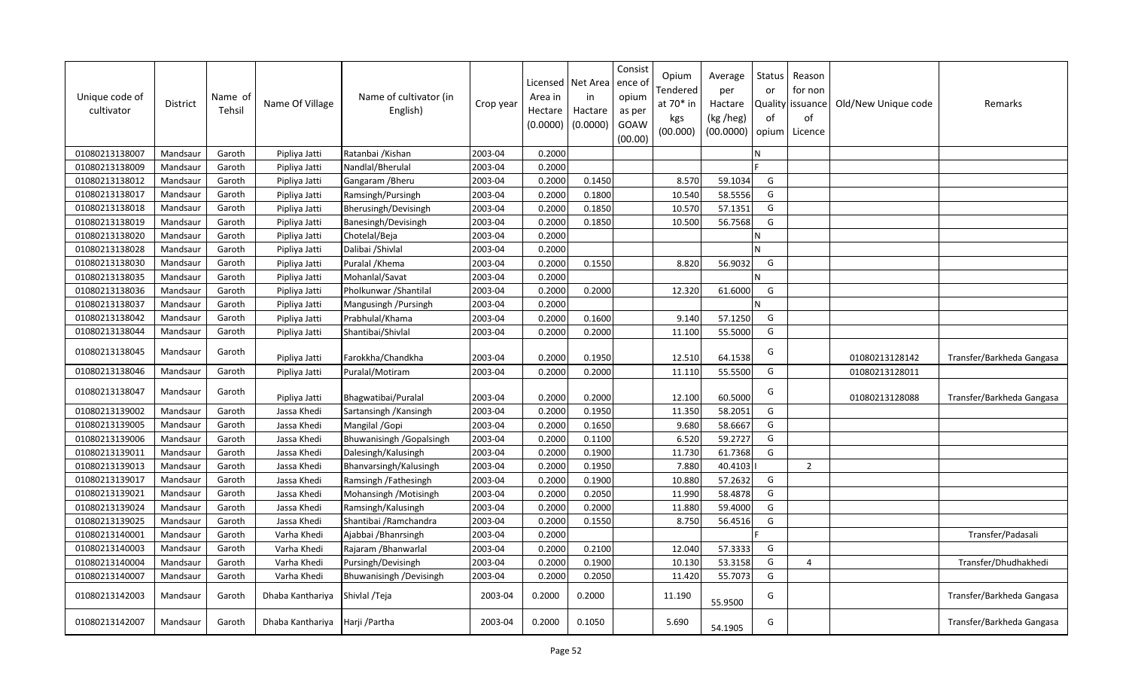| Unique code of<br>cultivator | District | Name of<br>Tehsil | Name Of Village  | Name of cultivator (in<br>English) | Crop year | Licensed<br>Area in<br>Hectare<br>(0.0000) | Net Area<br>in<br>Hactare<br>(0.0000) | Consist<br>ence of<br>opium<br>as per<br>GOAW<br>(00.00) | Opium<br>Tendered<br>at $70*$ in<br>kgs<br>(00.000) | Average<br>per<br>Hactare<br>(kg /heg)<br>(00.0000) | Status<br>or<br>of<br>opium | Reason<br>for non<br>Quality   issuance<br>of<br>Licence | Old/New Unique code | Remarks                   |
|------------------------------|----------|-------------------|------------------|------------------------------------|-----------|--------------------------------------------|---------------------------------------|----------------------------------------------------------|-----------------------------------------------------|-----------------------------------------------------|-----------------------------|----------------------------------------------------------|---------------------|---------------------------|
| 01080213138007               | Mandsaur | Garoth            | Pipliya Jatti    | Ratanbai / Kishan                  | 2003-04   | 0.2000                                     |                                       |                                                          |                                                     |                                                     | N                           |                                                          |                     |                           |
| 01080213138009               | Mandsaur | Garoth            | Pipliya Jatti    | Nandlal/Bherulal                   | 2003-04   | 0.2000                                     |                                       |                                                          |                                                     |                                                     |                             |                                                          |                     |                           |
| 01080213138012               | Mandsaur | Garoth            | Pipliya Jatti    | Gangaram / Bheru                   | 2003-04   | 0.2000                                     | 0.1450                                |                                                          | 8.570                                               | 59.1034                                             | G                           |                                                          |                     |                           |
| 01080213138017               | Mandsaur | Garoth            | Pipliya Jatti    | Ramsingh/Pursingh                  | 2003-04   | 0.2000                                     | 0.1800                                |                                                          | 10.540                                              | 58.5556                                             | G                           |                                                          |                     |                           |
| 01080213138018               | Mandsaur | Garoth            | Pipliya Jatti    | Bherusingh/Devisingh               | 2003-04   | 0.2000                                     | 0.1850                                |                                                          | 10.570                                              | 57.1351                                             | G                           |                                                          |                     |                           |
| 01080213138019               | Mandsaur | Garoth            | Pipliya Jatti    | Banesingh/Devisingh                | 2003-04   | 0.2000                                     | 0.1850                                |                                                          | 10.500                                              | 56.7568                                             | G                           |                                                          |                     |                           |
| 01080213138020               | Mandsaur | Garoth            | Pipliya Jatti    | Chotelal/Beja                      | 2003-04   | 0.2000                                     |                                       |                                                          |                                                     |                                                     | N                           |                                                          |                     |                           |
| 01080213138028               | Mandsaur | Garoth            | Pipliya Jatti    | Dalibai /Shivlal                   | 2003-04   | 0.2000                                     |                                       |                                                          |                                                     |                                                     | N                           |                                                          |                     |                           |
| 01080213138030               | Mandsaur | Garoth            | Pipliya Jatti    | Puralal / Khema                    | 2003-04   | 0.2000                                     | 0.1550                                |                                                          | 8.820                                               | 56.9032                                             | G                           |                                                          |                     |                           |
| 01080213138035               | Mandsaur | Garoth            | Pipliya Jatti    | Mohanlal/Savat                     | 2003-04   | 0.2000                                     |                                       |                                                          |                                                     |                                                     | N                           |                                                          |                     |                           |
| 01080213138036               | Mandsaur | Garoth            | Pipliya Jatti    | Pholkunwar / Shantilal             | 2003-04   | 0.2000                                     | 0.2000                                |                                                          | 12.320                                              | 61.6000                                             | G                           |                                                          |                     |                           |
| 01080213138037               | Mandsaur | Garoth            | Pipliya Jatti    | Mangusingh / Pursingh              | 2003-04   | 0.2000                                     |                                       |                                                          |                                                     |                                                     | N                           |                                                          |                     |                           |
| 01080213138042               | Mandsaur | Garoth            | Pipliya Jatti    | Prabhulal/Khama                    | 2003-04   | 0.2000                                     | 0.1600                                |                                                          | 9.140                                               | 57.1250                                             | G                           |                                                          |                     |                           |
| 01080213138044               | Mandsaur | Garoth            | Pipliya Jatti    | Shantibai/Shivlal                  | 2003-04   | 0.2000                                     | 0.2000                                |                                                          | 11.100                                              | 55.5000                                             | G                           |                                                          |                     |                           |
| 01080213138045               | Mandsaur | Garoth            | Pipliya Jatti    | Farokkha/Chandkha                  | 2003-04   | 0.2000                                     | 0.1950                                |                                                          | 12.510                                              | 64.1538                                             | G                           |                                                          | 01080213128142      | Transfer/Barkheda Gangasa |
| 01080213138046               | Mandsaur | Garoth            | Pipliya Jatti    | Puralal/Motiram                    | 2003-04   | 0.2000                                     | 0.2000                                |                                                          | 11.110                                              | 55.5500                                             | G                           |                                                          | 01080213128011      |                           |
| 01080213138047               | Mandsaur | Garoth            | Pipliya Jatti    | Bhagwatibai/Puralal                | 2003-04   | 0.2000                                     | 0.2000                                |                                                          | 12.100                                              | 60.5000                                             | G                           |                                                          | 01080213128088      | Transfer/Barkheda Gangasa |
| 01080213139002               | Mandsaur | Garoth            | Jassa Khedi      | Sartansingh / Kansingh             | 2003-04   | 0.2000                                     | 0.1950                                |                                                          | 11.350                                              | 58.2051                                             | G                           |                                                          |                     |                           |
| 01080213139005               | Mandsaur | Garoth            | Jassa Khedi      | Mangilal / Gopi                    | 2003-04   | 0.2000                                     | 0.1650                                |                                                          | 9.680                                               | 58.6667                                             | G                           |                                                          |                     |                           |
| 01080213139006               | Mandsaur | Garoth            | Jassa Khedi      | Bhuwanisingh / Gopalsingh          | 2003-04   | 0.2000                                     | 0.1100                                |                                                          | 6.520                                               | 59.2727                                             | G                           |                                                          |                     |                           |
| 01080213139011               | Mandsaur | Garoth            | Jassa Khedi      | Dalesingh/Kalusingh                | 2003-04   | 0.2000                                     | 0.1900                                |                                                          | 11.730                                              | 61.7368                                             | G                           |                                                          |                     |                           |
| 01080213139013               | Mandsaur | Garoth            | Jassa Khedi      | Bhanvarsingh/Kalusingh             | 2003-04   | 0.2000                                     | 0.1950                                |                                                          | 7.880                                               | 40.4103                                             |                             | $\overline{2}$                                           |                     |                           |
| 01080213139017               | Mandsaur | Garoth            | Jassa Khedi      | Ramsingh /Fathesingh               | 2003-04   | 0.2000                                     | 0.1900                                |                                                          | 10.880                                              | 57.2632                                             | G                           |                                                          |                     |                           |
| 01080213139021               | Mandsaur | Garoth            | Jassa Khedi      | Mohansingh / Motisingh             | 2003-04   | 0.2000                                     | 0.2050                                |                                                          | 11.990                                              | 58.4878                                             | G                           |                                                          |                     |                           |
| 01080213139024               | Mandsaur | Garoth            | Jassa Khedi      | Ramsingh/Kalusingh                 | 2003-04   | 0.2000                                     | 0.2000                                |                                                          | 11.880                                              | 59.4000                                             | G                           |                                                          |                     |                           |
| 01080213139025               | Mandsaur | Garoth            | Jassa Khedi      | Shantibai / Ramchandra             | 2003-04   | 0.2000                                     | 0.1550                                |                                                          | 8.750                                               | 56.4516                                             | G                           |                                                          |                     |                           |
| 01080213140001               | Mandsaur | Garoth            | Varha Khedi      | Ajabbai /Bhanrsingh                | 2003-04   | 0.2000                                     |                                       |                                                          |                                                     |                                                     |                             |                                                          |                     | Transfer/Padasali         |
| 01080213140003               | Mandsaur | Garoth            | Varha Khedi      | Rajaram / Bhanwarlal               | 2003-04   | 0.2000                                     | 0.2100                                |                                                          | 12.040                                              | 57.3333                                             | G                           |                                                          |                     |                           |
| 01080213140004               | Mandsaur | Garoth            | Varha Khedi      | Pursingh/Devisingh                 | 2003-04   | 0.2000                                     | 0.1900                                |                                                          | 10.130                                              | 53.3158                                             | G                           | 4                                                        |                     | Transfer/Dhudhakhedi      |
| 01080213140007               | Mandsaur | Garoth            | Varha Khedi      | Bhuwanisingh / Devisingh           | 2003-04   | 0.2000                                     | 0.2050                                |                                                          | 11.420                                              | 55.7073                                             | G                           |                                                          |                     |                           |
| 01080213142003               | Mandsaur | Garoth            | Dhaba Kanthariya | Shivlal / Teja                     | 2003-04   | 0.2000                                     | 0.2000                                |                                                          | 11.190                                              | 55.9500                                             | G                           |                                                          |                     | Transfer/Barkheda Gangasa |
| 01080213142007               | Mandsaur | Garoth            | Dhaba Kanthariya | Harji /Partha                      | 2003-04   | 0.2000                                     | 0.1050                                |                                                          | 5.690                                               | 54.1905                                             | G                           |                                                          |                     | Transfer/Barkheda Gangasa |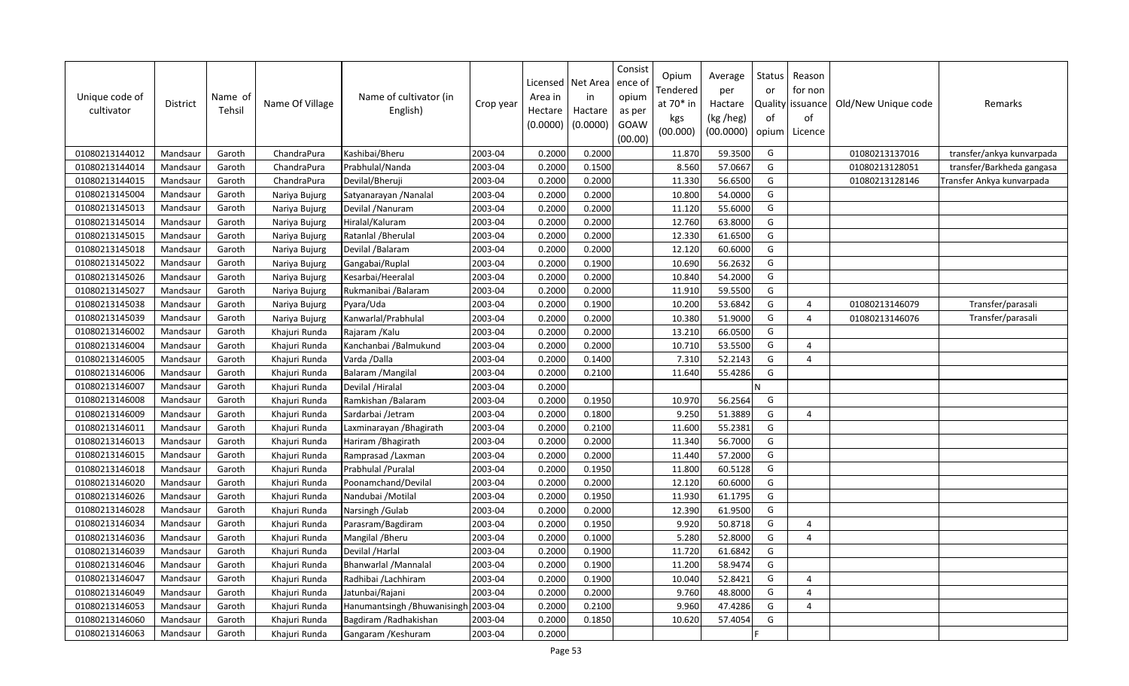| Unique code of<br>cultivator | District | Name of<br>Tehsil | Name Of Village | Name of cultivator (in<br>English) | Crop year | Area in<br>Hectare<br>(0.0000) | Licensed   Net Area<br>in<br>Hactare<br>(0.0000) | Consist<br>ence o<br>opium<br>as per<br>GOAW<br>(00.00) | Opium<br>Tendered<br>at 70* in<br>kgs<br>(00.000) | Average<br>per<br>Hactare<br>(kg /heg)<br>(00.0000) | Status<br>or<br>of<br>opium | Reason<br>for non<br>Quality   issuance<br>of<br>Licence | Old/New Unique code | Remarks                   |
|------------------------------|----------|-------------------|-----------------|------------------------------------|-----------|--------------------------------|--------------------------------------------------|---------------------------------------------------------|---------------------------------------------------|-----------------------------------------------------|-----------------------------|----------------------------------------------------------|---------------------|---------------------------|
| 01080213144012               | Mandsaur | Garoth            | ChandraPura     | Kashibai/Bheru                     | 2003-04   | 0.2000                         | 0.2000                                           |                                                         | 11.870                                            | 59.3500                                             | G                           |                                                          | 01080213137016      | transfer/ankya kunvarpada |
| 01080213144014               | Mandsaur | Garoth            | ChandraPura     | Prabhulal/Nanda                    | 2003-04   | 0.2000                         | 0.1500                                           |                                                         | 8.560                                             | 57.0667                                             | G                           |                                                          | 01080213128051      | transfer/Barkheda gangasa |
| 01080213144015               | Mandsaur | Garoth            | ChandraPura     | Devilal/Bheruji                    | 2003-04   | 0.2000                         | 0.2000                                           |                                                         | 11.330                                            | 56.6500                                             | G                           |                                                          | 01080213128146      | Fransfer Ankya kunvarpada |
| 01080213145004               | Mandsaur | Garoth            | Nariya Bujurg   | Satyanarayan / Nanalal             | 2003-04   | 0.2000                         | 0.2000                                           |                                                         | 10.800                                            | 54.0000                                             | G                           |                                                          |                     |                           |
| 01080213145013               | Mandsaur | Garoth            | Nariya Bujurg   | Devilal / Nanuram                  | 2003-04   | 0.2000                         | 0.2000                                           |                                                         | 11.120                                            | 55.6000                                             | G                           |                                                          |                     |                           |
| 01080213145014               | Mandsaur | Garoth            | Nariya Bujurg   | Hiralal/Kaluram                    | 2003-04   | 0.2000                         | 0.2000                                           |                                                         | 12.760                                            | 63.8000                                             | G                           |                                                          |                     |                           |
| 01080213145015               | Mandsaur | Garoth            | Nariya Bujurg   | Ratanlal / Bherulal                | 2003-04   | 0.2000                         | 0.2000                                           |                                                         | 12.330                                            | 61.6500                                             | G                           |                                                          |                     |                           |
| 01080213145018               | Mandsaur | Garoth            | Nariya Bujurg   | Devilal / Balaram                  | 2003-04   | 0.2000                         | 0.2000                                           |                                                         | 12.120                                            | 60.6000                                             | G                           |                                                          |                     |                           |
| 01080213145022               | Mandsaur | Garoth            | Nariya Bujurg   | Gangabai/Ruplal                    | 2003-04   | 0.2000                         | 0.1900                                           |                                                         | 10.690                                            | 56.2632                                             | G                           |                                                          |                     |                           |
| 01080213145026               | Mandsaur | Garoth            | Nariya Bujurg   | Kesarbai/Heeralal                  | 2003-04   | 0.2000                         | 0.2000                                           |                                                         | 10.840                                            | 54.2000                                             | G                           |                                                          |                     |                           |
| 01080213145027               | Mandsaur | Garoth            | Nariya Bujurg   | Rukmanibai /Balaram                | 2003-04   | 0.2000                         | 0.2000                                           |                                                         | 11.910                                            | 59.5500                                             | G                           |                                                          |                     |                           |
| 01080213145038               | Mandsaur | Garoth            | Nariya Bujurg   | Pyara/Uda                          | 2003-04   | 0.2000                         | 0.1900                                           |                                                         | 10.200                                            | 53.6842                                             | G                           | $\overline{4}$                                           | 01080213146079      | Transfer/parasali         |
| 01080213145039               | Mandsaur | Garoth            | Nariya Bujurg   | Kanwarlal/Prabhulal                | 2003-04   | 0.2000                         | 0.2000                                           |                                                         | 10.380                                            | 51.9000                                             | G                           | $\overline{4}$                                           | 01080213146076      | Transfer/parasali         |
| 01080213146002               | Mandsaur | Garoth            | Khajuri Runda   | Rajaram / Kalu                     | 2003-04   | 0.2000                         | 0.2000                                           |                                                         | 13.210                                            | 66.0500                                             | G                           |                                                          |                     |                           |
| 01080213146004               | Mandsaur | Garoth            | Khajuri Runda   | Kanchanbai /Balmukund              | 2003-04   | 0.2000                         | 0.2000                                           |                                                         | 10.710                                            | 53.5500                                             | G                           | $\overline{4}$                                           |                     |                           |
| 01080213146005               | Mandsaur | Garoth            | Khajuri Runda   | Varda /Dalla                       | 2003-04   | 0.2000                         | 0.1400                                           |                                                         | 7.310                                             | 52.2143                                             | G                           | $\overline{4}$                                           |                     |                           |
| 01080213146006               | Mandsaur | Garoth            | Khajuri Runda   | Balaram / Mangilal                 | 2003-04   | 0.2000                         | 0.2100                                           |                                                         | 11.640                                            | 55.4286                                             | G                           |                                                          |                     |                           |
| 01080213146007               | Mandsaur | Garoth            | Khajuri Runda   | Devilal /Hiralal                   | 2003-04   | 0.2000                         |                                                  |                                                         |                                                   |                                                     | N                           |                                                          |                     |                           |
| 01080213146008               | Mandsaur | Garoth            | Khajuri Runda   | Ramkishan / Balaram                | 2003-04   | 0.2000                         | 0.1950                                           |                                                         | 10.970                                            | 56.2564                                             | G                           |                                                          |                     |                           |
| 01080213146009               | Mandsaur | Garoth            | Khajuri Runda   | Sardarbai /Jetram                  | 2003-04   | 0.2000                         | 0.1800                                           |                                                         | 9.250                                             | 51.3889                                             | G                           | $\overline{4}$                                           |                     |                           |
| 01080213146011               | Mandsaur | Garoth            | Khajuri Runda   | Laxminarayan / Bhagirath           | 2003-04   | 0.2000                         | 0.2100                                           |                                                         | 11.600                                            | 55.2381                                             | G                           |                                                          |                     |                           |
| 01080213146013               | Mandsaur | Garoth            | Khajuri Runda   | Hariram / Bhagirath                | 2003-04   | 0.2000                         | 0.2000                                           |                                                         | 11.340                                            | 56.7000                                             | G                           |                                                          |                     |                           |
| 01080213146015               | Mandsaur | Garoth            | Khajuri Runda   | Ramprasad / Laxman                 | 2003-04   | 0.2000                         | 0.2000                                           |                                                         | 11.440                                            | 57.2000                                             | G                           |                                                          |                     |                           |
| 01080213146018               | Mandsaur | Garoth            | Khajuri Runda   | Prabhulal / Puralal                | 2003-04   | 0.2000                         | 0.1950                                           |                                                         | 11.800                                            | 60.5128                                             | G                           |                                                          |                     |                           |
| 01080213146020               | Mandsaur | Garoth            | Khajuri Runda   | Poonamchand/Devilal                | 2003-04   | 0.2000                         | 0.2000                                           |                                                         | 12.120                                            | 60.6000                                             | G                           |                                                          |                     |                           |
| 01080213146026               | Mandsaur | Garoth            | Khajuri Runda   | Nandubai / Motilal                 | 2003-04   | 0.2000                         | 0.1950                                           |                                                         | 11.930                                            | 61.1795                                             | G                           |                                                          |                     |                           |
| 01080213146028               | Mandsaur | Garoth            | Khajuri Runda   | Narsingh / Gulab                   | 2003-04   | 0.2000                         | 0.2000                                           |                                                         | 12.390                                            | 61.9500                                             | G                           |                                                          |                     |                           |
| 01080213146034               | Mandsaur | Garoth            | Khajuri Runda   | Parasram/Bagdiram                  | 2003-04   | 0.2000                         | 0.1950                                           |                                                         | 9.920                                             | 50.8718                                             | G                           | $\overline{4}$                                           |                     |                           |
| 01080213146036               | Mandsaur | Garoth            | Khajuri Runda   | Mangilal / Bheru                   | 2003-04   | 0.2000                         | 0.1000                                           |                                                         | 5.280                                             | 52.8000                                             | G                           | $\overline{4}$                                           |                     |                           |
| 01080213146039               | Mandsaur | Garoth            | Khajuri Runda   | Devilal / Harlal                   | 2003-04   | 0.2000                         | 0.1900                                           |                                                         | 11.720                                            | 61.6842                                             | G                           |                                                          |                     |                           |
| 01080213146046               | Mandsaur | Garoth            | Khajuri Runda   | <b>Bhanwarlal /Mannalal</b>        | 2003-04   | 0.2000                         | 0.1900                                           |                                                         | 11.200                                            | 58.9474                                             | G                           |                                                          |                     |                           |
| 01080213146047               | Mandsaur | Garoth            | Khajuri Runda   | Radhibai /Lachhiram                | 2003-04   | 0.2000                         | 0.1900                                           |                                                         | 10.040                                            | 52.8421                                             | G                           | $\overline{4}$                                           |                     |                           |
| 01080213146049               | Mandsaur | Garoth            | Khajuri Runda   | Jatunbai/Rajani                    | 2003-04   | 0.2000                         | 0.2000                                           |                                                         | 9.760                                             | 48.8000                                             | G                           | $\overline{4}$                                           |                     |                           |
| 01080213146053               | Mandsaur | Garoth            | Khajuri Runda   | Hanumantsingh / Bhuwanisingh       | 2003-04   | 0.2000                         | 0.2100                                           |                                                         | 9.960                                             | 47.4286                                             | G                           | $\overline{4}$                                           |                     |                           |
| 01080213146060               | Mandsaur | Garoth            | Khajuri Runda   | Bagdiram / Radhakishan             | 2003-04   | 0.2000                         | 0.1850                                           |                                                         | 10.620                                            | 57.4054                                             | G                           |                                                          |                     |                           |
| 01080213146063               | Mandsaur | Garoth            | Khajuri Runda   | Gangaram / Keshuram                | 2003-04   | 0.2000                         |                                                  |                                                         |                                                   |                                                     |                             |                                                          |                     |                           |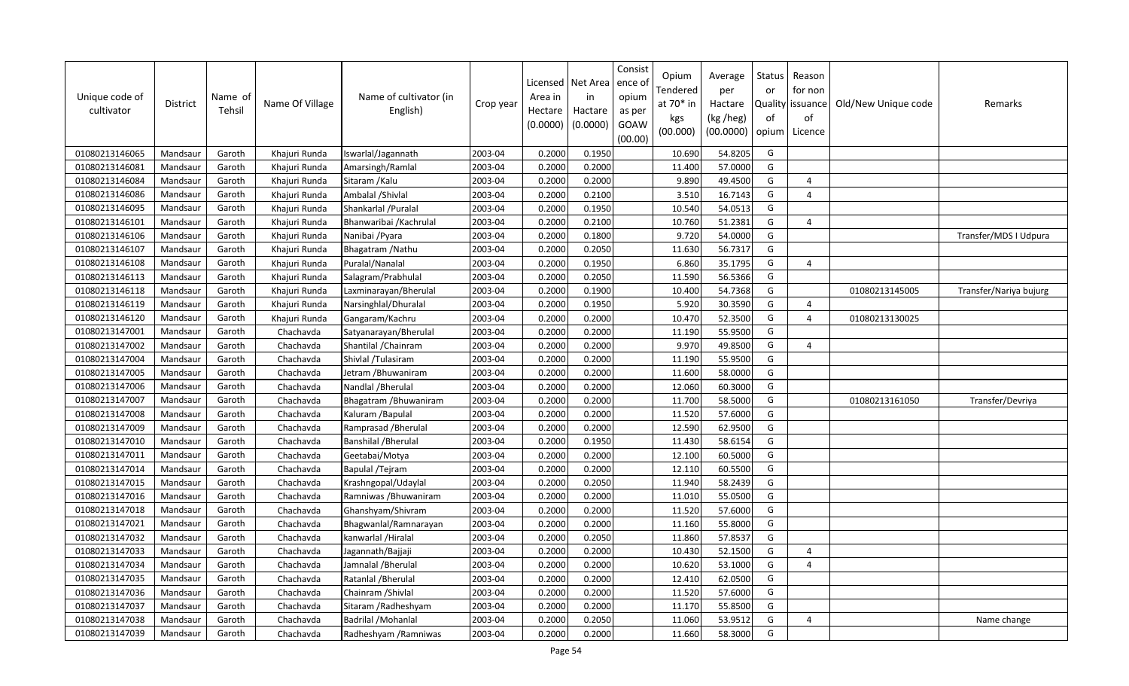| Unique code of<br>cultivator | <b>District</b> | Name of<br>Tehsil | Name Of Village | Name of cultivator (in<br>English) | Crop year | Licensed<br>Area in<br>Hectare<br>(0.0000) | Net Area<br>in<br>Hactare<br>(0.0000) | Consist<br>ence of<br>opium<br>as per<br>GOAW<br>(00.00) | Opium<br>Tendered<br>at 70* in<br>kgs<br>(00.000) | Average<br>per<br>Hactare<br>(kg /heg)<br>(00.0000) | Status<br>or<br>of<br>opium | Reason<br>for non<br>Quality   issuance<br>of<br>Licence | Old/New Unique code | Remarks                |
|------------------------------|-----------------|-------------------|-----------------|------------------------------------|-----------|--------------------------------------------|---------------------------------------|----------------------------------------------------------|---------------------------------------------------|-----------------------------------------------------|-----------------------------|----------------------------------------------------------|---------------------|------------------------|
| 01080213146065               | Mandsaur        | Garoth            | Khajuri Runda   | Iswarlal/Jagannath                 | 2003-04   | 0.2000                                     | 0.1950                                |                                                          | 10.690                                            | 54.8205                                             | G                           |                                                          |                     |                        |
| 01080213146081               | Mandsaur        | Garoth            | Khajuri Runda   | Amarsingh/Ramlal                   | 2003-04   | 0.2000                                     | 0.2000                                |                                                          | 11.400                                            | 57.0000                                             | G                           |                                                          |                     |                        |
| 01080213146084               | Mandsaur        | Garoth            | Khajuri Runda   | Sitaram / Kalu                     | 2003-04   | 0.2000                                     | 0.2000                                |                                                          | 9.890                                             | 49.4500                                             | G                           | 4                                                        |                     |                        |
| 01080213146086               | Mandsaur        | Garoth            | Khajuri Runda   | Ambalal /Shivlal                   | 2003-04   | 0.2000                                     | 0.2100                                |                                                          | 3.510                                             | 16.7143                                             | G                           | $\overline{4}$                                           |                     |                        |
| 01080213146095               | Mandsaur        | Garoth            | Khajuri Runda   | Shankarlal / Puralal               | 2003-04   | 0.2000                                     | 0.1950                                |                                                          | 10.540                                            | 54.0513                                             | G                           |                                                          |                     |                        |
| 01080213146101               | Mandsaur        | Garoth            | Khajuri Runda   | Bhanwaribai / Kachrulal            | 2003-04   | 0.2000                                     | 0.2100                                |                                                          | 10.760                                            | 51.2381                                             | G                           | 4                                                        |                     |                        |
| 01080213146106               | Mandsaur        | Garoth            | Khajuri Runda   | Nanibai / Pyara                    | 2003-04   | 0.2000                                     | 0.1800                                |                                                          | 9.720                                             | 54.0000                                             | G                           |                                                          |                     | Transfer/MDS I Udpura  |
| 01080213146107               | Mandsaur        | Garoth            | Khajuri Runda   | Bhagatram / Nathu                  | 2003-04   | 0.2000                                     | 0.2050                                |                                                          | 11.630                                            | 56.7317                                             | G                           |                                                          |                     |                        |
| 01080213146108               | Mandsaur        | Garoth            | Khajuri Runda   | Puralal/Nanalal                    | 2003-04   | 0.2000                                     | 0.1950                                |                                                          | 6.860                                             | 35.1795                                             | G                           | $\Delta$                                                 |                     |                        |
| 01080213146113               | Mandsaur        | Garoth            | Khajuri Runda   | Salagram/Prabhulal                 | 2003-04   | 0.2000                                     | 0.2050                                |                                                          | 11.590                                            | 56.5366                                             | G                           |                                                          |                     |                        |
| 01080213146118               | Mandsaur        | Garoth            | Khajuri Runda   | Laxminarayan/Bherulal              | 2003-04   | 0.2000                                     | 0.1900                                |                                                          | 10.400                                            | 54.7368                                             | G                           |                                                          | 01080213145005      | Transfer/Nariya bujurg |
| 01080213146119               | Mandsaur        | Garoth            | Khajuri Runda   | Narsinghlal/Dhuralal               | 2003-04   | 0.2000                                     | 0.1950                                |                                                          | 5.920                                             | 30.3590                                             | G                           | $\overline{a}$                                           |                     |                        |
| 01080213146120               | Mandsaur        | Garoth            | Khajuri Runda   | Gangaram/Kachru                    | 2003-04   | 0.2000                                     | 0.2000                                |                                                          | 10.470                                            | 52.3500                                             | G                           | $\Delta$                                                 | 01080213130025      |                        |
| 01080213147001               | Mandsaur        | Garoth            | Chachavda       | Satyanarayan/Bherulal              | 2003-04   | 0.2000                                     | 0.2000                                |                                                          | 11.190                                            | 55.9500                                             | G                           |                                                          |                     |                        |
| 01080213147002               | Mandsaur        | Garoth            | Chachavda       | Shantilal / Chainram               | 2003-04   | 0.2000                                     | 0.2000                                |                                                          | 9.970                                             | 49.8500                                             | G                           | $\Delta$                                                 |                     |                        |
| 01080213147004               | Mandsaur        | Garoth            | Chachavda       | Shivlal /Tulasiram                 | 2003-04   | 0.2000                                     | 0.2000                                |                                                          | 11.190                                            | 55.9500                                             | G                           |                                                          |                     |                        |
| 01080213147005               | Mandsaur        | Garoth            | Chachavda       | Jetram /Bhuwaniram                 | 2003-04   | 0.2000                                     | 0.2000                                |                                                          | 11.600                                            | 58.0000                                             | G                           |                                                          |                     |                        |
| 01080213147006               | Mandsaur        | Garoth            | Chachavda       | Nandlal / Bherulal                 | 2003-04   | 0.2000                                     | 0.2000                                |                                                          | 12.060                                            | 60.3000                                             | G                           |                                                          |                     |                        |
| 01080213147007               | Mandsaur        | Garoth            | Chachavda       | Bhagatram / Bhuwaniram             | 2003-04   | 0.2000                                     | 0.2000                                |                                                          | 11.700                                            | 58.5000                                             | G                           |                                                          | 01080213161050      | Transfer/Devriya       |
| 01080213147008               | Mandsaur        | Garoth            | Chachavda       | Kaluram / Bapulal                  | 2003-04   | 0.2000                                     | 0.2000                                |                                                          | 11.520                                            | 57.6000                                             | G                           |                                                          |                     |                        |
| 01080213147009               | Mandsaur        | Garoth            | Chachavda       | Ramprasad / Bherulal               | 2003-04   | 0.2000                                     | 0.2000                                |                                                          | 12.590                                            | 62.9500                                             | G                           |                                                          |                     |                        |
| 01080213147010               | Mandsaur        | Garoth            | Chachavda       | Banshilal / Bherulal               | 2003-04   | 0.2000                                     | 0.1950                                |                                                          | 11.430                                            | 58.6154                                             | G                           |                                                          |                     |                        |
| 01080213147011               | Mandsaur        | Garoth            | Chachavda       | Geetabai/Motya                     | 2003-04   | 0.2000                                     | 0.2000                                |                                                          | 12.100                                            | 60.5000                                             | G                           |                                                          |                     |                        |
| 01080213147014               | Mandsaur        | Garoth            | Chachavda       | Bapulal /Tejram                    | 2003-04   | 0.2000                                     | 0.2000                                |                                                          | 12.110                                            | 60.5500                                             | G                           |                                                          |                     |                        |
| 01080213147015               | Mandsaur        | Garoth            | Chachavda       | Krashngopal/Udaylal                | 2003-04   | 0.2000                                     | 0.2050                                |                                                          | 11.940                                            | 58.2439                                             | G                           |                                                          |                     |                        |
| 01080213147016               | Mandsaur        | Garoth            | Chachavda       | Ramniwas / Bhuwaniram              | 2003-04   | 0.2000                                     | 0.2000                                |                                                          | 11.010                                            | 55.0500                                             | G                           |                                                          |                     |                        |
| 01080213147018               | Mandsaur        | Garoth            | Chachavda       | Ghanshyam/Shivram                  | 2003-04   | 0.2000                                     | 0.2000                                |                                                          | 11.520                                            | 57.6000                                             | G                           |                                                          |                     |                        |
| 01080213147021               | Mandsaur        | Garoth            | Chachavda       | Bhagwanlal/Ramnarayan              | 2003-04   | 0.2000                                     | 0.2000                                |                                                          | 11.160                                            | 55.8000                                             | G                           |                                                          |                     |                        |
| 01080213147032               | Mandsaur        | Garoth            | Chachavda       | kanwarlal / Hiralal                | 2003-04   | 0.2000                                     | 0.2050                                |                                                          | 11.860                                            | 57.8537                                             | G                           |                                                          |                     |                        |
| 01080213147033               | Mandsaur        | Garoth            | Chachavda       | Jagannath/Bajjaji                  | 2003-04   | 0.2000                                     | 0.2000                                |                                                          | 10.430                                            | 52.1500                                             | G                           | $\Delta$                                                 |                     |                        |
| 01080213147034               | Mandsaur        | Garoth            | Chachavda       | Jamnalal / Bherulal                | 2003-04   | 0.2000                                     | 0.2000                                |                                                          | 10.620                                            | 53.1000                                             | G                           | 4                                                        |                     |                        |
| 01080213147035               | Mandsaur        | Garoth            | Chachavda       | Ratanlal / Bherulal                | 2003-04   | 0.2000                                     | 0.2000                                |                                                          | 12.410                                            | 62.0500                                             | G                           |                                                          |                     |                        |
| 01080213147036               | Mandsaur        | Garoth            | Chachavda       | Chainram / Shivlal                 | 2003-04   | 0.2000                                     | 0.2000                                |                                                          | 11.520                                            | 57.6000                                             | G                           |                                                          |                     |                        |
| 01080213147037               | Mandsaur        | Garoth            | Chachavda       | Sitaram / Radheshyam               | 2003-04   | 0.2000                                     | 0.2000                                |                                                          | 11.170                                            | 55.8500                                             | G                           |                                                          |                     |                        |
| 01080213147038               | Mandsaur        | Garoth            | Chachavda       | Badrilal / Mohanlal                | 2003-04   | 0.2000                                     | 0.2050                                |                                                          | 11.060                                            | 53.9512                                             | G                           | $\Delta$                                                 |                     | Name change            |
| 01080213147039               | Mandsaur        | Garoth            | Chachavda       | Radheshyam / Ramniwas              | 2003-04   | 0.2000                                     | 0.2000                                |                                                          | 11.660                                            | 58.3000                                             | G                           |                                                          |                     |                        |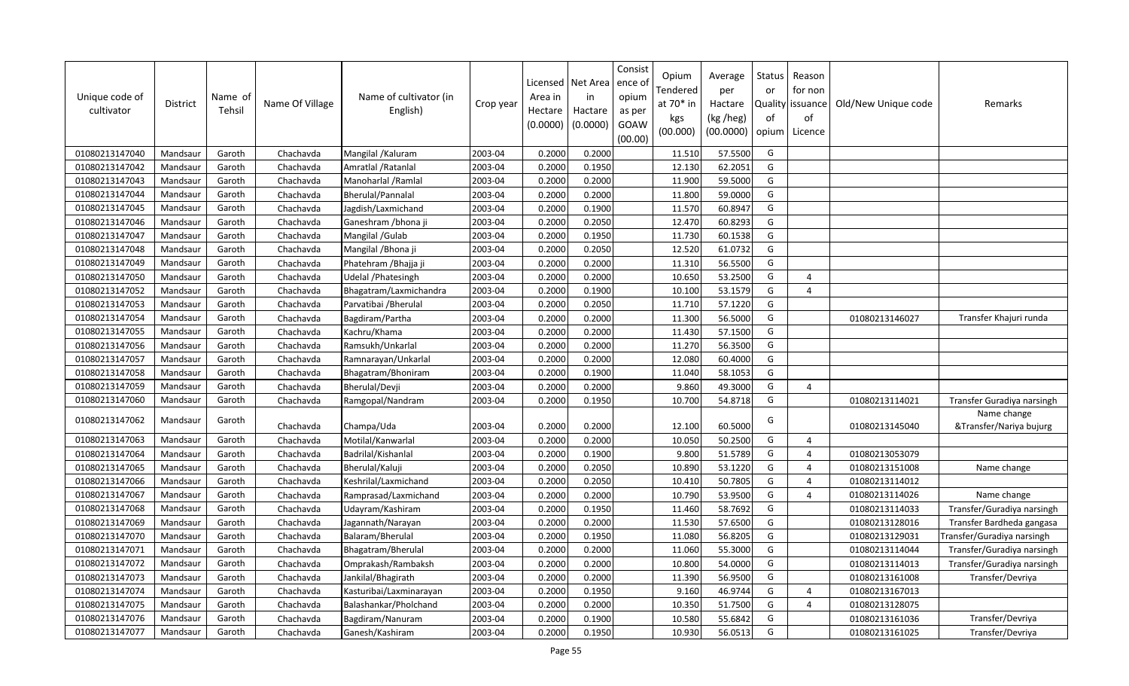| Unique code of<br>cultivator | <b>District</b> | Name of<br>Tehsil | Name Of Village | Name of cultivator (in<br>English) | Crop year | Licensed<br>Area in<br>Hectare<br>(0.0000) | Net Area<br>in<br>Hactare<br>(0.0000) | Consist<br>ence of<br>opium<br>as per<br>GOAW<br>(00.00) | Opium<br>Tendered<br>at $70*$ in<br>kgs<br>(00.000) | Average<br>per<br>Hactare<br>(kg /heg)<br>(00.0000) | <b>Status</b><br>or<br>of<br>opium | Reason<br>for non<br>Quality   issuance<br>of<br>Licence | Old/New Unique code | Remarks                    |
|------------------------------|-----------------|-------------------|-----------------|------------------------------------|-----------|--------------------------------------------|---------------------------------------|----------------------------------------------------------|-----------------------------------------------------|-----------------------------------------------------|------------------------------------|----------------------------------------------------------|---------------------|----------------------------|
| 01080213147040               | Mandsaur        | Garoth            | Chachavda       | Mangilal / Kaluram                 | 2003-04   | 0.2000                                     | 0.2000                                |                                                          | 11.510                                              | 57.5500                                             | G                                  |                                                          |                     |                            |
| 01080213147042               | Mandsaur        | Garoth            | Chachavda       | Amratlal / Ratanlal                | 2003-04   | 0.2000                                     | 0.1950                                |                                                          | 12.130                                              | 62.2051                                             | G                                  |                                                          |                     |                            |
| 01080213147043               | Mandsaur        | Garoth            | Chachavda       | Manoharlal / Ramlal                | 2003-04   | 0.2000                                     | 0.2000                                |                                                          | 11.900                                              | 59.5000                                             | G                                  |                                                          |                     |                            |
| 01080213147044               | Mandsaur        | Garoth            | Chachavda       | Bherulal/Pannalal                  | 2003-04   | 0.2000                                     | 0.2000                                |                                                          | 11.800                                              | 59.0000                                             | G                                  |                                                          |                     |                            |
| 01080213147045               | Mandsaur        | Garoth            | Chachavda       | Jagdish/Laxmichand                 | 2003-04   | 0.2000                                     | 0.1900                                |                                                          | 11.570                                              | 60.8947                                             | G                                  |                                                          |                     |                            |
| 01080213147046               | Mandsaur        | Garoth            | Chachavda       | Ganeshram / bhona ji               | 2003-04   | 0.2000                                     | 0.2050                                |                                                          | 12.470                                              | 60.8293                                             | G                                  |                                                          |                     |                            |
| 01080213147047               | Mandsaur        | Garoth            | Chachavda       | Mangilal / Gulab                   | 2003-04   | 0.2000                                     | 0.1950                                |                                                          | 11.730                                              | 60.1538                                             | G                                  |                                                          |                     |                            |
| 01080213147048               | Mandsaur        | Garoth            | Chachavda       | Mangilal / Bhona ji                | 2003-04   | 0.2000                                     | 0.2050                                |                                                          | 12.520                                              | 61.0732                                             | G                                  |                                                          |                     |                            |
| 01080213147049               | Mandsaur        | Garoth            | Chachavda       | Phatehram / Bhajja ji              | 2003-04   | 0.2000                                     | 0.2000                                |                                                          | 11.310                                              | 56.5500                                             | G                                  |                                                          |                     |                            |
| 01080213147050               | Mandsaur        | Garoth            | Chachavda       | Udelal / Phatesingh                | 2003-04   | 0.2000                                     | 0.2000                                |                                                          | 10.650                                              | 53.2500                                             | G                                  | $\overline{a}$                                           |                     |                            |
| 01080213147052               | Mandsaur        | Garoth            | Chachavda       | Bhagatram/Laxmichandra             | 2003-04   | 0.2000                                     | 0.1900                                |                                                          | 10.100                                              | 53.1579                                             | G                                  | 4                                                        |                     |                            |
| 01080213147053               | Mandsaur        | Garoth            | Chachavda       | Parvatibai / Bherulal              | 2003-04   | 0.2000                                     | 0.2050                                |                                                          | 11.710                                              | 57.1220                                             | G                                  |                                                          |                     |                            |
| 01080213147054               | Mandsaur        | Garoth            | Chachavda       | Bagdiram/Partha                    | 2003-04   | 0.2000                                     | 0.2000                                |                                                          | 11.300                                              | 56.5000                                             | G                                  |                                                          | 01080213146027      | Transfer Khajuri runda     |
| 01080213147055               | Mandsaur        | Garoth            | Chachavda       | Kachru/Khama                       | 2003-04   | 0.2000                                     | 0.2000                                |                                                          | 11.430                                              | 57.1500                                             | G                                  |                                                          |                     |                            |
| 01080213147056               | Mandsaur        | Garoth            | Chachavda       | Ramsukh/Unkarlal                   | 2003-04   | 0.2000                                     | 0.2000                                |                                                          | 11.270                                              | 56.3500                                             | G                                  |                                                          |                     |                            |
| 01080213147057               | Mandsaur        | Garoth            | Chachavda       | Ramnarayan/Unkarlal                | 2003-04   | 0.2000                                     | 0.2000                                |                                                          | 12.080                                              | 60.4000                                             | G                                  |                                                          |                     |                            |
| 01080213147058               | Mandsaur        | Garoth            | Chachavda       | Bhagatram/Bhoniram                 | 2003-04   | 0.2000                                     | 0.1900                                |                                                          | 11.040                                              | 58.1053                                             | G                                  |                                                          |                     |                            |
| 01080213147059               | Mandsaur        | Garoth            | Chachavda       | Bherulal/Devji                     | 2003-04   | 0.2000                                     | 0.2000                                |                                                          | 9.860                                               | 49.3000                                             | G                                  | 4                                                        |                     |                            |
| 01080213147060               | Mandsaur        | Garoth            | Chachavda       | Ramgopal/Nandram                   | 2003-04   | 0.2000                                     | 0.1950                                |                                                          | 10.700                                              | 54.8718                                             | G                                  |                                                          | 01080213114021      | Transfer Guradiya narsingh |
|                              |                 |                   |                 |                                    |           |                                            |                                       |                                                          |                                                     |                                                     |                                    |                                                          |                     | Name change                |
| 01080213147062               | Mandsaur        | Garoth            | Chachavda       | Champa/Uda                         | 2003-04   | 0.2000                                     | 0.2000                                |                                                          | 12.100                                              | 60.5000                                             | G                                  |                                                          | 01080213145040      | &Transfer/Nariya bujurg    |
| 01080213147063               | Mandsaur        | Garoth            | Chachavda       | Motilal/Kanwarlal                  | 2003-04   | 0.2000                                     | 0.2000                                |                                                          | 10.050                                              | 50.2500                                             | G                                  | $\Delta$                                                 |                     |                            |
| 01080213147064               | Mandsaur        | Garoth            | Chachavda       | Badrilal/Kishanlal                 | 2003-04   | 0.2000                                     | 0.1900                                |                                                          | 9.800                                               | 51.5789                                             | G                                  | $\Delta$                                                 | 01080213053079      |                            |
| 01080213147065               | Mandsaur        | Garoth            | Chachavda       | Bherulal/Kaluji                    | 2003-04   | 0.2000                                     | 0.2050                                |                                                          | 10.890                                              | 53.1220                                             | G                                  | 4                                                        | 01080213151008      | Name change                |
| 01080213147066               | Mandsaur        | Garoth            | Chachavda       | Keshrilal/Laxmichand               | 2003-04   | 0.2000                                     | 0.2050                                |                                                          | 10.410                                              | 50.7805                                             | G                                  | $\Delta$                                                 | 01080213114012      |                            |
| 01080213147067               | Mandsaur        | Garoth            | Chachavda       | Ramprasad/Laxmichand               | 2003-04   | 0.2000                                     | 0.2000                                |                                                          | 10.790                                              | 53.9500                                             | G                                  | $\overline{a}$                                           | 01080213114026      | Name change                |
| 01080213147068               | Mandsaur        | Garoth            | Chachavda       | Udayram/Kashiram                   | 2003-04   | 0.2000                                     | 0.1950                                |                                                          | 11.460                                              | 58.7692                                             | G                                  |                                                          | 01080213114033      | Transfer/Guradiya narsingh |
| 01080213147069               | Mandsaur        | Garoth            | Chachavda       | Jagannath/Narayan                  | 2003-04   | 0.2000                                     | 0.2000                                |                                                          | 11.530                                              | 57.6500                                             | G                                  |                                                          | 01080213128016      | Transfer Bardheda gangasa  |
| 01080213147070               | Mandsaur        | Garoth            | Chachavda       | Balaram/Bherulal                   | 2003-04   | 0.2000                                     | 0.1950                                |                                                          | 11.080                                              | 56.8205                                             | G                                  |                                                          | 01080213129031      | Transfer/Guradiya narsingh |
| 01080213147071               | Mandsaur        | Garoth            | Chachavda       | Bhagatram/Bherulal                 | 2003-04   | 0.2000                                     | 0.2000                                |                                                          | 11.060                                              | 55.3000                                             | G                                  |                                                          | 01080213114044      | Transfer/Guradiya narsingh |
| 01080213147072               | Mandsaur        | Garoth            | Chachavda       | Omprakash/Rambaksh                 | 2003-04   | 0.2000                                     | 0.2000                                |                                                          | 10.800                                              | 54.0000                                             | G                                  |                                                          | 01080213114013      | Transfer/Guradiya narsingh |
| 01080213147073               | Mandsaur        | Garoth            | Chachavda       | Jankilal/Bhagirath                 | 2003-04   | 0.2000                                     | 0.2000                                |                                                          | 11.390                                              | 56.9500                                             | G                                  |                                                          | 01080213161008      | Transfer/Devriya           |
| 01080213147074               | Mandsaur        | Garoth            | Chachavda       | Kasturibai/Laxminarayan            | 2003-04   | 0.2000                                     | 0.1950                                |                                                          | 9.160                                               | 46.9744                                             | G                                  | 4                                                        | 01080213167013      |                            |
| 01080213147075               | Mandsaur        | Garoth            | Chachavda       | Balashankar/Pholchand              | 2003-04   | 0.2000                                     | 0.2000                                |                                                          | 10.350                                              | 51.7500                                             | G                                  | $\Delta$                                                 | 01080213128075      |                            |
| 01080213147076               | Mandsaur        | Garoth            | Chachavda       | Bagdiram/Nanuram                   | 2003-04   | 0.2000                                     | 0.1900                                |                                                          | 10.580                                              | 55.6842                                             | G                                  |                                                          | 01080213161036      | Transfer/Devriya           |
| 01080213147077               | Mandsaur        | Garoth            | Chachavda       | Ganesh/Kashiram                    | 2003-04   | 0.2000                                     | 0.1950                                |                                                          | 10.930                                              | 56.0513                                             | G                                  |                                                          | 01080213161025      | Transfer/Devriya           |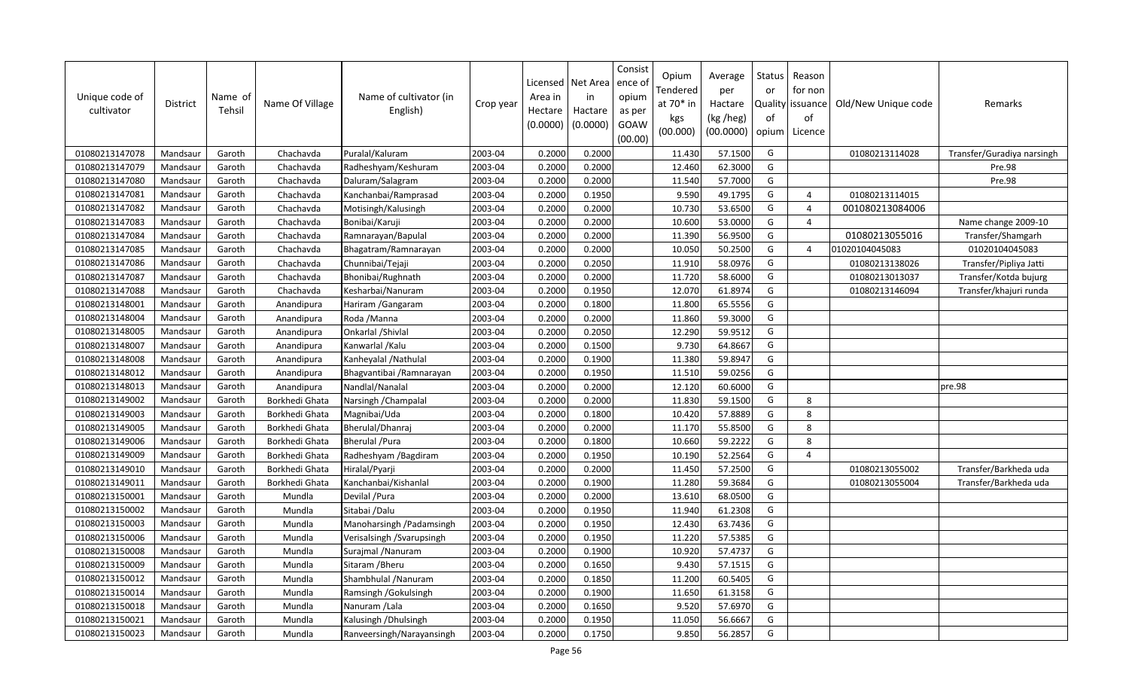| Unique code of<br>cultivator | District | Name of<br>Tehsil | Name Of Village | Name of cultivator (in<br>English) | Crop year | Area in<br>Hectare<br>(0.0000) | Licensed   Net Area<br>in<br>Hactare<br>(0.0000) | Consist<br>ence o<br>opium<br>as per<br>GOAW<br>(00.00) | Opium<br>Tendered<br>at 70* in<br>kgs<br>(00.000) | Average<br>per<br>Hactare<br>(kg /heg)<br>(00.0000) | Status<br>or<br>of<br>opium | Reason<br>for non<br>Quality issuance<br>of<br>Licence | Old/New Unique code | Remarks                    |
|------------------------------|----------|-------------------|-----------------|------------------------------------|-----------|--------------------------------|--------------------------------------------------|---------------------------------------------------------|---------------------------------------------------|-----------------------------------------------------|-----------------------------|--------------------------------------------------------|---------------------|----------------------------|
| 01080213147078               | Mandsaur | Garoth            | Chachavda       | Puralal/Kaluram                    | 2003-04   | 0.2000                         | 0.2000                                           |                                                         | 11.430                                            | 57.1500                                             | G                           |                                                        | 01080213114028      | Transfer/Guradiya narsingh |
| 01080213147079               | Mandsaur | Garoth            | Chachavda       | Radheshyam/Keshuram                | 2003-04   | 0.2000                         | 0.2000                                           |                                                         | 12.460                                            | 62.3000                                             | G                           |                                                        |                     | Pre.98                     |
| 01080213147080               | Mandsaur | Garoth            | Chachavda       | Daluram/Salagram                   | 2003-04   | 0.2000                         | 0.2000                                           |                                                         | 11.540                                            | 57.7000                                             | G                           |                                                        |                     | Pre.98                     |
| 01080213147081               | Mandsaur | Garoth            | Chachavda       | Kanchanbai/Ramprasad               | 2003-04   | 0.2000                         | 0.1950                                           |                                                         | 9.590                                             | 49.1795                                             | G                           | $\overline{4}$                                         | 01080213114015      |                            |
| 01080213147082               | Mandsaur | Garoth            | Chachavda       | Motisingh/Kalusingh                | 2003-04   | 0.2000                         | 0.2000                                           |                                                         | 10.730                                            | 53.6500                                             | G                           | $\overline{4}$                                         | 001080213084006     |                            |
| 01080213147083               | Mandsaur | Garoth            | Chachavda       | Bonibai/Karuji                     | 2003-04   | 0.2000                         | 0.2000                                           |                                                         | 10.600                                            | 53.0000                                             | G                           | $\Delta$                                               |                     | Name change 2009-10        |
| 01080213147084               | Mandsaur | Garoth            | Chachavda       | Ramnarayan/Bapulal                 | 2003-04   | 0.2000                         | 0.2000                                           |                                                         | 11.390                                            | 56.9500                                             | G                           |                                                        | 01080213055016      | Transfer/Shamgarh          |
| 01080213147085               | Mandsaur | Garoth            | Chachavda       | Bhagatram/Ramnarayan               | 2003-04   | 0.2000                         | 0.2000                                           |                                                         | 10.050                                            | 50.2500                                             | G                           | $\overline{4}$                                         | 01020104045083      | 01020104045083             |
| 01080213147086               | Mandsaur | Garoth            | Chachavda       | Chunnibai/Tejaji                   | 2003-04   | 0.2000                         | 0.2050                                           |                                                         | 11.910                                            | 58.0976                                             | G                           |                                                        | 01080213138026      | Transfer/Pipliya Jatti     |
| 01080213147087               | Mandsaur | Garoth            | Chachavda       | Bhonibai/Rughnath                  | 2003-04   | 0.2000                         | 0.2000                                           |                                                         | 11.720                                            | 58.6000                                             | G                           |                                                        | 01080213013037      | Transfer/Kotda bujurg      |
| 01080213147088               | Mandsaur | Garoth            | Chachavda       | Kesharbai/Nanuram                  | 2003-04   | 0.2000                         | 0.1950                                           |                                                         | 12.070                                            | 61.8974                                             | G                           |                                                        | 01080213146094      | Transfer/khajuri runda     |
| 01080213148001               | Mandsaur | Garoth            | Anandipura      | Hariram / Gangaram                 | 2003-04   | 0.2000                         | 0.1800                                           |                                                         | 11.800                                            | 65.5556                                             | G                           |                                                        |                     |                            |
| 01080213148004               | Mandsaur | Garoth            | Anandipura      | Roda / Manna                       | 2003-04   | 0.2000                         | 0.2000                                           |                                                         | 11.860                                            | 59.3000                                             | G                           |                                                        |                     |                            |
| 01080213148005               | Mandsaur | Garoth            | Anandipura      | Onkarlal / Shivlal                 | 2003-04   | 0.2000                         | 0.2050                                           |                                                         | 12.290                                            | 59.9512                                             | ${\mathsf G}$               |                                                        |                     |                            |
| 01080213148007               | Mandsaur | Garoth            | Anandipura      | Kanwarlal / Kalu                   | 2003-04   | 0.2000                         | 0.1500                                           |                                                         | 9.730                                             | 64.8667                                             | G                           |                                                        |                     |                            |
| 01080213148008               | Mandsaur | Garoth            | Anandipura      | Kanheyalal / Nathulal              | 2003-04   | 0.2000                         | 0.1900                                           |                                                         | 11.380                                            | 59.8947                                             | G                           |                                                        |                     |                            |
| 01080213148012               | Mandsaur | Garoth            | Anandipura      | Bhagvantibai / Ramnarayan          | 2003-04   | 0.2000                         | 0.1950                                           |                                                         | 11.510                                            | 59.0256                                             | G                           |                                                        |                     |                            |
| 01080213148013               | Mandsaur | Garoth            | Anandipura      | Nandlal/Nanalal                    | 2003-04   | 0.2000                         | 0.2000                                           |                                                         | 12.120                                            | 60.6000                                             | G                           |                                                        |                     | pre.98                     |
| 01080213149002               | Mandsaur | Garoth            | Borkhedi Ghata  | Narsingh / Champalal               | 2003-04   | 0.2000                         | 0.2000                                           |                                                         | 11.830                                            | 59.1500                                             | G                           | 8                                                      |                     |                            |
| 01080213149003               | Mandsaur | Garoth            | Borkhedi Ghata  | Magnibai/Uda                       | 2003-04   | 0.2000                         | 0.1800                                           |                                                         | 10.420                                            | 57.8889                                             | G                           | 8                                                      |                     |                            |
| 01080213149005               | Mandsaur | Garoth            | Borkhedi Ghata  | Bherulal/Dhanraj                   | 2003-04   | 0.2000                         | 0.2000                                           |                                                         | 11.170                                            | 55.8500                                             | G                           | 8                                                      |                     |                            |
| 01080213149006               | Mandsaur | Garoth            | Borkhedi Ghata  | <b>Bherulal /Pura</b>              | 2003-04   | 0.2000                         | 0.1800                                           |                                                         | 10.660                                            | 59.2222                                             | G                           | 8                                                      |                     |                            |
| 01080213149009               | Mandsaur | Garoth            | Borkhedi Ghata  | Radheshyam / Bagdiram              | 2003-04   | 0.2000                         | 0.1950                                           |                                                         | 10.190                                            | 52.2564                                             | G                           | $\overline{4}$                                         |                     |                            |
| 01080213149010               | Mandsaur | Garoth            | Borkhedi Ghata  | Hiralal/Pyarji                     | 2003-04   | 0.2000                         | 0.2000                                           |                                                         | 11.450                                            | 57.2500                                             | G                           |                                                        | 01080213055002      | Transfer/Barkheda uda      |
| 01080213149011               | Mandsaur | Garoth            | Borkhedi Ghata  | Kanchanbai/Kishanlal               | 2003-04   | 0.2000                         | 0.1900                                           |                                                         | 11.280                                            | 59.3684                                             | G                           |                                                        | 01080213055004      | Transfer/Barkheda uda      |
| 01080213150001               | Mandsaur | Garoth            | Mundla          | Devilal / Pura                     | 2003-04   | 0.2000                         | 0.2000                                           |                                                         | 13.610                                            | 68.0500                                             | G                           |                                                        |                     |                            |
| 01080213150002               | Mandsaur | Garoth            | Mundla          | Sitabai /Dalu                      | 2003-04   | 0.2000                         | 0.1950                                           |                                                         | 11.940                                            | 61.2308                                             | G                           |                                                        |                     |                            |
| 01080213150003               | Mandsaur | Garoth            | Mundla          | Manoharsingh / Padamsingh          | 2003-04   | 0.2000                         | 0.1950                                           |                                                         | 12.430                                            | 63.7436                                             | G                           |                                                        |                     |                            |
| 01080213150006               | Mandsaur | Garoth            | Mundla          | Verisalsingh / Svarupsingh         | 2003-04   | 0.2000                         | 0.1950                                           |                                                         | 11.220                                            | 57.5385                                             | G                           |                                                        |                     |                            |
| 01080213150008               | Mandsaur | Garoth            | Mundla          | Surajmal / Nanuram                 | 2003-04   | 0.2000                         | 0.1900                                           |                                                         | 10.920                                            | 57.4737                                             | G                           |                                                        |                     |                            |
| 01080213150009               | Mandsaur | Garoth            | Mundla          | Sitaram / Bheru                    | 2003-04   | 0.2000                         | 0.1650                                           |                                                         | 9.430                                             | 57.1515                                             | G                           |                                                        |                     |                            |
| 01080213150012               | Mandsaur | Garoth            | Mundla          | Shambhulal / Nanuram               | 2003-04   | 0.2000                         | 0.1850                                           |                                                         | 11.200                                            | 60.5405                                             | G                           |                                                        |                     |                            |
| 01080213150014               | Mandsaur | Garoth            | Mundla          | Ramsingh / Gokulsingh              | 2003-04   | 0.2000                         | 0.1900                                           |                                                         | 11.650                                            | 61.3158                                             | G                           |                                                        |                     |                            |
| 01080213150018               | Mandsaur | Garoth            | Mundla          | Nanuram / Lala                     | 2003-04   | 0.2000                         | 0.1650                                           |                                                         | 9.520                                             | 57.6970                                             | G                           |                                                        |                     |                            |
| 01080213150021               | Mandsaur | Garoth            | Mundla          | Kalusingh / Dhulsingh              | 2003-04   | 0.2000                         | 0.1950                                           |                                                         | 11.050                                            | 56.6667                                             | G                           |                                                        |                     |                            |
| 01080213150023               | Mandsaur | Garoth            | Mundla          | Ranveersingh/Narayansingh          | 2003-04   | 0.2000                         | 0.1750                                           |                                                         | 9.850                                             | 56.2857                                             | G                           |                                                        |                     |                            |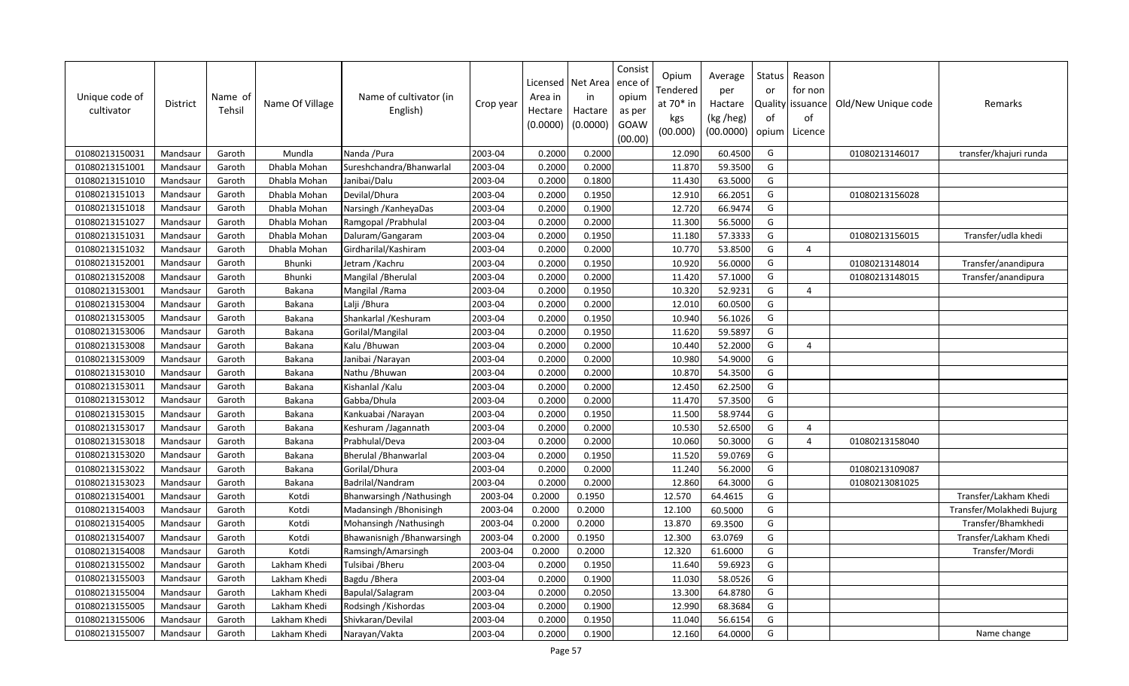| Unique code of<br>cultivator | District | Name of<br>Tehsil | Name Of Village | Name of cultivator (in<br>English) | Crop year | Area in<br>Hectare<br>(0.0000) | Licensed   Net Area<br>in<br>Hactare<br>(0.0000) | Consist<br>ence o<br>opium<br>as per<br>GOAW<br>(00.00) | Opium<br>Tendered<br>at $70*$ in<br>kgs<br>(00.000) | Average<br>per<br>Hactare<br>(kg /heg)<br>(00.0000) | Status<br>or<br>of<br>opium | Reason<br>for non<br>Quality issuance<br>of<br>Licence | Old/New Unique code | Remarks                   |
|------------------------------|----------|-------------------|-----------------|------------------------------------|-----------|--------------------------------|--------------------------------------------------|---------------------------------------------------------|-----------------------------------------------------|-----------------------------------------------------|-----------------------------|--------------------------------------------------------|---------------------|---------------------------|
| 01080213150031               | Mandsaur | Garoth            | Mundla          | Nanda / Pura                       | 2003-04   | 0.2000                         | 0.2000                                           |                                                         | 12.090                                              | 60.4500                                             | G                           |                                                        | 01080213146017      | transfer/khajuri runda    |
| 01080213151001               | Mandsaur | Garoth            | Dhabla Mohan    | Sureshchandra/Bhanwarlal           | 2003-04   | 0.2000                         | 0.2000                                           |                                                         | 11.870                                              | 59.3500                                             | G                           |                                                        |                     |                           |
| 01080213151010               | Mandsaur | Garoth            | Dhabla Mohan    | Janibai/Dalu                       | 2003-04   | 0.2000                         | 0.1800                                           |                                                         | 11.430                                              | 63.5000                                             | G                           |                                                        |                     |                           |
| 01080213151013               | Mandsaur | Garoth            | Dhabla Mohan    | Devilal/Dhura                      | 2003-04   | 0.2000                         | 0.1950                                           |                                                         | 12.910                                              | 66.2051                                             | G                           |                                                        | 01080213156028      |                           |
| 01080213151018               | Mandsaur | Garoth            | Dhabla Mohan    | Narsingh / Kanheya Das             | 2003-04   | 0.2000                         | 0.1900                                           |                                                         | 12.720                                              | 66.9474                                             | G                           |                                                        |                     |                           |
| 01080213151027               | Mandsaur | Garoth            | Dhabla Mohan    | Ramgopal / Prabhulal               | 2003-04   | 0.2000                         | 0.2000                                           |                                                         | 11.300                                              | 56.5000                                             | G                           |                                                        |                     |                           |
| 01080213151031               | Mandsaur | Garoth            | Dhabla Mohan    | Daluram/Gangaram                   | 2003-04   | 0.2000                         | 0.1950                                           |                                                         | 11.180                                              | 57.3333                                             | G                           |                                                        | 01080213156015      | Transfer/udla khedi       |
| 01080213151032               | Mandsaur | Garoth            | Dhabla Mohan    | Girdharilal/Kashiram               | 2003-04   | 0.2000                         | 0.2000                                           |                                                         | 10.770                                              | 53.8500                                             | G                           | $\overline{4}$                                         |                     |                           |
| 01080213152001               | Mandsaur | Garoth            | <b>Bhunki</b>   | Jetram /Kachru                     | 2003-04   | 0.2000                         | 0.1950                                           |                                                         | 10.920                                              | 56.0000                                             | G                           |                                                        | 01080213148014      | Transfer/anandipura       |
| 01080213152008               | Mandsaur | Garoth            | Bhunki          | Mangilal / Bherulal                | 2003-04   | 0.2000                         | 0.2000                                           |                                                         | 11.420                                              | 57.1000                                             | G                           |                                                        | 01080213148015      | Transfer/anandipura       |
| 01080213153001               | Mandsaur | Garoth            | Bakana          | Mangilal / Rama                    | 2003-04   | 0.2000                         | 0.1950                                           |                                                         | 10.320                                              | 52.9231                                             | G                           | $\overline{4}$                                         |                     |                           |
| 01080213153004               | Mandsaur | Garoth            | Bakana          | Lalji / Bhura                      | 2003-04   | 0.2000                         | 0.2000                                           |                                                         | 12.010                                              | 60.0500                                             | G                           |                                                        |                     |                           |
| 01080213153005               | Mandsaur | Garoth            | Bakana          | Shankarlal / Keshuram              | 2003-04   | 0.2000                         | 0.1950                                           |                                                         | 10.940                                              | 56.1026                                             | G                           |                                                        |                     |                           |
| 01080213153006               | Mandsaur | Garoth            | Bakana          | Gorilal/Mangilal                   | 2003-04   | 0.2000                         | 0.1950                                           |                                                         | 11.620                                              | 59.5897                                             | G                           |                                                        |                     |                           |
| 01080213153008               | Mandsaur | Garoth            | Bakana          | Kalu / Bhuwan                      | 2003-04   | 0.2000                         | 0.2000                                           |                                                         | 10.440                                              | 52.2000                                             | G                           | $\overline{4}$                                         |                     |                           |
| 01080213153009               | Mandsaur | Garoth            | Bakana          | Janibai /Narayan                   | 2003-04   | 0.2000                         | 0.2000                                           |                                                         | 10.980                                              | 54.9000                                             | G                           |                                                        |                     |                           |
| 01080213153010               | Mandsaur | Garoth            | Bakana          | Nathu / Bhuwan                     | 2003-04   | 0.2000                         | 0.2000                                           |                                                         | 10.870                                              | 54.3500                                             | G                           |                                                        |                     |                           |
| 01080213153011               | Mandsaur | Garoth            | Bakana          | Kishanlal / Kalu                   | 2003-04   | 0.2000                         | 0.2000                                           |                                                         | 12.450                                              | 62.2500                                             | G                           |                                                        |                     |                           |
| 01080213153012               | Mandsaur | Garoth            | Bakana          | Gabba/Dhula                        | 2003-04   | 0.2000                         | 0.2000                                           |                                                         | 11.470                                              | 57.3500                                             | G                           |                                                        |                     |                           |
| 01080213153015               | Mandsaur | Garoth            | Bakana          | Kankuabai / Narayan                | 2003-04   | 0.2000                         | 0.1950                                           |                                                         | 11.500                                              | 58.9744                                             | G                           |                                                        |                     |                           |
| 01080213153017               | Mandsaur | Garoth            | Bakana          | Keshuram /Jagannath                | 2003-04   | 0.2000                         | 0.2000                                           |                                                         | 10.530                                              | 52.6500                                             | G                           | $\overline{4}$                                         |                     |                           |
| 01080213153018               | Mandsaur | Garoth            | Bakana          | Prabhulal/Deva                     | 2003-04   | 0.2000                         | 0.2000                                           |                                                         | 10.060                                              | 50.3000                                             | G                           | $\overline{a}$                                         | 01080213158040      |                           |
| 01080213153020               | Mandsaur | Garoth            | Bakana          | <b>Bherulal / Bhanwarlal</b>       | 2003-04   | 0.2000                         | 0.1950                                           |                                                         | 11.520                                              | 59.0769                                             | G                           |                                                        |                     |                           |
| 01080213153022               | Mandsaur | Garoth            | Bakana          | Gorilal/Dhura                      | 2003-04   | 0.2000                         | 0.2000                                           |                                                         | 11.240                                              | 56.2000                                             | ${\mathsf G}$               |                                                        | 01080213109087      |                           |
| 01080213153023               | Mandsaur | Garoth            | Bakana          | Badrilal/Nandram                   | 2003-04   | 0.2000                         | 0.2000                                           |                                                         | 12.860                                              | 64.3000                                             | G                           |                                                        | 01080213081025      |                           |
| 01080213154001               | Mandsaur | Garoth            | Kotdi           | Bhanwarsingh / Nathusingh          | 2003-04   | 0.2000                         | 0.1950                                           |                                                         | 12.570                                              | 64.4615                                             | G                           |                                                        |                     | Transfer/Lakham Khedi     |
| 01080213154003               | Mandsaur | Garoth            | Kotdi           | Madansingh / Bhonisingh            | 2003-04   | 0.2000                         | 0.2000                                           |                                                         | 12.100                                              | 60.5000                                             | G                           |                                                        |                     | Transfer/Molakhedi Bujurg |
| 01080213154005               | Mandsaur | Garoth            | Kotdi           | Mohansingh / Nathusingh            | 2003-04   | 0.2000                         | 0.2000                                           |                                                         | 13.870                                              | 69.3500                                             | G                           |                                                        |                     | Transfer/Bhamkhedi        |
| 01080213154007               | Mandsaur | Garoth            | Kotdi           | Bhawanisnigh / Bhanwarsingh        | 2003-04   | 0.2000                         | 0.1950                                           |                                                         | 12.300                                              | 63.0769                                             | G                           |                                                        |                     | Transfer/Lakham Khedi     |
| 01080213154008               | Mandsaur | Garoth            | Kotdi           | Ramsingh/Amarsingh                 | 2003-04   | 0.2000                         | 0.2000                                           |                                                         | 12.320                                              | 61.6000                                             | G                           |                                                        |                     | Transfer/Mordi            |
| 01080213155002               | Mandsaur | Garoth            | Lakham Khedi    | Tulsibai / Bheru                   | 2003-04   | 0.2000                         | 0.1950                                           |                                                         | 11.640                                              | 59.6923                                             | G                           |                                                        |                     |                           |
| 01080213155003               | Mandsaur | Garoth            | Lakham Khedi    | Bagdu / Bhera                      | 2003-04   | 0.2000                         | 0.1900                                           |                                                         | 11.030                                              | 58.0526                                             | G                           |                                                        |                     |                           |
| 01080213155004               | Mandsaur | Garoth            | Lakham Khedi    | Bapulal/Salagram                   | 2003-04   | 0.2000                         | 0.2050                                           |                                                         | 13.300                                              | 64.8780                                             | G                           |                                                        |                     |                           |
| 01080213155005               | Mandsaur | Garoth            | Lakham Khedi    | Rodsingh / Kishordas               | 2003-04   | 0.2000                         | 0.1900                                           |                                                         | 12.990                                              | 68.3684                                             | G                           |                                                        |                     |                           |
| 01080213155006               | Mandsaur | Garoth            | Lakham Khedi    | Shivkaran/Devilal                  | 2003-04   | 0.2000                         | 0.1950                                           |                                                         | 11.040                                              | 56.6154                                             | G                           |                                                        |                     |                           |
| 01080213155007               | Mandsaur | Garoth            | Lakham Khedi    | Narayan/Vakta                      | 2003-04   | 0.2000                         | 0.1900                                           |                                                         | 12.160                                              | 64.0000                                             | G                           |                                                        |                     | Name change               |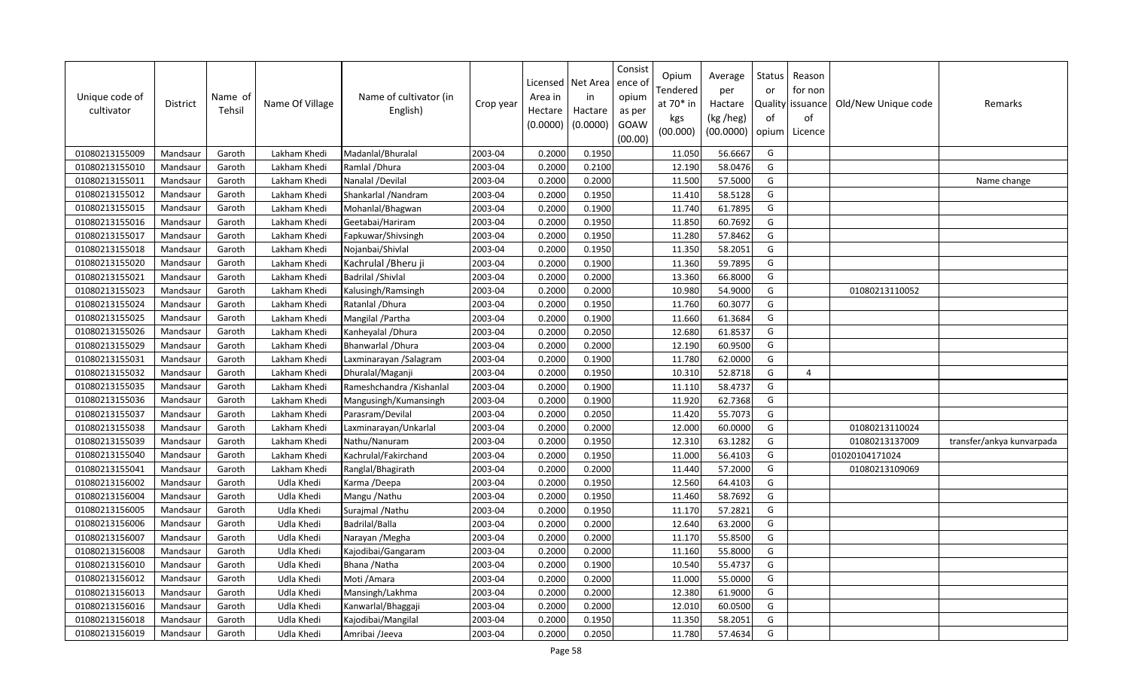| Unique code of<br>cultivator | District | Name of<br>Tehsil | Name Of Village | Name of cultivator (in<br>English) | Crop year | Licensed<br>Area in<br>Hectare<br>(0.0000) | Net Area<br>in<br>Hactare<br>(0.0000) | Consist<br>ence of<br>opium<br>as per<br>GOAW<br>(00.00) | Opium<br>Tendered<br>at 70* in<br>kgs<br>(00.000) | Average<br>per<br>Hactare<br>(kg /heg)<br>(00.0000) | Status<br>or<br>of<br>opium | Reason<br>for non<br>Quality   issuance<br>of<br>Licence | Old/New Unique code | Remarks                   |
|------------------------------|----------|-------------------|-----------------|------------------------------------|-----------|--------------------------------------------|---------------------------------------|----------------------------------------------------------|---------------------------------------------------|-----------------------------------------------------|-----------------------------|----------------------------------------------------------|---------------------|---------------------------|
| 01080213155009               | Mandsaur | Garoth            | Lakham Khedi    | Madanlal/Bhuralal                  | 2003-04   | 0.2000                                     | 0.1950                                |                                                          | 11.050                                            | 56.6667                                             | G                           |                                                          |                     |                           |
| 01080213155010               | Mandsaur | Garoth            | Lakham Khedi    | Ramlal / Dhura                     | 2003-04   | 0.2000                                     | 0.2100                                |                                                          | 12.190                                            | 58.0476                                             | G                           |                                                          |                     |                           |
| 01080213155011               | Mandsaur | Garoth            | Lakham Khedi    | Nanalal /Devilal                   | 2003-04   | 0.2000                                     | 0.2000                                |                                                          | 11.500                                            | 57.5000                                             | G                           |                                                          |                     | Name change               |
| 01080213155012               | Mandsaur | Garoth            | Lakham Khedi    | Shankarlal / Nandram               | 2003-04   | 0.2000                                     | 0.1950                                |                                                          | 11.410                                            | 58.5128                                             | G                           |                                                          |                     |                           |
| 01080213155015               | Mandsaur | Garoth            | Lakham Khedi    | Mohanlal/Bhagwan                   | 2003-04   | 0.2000                                     | 0.1900                                |                                                          | 11.740                                            | 61.7895                                             | G                           |                                                          |                     |                           |
| 01080213155016               | Mandsaur | Garoth            | Lakham Khedi    | Geetabai/Hariram                   | 2003-04   | 0.2000                                     | 0.1950                                |                                                          | 11.850                                            | 60.7692                                             | G                           |                                                          |                     |                           |
| 01080213155017               | Mandsaur | Garoth            | Lakham Khedi    | Fapkuwar/Shivsingh                 | 2003-04   | 0.2000                                     | 0.1950                                |                                                          | 11.280                                            | 57.8462                                             | G                           |                                                          |                     |                           |
| 01080213155018               | Mandsaur | Garoth            | Lakham Khedi    | Nojanbai/Shivlal                   | 2003-04   | 0.2000                                     | 0.1950                                |                                                          | 11.350                                            | 58.2051                                             | G                           |                                                          |                     |                           |
| 01080213155020               | Mandsaur | Garoth            | Lakham Khedi    | Kachrulal / Bheru ji               | 2003-04   | 0.2000                                     | 0.1900                                |                                                          | 11.360                                            | 59.7895                                             | G                           |                                                          |                     |                           |
| 01080213155021               | Mandsaur | Garoth            | Lakham Khedi    | <b>Badrilal / Shivlal</b>          | 2003-04   | 0.2000                                     | 0.2000                                |                                                          | 13.360                                            | 66.8000                                             | G                           |                                                          |                     |                           |
| 01080213155023               | Mandsaur | Garoth            | Lakham Khedi    | Kalusingh/Ramsingh                 | 2003-04   | 0.2000                                     | 0.2000                                |                                                          | 10.980                                            | 54.9000                                             | G                           |                                                          | 01080213110052      |                           |
| 01080213155024               | Mandsaur | Garoth            | Lakham Khedi    | Ratanlal / Dhura                   | 2003-04   | 0.2000                                     | 0.1950                                |                                                          | 11.760                                            | 60.3077                                             | G                           |                                                          |                     |                           |
| 01080213155025               | Mandsaur | Garoth            | Lakham Khedi    | Mangilal / Partha                  | 2003-04   | 0.2000                                     | 0.1900                                |                                                          | 11.660                                            | 61.3684                                             | G                           |                                                          |                     |                           |
| 01080213155026               | Mandsaur | Garoth            | Lakham Khedi    | Kanheyalal / Dhura                 | 2003-04   | 0.2000                                     | 0.2050                                |                                                          | 12.680                                            | 61.8537                                             | G                           |                                                          |                     |                           |
| 01080213155029               | Mandsaur | Garoth            | Lakham Khedi    | Bhanwarlal / Dhura                 | 2003-04   | 0.2000                                     | 0.2000                                |                                                          | 12.190                                            | 60.9500                                             | G                           |                                                          |                     |                           |
| 01080213155031               | Mandsaur | Garoth            | Lakham Khedi    | Laxminarayan /Salagram             | 2003-04   | 0.2000                                     | 0.1900                                |                                                          | 11.780                                            | 62.0000                                             | G                           |                                                          |                     |                           |
| 01080213155032               | Mandsaur | Garoth            | Lakham Khedi    | Dhuralal/Maganji                   | 2003-04   | 0.2000                                     | 0.1950                                |                                                          | 10.310                                            | 52.8718                                             | G                           | $\overline{a}$                                           |                     |                           |
| 01080213155035               | Mandsaur | Garoth            | Lakham Khedi    | Rameshchandra / Kishanlal          | 2003-04   | 0.2000                                     | 0.1900                                |                                                          | 11.110                                            | 58.4737                                             | G                           |                                                          |                     |                           |
| 01080213155036               | Mandsaur | Garoth            | Lakham Khedi    | Mangusingh/Kumansingh              | 2003-04   | 0.2000                                     | 0.1900                                |                                                          | 11.920                                            | 62.7368                                             | G                           |                                                          |                     |                           |
| 01080213155037               | Mandsaur | Garoth            | Lakham Khedi    | Parasram/Devilal                   | 2003-04   | 0.2000                                     | 0.2050                                |                                                          | 11.420                                            | 55.7073                                             | G                           |                                                          |                     |                           |
| 01080213155038               | Mandsaur | Garoth            | Lakham Khedi    | Laxminarayan/Unkarlal              | 2003-04   | 0.2000                                     | 0.2000                                |                                                          | 12.000                                            | 60.0000                                             | G                           |                                                          | 01080213110024      |                           |
| 01080213155039               | Mandsaur | Garoth            | Lakham Khedi    | Nathu/Nanuram                      | 2003-04   | 0.2000                                     | 0.1950                                |                                                          | 12.310                                            | 63.1282                                             | G                           |                                                          | 01080213137009      | transfer/ankya kunvarpada |
| 01080213155040               | Mandsaur | Garoth            | Lakham Khedi    | Kachrulal/Fakirchand               | 2003-04   | 0.2000                                     | 0.1950                                |                                                          | 11.000                                            | 56.4103                                             | G                           |                                                          | 01020104171024      |                           |
| 01080213155041               | Mandsaur | Garoth            | Lakham Khedi    | Ranglal/Bhagirath                  | 2003-04   | 0.2000                                     | 0.2000                                |                                                          | 11.440                                            | 57.2000                                             | G                           |                                                          | 01080213109069      |                           |
| 01080213156002               | Mandsaur | Garoth            | Udla Khedi      | Karma /Deepa                       | 2003-04   | 0.2000                                     | 0.1950                                |                                                          | 12.560                                            | 64.4103                                             | G                           |                                                          |                     |                           |
| 01080213156004               | Mandsaur | Garoth            | Udla Khedi      | Mangu / Nathu                      | 2003-04   | 0.2000                                     | 0.1950                                |                                                          | 11.460                                            | 58.7692                                             | G                           |                                                          |                     |                           |
| 01080213156005               | Mandsaur | Garoth            | Udla Khedi      | Surajmal / Nathu                   | 2003-04   | 0.2000                                     | 0.1950                                |                                                          | 11.170                                            | 57.2821                                             | G                           |                                                          |                     |                           |
| 01080213156006               | Mandsaur | Garoth            | Udla Khedi      | Badrilal/Balla                     | 2003-04   | 0.2000                                     | 0.2000                                |                                                          | 12.640                                            | 63.2000                                             | G                           |                                                          |                     |                           |
| 01080213156007               | Mandsaur | Garoth            | Udla Khedi      | Narayan / Megha                    | 2003-04   | 0.2000                                     | 0.2000                                |                                                          | 11.170                                            | 55.8500                                             | G                           |                                                          |                     |                           |
| 01080213156008               | Mandsaur | Garoth            | Udla Khedi      | Kajodibai/Gangaram                 | 2003-04   | 0.2000                                     | 0.2000                                |                                                          | 11.160                                            | 55.8000                                             | G                           |                                                          |                     |                           |
| 01080213156010               | Mandsaur | Garoth            | Udla Khedi      | Bhana / Natha                      | 2003-04   | 0.2000                                     | 0.1900                                |                                                          | 10.540                                            | 55.4737                                             | G                           |                                                          |                     |                           |
| 01080213156012               | Mandsaur | Garoth            | Udla Khedi      | Moti / Amara                       | 2003-04   | 0.2000                                     | 0.2000                                |                                                          | 11.000                                            | 55.0000                                             | G                           |                                                          |                     |                           |
| 01080213156013               | Mandsaur | Garoth            | Udla Khedi      | Mansingh/Lakhma                    | 2003-04   | 0.2000                                     | 0.2000                                |                                                          | 12.380                                            | 61.9000                                             | G                           |                                                          |                     |                           |
| 01080213156016               | Mandsaur | Garoth            | Udla Khedi      | Kanwarlal/Bhaggaji                 | 2003-04   | 0.2000                                     | 0.2000                                |                                                          | 12.010                                            | 60.0500                                             | G                           |                                                          |                     |                           |
| 01080213156018               | Mandsaur | Garoth            | Udla Khedi      | Kajodibai/Mangilal                 | 2003-04   | 0.2000                                     | 0.1950                                |                                                          | 11.350                                            | 58.2051                                             | G                           |                                                          |                     |                           |
| 01080213156019               | Mandsaur | Garoth            | Udla Khedi      | Amribai /Jeeva                     | 2003-04   | 0.2000                                     | 0.2050                                |                                                          | 11.780                                            | 57.4634                                             | G                           |                                                          |                     |                           |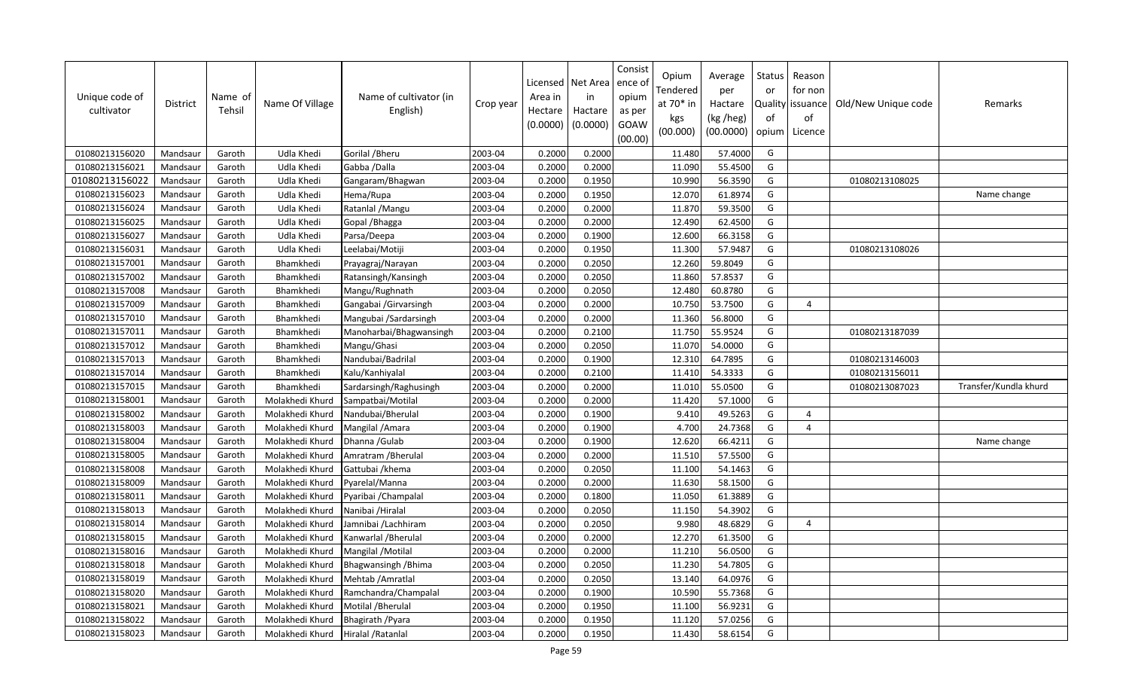| Unique code of<br>cultivator | <b>District</b> | Name of<br>Tehsil | Name Of Village | Name of cultivator (in<br>English) | Crop year | Licensed<br>Area in<br>Hectare<br>(0.0000) | Net Area<br>in<br>Hactare<br>(0.0000) | Consist<br>ence of<br>opium<br>as per<br>GOAW<br>(00.00) | Opium<br>Tendered<br>at 70* in<br>kgs<br>(00.000) | Average<br>per<br>Hactare<br>(kg /heg)<br>(00.0000) | Status<br>or<br>of<br>opium | Reason<br>for non<br>Quality issuance<br>of<br>Licence | Old/New Unique code | Remarks               |
|------------------------------|-----------------|-------------------|-----------------|------------------------------------|-----------|--------------------------------------------|---------------------------------------|----------------------------------------------------------|---------------------------------------------------|-----------------------------------------------------|-----------------------------|--------------------------------------------------------|---------------------|-----------------------|
| 01080213156020               | Mandsaur        | Garoth            | Udla Khedi      | Gorilal / Bheru                    | 2003-04   | 0.2000                                     | 0.2000                                |                                                          | 11.480                                            | 57.4000                                             | G                           |                                                        |                     |                       |
| 01080213156021               | Mandsaur        | Garoth            | Udla Khedi      | Gabba /Dalla                       | 2003-04   | 0.2000                                     | 0.2000                                |                                                          | 11.090                                            | 55.4500                                             | G                           |                                                        |                     |                       |
| 01080213156022               | Mandsaur        | Garoth            | Udla Khedi      | Gangaram/Bhagwan                   | 2003-04   | 0.2000                                     | 0.1950                                |                                                          | 10.990                                            | 56.3590                                             | G                           |                                                        | 01080213108025      |                       |
| 01080213156023               | Mandsaur        | Garoth            | Udla Khedi      | Hema/Rupa                          | 2003-04   | 0.2000                                     | 0.1950                                |                                                          | 12.070                                            | 61.8974                                             | G                           |                                                        |                     | Name change           |
| 01080213156024               | Mandsaur        | Garoth            | Udla Khedi      | Ratanlal / Mangu                   | 2003-04   | 0.2000                                     | 0.2000                                |                                                          | 11.870                                            | 59.3500                                             | G                           |                                                        |                     |                       |
| 01080213156025               | Mandsaur        | Garoth            | Udla Khedi      | Gopal / Bhagga                     | 2003-04   | 0.2000                                     | 0.2000                                |                                                          | 12.490                                            | 62.4500                                             | G                           |                                                        |                     |                       |
| 01080213156027               | Mandsaur        | Garoth            | Udla Khedi      | Parsa/Deepa                        | 2003-04   | 0.2000                                     | 0.1900                                |                                                          | 12.600                                            | 66.3158                                             | G                           |                                                        |                     |                       |
| 01080213156031               | Mandsaur        | Garoth            | Udla Khedi      | Leelabai/Motiji                    | 2003-04   | 0.2000                                     | 0.1950                                |                                                          | 11.300                                            | 57.9487                                             | G                           |                                                        | 01080213108026      |                       |
| 01080213157001               | Mandsaur        | Garoth            | Bhamkhedi       | Prayagraj/Narayan                  | 2003-04   | 0.2000                                     | 0.2050                                |                                                          | 12.260                                            | 59.8049                                             | G                           |                                                        |                     |                       |
| 01080213157002               | Mandsaur        | Garoth            | Bhamkhedi       | Ratansingh/Kansingh                | 2003-04   | 0.2000                                     | 0.2050                                |                                                          | 11.860                                            | 57.8537                                             | G                           |                                                        |                     |                       |
| 01080213157008               | Mandsaur        | Garoth            | Bhamkhedi       | Mangu/Rughnath                     | 2003-04   | 0.2000                                     | 0.2050                                |                                                          | 12.480                                            | 60.8780                                             | G                           |                                                        |                     |                       |
| 01080213157009               | Mandsaur        | Garoth            | Bhamkhedi       | Gangabai /Girvarsingh              | 2003-04   | 0.2000                                     | 0.2000                                |                                                          | 10.750                                            | 53.7500                                             | G                           | 4                                                      |                     |                       |
| 01080213157010               | Mandsaur        | Garoth            | Bhamkhedi       | Mangubai /Sardarsingh              | 2003-04   | 0.2000                                     | 0.2000                                |                                                          | 11.360                                            | 56.8000                                             | G                           |                                                        |                     |                       |
| 01080213157011               | Mandsaur        | Garoth            | Bhamkhedi       | Manoharbai/Bhagwansingh            | 2003-04   | 0.2000                                     | 0.2100                                |                                                          | 11.750                                            | 55.9524                                             | G                           |                                                        | 01080213187039      |                       |
| 01080213157012               | Mandsaur        | Garoth            | Bhamkhedi       | Mangu/Ghasi                        | 2003-04   | 0.2000                                     | 0.2050                                |                                                          | 11.070                                            | 54.0000                                             | G                           |                                                        |                     |                       |
| 01080213157013               | Mandsaur        | Garoth            | Bhamkhedi       | Nandubai/Badrilal                  | 2003-04   | 0.2000                                     | 0.1900                                |                                                          | 12.310                                            | 64.7895                                             | G                           |                                                        | 01080213146003      |                       |
| 01080213157014               | Mandsaur        | Garoth            | Bhamkhedi       | Kalu/Kanhiyalal                    | 2003-04   | 0.2000                                     | 0.2100                                |                                                          | 11.410                                            | 54.3333                                             | G                           |                                                        | 01080213156011      |                       |
| 01080213157015               | Mandsaur        | Garoth            | Bhamkhedi       | Sardarsingh/Raghusingh             | 2003-04   | 0.2000                                     | 0.2000                                |                                                          | 11.010                                            | 55.0500                                             | G                           |                                                        | 01080213087023      | Transfer/Kundla khurd |
| 01080213158001               | Mandsaur        | Garoth            | Molakhedi Khurd | Sampatbai/Motilal                  | 2003-04   | 0.2000                                     | 0.2000                                |                                                          | 11.420                                            | 57.1000                                             | G                           |                                                        |                     |                       |
| 01080213158002               | Mandsaur        | Garoth            | Molakhedi Khurd | Nandubai/Bherulal                  | 2003-04   | 0.2000                                     | 0.1900                                |                                                          | 9.410                                             | 49.5263                                             | G                           | $\overline{4}$                                         |                     |                       |
| 01080213158003               | Mandsaur        | Garoth            | Molakhedi Khurd | Mangilal / Amara                   | 2003-04   | 0.2000                                     | 0.1900                                |                                                          | 4.700                                             | 24.7368                                             | G                           | $\overline{4}$                                         |                     |                       |
| 01080213158004               | Mandsaur        | Garoth            | Molakhedi Khurd | Dhanna / Gulab                     | 2003-04   | 0.2000                                     | 0.1900                                |                                                          | 12.620                                            | 66.4211                                             | G                           |                                                        |                     | Name change           |
| 01080213158005               | Mandsaur        | Garoth            | Molakhedi Khurd | Amratram / Bherulal                | 2003-04   | 0.2000                                     | 0.2000                                |                                                          | 11.510                                            | 57.5500                                             | G                           |                                                        |                     |                       |
| 01080213158008               | Mandsaur        | Garoth            | Molakhedi Khurd | Gattubai / khema                   | 2003-04   | 0.2000                                     | 0.2050                                |                                                          | 11.100                                            | 54.1463                                             | G                           |                                                        |                     |                       |
| 01080213158009               | Mandsaur        | Garoth            | Molakhedi Khurd | Pyarelal/Manna                     | 2003-04   | 0.2000                                     | 0.2000                                |                                                          | 11.630                                            | 58.1500                                             | G                           |                                                        |                     |                       |
| 01080213158011               | Mandsaur        | Garoth            | Molakhedi Khurd | Pyaribai / Champalal               | 2003-04   | 0.2000                                     | 0.1800                                |                                                          | 11.050                                            | 61.3889                                             | G                           |                                                        |                     |                       |
| 01080213158013               | Mandsaur        | Garoth            | Molakhedi Khurd | Nanibai / Hiralal                  | 2003-04   | 0.2000                                     | 0.2050                                |                                                          | 11.150                                            | 54.3902                                             | G                           |                                                        |                     |                       |
| 01080213158014               | Mandsaur        | Garoth            | Molakhedi Khurd | Jamnibai / Lachhiram               | 2003-04   | 0.2000                                     | 0.2050                                |                                                          | 9.980                                             | 48.6829                                             | G                           | $\overline{4}$                                         |                     |                       |
| 01080213158015               | Mandsaur        | Garoth            | Molakhedi Khurd | Kanwarlal / Bherulal               | 2003-04   | 0.2000                                     | 0.2000                                |                                                          | 12.270                                            | 61.3500                                             | G                           |                                                        |                     |                       |
| 01080213158016               | Mandsaur        | Garoth            | Molakhedi Khurd | Mangilal / Motilal                 | 2003-04   | 0.2000                                     | 0.2000                                |                                                          | 11.210                                            | 56.0500                                             | G                           |                                                        |                     |                       |
| 01080213158018               | Mandsaur        | Garoth            | Molakhedi Khurd | Bhagwansingh / Bhima               | 2003-04   | 0.2000                                     | 0.2050                                |                                                          | 11.230                                            | 54.7805                                             | G                           |                                                        |                     |                       |
| 01080213158019               | Mandsaur        | Garoth            | Molakhedi Khurd | Mehtab / Amratlal                  | 2003-04   | 0.2000                                     | 0.2050                                |                                                          | 13.140                                            | 64.0976                                             | G                           |                                                        |                     |                       |
| 01080213158020               | Mandsaur        | Garoth            | Molakhedi Khurd | Ramchandra/Champalal               | 2003-04   | 0.2000                                     | 0.1900                                |                                                          | 10.590                                            | 55.7368                                             | G                           |                                                        |                     |                       |
| 01080213158021               | Mandsaur        | Garoth            | Molakhedi Khurd | Motilal / Bherulal                 | 2003-04   | 0.2000                                     | 0.1950                                |                                                          | 11.100                                            | 56.9231                                             | G                           |                                                        |                     |                       |
| 01080213158022               | Mandsaur        | Garoth            | Molakhedi Khurd | Bhagirath / Pyara                  | 2003-04   | 0.2000                                     | 0.1950                                |                                                          | 11.120                                            | 57.0256                                             | G                           |                                                        |                     |                       |
| 01080213158023               | Mandsaur        | Garoth            | Molakhedi Khurd | Hiralal / Ratanlal                 | 2003-04   | 0.2000                                     | 0.1950                                |                                                          | 11.430                                            | 58.6154                                             | G                           |                                                        |                     |                       |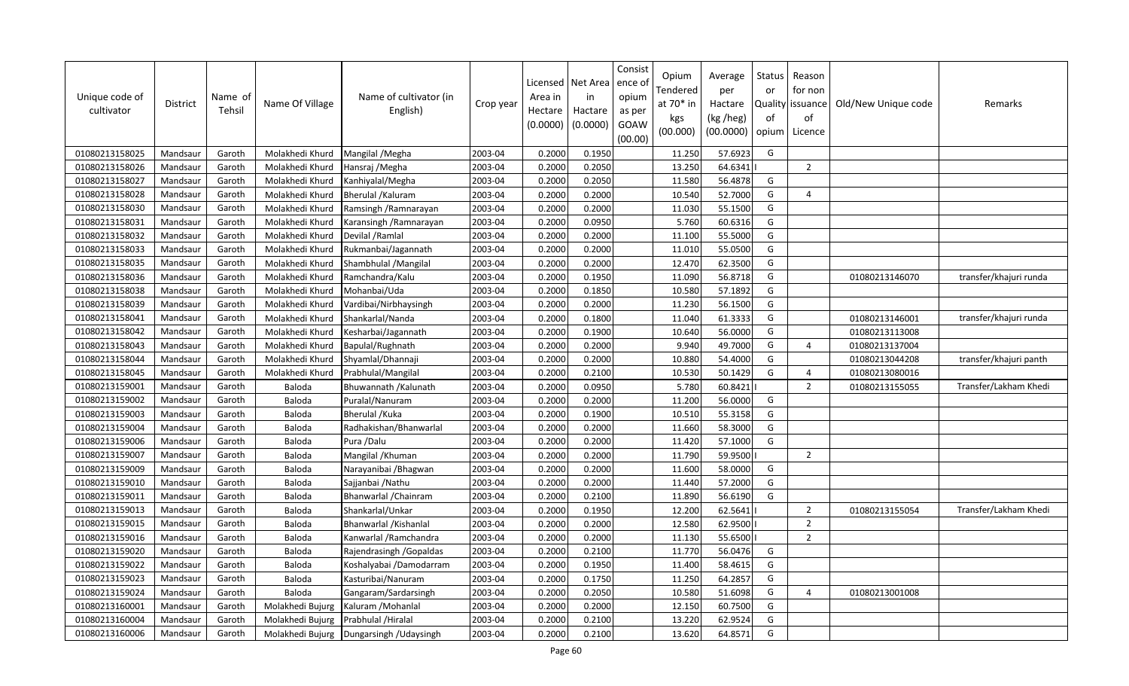| Unique code of<br>cultivator | <b>District</b> | Name of<br>Tehsil | Name Of Village  | Name of cultivator (in<br>English) | Crop year | Licensed<br>Area in<br>Hectare<br>(0.0000) | Net Area<br>in<br>Hactare<br>(0.0000) | Consist<br>ence ol<br>opium<br>as per<br>GOAW<br>(00.00) | Opium<br>Tendered<br>at $70*$ in<br>kgs<br>(00.000) | Average<br>per<br>Hactare<br>(kg /heg)<br>(00.0000) | Status<br>or<br>of<br>opium | Reason<br>for non<br>Quality issuance<br>of<br>Licence | Old/New Unique code | Remarks                |
|------------------------------|-----------------|-------------------|------------------|------------------------------------|-----------|--------------------------------------------|---------------------------------------|----------------------------------------------------------|-----------------------------------------------------|-----------------------------------------------------|-----------------------------|--------------------------------------------------------|---------------------|------------------------|
| 01080213158025               | Mandsaur        | Garoth            | Molakhedi Khurd  | Mangilal / Megha                   | 2003-04   | 0.2000                                     | 0.1950                                |                                                          | 11.250                                              | 57.6923                                             | G                           |                                                        |                     |                        |
| 01080213158026               | Mandsaur        | Garoth            | Molakhedi Khurd  | Hansraj / Megha                    | 2003-04   | 0.2000                                     | 0.2050                                |                                                          | 13.250                                              | 64.6341                                             |                             | $\overline{2}$                                         |                     |                        |
| 01080213158027               | Mandsaur        | Garoth            | Molakhedi Khurd  | Kanhiyalal/Megha                   | 2003-04   | 0.2000                                     | 0.2050                                |                                                          | 11.580                                              | 56.4878                                             | G                           |                                                        |                     |                        |
| 01080213158028               | Mandsaur        | Garoth            | Molakhedi Khurd  | Bherulal / Kaluram                 | 2003-04   | 0.2000                                     | 0.2000                                |                                                          | 10.540                                              | 52.7000                                             | G                           | $\overline{a}$                                         |                     |                        |
| 01080213158030               | Mandsaur        | Garoth            | Molakhedi Khurd  | Ramsingh / Ramnarayan              | 2003-04   | 0.2000                                     | 0.2000                                |                                                          | 11.030                                              | 55.1500                                             | G                           |                                                        |                     |                        |
| 01080213158031               | Mandsaur        | Garoth            | Molakhedi Khurd  | Karansingh / Ramnarayan            | 2003-04   | 0.2000                                     | 0.0950                                |                                                          | 5.760                                               | 60.6316                                             | G                           |                                                        |                     |                        |
| 01080213158032               | Mandsaur        | Garoth            | Molakhedi Khurd  | Devilal / Ramlal                   | 2003-04   | 0.2000                                     | 0.2000                                |                                                          | 11.100                                              | 55.5000                                             | G                           |                                                        |                     |                        |
| 01080213158033               | Mandsaur        | Garoth            | Molakhedi Khurd  | Rukmanbai/Jagannath                | 2003-04   | 0.2000                                     | 0.2000                                |                                                          | 11.010                                              | 55.0500                                             | G                           |                                                        |                     |                        |
| 01080213158035               | Mandsaur        | Garoth            | Molakhedi Khurd  | Shambhulal / Mangilal              | 2003-04   | 0.2000                                     | 0.2000                                |                                                          | 12.470                                              | 62.3500                                             | G                           |                                                        |                     |                        |
| 01080213158036               | Mandsaur        | Garoth            | Molakhedi Khurd  | Ramchandra/Kalu                    | 2003-04   | 0.2000                                     | 0.1950                                |                                                          | 11.090                                              | 56.8718                                             | G                           |                                                        | 01080213146070      | transfer/khajuri runda |
| 01080213158038               | Mandsaur        | Garoth            | Molakhedi Khurd  | Mohanbai/Uda                       | 2003-04   | 0.2000                                     | 0.1850                                |                                                          | 10.580                                              | 57.1892                                             | G                           |                                                        |                     |                        |
| 01080213158039               | Mandsaur        | Garoth            | Molakhedi Khurd  | Vardibai/Nirbhaysingh              | 2003-04   | 0.2000                                     | 0.2000                                |                                                          | 11.230                                              | 56.1500                                             | G                           |                                                        |                     |                        |
| 01080213158041               | Mandsaur        | Garoth            | Molakhedi Khurd  | Shankarlal/Nanda                   | 2003-04   | 0.2000                                     | 0.1800                                |                                                          | 11.040                                              | 61.3333                                             | G                           |                                                        | 01080213146001      | transfer/khajuri runda |
| 01080213158042               | Mandsaur        | Garoth            | Molakhedi Khurd  | Kesharbai/Jagannath                | 2003-04   | 0.2000                                     | 0.1900                                |                                                          | 10.640                                              | 56.0000                                             | G                           |                                                        | 01080213113008      |                        |
| 01080213158043               | Mandsaur        | Garoth            | Molakhedi Khurd  | Bapulal/Rughnath                   | 2003-04   | 0.2000                                     | 0.2000                                |                                                          | 9.940                                               | 49.7000                                             | G                           | $\overline{4}$                                         | 01080213137004      |                        |
| 01080213158044               | Mandsaur        | Garoth            | Molakhedi Khurd  | Shyamlal/Dhannaji                  | 2003-04   | 0.2000                                     | 0.2000                                |                                                          | 10.880                                              | 54.4000                                             | G                           |                                                        | 01080213044208      | transfer/khajuri panth |
| 01080213158045               | Mandsaur        | Garoth            | Molakhedi Khurd  | Prabhulal/Mangilal                 | 2003-04   | 0.2000                                     | 0.2100                                |                                                          | 10.530                                              | 50.1429                                             | G                           | $\overline{a}$                                         | 01080213080016      |                        |
| 01080213159001               | Mandsaur        | Garoth            | Baloda           | Bhuwannath / Kalunath              | 2003-04   | 0.2000                                     | 0.0950                                |                                                          | 5.780                                               | 60.8421                                             |                             | $\overline{2}$                                         | 01080213155055      | Transfer/Lakham Khedi  |
| 01080213159002               | Mandsaur        | Garoth            | Baloda           | Puralal/Nanuram                    | 2003-04   | 0.2000                                     | 0.2000                                |                                                          | 11.200                                              | 56.0000                                             | G                           |                                                        |                     |                        |
| 01080213159003               | Mandsaur        | Garoth            | Baloda           | Bherulal / Kuka                    | 2003-04   | 0.2000                                     | 0.1900                                |                                                          | 10.510                                              | 55.3158                                             | G                           |                                                        |                     |                        |
| 01080213159004               | Mandsaur        | Garoth            | Baloda           | Radhakishan/Bhanwarlal             | 2003-04   | 0.2000                                     | 0.2000                                |                                                          | 11.660                                              | 58.3000                                             | G                           |                                                        |                     |                        |
| 01080213159006               | Mandsaur        | Garoth            | Baloda           | Pura /Dalu                         | 2003-04   | 0.2000                                     | 0.2000                                |                                                          | 11.420                                              | 57.1000                                             | G                           |                                                        |                     |                        |
| 01080213159007               | Mandsaur        | Garoth            | Baloda           | Mangilal / Khuman                  | 2003-04   | 0.2000                                     | 0.2000                                |                                                          | 11.790                                              | 59.9500                                             |                             | $\overline{2}$                                         |                     |                        |
| 01080213159009               | Mandsaur        | Garoth            | Baloda           | Narayanibai / Bhagwan              | 2003-04   | 0.2000                                     | 0.2000                                |                                                          | 11.600                                              | 58.0000                                             | G                           |                                                        |                     |                        |
| 01080213159010               | Mandsaur        | Garoth            | Baloda           | Sajjanbai / Nathu                  | 2003-04   | 0.2000                                     | 0.2000                                |                                                          | 11.440                                              | 57.2000                                             | G                           |                                                        |                     |                        |
| 01080213159011               | Mandsaur        | Garoth            | Baloda           | Bhanwarlal / Chainram              | 2003-04   | 0.2000                                     | 0.2100                                |                                                          | 11.890                                              | 56.6190                                             | G                           |                                                        |                     |                        |
| 01080213159013               | Mandsaur        | Garoth            | Baloda           | Shankarlal/Unkar                   | 2003-04   | 0.2000                                     | 0.1950                                |                                                          | 12.200                                              | 62.5641                                             |                             | $\overline{2}$                                         | 01080213155054      | Transfer/Lakham Khedi  |
| 01080213159015               | Mandsaur        | Garoth            | Baloda           | Bhanwarlal / Kishanlal             | 2003-04   | 0.2000                                     | 0.2000                                |                                                          | 12.580                                              | 62.9500                                             |                             | $\overline{2}$                                         |                     |                        |
| 01080213159016               | Mandsaur        | Garoth            | Baloda           | Kanwarlal / Ramchandra             | 2003-04   | 0.2000                                     | 0.2000                                |                                                          | 11.130                                              | 55.6500                                             |                             | $\overline{2}$                                         |                     |                        |
| 01080213159020               | Mandsaur        | Garoth            | Baloda           | Rajendrasingh / Gopaldas           | 2003-04   | 0.2000                                     | 0.2100                                |                                                          | 11.770                                              | 56.0476                                             | G                           |                                                        |                     |                        |
| 01080213159022               | Mandsaur        | Garoth            | Baloda           | Koshalyabai /Damodarram            | 2003-04   | 0.2000                                     | 0.1950                                |                                                          | 11.400                                              | 58.4615                                             | G                           |                                                        |                     |                        |
| 01080213159023               | Mandsaur        | Garoth            | Baloda           | Kasturibai/Nanuram                 | 2003-04   | 0.2000                                     | 0.1750                                |                                                          | 11.250                                              | 64.2857                                             | G                           |                                                        |                     |                        |
| 01080213159024               | Mandsaur        | Garoth            | Baloda           | Gangaram/Sardarsingh               | 2003-04   | 0.2000                                     | 0.2050                                |                                                          | 10.580                                              | 51.6098                                             | G                           | $\overline{4}$                                         | 01080213001008      |                        |
| 01080213160001               | Mandsaur        | Garoth            | Molakhedi Bujurg | Kaluram / Mohanlal                 | 2003-04   | 0.2000                                     | 0.2000                                |                                                          | 12.150                                              | 60.7500                                             | G                           |                                                        |                     |                        |
| 01080213160004               | Mandsaur        | Garoth            | Molakhedi Bujurg | Prabhulal /Hiralal                 | 2003-04   | 0.2000                                     | 0.2100                                |                                                          | 13.220                                              | 62.9524                                             | G                           |                                                        |                     |                        |
| 01080213160006               | Mandsaur        | Garoth            | Molakhedi Bujurg | Dungarsingh / Udaysingh            | 2003-04   | 0.2000                                     | 0.2100                                |                                                          | 13.620                                              | 64.8571                                             | G                           |                                                        |                     |                        |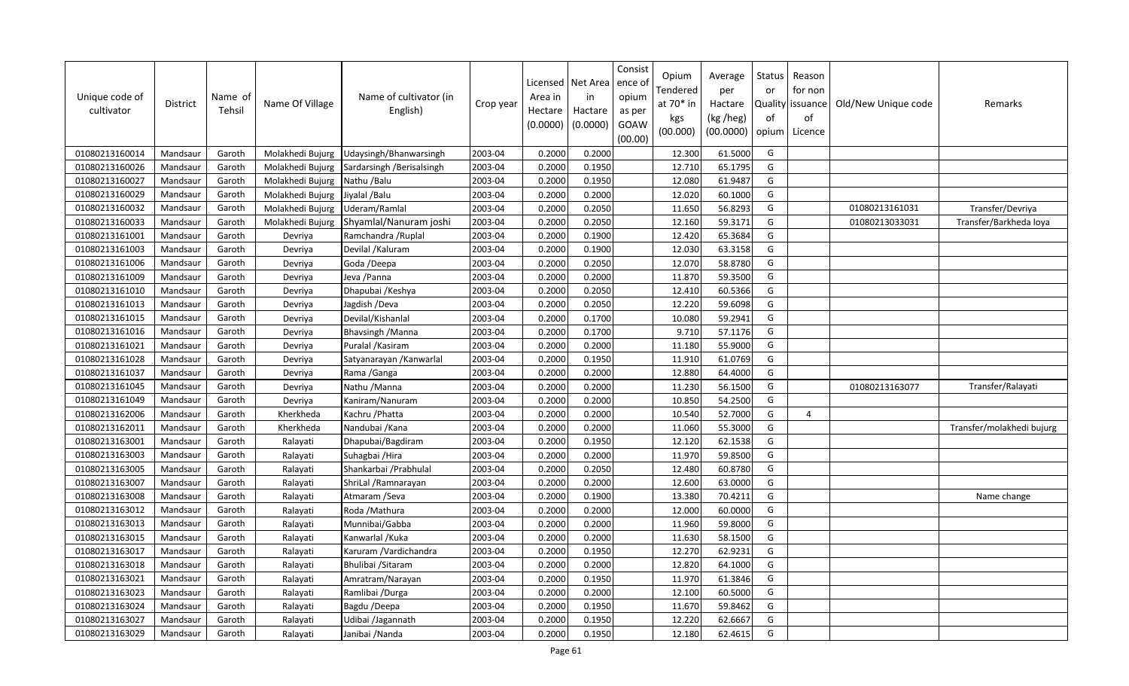| Unique code of<br>cultivator | <b>District</b> | Name of<br>Tehsil | Name Of Village  | Name of cultivator (in<br>English) | Crop year | Licensed<br>Area in<br>Hectare<br>(0.0000) | Net Area<br>in<br>Hactare<br>(0.0000) | Consist<br>ence ol<br>opium<br>as per<br>GOAW<br>(00.00) | Opium<br>Tendered<br>at $70*$ in<br>kgs<br>(00.000) | Average<br>per<br>Hactare<br>(kg /heg)<br>(00.0000) | Status<br>or<br>of<br>opium | Reason<br>for non<br>Quality   issuance<br>of<br>Licence | Old/New Unique code | Remarks                   |
|------------------------------|-----------------|-------------------|------------------|------------------------------------|-----------|--------------------------------------------|---------------------------------------|----------------------------------------------------------|-----------------------------------------------------|-----------------------------------------------------|-----------------------------|----------------------------------------------------------|---------------------|---------------------------|
| 01080213160014               | Mandsaur        | Garoth            | Molakhedi Bujurg | Udaysingh/Bhanwarsingh             | 2003-04   | 0.2000                                     | 0.2000                                |                                                          | 12.300                                              | 61.5000                                             | G                           |                                                          |                     |                           |
| 01080213160026               | Mandsaur        | Garoth            | Molakhedi Bujurg | Sardarsingh / Berisalsingh         | 2003-04   | 0.2000                                     | 0.1950                                |                                                          | 12.710                                              | 65.1795                                             | G                           |                                                          |                     |                           |
| 01080213160027               | Mandsaur        | Garoth            | Molakhedi Bujurg | Nathu /Balu                        | 2003-04   | 0.2000                                     | 0.1950                                |                                                          | 12.080                                              | 61.9487                                             | G                           |                                                          |                     |                           |
| 01080213160029               | Mandsaur        | Garoth            | Molakhedi Bujurg | Jiyalal / Balu                     | 2003-04   | 0.2000                                     | 0.2000                                |                                                          | 12.020                                              | 60.1000                                             | G                           |                                                          |                     |                           |
| 01080213160032               | Mandsaur        | Garoth            | Molakhedi Bujurg | Uderam/Ramlal                      | 2003-04   | 0.2000                                     | 0.2050                                |                                                          | 11.650                                              | 56.8293                                             | G                           |                                                          | 01080213161031      | Transfer/Devriya          |
| 01080213160033               | Mandsaur        | Garoth            | Molakhedi Bujurg | Shyamlal/Nanuram joshi             | 2003-04   | 0.2000                                     | 0.2050                                |                                                          | 12.160                                              | 59.3171                                             | G                           |                                                          | 01080213033031      | Transfer/Barkheda loya    |
| 01080213161001               | Mandsaur        | Garoth            | Devriya          | Ramchandra / Ruplal                | 2003-04   | 0.2000                                     | 0.1900                                |                                                          | 12.420                                              | 65.3684                                             | G                           |                                                          |                     |                           |
| 01080213161003               | Mandsaur        | Garoth            | Devriya          | Devilal /Kaluram                   | 2003-04   | 0.2000                                     | 0.1900                                |                                                          | 12.030                                              | 63.3158                                             | G                           |                                                          |                     |                           |
| 01080213161006               | Mandsaur        | Garoth            | Devriya          | Goda /Deepa                        | 2003-04   | 0.2000                                     | 0.2050                                |                                                          | 12.070                                              | 58.8780                                             | G                           |                                                          |                     |                           |
| 01080213161009               | Mandsaur        | Garoth            | Devriya          | Jeva / Panna                       | 2003-04   | 0.2000                                     | 0.2000                                |                                                          | 11.870                                              | 59.3500                                             | G                           |                                                          |                     |                           |
| 01080213161010               | Mandsaur        | Garoth            | Devriya          | Dhapubai / Keshya                  | 2003-04   | 0.2000                                     | 0.2050                                |                                                          | 12.410                                              | 60.5366                                             | G                           |                                                          |                     |                           |
| 01080213161013               | Mandsaur        | Garoth            | Devriya          | Jagdish /Deva                      | 2003-04   | 0.2000                                     | 0.2050                                |                                                          | 12.220                                              | 59.6098                                             | G                           |                                                          |                     |                           |
| 01080213161015               | Mandsaur        | Garoth            | Devriya          | Devilal/Kishanlal                  | 2003-04   | 0.2000                                     | 0.1700                                |                                                          | 10.080                                              | 59.2941                                             | G                           |                                                          |                     |                           |
| 01080213161016               | Mandsaur        | Garoth            | Devriya          | Bhavsingh / Manna                  | 2003-04   | 0.2000                                     | 0.1700                                |                                                          | 9.710                                               | 57.1176                                             | G                           |                                                          |                     |                           |
| 01080213161021               | Mandsaur        | Garoth            | Devriya          | Puralal / Kasiram                  | 2003-04   | 0.2000                                     | 0.2000                                |                                                          | 11.180                                              | 55.9000                                             | G                           |                                                          |                     |                           |
| 01080213161028               | Mandsaur        | Garoth            | Devriya          | Satyanarayan / Kanwarlal           | 2003-04   | 0.2000                                     | 0.1950                                |                                                          | 11.910                                              | 61.0769                                             | G                           |                                                          |                     |                           |
| 01080213161037               | Mandsaur        | Garoth            | Devriya          | Rama / Ganga                       | 2003-04   | 0.2000                                     | 0.2000                                |                                                          | 12.880                                              | 64.4000                                             | G                           |                                                          |                     |                           |
| 01080213161045               | Mandsaur        | Garoth            | Devriya          | Nathu / Manna                      | 2003-04   | 0.2000                                     | 0.2000                                |                                                          | 11.230                                              | 56.1500                                             | G                           |                                                          | 01080213163077      | Transfer/Ralayati         |
| 01080213161049               | Mandsaur        | Garoth            | Devriya          | Kaniram/Nanuram                    | 2003-04   | 0.2000                                     | 0.2000                                |                                                          | 10.850                                              | 54.2500                                             | G                           |                                                          |                     |                           |
| 01080213162006               | Mandsaur        | Garoth            | Kherkheda        | Kachru / Phatta                    | 2003-04   | 0.2000                                     | 0.2000                                |                                                          | 10.540                                              | 52.7000                                             | G                           | $\overline{4}$                                           |                     |                           |
| 01080213162011               | Mandsaur        | Garoth            | Kherkheda        | Nandubai / Kana                    | 2003-04   | 0.2000                                     | 0.2000                                |                                                          | 11.060                                              | 55.3000                                             | G                           |                                                          |                     | Transfer/molakhedi bujurg |
| 01080213163001               | Mandsaur        | Garoth            | Ralayati         | Dhapubai/Bagdiram                  | 2003-04   | 0.2000                                     | 0.1950                                |                                                          | 12.120                                              | 62.1538                                             | G                           |                                                          |                     |                           |
| 01080213163003               | Mandsaur        | Garoth            | Ralayati         | Suhagbai / Hira                    | 2003-04   | 0.2000                                     | 0.2000                                |                                                          | 11.970                                              | 59.8500                                             | G                           |                                                          |                     |                           |
| 01080213163005               | Mandsaur        | Garoth            | Ralayati         | Shankarbai / Prabhulal             | 2003-04   | 0.2000                                     | 0.2050                                |                                                          | 12.480                                              | 60.8780                                             | G                           |                                                          |                     |                           |
| 01080213163007               | Mandsaur        | Garoth            | Ralayati         | ShriLal / Ramnarayan               | 2003-04   | 0.2000                                     | 0.2000                                |                                                          | 12.600                                              | 63.0000                                             | G                           |                                                          |                     |                           |
| 01080213163008               | Mandsaur        | Garoth            | Ralayati         | Atmaram / Seva                     | 2003-04   | 0.2000                                     | 0.1900                                |                                                          | 13.380                                              | 70.421                                              | G                           |                                                          |                     | Name change               |
| 01080213163012               | Mandsaur        | Garoth            | Ralayati         | Roda / Mathura                     | 2003-04   | 0.2000                                     | 0.2000                                |                                                          | 12.000                                              | 60.0000                                             | G                           |                                                          |                     |                           |
| 01080213163013               | Mandsaur        | Garoth            | Ralayati         | Munnibai/Gabba                     | 2003-04   | 0.2000                                     | 0.2000                                |                                                          | 11.960                                              | 59.8000                                             | G                           |                                                          |                     |                           |
| 01080213163015               | Mandsaur        | Garoth            | Ralayati         | Kanwarlal / Kuka                   | 2003-04   | 0.2000                                     | 0.2000                                |                                                          | 11.630                                              | 58.1500                                             | G                           |                                                          |                     |                           |
| 01080213163017               | Mandsaur        | Garoth            | Ralayati         | Karuram / Vardichandra             | 2003-04   | 0.2000                                     | 0.1950                                |                                                          | 12.270                                              | 62.9231                                             | G                           |                                                          |                     |                           |
| 01080213163018               | Mandsaur        | Garoth            | Ralayati         | Bhulibai / Sitaram                 | 2003-04   | 0.2000                                     | 0.2000                                |                                                          | 12.820                                              | 64.1000                                             | G                           |                                                          |                     |                           |
| 01080213163021               | Mandsaur        | Garoth            | Ralayati         | Amratram/Narayan                   | 2003-04   | 0.2000                                     | 0.1950                                |                                                          | 11.970                                              | 61.3846                                             | G                           |                                                          |                     |                           |
| 01080213163023               | Mandsaur        | Garoth            | Ralayati         | Ramlibai /Durga                    | 2003-04   | 0.2000                                     | 0.2000                                |                                                          | 12.100                                              | 60.5000                                             | G                           |                                                          |                     |                           |
| 01080213163024               | Mandsaur        | Garoth            | Ralayati         | Bagdu /Deepa                       | 2003-04   | 0.2000                                     | 0.1950                                |                                                          | 11.670                                              | 59.8462                                             | G                           |                                                          |                     |                           |
| 01080213163027               | Mandsaur        | Garoth            | Ralayati         | Udibai /Jagannath                  | 2003-04   | 0.2000                                     | 0.1950                                |                                                          | 12.220                                              | 62.6667                                             | G                           |                                                          |                     |                           |
| 01080213163029               | Mandsaur        | Garoth            | Ralayati         | Janibai /Nanda                     | 2003-04   | 0.2000                                     | 0.1950                                |                                                          | 12.180                                              | 62.4615                                             | G                           |                                                          |                     |                           |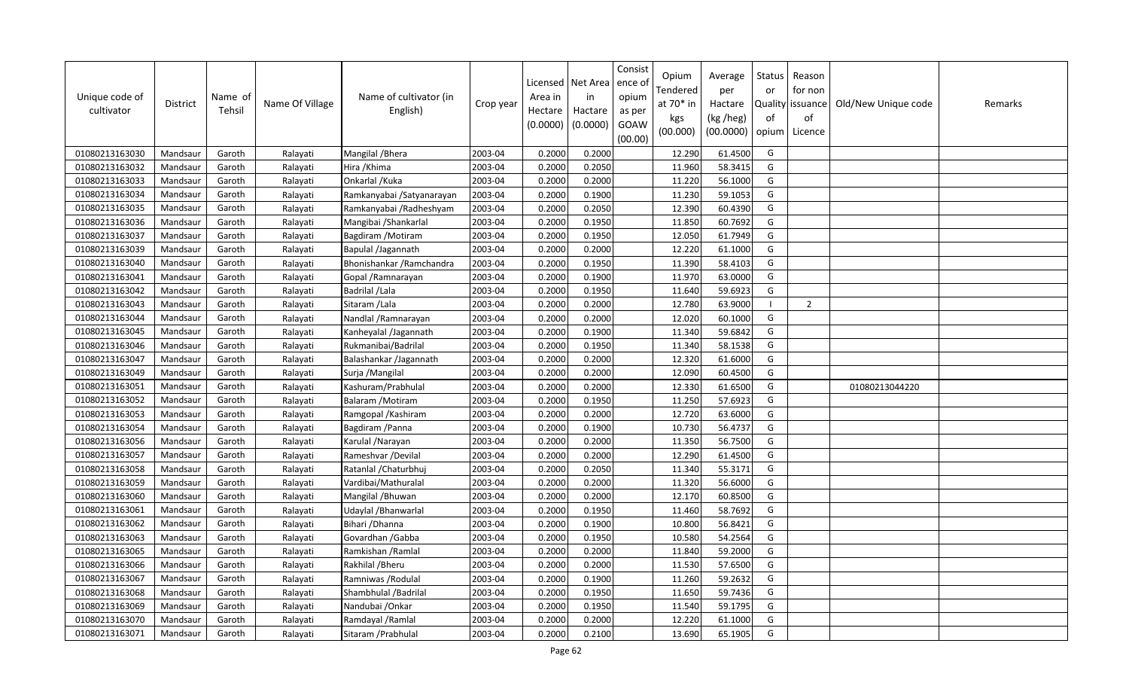| Unique code of<br>cultivator | <b>District</b> | Name of<br>Tehsil | Name Of Village | Name of cultivator (in<br>English) | Crop year | Area in<br>Hectare<br>(0.0000) | Licensed   Net Area<br>in<br>Hactare<br>(0.0000) | Consist<br>ence o<br>opium<br>as per<br>GOAW<br>(00.00) | Opium<br>Tendered<br>at 70* in<br>kgs<br>(00.000) | Average<br>per<br>Hactare<br>(kg /heg)<br>(00.0000) | Status<br>or<br>of<br>opium | Reason<br>for non<br>Quality issuance<br>of<br>Licence | Old/New Unique code | Remarks |
|------------------------------|-----------------|-------------------|-----------------|------------------------------------|-----------|--------------------------------|--------------------------------------------------|---------------------------------------------------------|---------------------------------------------------|-----------------------------------------------------|-----------------------------|--------------------------------------------------------|---------------------|---------|
| 01080213163030               | Mandsaur        | Garoth            | Ralayati        | Mangilal / Bhera                   | 2003-04   | 0.2000                         | 0.2000                                           |                                                         | 12.290                                            | 61.4500                                             | G                           |                                                        |                     |         |
| 01080213163032               | Mandsaur        | Garoth            | Ralayati        | Hira /Khima                        | 2003-04   | 0.2000                         | 0.2050                                           |                                                         | 11.960                                            | 58.3415                                             | G                           |                                                        |                     |         |
| 01080213163033               | Mandsaur        | Garoth            | Ralayati        | Onkarlal / Kuka                    | 2003-04   | 0.2000                         | 0.2000                                           |                                                         | 11.220                                            | 56.1000                                             | G                           |                                                        |                     |         |
| 01080213163034               | Mandsaur        | Garoth            | Ralayati        | Ramkanyabai / Satyanarayan         | 2003-04   | 0.2000                         | 0.1900                                           |                                                         | 11.230                                            | 59.1053                                             | G                           |                                                        |                     |         |
| 01080213163035               | Mandsaur        | Garoth            | Ralayati        | Ramkanyabai / Radheshyam           | 2003-04   | 0.2000                         | 0.2050                                           |                                                         | 12.390                                            | 60.4390                                             | G                           |                                                        |                     |         |
| 01080213163036               | Mandsaur        | Garoth            | Ralayati        | Mangibai / Shankarlal              | 2003-04   | 0.2000                         | 0.1950                                           |                                                         | 11.850                                            | 60.7692                                             | G                           |                                                        |                     |         |
| 01080213163037               | Mandsaur        | Garoth            | Ralayati        | Bagdiram / Motiram                 | 2003-04   | 0.2000                         | 0.1950                                           |                                                         | 12.050                                            | 61.7949                                             | G                           |                                                        |                     |         |
| 01080213163039               | Mandsaur        | Garoth            | Ralayati        | Bapulal /Jagannath                 | 2003-04   | 0.2000                         | 0.2000                                           |                                                         | 12.220                                            | 61.1000                                             | G                           |                                                        |                     |         |
| 01080213163040               | Mandsaur        | Garoth            | Ralayati        | Bhonishankar / Ramchandra          | 2003-04   | 0.2000                         | 0.1950                                           |                                                         | 11.390                                            | 58.4103                                             | G                           |                                                        |                     |         |
| 01080213163041               | Mandsaur        | Garoth            | Ralayati        | Gopal / Ramnarayan                 | 2003-04   | 0.2000                         | 0.1900                                           |                                                         | 11.970                                            | 63.0000                                             | G                           |                                                        |                     |         |
| 01080213163042               | Mandsaur        | Garoth            | Ralayati        | Badrilal /Lala                     | 2003-04   | 0.2000                         | 0.1950                                           |                                                         | 11.640                                            | 59.6923                                             | G                           |                                                        |                     |         |
| 01080213163043               | Mandsaur        | Garoth            | Ralayati        | Sitaram / Lala                     | 2003-04   | 0.2000                         | 0.2000                                           |                                                         | 12.780                                            | 63.9000                                             | - 1                         | $\overline{2}$                                         |                     |         |
| 01080213163044               | Mandsaur        | Garoth            | Ralayati        | Nandlal / Ramnarayan               | 2003-04   | 0.2000                         | 0.2000                                           |                                                         | 12.020                                            | 60.1000                                             | G                           |                                                        |                     |         |
| 01080213163045               | Mandsaur        | Garoth            | Ralayati        | Kanheyalal /Jagannath              | 2003-04   | 0.2000                         | 0.1900                                           |                                                         | 11.340                                            | 59.6842                                             | G                           |                                                        |                     |         |
| 01080213163046               | Mandsaur        | Garoth            | Ralayati        | Rukmanibai/Badrilal                | 2003-04   | 0.2000                         | 0.1950                                           |                                                         | 11.340                                            | 58.1538                                             | G                           |                                                        |                     |         |
| 01080213163047               | Mandsaur        | Garoth            | Ralayati        | Balashankar /Jagannath             | 2003-04   | 0.2000                         | 0.2000                                           |                                                         | 12.320                                            | 61.6000                                             | G                           |                                                        |                     |         |
| 01080213163049               | Mandsaur        | Garoth            | Ralayati        | Surja / Mangilal                   | 2003-04   | 0.2000                         | 0.2000                                           |                                                         | 12.090                                            | 60.4500                                             | G                           |                                                        |                     |         |
| 01080213163051               | Mandsaur        | Garoth            | Ralayati        | Kashuram/Prabhulal                 | 2003-04   | 0.2000                         | 0.2000                                           |                                                         | 12.330                                            | 61.6500                                             | G                           |                                                        | 01080213044220      |         |
| 01080213163052               | Mandsaur        | Garoth            | Ralayati        | Balaram / Motiram                  | 2003-04   | 0.2000                         | 0.1950                                           |                                                         | 11.250                                            | 57.6923                                             | G                           |                                                        |                     |         |
| 01080213163053               | Mandsaur        | Garoth            | Ralayati        | Ramgopal / Kashiram                | 2003-04   | 0.2000                         | 0.2000                                           |                                                         | 12.720                                            | 63.6000                                             | G                           |                                                        |                     |         |
| 01080213163054               | Mandsaur        | Garoth            | Ralayati        | Bagdiram / Panna                   | 2003-04   | 0.2000                         | 0.1900                                           |                                                         | 10.730                                            | 56.4737                                             | G                           |                                                        |                     |         |
| 01080213163056               | Mandsaur        | Garoth            | Ralayati        | Karulal / Narayan                  | 2003-04   | 0.2000                         | 0.2000                                           |                                                         | 11.350                                            | 56.7500                                             | G                           |                                                        |                     |         |
| 01080213163057               | Mandsaur        | Garoth            | Ralayati        | Rameshvar / Devilal                | 2003-04   | 0.2000                         | 0.2000                                           |                                                         | 12.290                                            | 61.4500                                             | G                           |                                                        |                     |         |
| 01080213163058               | Mandsaur        | Garoth            | Ralayati        | Ratanlal / Chaturbhuj              | 2003-04   | 0.2000                         | 0.2050                                           |                                                         | 11.340                                            | 55.3171                                             | G                           |                                                        |                     |         |
| 01080213163059               | Mandsaur        | Garoth            | Ralayati        | Vardibai/Mathuralal                | 2003-04   | 0.2000                         | 0.2000                                           |                                                         | 11.320                                            | 56.6000                                             | G                           |                                                        |                     |         |
| 01080213163060               | Mandsaur        | Garoth            | Ralayati        | Mangilal / Bhuwan                  | 2003-04   | 0.2000                         | 0.2000                                           |                                                         | 12.170                                            | 60.8500                                             | G                           |                                                        |                     |         |
| 01080213163061               | Mandsaur        | Garoth            | Ralayati        | Udaylal / Bhanwarlal               | 2003-04   | 0.2000                         | 0.1950                                           |                                                         | 11.460                                            | 58.7692                                             | G                           |                                                        |                     |         |
| 01080213163062               | Mandsaur        | Garoth            | Ralayati        | Bihari / Dhanna                    | 2003-04   | 0.2000                         | 0.1900                                           |                                                         | 10.800                                            | 56.8421                                             | G                           |                                                        |                     |         |
| 01080213163063               | Mandsaur        | Garoth            | Ralayati        | Govardhan / Gabba                  | 2003-04   | 0.2000                         | 0.1950                                           |                                                         | 10.580                                            | 54.2564                                             | G                           |                                                        |                     |         |
| 01080213163065               | Mandsaur        | Garoth            | Ralayati        | Ramkishan / Ramlal                 | 2003-04   | 0.2000                         | 0.2000                                           |                                                         | 11.840                                            | 59.2000                                             | G                           |                                                        |                     |         |
| 01080213163066               | Mandsaur        | Garoth            | Ralayati        | Rakhilal / Bheru                   | 2003-04   | 0.2000                         | 0.2000                                           |                                                         | 11.530                                            | 57.6500                                             | G                           |                                                        |                     |         |
| 01080213163067               | Mandsaur        | Garoth            | Ralayati        | Ramniwas / Rodulal                 | 2003-04   | 0.2000                         | 0.1900                                           |                                                         | 11.260                                            | 59.2632                                             | G                           |                                                        |                     |         |
| 01080213163068               | Mandsaur        | Garoth            | Ralayati        | Shambhulal /Badrilal               | 2003-04   | 0.2000                         | 0.1950                                           |                                                         | 11.650                                            | 59.7436                                             | G                           |                                                        |                     |         |
| 01080213163069               | Mandsaur        | Garoth            | Ralayati        | Nandubai / Onkar                   | 2003-04   | 0.2000                         | 0.1950                                           |                                                         | 11.540                                            | 59.1795                                             | G                           |                                                        |                     |         |
| 01080213163070               | Mandsaur        | Garoth            | Ralayati        | Ramdayal /Ramlal                   | 2003-04   | 0.2000                         | 0.2000                                           |                                                         | 12.220                                            | 61.1000                                             | G                           |                                                        |                     |         |
| 01080213163071               | Mandsaur        | Garoth            | Ralayati        | Sitaram / Prabhulal                | 2003-04   | 0.2000                         | 0.2100                                           |                                                         | 13.690                                            | 65.1905                                             | G                           |                                                        |                     |         |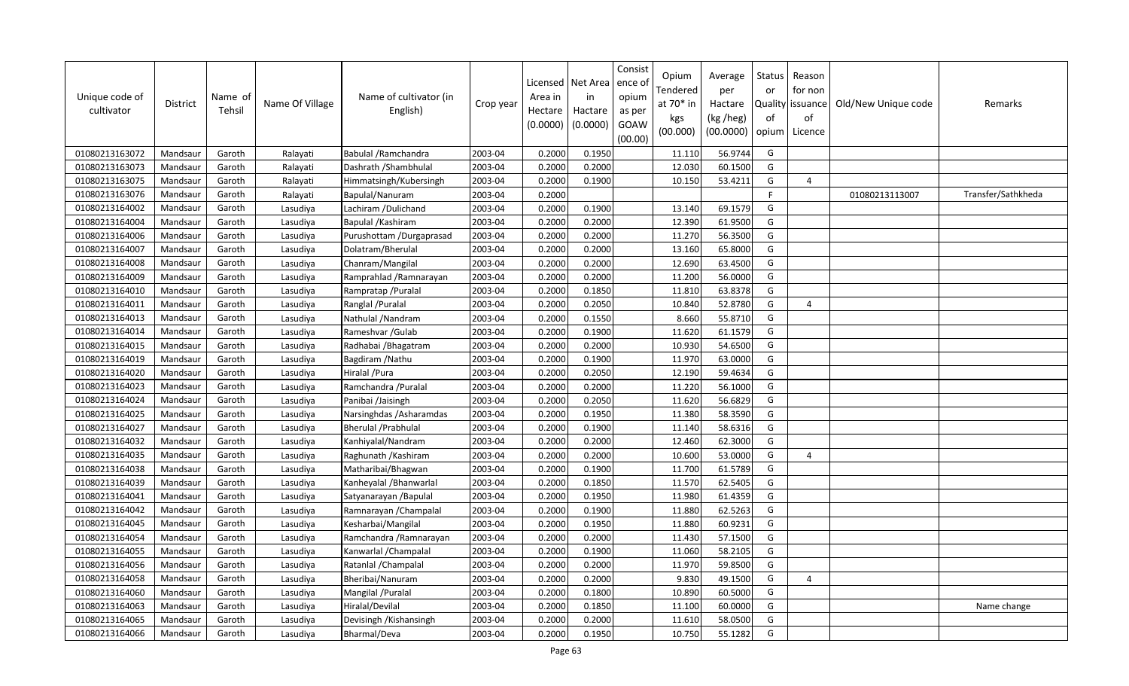| Unique code of<br>cultivator | <b>District</b> | Name of<br>Tehsil | Name Of Village | Name of cultivator (in<br>English) | Crop year | Licensed<br>Area in<br>Hectare<br>(0.0000) | Net Area<br>in<br>Hactare<br>(0.0000) | Consist<br>ence of<br>opium<br>as per<br>GOAW<br>(00.00) | Opium<br>Tendered<br>at $70*$ in<br>kgs<br>(00.000) | Average<br>per<br>Hactare<br>(kg /heg)<br>(00.0000) | <b>Status</b><br>or<br>of<br>opium | Reason<br>for non<br>Quality   issuance<br>of<br>Licence | Old/New Unique code | Remarks            |
|------------------------------|-----------------|-------------------|-----------------|------------------------------------|-----------|--------------------------------------------|---------------------------------------|----------------------------------------------------------|-----------------------------------------------------|-----------------------------------------------------|------------------------------------|----------------------------------------------------------|---------------------|--------------------|
| 01080213163072               | Mandsaur        | Garoth            | Ralayati        | Babulal / Ramchandra               | 2003-04   | 0.2000                                     | 0.1950                                |                                                          | 11.110                                              | 56.9744                                             | G                                  |                                                          |                     |                    |
| 01080213163073               | Mandsaur        | Garoth            | Ralayati        | Dashrath / Shambhulal              | 2003-04   | 0.2000                                     | 0.2000                                |                                                          | 12.030                                              | 60.1500                                             | G                                  |                                                          |                     |                    |
| 01080213163075               | Mandsaur        | Garoth            | Ralayati        | Himmatsingh/Kubersingh             | 2003-04   | 0.2000                                     | 0.1900                                |                                                          | 10.150                                              | 53.4211                                             | G                                  | $\overline{4}$                                           |                     |                    |
| 01080213163076               | Mandsaur        | Garoth            | Ralayati        | Bapulal/Nanuram                    | 2003-04   | 0.2000                                     |                                       |                                                          |                                                     |                                                     | E                                  |                                                          | 01080213113007      | Transfer/Sathkheda |
| 01080213164002               | Mandsaur        | Garoth            | Lasudiya        | Lachiram / Dulichand               | 2003-04   | 0.2000                                     | 0.1900                                |                                                          | 13.140                                              | 69.1579                                             | G                                  |                                                          |                     |                    |
| 01080213164004               | Mandsaur        | Garoth            | Lasudiya        | Bapulal / Kashiram                 | 2003-04   | 0.2000                                     | 0.2000                                |                                                          | 12.390                                              | 61.9500                                             | G                                  |                                                          |                     |                    |
| 01080213164006               | Mandsaur        | Garoth            | Lasudiya        | Purushottam /Durgaprasad           | 2003-04   | 0.2000                                     | 0.2000                                |                                                          | 11.270                                              | 56.3500                                             | G                                  |                                                          |                     |                    |
| 01080213164007               | Mandsaur        | Garoth            | Lasudiya        | Dolatram/Bherulal                  | 2003-04   | 0.2000                                     | 0.2000                                |                                                          | 13.160                                              | 65.8000                                             | G                                  |                                                          |                     |                    |
| 01080213164008               | Mandsaur        | Garoth            | Lasudiya        | Chanram/Mangilal                   | 2003-04   | 0.2000                                     | 0.2000                                |                                                          | 12.690                                              | 63.4500                                             | G                                  |                                                          |                     |                    |
| 01080213164009               | Mandsaur        | Garoth            | Lasudiya        | Ramprahlad / Ramnarayan            | 2003-04   | 0.2000                                     | 0.2000                                |                                                          | 11.200                                              | 56.0000                                             | G                                  |                                                          |                     |                    |
| 01080213164010               | Mandsaur        | Garoth            | Lasudiya        | Rampratap / Puralal                | 2003-04   | 0.2000                                     | 0.1850                                |                                                          | 11.810                                              | 63.8378                                             | G                                  |                                                          |                     |                    |
| 01080213164011               | Mandsaur        | Garoth            | Lasudiya        | Ranglal / Puralal                  | 2003-04   | 0.2000                                     | 0.2050                                |                                                          | 10.840                                              | 52.8780                                             | G                                  | 4                                                        |                     |                    |
| 01080213164013               | Mandsaur        | Garoth            | Lasudiya        | Nathulal /Nandram                  | 2003-04   | 0.2000                                     | 0.1550                                |                                                          | 8.660                                               | 55.8710                                             | G                                  |                                                          |                     |                    |
| 01080213164014               | Mandsaur        | Garoth            | Lasudiya        | Rameshvar / Gulab                  | 2003-04   | 0.2000                                     | 0.1900                                |                                                          | 11.620                                              | 61.1579                                             | G                                  |                                                          |                     |                    |
| 01080213164015               | Mandsaur        | Garoth            | Lasudiya        | Radhabai / Bhagatram               | 2003-04   | 0.2000                                     | 0.2000                                |                                                          | 10.930                                              | 54.6500                                             | G                                  |                                                          |                     |                    |
| 01080213164019               | Mandsaur        | Garoth            | Lasudiya        | Bagdiram / Nathu                   | 2003-04   | 0.2000                                     | 0.1900                                |                                                          | 11.970                                              | 63.0000                                             | G                                  |                                                          |                     |                    |
| 01080213164020               | Mandsaur        | Garoth            | Lasudiya        | Hiralal / Pura                     | 2003-04   | 0.2000                                     | 0.2050                                |                                                          | 12.190                                              | 59.4634                                             | G                                  |                                                          |                     |                    |
| 01080213164023               | Mandsaur        | Garoth            | Lasudiya        | Ramchandra / Puralal               | 2003-04   | 0.2000                                     | 0.2000                                |                                                          | 11.220                                              | 56.1000                                             | G                                  |                                                          |                     |                    |
| 01080213164024               | Mandsaur        | Garoth            | Lasudiya        | Panibai /Jaisingh                  | 2003-04   | 0.2000                                     | 0.2050                                |                                                          | 11.620                                              | 56.6829                                             | G                                  |                                                          |                     |                    |
| 01080213164025               | Mandsaur        | Garoth            | Lasudiya        | Narsinghdas / Asharamdas           | 2003-04   | 0.2000                                     | 0.1950                                |                                                          | 11.380                                              | 58.3590                                             | G                                  |                                                          |                     |                    |
| 01080213164027               | Mandsaur        | Garoth            | Lasudiya        | <b>Bherulal / Prabhulal</b>        | 2003-04   | 0.2000                                     | 0.1900                                |                                                          | 11.140                                              | 58.6316                                             | G                                  |                                                          |                     |                    |
| 01080213164032               | Mandsaur        | Garoth            | Lasudiya        | Kanhiyalal/Nandram                 | 2003-04   | 0.2000                                     | 0.2000                                |                                                          | 12.460                                              | 62.3000                                             | G                                  |                                                          |                     |                    |
| 01080213164035               | Mandsaur        | Garoth            | Lasudiya        | Raghunath / Kashiram               | 2003-04   | 0.2000                                     | 0.2000                                |                                                          | 10.600                                              | 53.0000                                             | G                                  | 4                                                        |                     |                    |
| 01080213164038               | Mandsaur        | Garoth            | Lasudiya        | Matharibai/Bhagwan                 | 2003-04   | 0.2000                                     | 0.1900                                |                                                          | 11.700                                              | 61.5789                                             | G                                  |                                                          |                     |                    |
| 01080213164039               | Mandsaur        | Garoth            | Lasudiya        | Kanheyalal / Bhanwarlal            | 2003-04   | 0.2000                                     | 0.1850                                |                                                          | 11.570                                              | 62.5405                                             | G                                  |                                                          |                     |                    |
| 01080213164041               | Mandsaur        | Garoth            | Lasudiya        | Satyanarayan /Bapulal              | 2003-04   | 0.2000                                     | 0.1950                                |                                                          | 11.980                                              | 61.4359                                             | G                                  |                                                          |                     |                    |
| 01080213164042               | Mandsaur        | Garoth            | Lasudiya        | Ramnarayan / Champalal             | 2003-04   | 0.2000                                     | 0.1900                                |                                                          | 11.880                                              | 62.5263                                             | G                                  |                                                          |                     |                    |
| 01080213164045               | Mandsaur        | Garoth            | Lasudiya        | Kesharbai/Mangilal                 | 2003-04   | 0.2000                                     | 0.1950                                |                                                          | 11.880                                              | 60.9231                                             | G                                  |                                                          |                     |                    |
| 01080213164054               | Mandsaur        | Garoth            | Lasudiya        | Ramchandra / Ramnarayan            | 2003-04   | 0.2000                                     | 0.2000                                |                                                          | 11.430                                              | 57.1500                                             | G                                  |                                                          |                     |                    |
| 01080213164055               | Mandsaur        | Garoth            | Lasudiya        | Kanwarlal / Champalal              | 2003-04   | 0.2000                                     | 0.1900                                |                                                          | 11.060                                              | 58.2105                                             | G                                  |                                                          |                     |                    |
| 01080213164056               | Mandsaur        | Garoth            | Lasudiya        | Ratanlal / Champalal               | 2003-04   | 0.2000                                     | 0.2000                                |                                                          | 11.970                                              | 59.8500                                             | G                                  |                                                          |                     |                    |
| 01080213164058               | Mandsaur        | Garoth            | Lasudiya        | Bheribai/Nanuram                   | 2003-04   | 0.2000                                     | 0.2000                                |                                                          | 9.830                                               | 49.1500                                             | G                                  | $\Delta$                                                 |                     |                    |
| 01080213164060               | Mandsaur        | Garoth            | Lasudiya        | Mangilal / Puralal                 | 2003-04   | 0.2000                                     | 0.1800                                |                                                          | 10.890                                              | 60.5000                                             | G                                  |                                                          |                     |                    |
| 01080213164063               | Mandsaur        | Garoth            | Lasudiya        | Hiralal/Devilal                    | 2003-04   | 0.2000                                     | 0.1850                                |                                                          | 11.100                                              | 60.0000                                             | G                                  |                                                          |                     | Name change        |
| 01080213164065               | Mandsaur        | Garoth            | Lasudiya        | Devisingh / Kishansingh            | 2003-04   | 0.2000                                     | 0.2000                                |                                                          | 11.610                                              | 58.0500                                             | G                                  |                                                          |                     |                    |
| 01080213164066               | Mandsaur        | Garoth            | Lasudiya        | Bharmal/Deva                       | 2003-04   | 0.2000                                     | 0.1950                                |                                                          | 10.750                                              | 55.1282                                             | G                                  |                                                          |                     |                    |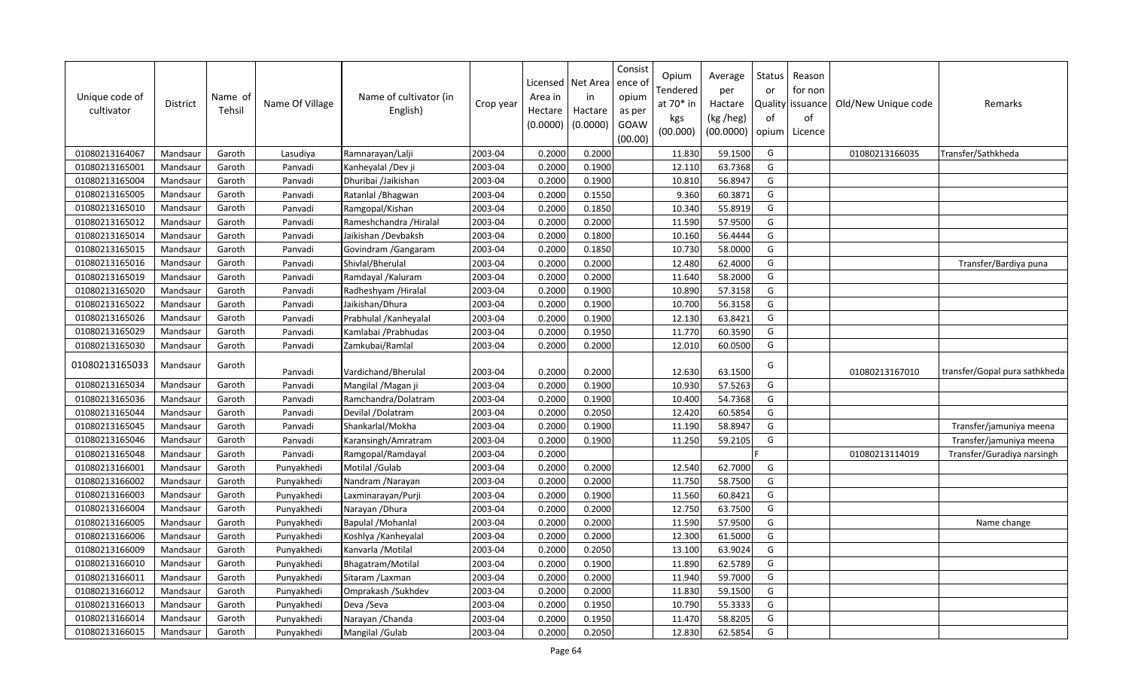| Unique code of<br>cultivator | District | Name of<br>Tehsil | Name Of Village | Name of cultivator (in<br>English) | Crop year | Licensed<br>Area in<br>Hectare<br>(0.0000) | Net Area<br>in<br>Hactare<br>(0.0000) | Consist<br>ence of<br>opium<br>as per<br>GOAW<br>(00.00) | Opium<br>Tendered<br>at 70* in<br>kgs<br>(00.000) | Average<br>per<br>Hactare<br>(kg /heg)<br>(00.0000) | Status<br>or<br><b>Quality</b><br>of<br>opium | Reason<br>for non<br>issuance<br>of<br>Licence | Old/New Unique code | Remarks                       |
|------------------------------|----------|-------------------|-----------------|------------------------------------|-----------|--------------------------------------------|---------------------------------------|----------------------------------------------------------|---------------------------------------------------|-----------------------------------------------------|-----------------------------------------------|------------------------------------------------|---------------------|-------------------------------|
| 01080213164067               | Mandsaur | Garoth            | Lasudiya        | Ramnarayan/Lalji                   | 2003-04   | 0.2000                                     | 0.2000                                |                                                          | 11.830                                            | 59.1500                                             | G                                             |                                                | 01080213166035      | Transfer/Sathkheda            |
| 01080213165001               | Mandsaur | Garoth            | Panvadi         | Kanheyalal /Dev ji                 | 2003-04   | 0.2000                                     | 0.1900                                |                                                          | 12.110                                            | 63.7368                                             | G                                             |                                                |                     |                               |
| 01080213165004               | Mandsaur | Garoth            | Panvadi         | Dhuribai /Jaikishan                | 2003-04   | 0.2000                                     | 0.1900                                |                                                          | 10.810                                            | 56.8947                                             | G                                             |                                                |                     |                               |
| 01080213165005               | Mandsaur | Garoth            | Panvadi         | Ratanlal / Bhagwan                 | 2003-04   | 0.2000                                     | 0.1550                                |                                                          | 9.360                                             | 60.387                                              | G                                             |                                                |                     |                               |
| 01080213165010               | Mandsaur | Garoth            | Panvadi         | Ramgopal/Kishan                    | 2003-04   | 0.2000                                     | 0.1850                                |                                                          | 10.340                                            | 55.8919                                             | G                                             |                                                |                     |                               |
| 01080213165012               | Mandsaur | Garoth            | Panvadi         | Rameshchandra / Hiralal            | 2003-04   | 0.2000                                     | 0.2000                                |                                                          | 11.590                                            | 57.9500                                             | G                                             |                                                |                     |                               |
| 01080213165014               | Mandsaur | Garoth            | Panvadi         | Jaikishan /Devbaksh                | 2003-04   | 0.2000                                     | 0.1800                                |                                                          | 10.160                                            | 56.4444                                             | G                                             |                                                |                     |                               |
| 01080213165015               | Mandsaur | Garoth            | Panvadi         | Govindram / Gangaram               | 2003-04   | 0.2000                                     | 0.1850                                |                                                          | 10.730                                            | 58.0000                                             | G                                             |                                                |                     |                               |
| 01080213165016               | Mandsaur | Garoth            | Panvadi         | Shivlal/Bherulal                   | 2003-04   | 0.2000                                     | 0.2000                                |                                                          | 12.480                                            | 62.4000                                             | G                                             |                                                |                     | Transfer/Bardiya puna         |
| 01080213165019               | Mandsaur | Garoth            | Panvadi         | Ramdayal / Kaluram                 | 2003-04   | 0.2000                                     | 0.2000                                |                                                          | 11.640                                            | 58.2000                                             | G                                             |                                                |                     |                               |
| 01080213165020               | Mandsaur | Garoth            | Panvadi         | Radheshyam /Hiralal                | 2003-04   | 0.2000                                     | 0.1900                                |                                                          | 10.890                                            | 57.3158                                             | G                                             |                                                |                     |                               |
| 01080213165022               | Mandsaur | Garoth            | Panvadi         | Jaikishan/Dhura                    | 2003-04   | 0.2000                                     | 0.1900                                |                                                          | 10.700                                            | 56.3158                                             | G                                             |                                                |                     |                               |
| 01080213165026               | Mandsaur | Garoth            | Panvadi         | Prabhulal / Kanheyalal             | 2003-04   | 0.2000                                     | 0.1900                                |                                                          | 12.130                                            | 63.8421                                             | G                                             |                                                |                     |                               |
| 01080213165029               | Mandsaur | Garoth            | Panvadi         | Kamlabai / Prabhudas               | 2003-04   | 0.2000                                     | 0.1950                                |                                                          | 11.770                                            | 60.3590                                             | G                                             |                                                |                     |                               |
| 01080213165030               | Mandsaur | Garoth            | Panvadi         | Zamkubai/Ramlal                    | 2003-04   | 0.2000                                     | 0.2000                                |                                                          | 12.010                                            | 60.0500                                             | G                                             |                                                |                     |                               |
| 01080213165033               | Mandsaur | Garoth            | Panvadi         | Vardichand/Bherulal                | 2003-04   | 0.2000                                     | 0.2000                                |                                                          | 12.630                                            | 63.1500                                             | G                                             |                                                | 01080213167010      | transfer/Gopal pura sathkheda |
| 01080213165034               | Mandsaur | Garoth            | Panvadi         | Mangilal / Magan ji                | 2003-04   | 0.2000                                     | 0.1900                                |                                                          | 10.930                                            | 57.5263                                             | G                                             |                                                |                     |                               |
| 01080213165036               | Mandsaur | Garoth            | Panvadi         | Ramchandra/Dolatram                | 2003-04   | 0.2000                                     | 0.1900                                |                                                          | 10.400                                            | 54.7368                                             | G                                             |                                                |                     |                               |
| 01080213165044               | Mandsaur | Garoth            | Panvadi         | Devilal /Dolatram                  | 2003-04   | 0.2000                                     | 0.2050                                |                                                          | 12.420                                            | 60.5854                                             | G                                             |                                                |                     |                               |
| 01080213165045               | Mandsaur | Garoth            | Panvadi         | Shankarlal/Mokha                   | 2003-04   | 0.2000                                     | 0.1900                                |                                                          | 11.190                                            | 58.8947                                             | G                                             |                                                |                     | Transfer/jamuniya meena       |
| 01080213165046               | Mandsaur | Garoth            | Panvadi         | Karansingh/Amratram                | 2003-04   | 0.2000                                     | 0.1900                                |                                                          | 11.250                                            | 59.2105                                             | G                                             |                                                |                     | Transfer/jamuniya meena       |
| 01080213165048               | Mandsaur | Garoth            | Panvadi         | Ramgopal/Ramdayal                  | 2003-04   | 0.2000                                     |                                       |                                                          |                                                   |                                                     |                                               |                                                | 01080213114019      | Transfer/Guradiya narsingh    |
| 01080213166001               | Mandsaur | Garoth            | Punyakhedi      | Motilal / Gulab                    | 2003-04   | 0.2000                                     | 0.2000                                |                                                          | 12.540                                            | 62.7000                                             | G                                             |                                                |                     |                               |
| 01080213166002               | Mandsaur | Garoth            | Punyakhedi      | Nandram / Narayan                  | 2003-04   | 0.2000                                     | 0.2000                                |                                                          | 11.750                                            | 58.7500                                             | G                                             |                                                |                     |                               |
| 01080213166003               | Mandsaur | Garoth            | Punyakhedi      | Laxminarayan/Purji                 | 2003-04   | 0.2000                                     | 0.1900                                |                                                          | 11.560                                            | 60.8421                                             | G                                             |                                                |                     |                               |
| 01080213166004               | Mandsaur | Garoth            | Punyakhedi      | Narayan / Dhura                    | 2003-04   | 0.2000                                     | 0.2000                                |                                                          | 12.750                                            | 63.7500                                             | G                                             |                                                |                     |                               |
| 01080213166005               | Mandsaur | Garoth            | Punyakhedi      | <b>Bapulal /Mohanlal</b>           | 2003-04   | 0.2000                                     | 0.2000                                |                                                          | 11.590                                            | 57.9500                                             | G                                             |                                                |                     | Name change                   |
| 01080213166006               | Mandsaur | Garoth            | Punyakhedi      | Koshlya / Kanheyalal               | 2003-04   | 0.2000                                     | 0.2000                                |                                                          | 12.300                                            | 61.5000                                             | G                                             |                                                |                     |                               |
| 01080213166009               | Mandsaur | Garoth            | Punyakhedi      | Kanvarla / Motilal                 | 2003-04   | 0.2000                                     | 0.2050                                |                                                          | 13.100                                            | 63.9024                                             | G                                             |                                                |                     |                               |
| 01080213166010               | Mandsaur | Garoth            | Punyakhedi      | Bhagatram/Motilal                  | 2003-04   | 0.2000                                     | 0.1900                                |                                                          | 11.890                                            | 62.5789                                             | G                                             |                                                |                     |                               |
| 01080213166011               | Mandsau  | Garoth            | Punyakhedi      | Sitaram / Laxman                   | 2003-04   | 0.2000                                     | 0.2000                                |                                                          | 11.940                                            | 59.7000                                             | G                                             |                                                |                     |                               |
| 01080213166012               | Mandsaur | Garoth            | Punyakhedi      | Omprakash /Sukhdev                 | 2003-04   | 0.2000                                     | 0.2000                                |                                                          | 11.830                                            | 59.1500                                             | G                                             |                                                |                     |                               |
| 01080213166013               | Mandsaur | Garoth            | Punyakhedi      | Deva /Seva                         | 2003-04   | 0.2000                                     | 0.1950                                |                                                          | 10.790                                            | 55.3333                                             | G                                             |                                                |                     |                               |
| 01080213166014               | Mandsaur | Garoth            | Punyakhedi      | Narayan / Chanda                   | 2003-04   | 0.2000                                     | 0.1950                                |                                                          | 11.470                                            | 58.8205                                             | G                                             |                                                |                     |                               |
| 01080213166015               | Mandsaur | Garoth            | Punyakhedi      | Mangilal / Gulab                   | 2003-04   | 0.2000                                     | 0.2050                                |                                                          | 12.830                                            | 62.5854                                             | G                                             |                                                |                     |                               |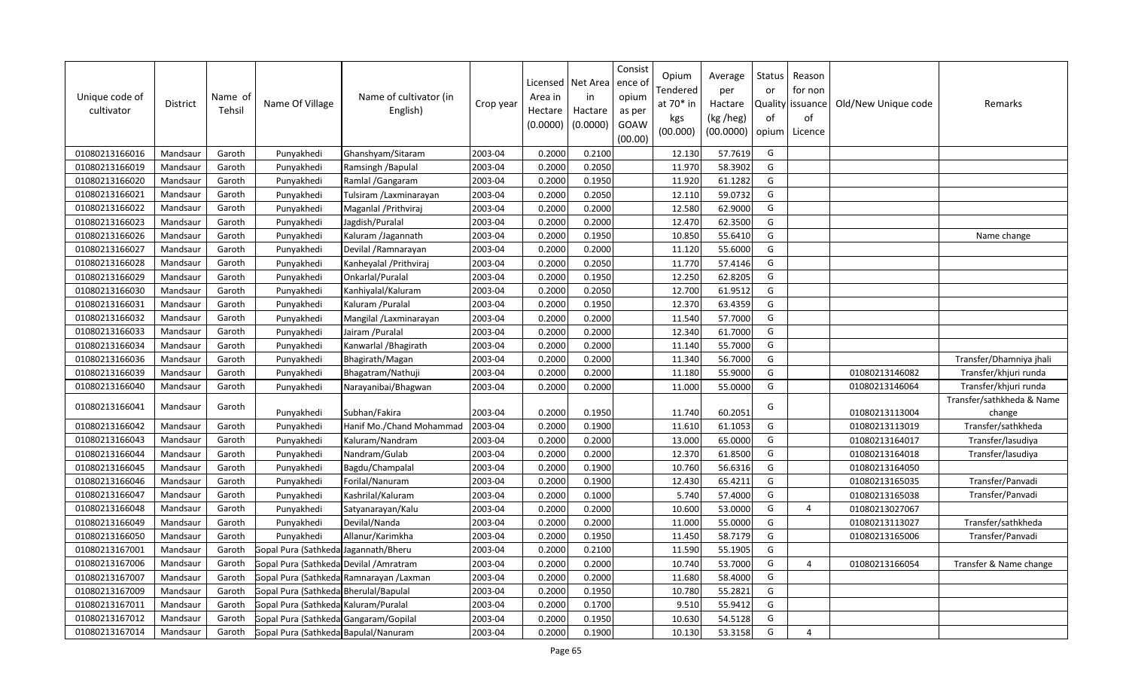| Unique code of<br>cultivator | <b>District</b> | Name of<br>Tehsil | Name Of Village                         | Name of cultivator (in<br>English)      | Crop year | Licensed<br>Area in<br>Hectare<br>(0.0000) | Net Area<br>in<br>Hactare<br>(0.0000) | Consist<br>ence of<br>opium<br>as per<br>GOAW<br>(00.00) | Opium<br>Tendered<br>at 70* in<br>kgs<br>(00.000) | Average<br>per<br>Hactare<br>(kg /heg)<br>(00.0000) | Status<br>or<br>of<br>opium | Reason<br>for non<br>Quality   issuance<br>of<br>Licence | Old/New Unique code | Remarks                   |
|------------------------------|-----------------|-------------------|-----------------------------------------|-----------------------------------------|-----------|--------------------------------------------|---------------------------------------|----------------------------------------------------------|---------------------------------------------------|-----------------------------------------------------|-----------------------------|----------------------------------------------------------|---------------------|---------------------------|
| 01080213166016               | Mandsaur        | Garoth            | Punyakhedi                              | Ghanshyam/Sitaram                       | 2003-04   | 0.2000                                     | 0.2100                                |                                                          | 12.130                                            | 57.7619                                             | G                           |                                                          |                     |                           |
| 01080213166019               | Mandsaur        | Garoth            | Punyakhedi                              | Ramsingh / Bapulal                      | 2003-04   | 0.2000                                     | 0.2050                                |                                                          | 11.970                                            | 58.3902                                             | G                           |                                                          |                     |                           |
| 01080213166020               | Mandsaur        | Garoth            | Punyakhedi                              | Ramlal / Gangaram                       | 2003-04   | 0.2000                                     | 0.1950                                |                                                          | 11.920                                            | 61.1282                                             | G                           |                                                          |                     |                           |
| 01080213166021               | Mandsaur        | Garoth            | Punyakhedi                              | Tulsiram / Laxminarayan                 | 2003-04   | 0.2000                                     | 0.2050                                |                                                          | 12.110                                            | 59.0732                                             | G                           |                                                          |                     |                           |
| 01080213166022               | Mandsaur        | Garoth            | Punyakhedi                              | Maganlal / Prithviraj                   | 2003-04   | 0.2000                                     | 0.2000                                |                                                          | 12.580                                            | 62.9000                                             | G                           |                                                          |                     |                           |
| 01080213166023               | Mandsaur        | Garoth            | Punyakhedi                              | Jagdish/Puralal                         | 2003-04   | 0.2000                                     | 0.2000                                |                                                          | 12.470                                            | 62.3500                                             | G                           |                                                          |                     |                           |
| 01080213166026               | Mandsaur        | Garoth            | Punyakhedi                              | Kaluram /Jagannath                      | 2003-04   | 0.2000                                     | 0.1950                                |                                                          | 10.850                                            | 55.6410                                             | G                           |                                                          |                     | Name change               |
| 01080213166027               | Mandsaur        | Garoth            | Punyakhedi                              | Devilal / Ramnarayan                    | 2003-04   | 0.2000                                     | 0.2000                                |                                                          | 11.120                                            | 55.6000                                             | G                           |                                                          |                     |                           |
| 01080213166028               | Mandsaur        | Garoth            | Punyakhedi                              | Kanheyalal / Prithviraj                 | 2003-04   | 0.2000                                     | 0.2050                                |                                                          | 11.770                                            | 57.4146                                             | G                           |                                                          |                     |                           |
| 01080213166029               | Mandsaur        | Garoth            | Punyakhedi                              | Onkarlal/Puralal                        | 2003-04   | 0.2000                                     | 0.1950                                |                                                          | 12.250                                            | 62.8205                                             | G                           |                                                          |                     |                           |
| 01080213166030               | Mandsaur        | Garoth            | Punyakhedi                              | Kanhiyalal/Kaluram                      | 2003-04   | 0.2000                                     | 0.2050                                |                                                          | 12.700                                            | 61.9512                                             | G                           |                                                          |                     |                           |
| 01080213166031               | Mandsaur        | Garoth            | Punyakhedi                              | Kaluram / Puralal                       | 2003-04   | 0.2000                                     | 0.1950                                |                                                          | 12.370                                            | 63.4359                                             | G                           |                                                          |                     |                           |
| 01080213166032               | Mandsaur        | Garoth            | Punyakhedi                              | Mangilal / Laxminarayan                 | 2003-04   | 0.2000                                     | 0.2000                                |                                                          | 11.540                                            | 57.7000                                             | G                           |                                                          |                     |                           |
| 01080213166033               | Mandsaur        | Garoth            | Punyakhedi                              | Jairam / Puralal                        | 2003-04   | 0.2000                                     | 0.2000                                |                                                          | 12.340                                            | 61.7000                                             | G                           |                                                          |                     |                           |
| 01080213166034               | Mandsaur        | Garoth            | Punyakhedi                              | Kanwarlal / Bhagirath                   | 2003-04   | 0.2000                                     | 0.2000                                |                                                          | 11.140                                            | 55.7000                                             | G                           |                                                          |                     |                           |
| 01080213166036               | Mandsaur        | Garoth            | Punyakhedi                              | Bhagirath/Magan                         | 2003-04   | 0.2000                                     | 0.2000                                |                                                          | 11.340                                            | 56.7000                                             | G                           |                                                          |                     | Transfer/Dhamniya jhali   |
| 01080213166039               | Mandsaur        | Garoth            | Punyakhedi                              | Bhagatram/Nathuji                       | 2003-04   | 0.2000                                     | 0.2000                                |                                                          | 11.180                                            | 55.9000                                             | G                           |                                                          | 01080213146082      | Transfer/khjuri runda     |
| 01080213166040               | Mandsaur        | Garoth            | Punyakhedi                              | Narayanibai/Bhagwan                     | 2003-04   | 0.2000                                     | 0.2000                                |                                                          | 11.000                                            | 55.0000                                             | G                           |                                                          | 01080213146064      | Transfer/khjuri runda     |
| 01080213166041               | Mandsaur        | Garoth            |                                         |                                         |           |                                            |                                       |                                                          |                                                   |                                                     | G                           |                                                          |                     | Transfer/sathkheda & Name |
|                              |                 |                   | Punyakhedi                              | Subhan/Fakira                           | 2003-04   | 0.2000                                     | 0.1950                                |                                                          | 11.740                                            | 60.2051                                             |                             |                                                          | 01080213113004      | change                    |
| 01080213166042               | Mandsaur        | Garoth            | Punyakhedi                              | Hanif Mo./Chand Mohammad                | 2003-04   | 0.2000                                     | 0.1900                                |                                                          | 11.610                                            | 61.1053                                             | G                           |                                                          | 01080213113019      | Transfer/sathkheda        |
| 01080213166043               | Mandsaur        | Garoth            | Punyakhedi                              | Kaluram/Nandram                         | 2003-04   | 0.2000                                     | 0.2000                                |                                                          | 13.000                                            | 65.0000                                             | G                           |                                                          | 01080213164017      | Transfer/lasudiya         |
| 01080213166044               | Mandsaur        | Garoth            | Punyakhedi                              | Nandram/Gulab                           | 2003-04   | 0.2000                                     | 0.2000                                |                                                          | 12.370                                            | 61.8500                                             | G                           |                                                          | 01080213164018      | Transfer/lasudiya         |
| 01080213166045               | Mandsaur        | Garoth            | Punyakhedi                              | Bagdu/Champalal                         | 2003-04   | 0.2000                                     | 0.1900                                |                                                          | 10.760                                            | 56.6316                                             | G                           |                                                          | 01080213164050      |                           |
| 01080213166046               | Mandsaur        | Garoth            | Punyakhedi                              | Forilal/Nanuram                         | 2003-04   | 0.2000                                     | 0.1900                                |                                                          | 12.430                                            | 65.4211                                             | G                           |                                                          | 01080213165035      | Transfer/Panvadi          |
| 01080213166047               | Mandsaur        | Garoth            | Punyakhedi                              | Kashrilal/Kaluram                       | 2003-04   | 0.2000                                     | 0.1000                                |                                                          | 5.740                                             | 57.4000                                             | G                           |                                                          | 01080213165038      | Transfer/Panvadi          |
| 01080213166048               | Mandsaur        | Garoth            | Punyakhedi                              | Satyanarayan/Kalu                       | 2003-04   | 0.2000                                     | 0.2000                                |                                                          | 10.600                                            | 53.0000                                             | G                           | $\overline{a}$                                           | 01080213027067      |                           |
| 01080213166049               | Mandsaur        | Garoth            | Punyakhedi                              | Devilal/Nanda                           | 2003-04   | 0.2000                                     | 0.2000                                |                                                          | 11.000                                            | 55.0000                                             | G                           |                                                          | 01080213113027      | Transfer/sathkheda        |
| 01080213166050               | Mandsaur        | Garoth            | Punyakhedi                              | Allanur/Karimkha                        | 2003-04   | 0.2000                                     | 0.1950                                |                                                          | 11.450                                            | 58.7179                                             | G                           |                                                          | 01080213165006      | Transfer/Panvadi          |
| 01080213167001               | Mandsaur        | Garoth            | Gopal Pura (Sathkeda Jagannath/Bheru    |                                         | 2003-04   | 0.2000                                     | 0.2100                                |                                                          | 11.590                                            | 55.1905                                             | G                           |                                                          |                     |                           |
| 01080213167006               | Mandsaur        | Garoth            | Gopal Pura (Sathkeda Devilal / Amratram |                                         | 2003-04   | 0.2000                                     | 0.2000                                |                                                          | 10.740                                            | 53.7000                                             | G                           | $\overline{4}$                                           | 01080213166054      | Transfer & Name change    |
| 01080213167007               | Mandsaur        | Garoth            |                                         | Gopal Pura (Sathkeda Ramnarayan /Laxman | 2003-04   | 0.2000                                     | 0.2000                                |                                                          | 11.680                                            | 58.4000                                             | G                           |                                                          |                     |                           |
| 01080213167009               | Mandsaur        | Garoth            | Gopal Pura (Sathkeda Bherulal/Bapulal   |                                         | 2003-04   | 0.2000                                     | 0.1950                                |                                                          | 10.780                                            | 55.2821                                             | G                           |                                                          |                     |                           |
| 01080213167011               | Mandsaur        | Garoth            | Gopal Pura (Sathkeda Kaluram/Puralal    |                                         | 2003-04   | 0.2000                                     | 0.1700                                |                                                          | 9.510                                             | 55.9412                                             | G                           |                                                          |                     |                           |
| 01080213167012               | Mandsaur        | Garoth            | Gopal Pura (Sathkeda Gangaram/Gopilal   |                                         | 2003-04   | 0.2000                                     | 0.1950                                |                                                          | 10.630                                            | 54.5128                                             | G                           |                                                          |                     |                           |
| 01080213167014               | Mandsaur        | Garoth            | Gopal Pura (Sathkeda Bapulal/Nanuram    |                                         | 2003-04   | 0.2000                                     | 0.1900                                |                                                          | 10.130                                            | 53.3158                                             | G                           | 4                                                        |                     |                           |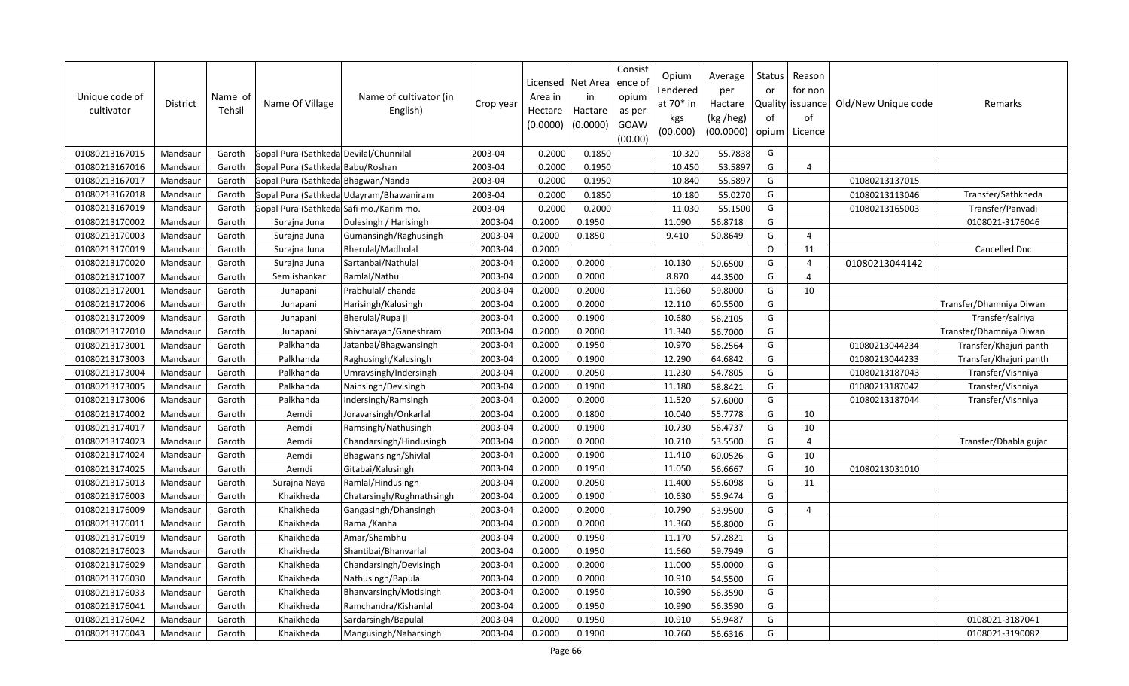| Unique code of<br>cultivator | <b>District</b> | Name of<br>Tehsil | Name Of Village                         | Name of cultivator (in<br>English)      | Crop year | Licensed<br>Area in<br>Hectare<br>(0.0000) | Net Area<br>in<br>Hactare<br>(0.0000) | Consist<br>ence of<br>opium<br>as per<br>GOAW<br>(00.00) | Opium<br>Tendered<br>at 70* in<br>kgs<br>(00.000) | Average<br>per<br>Hactare<br>(kg /heg)<br>(00.0000) | Status<br>or<br>of<br>opium | Reason<br>for non<br>Quality issuance<br>οf<br>Licence | Old/New Unique code | Remarks                 |
|------------------------------|-----------------|-------------------|-----------------------------------------|-----------------------------------------|-----------|--------------------------------------------|---------------------------------------|----------------------------------------------------------|---------------------------------------------------|-----------------------------------------------------|-----------------------------|--------------------------------------------------------|---------------------|-------------------------|
| 01080213167015               | Mandsaur        | Garoth            | Gopal Pura (Sathkeda Devilal/Chunnilal  |                                         | 2003-04   | 0.2000                                     | 0.1850                                |                                                          | 10.320                                            | 55.7838                                             | G                           |                                                        |                     |                         |
| 01080213167016               | Mandsaur        | Garoth            | Gopal Pura (Sathkeda Babu/Roshan        |                                         | 2003-04   | 0.2000                                     | 0.1950                                |                                                          | 10.450                                            | 53.5897                                             | G                           | $\overline{a}$                                         |                     |                         |
| 01080213167017               | Mandsaur        | Garoth            | Gopal Pura (Sathkeda Bhagwan/Nanda      |                                         | 2003-04   | 0.2000                                     | 0.1950                                |                                                          | 10.840                                            | 55.5897                                             | G                           |                                                        | 01080213137015      |                         |
| 01080213167018               | Mandsaur        | Garoth            |                                         | Gopal Pura (Sathkeda Udayram/Bhawaniram | 2003-04   | 0.2000                                     | 0.1850                                |                                                          | 10.180                                            | 55.0270                                             | G                           |                                                        | 01080213113046      | Transfer/Sathkheda      |
| 01080213167019               | Mandsaur        | Garoth            | Gopal Pura (Sathkeda]Safi mo./Karim mo. |                                         | 2003-04   | 0.2000                                     | 0.2000                                |                                                          | 11.030                                            | 55.1500                                             | G                           |                                                        | 01080213165003      | Transfer/Panvadi        |
| 01080213170002               | Mandsaur        | Garoth            | Surajna Juna                            | Dulesingh / Harisingh                   | 2003-04   | 0.2000                                     | 0.1950                                |                                                          | 11.090                                            | 56.8718                                             | G                           |                                                        |                     | 0108021-3176046         |
| 01080213170003               | Mandsaur        | Garoth            | Surajna Juna                            | Gumansingh/Raghusingh                   | 2003-04   | 0.2000                                     | 0.1850                                |                                                          | 9.410                                             | 50.8649                                             | G                           | $\overline{4}$                                         |                     |                         |
| 01080213170019               | Mandsaur        | Garoth            | Surajna Juna                            | Bherulal/Madholal                       | 2003-04   | 0.2000                                     |                                       |                                                          |                                                   |                                                     | $\Omega$                    | 11                                                     |                     | Cancelled Dnc           |
| 01080213170020               | Mandsaur        | Garoth            | Surajna Juna                            | Sartanbai/Nathulal                      | 2003-04   | 0.2000                                     | 0.2000                                |                                                          | 10.130                                            | 50.6500                                             | G                           | $\overline{4}$                                         | 01080213044142      |                         |
| 01080213171007               | Mandsaur        | Garoth            | Semlishankar                            | Ramlal/Nathu                            | 2003-04   | 0.2000                                     | 0.2000                                |                                                          | 8.870                                             | 44.3500                                             | G                           | $\overline{4}$                                         |                     |                         |
| 01080213172001               | Mandsaur        | Garoth            | Junapani                                | Prabhulal/ chanda                       | 2003-04   | 0.2000                                     | 0.2000                                |                                                          | 11.960                                            | 59.8000                                             | G                           | 10                                                     |                     |                         |
| 01080213172006               | Mandsaur        | Garoth            | Junapani                                | Harisingh/Kalusingh                     | 2003-04   | 0.2000                                     | 0.2000                                |                                                          | 12.110                                            | 60.5500                                             | G                           |                                                        |                     | Transfer/Dhamniya Diwan |
| 01080213172009               | Mandsaur        | Garoth            | Junapani                                | Bherulal/Rupa ji                        | 2003-04   | 0.2000                                     | 0.1900                                |                                                          | 10.680                                            | 56.2105                                             | G                           |                                                        |                     | Transfer/salriya        |
| 01080213172010               | Mandsaur        | Garoth            | Junapani                                | Shivnarayan/Ganeshram                   | 2003-04   | 0.2000                                     | 0.2000                                |                                                          | 11.340                                            | 56.7000                                             | G                           |                                                        |                     | Transfer/Dhamniya Diwan |
| 01080213173001               | Mandsau         | Garoth            | Palkhanda                               | Jatanbai/Bhagwansingh                   | 2003-04   | 0.2000                                     | 0.1950                                |                                                          | 10.970                                            | 56.2564                                             | G                           |                                                        | 01080213044234      | Transfer/Khajuri panth  |
| 01080213173003               | Mandsaur        | Garoth            | Palkhanda                               | Raghusingh/Kalusingh                    | 2003-04   | 0.2000                                     | 0.1900                                |                                                          | 12.290                                            | 64.6842                                             | G                           |                                                        | 01080213044233      | Transfer/Khajuri panth  |
| 01080213173004               | Mandsaur        | Garoth            | Palkhanda                               | Umravsingh/Indersingh                   | 2003-04   | 0.2000                                     | 0.2050                                |                                                          | 11.230                                            | 54.7805                                             | G                           |                                                        | 01080213187043      | Transfer/Vishniya       |
| 01080213173005               | Mandsaur        | Garoth            | Palkhanda                               | Nainsingh/Devisingh                     | 2003-04   | 0.2000                                     | 0.1900                                |                                                          | 11.180                                            | 58.8421                                             | G                           |                                                        | 01080213187042      | Transfer/Vishniya       |
| 01080213173006               | Mandsaur        | Garoth            | Palkhanda                               | Indersingh/Ramsingh                     | 2003-04   | 0.2000                                     | 0.2000                                |                                                          | 11.520                                            | 57.6000                                             | G                           |                                                        | 01080213187044      | Transfer/Vishniya       |
| 01080213174002               | Mandsaur        | Garoth            | Aemdi                                   | Joravarsingh/Onkarlal                   | 2003-04   | 0.2000                                     | 0.1800                                |                                                          | 10.040                                            | 55.7778                                             | G                           | 10                                                     |                     |                         |
| 01080213174017               | Mandsaur        | Garoth            | Aemdi                                   | Ramsingh/Nathusingh                     | 2003-04   | 0.2000                                     | 0.1900                                |                                                          | 10.730                                            | 56.4737                                             | G                           | 10                                                     |                     |                         |
| 01080213174023               | Mandsaur        | Garoth            | Aemdi                                   | Chandarsingh/Hindusingh                 | 2003-04   | 0.2000                                     | 0.2000                                |                                                          | 10.710                                            | 53.5500                                             | G                           | $\overline{4}$                                         |                     | Transfer/Dhabla gujar   |
| 01080213174024               | Mandsaur        | Garoth            | Aemdi                                   | Bhagwansingh/Shivlal                    | 2003-04   | 0.2000                                     | 0.1900                                |                                                          | 11.410                                            | 60.0526                                             | G                           | 10                                                     |                     |                         |
| 01080213174025               | Mandsaur        | Garoth            | Aemdi                                   | Gitabai/Kalusingh                       | 2003-04   | 0.2000                                     | 0.1950                                |                                                          | 11.050                                            | 56.6667                                             | G                           | 10                                                     | 01080213031010      |                         |
| 01080213175013               | Mandsaur        | Garoth            | Surajna Naya                            | Ramlal/Hindusingh                       | 2003-04   | 0.2000                                     | 0.2050                                |                                                          | 11.400                                            | 55.6098                                             | G                           | 11                                                     |                     |                         |
| 01080213176003               | Mandsaur        | Garoth            | Khaikheda                               | Chatarsingh/Rughnathsingh               | 2003-04   | 0.2000                                     | 0.1900                                |                                                          | 10.630                                            | 55.9474                                             | G                           |                                                        |                     |                         |
| 01080213176009               | Mandsaur        | Garoth            | Khaikheda                               | Gangasingh/Dhansingh                    | 2003-04   | 0.2000                                     | 0.2000                                |                                                          | 10.790                                            | 53.9500                                             | G                           | $\overline{4}$                                         |                     |                         |
| 01080213176011               | Mandsaur        | Garoth            | Khaikheda                               | Rama / Kanha                            | 2003-04   | 0.2000                                     | 0.2000                                |                                                          | 11.360                                            | 56.8000                                             | G                           |                                                        |                     |                         |
| 01080213176019               | Mandsaur        | Garoth            | Khaikheda                               | Amar/Shambhu                            | 2003-04   | 0.2000                                     | 0.1950                                |                                                          | 11.170                                            | 57.2821                                             | G                           |                                                        |                     |                         |
| 01080213176023               | Mandsaur        | Garoth            | Khaikheda                               | Shantibai/Bhanvarlal                    | 2003-04   | 0.2000                                     | 0.1950                                |                                                          | 11.660                                            | 59.7949                                             | G                           |                                                        |                     |                         |
| 01080213176029               | Mandsaur        | Garoth            | Khaikheda                               | Chandarsingh/Devisingh                  | 2003-04   | 0.2000                                     | 0.2000                                |                                                          | 11.000                                            | 55.0000                                             | G                           |                                                        |                     |                         |
| 01080213176030               | Mandsaur        | Garoth            | Khaikheda                               | Nathusingh/Bapulal                      | 2003-04   | 0.2000                                     | 0.2000                                |                                                          | 10.910                                            | 54.5500                                             | G                           |                                                        |                     |                         |
| 01080213176033               | Mandsaur        | Garoth            | Khaikheda                               | Bhanvarsingh/Motisingh                  | 2003-04   | 0.2000                                     | 0.1950                                |                                                          | 10.990                                            | 56.3590                                             | G                           |                                                        |                     |                         |
| 01080213176041               | Mandsaur        | Garoth            | Khaikheda                               | Ramchandra/Kishanlal                    | 2003-04   | 0.2000                                     | 0.1950                                |                                                          | 10.990                                            | 56.3590                                             | G                           |                                                        |                     |                         |
| 01080213176042               | Mandsaur        | Garoth            | Khaikheda                               | Sardarsingh/Bapulal                     | 2003-04   | 0.2000                                     | 0.1950                                |                                                          | 10.910                                            | 55.9487                                             | G                           |                                                        |                     | 0108021-3187041         |
| 01080213176043               | Mandsaur        | Garoth            | Khaikheda                               | Mangusingh/Naharsingh                   | 2003-04   | 0.2000                                     | 0.1900                                |                                                          | 10.760                                            | 56.6316                                             | G                           |                                                        |                     | 0108021-3190082         |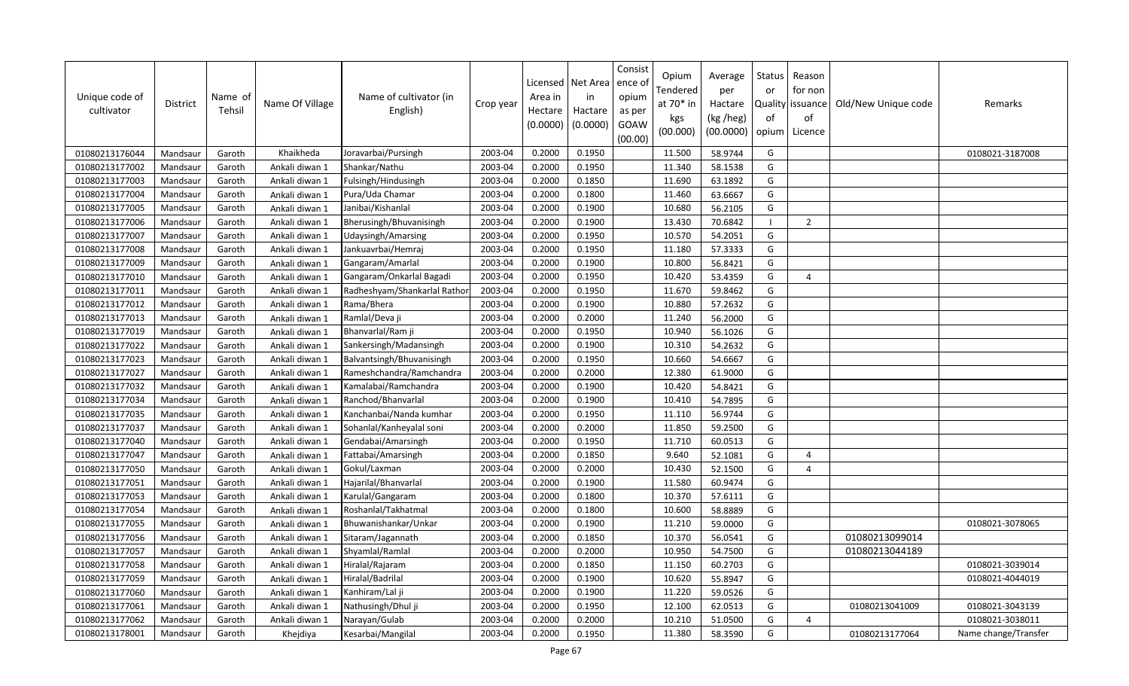| Unique code of<br>cultivator | <b>District</b> | Name of<br>Tehsil | Name Of Village | Name of cultivator (in<br>English) | Crop year | Area in<br>Hectare<br>(0.0000) | Licensed   Net Area<br>in<br>Hactare<br>(0.0000) | Consist<br>ence of<br>opium<br>as per<br>GOAW<br>(00.00) | Opium<br>Tendered<br>at 70* in<br>kgs<br>(00.000) | Average<br>per<br>Hactare<br>(kg /heg)<br>(00.0000) | Status<br>or<br>оf | Reason<br>for non<br>Quality issuance<br>of<br>opium   Licence | Old/New Unique code | Remarks              |
|------------------------------|-----------------|-------------------|-----------------|------------------------------------|-----------|--------------------------------|--------------------------------------------------|----------------------------------------------------------|---------------------------------------------------|-----------------------------------------------------|--------------------|----------------------------------------------------------------|---------------------|----------------------|
| 01080213176044               | Mandsaur        | Garoth            | Khaikheda       | Joravarbai/Pursingh                | 2003-04   | 0.2000                         | 0.1950                                           |                                                          | 11.500                                            | 58.9744                                             | G                  |                                                                |                     | 0108021-3187008      |
| 01080213177002               | Mandsaur        | Garoth            | Ankali diwan 1  | Shankar/Nathu                      | 2003-04   | 0.2000                         | 0.1950                                           |                                                          | 11.340                                            | 58.1538                                             | G                  |                                                                |                     |                      |
| 01080213177003               | Mandsaur        | Garoth            | Ankali diwan 1  | Fulsingh/Hindusingh                | 2003-04   | 0.2000                         | 0.1850                                           |                                                          | 11.690                                            | 63.1892                                             | G                  |                                                                |                     |                      |
| 01080213177004               | Mandsaur        | Garoth            | Ankali diwan 1  | Pura/Uda Chamar                    | 2003-04   | 0.2000                         | 0.1800                                           |                                                          | 11.460                                            | 63.6667                                             | G                  |                                                                |                     |                      |
| 01080213177005               | Mandsaur        | Garoth            | Ankali diwan 1  | Janibai/Kishanlal                  | 2003-04   | 0.2000                         | 0.1900                                           |                                                          | 10.680                                            | 56.2105                                             | G                  |                                                                |                     |                      |
| 01080213177006               | Mandsaur        | Garoth            | Ankali diwan 1  | Bherusingh/Bhuvanisingh            | 2003-04   | 0.2000                         | 0.1900                                           |                                                          | 13.430                                            | 70.6842                                             |                    | $\overline{2}$                                                 |                     |                      |
| 01080213177007               | Mandsaur        | Garoth            | Ankali diwan 1  | Udaysingh/Amarsing                 | 2003-04   | 0.2000                         | 0.1950                                           |                                                          | 10.570                                            | 54.2051                                             | G                  |                                                                |                     |                      |
| 01080213177008               | Mandsaur        | Garoth            | Ankali diwan 1  | Jankuavrbai/Hemraj                 | 2003-04   | 0.2000                         | 0.1950                                           |                                                          | 11.180                                            | 57.3333                                             | G                  |                                                                |                     |                      |
| 01080213177009               | Mandsaur        | Garoth            | Ankali diwan 1  | Gangaram/Amarlal                   | 2003-04   | 0.2000                         | 0.1900                                           |                                                          | 10.800                                            | 56.8421                                             | G                  |                                                                |                     |                      |
| 01080213177010               | Mandsaur        | Garoth            | Ankali diwan 1  | Gangaram/Onkarlal Bagadi           | 2003-04   | 0.2000                         | 0.1950                                           |                                                          | 10.420                                            | 53.4359                                             | G                  | $\overline{4}$                                                 |                     |                      |
| 01080213177011               | Mandsaur        | Garoth            | Ankali diwan 1  | Radheshyam/Shankarlal Rathor       | 2003-04   | 0.2000                         | 0.1950                                           |                                                          | 11.670                                            | 59.8462                                             | G                  |                                                                |                     |                      |
| 01080213177012               | Mandsaur        | Garoth            | Ankali diwan 1  | Rama/Bhera                         | 2003-04   | 0.2000                         | 0.1900                                           |                                                          | 10.880                                            | 57.2632                                             | G                  |                                                                |                     |                      |
| 01080213177013               | Mandsaur        | Garoth            | Ankali diwan 1  | Ramlal/Deva ji                     | 2003-04   | 0.2000                         | 0.2000                                           |                                                          | 11.240                                            | 56.2000                                             | G                  |                                                                |                     |                      |
| 01080213177019               | Mandsaur        | Garoth            | Ankali diwan 1  | Bhanvarlal/Ram ji                  | 2003-04   | 0.2000                         | 0.1950                                           |                                                          | 10.940                                            | 56.1026                                             | G                  |                                                                |                     |                      |
| 01080213177022               | Mandsaur        | Garoth            | Ankali diwan 1  | Sankersingh/Madansingh             | 2003-04   | 0.2000                         | 0.1900                                           |                                                          | 10.310                                            | 54.2632                                             | G                  |                                                                |                     |                      |
| 01080213177023               | Mandsaur        | Garoth            | Ankali diwan 1  | Balvantsingh/Bhuvanisingh          | 2003-04   | 0.2000                         | 0.1950                                           |                                                          | 10.660                                            | 54.6667                                             | G                  |                                                                |                     |                      |
| 01080213177027               | Mandsaur        | Garoth            | Ankali diwan 1  | Rameshchandra/Ramchandra           | 2003-04   | 0.2000                         | 0.2000                                           |                                                          | 12.380                                            | 61.9000                                             | G                  |                                                                |                     |                      |
| 01080213177032               | Mandsaur        | Garoth            | Ankali diwan 1  | Kamalabai/Ramchandra               | 2003-04   | 0.2000                         | 0.1900                                           |                                                          | 10.420                                            | 54.8421                                             | G                  |                                                                |                     |                      |
| 01080213177034               | Mandsaur        | Garoth            | Ankali diwan 1  | Ranchod/Bhanvarlal                 | 2003-04   | 0.2000                         | 0.1900                                           |                                                          | 10.410                                            | 54.7895                                             | G                  |                                                                |                     |                      |
| 01080213177035               | Mandsaur        | Garoth            | Ankali diwan 1  | Kanchanbai/Nanda kumhar            | 2003-04   | 0.2000                         | 0.1950                                           |                                                          | 11.110                                            | 56.9744                                             | G                  |                                                                |                     |                      |
| 01080213177037               | Mandsaur        | Garoth            | Ankali diwan 1  | Sohanlal/Kanheyalal soni           | 2003-04   | 0.2000                         | 0.2000                                           |                                                          | 11.850                                            | 59.2500                                             | G                  |                                                                |                     |                      |
| 01080213177040               | Mandsaur        | Garoth            | Ankali diwan 1  | Gendabai/Amarsingh                 | 2003-04   | 0.2000                         | 0.1950                                           |                                                          | 11.710                                            | 60.0513                                             | G                  |                                                                |                     |                      |
| 01080213177047               | Mandsaur        | Garoth            | Ankali diwan 1  | Fattabai/Amarsingh                 | 2003-04   | 0.2000                         | 0.1850                                           |                                                          | 9.640                                             | 52.1081                                             | G                  | $\overline{4}$                                                 |                     |                      |
| 01080213177050               | Mandsaur        | Garoth            | Ankali diwan 1  | Gokul/Laxman                       | 2003-04   | 0.2000                         | 0.2000                                           |                                                          | 10.430                                            | 52.1500                                             | G                  | $\overline{4}$                                                 |                     |                      |
| 01080213177051               | Mandsaur        | Garoth            | Ankali diwan 1  | Hajarilal/Bhanvarlal               | 2003-04   | 0.2000                         | 0.1900                                           |                                                          | 11.580                                            | 60.9474                                             | G                  |                                                                |                     |                      |
| 01080213177053               | Mandsaur        | Garoth            | Ankali diwan 1  | Karulal/Gangaram                   | 2003-04   | 0.2000                         | 0.1800                                           |                                                          | 10.370                                            | 57.6111                                             | G                  |                                                                |                     |                      |
| 01080213177054               | Mandsaur        | Garoth            | Ankali diwan 1  | Roshanlal/Takhatmal                | 2003-04   | 0.2000                         | 0.1800                                           |                                                          | 10.600                                            | 58.8889                                             | G                  |                                                                |                     |                      |
| 01080213177055               | Mandsaur        | Garoth            | Ankali diwan 1  | Bhuwanishankar/Unkar               | 2003-04   | 0.2000                         | 0.1900                                           |                                                          | 11.210                                            | 59.0000                                             | G                  |                                                                |                     | 0108021-3078065      |
| 01080213177056               | Mandsaur        | Garoth            | Ankali diwan 1  | Sitaram/Jagannath                  | 2003-04   | 0.2000                         | 0.1850                                           |                                                          | 10.370                                            | 56.0541                                             | G                  |                                                                | 01080213099014      |                      |
| 01080213177057               | Mandsaur        | Garoth            | Ankali diwan 1  | Shyamlal/Ramlal                    | 2003-04   | 0.2000                         | 0.2000                                           |                                                          | 10.950                                            | 54.7500                                             | G                  |                                                                | 01080213044189      |                      |
| 01080213177058               | Mandsaur        | Garoth            | Ankali diwan 1  | Hiralal/Rajaram                    | 2003-04   | 0.2000                         | 0.1850                                           |                                                          | 11.150                                            | 60.2703                                             | G                  |                                                                |                     | 0108021-3039014      |
| 01080213177059               | Mandsaur        | Garoth            | Ankali diwan 1  | Hiralal/Badrilal                   | 2003-04   | 0.2000                         | 0.1900                                           |                                                          | 10.620                                            | 55.8947                                             | G                  |                                                                |                     | 0108021-4044019      |
| 01080213177060               | Mandsaur        | Garoth            | Ankali diwan 1  | Kanhiram/Lal ji                    | 2003-04   | 0.2000                         | 0.1900                                           |                                                          | 11.220                                            | 59.0526                                             | G                  |                                                                |                     |                      |
| 01080213177061               | Mandsaur        | Garoth            | Ankali diwan 1  | Nathusingh/Dhul ji                 | 2003-04   | 0.2000                         | 0.1950                                           |                                                          | 12.100                                            | 62.0513                                             | G                  |                                                                | 01080213041009      | 0108021-3043139      |
| 01080213177062               | Mandsaur        | Garoth            | Ankali diwan 1  | Narayan/Gulab                      | 2003-04   | 0.2000                         | 0.2000                                           |                                                          | 10.210                                            | 51.0500                                             | G                  | $\overline{4}$                                                 |                     | 0108021-3038011      |
| 01080213178001               | Mandsaur        | Garoth            | Khejdiya        | Kesarbai/Mangilal                  | 2003-04   | 0.2000                         | 0.1950                                           |                                                          | 11.380                                            | 58.3590                                             | G                  |                                                                | 01080213177064      | Name change/Transfer |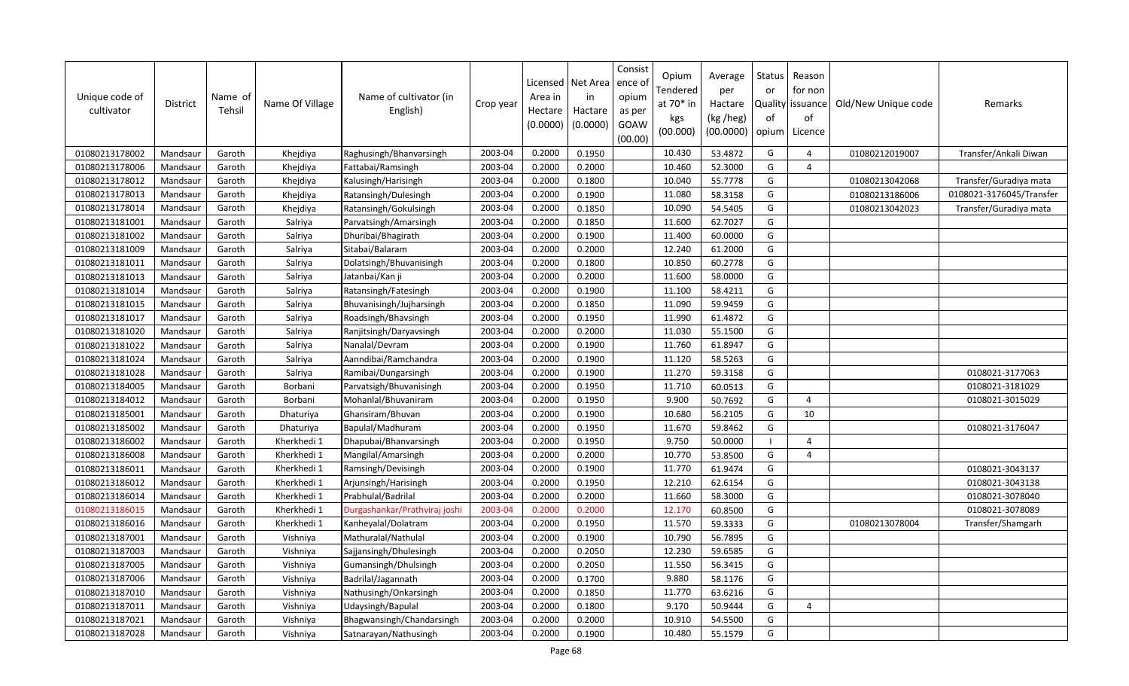| Unique code of<br>cultivator | District | Name of<br>Tehsil | Name Of Village | Name of cultivator (in<br>English) | Crop year | Area in<br>Hectare<br>(0.0000) | Licensed   Net Area<br>in<br>Hactare<br>(0.0000) | Consist<br>ence o<br>opium<br>as per<br>GOAW<br>(00.00) | Opium<br>Tendered<br>at 70* in<br>kgs<br>(00.000) | Average<br>per<br>Hactare<br>(kg /heg)<br>(00.0000) | Status<br>or<br>of<br>opium | Reason<br>for non<br>Quality   issuance<br>of<br>Licence | Old/New Unique code | Remarks                  |
|------------------------------|----------|-------------------|-----------------|------------------------------------|-----------|--------------------------------|--------------------------------------------------|---------------------------------------------------------|---------------------------------------------------|-----------------------------------------------------|-----------------------------|----------------------------------------------------------|---------------------|--------------------------|
| 01080213178002               | Mandsaur | Garoth            | Khejdiya        | Raghusingh/Bhanvarsingh            | 2003-04   | 0.2000                         | 0.1950                                           |                                                         | 10.430                                            | 53.4872                                             | G                           | $\overline{a}$                                           | 01080212019007      | Transfer/Ankali Diwan    |
| 01080213178006               | Mandsaur | Garoth            | Khejdiya        | Fattabai/Ramsingh                  | 2003-04   | 0.2000                         | 0.2000                                           |                                                         | 10.460                                            | 52.3000                                             | G                           | $\overline{4}$                                           |                     |                          |
| 01080213178012               | Mandsaur | Garoth            | Khejdiya        | Kalusingh/Harisingh                | 2003-04   | 0.2000                         | 0.1800                                           |                                                         | 10.040                                            | 55.7778                                             | G                           |                                                          | 01080213042068      | Transfer/Guradiya mata   |
| 01080213178013               | Mandsaur | Garoth            | Khejdiya        | Ratansingh/Dulesingh               | 2003-04   | 0.2000                         | 0.1900                                           |                                                         | 11.080                                            | 58.3158                                             | G                           |                                                          | 01080213186006      | 0108021-3176045/Transfer |
| 01080213178014               | Mandsaur | Garoth            | Khejdiya        | Ratansingh/Gokulsingh              | 2003-04   | 0.2000                         | 0.1850                                           |                                                         | 10.090                                            | 54.5405                                             | G                           |                                                          | 01080213042023      | Transfer/Guradiya mata   |
| 01080213181001               | Mandsaur | Garoth            | Salriya         | Parvatsingh/Amarsingh              | 2003-04   | 0.2000                         | 0.1850                                           |                                                         | 11.600                                            | 62.7027                                             | G                           |                                                          |                     |                          |
| 01080213181002               | Mandsaur | Garoth            | Salriya         | Dhuribai/Bhagirath                 | 2003-04   | 0.2000                         | 0.1900                                           |                                                         | 11.400                                            | 60.0000                                             | G                           |                                                          |                     |                          |
| 01080213181009               | Mandsaur | Garoth            | Salriya         | Sitabai/Balaram                    | 2003-04   | 0.2000                         | 0.2000                                           |                                                         | 12.240                                            | 61.2000                                             | G                           |                                                          |                     |                          |
| 01080213181011               | Mandsaur | Garoth            | Salriya         | Dolatsingh/Bhuvanisingh            | 2003-04   | 0.2000                         | 0.1800                                           |                                                         | 10.850                                            | 60.2778                                             | G                           |                                                          |                     |                          |
| 01080213181013               | Mandsaur | Garoth            | Salriya         | Jatanbai/Kan ji                    | 2003-04   | 0.2000                         | 0.2000                                           |                                                         | 11.600                                            | 58.0000                                             | G                           |                                                          |                     |                          |
| 01080213181014               | Mandsaur | Garoth            | Salriya         | Ratansingh/Fatesingh               | 2003-04   | 0.2000                         | 0.1900                                           |                                                         | 11.100                                            | 58.4211                                             | G                           |                                                          |                     |                          |
| 01080213181015               | Mandsaur | Garoth            | Salriya         | Bhuvanisingh/Jujharsingh           | 2003-04   | 0.2000                         | 0.1850                                           |                                                         | 11.090                                            | 59.9459                                             | G                           |                                                          |                     |                          |
| 01080213181017               | Mandsaur | Garoth            | Salriya         | Roadsingh/Bhavsingh                | 2003-04   | 0.2000                         | 0.1950                                           |                                                         | 11.990                                            | 61.4872                                             | G                           |                                                          |                     |                          |
| 01080213181020               | Mandsaur | Garoth            | Salriya         | Ranjitsingh/Daryavsingh            | 2003-04   | 0.2000                         | 0.2000                                           |                                                         | 11.030                                            | 55.1500                                             | G                           |                                                          |                     |                          |
| 01080213181022               | Mandsaur | Garoth            | Salriya         | Nanalal/Devram                     | 2003-04   | 0.2000                         | 0.1900                                           |                                                         | 11.760                                            | 61.8947                                             | G                           |                                                          |                     |                          |
| 01080213181024               | Mandsaur | Garoth            | Salriya         | Aanndibai/Ramchandra               | 2003-04   | 0.2000                         | 0.1900                                           |                                                         | 11.120                                            | 58.5263                                             | G                           |                                                          |                     |                          |
| 01080213181028               | Mandsaur | Garoth            | Salriya         | Ramibai/Dungarsingh                | 2003-04   | 0.2000                         | 0.1900                                           |                                                         | 11.270                                            | 59.3158                                             | G                           |                                                          |                     | 0108021-3177063          |
| 01080213184005               | Mandsaur | Garoth            | Borbani         | Parvatsigh/Bhuvanisingh            | 2003-04   | 0.2000                         | 0.1950                                           |                                                         | 11.710                                            | 60.0513                                             | G                           |                                                          |                     | 0108021-3181029          |
| 01080213184012               | Mandsaur | Garoth            | Borbani         | Mohanlal/Bhuvaniram                | 2003-04   | 0.2000                         | 0.1950                                           |                                                         | 9.900                                             | 50.7692                                             | G                           | $\overline{4}$                                           |                     | 0108021-3015029          |
| 01080213185001               | Mandsaur | Garoth            | Dhaturiya       | Ghansiram/Bhuvan                   | 2003-04   | 0.2000                         | 0.1900                                           |                                                         | 10.680                                            | 56.2105                                             | G                           | 10                                                       |                     |                          |
| 01080213185002               | Mandsaur | Garoth            | Dhaturiya       | Bapulal/Madhuram                   | 2003-04   | 0.2000                         | 0.1950                                           |                                                         | 11.670                                            | 59.8462                                             | G                           |                                                          |                     | 0108021-3176047          |
| 01080213186002               | Mandsaur | Garoth            | Kherkhedi 1     | Dhapubai/Bhanvarsingh              | 2003-04   | 0.2000                         | 0.1950                                           |                                                         | 9.750                                             | 50.0000                                             | - 1                         | $\overline{4}$                                           |                     |                          |
| 01080213186008               | Mandsaur | Garoth            | Kherkhedi 1     | Mangilal/Amarsingh                 | 2003-04   | 0.2000                         | 0.2000                                           |                                                         | 10.770                                            | 53.8500                                             | G                           | $\overline{4}$                                           |                     |                          |
| 01080213186011               | Mandsaur | Garoth            | Kherkhedi 1     | Ramsingh/Devisingh                 | 2003-04   | 0.2000                         | 0.1900                                           |                                                         | 11.770                                            | 61.9474                                             | G                           |                                                          |                     | 0108021-3043137          |
| 01080213186012               | Mandsaur | Garoth            | Kherkhedi 1     | Arjunsingh/Harisingh               | 2003-04   | 0.2000                         | 0.1950                                           |                                                         | 12.210                                            | 62.6154                                             | G                           |                                                          |                     | 0108021-3043138          |
| 01080213186014               | Mandsaur | Garoth            | Kherkhedi 1     | Prabhulal/Badrilal                 | 2003-04   | 0.2000                         | 0.2000                                           |                                                         | 11.660                                            | 58.3000                                             | G                           |                                                          |                     | 0108021-3078040          |
| 01080213186015               | Mandsaur | Garoth            | Kherkhedi 1     | Durgashankar/Prathviraj joshi      | 2003-04   | 0.2000                         | 0.2000                                           |                                                         | 12.170                                            | 60.8500                                             | G                           |                                                          |                     | 0108021-3078089          |
| 01080213186016               | Mandsaur | Garoth            | Kherkhedi 1     | Kanheyalal/Dolatram                | 2003-04   | 0.2000                         | 0.1950                                           |                                                         | 11.570                                            | 59.3333                                             | G                           |                                                          | 01080213078004      | Transfer/Shamgarh        |
| 01080213187001               | Mandsaur | Garoth            | Vishniya        | Mathuralal/Nathulal                | 2003-04   | 0.2000                         | 0.1900                                           |                                                         | 10.790                                            | 56.7895                                             | G                           |                                                          |                     |                          |
| 01080213187003               | Mandsaur | Garoth            | Vishniya        | Sajjansingh/Dhulesingh             | 2003-04   | 0.2000                         | 0.2050                                           |                                                         | 12.230                                            | 59.6585                                             | G                           |                                                          |                     |                          |
| 01080213187005               | Mandsaur | Garoth            | Vishniya        | Gumansingh/Dhulsingh               | 2003-04   | 0.2000                         | 0.2050                                           |                                                         | 11.550                                            | 56.3415                                             | G                           |                                                          |                     |                          |
| 01080213187006               | Mandsaur | Garoth            | Vishniya        | Badrilal/Jagannath                 | 2003-04   | 0.2000                         | 0.1700                                           |                                                         | 9.880                                             | 58.1176                                             | G                           |                                                          |                     |                          |
| 01080213187010               | Mandsaur | Garoth            | Vishniya        | Nathusingh/Onkarsingh              | 2003-04   | 0.2000                         | 0.1850                                           |                                                         | 11.770                                            | 63.6216                                             | G                           |                                                          |                     |                          |
| 01080213187011               | Mandsaur | Garoth            | Vishniya        | Udaysingh/Bapulal                  | 2003-04   | 0.2000                         | 0.1800                                           |                                                         | 9.170                                             | 50.9444                                             | G                           | $\overline{4}$                                           |                     |                          |
| 01080213187021               | Mandsaur | Garoth            | Vishniya        | Bhagwansingh/Chandarsingh          | 2003-04   | 0.2000                         | 0.2000                                           |                                                         | 10.910                                            | 54.5500                                             | G                           |                                                          |                     |                          |
| 01080213187028               | Mandsaur | Garoth            | Vishniya        | Satnarayan/Nathusingh              | 2003-04   | 0.2000                         | 0.1900                                           |                                                         | 10.480                                            | 55.1579                                             | G                           |                                                          |                     |                          |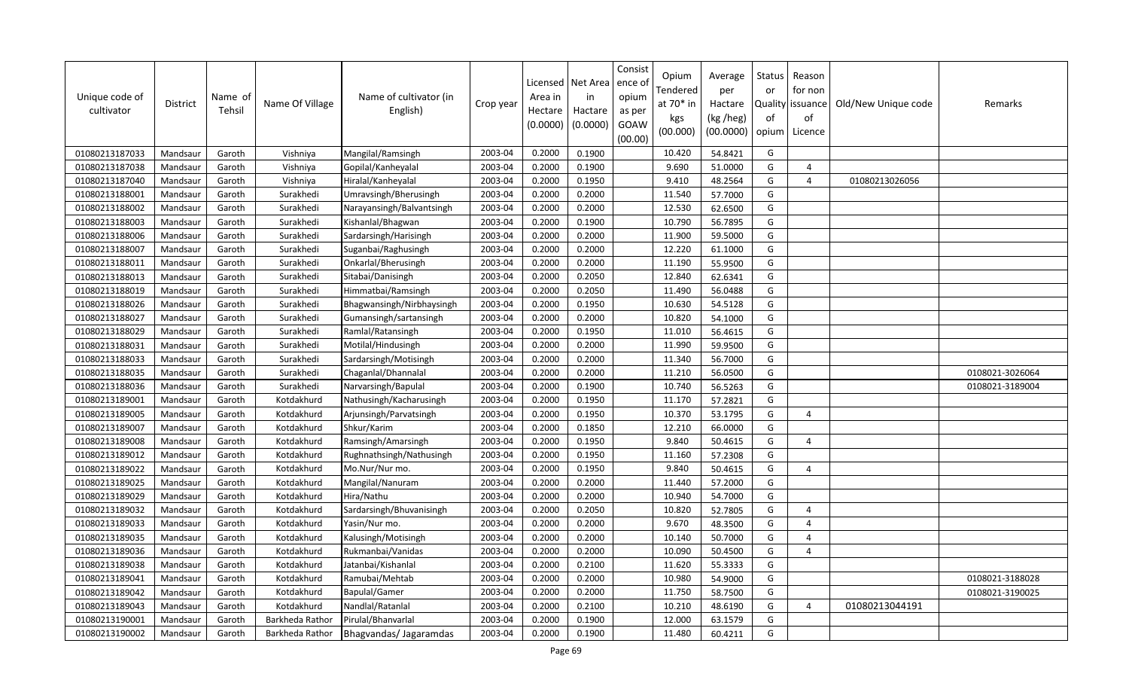| Unique code of<br>cultivator | <b>District</b> | Name of<br>Tehsil | Name Of Village | Name of cultivator (in<br>English) | Crop year | Licensed<br>Area in<br>Hectare<br>(0.0000) | Net Area<br>in<br>Hactare<br>(0.0000) | Consist<br>ence ol<br>opium<br>as per<br>GOAW<br>(00.00) | Opium<br>Tendered<br>at $70*$ in<br>kgs<br>(00.000) | Average<br>per<br>Hactare<br>(kg /heg)<br>(00.0000) | Status<br>or<br>of<br>opium | Reason<br>for non<br>Quality issuance<br>of<br>Licence | Old/New Unique code | Remarks         |
|------------------------------|-----------------|-------------------|-----------------|------------------------------------|-----------|--------------------------------------------|---------------------------------------|----------------------------------------------------------|-----------------------------------------------------|-----------------------------------------------------|-----------------------------|--------------------------------------------------------|---------------------|-----------------|
| 01080213187033               | Mandsaur        | Garoth            | Vishniya        | Mangilal/Ramsingh                  | 2003-04   | 0.2000                                     | 0.1900                                |                                                          | 10.420                                              | 54.8421                                             | G                           |                                                        |                     |                 |
| 01080213187038               | Mandsaur        | Garoth            | Vishniya        | Gopilal/Kanheyalal                 | 2003-04   | 0.2000                                     | 0.1900                                |                                                          | 9.690                                               | 51.0000                                             | G                           | $\Delta$                                               |                     |                 |
| 01080213187040               | Mandsaur        | Garoth            | Vishniya        | Hiralal/Kanheyalal                 | 2003-04   | 0.2000                                     | 0.1950                                |                                                          | 9.410                                               | 48.2564                                             | G                           | $\overline{4}$                                         | 01080213026056      |                 |
| 01080213188001               | Mandsaur        | Garoth            | Surakhedi       | Umravsingh/Bherusingh              | 2003-04   | 0.2000                                     | 0.2000                                |                                                          | 11.540                                              | 57.7000                                             | G                           |                                                        |                     |                 |
| 01080213188002               | Mandsaur        | Garoth            | Surakhedi       | Narayansingh/Balvantsingh          | 2003-04   | 0.2000                                     | 0.2000                                |                                                          | 12.530                                              | 62.6500                                             | G                           |                                                        |                     |                 |
| 01080213188003               | Mandsaur        | Garoth            | Surakhedi       | Kishanlal/Bhagwan                  | 2003-04   | 0.2000                                     | 0.1900                                |                                                          | 10.790                                              | 56.7895                                             | G                           |                                                        |                     |                 |
| 01080213188006               | Mandsaur        | Garoth            | Surakhedi       | Sardarsingh/Harisingh              | 2003-04   | 0.2000                                     | 0.2000                                |                                                          | 11.900                                              | 59.5000                                             | G                           |                                                        |                     |                 |
| 01080213188007               | Mandsaur        | Garoth            | Surakhedi       | Suganbai/Raghusingh                | 2003-04   | 0.2000                                     | 0.2000                                |                                                          | 12.220                                              | 61.1000                                             | G                           |                                                        |                     |                 |
| 01080213188011               | Mandsaur        | Garoth            | Surakhedi       | Onkarlal/Bherusingh                | 2003-04   | 0.2000                                     | 0.2000                                |                                                          | 11.190                                              | 55.9500                                             | G                           |                                                        |                     |                 |
| 01080213188013               | Mandsaur        | Garoth            | Surakhedi       | Sitabai/Danisingh                  | 2003-04   | 0.2000                                     | 0.2050                                |                                                          | 12.840                                              | 62.6341                                             | G                           |                                                        |                     |                 |
| 01080213188019               | Mandsaur        | Garoth            | Surakhedi       | Himmatbai/Ramsingh                 | 2003-04   | 0.2000                                     | 0.2050                                |                                                          | 11.490                                              | 56.0488                                             | G                           |                                                        |                     |                 |
| 01080213188026               | Mandsaur        | Garoth            | Surakhedi       | Bhagwansingh/Nirbhaysingh          | 2003-04   | 0.2000                                     | 0.1950                                |                                                          | 10.630                                              | 54.5128                                             | G                           |                                                        |                     |                 |
| 01080213188027               | Mandsaur        | Garoth            | Surakhedi       | Gumansingh/sartansingh             | 2003-04   | 0.2000                                     | 0.2000                                |                                                          | 10.820                                              | 54.1000                                             | G                           |                                                        |                     |                 |
| 01080213188029               | Mandsaur        | Garoth            | Surakhedi       | Ramlal/Ratansingh                  | 2003-04   | 0.2000                                     | 0.1950                                |                                                          | 11.010                                              | 56.4615                                             | G                           |                                                        |                     |                 |
| 01080213188031               | Mandsaur        | Garoth            | Surakhedi       | Motilal/Hindusingh                 | 2003-04   | 0.2000                                     | 0.2000                                |                                                          | 11.990                                              | 59.9500                                             | G                           |                                                        |                     |                 |
| 01080213188033               | Mandsaur        | Garoth            | Surakhedi       | Sardarsingh/Motisingh              | 2003-04   | 0.2000                                     | 0.2000                                |                                                          | 11.340                                              | 56.7000                                             | G                           |                                                        |                     |                 |
| 01080213188035               | Mandsaur        | Garoth            | Surakhedi       | Chaganlal/Dhannalal                | 2003-04   | 0.2000                                     | 0.2000                                |                                                          | 11.210                                              | 56.0500                                             | G                           |                                                        |                     | 0108021-3026064 |
| 01080213188036               | Mandsaur        | Garoth            | Surakhedi       | Narvarsingh/Bapulal                | 2003-04   | 0.2000                                     | 0.1900                                |                                                          | 10.740                                              | 56.5263                                             | G                           |                                                        |                     | 0108021-3189004 |
| 01080213189001               | Mandsaur        | Garoth            | Kotdakhurd      | Nathusingh/Kacharusingh            | 2003-04   | 0.2000                                     | 0.1950                                |                                                          | 11.170                                              | 57.2821                                             | G                           |                                                        |                     |                 |
| 01080213189005               | Mandsaur        | Garoth            | Kotdakhurd      | Arjunsingh/Parvatsingh             | 2003-04   | 0.2000                                     | 0.1950                                |                                                          | 10.370                                              | 53.1795                                             | G                           | $\overline{4}$                                         |                     |                 |
| 01080213189007               | Mandsaur        | Garoth            | Kotdakhurd      | Shkur/Karim                        | 2003-04   | 0.2000                                     | 0.1850                                |                                                          | 12.210                                              | 66.0000                                             | G                           |                                                        |                     |                 |
| 01080213189008               | Mandsaur        | Garoth            | Kotdakhurd      | Ramsingh/Amarsingh                 | 2003-04   | 0.2000                                     | 0.1950                                |                                                          | 9.840                                               | 50.4615                                             | G                           | $\Delta$                                               |                     |                 |
| 01080213189012               | Mandsaur        | Garoth            | Kotdakhurd      | Rughnathsingh/Nathusingh           | 2003-04   | 0.2000                                     | 0.1950                                |                                                          | 11.160                                              | 57.2308                                             | G                           |                                                        |                     |                 |
| 01080213189022               | Mandsaur        | Garoth            | Kotdakhurd      | Mo.Nur/Nur mo.                     | 2003-04   | 0.2000                                     | 0.1950                                |                                                          | 9.840                                               | 50.4615                                             | G                           | $\overline{4}$                                         |                     |                 |
| 01080213189025               | Mandsaur        | Garoth            | Kotdakhurd      | Mangilal/Nanuram                   | 2003-04   | 0.2000                                     | 0.2000                                |                                                          | 11.440                                              | 57.2000                                             | G                           |                                                        |                     |                 |
| 01080213189029               | Mandsaur        | Garoth            | Kotdakhurd      | Hira/Nathu                         | 2003-04   | 0.2000                                     | 0.2000                                |                                                          | 10.940                                              | 54.7000                                             | G                           |                                                        |                     |                 |
| 01080213189032               | Mandsaur        | Garoth            | Kotdakhurd      | Sardarsingh/Bhuvanisingh           | 2003-04   | 0.2000                                     | 0.2050                                |                                                          | 10.820                                              | 52.7805                                             | G                           | $\overline{4}$                                         |                     |                 |
| 01080213189033               | Mandsaur        | Garoth            | Kotdakhurd      | Yasin/Nur mo.                      | 2003-04   | 0.2000                                     | 0.2000                                |                                                          | 9.670                                               | 48.3500                                             | G                           | $\overline{4}$                                         |                     |                 |
| 01080213189035               | Mandsaur        | Garoth            | Kotdakhurd      | Kalusingh/Motisingh                | 2003-04   | 0.2000                                     | 0.2000                                |                                                          | 10.140                                              | 50.7000                                             | G                           | $\overline{4}$                                         |                     |                 |
| 01080213189036               | Mandsaur        | Garoth            | Kotdakhurd      | Rukmanbai/Vanidas                  | 2003-04   | 0.2000                                     | 0.2000                                |                                                          | 10.090                                              | 50.4500                                             | G                           | $\Delta$                                               |                     |                 |
| 01080213189038               | Mandsaur        | Garoth            | Kotdakhurd      | Jatanbai/Kishanlal                 | 2003-04   | 0.2000                                     | 0.2100                                |                                                          | 11.620                                              | 55.3333                                             | G                           |                                                        |                     |                 |
| 01080213189041               | Mandsaur        | Garoth            | Kotdakhurd      | Ramubai/Mehtab                     | 2003-04   | 0.2000                                     | 0.2000                                |                                                          | 10.980                                              | 54.9000                                             | G                           |                                                        |                     | 0108021-3188028 |
| 01080213189042               | Mandsaur        | Garoth            | Kotdakhurd      | <b>Bapulal/Gamer</b>               | 2003-04   | 0.2000                                     | 0.2000                                |                                                          | 11.750                                              | 58.7500                                             | G                           |                                                        |                     | 0108021-3190025 |
| 01080213189043               | Mandsaur        | Garoth            | Kotdakhurd      | Nandlal/Ratanlal                   | 2003-04   | 0.2000                                     | 0.2100                                |                                                          | 10.210                                              | 48.6190                                             | G                           | $\overline{4}$                                         | 01080213044191      |                 |
| 01080213190001               | Mandsaur        | Garoth            | Barkheda Rathor | Pirulal/Bhanvarlal                 | 2003-04   | 0.2000                                     | 0.1900                                |                                                          | 12.000                                              | 63.1579                                             | G                           |                                                        |                     |                 |
| 01080213190002               | Mandsaur        | Garoth            | Barkheda Rathor | Bhagvandas/ Jagaramdas             | 2003-04   | 0.2000                                     | 0.1900                                |                                                          | 11.480                                              | 60.4211                                             | G                           |                                                        |                     |                 |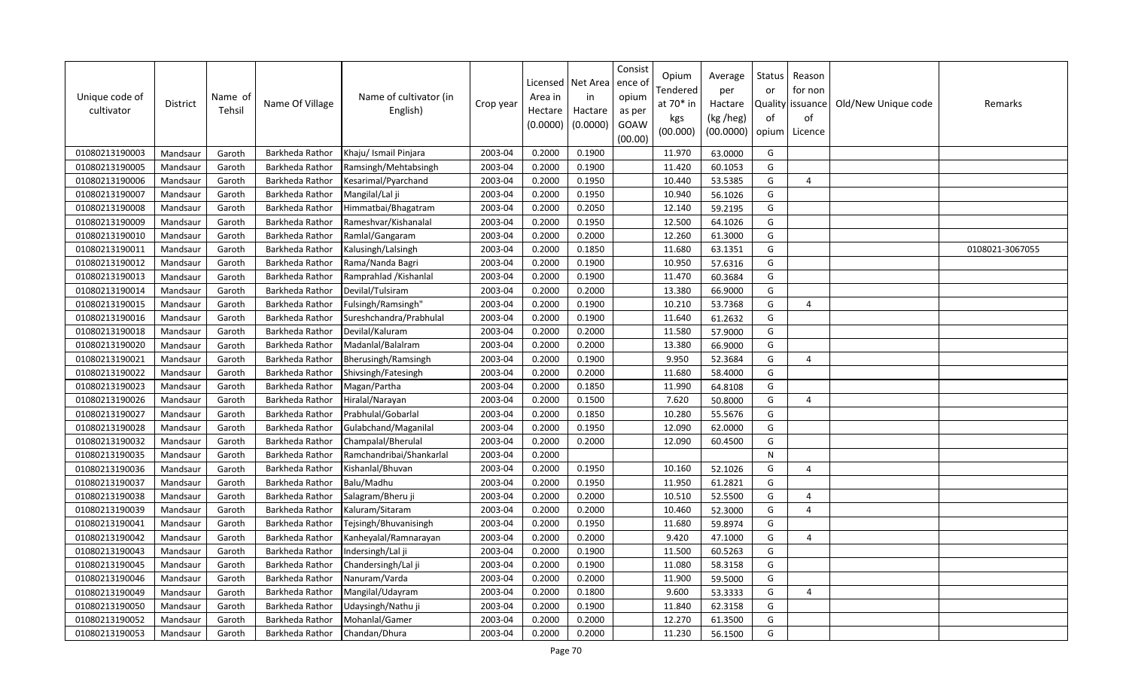| Unique code of<br>cultivator | <b>District</b> | Name of<br>Tehsil | Name Of Village | Name of cultivator (in<br>English) | Crop year | Licensed<br>Area in<br>Hectare<br>(0.0000) | Net Area<br>in<br>Hactare<br>(0.0000) | Consist<br>ence ol<br>opium<br>as per<br>GOAW<br>(00.00) | Opium<br>Tendered<br>at 70* in<br>kgs<br>(00.000) | Average<br>per<br>Hactare<br>(kg /heg)<br>(00.0000) | Status<br>or<br>of<br>opium | Reason<br>for non<br>Quality   issuance<br>of<br>Licence | Old/New Unique code | Remarks         |
|------------------------------|-----------------|-------------------|-----------------|------------------------------------|-----------|--------------------------------------------|---------------------------------------|----------------------------------------------------------|---------------------------------------------------|-----------------------------------------------------|-----------------------------|----------------------------------------------------------|---------------------|-----------------|
| 01080213190003               | Mandsaur        | Garoth            | Barkheda Rathor | Khaju/ Ismail Pinjara              | 2003-04   | 0.2000                                     | 0.1900                                |                                                          | 11.970                                            | 63.0000                                             | G                           |                                                          |                     |                 |
| 01080213190005               | Mandsaur        | Garoth            | Barkheda Rathor | Ramsingh/Mehtabsingh               | 2003-04   | 0.2000                                     | 0.1900                                |                                                          | 11.420                                            | 60.1053                                             | G                           |                                                          |                     |                 |
| 01080213190006               | Mandsaur        | Garoth            | Barkheda Rathor | Kesarimal/Pyarchand                | 2003-04   | 0.2000                                     | 0.1950                                |                                                          | 10.440                                            | 53.5385                                             | G                           | $\overline{4}$                                           |                     |                 |
| 01080213190007               | Mandsaur        | Garoth            | Barkheda Rathor | Mangilal/Lal ji                    | 2003-04   | 0.2000                                     | 0.1950                                |                                                          | 10.940                                            | 56.1026                                             | G                           |                                                          |                     |                 |
| 01080213190008               | Mandsaur        | Garoth            | Barkheda Rathor | Himmatbai/Bhagatram                | 2003-04   | 0.2000                                     | 0.2050                                |                                                          | 12.140                                            | 59.2195                                             | G                           |                                                          |                     |                 |
| 01080213190009               | Mandsaur        | Garoth            | Barkheda Rathor | Rameshvar/Kishanalal               | 2003-04   | 0.2000                                     | 0.1950                                |                                                          | 12.500                                            | 64.1026                                             | G                           |                                                          |                     |                 |
| 01080213190010               | Mandsaur        | Garoth            | Barkheda Rathor | Ramlal/Gangaram                    | 2003-04   | 0.2000                                     | 0.2000                                |                                                          | 12.260                                            | 61.3000                                             | G                           |                                                          |                     |                 |
| 01080213190011               | Mandsaur        | Garoth            | Barkheda Rathor | Kalusingh/Lalsingh                 | 2003-04   | 0.2000                                     | 0.1850                                |                                                          | 11.680                                            | 63.1351                                             | G                           |                                                          |                     | 0108021-3067055 |
| 01080213190012               | Mandsaur        | Garoth            | Barkheda Rathor | Rama/Nanda Bagri                   | 2003-04   | 0.2000                                     | 0.1900                                |                                                          | 10.950                                            | 57.6316                                             | G                           |                                                          |                     |                 |
| 01080213190013               | Mandsaur        | Garoth            | Barkheda Rathor | Ramprahlad / Kishanlal             | 2003-04   | 0.2000                                     | 0.1900                                |                                                          | 11.470                                            | 60.3684                                             | G                           |                                                          |                     |                 |
| 01080213190014               | Mandsaur        | Garoth            | Barkheda Rathor | Devilal/Tulsiram                   | 2003-04   | 0.2000                                     | 0.2000                                |                                                          | 13.380                                            | 66.9000                                             | G                           |                                                          |                     |                 |
| 01080213190015               | Mandsaur        | Garoth            | Barkheda Rathor | Fulsingh/Ramsingh"                 | 2003-04   | 0.2000                                     | 0.1900                                |                                                          | 10.210                                            | 53.7368                                             | G                           | $\overline{4}$                                           |                     |                 |
| 01080213190016               | Mandsaur        | Garoth            | Barkheda Rathor | Sureshchandra/Prabhulal            | 2003-04   | 0.2000                                     | 0.1900                                |                                                          | 11.640                                            | 61.2632                                             | G                           |                                                          |                     |                 |
| 01080213190018               | Mandsaur        | Garoth            | Barkheda Rathor | Devilal/Kaluram                    | 2003-04   | 0.2000                                     | 0.2000                                |                                                          | 11.580                                            | 57.9000                                             | G                           |                                                          |                     |                 |
| 01080213190020               | Mandsaur        | Garoth            | Barkheda Rathor | Madanlal/Balalram                  | 2003-04   | 0.2000                                     | 0.2000                                |                                                          | 13.380                                            | 66.9000                                             | G                           |                                                          |                     |                 |
| 01080213190021               | Mandsaur        | Garoth            | Barkheda Rathor | Bherusingh/Ramsingh                | 2003-04   | 0.2000                                     | 0.1900                                |                                                          | 9.950                                             | 52.3684                                             | G                           | $\overline{4}$                                           |                     |                 |
| 01080213190022               | Mandsaur        | Garoth            | Barkheda Rathor | Shivsingh/Fatesingh                | 2003-04   | 0.2000                                     | 0.2000                                |                                                          | 11.680                                            | 58.4000                                             | G                           |                                                          |                     |                 |
| 01080213190023               | Mandsaur        | Garoth            | Barkheda Rathor | Magan/Partha                       | 2003-04   | 0.2000                                     | 0.1850                                |                                                          | 11.990                                            | 64.8108                                             | G                           |                                                          |                     |                 |
| 01080213190026               | Mandsaur        | Garoth            | Barkheda Rathor | Hiralal/Narayan                    | 2003-04   | 0.2000                                     | 0.1500                                |                                                          | 7.620                                             | 50.8000                                             | G                           | $\boldsymbol{\varDelta}$                                 |                     |                 |
| 01080213190027               | Mandsaur        | Garoth            | Barkheda Rathor | Prabhulal/Gobarlal                 | 2003-04   | 0.2000                                     | 0.1850                                |                                                          | 10.280                                            | 55.5676                                             | G                           |                                                          |                     |                 |
| 01080213190028               | Mandsaur        | Garoth            | Barkheda Rathor | Gulabchand/Maganilal               | 2003-04   | 0.2000                                     | 0.1950                                |                                                          | 12.090                                            | 62.0000                                             | G                           |                                                          |                     |                 |
| 01080213190032               | Mandsaur        | Garoth            | Barkheda Rathor | Champalal/Bherulal                 | 2003-04   | 0.2000                                     | 0.2000                                |                                                          | 12.090                                            | 60.4500                                             | G                           |                                                          |                     |                 |
| 01080213190035               | Mandsaur        | Garoth            | Barkheda Rathor | Ramchandribai/Shankarlal           | 2003-04   | 0.2000                                     |                                       |                                                          |                                                   |                                                     | ${\sf N}$                   |                                                          |                     |                 |
| 01080213190036               | Mandsaur        | Garoth            | Barkheda Rathor | Kishanlal/Bhuvan                   | 2003-04   | 0.2000                                     | 0.1950                                |                                                          | 10.160                                            | 52.1026                                             | G                           | $\overline{4}$                                           |                     |                 |
| 01080213190037               | Mandsaur        | Garoth            | Barkheda Rathor | Balu/Madhu                         | 2003-04   | 0.2000                                     | 0.1950                                |                                                          | 11.950                                            | 61.2821                                             | G                           |                                                          |                     |                 |
| 01080213190038               | Mandsaur        | Garoth            | Barkheda Rathor | Salagram/Bheru ji                  | 2003-04   | 0.2000                                     | 0.2000                                |                                                          | 10.510                                            | 52.5500                                             | G                           | $\overline{a}$                                           |                     |                 |
| 01080213190039               | Mandsaur        | Garoth            | Barkheda Rathor | Kaluram/Sitaram                    | 2003-04   | 0.2000                                     | 0.2000                                |                                                          | 10.460                                            | 52.3000                                             | G                           | $\Delta$                                                 |                     |                 |
| 01080213190041               | Mandsaur        | Garoth            | Barkheda Rathor | Tejsingh/Bhuvanisingh              | 2003-04   | 0.2000                                     | 0.1950                                |                                                          | 11.680                                            | 59.8974                                             | G                           |                                                          |                     |                 |
| 01080213190042               | Mandsaur        | Garoth            | Barkheda Rathor | Kanheyalal/Ramnarayan              | 2003-04   | 0.2000                                     | 0.2000                                |                                                          | 9.420                                             | 47.1000                                             | G                           | 4                                                        |                     |                 |
| 01080213190043               | Mandsaur        | Garoth            | Barkheda Rathor | Indersingh/Lal ji                  | 2003-04   | 0.2000                                     | 0.1900                                |                                                          | 11.500                                            | 60.5263                                             | G                           |                                                          |                     |                 |
| 01080213190045               | Mandsaur        | Garoth            | Barkheda Rathor | Chandersingh/Lal ji                | 2003-04   | 0.2000                                     | 0.1900                                |                                                          | 11.080                                            | 58.3158                                             | G                           |                                                          |                     |                 |
| 01080213190046               | Mandsaur        | Garoth            | Barkheda Rathor | Nanuram/Varda                      | 2003-04   | 0.2000                                     | 0.2000                                |                                                          | 11.900                                            | 59.5000                                             | G                           |                                                          |                     |                 |
| 01080213190049               | Mandsaur        | Garoth            | Barkheda Rathor | Mangilal/Udayram                   | 2003-04   | 0.2000                                     | 0.1800                                |                                                          | 9.600                                             | 53.3333                                             | G                           | $\overline{a}$                                           |                     |                 |
| 01080213190050               | Mandsaur        | Garoth            | Barkheda Rathor | Udaysingh/Nathu ji                 | 2003-04   | 0.2000                                     | 0.1900                                |                                                          | 11.840                                            | 62.3158                                             | G                           |                                                          |                     |                 |
| 01080213190052               | Mandsaur        | Garoth            | Barkheda Rathor | Mohanlal/Gamer                     | 2003-04   | 0.2000                                     | 0.2000                                |                                                          | 12.270                                            | 61.3500                                             | G                           |                                                          |                     |                 |
| 01080213190053               | Mandsaur        | Garoth            | Barkheda Rathor | Chandan/Dhura                      | 2003-04   | 0.2000                                     | 0.2000                                |                                                          | 11.230                                            | 56.1500                                             | G                           |                                                          |                     |                 |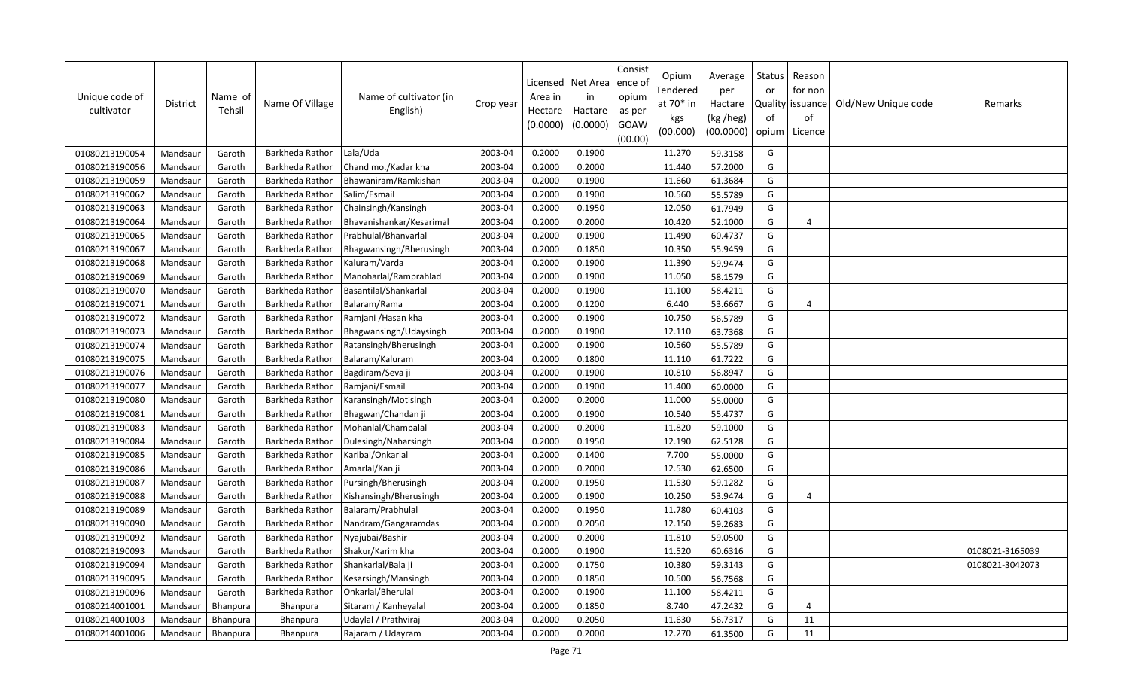| Unique code of<br>cultivator | <b>District</b> | Name of<br>Tehsil | Name Of Village | Name of cultivator (in<br>English) | Crop year | Licensed<br>Area in<br>Hectare<br>(0.0000) | Net Area<br>in<br>Hactare<br>(0.0000) | Consist<br>ence of<br>opium<br>as per<br>GOAW<br>(00.00) | Opium<br>Tendered<br>at 70* in<br>kgs<br>(00.000) | Average<br>per<br>Hactare<br>(kg /heg)<br>(00.0000) | Status<br>or<br>of<br>opium | Reason<br>for non<br>Quality   issuance<br>of<br>Licence | Old/New Unique code | Remarks         |
|------------------------------|-----------------|-------------------|-----------------|------------------------------------|-----------|--------------------------------------------|---------------------------------------|----------------------------------------------------------|---------------------------------------------------|-----------------------------------------------------|-----------------------------|----------------------------------------------------------|---------------------|-----------------|
| 01080213190054               | Mandsaur        | Garoth            | Barkheda Rathor | Lala/Uda                           | 2003-04   | 0.2000                                     | 0.1900                                |                                                          | 11.270                                            | 59.3158                                             | G                           |                                                          |                     |                 |
| 01080213190056               | Mandsaur        | Garoth            | Barkheda Rathor | Chand mo./Kadar kha                | 2003-04   | 0.2000                                     | 0.2000                                |                                                          | 11.440                                            | 57.2000                                             | G                           |                                                          |                     |                 |
| 01080213190059               | Mandsaur        | Garoth            | Barkheda Rathor | Bhawaniram/Ramkishan               | 2003-04   | 0.2000                                     | 0.1900                                |                                                          | 11.660                                            | 61.3684                                             | G                           |                                                          |                     |                 |
| 01080213190062               | Mandsaur        | Garoth            | Barkheda Rathor | Salim/Esmail                       | 2003-04   | 0.2000                                     | 0.1900                                |                                                          | 10.560                                            | 55.5789                                             | G                           |                                                          |                     |                 |
| 01080213190063               | Mandsaur        | Garoth            | Barkheda Rathor | Chainsingh/Kansingh                | 2003-04   | 0.2000                                     | 0.1950                                |                                                          | 12.050                                            | 61.7949                                             | G                           |                                                          |                     |                 |
| 01080213190064               | Mandsaur        | Garoth            | Barkheda Rathor | Bhavanishankar/Kesarimal           | 2003-04   | 0.2000                                     | 0.2000                                |                                                          | 10.420                                            | 52.1000                                             | G                           | $\Delta$                                                 |                     |                 |
| 01080213190065               | Mandsaur        | Garoth            | Barkheda Rathor | Prabhulal/Bhanvarlal               | 2003-04   | 0.2000                                     | 0.1900                                |                                                          | 11.490                                            | 60.4737                                             | G                           |                                                          |                     |                 |
| 01080213190067               | Mandsaur        | Garoth            | Barkheda Rathor | Bhagwansingh/Bherusingh            | 2003-04   | 0.2000                                     | 0.1850                                |                                                          | 10.350                                            | 55.9459                                             | G                           |                                                          |                     |                 |
| 01080213190068               | Mandsaur        | Garoth            | Barkheda Rathor | Kaluram/Varda                      | 2003-04   | 0.2000                                     | 0.1900                                |                                                          | 11.390                                            | 59.9474                                             | G                           |                                                          |                     |                 |
| 01080213190069               | Mandsaur        | Garoth            | Barkheda Rathor | Manoharlal/Ramprahlad              | 2003-04   | 0.2000                                     | 0.1900                                |                                                          | 11.050                                            | 58.1579                                             | G                           |                                                          |                     |                 |
| 01080213190070               | Mandsaur        | Garoth            | Barkheda Rathor | Basantilal/Shankarlal              | 2003-04   | 0.2000                                     | 0.1900                                |                                                          | 11.100                                            | 58.4211                                             | G                           |                                                          |                     |                 |
| 01080213190071               | Mandsaur        | Garoth            | Barkheda Rathor | Balaram/Rama                       | 2003-04   | 0.2000                                     | 0.1200                                |                                                          | 6.440                                             | 53.6667                                             | G                           | $\overline{a}$                                           |                     |                 |
| 01080213190072               | Mandsaur        | Garoth            | Barkheda Rathor | Ramjani /Hasan kha                 | 2003-04   | 0.2000                                     | 0.1900                                |                                                          | 10.750                                            | 56.5789                                             | G                           |                                                          |                     |                 |
| 01080213190073               | Mandsaur        | Garoth            | Barkheda Rathor | Bhagwansingh/Udaysingh             | 2003-04   | 0.2000                                     | 0.1900                                |                                                          | 12.110                                            | 63.7368                                             | G                           |                                                          |                     |                 |
| 01080213190074               | Mandsaur        | Garoth            | Barkheda Rathor | Ratansingh/Bherusingh              | 2003-04   | 0.2000                                     | 0.1900                                |                                                          | 10.560                                            | 55.5789                                             | G                           |                                                          |                     |                 |
| 01080213190075               | Mandsaur        | Garoth            | Barkheda Rathor | Balaram/Kaluram                    | 2003-04   | 0.2000                                     | 0.1800                                |                                                          | 11.110                                            | 61.7222                                             | G                           |                                                          |                     |                 |
| 01080213190076               | Mandsaur        | Garoth            | Barkheda Rathor | Bagdiram/Seva ji                   | 2003-04   | 0.2000                                     | 0.1900                                |                                                          | 10.810                                            | 56.8947                                             | G                           |                                                          |                     |                 |
| 01080213190077               | Mandsaur        | Garoth            | Barkheda Rathor | Ramjani/Esmail                     | 2003-04   | 0.2000                                     | 0.1900                                |                                                          | 11.400                                            | 60.0000                                             | G                           |                                                          |                     |                 |
| 01080213190080               | Mandsaur        | Garoth            | Barkheda Rathor | Karansingh/Motisingh               | 2003-04   | 0.2000                                     | 0.2000                                |                                                          | 11.000                                            | 55.0000                                             | G                           |                                                          |                     |                 |
| 01080213190081               | Mandsaur        | Garoth            | Barkheda Rathor | Bhagwan/Chandan ji                 | 2003-04   | 0.2000                                     | 0.1900                                |                                                          | 10.540                                            | 55.4737                                             | G                           |                                                          |                     |                 |
| 01080213190083               | Mandsaur        | Garoth            | Barkheda Rathor | Mohanlal/Champalal                 | 2003-04   | 0.2000                                     | 0.2000                                |                                                          | 11.820                                            | 59.1000                                             | G                           |                                                          |                     |                 |
| 01080213190084               | Mandsaur        | Garoth            | Barkheda Rathor | Dulesingh/Naharsingh               | 2003-04   | 0.2000                                     | 0.1950                                |                                                          | 12.190                                            | 62.5128                                             | G                           |                                                          |                     |                 |
| 01080213190085               | Mandsaur        | Garoth            | Barkheda Rathor | Karibai/Onkarlal                   | 2003-04   | 0.2000                                     | 0.1400                                |                                                          | 7.700                                             | 55.0000                                             | G                           |                                                          |                     |                 |
| 01080213190086               | Mandsaur        | Garoth            | Barkheda Rathor | Amarlal/Kan ji                     | 2003-04   | 0.2000                                     | 0.2000                                |                                                          | 12.530                                            | 62.6500                                             | G                           |                                                          |                     |                 |
| 01080213190087               | Mandsaur        | Garoth            | Barkheda Rathor | Pursingh/Bherusingh                | 2003-04   | 0.2000                                     | 0.1950                                |                                                          | 11.530                                            | 59.1282                                             | G                           |                                                          |                     |                 |
| 01080213190088               | Mandsaur        | Garoth            | Barkheda Rathor | Kishansingh/Bherusingh             | 2003-04   | 0.2000                                     | 0.1900                                |                                                          | 10.250                                            | 53.9474                                             | G                           | 4                                                        |                     |                 |
| 01080213190089               | Mandsaur        | Garoth            | Barkheda Rathor | Balaram/Prabhulal                  | 2003-04   | 0.2000                                     | 0.1950                                |                                                          | 11.780                                            | 60.4103                                             | G                           |                                                          |                     |                 |
| 01080213190090               | Mandsaur        | Garoth            | Barkheda Rathor | Nandram/Gangaramdas                | 2003-04   | 0.2000                                     | 0.2050                                |                                                          | 12.150                                            | 59.2683                                             | G                           |                                                          |                     |                 |
| 01080213190092               | Mandsaur        | Garoth            | Barkheda Rathor | Nyajubai/Bashir                    | 2003-04   | 0.2000                                     | 0.2000                                |                                                          | 11.810                                            | 59.0500                                             | G                           |                                                          |                     |                 |
| 01080213190093               | Mandsaur        | Garoth            | Barkheda Rathor | Shakur/Karim kha                   | 2003-04   | 0.2000                                     | 0.1900                                |                                                          | 11.520                                            | 60.6316                                             | G                           |                                                          |                     | 0108021-3165039 |
| 01080213190094               | Mandsaur        | Garoth            | Barkheda Rathor | Shankarlal/Bala ji                 | 2003-04   | 0.2000                                     | 0.1750                                |                                                          | 10.380                                            | 59.3143                                             | G                           |                                                          |                     | 0108021-3042073 |
| 01080213190095               | Mandsaur        | Garoth            | Barkheda Rathor | Kesarsingh/Mansingh                | 2003-04   | 0.2000                                     | 0.1850                                |                                                          | 10.500                                            | 56.7568                                             | G                           |                                                          |                     |                 |
| 01080213190096               | Mandsaur        | Garoth            | Barkheda Rathor | Onkarlal/Bherulal                  | 2003-04   | 0.2000                                     | 0.1900                                |                                                          | 11.100                                            | 58.4211                                             | G                           |                                                          |                     |                 |
| 01080214001001               | Mandsaur        | Bhanpura          | Bhanpura        | Sitaram / Kanheyalal               | 2003-04   | 0.2000                                     | 0.1850                                |                                                          | 8.740                                             | 47.2432                                             | G                           | $\overline{4}$                                           |                     |                 |
| 01080214001003               | Mandsaur        | <b>Bhanpura</b>   | <b>Bhanpura</b> | Udaylal / Prathviraj               | 2003-04   | 0.2000                                     | 0.2050                                |                                                          | 11.630                                            | 56.7317                                             | G                           | 11                                                       |                     |                 |
| 01080214001006               | Mandsaur        | Bhanpura          | Bhanpura        | Rajaram / Udayram                  | 2003-04   | 0.2000                                     | 0.2000                                |                                                          | 12.270                                            | 61.3500                                             | G                           | 11                                                       |                     |                 |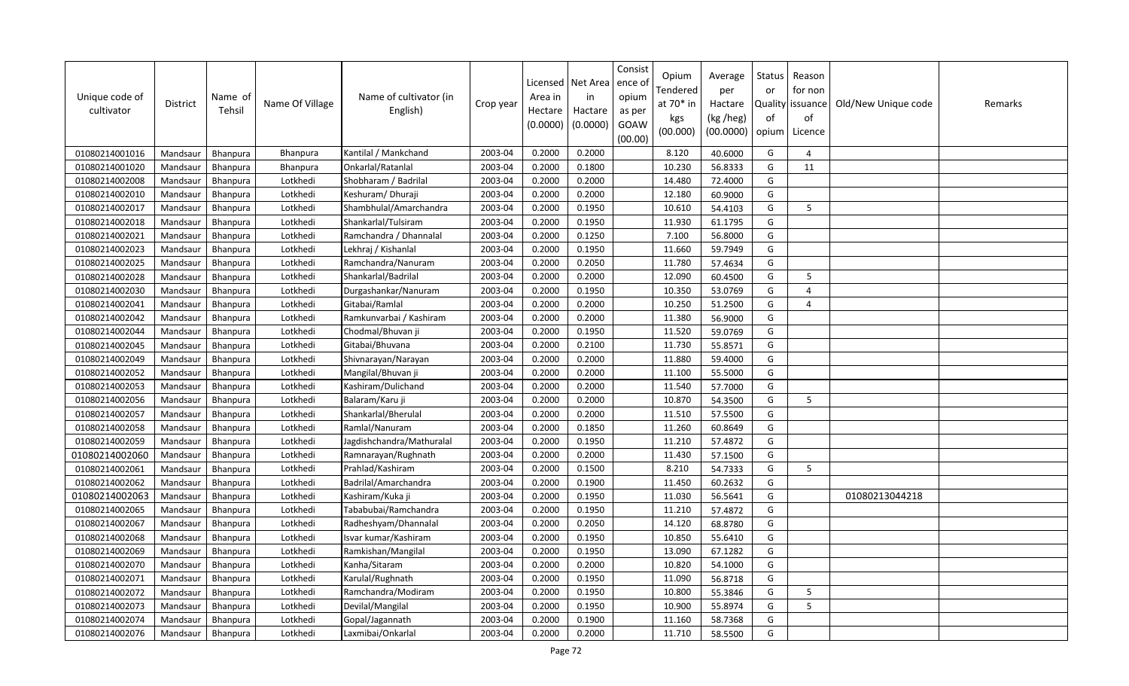| Unique code of<br>cultivator | <b>District</b> | Name of<br>Tehsil | Name Of Village | Name of cultivator (in<br>English) | Crop year | Licensed<br>Area in<br>Hectare<br>(0.0000) | Net Area<br>in<br>Hactare<br>(0.0000) | Consist<br>ence ol<br>opium<br>as per<br>GOAW<br>(00.00) | Opium<br>Tendered<br>at 70* in<br>kgs<br>(00.000) | Average<br>per<br>Hactare<br>(kg /heg)<br>(00.0000) | Status<br>or<br>of<br>opium | Reason<br>for non<br>Quality issuance<br>of<br>Licence | Old/New Unique code | Remarks |
|------------------------------|-----------------|-------------------|-----------------|------------------------------------|-----------|--------------------------------------------|---------------------------------------|----------------------------------------------------------|---------------------------------------------------|-----------------------------------------------------|-----------------------------|--------------------------------------------------------|---------------------|---------|
| 01080214001016               | Mandsaur        | Bhanpura          | Bhanpura        | Kantilal / Mankchand               | 2003-04   | 0.2000                                     | 0.2000                                |                                                          | 8.120                                             | 40.6000                                             | G                           | $\overline{a}$                                         |                     |         |
| 01080214001020               | Mandsaur        | Bhanpura          | Bhanpura        | Onkarlal/Ratanlal                  | 2003-04   | 0.2000                                     | 0.1800                                |                                                          | 10.230                                            | 56.8333                                             | G                           | 11                                                     |                     |         |
| 01080214002008               | Mandsaur        | <b>Bhanpura</b>   | Lotkhedi        | Shobharam / Badrilal               | 2003-04   | 0.2000                                     | 0.2000                                |                                                          | 14.480                                            | 72.4000                                             | G                           |                                                        |                     |         |
| 01080214002010               | Mandsaur        | Bhanpura          | Lotkhedi        | Keshuram/Dhuraji                   | 2003-04   | 0.2000                                     | 0.2000                                |                                                          | 12.180                                            | 60.9000                                             | G                           |                                                        |                     |         |
| 01080214002017               | Mandsaur        | <b>Bhanpura</b>   | Lotkhedi        | Shambhulal/Amarchandra             | 2003-04   | 0.2000                                     | 0.1950                                |                                                          | 10.610                                            | 54.4103                                             | G                           | 5                                                      |                     |         |
| 01080214002018               | Mandsaur        | Bhanpura          | Lotkhedi        | Shankarlal/Tulsiram                | 2003-04   | 0.2000                                     | 0.1950                                |                                                          | 11.930                                            | 61.1795                                             | G                           |                                                        |                     |         |
| 01080214002021               | Mandsaur        | Bhanpura          | Lotkhedi        | Ramchandra / Dhannalal             | 2003-04   | 0.2000                                     | 0.1250                                |                                                          | 7.100                                             | 56.8000                                             | G                           |                                                        |                     |         |
| 01080214002023               | Mandsaur        | Bhanpura          | Lotkhedi        | Lekhraj / Kishanlal                | 2003-04   | 0.2000                                     | 0.1950                                |                                                          | 11.660                                            | 59.7949                                             | G                           |                                                        |                     |         |
| 01080214002025               | Mandsaur        | Bhanpura          | Lotkhedi        | Ramchandra/Nanuram                 | 2003-04   | 0.2000                                     | 0.2050                                |                                                          | 11.780                                            | 57.4634                                             | G                           |                                                        |                     |         |
| 01080214002028               | Mandsaur        | <b>Bhanpura</b>   | Lotkhedi        | Shankarlal/Badrilal                | 2003-04   | 0.2000                                     | 0.2000                                |                                                          | 12.090                                            | 60.4500                                             | G                           | 5                                                      |                     |         |
| 01080214002030               | Mandsaur        | Bhanpura          | Lotkhedi        | Durgashankar/Nanuram               | 2003-04   | 0.2000                                     | 0.1950                                |                                                          | 10.350                                            | 53.0769                                             | G                           | $\overline{4}$                                         |                     |         |
| 01080214002041               | Mandsaur        | Bhanpura          | Lotkhedi        | Gitabai/Ramlal                     | 2003-04   | 0.2000                                     | 0.2000                                |                                                          | 10.250                                            | 51.2500                                             | G                           | $\overline{4}$                                         |                     |         |
| 01080214002042               | Mandsaur        | Bhanpura          | Lotkhedi        | Ramkunvarbai / Kashiram            | 2003-04   | 0.2000                                     | 0.2000                                |                                                          | 11.380                                            | 56.9000                                             | G                           |                                                        |                     |         |
| 01080214002044               | Mandsaur        | Bhanpura          | Lotkhedi        | Chodmal/Bhuvan ji                  | 2003-04   | 0.2000                                     | 0.1950                                |                                                          | 11.520                                            | 59.0769                                             | G                           |                                                        |                     |         |
| 01080214002045               | Mandsaur        | Bhanpura          | Lotkhedi        | Gitabai/Bhuvana                    | 2003-04   | 0.2000                                     | 0.2100                                |                                                          | 11.730                                            | 55.8571                                             | G                           |                                                        |                     |         |
| 01080214002049               | Mandsaur        | Bhanpura          | Lotkhedi        | Shivnarayan/Narayan                | 2003-04   | 0.2000                                     | 0.2000                                |                                                          | 11.880                                            | 59.4000                                             | G                           |                                                        |                     |         |
| 01080214002052               | Mandsaur        | Bhanpura          | Lotkhedi        | Mangilal/Bhuvan ji                 | 2003-04   | 0.2000                                     | 0.2000                                |                                                          | 11.100                                            | 55.5000                                             | G                           |                                                        |                     |         |
| 01080214002053               | Mandsaur        | Bhanpura          | Lotkhedi        | Kashiram/Dulichand                 | 2003-04   | 0.2000                                     | 0.2000                                |                                                          | 11.540                                            | 57.7000                                             | G                           |                                                        |                     |         |
| 01080214002056               | Mandsaur        | Bhanpura          | Lotkhedi        | Balaram/Karu ji                    | 2003-04   | 0.2000                                     | 0.2000                                |                                                          | 10.870                                            | 54.3500                                             | G                           | 5                                                      |                     |         |
| 01080214002057               | Mandsaur        | <b>Bhanpura</b>   | Lotkhedi        | Shankarlal/Bherulal                | 2003-04   | 0.2000                                     | 0.2000                                |                                                          | 11.510                                            | 57.5500                                             | G                           |                                                        |                     |         |
| 01080214002058               | Mandsaur        | Bhanpura          | Lotkhedi        | Ramlal/Nanuram                     | 2003-04   | 0.2000                                     | 0.1850                                |                                                          | 11.260                                            | 60.8649                                             | G                           |                                                        |                     |         |
| 01080214002059               | Mandsaur        | Bhanpura          | Lotkhedi        | Jagdishchandra/Mathuralal          | 2003-04   | 0.2000                                     | 0.1950                                |                                                          | 11.210                                            | 57.4872                                             | G                           |                                                        |                     |         |
| 01080214002060               | Mandsaur        | Bhanpura          | Lotkhedi        | Ramnarayan/Rughnath                | 2003-04   | 0.2000                                     | 0.2000                                |                                                          | 11.430                                            | 57.1500                                             | G                           |                                                        |                     |         |
| 01080214002061               | Mandsaur        | Bhanpura          | Lotkhedi        | Prahlad/Kashiram                   | 2003-04   | 0.2000                                     | 0.1500                                |                                                          | 8.210                                             | 54.7333                                             | G                           | 5                                                      |                     |         |
| 01080214002062               | Mandsaur        | Bhanpura          | Lotkhedi        | Badrilal/Amarchandra               | 2003-04   | 0.2000                                     | 0.1900                                |                                                          | 11.450                                            | 60.2632                                             | G                           |                                                        |                     |         |
| 01080214002063               | Mandsaur        | Bhanpura          | Lotkhedi        | Kashiram/Kuka ji                   | 2003-04   | 0.2000                                     | 0.1950                                |                                                          | 11.030                                            | 56.5641                                             | G                           |                                                        | 01080213044218      |         |
| 01080214002065               | Mandsaur        | Bhanpura          | Lotkhedi        | Tababubai/Ramchandra               | 2003-04   | 0.2000                                     | 0.1950                                |                                                          | 11.210                                            | 57.4872                                             | G                           |                                                        |                     |         |
| 01080214002067               | Mandsaur        | Bhanpura          | Lotkhedi        | Radheshyam/Dhannalal               | 2003-04   | 0.2000                                     | 0.2050                                |                                                          | 14.120                                            | 68.8780                                             | G                           |                                                        |                     |         |
| 01080214002068               | Mandsaur        | Bhanpura          | Lotkhedi        | Isvar kumar/Kashiram               | 2003-04   | 0.2000                                     | 0.1950                                |                                                          | 10.850                                            | 55.6410                                             | G                           |                                                        |                     |         |
| 01080214002069               | Mandsaur        | <b>Bhanpura</b>   | Lotkhedi        | Ramkishan/Mangilal                 | 2003-04   | 0.2000                                     | 0.1950                                |                                                          | 13.090                                            | 67.1282                                             | G                           |                                                        |                     |         |
| 01080214002070               | Mandsaur        | Bhanpura          | Lotkhedi        | Kanha/Sitaram                      | 2003-04   | 0.2000                                     | 0.2000                                |                                                          | 10.820                                            | 54.1000                                             | G                           |                                                        |                     |         |
| 01080214002071               | Mandsaur        | Bhanpura          | Lotkhedi        | Karulal/Rughnath                   | 2003-04   | 0.2000                                     | 0.1950                                |                                                          | 11.090                                            | 56.8718                                             | G                           |                                                        |                     |         |
| 01080214002072               | Mandsaur        | <b>Bhanpura</b>   | Lotkhedi        | Ramchandra/Modiram                 | 2003-04   | 0.2000                                     | 0.1950                                |                                                          | 10.800                                            | 55.3846                                             | G                           | 5                                                      |                     |         |
| 01080214002073               | Mandsaur        | Bhanpura          | Lotkhedi        | Devilal/Mangilal                   | 2003-04   | 0.2000                                     | 0.1950                                |                                                          | 10.900                                            | 55.8974                                             | G                           | 5                                                      |                     |         |
| 01080214002074               | Mandsaur        | <b>Bhanpura</b>   | Lotkhedi        | Gopal/Jagannath                    | 2003-04   | 0.2000                                     | 0.1900                                |                                                          | 11.160                                            | 58.7368                                             | G                           |                                                        |                     |         |
| 01080214002076               | Mandsaur        | Bhanpura          | Lotkhedi        | Laxmibai/Onkarlal                  | 2003-04   | 0.2000                                     | 0.2000                                |                                                          | 11.710                                            | 58.5500                                             | G                           |                                                        |                     |         |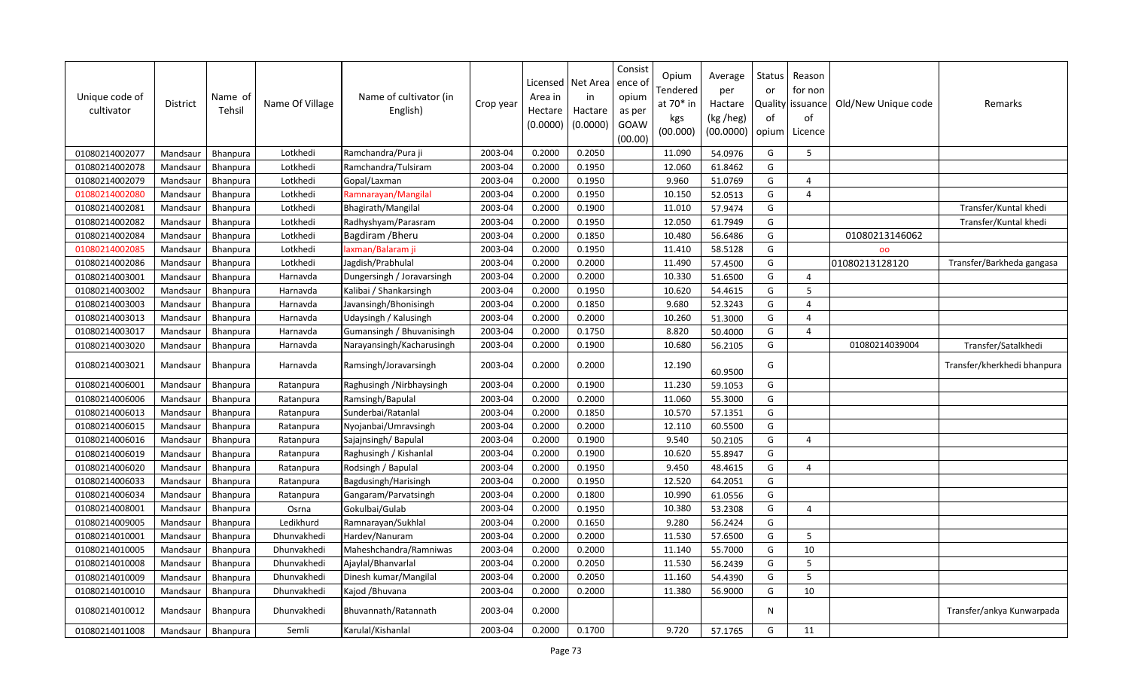| Unique code of<br>cultivator | District | Name of<br>Tehsil | Name Of Village | Name of cultivator (in<br>English) | Crop year | Licensed<br>Area in<br>Hectare<br>(0.0000) | Net Area<br>in<br>Hactare<br>(0.0000) | Consist<br>ence of<br>opium<br>as per<br>GOAW<br>(00.00) | Opium<br>Tendered<br>at 70* in<br>kgs<br>(00.000) | Average<br>per<br>Hactare<br>(kg /heg)<br>(00.0000) | Status<br>or<br>0f<br>opium | Reason<br>for non<br>Quality   issuance<br>of<br>Licence | Old/New Unique code | Remarks                     |
|------------------------------|----------|-------------------|-----------------|------------------------------------|-----------|--------------------------------------------|---------------------------------------|----------------------------------------------------------|---------------------------------------------------|-----------------------------------------------------|-----------------------------|----------------------------------------------------------|---------------------|-----------------------------|
| 01080214002077               | Mandsaur | Bhanpura          | Lotkhedi        | Ramchandra/Pura ji                 | 2003-04   | 0.2000                                     | 0.2050                                |                                                          | 11.090                                            | 54.0976                                             | G                           | 5                                                        |                     |                             |
| 01080214002078               | Mandsaur | Bhanpura          | Lotkhedi        | Ramchandra/Tulsiram                | 2003-04   | 0.2000                                     | 0.1950                                |                                                          | 12.060                                            | 61.8462                                             | G                           |                                                          |                     |                             |
| 01080214002079               | Mandsaur | <b>Bhanpura</b>   | Lotkhedi        | Gopal/Laxman                       | 2003-04   | 0.2000                                     | 0.1950                                |                                                          | 9.960                                             | 51.0769                                             | G                           | $\boldsymbol{\varDelta}$                                 |                     |                             |
| 01080214002080               | Mandsaur | Bhanpura          | Lotkhedi        | Ramnarayan/Mangilal                | 2003-04   | 0.2000                                     | 0.1950                                |                                                          | 10.150                                            | 52.0513                                             | G                           | $\overline{4}$                                           |                     |                             |
| 01080214002081               | Mandsaur | Bhanpura          | Lotkhedi        | Bhagirath/Mangilal                 | 2003-04   | 0.2000                                     | 0.1900                                |                                                          | 11.010                                            | 57.9474                                             | G                           |                                                          |                     | Transfer/Kuntal khedi       |
| 01080214002082               | Mandsaur | Bhanpura          | Lotkhedi        | Radhyshyam/Parasram                | 2003-04   | 0.2000                                     | 0.1950                                |                                                          | 12.050                                            | 61.7949                                             | G                           |                                                          |                     | Transfer/Kuntal khedi       |
| 01080214002084               | Mandsaur | Bhanpura          | Lotkhedi        | Bagdiram / Bheru                   | 2003-04   | 0.2000                                     | 0.1850                                |                                                          | 10.480                                            | 56.6486                                             | G                           |                                                          | 01080213146062      |                             |
| 01080214002085               | Mandsaur | Bhanpura          | Lotkhedi        | laxman/Balaram ji                  | 2003-04   | 0.2000                                     | 0.1950                                |                                                          | 11.410                                            | 58.5128                                             | G                           |                                                          | 00                  |                             |
| 01080214002086               | Mandsaur | Bhanpura          | Lotkhedi        | Jagdish/Prabhulal                  | 2003-04   | 0.2000                                     | 0.2000                                |                                                          | 11.490                                            | 57.4500                                             | G                           |                                                          | 01080213128120      | Transfer/Barkheda gangasa   |
| 01080214003001               | Mandsaur | <b>Bhanpura</b>   | Harnavda        | Dungersingh / Joravarsingh         | 2003-04   | 0.2000                                     | 0.2000                                |                                                          | 10.330                                            | 51.6500                                             | G                           | $\overline{4}$                                           |                     |                             |
| 01080214003002               | Mandsaur | Bhanpura          | Harnavda        | Kalibai / Shankarsingh             | 2003-04   | 0.2000                                     | 0.1950                                |                                                          | 10.620                                            | 54.4615                                             | G                           | 5                                                        |                     |                             |
| 01080214003003               | Mandsaur | Bhanpura          | Harnavda        | Javansingh/Bhonisingh              | 2003-04   | 0.2000                                     | 0.1850                                |                                                          | 9.680                                             | 52.3243                                             | G                           | $\Delta$                                                 |                     |                             |
| 01080214003013               | Mandsaur | Bhanpura          | Harnavda        | Udaysingh / Kalusingh              | 2003-04   | 0.2000                                     | 0.2000                                |                                                          | 10.260                                            | 51.3000                                             | G                           | $\overline{a}$                                           |                     |                             |
| 01080214003017               | Mandsaur | Bhanpura          | Harnavda        | Gumansingh / Bhuvanisingh          | 2003-04   | 0.2000                                     | 0.1750                                |                                                          | 8.820                                             | 50.4000                                             | G                           | $\overline{4}$                                           |                     |                             |
| 01080214003020               | Mandsaur | Bhanpura          | Harnavda        | Narayansingh/Kacharusingh          | 2003-04   | 0.2000                                     | 0.1900                                |                                                          | 10.680                                            | 56.2105                                             | G                           |                                                          | 01080214039004      | Transfer/Satalkhedi         |
| 01080214003021               | Mandsaur | Bhanpura          | Harnavda        | Ramsingh/Joravarsingh              | 2003-04   | 0.2000                                     | 0.2000                                |                                                          | 12.190                                            | 60.9500                                             | G                           |                                                          |                     | Transfer/kherkhedi bhanpura |
| 01080214006001               | Mandsaur | Bhanpura          | Ratanpura       | Raghusingh / Nirbhaysingh          | 2003-04   | 0.2000                                     | 0.1900                                |                                                          | 11.230                                            | 59.1053                                             | G                           |                                                          |                     |                             |
| 01080214006006               | Mandsaur | Bhanpura          | Ratanpura       | Ramsingh/Bapulal                   | 2003-04   | 0.2000                                     | 0.2000                                |                                                          | 11.060                                            | 55.3000                                             | G                           |                                                          |                     |                             |
| 01080214006013               | Mandsaur | Bhanpura          | Ratanpura       | Sunderbai/Ratanlal                 | 2003-04   | 0.2000                                     | 0.1850                                |                                                          | 10.570                                            | 57.1351                                             | G                           |                                                          |                     |                             |
| 01080214006015               | Mandsaur | Bhanpura          | Ratanpura       | Nyojanbai/Umravsingh               | 2003-04   | 0.2000                                     | 0.2000                                |                                                          | 12.110                                            | 60.5500                                             | G                           |                                                          |                     |                             |
| 01080214006016               | Mandsaur | <b>Bhanpura</b>   | Ratanpura       | Sajajnsingh/Bapulal                | 2003-04   | 0.2000                                     | 0.1900                                |                                                          | 9.540                                             | 50.2105                                             | G                           | $\overline{4}$                                           |                     |                             |
| 01080214006019               | Mandsaur | Bhanpura          | Ratanpura       | Raghusingh / Kishanlal             | 2003-04   | 0.2000                                     | 0.1900                                |                                                          | 10.620                                            | 55.8947                                             | G                           |                                                          |                     |                             |
| 01080214006020               | Mandsaur | Bhanpura          | Ratanpura       | Rodsingh / Bapulal                 | 2003-04   | 0.2000                                     | 0.1950                                |                                                          | 9.450                                             | 48.4615                                             | G                           | $\Delta$                                                 |                     |                             |
| 01080214006033               | Mandsaur | Bhanpura          | Ratanpura       | Bagdusingh/Harisingh               | 2003-04   | 0.2000                                     | 0.1950                                |                                                          | 12.520                                            | 64.2051                                             | G                           |                                                          |                     |                             |
| 01080214006034               | Mandsaur | Bhanpura          | Ratanpura       | Gangaram/Parvatsingh               | 2003-04   | 0.2000                                     | 0.1800                                |                                                          | 10.990                                            | 61.0556                                             | G                           |                                                          |                     |                             |
| 01080214008001               | Mandsaur | <b>Bhanpura</b>   | Osrna           | Gokulbai/Gulab                     | 2003-04   | 0.2000                                     | 0.1950                                |                                                          | 10.380                                            | 53.2308                                             | G                           | $\Delta$                                                 |                     |                             |
| 01080214009005               | Mandsaur | Bhanpura          | Ledikhurd       | Ramnarayan/Sukhlal                 | 2003-04   | 0.2000                                     | 0.1650                                |                                                          | 9.280                                             | 56.2424                                             | G                           |                                                          |                     |                             |
| 01080214010001               | Mandsaur | Bhanpura          | Dhunvakhedi     | Hardev/Nanuram                     | 2003-04   | 0.2000                                     | 0.2000                                |                                                          | 11.530                                            | 57.6500                                             | G                           | 5                                                        |                     |                             |
| 01080214010005               | Mandsaur | Bhanpura          | Dhunvakhedi     | Maheshchandra/Ramniwas             | 2003-04   | 0.2000                                     | 0.2000                                |                                                          | 11.140                                            | 55.7000                                             | G                           | 10                                                       |                     |                             |
| 01080214010008               | Mandsaur | <b>Bhanpura</b>   | Dhunvakhedi     | Ajaylal/Bhanvarlal                 | 2003-04   | 0.2000                                     | 0.2050                                |                                                          | 11.530                                            | 56.2439                                             | G                           | 5                                                        |                     |                             |
| 01080214010009               | Mandsaur | Bhanpura          | Dhunvakhedi     | Dinesh kumar/Mangilal              | 2003-04   | 0.2000                                     | 0.2050                                |                                                          | 11.160                                            | 54.4390                                             | G                           | $5\overline{)}$                                          |                     |                             |
| 01080214010010               | Mandsaur | Bhanpura          | Dhunvakhedi     | Kajod / Bhuvana                    | 2003-04   | 0.2000                                     | 0.2000                                |                                                          | 11.380                                            | 56.9000                                             | G                           | 10                                                       |                     |                             |
| 01080214010012               | Mandsaur | <b>Bhanpura</b>   | Dhunvakhedi     | Bhuvannath/Ratannath               | 2003-04   | 0.2000                                     |                                       |                                                          |                                                   |                                                     | N                           |                                                          |                     | Transfer/ankya Kunwarpada   |
| 01080214011008               | Mandsaur | Bhanpura          | Semli           | Karulal/Kishanlal                  | 2003-04   | 0.2000                                     | 0.1700                                |                                                          | 9.720                                             | 57.1765                                             | G                           | 11                                                       |                     |                             |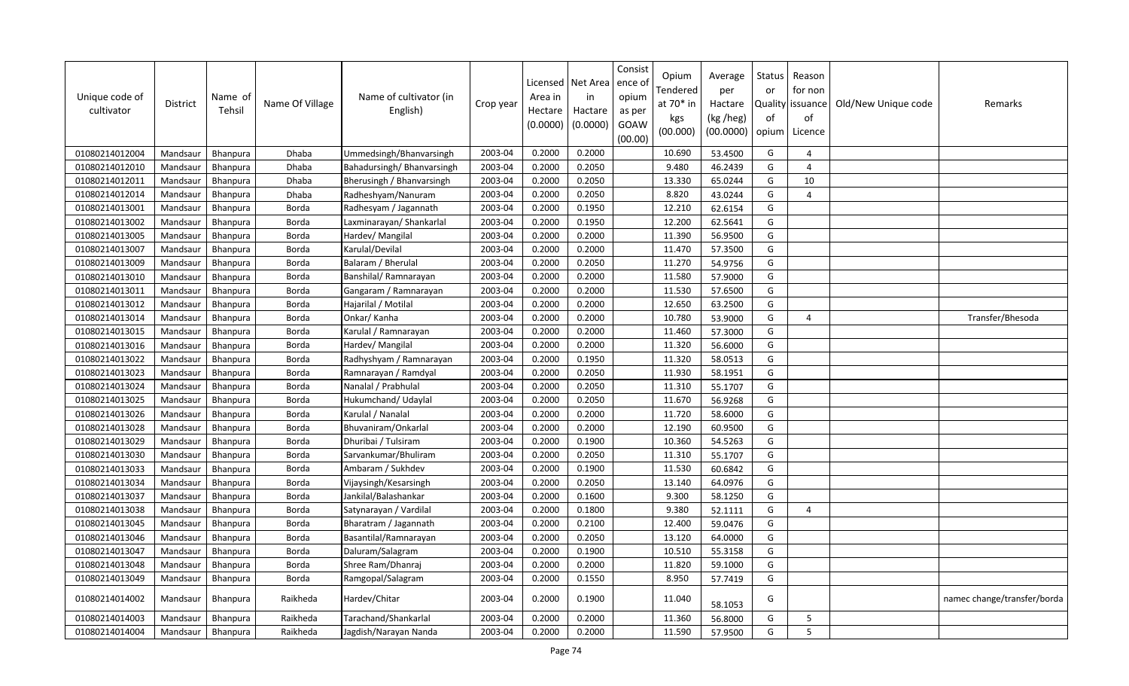| Unique code of<br>cultivator | <b>District</b> | Name of<br>Tehsil | Name Of Village | Name of cultivator (in<br>English) | Crop year | Licensed<br>Area in<br>Hectare<br>(0.0000) | Net Area<br>in<br>Hactare<br>(0.0000) | Consist<br>ence of<br>opium<br>as per<br>GOAW<br>(00.00) | Opium<br>Tendered<br>at 70* in<br>kgs<br>(00.000) | Average<br>per<br>Hactare<br>(kg /heg)<br>(00.0000) | <b>Status</b><br>or<br>of<br>opium | Reason<br>for non<br>Quality issuance<br>of<br>Licence | Old/New Unique code | Remarks                     |
|------------------------------|-----------------|-------------------|-----------------|------------------------------------|-----------|--------------------------------------------|---------------------------------------|----------------------------------------------------------|---------------------------------------------------|-----------------------------------------------------|------------------------------------|--------------------------------------------------------|---------------------|-----------------------------|
| 01080214012004               | Mandsaur        | Bhanpura          | Dhaba           | Ummedsingh/Bhanvarsingh            | 2003-04   | 0.2000                                     | 0.2000                                |                                                          | 10.690                                            | 53.4500                                             | G                                  | $\Delta$                                               |                     |                             |
| 01080214012010               | Mandsaur        | Bhanpura          | Dhaba           | Bahadursingh/ Bhanvarsingh         | 2003-04   | 0.2000                                     | 0.2050                                |                                                          | 9.480                                             | 46.2439                                             | G                                  | $\Delta$                                               |                     |                             |
| 01080214012011               | Mandsaur        | Bhanpura          | Dhaba           | Bherusingh / Bhanvarsingh          | 2003-04   | 0.2000                                     | 0.2050                                |                                                          | 13.330                                            | 65.0244                                             | G                                  | 10                                                     |                     |                             |
| 01080214012014               | Mandsaur        | Bhanpura          | Dhaba           | Radheshyam/Nanuram                 | 2003-04   | 0.2000                                     | 0.2050                                |                                                          | 8.820                                             | 43.0244                                             | G                                  | $\overline{4}$                                         |                     |                             |
| 01080214013001               | Mandsaur        | Bhanpura          | Borda           | Radhesyam / Jagannath              | 2003-04   | 0.2000                                     | 0.1950                                |                                                          | 12.210                                            | 62.6154                                             | G                                  |                                                        |                     |                             |
| 01080214013002               | Mandsaur        | <b>Bhanpura</b>   | Borda           | Laxminarayan/ Shankarlal           | 2003-04   | 0.2000                                     | 0.1950                                |                                                          | 12.200                                            | 62.5641                                             | G                                  |                                                        |                     |                             |
| 01080214013005               | Mandsaur        | Bhanpura          | <b>Borda</b>    | Hardev/ Mangilal                   | 2003-04   | 0.2000                                     | 0.2000                                |                                                          | 11.390                                            | 56.9500                                             | G                                  |                                                        |                     |                             |
| 01080214013007               | Mandsaur        | Bhanpura          | Borda           | Karulal/Devilal                    | 2003-04   | 0.2000                                     | 0.2000                                |                                                          | 11.470                                            | 57.3500                                             | G                                  |                                                        |                     |                             |
| 01080214013009               | Mandsaur        | <b>Bhanpura</b>   | Borda           | Balaram / Bherulal                 | 2003-04   | 0.2000                                     | 0.2050                                |                                                          | 11.270                                            | 54.9756                                             | G                                  |                                                        |                     |                             |
| 01080214013010               | Mandsaur        | <b>Bhanpura</b>   | Borda           | Banshilal/Ramnarayan               | 2003-04   | 0.2000                                     | 0.2000                                |                                                          | 11.580                                            | 57.9000                                             | G                                  |                                                        |                     |                             |
| 01080214013011               | Mandsaur        | Bhanpura          | Borda           | Gangaram / Ramnarayan              | 2003-04   | 0.2000                                     | 0.2000                                |                                                          | 11.530                                            | 57.6500                                             | G                                  |                                                        |                     |                             |
| 01080214013012               | Mandsaur        | <b>Bhanpura</b>   | Borda           | Hajarilal / Motilal                | 2003-04   | 0.2000                                     | 0.2000                                |                                                          | 12.650                                            | 63.2500                                             | G                                  |                                                        |                     |                             |
| 01080214013014               | Mandsaur        | Bhanpura          | Borda           | Onkar/Kanha                        | 2003-04   | 0.2000                                     | 0.2000                                |                                                          | 10.780                                            | 53.9000                                             | G                                  | $\overline{4}$                                         |                     | Transfer/Bhesoda            |
| 01080214013015               | Mandsaur        | Bhanpura          | Borda           | Karulal / Ramnarayan               | 2003-04   | 0.2000                                     | 0.2000                                |                                                          | 11.460                                            | 57.3000                                             | G                                  |                                                        |                     |                             |
| 01080214013016               | Mandsaur        | Bhanpura          | Borda           | Hardev/ Mangilal                   | 2003-04   | 0.2000                                     | 0.2000                                |                                                          | 11.320                                            | 56.6000                                             | G                                  |                                                        |                     |                             |
| 01080214013022               | Mandsaur        | Bhanpura          | Borda           | Radhyshyam / Ramnarayan            | 2003-04   | 0.2000                                     | 0.1950                                |                                                          | 11.320                                            | 58.0513                                             | G                                  |                                                        |                     |                             |
| 01080214013023               | Mandsaur        | Bhanpura          | Borda           | Ramnarayan / Ramdyal               | 2003-04   | 0.2000                                     | 0.2050                                |                                                          | 11.930                                            | 58.1951                                             | G                                  |                                                        |                     |                             |
| 01080214013024               | Mandsaur        | Bhanpura          | Borda           | Nanalal / Prabhulal                | 2003-04   | 0.2000                                     | 0.2050                                |                                                          | 11.310                                            | 55.1707                                             | G                                  |                                                        |                     |                             |
| 01080214013025               | Mandsaur        | Bhanpura          | Borda           | Hukumchand/ Udaylal                | 2003-04   | 0.2000                                     | 0.2050                                |                                                          | 11.670                                            | 56.9268                                             | G                                  |                                                        |                     |                             |
| 01080214013026               | Mandsaur        | Bhanpura          | Borda           | Karulal / Nanalal                  | 2003-04   | 0.2000                                     | 0.2000                                |                                                          | 11.720                                            | 58.6000                                             | G                                  |                                                        |                     |                             |
| 01080214013028               | Mandsaur        | Bhanpura          | Borda           | Bhuvaniram/Onkarlal                | 2003-04   | 0.2000                                     | 0.2000                                |                                                          | 12.190                                            | 60.9500                                             | G                                  |                                                        |                     |                             |
| 01080214013029               | Mandsaur        | Bhanpura          | Borda           | Dhuribai / Tulsiram                | 2003-04   | 0.2000                                     | 0.1900                                |                                                          | 10.360                                            | 54.5263                                             | G                                  |                                                        |                     |                             |
| 01080214013030               | Mandsaur        | <b>Bhanpura</b>   | Borda           | Sarvankumar/Bhuliram               | 2003-04   | 0.2000                                     | 0.2050                                |                                                          | 11.310                                            | 55.1707                                             | G                                  |                                                        |                     |                             |
| 01080214013033               | Mandsaur        | Bhanpura          | Borda           | Ambaram / Sukhdev                  | 2003-04   | 0.2000                                     | 0.1900                                |                                                          | 11.530                                            | 60.6842                                             | G                                  |                                                        |                     |                             |
| 01080214013034               | Mandsaur        | Bhanpura          | Borda           | Vijaysingh/Kesarsingh              | 2003-04   | 0.2000                                     | 0.2050                                |                                                          | 13.140                                            | 64.0976                                             | G                                  |                                                        |                     |                             |
| 01080214013037               | Mandsaur        | <b>Bhanpura</b>   | Borda           | Jankilal/Balashankar               | 2003-04   | 0.2000                                     | 0.1600                                |                                                          | 9.300                                             | 58.1250                                             | G                                  |                                                        |                     |                             |
| 01080214013038               | Mandsaur        | <b>Bhanpura</b>   | Borda           | Satynarayan / Vardilal             | 2003-04   | 0.2000                                     | 0.1800                                |                                                          | 9.380                                             | 52.1111                                             | G                                  | $\overline{4}$                                         |                     |                             |
| 01080214013045               | Mandsaur        | Bhanpura          | Borda           | Bharatram / Jagannath              | 2003-04   | 0.2000                                     | 0.2100                                |                                                          | 12.400                                            | 59.0476                                             | G                                  |                                                        |                     |                             |
| 01080214013046               | Mandsaur        | Bhanpura          | <b>Borda</b>    | Basantilal/Ramnarayan              | 2003-04   | 0.2000                                     | 0.2050                                |                                                          | 13.120                                            | 64.0000                                             | G                                  |                                                        |                     |                             |
| 01080214013047               | Mandsaur        | Bhanpura          | Borda           | Daluram/Salagram                   | 2003-04   | 0.2000                                     | 0.1900                                |                                                          | 10.510                                            | 55.3158                                             | G                                  |                                                        |                     |                             |
| 01080214013048               | Mandsaur        | <b>Bhanpura</b>   | Borda           | Shree Ram/Dhanraj                  | 2003-04   | 0.2000                                     | 0.2000                                |                                                          | 11.820                                            | 59.1000                                             | G                                  |                                                        |                     |                             |
| 01080214013049               | Mandsaur        | Bhanpura          | Borda           | Ramgopal/Salagram                  | 2003-04   | 0.2000                                     | 0.1550                                |                                                          | 8.950                                             | 57.7419                                             | G                                  |                                                        |                     |                             |
| 01080214014002               | Mandsaur        | Bhanpura          | Raikheda        | Hardev/Chitar                      | 2003-04   | 0.2000                                     | 0.1900                                |                                                          | 11.040                                            | 58.1053                                             | G                                  |                                                        |                     | namec change/transfer/borda |
| 01080214014003               | Mandsaur        | <b>Bhanpura</b>   | Raikheda        | Tarachand/Shankarlal               | 2003-04   | 0.2000                                     | 0.2000                                |                                                          | 11.360                                            | 56.8000                                             | G                                  | 5                                                      |                     |                             |
| 01080214014004               | Mandsaur        | Bhanpura          | Raikheda        | Jagdish/Narayan Nanda              | 2003-04   | 0.2000                                     | 0.2000                                |                                                          | 11.590                                            | 57.9500                                             | G                                  | 5                                                      |                     |                             |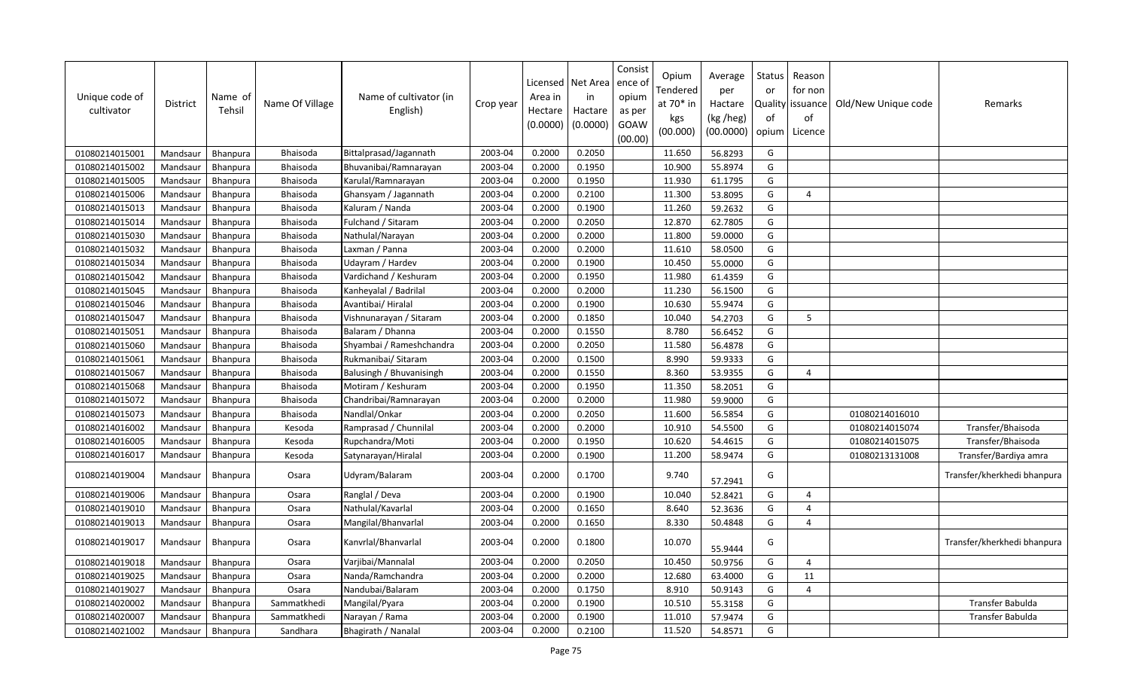| Unique code of<br>cultivator | <b>District</b> | Name of<br>Tehsil | Name Of Village | Name of cultivator (in<br>English) | Crop year | Licensed<br>Area in<br>Hectare<br>(0.0000) | Net Area<br>in<br>Hactare<br>(0.0000) | Consist<br>ence of<br>opium<br>as per<br>GOAW<br>(00.00) | Opium<br>Tendered<br>at $70*$ in<br>kgs<br>(00.000) | Average<br>per<br>Hactare<br>(kg /heg)<br>(00.0000) | <b>Status</b><br>or<br>of<br>opium | Reason<br>for non<br>Quality issuance<br>of<br>Licence | Old/New Unique code | Remarks                     |
|------------------------------|-----------------|-------------------|-----------------|------------------------------------|-----------|--------------------------------------------|---------------------------------------|----------------------------------------------------------|-----------------------------------------------------|-----------------------------------------------------|------------------------------------|--------------------------------------------------------|---------------------|-----------------------------|
| 01080214015001               | Mandsaur        | Bhanpura          | Bhaisoda        | Bittalprasad/Jagannath             | 2003-04   | 0.2000                                     | 0.2050                                |                                                          | 11.650                                              | 56.8293                                             | G                                  |                                                        |                     |                             |
| 01080214015002               | Mandsaur        | Bhanpura          | Bhaisoda        | Bhuvanibai/Ramnarayan              | 2003-04   | 0.2000                                     | 0.1950                                |                                                          | 10.900                                              | 55.8974                                             | G                                  |                                                        |                     |                             |
| 01080214015005               | Mandsaur        | Bhanpura          | Bhaisoda        | Karulal/Ramnarayan                 | 2003-04   | 0.2000                                     | 0.1950                                |                                                          | 11.930                                              | 61.1795                                             | G                                  |                                                        |                     |                             |
| 01080214015006               | Mandsaur        | Bhanpura          | Bhaisoda        | Ghansyam / Jagannath               | 2003-04   | 0.2000                                     | 0.2100                                |                                                          | 11.300                                              | 53.8095                                             | G                                  | $\overline{a}$                                         |                     |                             |
| 01080214015013               | Mandsaur        | Bhanpura          | Bhaisoda        | Kaluram / Nanda                    | 2003-04   | 0.2000                                     | 0.1900                                |                                                          | 11.260                                              | 59.2632                                             | G                                  |                                                        |                     |                             |
| 01080214015014               | Mandsaur        | Bhanpura          | Bhaisoda        | Fulchand / Sitaram                 | 2003-04   | 0.2000                                     | 0.2050                                |                                                          | 12.870                                              | 62.7805                                             | G                                  |                                                        |                     |                             |
| 01080214015030               | Mandsaur        | Bhanpura          | Bhaisoda        | Nathulal/Narayan                   | 2003-04   | 0.2000                                     | 0.2000                                |                                                          | 11.800                                              | 59.0000                                             | G                                  |                                                        |                     |                             |
| 01080214015032               | Mandsaur        | Bhanpura          | Bhaisoda        | Laxman / Panna                     | 2003-04   | 0.2000                                     | 0.2000                                |                                                          | 11.610                                              | 58.0500                                             | G                                  |                                                        |                     |                             |
| 01080214015034               | Mandsaur        | Bhanpura          | Bhaisoda        | Udayram / Hardev                   | 2003-04   | 0.2000                                     | 0.1900                                |                                                          | 10.450                                              | 55.0000                                             | G                                  |                                                        |                     |                             |
| 01080214015042               | Mandsaur        | Bhanpura          | Bhaisoda        | Vardichand / Keshuram              | 2003-04   | 0.2000                                     | 0.1950                                |                                                          | 11.980                                              | 61.4359                                             | G                                  |                                                        |                     |                             |
| 01080214015045               | Mandsaur        | Bhanpura          | Bhaisoda        | Kanheyalal / Badrilal              | 2003-04   | 0.2000                                     | 0.2000                                |                                                          | 11.230                                              | 56.1500                                             | G                                  |                                                        |                     |                             |
| 01080214015046               | Mandsaur        | Bhanpura          | Bhaisoda        | Avantibai/ Hiralal                 | 2003-04   | 0.2000                                     | 0.1900                                |                                                          | 10.630                                              | 55.9474                                             | G                                  |                                                        |                     |                             |
| 01080214015047               | Mandsaur        | Bhanpura          | Bhaisoda        | Vishnunarayan / Sitaram            | 2003-04   | 0.2000                                     | 0.1850                                |                                                          | 10.040                                              | 54.2703                                             | G                                  | 5                                                      |                     |                             |
| 01080214015051               | Mandsaur        | <b>Bhanpura</b>   | Bhaisoda        | Balaram / Dhanna                   | 2003-04   | 0.2000                                     | 0.1550                                |                                                          | 8.780                                               | 56.6452                                             | G                                  |                                                        |                     |                             |
| 01080214015060               | Mandsaur        | Bhanpura          | Bhaisoda        | Shyambai / Rameshchandra           | 2003-04   | 0.2000                                     | 0.2050                                |                                                          | 11.580                                              | 56.4878                                             | G                                  |                                                        |                     |                             |
| 01080214015061               | Mandsaur        | Bhanpura          | Bhaisoda        | Rukmanibai/ Sitaram                | 2003-04   | 0.2000                                     | 0.1500                                |                                                          | 8.990                                               | 59.9333                                             | G                                  |                                                        |                     |                             |
| 01080214015067               | Mandsaur        | Bhanpura          | Bhaisoda        | Balusingh / Bhuvanisingh           | 2003-04   | 0.2000                                     | 0.1550                                |                                                          | 8.360                                               | 53.9355                                             | G                                  | $\overline{4}$                                         |                     |                             |
| 01080214015068               | Mandsaur        | Bhanpura          | Bhaisoda        | Motiram / Keshuram                 | 2003-04   | 0.2000                                     | 0.1950                                |                                                          | 11.350                                              | 58.2051                                             | G                                  |                                                        |                     |                             |
| 01080214015072               | Mandsaur        | Bhanpura          | Bhaisoda        | Chandribai/Ramnarayan              | 2003-04   | 0.2000                                     | 0.2000                                |                                                          | 11.980                                              | 59.9000                                             | G                                  |                                                        |                     |                             |
| 01080214015073               | Mandsaur        | <b>Bhanpura</b>   | Bhaisoda        | Nandlal/Onkar                      | 2003-04   | 0.2000                                     | 0.2050                                |                                                          | 11.600                                              | 56.5854                                             | G                                  |                                                        | 01080214016010      |                             |
| 01080214016002               | Mandsaur        | Bhanpura          | Kesoda          | Ramprasad / Chunnilal              | 2003-04   | 0.2000                                     | 0.2000                                |                                                          | 10.910                                              | 54.5500                                             | G                                  |                                                        | 01080214015074      | Transfer/Bhaisoda           |
| 01080214016005               | Mandsaur        | Bhanpura          | Kesoda          | Rupchandra/Moti                    | 2003-04   | 0.2000                                     | 0.1950                                |                                                          | 10.620                                              | 54.4615                                             | G                                  |                                                        | 01080214015075      | Transfer/Bhaisoda           |
| 01080214016017               | Mandsaur        | Bhanpura          | Kesoda          | Satynarayan/Hiralal                | 2003-04   | 0.2000                                     | 0.1900                                |                                                          | 11.200                                              | 58.9474                                             | G                                  |                                                        | 01080213131008      | Transfer/Bardiya amra       |
| 01080214019004               | Mandsaur        | Bhanpura          | Osara           | Udyram/Balaram                     | 2003-04   | 0.2000                                     | 0.1700                                |                                                          | 9.740                                               | 57.2941                                             | G                                  |                                                        |                     | Transfer/kherkhedi bhanpura |
| 01080214019006               | Mandsaur        | Bhanpura          | Osara           | Ranglal / Deva                     | 2003-04   | 0.2000                                     | 0.1900                                |                                                          | 10.040                                              | 52.8421                                             | G                                  | $\overline{a}$                                         |                     |                             |
| 01080214019010               | Mandsaur        | Bhanpura          | Osara           | Nathulal/Kavarlal                  | 2003-04   | 0.2000                                     | 0.1650                                |                                                          | 8.640                                               | 52.3636                                             | G                                  | $\Delta$                                               |                     |                             |
| 01080214019013               | Mandsaur        | <b>Bhanpura</b>   | Osara           | Mangilal/Bhanvarlal                | 2003-04   | 0.2000                                     | 0.1650                                |                                                          | 8.330                                               | 50.4848                                             | G                                  | $\Delta$                                               |                     |                             |
| 01080214019017               | Mandsaur        | <b>Bhanpura</b>   | Osara           | Kanvrlal/Bhanvarlal                | 2003-04   | 0.2000                                     | 0.1800                                |                                                          | 10.070                                              | 55.9444                                             | G                                  |                                                        |                     | Transfer/kherkhedi bhanpura |
| 01080214019018               | Mandsaur        | Bhanpura          | Osara           | Varjibai/Mannalal                  | 2003-04   | 0.2000                                     | 0.2050                                |                                                          | 10.450                                              | 50.9756                                             | G                                  | $\boldsymbol{\varDelta}$                               |                     |                             |
| 01080214019025               | Mandsaur        | Bhanpura          | Osara           | Nanda/Ramchandra                   | 2003-04   | 0.2000                                     | 0.2000                                |                                                          | 12.680                                              | 63.4000                                             | G                                  | 11                                                     |                     |                             |
| 01080214019027               | Mandsaur        | Bhanpura          | Osara           | Nandubai/Balaram                   | 2003-04   | 0.2000                                     | 0.1750                                |                                                          | 8.910                                               | 50.9143                                             | G                                  | $\overline{4}$                                         |                     |                             |
| 01080214020002               | Mandsaur        | Bhanpura          | Sammatkhedi     | Mangilal/Pyara                     | 2003-04   | 0.2000                                     | 0.1900                                |                                                          | 10.510                                              | 55.3158                                             | G                                  |                                                        |                     | Transfer Babulda            |
| 01080214020007               | Mandsaur        | Bhanpura          | Sammatkhedi     | Narayan / Rama                     | 2003-04   | 0.2000                                     | 0.1900                                |                                                          | 11.010                                              | 57.9474                                             | G                                  |                                                        |                     | Transfer Babulda            |
| 01080214021002               | Mandsaur        | Bhanpura          | Sandhara        | Bhagirath / Nanalal                | 2003-04   | 0.2000                                     | 0.2100                                |                                                          | 11.520                                              | 54.8571                                             | G                                  |                                                        |                     |                             |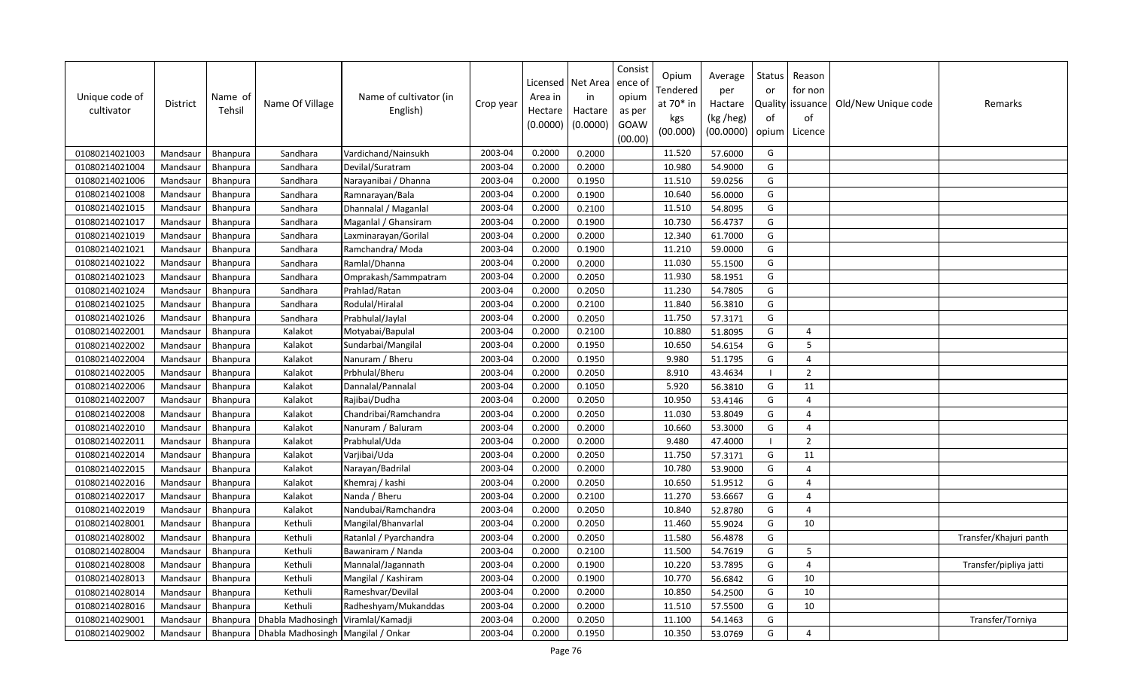| Unique code of<br>cultivator | District | Name of<br>Tehsil | Name Of Village                      | Name of cultivator (in<br>English) | Crop year | Licensed<br>Area in<br>Hectare<br>(0.0000) | Net Area<br>in<br>Hactare<br>(0.0000) | Consist<br>ence of<br>opium<br>as per<br>GOAW<br>(00.00) | Opium<br>Tendered<br>at $70*$ in<br>kgs<br>(00.000) | Average<br>per<br>Hactare<br>(kg /heg)<br>(00.0000) | Status<br>or<br>of<br>opium | Reason<br>for non<br>Quality   issuance<br>of<br>Licence | Old/New Unique code | Remarks                |
|------------------------------|----------|-------------------|--------------------------------------|------------------------------------|-----------|--------------------------------------------|---------------------------------------|----------------------------------------------------------|-----------------------------------------------------|-----------------------------------------------------|-----------------------------|----------------------------------------------------------|---------------------|------------------------|
| 01080214021003               | Mandsaur | Bhanpura          | Sandhara                             | Vardichand/Nainsukh                | 2003-04   | 0.2000                                     | 0.2000                                |                                                          | 11.520                                              | 57.6000                                             | G                           |                                                          |                     |                        |
| 01080214021004               | Mandsaur | Bhanpura          | Sandhara                             | Devilal/Suratram                   | 2003-04   | 0.2000                                     | 0.2000                                |                                                          | 10.980                                              | 54.9000                                             | G                           |                                                          |                     |                        |
| 01080214021006               | Mandsaur | Bhanpura          | Sandhara                             | Narayanibai / Dhanna               | 2003-04   | 0.2000                                     | 0.1950                                |                                                          | 11.510                                              | 59.0256                                             | G                           |                                                          |                     |                        |
| 01080214021008               | Mandsaur | <b>Bhanpura</b>   | Sandhara                             | Ramnarayan/Bala                    | 2003-04   | 0.2000                                     | 0.1900                                |                                                          | 10.640                                              | 56.0000                                             | G                           |                                                          |                     |                        |
| 01080214021015               | Mandsaur | <b>Bhanpura</b>   | Sandhara                             | Dhannalal / Maganlal               | 2003-04   | 0.2000                                     | 0.2100                                |                                                          | 11.510                                              | 54.8095                                             | G                           |                                                          |                     |                        |
| 01080214021017               | Mandsaur | Bhanpura          | Sandhara                             | Maganlal / Ghansiram               | 2003-04   | 0.2000                                     | 0.1900                                |                                                          | 10.730                                              | 56.4737                                             | G                           |                                                          |                     |                        |
| 01080214021019               | Mandsaur | Bhanpura          | Sandhara                             | Laxminarayan/Gorilal               | 2003-04   | 0.2000                                     | 0.2000                                |                                                          | 12.340                                              | 61.7000                                             | G                           |                                                          |                     |                        |
| 01080214021021               | Mandsaur | Bhanpura          | Sandhara                             | Ramchandra/ Moda                   | 2003-04   | 0.2000                                     | 0.1900                                |                                                          | 11.210                                              | 59.0000                                             | G                           |                                                          |                     |                        |
| 01080214021022               | Mandsaur | Bhanpura          | Sandhara                             | Ramlal/Dhanna                      | 2003-04   | 0.2000                                     | 0.2000                                |                                                          | 11.030                                              | 55.1500                                             | G                           |                                                          |                     |                        |
| 01080214021023               | Mandsaur | Bhanpura          | Sandhara                             | Omprakash/Sammpatram               | 2003-04   | 0.2000                                     | 0.2050                                |                                                          | 11.930                                              | 58.1951                                             | G                           |                                                          |                     |                        |
| 01080214021024               | Mandsaur | Bhanpura          | Sandhara                             | Prahlad/Ratan                      | 2003-04   | 0.2000                                     | 0.2050                                |                                                          | 11.230                                              | 54.7805                                             | G                           |                                                          |                     |                        |
| 01080214021025               | Mandsaur | Bhanpura          | Sandhara                             | Rodulal/Hiralal                    | 2003-04   | 0.2000                                     | 0.2100                                |                                                          | 11.840                                              | 56.3810                                             | G                           |                                                          |                     |                        |
| 01080214021026               | Mandsaur | Bhanpura          | Sandhara                             | Prabhulal/Jaylal                   | 2003-04   | 0.2000                                     | 0.2050                                |                                                          | 11.750                                              | 57.3171                                             | G                           |                                                          |                     |                        |
| 01080214022001               | Mandsaur | Bhanpura          | Kalakot                              | Motyabai/Bapulal                   | 2003-04   | 0.2000                                     | 0.2100                                |                                                          | 10.880                                              | 51.8095                                             | G                           | $\overline{4}$                                           |                     |                        |
| 01080214022002               | Mandsaur | Bhanpura          | Kalakot                              | Sundarbai/Mangilal                 | 2003-04   | 0.2000                                     | 0.1950                                |                                                          | 10.650                                              | 54.6154                                             | G                           | 5                                                        |                     |                        |
| 01080214022004               | Mandsaur | Bhanpura          | Kalakot                              | Nanuram / Bheru                    | 2003-04   | 0.2000                                     | 0.1950                                |                                                          | 9.980                                               | 51.1795                                             | G                           | $\overline{4}$                                           |                     |                        |
| 01080214022005               | Mandsaur | Bhanpura          | Kalakot                              | Prbhulal/Bheru                     | 2003-04   | 0.2000                                     | 0.2050                                |                                                          | 8.910                                               | 43.4634                                             |                             | $\overline{2}$                                           |                     |                        |
| 01080214022006               | Mandsaur | <b>Bhanpura</b>   | Kalakot                              | Dannalal/Pannalal                  | 2003-04   | 0.2000                                     | 0.1050                                |                                                          | 5.920                                               | 56.3810                                             | G                           | 11                                                       |                     |                        |
| 01080214022007               | Mandsaur | Bhanpura          | Kalakot                              | Rajibai/Dudha                      | 2003-04   | 0.2000                                     | 0.2050                                |                                                          | 10.950                                              | 53.4146                                             | G                           | $\Delta$                                                 |                     |                        |
| 01080214022008               | Mandsaur | Bhanpura          | Kalakot                              | Chandribai/Ramchandra              | 2003-04   | 0.2000                                     | 0.2050                                |                                                          | 11.030                                              | 53.8049                                             | G                           | $\Delta$                                                 |                     |                        |
| 01080214022010               | Mandsaur | Bhanpura          | Kalakot                              | Nanuram / Baluram                  | 2003-04   | 0.2000                                     | 0.2000                                |                                                          | 10.660                                              | 53.3000                                             | G                           | $\overline{4}$                                           |                     |                        |
| 01080214022011               | Mandsaur | Bhanpura          | Kalakot                              | Prabhulal/Uda                      | 2003-04   | 0.2000                                     | 0.2000                                |                                                          | 9.480                                               | 47.4000                                             |                             | $\overline{2}$                                           |                     |                        |
| 01080214022014               | Mandsaur | Bhanpura          | Kalakot                              | Varjibai/Uda                       | 2003-04   | 0.2000                                     | 0.2050                                |                                                          | 11.750                                              | 57.3171                                             | G                           | 11                                                       |                     |                        |
| 01080214022015               | Mandsaur | Bhanpura          | Kalakot                              | Narayan/Badrilal                   | 2003-04   | 0.2000                                     | 0.2000                                |                                                          | 10.780                                              | 53.9000                                             | G                           | $\overline{a}$                                           |                     |                        |
| 01080214022016               | Mandsaur | Bhanpura          | Kalakot                              | Khemraj / kashi                    | 2003-04   | 0.2000                                     | 0.2050                                |                                                          | 10.650                                              | 51.9512                                             | G                           | $\overline{4}$                                           |                     |                        |
| 01080214022017               | Mandsaur | Bhanpura          | Kalakot                              | Nanda / Bheru                      | 2003-04   | 0.2000                                     | 0.2100                                |                                                          | 11.270                                              | 53.6667                                             | G                           | $\Delta$                                                 |                     |                        |
| 01080214022019               | Mandsaur | Bhanpura          | Kalakot                              | Nandubai/Ramchandra                | 2003-04   | 0.2000                                     | 0.2050                                |                                                          | 10.840                                              | 52.8780                                             | G                           | $\overline{4}$                                           |                     |                        |
| 01080214028001               | Mandsaur | Bhanpura          | Kethuli                              | Mangilal/Bhanvarlal                | 2003-04   | 0.2000                                     | 0.2050                                |                                                          | 11.460                                              | 55.9024                                             | G                           | 10                                                       |                     |                        |
| 01080214028002               | Mandsaur | Bhanpura          | Kethuli                              | Ratanlal / Pyarchandra             | 2003-04   | 0.2000                                     | 0.2050                                |                                                          | 11.580                                              | 56.4878                                             | G                           |                                                          |                     | Transfer/Khajuri panth |
| 01080214028004               | Mandsaur | <b>Bhanpura</b>   | Kethuli                              | Bawaniram / Nanda                  | 2003-04   | 0.2000                                     | 0.2100                                |                                                          | 11.500                                              | 54.7619                                             | G                           | 5                                                        |                     |                        |
| 01080214028008               | Mandsaur | Bhanpura          | Kethuli                              | Mannalal/Jagannath                 | 2003-04   | 0.2000                                     | 0.1900                                |                                                          | 10.220                                              | 53.7895                                             | G                           | $\overline{4}$                                           |                     | Transfer/pipliya jatti |
| 01080214028013               | Mandsaur | Bhanpura          | Kethuli                              | Mangilal / Kashiram                | 2003-04   | 0.2000                                     | 0.1900                                |                                                          | 10.770                                              | 56.6842                                             | G                           | 10                                                       |                     |                        |
| 01080214028014               | Mandsaur | Bhanpura          | Kethuli                              | Rameshvar/Devilal                  | 2003-04   | 0.2000                                     | 0.2000                                |                                                          | 10.850                                              | 54.2500                                             | G                           | 10                                                       |                     |                        |
| 01080214028016               | Mandsaur | Bhanpura          | Kethuli                              | Radheshyam/Mukanddas               | 2003-04   | 0.2000                                     | 0.2000                                |                                                          | 11.510                                              | 57.5500                                             | G                           | 10                                                       |                     |                        |
| 01080214029001               | Mandsaur | Bhanpura          | Dhabla Madhosingh                    | Viramlal/Kamadji                   | 2003-04   | 0.2000                                     | 0.2050                                |                                                          | 11.100                                              | 54.1463                                             | G                           |                                                          |                     | Transfer/Torniya       |
| 01080214029002               | Mandsaur | Bhanpura          | Dhabla Madhosingh   Mangilal / Onkar |                                    | 2003-04   | 0.2000                                     | 0.1950                                |                                                          | 10.350                                              | 53.0769                                             | G                           | $\overline{4}$                                           |                     |                        |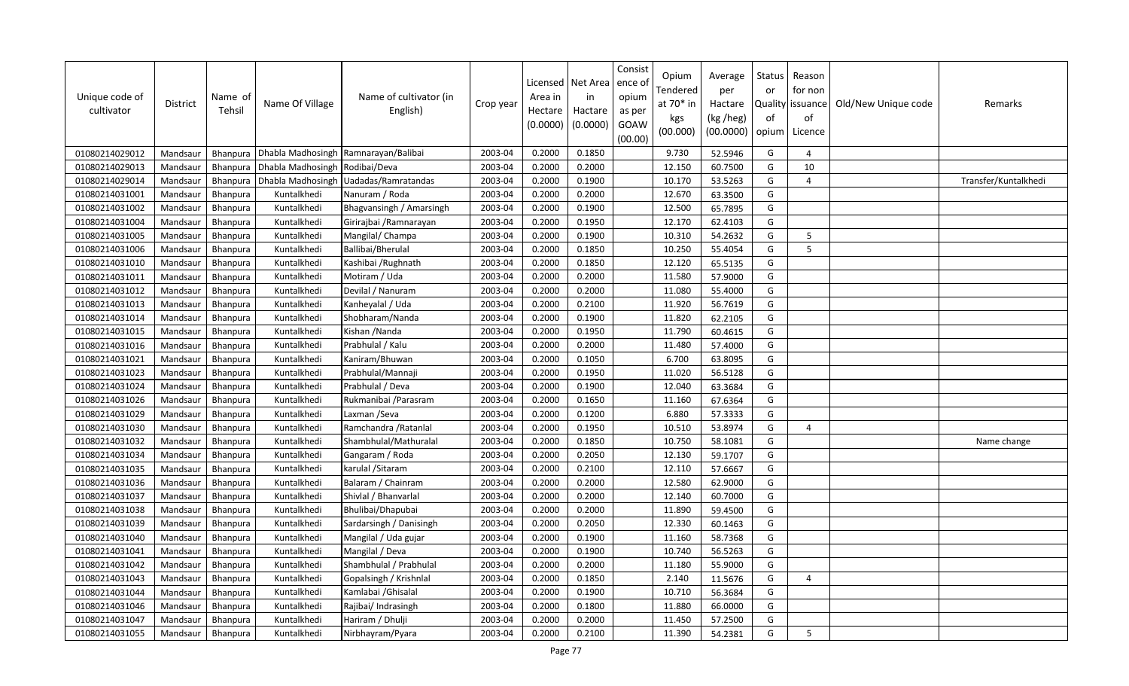| Unique code of<br>cultivator | District | Name of<br>Tehsil | Name Of Village                | Name of cultivator (in<br>English)   | Crop year | Licensed<br>Area in<br>Hectare<br>(0.0000) | Net Area<br>in<br>Hactare<br>(0.0000) | Consist<br>ence of<br>opium<br>as per<br>GOAW<br>(00.00) | Opium<br>Tendered<br>at 70* in<br>kgs<br>(00.000) | Average<br>per<br>Hactare<br>(kg /heg)<br>(00.0000) | Status<br>or<br>of<br>opium | Reason<br>for non<br>Quality   issuance<br>of<br>Licence | Old/New Unique code | Remarks              |
|------------------------------|----------|-------------------|--------------------------------|--------------------------------------|-----------|--------------------------------------------|---------------------------------------|----------------------------------------------------------|---------------------------------------------------|-----------------------------------------------------|-----------------------------|----------------------------------------------------------|---------------------|----------------------|
| 01080214029012               | Mandsaur | <b>Bhanpura</b>   |                                | Dhabla Madhosingh Ramnarayan/Balibai | 2003-04   | 0.2000                                     | 0.1850                                |                                                          | 9.730                                             | 52.5946                                             | G                           | $\overline{4}$                                           |                     |                      |
| 01080214029013               | Mandsaur | <b>Bhanpura</b>   | Dhabla Madhosingh Rodibai/Deva |                                      | 2003-04   | 0.2000                                     | 0.2000                                |                                                          | 12.150                                            | 60.7500                                             | G                           | 10                                                       |                     |                      |
| 01080214029014               | Mandsaur | <b>Bhanpura</b>   | Dhabla Madhosingh              | Uadadas/Ramratandas                  | 2003-04   | 0.2000                                     | 0.1900                                |                                                          | 10.170                                            | 53.5263                                             | G                           | $\boldsymbol{\varDelta}$                                 |                     | Transfer/Kuntalkhedi |
| 01080214031001               | Mandsaur | Bhanpura          | Kuntalkhedi                    | Nanuram / Roda                       | 2003-04   | 0.2000                                     | 0.2000                                |                                                          | 12.670                                            | 63.3500                                             | G                           |                                                          |                     |                      |
| 01080214031002               | Mandsaur | <b>Bhanpura</b>   | Kuntalkhedi                    | Bhagvansingh / Amarsingh             | 2003-04   | 0.2000                                     | 0.1900                                |                                                          | 12.500                                            | 65.7895                                             | G                           |                                                          |                     |                      |
| 01080214031004               | Mandsaur | <b>Bhanpura</b>   | Kuntalkhedi                    | Girirajbai / Ramnarayan              | 2003-04   | 0.2000                                     | 0.1950                                |                                                          | 12.170                                            | 62.4103                                             | G                           |                                                          |                     |                      |
| 01080214031005               | Mandsaur | Bhanpura          | Kuntalkhedi                    | Mangilal/ Champa                     | 2003-04   | 0.2000                                     | 0.1900                                |                                                          | 10.310                                            | 54.2632                                             | G                           | 5                                                        |                     |                      |
| 01080214031006               | Mandsaur | Bhanpura          | Kuntalkhedi                    | Ballibai/Bherulal                    | 2003-04   | 0.2000                                     | 0.1850                                |                                                          | 10.250                                            | 55.4054                                             | G                           | 5                                                        |                     |                      |
| 01080214031010               | Mandsaur | Bhanpura          | Kuntalkhedi                    | Kashibai / Rughnath                  | 2003-04   | 0.2000                                     | 0.1850                                |                                                          | 12.120                                            | 65.5135                                             | G                           |                                                          |                     |                      |
| 01080214031011               | Mandsaur | <b>Bhanpura</b>   | Kuntalkhedi                    | Motiram / Uda                        | 2003-04   | 0.2000                                     | 0.2000                                |                                                          | 11.580                                            | 57.9000                                             | G                           |                                                          |                     |                      |
| 01080214031012               | Mandsaur | Bhanpura          | Kuntalkhedi                    | Devilal / Nanuram                    | 2003-04   | 0.2000                                     | 0.2000                                |                                                          | 11.080                                            | 55.4000                                             | G                           |                                                          |                     |                      |
| 01080214031013               | Mandsaur | Bhanpura          | Kuntalkhedi                    | Kanheyalal / Uda                     | 2003-04   | 0.2000                                     | 0.2100                                |                                                          | 11.920                                            | 56.7619                                             | G                           |                                                          |                     |                      |
| 01080214031014               | Mandsaur | Bhanpura          | Kuntalkhedi                    | Shobharam/Nanda                      | 2003-04   | 0.2000                                     | 0.1900                                |                                                          | 11.820                                            | 62.2105                                             | G                           |                                                          |                     |                      |
| 01080214031015               | Mandsaur | <b>Bhanpura</b>   | Kuntalkhedi                    | Kishan /Nanda                        | 2003-04   | 0.2000                                     | 0.1950                                |                                                          | 11.790                                            | 60.4615                                             | G                           |                                                          |                     |                      |
| 01080214031016               | Mandsaur | <b>Bhanpura</b>   | Kuntalkhedi                    | Prabhulal / Kalu                     | 2003-04   | 0.2000                                     | 0.2000                                |                                                          | 11.480                                            | 57.4000                                             | G                           |                                                          |                     |                      |
| 01080214031021               | Mandsaur | Bhanpura          | Kuntalkhedi                    | Kaniram/Bhuwan                       | 2003-04   | 0.2000                                     | 0.1050                                |                                                          | 6.700                                             | 63.8095                                             | G                           |                                                          |                     |                      |
| 01080214031023               | Mandsaur | Bhanpura          | Kuntalkhedi                    | Prabhulal/Mannaji                    | 2003-04   | 0.2000                                     | 0.1950                                |                                                          | 11.020                                            | 56.5128                                             | G                           |                                                          |                     |                      |
| 01080214031024               | Mandsaur | Bhanpura          | Kuntalkhedi                    | Prabhulal / Deva                     | 2003-04   | 0.2000                                     | 0.1900                                |                                                          | 12.040                                            | 63.3684                                             | G                           |                                                          |                     |                      |
| 01080214031026               | Mandsaur | Bhanpura          | Kuntalkhedi                    | Rukmanibai / Parasram                | 2003-04   | 0.2000                                     | 0.1650                                |                                                          | 11.160                                            | 67.6364                                             | G                           |                                                          |                     |                      |
| 01080214031029               | Mandsaur | Bhanpura          | Kuntalkhedi                    | Laxman / Seva                        | 2003-04   | 0.2000                                     | 0.1200                                |                                                          | 6.880                                             | 57.3333                                             | G                           |                                                          |                     |                      |
| 01080214031030               | Mandsaur | <b>Bhanpura</b>   | Kuntalkhedi                    | Ramchandra / Ratanlal                | 2003-04   | 0.2000                                     | 0.1950                                |                                                          | 10.510                                            | 53.8974                                             | G                           | $\overline{4}$                                           |                     |                      |
| 01080214031032               | Mandsaur | <b>Bhanpura</b>   | Kuntalkhedi                    | Shambhulal/Mathuralal                | 2003-04   | 0.2000                                     | 0.1850                                |                                                          | 10.750                                            | 58.1081                                             | G                           |                                                          |                     | Name change          |
| 01080214031034               | Mandsaur | <b>Bhanpura</b>   | Kuntalkhedi                    | Gangaram / Roda                      | 2003-04   | 0.2000                                     | 0.2050                                |                                                          | 12.130                                            | 59.1707                                             | G                           |                                                          |                     |                      |
| 01080214031035               | Mandsaur | Bhanpura          | Kuntalkhedi                    | karulal / Sitaram                    | 2003-04   | 0.2000                                     | 0.2100                                |                                                          | 12.110                                            | 57.6667                                             | G                           |                                                          |                     |                      |
| 01080214031036               | Mandsaur | Bhanpura          | Kuntalkhedi                    | Balaram / Chainram                   | 2003-04   | 0.2000                                     | 0.2000                                |                                                          | 12.580                                            | 62.9000                                             | G                           |                                                          |                     |                      |
| 01080214031037               | Mandsaur | Bhanpura          | Kuntalkhedi                    | Shivlal / Bhanvarlal                 | 2003-04   | 0.2000                                     | 0.2000                                |                                                          | 12.140                                            | 60.7000                                             | G                           |                                                          |                     |                      |
| 01080214031038               | Mandsaur | Bhanpura          | Kuntalkhedi                    | Bhulibai/Dhapubai                    | 2003-04   | 0.2000                                     | 0.2000                                |                                                          | 11.890                                            | 59.4500                                             | G                           |                                                          |                     |                      |
| 01080214031039               | Mandsaur | Bhanpura          | Kuntalkhedi                    | Sardarsingh / Danisingh              | 2003-04   | 0.2000                                     | 0.2050                                |                                                          | 12.330                                            | 60.1463                                             | G                           |                                                          |                     |                      |
| 01080214031040               | Mandsaur | Bhanpura          | Kuntalkhedi                    | Mangilal / Uda gujar                 | 2003-04   | 0.2000                                     | 0.1900                                |                                                          | 11.160                                            | 58.7368                                             | G                           |                                                          |                     |                      |
| 01080214031041               | Mandsaur | <b>Bhanpura</b>   | Kuntalkhedi                    | Mangilal / Deva                      | 2003-04   | 0.2000                                     | 0.1900                                |                                                          | 10.740                                            | 56.5263                                             | G                           |                                                          |                     |                      |
| 01080214031042               | Mandsaur | <b>Bhanpura</b>   | Kuntalkhedi                    | Shambhulal / Prabhulal               | 2003-04   | 0.2000                                     | 0.2000                                |                                                          | 11.180                                            | 55.9000                                             | G                           |                                                          |                     |                      |
| 01080214031043               | Mandsaur | Bhanpura          | Kuntalkhedi                    | Gopalsingh / Krishnlal               | 2003-04   | 0.2000                                     | 0.1850                                |                                                          | 2.140                                             | 11.5676                                             | G                           | $\overline{a}$                                           |                     |                      |
| 01080214031044               | Mandsaur | <b>Bhanpura</b>   | Kuntalkhedi                    | Kamlabai / Ghisalal                  | 2003-04   | 0.2000                                     | 0.1900                                |                                                          | 10.710                                            | 56.3684                                             | G                           |                                                          |                     |                      |
| 01080214031046               | Mandsaur | <b>Bhanpura</b>   | Kuntalkhedi                    | Rajibai/ Indrasingh                  | 2003-04   | 0.2000                                     | 0.1800                                |                                                          | 11.880                                            | 66.0000                                             | G                           |                                                          |                     |                      |
| 01080214031047               | Mandsaur | <b>Bhanpura</b>   | Kuntalkhedi                    | Hariram / Dhulji                     | 2003-04   | 0.2000                                     | 0.2000                                |                                                          | 11.450                                            | 57.2500                                             | G                           |                                                          |                     |                      |
| 01080214031055               | Mandsaur | Bhanpura          | Kuntalkhedi                    | Nirbhayram/Pyara                     | 2003-04   | 0.2000                                     | 0.2100                                |                                                          | 11.390                                            | 54.2381                                             | G                           | 5                                                        |                     |                      |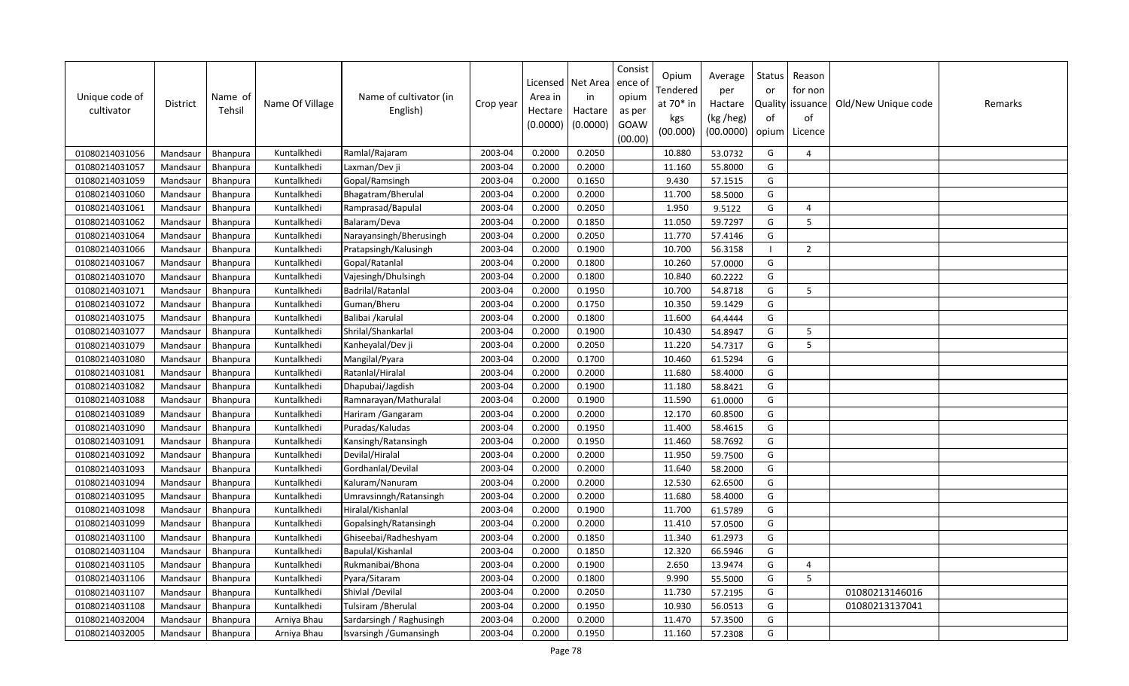| Unique code of<br>cultivator | <b>District</b> | Name of<br>Tehsil | Name Of Village | Name of cultivator (in<br>English) | Crop year | Licensed<br>Area in<br>Hectare<br>(0.0000) | Net Area<br>in<br>Hactare<br>(0.0000) | Consist<br>ence ol<br>opium<br>as per<br>GOAW<br>(00.00) | Opium<br>Tendered<br>at 70* in<br>kgs<br>(00.000) | Average<br>per<br>Hactare<br>(kg /heg)<br>(00.0000) | Status<br>or<br>of<br>opium | Reason<br>for non<br>Quality issuance<br>of<br>Licence | Old/New Unique code | Remarks |
|------------------------------|-----------------|-------------------|-----------------|------------------------------------|-----------|--------------------------------------------|---------------------------------------|----------------------------------------------------------|---------------------------------------------------|-----------------------------------------------------|-----------------------------|--------------------------------------------------------|---------------------|---------|
| 01080214031056               | Mandsaur        | <b>Bhanpura</b>   | Kuntalkhedi     | Ramlal/Rajaram                     | 2003-04   | 0.2000                                     | 0.2050                                |                                                          | 10.880                                            | 53.0732                                             | G                           | $\overline{4}$                                         |                     |         |
| 01080214031057               | Mandsaur        | Bhanpura          | Kuntalkhedi     | Laxman/Dev ji                      | 2003-04   | 0.2000                                     | 0.2000                                |                                                          | 11.160                                            | 55.8000                                             | G                           |                                                        |                     |         |
| 01080214031059               | Mandsaur        | <b>Bhanpura</b>   | Kuntalkhedi     | Gopal/Ramsingh                     | 2003-04   | 0.2000                                     | 0.1650                                |                                                          | 9.430                                             | 57.1515                                             | G                           |                                                        |                     |         |
| 01080214031060               | Mandsaur        | Bhanpura          | Kuntalkhedi     | Bhagatram/Bherulal                 | 2003-04   | 0.2000                                     | 0.2000                                |                                                          | 11.700                                            | 58.5000                                             | G                           |                                                        |                     |         |
| 01080214031061               | Mandsaur        | <b>Bhanpura</b>   | Kuntalkhedi     | Ramprasad/Bapulal                  | 2003-04   | 0.2000                                     | 0.2050                                |                                                          | 1.950                                             | 9.5122                                              | G                           | $\overline{4}$                                         |                     |         |
| 01080214031062               | Mandsaur        | Bhanpura          | Kuntalkhedi     | Balaram/Deva                       | 2003-04   | 0.2000                                     | 0.1850                                |                                                          | 11.050                                            | 59.7297                                             | G                           | 5                                                      |                     |         |
| 01080214031064               | Mandsaur        | Bhanpura          | Kuntalkhedi     | Narayansingh/Bherusingh            | 2003-04   | 0.2000                                     | 0.2050                                |                                                          | 11.770                                            | 57.4146                                             | G                           |                                                        |                     |         |
| 01080214031066               | Mandsaur        | Bhanpura          | Kuntalkhedi     | Pratapsingh/Kalusingh              | 2003-04   | 0.2000                                     | 0.1900                                |                                                          | 10.700                                            | 56.3158                                             |                             | $\overline{2}$                                         |                     |         |
| 01080214031067               | Mandsaur        | Bhanpura          | Kuntalkhedi     | Gopal/Ratanlal                     | 2003-04   | 0.2000                                     | 0.1800                                |                                                          | 10.260                                            | 57.0000                                             | G                           |                                                        |                     |         |
| 01080214031070               | Mandsaur        | <b>Bhanpura</b>   | Kuntalkhedi     | Vajesingh/Dhulsingh                | 2003-04   | 0.2000                                     | 0.1800                                |                                                          | 10.840                                            | 60.2222                                             | G                           |                                                        |                     |         |
| 01080214031071               | Mandsaur        | Bhanpura          | Kuntalkhedi     | Badrilal/Ratanlal                  | 2003-04   | 0.2000                                     | 0.1950                                |                                                          | 10.700                                            | 54.8718                                             | G                           | 5                                                      |                     |         |
| 01080214031072               | Mandsaur        | Bhanpura          | Kuntalkhedi     | Guman/Bheru                        | 2003-04   | 0.2000                                     | 0.1750                                |                                                          | 10.350                                            | 59.1429                                             | G                           |                                                        |                     |         |
| 01080214031075               | Mandsaur        | Bhanpura          | Kuntalkhedi     | Balibai /karulal                   | 2003-04   | 0.2000                                     | 0.1800                                |                                                          | 11.600                                            | 64.4444                                             | G                           |                                                        |                     |         |
| 01080214031077               | Mandsaur        | Bhanpura          | Kuntalkhedi     | Shrilal/Shankarlal                 | 2003-04   | 0.2000                                     | 0.1900                                |                                                          | 10.430                                            | 54.8947                                             | G                           | 5                                                      |                     |         |
| 01080214031079               | Mandsaur        | Bhanpura          | Kuntalkhedi     | Kanheyalal/Dev ji                  | 2003-04   | 0.2000                                     | 0.2050                                |                                                          | 11.220                                            | 54.7317                                             | G                           | 5                                                      |                     |         |
| 01080214031080               | Mandsaur        | Bhanpura          | Kuntalkhedi     | Mangilal/Pyara                     | 2003-04   | 0.2000                                     | 0.1700                                |                                                          | 10.460                                            | 61.5294                                             | G                           |                                                        |                     |         |
| 01080214031081               | Mandsaur        | Bhanpura          | Kuntalkhedi     | Ratanlal/Hiralal                   | 2003-04   | 0.2000                                     | 0.2000                                |                                                          | 11.680                                            | 58.4000                                             | G                           |                                                        |                     |         |
| 01080214031082               | Mandsaur        | Bhanpura          | Kuntalkhedi     | Dhapubai/Jagdish                   | 2003-04   | 0.2000                                     | 0.1900                                |                                                          | 11.180                                            | 58.8421                                             | G                           |                                                        |                     |         |
| 01080214031088               | Mandsaur        | Bhanpura          | Kuntalkhedi     | Ramnarayan/Mathuralal              | 2003-04   | 0.2000                                     | 0.1900                                |                                                          | 11.590                                            | 61.0000                                             | G                           |                                                        |                     |         |
| 01080214031089               | Mandsaur        | <b>Bhanpura</b>   | Kuntalkhedi     | Hariram / Gangaram                 | 2003-04   | 0.2000                                     | 0.2000                                |                                                          | 12.170                                            | 60.8500                                             | G                           |                                                        |                     |         |
| 01080214031090               | Mandsaur        | Bhanpura          | Kuntalkhedi     | Puradas/Kaludas                    | 2003-04   | 0.2000                                     | 0.1950                                |                                                          | 11.400                                            | 58.4615                                             | G                           |                                                        |                     |         |
| 01080214031091               | Mandsaur        | Bhanpura          | Kuntalkhedi     | Kansingh/Ratansingh                | 2003-04   | 0.2000                                     | 0.1950                                |                                                          | 11.460                                            | 58.7692                                             | G                           |                                                        |                     |         |
| 01080214031092               | Mandsaur        | Bhanpura          | Kuntalkhedi     | Devilal/Hiralal                    | 2003-04   | 0.2000                                     | 0.2000                                |                                                          | 11.950                                            | 59.7500                                             | G                           |                                                        |                     |         |
| 01080214031093               | Mandsaur        | Bhanpura          | Kuntalkhedi     | Gordhanlal/Devilal                 | 2003-04   | 0.2000                                     | 0.2000                                |                                                          | 11.640                                            | 58.2000                                             | G                           |                                                        |                     |         |
| 01080214031094               | Mandsaur        | Bhanpura          | Kuntalkhedi     | Kaluram/Nanuram                    | 2003-04   | 0.2000                                     | 0.2000                                |                                                          | 12.530                                            | 62.6500                                             | G                           |                                                        |                     |         |
| 01080214031095               | Mandsaur        | Bhanpura          | Kuntalkhedi     | Umravsinngh/Ratansingh             | 2003-04   | 0.2000                                     | 0.2000                                |                                                          | 11.680                                            | 58.4000                                             | G                           |                                                        |                     |         |
| 01080214031098               | Mandsaur        | Bhanpura          | Kuntalkhedi     | Hiralal/Kishanlal                  | 2003-04   | 0.2000                                     | 0.1900                                |                                                          | 11.700                                            | 61.5789                                             | G                           |                                                        |                     |         |
| 01080214031099               | Mandsaur        | Bhanpura          | Kuntalkhedi     | Gopalsingh/Ratansingh              | 2003-04   | 0.2000                                     | 0.2000                                |                                                          | 11.410                                            | 57.0500                                             | G                           |                                                        |                     |         |
| 01080214031100               | Mandsaur        | Bhanpura          | Kuntalkhedi     | Ghiseebai/Radheshyam               | 2003-04   | 0.2000                                     | 0.1850                                |                                                          | 11.340                                            | 61.2973                                             | G                           |                                                        |                     |         |
| 01080214031104               | Mandsaur        | <b>Bhanpura</b>   | Kuntalkhedi     | Bapulal/Kishanlal                  | 2003-04   | 0.2000                                     | 0.1850                                |                                                          | 12.320                                            | 66.5946                                             | G                           |                                                        |                     |         |
| 01080214031105               | Mandsaur        | Bhanpura          | Kuntalkhedi     | Rukmanibai/Bhona                   | 2003-04   | 0.2000                                     | 0.1900                                |                                                          | 2.650                                             | 13.9474                                             | G                           | $\overline{4}$                                         |                     |         |
| 01080214031106               | Mandsaur        | Bhanpura          | Kuntalkhedi     | Pyara/Sitaram                      | 2003-04   | 0.2000                                     | 0.1800                                |                                                          | 9.990                                             | 55.5000                                             | G                           | 5                                                      |                     |         |
| 01080214031107               | Mandsaur        | <b>Bhanpura</b>   | Kuntalkhedi     | Shivlal /Devilal                   | 2003-04   | 0.2000                                     | 0.2050                                |                                                          | 11.730                                            | 57.2195                                             | G                           |                                                        | 01080213146016      |         |
| 01080214031108               | Mandsaur        | Bhanpura          | Kuntalkhedi     | Tulsiram / Bherulal                | 2003-04   | 0.2000                                     | 0.1950                                |                                                          | 10.930                                            | 56.0513                                             | G                           |                                                        | 01080213137041      |         |
| 01080214032004               | Mandsaur        | <b>Bhanpura</b>   | Arniya Bhau     | Sardarsingh / Raghusingh           | 2003-04   | 0.2000                                     | 0.2000                                |                                                          | 11.470                                            | 57.3500                                             | G                           |                                                        |                     |         |
| 01080214032005               | Mandsaur        | Bhanpura          | Arniya Bhau     | Isvarsingh / Gumansingh            | 2003-04   | 0.2000                                     | 0.1950                                |                                                          | 11.160                                            | 57.2308                                             | G                           |                                                        |                     |         |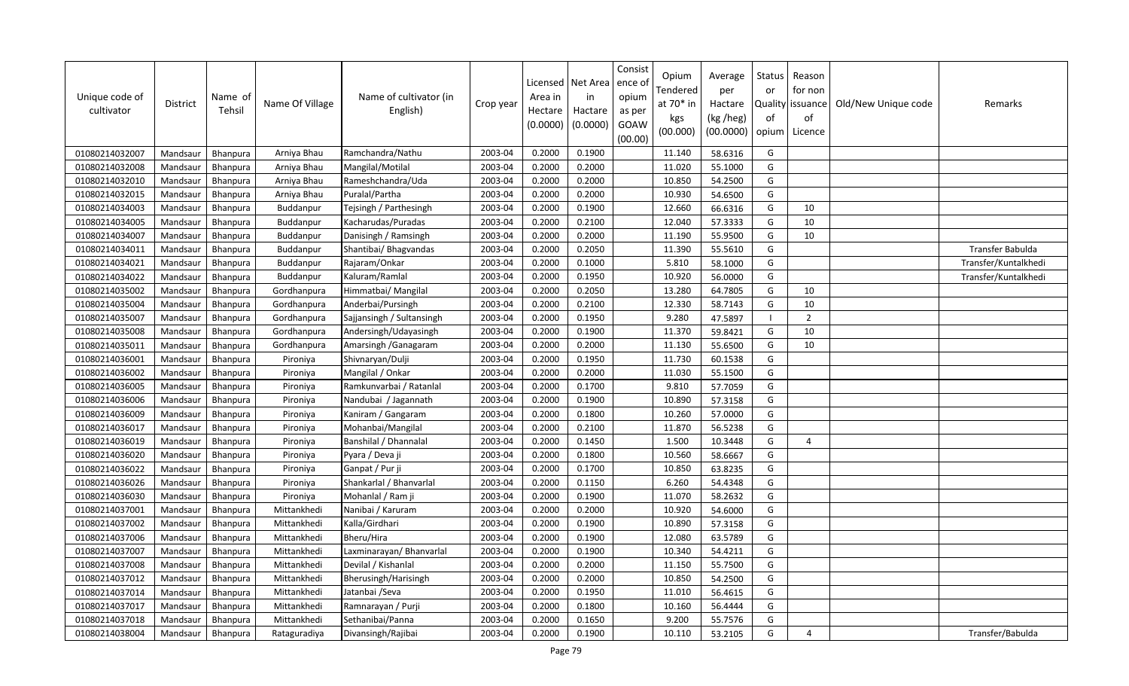| Unique code of<br>cultivator | <b>District</b> | Name of<br>Tehsil | Name Of Village | Name of cultivator (in<br>English) | Crop year | Licensed<br>Area in<br>Hectare<br>(0.0000) | Net Area<br>in<br>Hactare<br>(0.0000) | Consist<br>ence of<br>opium<br>as per<br>GOAW<br>(00.00) | Opium<br>Tendered<br>at $70*$ in<br>kgs<br>(00.000) | Average<br>per<br>Hactare<br>(kg /heg)<br>(00.0000) | Status<br>or<br>of<br>opium | Reason<br>for non<br>Quality   issuance<br>of<br>Licence | Old/New Unique code | Remarks              |
|------------------------------|-----------------|-------------------|-----------------|------------------------------------|-----------|--------------------------------------------|---------------------------------------|----------------------------------------------------------|-----------------------------------------------------|-----------------------------------------------------|-----------------------------|----------------------------------------------------------|---------------------|----------------------|
| 01080214032007               | Mandsaur        | Bhanpura          | Arniya Bhau     | Ramchandra/Nathu                   | 2003-04   | 0.2000                                     | 0.1900                                |                                                          | 11.140                                              | 58.6316                                             | G                           |                                                          |                     |                      |
| 01080214032008               | Mandsaur        | Bhanpura          | Arniya Bhau     | Mangilal/Motilal                   | 2003-04   | 0.2000                                     | 0.2000                                |                                                          | 11.020                                              | 55.1000                                             | G                           |                                                          |                     |                      |
| 01080214032010               | Mandsaur        | Bhanpura          | Arniya Bhau     | Rameshchandra/Uda                  | 2003-04   | 0.2000                                     | 0.2000                                |                                                          | 10.850                                              | 54.2500                                             | G                           |                                                          |                     |                      |
| 01080214032015               | Mandsaur        | Bhanpura          | Arniya Bhau     | Puralal/Partha                     | 2003-04   | 0.2000                                     | 0.2000                                |                                                          | 10.930                                              | 54.6500                                             | G                           |                                                          |                     |                      |
| 01080214034003               | Mandsaur        | Bhanpura          | Buddanpur       | Tejsingh / Parthesingh             | 2003-04   | 0.2000                                     | 0.1900                                |                                                          | 12.660                                              | 66.6316                                             | G                           | 10                                                       |                     |                      |
| 01080214034005               | Mandsaur        | Bhanpura          | Buddanpur       | Kacharudas/Puradas                 | 2003-04   | 0.2000                                     | 0.2100                                |                                                          | 12.040                                              | 57.3333                                             | G                           | 10                                                       |                     |                      |
| 01080214034007               | Mandsaur        | Bhanpura          | Buddanpur       | Danisingh / Ramsingh               | 2003-04   | 0.2000                                     | 0.2000                                |                                                          | 11.190                                              | 55.9500                                             | G                           | 10                                                       |                     |                      |
| 01080214034011               | Mandsaur        | Bhanpura          | Buddanpur       | Shantibai/ Bhagvandas              | 2003-04   | 0.2000                                     | 0.2050                                |                                                          | 11.390                                              | 55.5610                                             | G                           |                                                          |                     | Transfer Babulda     |
| 01080214034021               | Mandsaur        | Bhanpura          | Buddanpur       | Rajaram/Onkar                      | 2003-04   | 0.2000                                     | 0.1000                                |                                                          | 5.810                                               | 58.1000                                             | G                           |                                                          |                     | Transfer/Kuntalkhedi |
| 01080214034022               | Mandsaur        | Bhanpura          | Buddanpur       | Kaluram/Ramlal                     | 2003-04   | 0.2000                                     | 0.1950                                |                                                          | 10.920                                              | 56.0000                                             | G                           |                                                          |                     | Transfer/Kuntalkhedi |
| 01080214035002               | Mandsaur        | Bhanpura          | Gordhanpura     | Himmatbai/ Mangilal                | 2003-04   | 0.2000                                     | 0.2050                                |                                                          | 13.280                                              | 64.7805                                             | G                           | 10                                                       |                     |                      |
| 01080214035004               | Mandsaur        | Bhanpura          | Gordhanpura     | Anderbai/Pursingh                  | 2003-04   | 0.2000                                     | 0.2100                                |                                                          | 12.330                                              | 58.7143                                             | G                           | 10                                                       |                     |                      |
| 01080214035007               | Mandsaur        | Bhanpura          | Gordhanpura     | Sajjansingh / Sultansingh          | 2003-04   | 0.2000                                     | 0.1950                                |                                                          | 9.280                                               | 47.5897                                             |                             | $\overline{2}$                                           |                     |                      |
| 01080214035008               | Mandsaur        | Bhanpura          | Gordhanpura     | Andersingh/Udayasingh              | 2003-04   | 0.2000                                     | 0.1900                                |                                                          | 11.370                                              | 59.8421                                             | G                           | 10                                                       |                     |                      |
| 01080214035011               | Mandsaur        | Bhanpura          | Gordhanpura     | Amarsingh / Ganagaram              | 2003-04   | 0.2000                                     | 0.2000                                |                                                          | 11.130                                              | 55.6500                                             | G                           | 10                                                       |                     |                      |
| 01080214036001               | Mandsaur        | Bhanpura          | Pironiya        | Shivnaryan/Dulji                   | 2003-04   | 0.2000                                     | 0.1950                                |                                                          | 11.730                                              | 60.1538                                             | G                           |                                                          |                     |                      |
| 01080214036002               | Mandsaur        | Bhanpura          | Pironiya        | Mangilal / Onkar                   | 2003-04   | 0.2000                                     | 0.2000                                |                                                          | 11.030                                              | 55.1500                                             | G                           |                                                          |                     |                      |
| 01080214036005               | Mandsaur        | <b>Bhanpura</b>   | Pironiya        | Ramkunvarbai / Ratanlal            | 2003-04   | 0.2000                                     | 0.1700                                |                                                          | 9.810                                               | 57.7059                                             | G                           |                                                          |                     |                      |
| 01080214036006               | Mandsaur        | Bhanpura          | Pironiya        | Nandubai / Jagannath               | 2003-04   | 0.2000                                     | 0.1900                                |                                                          | 10.890                                              | 57.3158                                             | G                           |                                                          |                     |                      |
| 01080214036009               | Mandsaur        | Bhanpura          | Pironiya        | Kaniram / Gangaram                 | 2003-04   | 0.2000                                     | 0.1800                                |                                                          | 10.260                                              | 57.0000                                             | G                           |                                                          |                     |                      |
| 01080214036017               | Mandsaur        | Bhanpura          | Pironiya        | Mohanbai/Mangilal                  | 2003-04   | 0.2000                                     | 0.2100                                |                                                          | 11.870                                              | 56.5238                                             | G                           |                                                          |                     |                      |
| 01080214036019               | Mandsaur        | Bhanpura          | Pironiya        | Banshilal / Dhannalal              | 2003-04   | 0.2000                                     | 0.1450                                |                                                          | 1.500                                               | 10.3448                                             | G                           | $\overline{4}$                                           |                     |                      |
| 01080214036020               | Mandsaur        | Bhanpura          | Pironiya        | Pyara / Deva ji                    | 2003-04   | 0.2000                                     | 0.1800                                |                                                          | 10.560                                              | 58.6667                                             | G                           |                                                          |                     |                      |
| 01080214036022               | Mandsaur        | Bhanpura          | Pironiya        | Ganpat / Pur ji                    | 2003-04   | 0.2000                                     | 0.1700                                |                                                          | 10.850                                              | 63.8235                                             | G                           |                                                          |                     |                      |
| 01080214036026               | Mandsaur        | Bhanpura          | Pironiya        | Shankarlal / Bhanvarlal            | 2003-04   | 0.2000                                     | 0.1150                                |                                                          | 6.260                                               | 54.4348                                             | G                           |                                                          |                     |                      |
| 01080214036030               | Mandsaur        | Bhanpura          | Pironiya        | Mohanlal / Ram ji                  | 2003-04   | 0.2000                                     | 0.1900                                |                                                          | 11.070                                              | 58.2632                                             | G                           |                                                          |                     |                      |
| 01080214037001               | Mandsaur        | Bhanpura          | Mittankhedi     | Nanibai / Karuram                  | 2003-04   | 0.2000                                     | 0.2000                                |                                                          | 10.920                                              | 54.6000                                             | G                           |                                                          |                     |                      |
| 01080214037002               | Mandsaur        | Bhanpura          | Mittankhedi     | Kalla/Girdhari                     | 2003-04   | 0.2000                                     | 0.1900                                |                                                          | 10.890                                              | 57.3158                                             | G                           |                                                          |                     |                      |
| 01080214037006               | Mandsaur        | Bhanpura          | Mittankhedi     | Bheru/Hira                         | 2003-04   | 0.2000                                     | 0.1900                                |                                                          | 12.080                                              | 63.5789                                             | G                           |                                                          |                     |                      |
| 01080214037007               | Mandsaur        | Bhanpura          | Mittankhedi     | Laxminarayan/ Bhanvarlal           | 2003-04   | 0.2000                                     | 0.1900                                |                                                          | 10.340                                              | 54.4211                                             | G                           |                                                          |                     |                      |
| 01080214037008               | Mandsaur        | Bhanpura          | Mittankhedi     | Devilal / Kishanlal                | 2003-04   | 0.2000                                     | 0.2000                                |                                                          | 11.150                                              | 55.7500                                             | G                           |                                                          |                     |                      |
| 01080214037012               | Mandsaur        | Bhanpura          | Mittankhedi     | Bherusingh/Harisingh               | 2003-04   | 0.2000                                     | 0.2000                                |                                                          | 10.850                                              | 54.2500                                             | G                           |                                                          |                     |                      |
| 01080214037014               | Mandsaur        | Bhanpura          | Mittankhedi     | Jatanbai / Seva                    | 2003-04   | 0.2000                                     | 0.1950                                |                                                          | 11.010                                              | 56.4615                                             | G                           |                                                          |                     |                      |
| 01080214037017               | Mandsaur        | Bhanpura          | Mittankhedi     | Ramnarayan / Purji                 | 2003-04   | 0.2000                                     | 0.1800                                |                                                          | 10.160                                              | 56.4444                                             | G                           |                                                          |                     |                      |
| 01080214037018               | Mandsaur        | Bhanpura          | Mittankhedi     | Sethanibai/Panna                   | 2003-04   | 0.2000                                     | 0.1650                                |                                                          | 9.200                                               | 55.7576                                             | G                           |                                                          |                     |                      |
| 01080214038004               | Mandsaur        | Bhanpura          | Rataguradiya    | Divansingh/Rajibai                 | 2003-04   | 0.2000                                     | 0.1900                                |                                                          | 10.110                                              | 53.2105                                             | G                           | 4                                                        |                     | Transfer/Babulda     |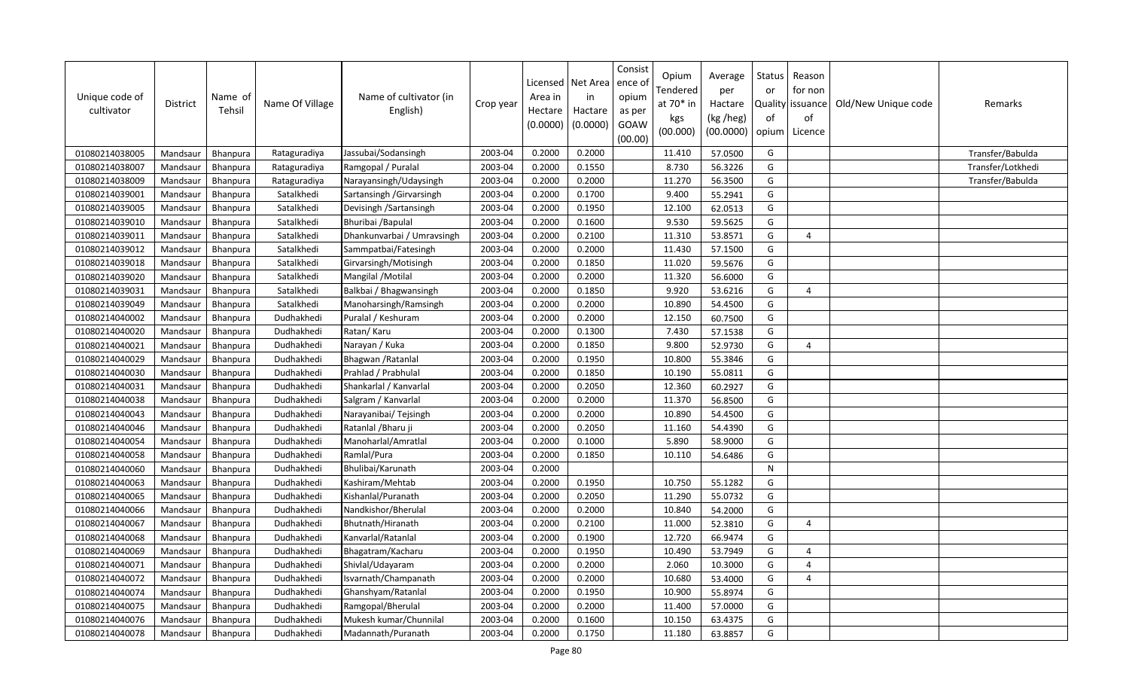| Unique code of<br>cultivator | District | Name of<br>Tehsil | Name Of Village | Name of cultivator (in<br>English) | Crop year | Area in<br>Hectare<br>(0.0000) | Licensed   Net Area<br>in<br>Hactare<br>(0.0000) | Consist<br>ence o<br>opium<br>as per<br>GOAW<br>(00.00) | Opium<br>Tendered<br>at 70* in<br>kgs<br>(00.000) | Average<br>per<br>Hactare<br>(kg /heg)<br>(00.0000) | Status<br>or<br>of<br>opium | Reason<br>for non<br>Quality issuance<br>of<br>Licence | Old/New Unique code | Remarks           |
|------------------------------|----------|-------------------|-----------------|------------------------------------|-----------|--------------------------------|--------------------------------------------------|---------------------------------------------------------|---------------------------------------------------|-----------------------------------------------------|-----------------------------|--------------------------------------------------------|---------------------|-------------------|
| 01080214038005               | Mandsaur | <b>Bhanpura</b>   | Rataguradiya    | Jassubai/Sodansingh                | 2003-04   | 0.2000                         | 0.2000                                           |                                                         | 11.410                                            | 57.0500                                             | G                           |                                                        |                     | Transfer/Babulda  |
| 01080214038007               | Mandsaur | Bhanpura          | Rataguradiya    | Ramgopal / Puralal                 | 2003-04   | 0.2000                         | 0.1550                                           |                                                         | 8.730                                             | 56.3226                                             | G                           |                                                        |                     | Transfer/Lotkhedi |
| 01080214038009               | Mandsaur | Bhanpura          | Rataguradiya    | Narayansingh/Udaysingh             | 2003-04   | 0.2000                         | 0.2000                                           |                                                         | 11.270                                            | 56.3500                                             | G                           |                                                        |                     | Transfer/Babulda  |
| 01080214039001               | Mandsaur | Bhanpura          | Satalkhedi      | Sartansingh / Girvarsingh          | 2003-04   | 0.2000                         | 0.1700                                           |                                                         | 9.400                                             | 55.2941                                             | G                           |                                                        |                     |                   |
| 01080214039005               | Mandsaur | Bhanpura          | Satalkhedi      | Devisingh / Sartansingh            | 2003-04   | 0.2000                         | 0.1950                                           |                                                         | 12.100                                            | 62.0513                                             | G                           |                                                        |                     |                   |
| 01080214039010               | Mandsaur | Bhanpura          | Satalkhedi      | Bhuribai / Bapulal                 | 2003-04   | 0.2000                         | 0.1600                                           |                                                         | 9.530                                             | 59.5625                                             | G                           |                                                        |                     |                   |
| 01080214039011               | Mandsaur | Bhanpura          | Satalkhedi      | Dhankunvarbai / Umravsingh         | 2003-04   | 0.2000                         | 0.2100                                           |                                                         | 11.310                                            | 53.8571                                             | G                           | $\overline{4}$                                         |                     |                   |
| 01080214039012               | Mandsaur | Bhanpura          | Satalkhedi      | Sammpatbai/Fatesingh               | 2003-04   | 0.2000                         | 0.2000                                           |                                                         | 11.430                                            | 57.1500                                             | G                           |                                                        |                     |                   |
| 01080214039018               | Mandsaur | Bhanpura          | Satalkhedi      | Girvarsingh/Motisingh              | 2003-04   | 0.2000                         | 0.1850                                           |                                                         | 11.020                                            | 59.5676                                             | G                           |                                                        |                     |                   |
| 01080214039020               | Mandsaur | Bhanpura          | Satalkhedi      | Mangilal / Motilal                 | 2003-04   | 0.2000                         | 0.2000                                           |                                                         | 11.320                                            | 56.6000                                             | G                           |                                                        |                     |                   |
| 01080214039031               | Mandsaur | Bhanpura          | Satalkhedi      | Balkbai / Bhagwansingh             | 2003-04   | 0.2000                         | 0.1850                                           |                                                         | 9.920                                             | 53.6216                                             | G                           | $\overline{4}$                                         |                     |                   |
| 01080214039049               | Mandsaur | Bhanpura          | Satalkhedi      | Manoharsingh/Ramsingh              | 2003-04   | 0.2000                         | 0.2000                                           |                                                         | 10.890                                            | 54.4500                                             | G                           |                                                        |                     |                   |
| 01080214040002               | Mandsaur | Bhanpura          | Dudhakhedi      | Puralal / Keshuram                 | 2003-04   | 0.2000                         | 0.2000                                           |                                                         | 12.150                                            | 60.7500                                             | G                           |                                                        |                     |                   |
| 01080214040020               | Mandsaur | Bhanpura          | Dudhakhedi      | Ratan/Karu                         | 2003-04   | 0.2000                         | 0.1300                                           |                                                         | 7.430                                             | 57.1538                                             | G                           |                                                        |                     |                   |
| 01080214040021               | Mandsaur | <b>Bhanpura</b>   | Dudhakhedi      | Narayan / Kuka                     | 2003-04   | 0.2000                         | 0.1850                                           |                                                         | 9.800                                             | 52.9730                                             | G                           | $\overline{a}$                                         |                     |                   |
| 01080214040029               | Mandsaur | Bhanpura          | Dudhakhedi      | Bhagwan / Ratanlal                 | 2003-04   | 0.2000                         | 0.1950                                           |                                                         | 10.800                                            | 55.3846                                             | G                           |                                                        |                     |                   |
| 01080214040030               | Mandsaur | Bhanpura          | Dudhakhedi      | Prahlad / Prabhulal                | 2003-04   | 0.2000                         | 0.1850                                           |                                                         | 10.190                                            | 55.0811                                             | G                           |                                                        |                     |                   |
| 01080214040031               | Mandsaur | <b>Bhanpura</b>   | Dudhakhedi      | Shankarlal / Kanvarlal             | 2003-04   | 0.2000                         | 0.2050                                           |                                                         | 12.360                                            | 60.2927                                             | G                           |                                                        |                     |                   |
| 01080214040038               | Mandsaur | Bhanpura          | Dudhakhedi      | Salgram / Kanvarlal                | 2003-04   | 0.2000                         | 0.2000                                           |                                                         | 11.370                                            | 56.8500                                             | G                           |                                                        |                     |                   |
| 01080214040043               | Mandsaur | Bhanpura          | Dudhakhedi      | Narayanibai/ Tejsingh              | 2003-04   | 0.2000                         | 0.2000                                           |                                                         | 10.890                                            | 54.4500                                             | G                           |                                                        |                     |                   |
| 01080214040046               | Mandsaur | Bhanpura          | Dudhakhedi      | Ratanlal / Bharu ji                | 2003-04   | 0.2000                         | 0.2050                                           |                                                         | 11.160                                            | 54.4390                                             | G                           |                                                        |                     |                   |
| 01080214040054               | Mandsaur | Bhanpura          | Dudhakhedi      | Manoharlal/Amratlal                | 2003-04   | 0.2000                         | 0.1000                                           |                                                         | 5.890                                             | 58.9000                                             | G                           |                                                        |                     |                   |
| 01080214040058               | Mandsaur | <b>Bhanpura</b>   | Dudhakhedi      | Ramlal/Pura                        | 2003-04   | 0.2000                         | 0.1850                                           |                                                         | 10.110                                            | 54.6486                                             | G                           |                                                        |                     |                   |
| 01080214040060               | Mandsaur | Bhanpura          | Dudhakhedi      | Bhulibai/Karunath                  | 2003-04   | 0.2000                         |                                                  |                                                         |                                                   |                                                     | ${\sf N}$                   |                                                        |                     |                   |
| 01080214040063               | Mandsaur | Bhanpura          | Dudhakhedi      | Kashiram/Mehtab                    | 2003-04   | 0.2000                         | 0.1950                                           |                                                         | 10.750                                            | 55.1282                                             | G                           |                                                        |                     |                   |
| 01080214040065               | Mandsaur | Bhanpura          | Dudhakhedi      | Kishanlal/Puranath                 | 2003-04   | 0.2000                         | 0.2050                                           |                                                         | 11.290                                            | 55.0732                                             | G                           |                                                        |                     |                   |
| 01080214040066               | Mandsaur | <b>Bhanpura</b>   | Dudhakhedi      | Nandkishor/Bherulal                | 2003-04   | 0.2000                         | 0.2000                                           |                                                         | 10.840                                            | 54.2000                                             | G                           |                                                        |                     |                   |
| 01080214040067               | Mandsaur | Bhanpura          | Dudhakhedi      | Bhutnath/Hiranath                  | 2003-04   | 0.2000                         | 0.2100                                           |                                                         | 11.000                                            | 52.3810                                             | G                           | $\overline{4}$                                         |                     |                   |
| 01080214040068               | Mandsaur | <b>Bhanpura</b>   | Dudhakhedi      | Kanvarlal/Ratanlal                 | 2003-04   | 0.2000                         | 0.1900                                           |                                                         | 12.720                                            | 66.9474                                             | G                           |                                                        |                     |                   |
| 01080214040069               | Mandsaur | Bhanpura          | Dudhakhedi      | Bhagatram/Kacharu                  | 2003-04   | 0.2000                         | 0.1950                                           |                                                         | 10.490                                            | 53.7949                                             | G                           | $\overline{4}$                                         |                     |                   |
| 01080214040071               | Mandsaur | Bhanpura          | Dudhakhedi      | Shivlal/Udayaram                   | 2003-04   | 0.2000                         | 0.2000                                           |                                                         | 2.060                                             | 10.3000                                             | G                           | $\overline{4}$                                         |                     |                   |
| 01080214040072               | Mandsaur | Bhanpura          | Dudhakhedi      | Isvarnath/Champanath               | 2003-04   | 0.2000                         | 0.2000                                           |                                                         | 10.680                                            | 53.4000                                             | G                           | $\overline{4}$                                         |                     |                   |
| 01080214040074               | Mandsaur | Bhanpura          | Dudhakhedi      | Ghanshyam/Ratanlal                 | 2003-04   | 0.2000                         | 0.1950                                           |                                                         | 10.900                                            | 55.8974                                             | G                           |                                                        |                     |                   |
| 01080214040075               | Mandsaur | Bhanpura          | Dudhakhedi      | Ramgopal/Bherulal                  | 2003-04   | 0.2000                         | 0.2000                                           |                                                         | 11.400                                            | 57.0000                                             | G                           |                                                        |                     |                   |
| 01080214040076               | Mandsaur | Bhanpura          | Dudhakhedi      | Mukesh kumar/Chunnilal             | 2003-04   | 0.2000                         | 0.1600                                           |                                                         | 10.150                                            | 63.4375                                             | G                           |                                                        |                     |                   |
| 01080214040078               | Mandsaur | Bhanpura          | Dudhakhedi      | Madannath/Puranath                 | 2003-04   | 0.2000                         | 0.1750                                           |                                                         | 11.180                                            | 63.8857                                             | G                           |                                                        |                     |                   |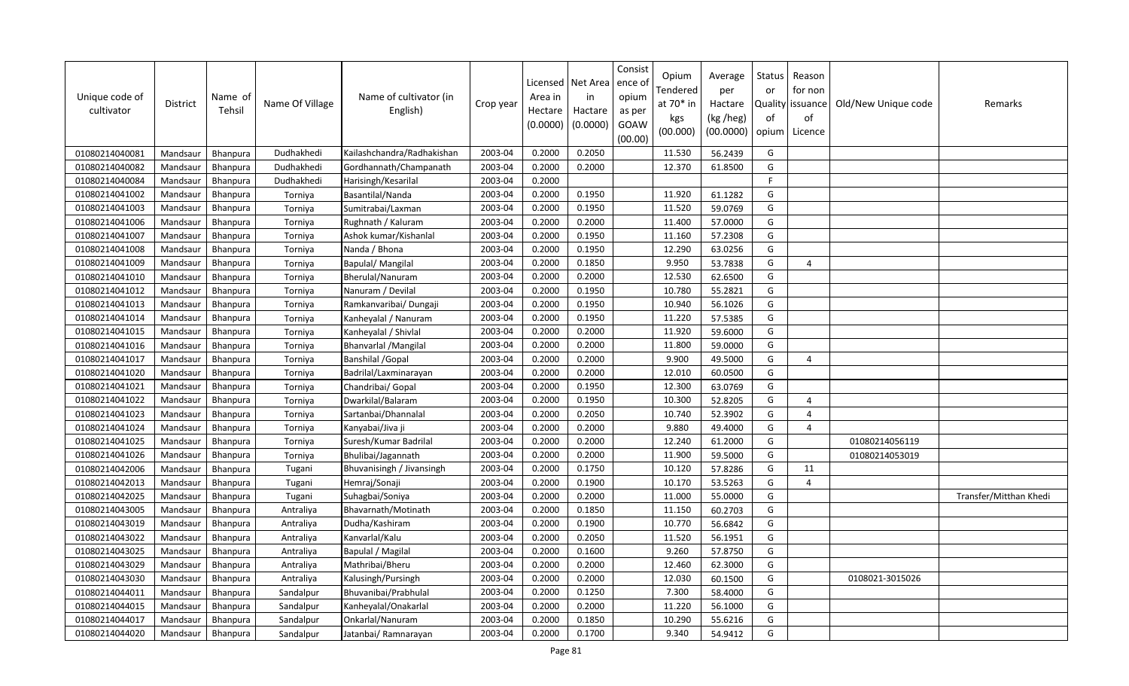| Unique code of<br>cultivator | District | Name of<br>Tehsil | Name Of Village | Name of cultivator (in<br>English) | Crop year | Licensed<br>Area in<br>Hectare<br>(0.0000) | Net Area<br>in<br>Hactare<br>(0.0000) | Consist<br>ence of<br>opium<br>as per<br>GOAW<br>(00.00) | Opium<br>Tendered<br>at 70* in<br>kgs<br>(00.000) | Average<br>per<br>Hactare<br>(kg /heg)<br>(00.0000) | Status<br>or<br>of<br>opium | Reason<br>for non<br>Quality   issuance<br>of<br>Licence | Old/New Unique code | Remarks                |
|------------------------------|----------|-------------------|-----------------|------------------------------------|-----------|--------------------------------------------|---------------------------------------|----------------------------------------------------------|---------------------------------------------------|-----------------------------------------------------|-----------------------------|----------------------------------------------------------|---------------------|------------------------|
| 01080214040081               | Mandsaur | <b>Bhanpura</b>   | Dudhakhedi      | Kailashchandra/Radhakishan         | 2003-04   | 0.2000                                     | 0.2050                                |                                                          | 11.530                                            | 56.2439                                             | G                           |                                                          |                     |                        |
| 01080214040082               | Mandsaur | Bhanpura          | Dudhakhedi      | Gordhannath/Champanath             | 2003-04   | 0.2000                                     | 0.2000                                |                                                          | 12.370                                            | 61.8500                                             | G                           |                                                          |                     |                        |
| 01080214040084               | Mandsaur | Bhanpura          | Dudhakhedi      | Harisingh/Kesarilal                | 2003-04   | 0.2000                                     |                                       |                                                          |                                                   |                                                     | E                           |                                                          |                     |                        |
| 01080214041002               | Mandsaur | Bhanpura          | Torniya         | Basantilal/Nanda                   | 2003-04   | 0.2000                                     | 0.1950                                |                                                          | 11.920                                            | 61.1282                                             | G                           |                                                          |                     |                        |
| 01080214041003               | Mandsaur | <b>Bhanpura</b>   | Torniya         | Sumitrabai/Laxman                  | 2003-04   | 0.2000                                     | 0.1950                                |                                                          | 11.520                                            | 59.0769                                             | G                           |                                                          |                     |                        |
| 01080214041006               | Mandsaur | Bhanpura          | Torniya         | Rughnath / Kaluram                 | 2003-04   | 0.2000                                     | 0.2000                                |                                                          | 11.400                                            | 57.0000                                             | G                           |                                                          |                     |                        |
| 01080214041007               | Mandsaur | Bhanpura          | Torniya         | Ashok kumar/Kishanlal              | 2003-04   | 0.2000                                     | 0.1950                                |                                                          | 11.160                                            | 57.2308                                             | G                           |                                                          |                     |                        |
| 01080214041008               | Mandsaur | Bhanpura          | Torniya         | Nanda / Bhona                      | 2003-04   | 0.2000                                     | 0.1950                                |                                                          | 12.290                                            | 63.0256                                             | G                           |                                                          |                     |                        |
| 01080214041009               | Mandsaur | Bhanpura          | Torniya         | Bapulal/Mangilal                   | 2003-04   | 0.2000                                     | 0.1850                                |                                                          | 9.950                                             | 53.7838                                             | G                           | $\Delta$                                                 |                     |                        |
| 01080214041010               | Mandsaur | Bhanpura          | Torniya         | Bherulal/Nanuram                   | 2003-04   | 0.2000                                     | 0.2000                                |                                                          | 12.530                                            | 62.6500                                             | G                           |                                                          |                     |                        |
| 01080214041012               | Mandsaur | Bhanpura          | Torniya         | Nanuram / Devilal                  | 2003-04   | 0.2000                                     | 0.1950                                |                                                          | 10.780                                            | 55.2821                                             | G                           |                                                          |                     |                        |
| 01080214041013               | Mandsaur | Bhanpura          | Torniya         | Ramkanvaribai/ Dungaji             | 2003-04   | 0.2000                                     | 0.1950                                |                                                          | 10.940                                            | 56.1026                                             | G                           |                                                          |                     |                        |
| 01080214041014               | Mandsaur | Bhanpura          | Torniya         | Kanheyalal / Nanuram               | 2003-04   | 0.2000                                     | 0.1950                                |                                                          | 11.220                                            | 57.5385                                             | G                           |                                                          |                     |                        |
| 01080214041015               | Mandsaur | Bhanpura          | Torniya         | Kanheyalal / Shivlal               | 2003-04   | 0.2000                                     | 0.2000                                |                                                          | 11.920                                            | 59.6000                                             | G                           |                                                          |                     |                        |
| 01080214041016               | Mandsaur | <b>Bhanpura</b>   | Torniya         | <b>Bhanvarlal / Mangilal</b>       | 2003-04   | 0.2000                                     | 0.2000                                |                                                          | 11.800                                            | 59.0000                                             | G                           |                                                          |                     |                        |
| 01080214041017               | Mandsaur | Bhanpura          | Torniya         | <b>Banshilal /Gopal</b>            | 2003-04   | 0.2000                                     | 0.2000                                |                                                          | 9.900                                             | 49.5000                                             | G                           | 4                                                        |                     |                        |
| 01080214041020               | Mandsaur | Bhanpura          | Torniya         | Badrilal/Laxminarayan              | 2003-04   | 0.2000                                     | 0.2000                                |                                                          | 12.010                                            | 60.0500                                             | G                           |                                                          |                     |                        |
| 01080214041021               | Mandsaur | <b>Bhanpura</b>   | Torniya         | Chandribai/ Gopal                  | 2003-04   | 0.2000                                     | 0.1950                                |                                                          | 12.300                                            | 63.0769                                             | G                           |                                                          |                     |                        |
| 01080214041022               | Mandsaur | Bhanpura          | Torniya         | Dwarkilal/Balaram                  | 2003-04   | 0.2000                                     | 0.1950                                |                                                          | 10.300                                            | 52.8205                                             | G                           | $\overline{a}$                                           |                     |                        |
| 01080214041023               | Mandsaur | Bhanpura          | Torniya         | Sartanbai/Dhannalal                | 2003-04   | 0.2000                                     | 0.2050                                |                                                          | 10.740                                            | 52.3902                                             | G                           | $\overline{4}$                                           |                     |                        |
| 01080214041024               | Mandsaur | Bhanpura          | Torniya         | Kanyabai/Jiva ji                   | 2003-04   | 0.2000                                     | 0.2000                                |                                                          | 9.880                                             | 49.4000                                             | G                           | $\overline{4}$                                           |                     |                        |
| 01080214041025               | Mandsaur | Bhanpura          | Torniya         | Suresh/Kumar Badrilal              | 2003-04   | 0.2000                                     | 0.2000                                |                                                          | 12.240                                            | 61.2000                                             | G                           |                                                          | 01080214056119      |                        |
| 01080214041026               | Mandsaur | <b>Bhanpura</b>   | Torniya         | Bhulibai/Jagannath                 | 2003-04   | 0.2000                                     | 0.2000                                |                                                          | 11.900                                            | 59.5000                                             | G                           |                                                          | 01080214053019      |                        |
| 01080214042006               | Mandsaur | Bhanpura          | Tugani          | Bhuvanisingh / Jivansingh          | 2003-04   | 0.2000                                     | 0.1750                                |                                                          | 10.120                                            | 57.8286                                             | G                           | 11                                                       |                     |                        |
| 01080214042013               | Mandsaur | Bhanpura          | Tugani          | Hemraj/Sonaji                      | 2003-04   | 0.2000                                     | 0.1900                                |                                                          | 10.170                                            | 53.5263                                             | G                           | $\overline{4}$                                           |                     |                        |
| 01080214042025               | Mandsaur | Bhanpura          | Tugani          | Suhagbai/Soniya                    | 2003-04   | 0.2000                                     | 0.2000                                |                                                          | 11.000                                            | 55.0000                                             | G                           |                                                          |                     | Transfer/Mitthan Khedi |
| 01080214043005               | Mandsaur | Bhanpura          | Antraliya       | Bhavarnath/Motinath                | 2003-04   | 0.2000                                     | 0.1850                                |                                                          | 11.150                                            | 60.2703                                             | G                           |                                                          |                     |                        |
| 01080214043019               | Mandsaur | Bhanpura          | Antraliya       | Dudha/Kashiram                     | 2003-04   | 0.2000                                     | 0.1900                                |                                                          | 10.770                                            | 56.6842                                             | G                           |                                                          |                     |                        |
| 01080214043022               | Mandsaur | Bhanpura          | Antraliya       | Kanvarlal/Kalu                     | 2003-04   | 0.2000                                     | 0.2050                                |                                                          | 11.520                                            | 56.1951                                             | G                           |                                                          |                     |                        |
| 01080214043025               | Mandsaur | Bhanpura          | Antraliya       | Bapulal / Magilal                  | 2003-04   | 0.2000                                     | 0.1600                                |                                                          | 9.260                                             | 57.8750                                             | G                           |                                                          |                     |                        |
| 01080214043029               | Mandsaur | <b>Bhanpura</b>   | Antraliya       | Mathribai/Bheru                    | 2003-04   | 0.2000                                     | 0.2000                                |                                                          | 12.460                                            | 62.3000                                             | G                           |                                                          |                     |                        |
| 01080214043030               | Mandsaur | <b>Bhanpura</b>   | Antraliya       | Kalusingh/Pursingh                 | 2003-04   | 0.2000                                     | 0.2000                                |                                                          | 12.030                                            | 60.1500                                             | G                           |                                                          | 0108021-3015026     |                        |
| 01080214044011               | Mandsaur | Bhanpura          | Sandalpur       | Bhuvanibai/Prabhulal               | 2003-04   | 0.2000                                     | 0.1250                                |                                                          | 7.300                                             | 58.4000                                             | G                           |                                                          |                     |                        |
| 01080214044015               | Mandsaur | Bhanpura          | Sandalpur       | Kanheyalal/Onakarlal               | 2003-04   | 0.2000                                     | 0.2000                                |                                                          | 11.220                                            | 56.1000                                             | G                           |                                                          |                     |                        |
| 01080214044017               | Mandsaur | Bhanpura          | Sandalpur       | Onkarlal/Nanuram                   | 2003-04   | 0.2000                                     | 0.1850                                |                                                          | 10.290                                            | 55.6216                                             | G                           |                                                          |                     |                        |
| 01080214044020               | Mandsaur | Bhanpura          | Sandalpur       | Jatanbai/ Ramnarayan               | 2003-04   | 0.2000                                     | 0.1700                                |                                                          | 9.340                                             | 54.9412                                             | G                           |                                                          |                     |                        |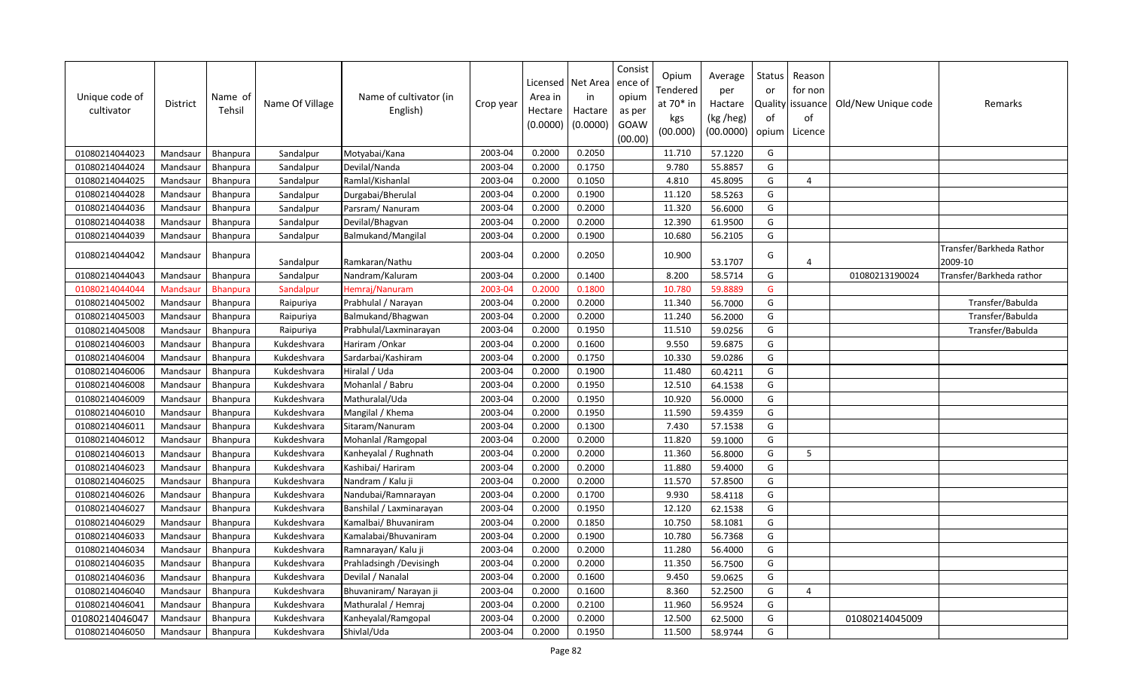| Unique code of<br>cultivator | <b>District</b> | Name of<br>Tehsil | Name Of Village | Name of cultivator (in<br>English) | Crop year | Licensed<br>Area in<br>Hectare<br>(0.0000) | Net Area<br>in<br>Hactare<br>(0.0000) | Consist<br>ence of<br>opium<br>as per<br>GOAW<br>(00.00) | Opium<br>Tendered<br>at $70*$ in<br>kgs<br>(00.000) | Average<br>per<br>Hactare<br>(kg /heg)<br>(00.0000) | <b>Status</b><br>or<br>of<br>opium | Reason<br>for non<br>Quality issuance<br>of<br>Licence | Old/New Unique code | Remarks                             |
|------------------------------|-----------------|-------------------|-----------------|------------------------------------|-----------|--------------------------------------------|---------------------------------------|----------------------------------------------------------|-----------------------------------------------------|-----------------------------------------------------|------------------------------------|--------------------------------------------------------|---------------------|-------------------------------------|
| 01080214044023               | Mandsaur        | <b>Bhanpura</b>   | Sandalpur       | Motyabai/Kana                      | 2003-04   | 0.2000                                     | 0.2050                                |                                                          | 11.710                                              | 57.1220                                             | G                                  |                                                        |                     |                                     |
| 01080214044024               | Mandsaur        | Bhanpura          | Sandalpur       | Devilal/Nanda                      | 2003-04   | 0.2000                                     | 0.1750                                |                                                          | 9.780                                               | 55.8857                                             | G                                  |                                                        |                     |                                     |
| 01080214044025               | Mandsaur        | Bhanpura          | Sandalpur       | Ramlal/Kishanlal                   | 2003-04   | 0.2000                                     | 0.1050                                |                                                          | 4.810                                               | 45.8095                                             | G                                  | 4                                                      |                     |                                     |
| 01080214044028               | Mandsaur        | Bhanpura          | Sandalpur       | Durgabai/Bherulal                  | 2003-04   | 0.2000                                     | 0.1900                                |                                                          | 11.120                                              | 58.5263                                             | G                                  |                                                        |                     |                                     |
| 01080214044036               | Mandsaur        | Bhanpura          | Sandalpur       | Parsram/Nanuram                    | 2003-04   | 0.2000                                     | 0.2000                                |                                                          | 11.320                                              | 56.6000                                             | G                                  |                                                        |                     |                                     |
| 01080214044038               | Mandsaur        | <b>Bhanpura</b>   | Sandalpur       | Devilal/Bhagvan                    | 2003-04   | 0.2000                                     | 0.2000                                |                                                          | 12.390                                              | 61.9500                                             | G                                  |                                                        |                     |                                     |
| 01080214044039               | Mandsaur        | Bhanpura          | Sandalpur       | Balmukand/Mangilal                 | 2003-04   | 0.2000                                     | 0.1900                                |                                                          | 10.680                                              | 56.2105                                             | G                                  |                                                        |                     |                                     |
| 01080214044042               | Mandsaur        | Bhanpura          | Sandalpur       | Ramkaran/Nathu                     | 2003-04   | 0.2000                                     | 0.2050                                |                                                          | 10.900                                              | 53.1707                                             | G                                  | $\overline{4}$                                         |                     | Transfer/Barkheda Rathor<br>2009-10 |
| 01080214044043               | Mandsaur        | Bhanpura          | Sandalpur       | Nandram/Kaluram                    | 2003-04   | 0.2000                                     | 0.1400                                |                                                          | 8.200                                               | 58.5714                                             | G                                  |                                                        | 01080213190024      | Transfer/Barkheda rathor            |
| 01080214044044               | Mandsaur        | <b>Bhanpura</b>   | Sandalpur       | Hemraj/Nanuram                     | 2003-04   | 0.2000                                     | 0.1800                                |                                                          | 10.780                                              | 59.8889                                             | G                                  |                                                        |                     |                                     |
| 01080214045002               | Mandsaur        | Bhanpura          | Raipuriya       | Prabhulal / Narayan                | 2003-04   | 0.2000                                     | 0.2000                                |                                                          | 11.340                                              | 56.7000                                             | G                                  |                                                        |                     | Transfer/Babulda                    |
| 01080214045003               | Mandsaur        | Bhanpura          | Raipuriya       | Balmukand/Bhagwan                  | 2003-04   | 0.2000                                     | 0.2000                                |                                                          | 11.240                                              | 56.2000                                             | G                                  |                                                        |                     | Transfer/Babulda                    |
| 01080214045008               | Mandsaur        | Bhanpura          | Raipuriya       | Prabhulal/Laxminarayan             | 2003-04   | 0.2000                                     | 0.1950                                |                                                          | 11.510                                              | 59.0256                                             | G                                  |                                                        |                     | Transfer/Babulda                    |
| 01080214046003               | Mandsaur        | Bhanpura          | Kukdeshvara     | Hariram / Onkar                    | 2003-04   | 0.2000                                     | 0.1600                                |                                                          | 9.550                                               | 59.6875                                             | G                                  |                                                        |                     |                                     |
| 01080214046004               | Mandsaur        | Bhanpura          | Kukdeshvara     | Sardarbai/Kashiram                 | 2003-04   | 0.2000                                     | 0.1750                                |                                                          | 10.330                                              | 59.0286                                             | G                                  |                                                        |                     |                                     |
| 01080214046006               | Mandsaur        | Bhanpura          | Kukdeshvara     | Hiralal / Uda                      | 2003-04   | 0.2000                                     | 0.1900                                |                                                          | 11.480                                              | 60.4211                                             | G                                  |                                                        |                     |                                     |
| 01080214046008               | Mandsaur        | Bhanpura          | Kukdeshvara     | Mohanlal / Babru                   | 2003-04   | 0.2000                                     | 0.1950                                |                                                          | 12.510                                              | 64.1538                                             | G                                  |                                                        |                     |                                     |
| 01080214046009               | Mandsaur        | Bhanpura          | Kukdeshvara     | Mathuralal/Uda                     | 2003-04   | 0.2000                                     | 0.1950                                |                                                          | 10.920                                              | 56.0000                                             | G                                  |                                                        |                     |                                     |
| 01080214046010               | Mandsaur        | Bhanpura          | Kukdeshvara     | Mangilal / Khema                   | 2003-04   | 0.2000                                     | 0.1950                                |                                                          | 11.590                                              | 59.4359                                             | G                                  |                                                        |                     |                                     |
| 01080214046011               | Mandsaur        | <b>Bhanpura</b>   | Kukdeshvara     | Sitaram/Nanuram                    | 2003-04   | 0.2000                                     | 0.1300                                |                                                          | 7.430                                               | 57.1538                                             | G                                  |                                                        |                     |                                     |
| 01080214046012               | Mandsaur        | <b>Bhanpura</b>   | Kukdeshvara     | Mohanlal / Ramgopal                | 2003-04   | 0.2000                                     | 0.2000                                |                                                          | 11.820                                              | 59.1000                                             | G                                  |                                                        |                     |                                     |
| 01080214046013               | Mandsaur        | Bhanpura          | Kukdeshvara     | Kanheyalal / Rughnath              | 2003-04   | 0.2000                                     | 0.2000                                |                                                          | 11.360                                              | 56.8000                                             | G                                  | 5                                                      |                     |                                     |
| 01080214046023               | Mandsaur        | <b>Bhanpura</b>   | Kukdeshvara     | Kashibai/ Hariram                  | 2003-04   | 0.2000                                     | 0.2000                                |                                                          | 11.880                                              | 59.4000                                             | G                                  |                                                        |                     |                                     |
| 01080214046025               | Mandsaur        | Bhanpura          | Kukdeshvara     | Nandram / Kalu ji                  | 2003-04   | 0.2000                                     | 0.2000                                |                                                          | 11.570                                              | 57.8500                                             | G                                  |                                                        |                     |                                     |
| 01080214046026               | Mandsaur        | Bhanpura          | Kukdeshvara     | Nandubai/Ramnarayan                | 2003-04   | 0.2000                                     | 0.1700                                |                                                          | 9.930                                               | 58.4118                                             | G                                  |                                                        |                     |                                     |
| 01080214046027               | Mandsaur        | Bhanpura          | Kukdeshvara     | Banshilal / Laxminarayan           | 2003-04   | 0.2000                                     | 0.1950                                |                                                          | 12.120                                              | 62.1538                                             | G                                  |                                                        |                     |                                     |
| 01080214046029               | Mandsaur        | Bhanpura          | Kukdeshvara     | Kamalbai/ Bhuvaniram               | 2003-04   | 0.2000                                     | 0.1850                                |                                                          | 10.750                                              | 58.1081                                             | G                                  |                                                        |                     |                                     |
| 01080214046033               | Mandsaur        | Bhanpura          | Kukdeshvara     | Kamalabai/Bhuvaniram               | 2003-04   | 0.2000                                     | 0.1900                                |                                                          | 10.780                                              | 56.7368                                             | G                                  |                                                        |                     |                                     |
| 01080214046034               | Mandsaur        | Bhanpura          | Kukdeshvara     | Ramnarayan/ Kalu ji                | 2003-04   | 0.2000                                     | 0.2000                                |                                                          | 11.280                                              | 56.4000                                             | G                                  |                                                        |                     |                                     |
| 01080214046035               | Mandsaur        | Bhanpura          | Kukdeshvara     | Prahladsingh / Devisingh           | 2003-04   | 0.2000                                     | 0.2000                                |                                                          | 11.350                                              | 56.7500                                             | G                                  |                                                        |                     |                                     |
| 01080214046036               | Mandsaur        | Bhanpura          | Kukdeshvara     | Devilal / Nanalal                  | 2003-04   | 0.2000                                     | 0.1600                                |                                                          | 9.450                                               | 59.0625                                             | G                                  |                                                        |                     |                                     |
| 01080214046040               | Mandsaur        | Bhanpura          | Kukdeshvara     | Bhuvaniram/ Narayan ji             | 2003-04   | 0.2000                                     | 0.1600                                |                                                          | 8.360                                               | 52.2500                                             | G                                  | $\overline{4}$                                         |                     |                                     |
| 01080214046041               | Mandsaur        | Bhanpura          | Kukdeshvara     | Mathuralal / Hemraj                | 2003-04   | 0.2000                                     | 0.2100                                |                                                          | 11.960                                              | 56.9524                                             | G                                  |                                                        |                     |                                     |
| 01080214046047               | Mandsaur        | <b>Bhanpura</b>   | Kukdeshvara     | Kanheyalal/Ramgopal                | 2003-04   | 0.2000                                     | 0.2000                                |                                                          | 12.500                                              | 62.5000                                             | G                                  |                                                        | 01080214045009      |                                     |
| 01080214046050               | Mandsaur        | Bhanpura          | Kukdeshvara     | Shivlal/Uda                        | 2003-04   | 0.2000                                     | 0.1950                                |                                                          | 11.500                                              | 58.9744                                             | G                                  |                                                        |                     |                                     |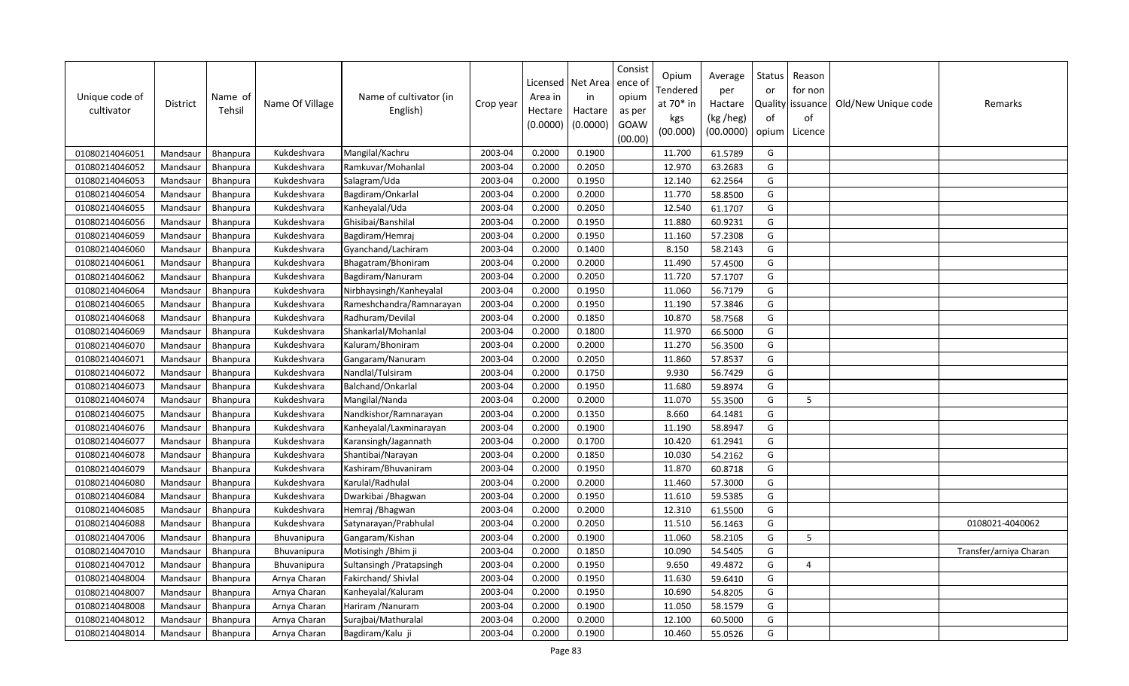| Unique code of<br>cultivator | <b>District</b> | Name of<br>Tehsil | Name Of Village    | Name of cultivator (in<br>English) | Crop year | Licensed<br>Area in<br>Hectare<br>(0.0000) | Net Area<br>in<br>Hactare<br>(0.0000) | Consist<br>ence of<br>opium<br>as per<br>GOAW<br>(00.00) | Opium<br>Tendered<br>at 70* in<br>kgs<br>(00.000) | Average<br>per<br>Hactare<br>(kg /heg)<br>(00.0000) | Status<br>or<br>of<br>opium | Reason<br>for non<br>Quality   issuance<br>of<br>Licence | Old/New Unique code | Remarks                |
|------------------------------|-----------------|-------------------|--------------------|------------------------------------|-----------|--------------------------------------------|---------------------------------------|----------------------------------------------------------|---------------------------------------------------|-----------------------------------------------------|-----------------------------|----------------------------------------------------------|---------------------|------------------------|
| 01080214046051               | Mandsaur        | Bhanpura          | Kukdeshvara        | Mangilal/Kachru                    | 2003-04   | 0.2000                                     | 0.1900                                |                                                          | 11.700                                            | 61.5789                                             | G                           |                                                          |                     |                        |
| 01080214046052               | Mandsaur        | Bhanpura          | Kukdeshvara        | Ramkuvar/Mohanlal                  | 2003-04   | 0.2000                                     | 0.2050                                |                                                          | 12.970                                            | 63.2683                                             | G                           |                                                          |                     |                        |
| 01080214046053               | Mandsaur        | <b>Bhanpura</b>   | Kukdeshvara        | Salagram/Uda                       | 2003-04   | 0.2000                                     | 0.1950                                |                                                          | 12.140                                            | 62.2564                                             | G                           |                                                          |                     |                        |
| 01080214046054               | Mandsaur        | Bhanpura          | Kukdeshvara        | Bagdiram/Onkarlal                  | 2003-04   | 0.2000                                     | 0.2000                                |                                                          | 11.770                                            | 58.8500                                             | G                           |                                                          |                     |                        |
| 01080214046055               | Mandsaur        | Bhanpura          | Kukdeshvara        | Kanheyalal/Uda                     | 2003-04   | 0.2000                                     | 0.2050                                |                                                          | 12.540                                            | 61.1707                                             | G                           |                                                          |                     |                        |
| 01080214046056               | Mandsaur        | <b>Bhanpura</b>   | Kukdeshvara        | Ghisibai/Banshilal                 | 2003-04   | 0.2000                                     | 0.1950                                |                                                          | 11.880                                            | 60.9231                                             | G                           |                                                          |                     |                        |
| 01080214046059               | Mandsaur        | Bhanpura          | Kukdeshvara        | Bagdiram/Hemraj                    | 2003-04   | 0.2000                                     | 0.1950                                |                                                          | 11.160                                            | 57.2308                                             | G                           |                                                          |                     |                        |
| 01080214046060               | Mandsaur        | Bhanpura          | Kukdeshvara        | Gyanchand/Lachiram                 | 2003-04   | 0.2000                                     | 0.1400                                |                                                          | 8.150                                             | 58.2143                                             | G                           |                                                          |                     |                        |
| 01080214046061               | Mandsaur        | Bhanpura          | Kukdeshvara        | Bhagatram/Bhoniram                 | 2003-04   | 0.2000                                     | 0.2000                                |                                                          | 11.490                                            | 57.4500                                             | G                           |                                                          |                     |                        |
| 01080214046062               | Mandsaur        | Bhanpura          | Kukdeshvara        | Bagdiram/Nanuram                   | 2003-04   | 0.2000                                     | 0.2050                                |                                                          | 11.720                                            | 57.1707                                             | G                           |                                                          |                     |                        |
| 01080214046064               | Mandsaur        | Bhanpura          | Kukdeshvara        | Nirbhaysingh/Kanheyalal            | 2003-04   | 0.2000                                     | 0.1950                                |                                                          | 11.060                                            | 56.7179                                             | G                           |                                                          |                     |                        |
| 01080214046065               | Mandsaur        | Bhanpura          | Kukdeshvara        | Rameshchandra/Ramnarayan           | 2003-04   | 0.2000                                     | 0.1950                                |                                                          | 11.190                                            | 57.3846                                             | G                           |                                                          |                     |                        |
| 01080214046068               | Mandsaur        | Bhanpura          | Kukdeshvara        | Radhuram/Devilal                   | 2003-04   | 0.2000                                     | 0.1850                                |                                                          | 10.870                                            | 58.7568                                             | G                           |                                                          |                     |                        |
| 01080214046069               | Mandsaur        | Bhanpura          | Kukdeshvara        | Shankarlal/Mohanlal                | 2003-04   | 0.2000                                     | 0.1800                                |                                                          | 11.970                                            | 66.5000                                             | G                           |                                                          |                     |                        |
| 01080214046070               | Mandsaur        | <b>Bhanpura</b>   | Kukdeshvara        | Kaluram/Bhoniram                   | 2003-04   | 0.2000                                     | 0.2000                                |                                                          | 11.270                                            | 56.3500                                             | G                           |                                                          |                     |                        |
| 01080214046071               | Mandsaur        | Bhanpura          | Kukdeshvara        | Gangaram/Nanuram                   | 2003-04   | 0.2000                                     | 0.2050                                |                                                          | 11.860                                            | 57.8537                                             | G                           |                                                          |                     |                        |
| 01080214046072               | Mandsaur        | Bhanpura          | Kukdeshvara        | Nandlal/Tulsiram                   | 2003-04   | 0.2000                                     | 0.1750                                |                                                          | 9.930                                             | 56.7429                                             | G                           |                                                          |                     |                        |
| 01080214046073               | Mandsaur        | Bhanpura          | Kukdeshvara        | Balchand/Onkarlal                  | 2003-04   | 0.2000                                     | 0.1950                                |                                                          | 11.680                                            | 59.8974                                             | G                           |                                                          |                     |                        |
| 01080214046074               | Mandsaur        | Bhanpura          | Kukdeshvara        | Mangilal/Nanda                     | 2003-04   | 0.2000                                     | 0.2000                                |                                                          | 11.070                                            | 55.3500                                             | G                           | 5                                                        |                     |                        |
| 01080214046075               | Mandsaur        | Bhanpura          | Kukdeshvara        | Nandkishor/Ramnarayan              | 2003-04   | 0.2000                                     | 0.1350                                |                                                          | 8.660                                             | 64.1481                                             | G                           |                                                          |                     |                        |
| 01080214046076               | Mandsaur        | Bhanpura          | Kukdeshvara        | Kanheyalal/Laxminarayan            | 2003-04   | 0.2000                                     | 0.1900                                |                                                          | 11.190                                            | 58.8947                                             | G                           |                                                          |                     |                        |
| 01080214046077               | Mandsaur        | <b>Bhanpura</b>   | Kukdeshvara        | Karansingh/Jagannath               | 2003-04   | 0.2000                                     | 0.1700                                |                                                          | 10.420                                            | 61.2941                                             | G                           |                                                          |                     |                        |
| 01080214046078               | Mandsaur        | <b>Bhanpura</b>   | Kukdeshvara        | Shantibai/Narayan                  | 2003-04   | 0.2000                                     | 0.1850                                |                                                          | 10.030                                            | 54.2162                                             | G                           |                                                          |                     |                        |
| 01080214046079               | Mandsaur        | Bhanpura          | Kukdeshvara        | Kashiram/Bhuvaniram                | 2003-04   | 0.2000                                     | 0.1950                                |                                                          | 11.870                                            | 60.8718                                             | G                           |                                                          |                     |                        |
| 01080214046080               | Mandsaur        | Bhanpura          | Kukdeshvara        | Karulal/Radhulal                   | 2003-04   | 0.2000                                     | 0.2000                                |                                                          | 11.460                                            | 57.3000                                             | G                           |                                                          |                     |                        |
| 01080214046084               | Mandsaur        | Bhanpura          | Kukdeshvara        | Dwarkibai / Bhagwan                | 2003-04   | 0.2000                                     | 0.1950                                |                                                          | 11.610                                            | 59.5385                                             | G                           |                                                          |                     |                        |
| 01080214046085               | Mandsaur        | Bhanpura          | Kukdeshvara        | Hemraj /Bhagwan                    | 2003-04   | 0.2000                                     | 0.2000                                |                                                          | 12.310                                            | 61.5500                                             | G                           |                                                          |                     |                        |
| 01080214046088               | Mandsaur        | Bhanpura          | Kukdeshvara        | Satynarayan/Prabhulal              | 2003-04   | 0.2000                                     | 0.2050                                |                                                          | 11.510                                            | 56.1463                                             | G                           |                                                          |                     | 0108021-4040062        |
| 01080214047006               | Mandsaur        | Bhanpura          | Bhuvanipura        | Gangaram/Kishan                    | 2003-04   | 0.2000                                     | 0.1900                                |                                                          | 11.060                                            | 58.2105                                             | G                           | 5                                                        |                     |                        |
| 01080214047010               | Mandsaur        | Bhanpura          | Bhuvanipura        | Motisingh / Bhim ji                | 2003-04   | 0.2000                                     | 0.1850                                |                                                          | 10.090                                            | 54.5405                                             | G                           |                                                          |                     | Transfer/arniya Charan |
| 01080214047012               | Mandsaur        | <b>Bhanpura</b>   | <b>Bhuvanipura</b> | Sultansingh / Pratapsingh          | 2003-04   | 0.2000                                     | 0.1950                                |                                                          | 9.650                                             | 49.4872                                             | G                           | $\overline{4}$                                           |                     |                        |
| 01080214048004               | Mandsaur        | Bhanpura          | Arnya Charan       | Fakirchand/ Shivlal                | 2003-04   | 0.2000                                     | 0.1950                                |                                                          | 11.630                                            | 59.6410                                             | G                           |                                                          |                     |                        |
| 01080214048007               | Mandsaur        | <b>Bhanpura</b>   | Arnya Charan       | Kanheyalal/Kaluram                 | 2003-04   | 0.2000                                     | 0.1950                                |                                                          | 10.690                                            | 54.8205                                             | G                           |                                                          |                     |                        |
| 01080214048008               | Mandsaur        | <b>Bhanpura</b>   | Arnya Charan       | Hariram / Nanuram                  | 2003-04   | 0.2000                                     | 0.1900                                |                                                          | 11.050                                            | 58.1579                                             | G                           |                                                          |                     |                        |
| 01080214048012               | Mandsaur        | <b>Bhanpura</b>   | Arnya Charan       | Surajbai/Mathuralal                | 2003-04   | 0.2000                                     | 0.2000                                |                                                          | 12.100                                            | 60.5000                                             | G                           |                                                          |                     |                        |
| 01080214048014               | Mandsaur        | <b>Bhanpura</b>   | Arnya Charan       | Bagdiram/Kalu ji                   | 2003-04   | 0.2000                                     | 0.1900                                |                                                          | 10.460                                            | 55.0526                                             | G                           |                                                          |                     |                        |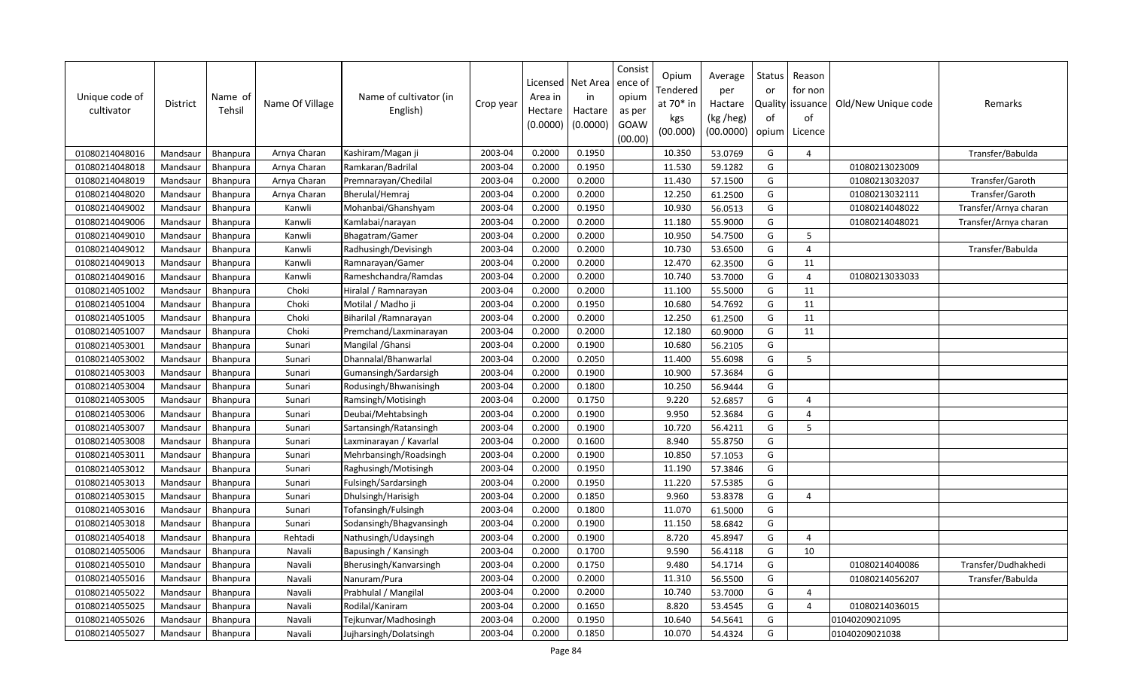| Unique code of<br>cultivator | <b>District</b> | Name of<br>Tehsil | Name Of Village | Name of cultivator (in<br>English) | Crop year | Licensed<br>Area in<br>Hectare<br>(0.0000) | Net Area<br>in<br>Hactare<br>(0.0000) | Consist<br>ence o<br>opium<br>as per<br>GOAW<br>(00.00) | Opium<br>Tendered<br>at 70* in<br>kgs<br>(00.000) | Average<br>per<br>Hactare<br>(kg /heg)<br>(00.0000) | Status<br>or<br>of<br>opium | Reason<br>for non<br>Quality issuance<br>of<br>Licence | Old/New Unique code | Remarks               |
|------------------------------|-----------------|-------------------|-----------------|------------------------------------|-----------|--------------------------------------------|---------------------------------------|---------------------------------------------------------|---------------------------------------------------|-----------------------------------------------------|-----------------------------|--------------------------------------------------------|---------------------|-----------------------|
| 01080214048016               | Mandsaur        | Bhanpura          | Arnya Charan    | Kashiram/Magan ji                  | 2003-04   | 0.2000                                     | 0.1950                                |                                                         | 10.350                                            | 53.0769                                             | G                           | $\overline{4}$                                         |                     | Transfer/Babulda      |
| 01080214048018               | Mandsaur        | Bhanpura          | Arnya Charan    | Ramkaran/Badrilal                  | 2003-04   | 0.2000                                     | 0.1950                                |                                                         | 11.530                                            | 59.1282                                             | G                           |                                                        | 01080213023009      |                       |
| 01080214048019               | Mandsaur        | Bhanpura          | Arnya Charan    | Premnarayan/Chedilal               | 2003-04   | 0.2000                                     | 0.2000                                |                                                         | 11.430                                            | 57.1500                                             | G                           |                                                        | 01080213032037      | Transfer/Garoth       |
| 01080214048020               | Mandsaur        | Bhanpura          | Arnya Charan    | Bherulal/Hemraj                    | 2003-04   | 0.2000                                     | 0.2000                                |                                                         | 12.250                                            | 61.2500                                             | G                           |                                                        | 01080213032111      | Transfer/Garoth       |
| 01080214049002               | Mandsaur        | Bhanpura          | Kanwli          | Mohanbai/Ghanshyam                 | 2003-04   | 0.2000                                     | 0.1950                                |                                                         | 10.930                                            | 56.0513                                             | G                           |                                                        | 01080214048022      | Transfer/Arnya charan |
| 01080214049006               | Mandsaur        | Bhanpura          | Kanwli          | Kamlabai/narayan                   | 2003-04   | 0.2000                                     | 0.2000                                |                                                         | 11.180                                            | 55.9000                                             | G                           |                                                        | 01080214048021      | Transfer/Arnya charan |
| 01080214049010               | Mandsaur        | Bhanpura          | Kanwli          | Bhagatram/Gamer                    | 2003-04   | 0.2000                                     | 0.2000                                |                                                         | 10.950                                            | 54.7500                                             | G                           | 5                                                      |                     |                       |
| 01080214049012               | Mandsaur        | <b>Bhanpura</b>   | Kanwli          | Radhusingh/Devisingh               | 2003-04   | 0.2000                                     | 0.2000                                |                                                         | 10.730                                            | 53.6500                                             | G                           | $\overline{4}$                                         |                     | Transfer/Babulda      |
| 01080214049013               | Mandsaur        | Bhanpura          | Kanwli          | Ramnarayan/Gamer                   | 2003-04   | 0.2000                                     | 0.2000                                |                                                         | 12.470                                            | 62.3500                                             | G                           | 11                                                     |                     |                       |
| 01080214049016               | Mandsaur        | <b>Bhanpura</b>   | Kanwli          | Rameshchandra/Ramdas               | 2003-04   | 0.2000                                     | 0.2000                                |                                                         | 10.740                                            | 53.7000                                             | G                           | $\overline{4}$                                         | 01080213033033      |                       |
| 01080214051002               | Mandsaur        | Bhanpura          | Choki           | Hiralal / Ramnarayan               | 2003-04   | 0.2000                                     | 0.2000                                |                                                         | 11.100                                            | 55.5000                                             | G                           | 11                                                     |                     |                       |
| 01080214051004               | Mandsaur        | Bhanpura          | Choki           | Motilal / Madho ji                 | 2003-04   | 0.2000                                     | 0.1950                                |                                                         | 10.680                                            | 54.7692                                             | G                           | 11                                                     |                     |                       |
| 01080214051005               | Mandsaur        | Bhanpura          | Choki           | Biharilal / Ramnarayan             | 2003-04   | 0.2000                                     | 0.2000                                |                                                         | 12.250                                            | 61.2500                                             | G                           | 11                                                     |                     |                       |
| 01080214051007               | Mandsaur        | <b>Bhanpura</b>   | Choki           | Premchand/Laxminarayan             | 2003-04   | 0.2000                                     | 0.2000                                |                                                         | 12.180                                            | 60.9000                                             | G                           | 11                                                     |                     |                       |
| 01080214053001               | Mandsaur        | Bhanpura          | Sunari          | Mangilal / Ghansi                  | 2003-04   | 0.2000                                     | 0.1900                                |                                                         | 10.680                                            | 56.2105                                             | G                           |                                                        |                     |                       |
| 01080214053002               | Mandsaur        | Bhanpura          | Sunari          | Dhannalal/Bhanwarlal               | 2003-04   | 0.2000                                     | 0.2050                                |                                                         | 11.400                                            | 55.6098                                             | G                           | 5                                                      |                     |                       |
| 01080214053003               | Mandsaur        | Bhanpura          | Sunari          | Gumansingh/Sardarsigh              | 2003-04   | 0.2000                                     | 0.1900                                |                                                         | 10.900                                            | 57.3684                                             | G                           |                                                        |                     |                       |
| 01080214053004               | Mandsaur        | <b>Bhanpura</b>   | Sunari          | Rodusingh/Bhwanisingh              | 2003-04   | 0.2000                                     | 0.1800                                |                                                         | 10.250                                            | 56.9444                                             | G                           |                                                        |                     |                       |
| 01080214053005               | Mandsaur        | Bhanpura          | Sunari          | Ramsingh/Motisingh                 | 2003-04   | 0.2000                                     | 0.1750                                |                                                         | 9.220                                             | 52.6857                                             | G                           | $\overline{a}$                                         |                     |                       |
| 01080214053006               | Mandsaur        | Bhanpura          | Sunari          | Deubai/Mehtabsingh                 | 2003-04   | 0.2000                                     | 0.1900                                |                                                         | 9.950                                             | 52.3684                                             | G                           | $\overline{4}$                                         |                     |                       |
| 01080214053007               | Mandsaur        | Bhanpura          | Sunari          | Sartansingh/Ratansingh             | 2003-04   | 0.2000                                     | 0.1900                                |                                                         | 10.720                                            | 56.4211                                             | G                           | 5                                                      |                     |                       |
| 01080214053008               | Mandsaur        | Bhanpura          | Sunari          | Laxminarayan / Kavarlal            | 2003-04   | 0.2000                                     | 0.1600                                |                                                         | 8.940                                             | 55.8750                                             | G                           |                                                        |                     |                       |
| 01080214053011               | Mandsaur        | Bhanpura          | Sunari          | Mehrbansingh/Roadsingh             | 2003-04   | 0.2000                                     | 0.1900                                |                                                         | 10.850                                            | 57.1053                                             | G                           |                                                        |                     |                       |
| 01080214053012               | Mandsaur        | Bhanpura          | Sunari          | Raghusingh/Motisingh               | 2003-04   | 0.2000                                     | 0.1950                                |                                                         | 11.190                                            | 57.3846                                             | G                           |                                                        |                     |                       |
| 01080214053013               | Mandsaur        | Bhanpura          | Sunari          | Fulsingh/Sardarsingh               | 2003-04   | 0.2000                                     | 0.1950                                |                                                         | 11.220                                            | 57.5385                                             | G                           |                                                        |                     |                       |
| 01080214053015               | Mandsaur        | Bhanpura          | Sunari          | Dhulsingh/Harisigh                 | 2003-04   | 0.2000                                     | 0.1850                                |                                                         | 9.960                                             | 53.8378                                             | G                           | $\overline{4}$                                         |                     |                       |
| 01080214053016               | Mandsaur        | Bhanpura          | Sunari          | Tofansingh/Fulsingh                | 2003-04   | 0.2000                                     | 0.1800                                |                                                         | 11.070                                            | 61.5000                                             | G                           |                                                        |                     |                       |
| 01080214053018               | Mandsaur        | Bhanpura          | Sunari          | Sodansingh/Bhagvansingh            | 2003-04   | 0.2000                                     | 0.1900                                |                                                         | 11.150                                            | 58.6842                                             | G                           |                                                        |                     |                       |
| 01080214054018               | Mandsaur        | Bhanpura          | Rehtadi         | Nathusingh/Udaysingh               | 2003-04   | 0.2000                                     | 0.1900                                |                                                         | 8.720                                             | 45.8947                                             | G                           | $\overline{4}$                                         |                     |                       |
| 01080214055006               | Mandsaur        | <b>Bhanpura</b>   | Navali          | Bapusingh / Kansingh               | 2003-04   | 0.2000                                     | 0.1700                                |                                                         | 9.590                                             | 56.4118                                             | G                           | 10                                                     |                     |                       |
| 01080214055010               | Mandsaur        | <b>Bhanpura</b>   | Navali          | Bherusingh/Kanvarsingh             | 2003-04   | 0.2000                                     | 0.1750                                |                                                         | 9.480                                             | 54.1714                                             | G                           |                                                        | 01080214040086      | Transfer/Dudhakhedi   |
| 01080214055016               | Mandsau         | Bhanpura          | Navali          | Nanuram/Pura                       | 2003-04   | 0.2000                                     | 0.2000                                |                                                         | 11.310                                            | 56.5500                                             | G                           |                                                        | 01080214056207      | Transfer/Babulda      |
| 01080214055022               | Mandsaur        | Bhanpura          | Navali          | Prabhulal / Mangilal               | 2003-04   | 0.2000                                     | 0.2000                                |                                                         | 10.740                                            | 53.7000                                             | G                           | $\overline{4}$                                         |                     |                       |
| 01080214055025               | Mandsaur        | <b>Bhanpura</b>   | Navali          | Rodilal/Kaniram                    | 2003-04   | 0.2000                                     | 0.1650                                |                                                         | 8.820                                             | 53.4545                                             | G                           | $\overline{4}$                                         | 01080214036015      |                       |
| 01080214055026               | Mandsaur        | <b>Bhanpura</b>   | Navali          | Tejkunvar/Madhosingh               | 2003-04   | 0.2000                                     | 0.1950                                |                                                         | 10.640                                            | 54.5641                                             | G                           |                                                        | 01040209021095      |                       |
| 01080214055027               | Mandsaur        | Bhanpura          | Navali          | Jujharsingh/Dolatsingh             | 2003-04   | 0.2000                                     | 0.1850                                |                                                         | 10.070                                            | 54.4324                                             | G                           |                                                        | 01040209021038      |                       |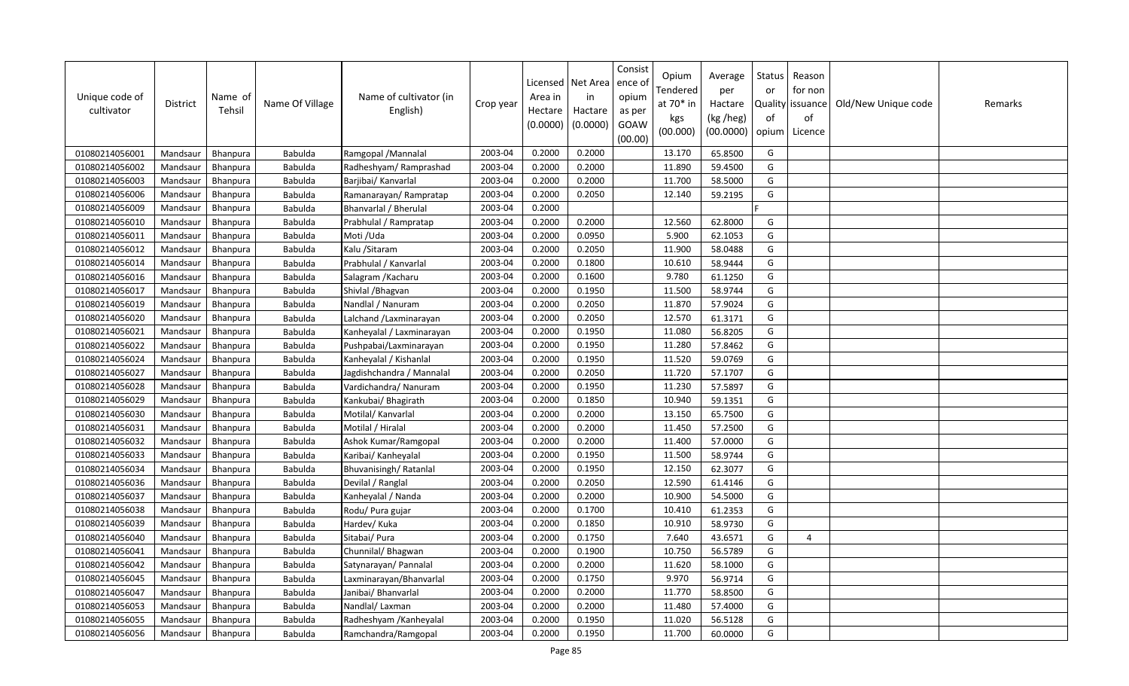| Unique code of<br>cultivator | District | Name of<br>Tehsil | Name Of Village | Name of cultivator (in<br>English) | Crop year | Licensed<br>Area in<br>Hectare<br>(0.0000) | Net Area<br>in<br>Hactare<br>(0.0000) | Consist<br>ence of<br>opium<br>as per<br>GOAW<br>(00.00) | Opium<br>Tendered<br>at 70* in<br>kgs<br>(00.000) | Average<br>per<br>Hactare<br>(kg /heg)<br>(00.0000) | Status<br>or<br>of<br>opium | Reason<br>for non<br>Quality issuance<br>of<br>Licence | Old/New Unique code | Remarks |
|------------------------------|----------|-------------------|-----------------|------------------------------------|-----------|--------------------------------------------|---------------------------------------|----------------------------------------------------------|---------------------------------------------------|-----------------------------------------------------|-----------------------------|--------------------------------------------------------|---------------------|---------|
| 01080214056001               | Mandsaur | <b>Bhanpura</b>   | Babulda         | Ramgopal / Mannalal                | 2003-04   | 0.2000                                     | 0.2000                                |                                                          | 13.170                                            | 65.8500                                             | G                           |                                                        |                     |         |
| 01080214056002               | Mandsaur | Bhanpura          | Babulda         | Radheshyam/ Ramprashad             | 2003-04   | 0.2000                                     | 0.2000                                |                                                          | 11.890                                            | 59.4500                                             | G                           |                                                        |                     |         |
| 01080214056003               | Mandsaur | <b>Bhanpura</b>   | Babulda         | Barjibai/ Kanvarlal                | 2003-04   | 0.2000                                     | 0.2000                                |                                                          | 11.700                                            | 58.5000                                             | G                           |                                                        |                     |         |
| 01080214056006               | Mandsaur | Bhanpura          | Babulda         | Ramanarayan/Rampratap              | 2003-04   | 0.2000                                     | 0.2050                                |                                                          | 12.140                                            | 59.2195                                             | G                           |                                                        |                     |         |
| 01080214056009               | Mandsaur | <b>Bhanpura</b>   | Babulda         | Bhanvarlal / Bherulal              | 2003-04   | 0.2000                                     |                                       |                                                          |                                                   |                                                     |                             |                                                        |                     |         |
| 01080214056010               | Mandsaur | Bhanpura          | Babulda         | Prabhulal / Rampratap              | 2003-04   | 0.2000                                     | 0.2000                                |                                                          | 12.560                                            | 62.8000                                             | G                           |                                                        |                     |         |
| 01080214056011               | Mandsaur | Bhanpura          | Babulda         | Moti /Uda                          | 2003-04   | 0.2000                                     | 0.0950                                |                                                          | 5.900                                             | 62.1053                                             | G                           |                                                        |                     |         |
| 01080214056012               | Mandsaur | Bhanpura          | Babulda         | Kalu / Sitaram                     | 2003-04   | 0.2000                                     | 0.2050                                |                                                          | 11.900                                            | 58.0488                                             | G                           |                                                        |                     |         |
| 01080214056014               | Mandsaur | Bhanpura          | Babulda         | Prabhulal / Kanvarlal              | 2003-04   | 0.2000                                     | 0.1800                                |                                                          | 10.610                                            | 58.9444                                             | G                           |                                                        |                     |         |
| 01080214056016               | Mandsaur | <b>Bhanpura</b>   | Babulda         | Salagram / Kacharu                 | 2003-04   | 0.2000                                     | 0.1600                                |                                                          | 9.780                                             | 61.1250                                             | G                           |                                                        |                     |         |
| 01080214056017               | Mandsaur | Bhanpura          | Babulda         | Shivlal / Bhagvan                  | 2003-04   | 0.2000                                     | 0.1950                                |                                                          | 11.500                                            | 58.9744                                             | G                           |                                                        |                     |         |
| 01080214056019               | Mandsaur | Bhanpura          | Babulda         | Nandlal / Nanuram                  | 2003-04   | 0.2000                                     | 0.2050                                |                                                          | 11.870                                            | 57.9024                                             | G                           |                                                        |                     |         |
| 01080214056020               | Mandsaur | Bhanpura          | Babulda         | Lalchand / Laxminarayan            | 2003-04   | 0.2000                                     | 0.2050                                |                                                          | 12.570                                            | 61.3171                                             | G                           |                                                        |                     |         |
| 01080214056021               | Mandsaur | Bhanpura          | Babulda         | Kanheyalal / Laxminarayan          | 2003-04   | 0.2000                                     | 0.1950                                |                                                          | 11.080                                            | 56.8205                                             | G                           |                                                        |                     |         |
| 01080214056022               | Mandsaur | Bhanpura          | Babulda         | Pushpabai/Laxminarayan             | 2003-04   | 0.2000                                     | 0.1950                                |                                                          | 11.280                                            | 57.8462                                             | G                           |                                                        |                     |         |
| 01080214056024               | Mandsaur | Bhanpura          | Babulda         | Kanheyalal / Kishanlal             | 2003-04   | 0.2000                                     | 0.1950                                |                                                          | 11.520                                            | 59.0769                                             | G                           |                                                        |                     |         |
| 01080214056027               | Mandsaur | Bhanpura          | Babulda         | Jagdishchandra / Mannalal          | 2003-04   | 0.2000                                     | 0.2050                                |                                                          | 11.720                                            | 57.1707                                             | G                           |                                                        |                     |         |
| 01080214056028               | Mandsaur | <b>Bhanpura</b>   | Babulda         | Vardichandra/ Nanuram              | 2003-04   | 0.2000                                     | 0.1950                                |                                                          | 11.230                                            | 57.5897                                             | G                           |                                                        |                     |         |
| 01080214056029               | Mandsaur | Bhanpura          | Babulda         | Kankubai/ Bhagirath                | 2003-04   | 0.2000                                     | 0.1850                                |                                                          | 10.940                                            | 59.1351                                             | G                           |                                                        |                     |         |
| 01080214056030               | Mandsaur | <b>Bhanpura</b>   | Babulda         | Motilal/ Kanvarlal                 | 2003-04   | 0.2000                                     | 0.2000                                |                                                          | 13.150                                            | 65.7500                                             | G                           |                                                        |                     |         |
| 01080214056031               | Mandsaur | Bhanpura          | Babulda         | Motilal / Hiralal                  | 2003-04   | 0.2000                                     | 0.2000                                |                                                          | 11.450                                            | 57.2500                                             | G                           |                                                        |                     |         |
| 01080214056032               | Mandsaur | Bhanpura          | Babulda         | Ashok Kumar/Ramgopal               | 2003-04   | 0.2000                                     | 0.2000                                |                                                          | 11.400                                            | 57.0000                                             | G                           |                                                        |                     |         |
| 01080214056033               | Mandsaur | Bhanpura          | Babulda         | Karibai/ Kanheyalal                | 2003-04   | 0.2000                                     | 0.1950                                |                                                          | 11.500                                            | 58.9744                                             | G                           |                                                        |                     |         |
| 01080214056034               | Mandsaur | Bhanpura          | Babulda         | Bhuvanisingh/Ratanlal              | 2003-04   | 0.2000                                     | 0.1950                                |                                                          | 12.150                                            | 62.3077                                             | G                           |                                                        |                     |         |
| 01080214056036               | Mandsaur | Bhanpura          | Babulda         | Devilal / Ranglal                  | 2003-04   | 0.2000                                     | 0.2050                                |                                                          | 12.590                                            | 61.4146                                             | G                           |                                                        |                     |         |
| 01080214056037               | Mandsaur | Bhanpura          | Babulda         | Kanheyalal / Nanda                 | 2003-04   | 0.2000                                     | 0.2000                                |                                                          | 10.900                                            | 54.5000                                             | G                           |                                                        |                     |         |
| 01080214056038               | Mandsaur | Bhanpura          | Babulda         | Rodu/ Pura gujar                   | 2003-04   | 0.2000                                     | 0.1700                                |                                                          | 10.410                                            | 61.2353                                             | G                           |                                                        |                     |         |
| 01080214056039               | Mandsaur | Bhanpura          | Babulda         | Hardev/ Kuka                       | 2003-04   | 0.2000                                     | 0.1850                                |                                                          | 10.910                                            | 58.9730                                             | G                           |                                                        |                     |         |
| 01080214056040               | Mandsaur | Bhanpura          | Babulda         | Sitabai/ Pura                      | 2003-04   | 0.2000                                     | 0.1750                                |                                                          | 7.640                                             | 43.6571                                             | G                           | 4                                                      |                     |         |
| 01080214056041               | Mandsaur | <b>Bhanpura</b>   | Babulda         | Chunnilal/ Bhagwan                 | 2003-04   | 0.2000                                     | 0.1900                                |                                                          | 10.750                                            | 56.5789                                             | G                           |                                                        |                     |         |
| 01080214056042               | Mandsaur | <b>Bhanpura</b>   | Babulda         | Satynarayan/ Pannalal              | 2003-04   | 0.2000                                     | 0.2000                                |                                                          | 11.620                                            | 58.1000                                             | G                           |                                                        |                     |         |
| 01080214056045               | Mandsaur | Bhanpura          | Babulda         | Laxminarayan/Bhanvarlal            | 2003-04   | 0.2000                                     | 0.1750                                |                                                          | 9.970                                             | 56.9714                                             | G                           |                                                        |                     |         |
| 01080214056047               | Mandsaur | <b>Bhanpura</b>   | Babulda         | Janibai/ Bhanvarlal                | 2003-04   | 0.2000                                     | 0.2000                                |                                                          | 11.770                                            | 58.8500                                             | G                           |                                                        |                     |         |
| 01080214056053               | Mandsaur | Bhanpura          | Babulda         | Nandlal/ Laxman                    | 2003-04   | 0.2000                                     | 0.2000                                |                                                          | 11.480                                            | 57.4000                                             | G                           |                                                        |                     |         |
| 01080214056055               | Mandsaur | <b>Bhanpura</b>   | Babulda         | Radheshyam /Kanheyalal             | 2003-04   | 0.2000                                     | 0.1950                                |                                                          | 11.020                                            | 56.5128                                             | G                           |                                                        |                     |         |
| 01080214056056               | Mandsaur | <b>Bhanpura</b>   | Babulda         | Ramchandra/Ramgopal                | 2003-04   | 0.2000                                     | 0.1950                                |                                                          | 11.700                                            | 60.0000                                             | G                           |                                                        |                     |         |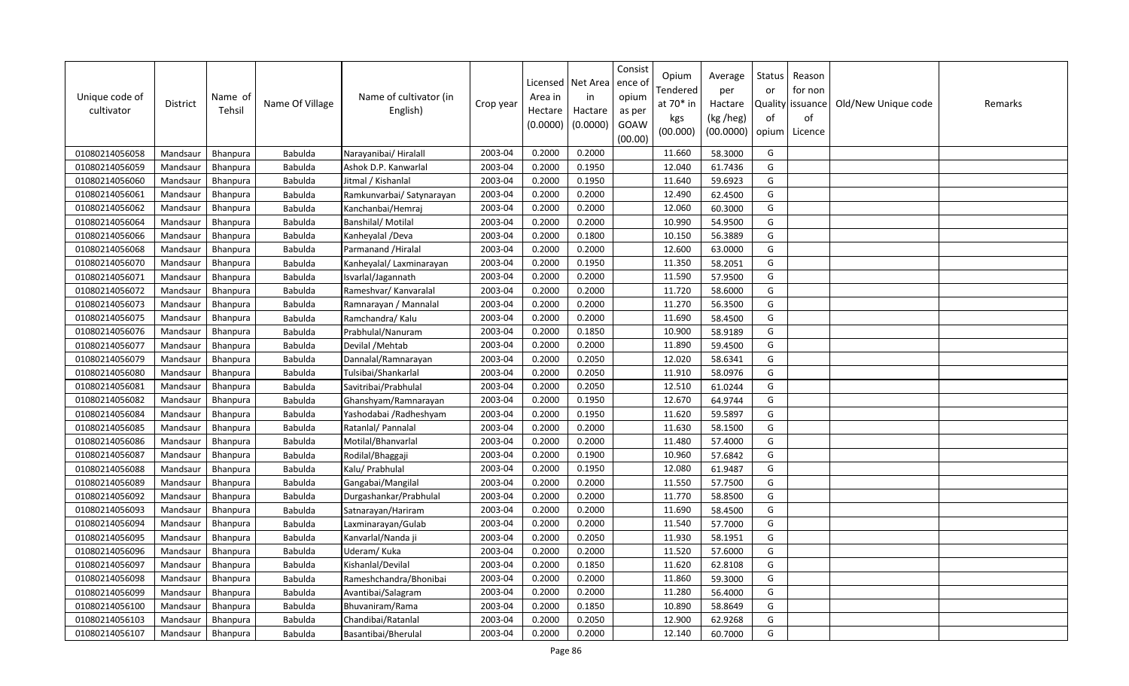| Unique code of<br>cultivator | <b>District</b> | Name of<br>Tehsil | Name Of Village | Name of cultivator (in<br>English) | Crop year | Licensed<br>Area in<br>Hectare<br>(0.0000) | Net Area<br>in<br>Hactare<br>(0.0000) | Consist<br>ence ol<br>opium<br>as per<br>GOAW<br>(00.00) | Opium<br>Tendered<br>at 70* in<br>kgs<br>(00.000) | Average<br>per<br>Hactare<br>(kg /heg)<br>(00.0000) | Status<br>or<br>of<br>opium | Reason<br>for non<br>Quality issuance<br>of<br>Licence | Old/New Unique code | Remarks |
|------------------------------|-----------------|-------------------|-----------------|------------------------------------|-----------|--------------------------------------------|---------------------------------------|----------------------------------------------------------|---------------------------------------------------|-----------------------------------------------------|-----------------------------|--------------------------------------------------------|---------------------|---------|
| 01080214056058               | Mandsaur        | <b>Bhanpura</b>   | Babulda         | Narayanibai/ Hiralall              | 2003-04   | 0.2000                                     | 0.2000                                |                                                          | 11.660                                            | 58.3000                                             | G                           |                                                        |                     |         |
| 01080214056059               | Mandsaur        | Bhanpura          | Babulda         | Ashok D.P. Kanwarlal               | 2003-04   | 0.2000                                     | 0.1950                                |                                                          | 12.040                                            | 61.7436                                             | G                           |                                                        |                     |         |
| 01080214056060               | Mandsaur        | <b>Bhanpura</b>   | Babulda         | Jitmal / Kishanlal                 | 2003-04   | 0.2000                                     | 0.1950                                |                                                          | 11.640                                            | 59.6923                                             | G                           |                                                        |                     |         |
| 01080214056061               | Mandsaur        | Bhanpura          | Babulda         | Ramkunvarbai/ Satynarayan          | 2003-04   | 0.2000                                     | 0.2000                                |                                                          | 12.490                                            | 62.4500                                             | G                           |                                                        |                     |         |
| 01080214056062               | Mandsaur        | <b>Bhanpura</b>   | Babulda         | Kanchanbai/Hemraj                  | 2003-04   | 0.2000                                     | 0.2000                                |                                                          | 12.060                                            | 60.3000                                             | G                           |                                                        |                     |         |
| 01080214056064               | Mandsaur        | Bhanpura          | Babulda         | Banshilal/ Motilal                 | 2003-04   | 0.2000                                     | 0.2000                                |                                                          | 10.990                                            | 54.9500                                             | G                           |                                                        |                     |         |
| 01080214056066               | Mandsaur        | Bhanpura          | Babulda         | Kanheyalal /Deva                   | 2003-04   | 0.2000                                     | 0.1800                                |                                                          | 10.150                                            | 56.3889                                             | G                           |                                                        |                     |         |
| 01080214056068               | Mandsaur        | Bhanpura          | Babulda         | Parmanand / Hiralal                | 2003-04   | 0.2000                                     | 0.2000                                |                                                          | 12.600                                            | 63.0000                                             | G                           |                                                        |                     |         |
| 01080214056070               | Mandsaur        | Bhanpura          | Babulda         | Kanheyalal/ Laxminarayan           | 2003-04   | 0.2000                                     | 0.1950                                |                                                          | 11.350                                            | 58.2051                                             | G                           |                                                        |                     |         |
| 01080214056071               | Mandsaur        | Bhanpura          | Babulda         | Isvarlal/Jagannath                 | 2003-04   | 0.2000                                     | 0.2000                                |                                                          | 11.590                                            | 57.9500                                             | G                           |                                                        |                     |         |
| 01080214056072               | Mandsaur        | Bhanpura          | Babulda         | Rameshvar/ Kanvaralal              | 2003-04   | 0.2000                                     | 0.2000                                |                                                          | 11.720                                            | 58.6000                                             | G                           |                                                        |                     |         |
| 01080214056073               | Mandsaur        | Bhanpura          | Babulda         | Ramnarayan / Mannalal              | 2003-04   | 0.2000                                     | 0.2000                                |                                                          | 11.270                                            | 56.3500                                             | G                           |                                                        |                     |         |
| 01080214056075               | Mandsaur        | Bhanpura          | Babulda         | Ramchandra/ Kalu                   | 2003-04   | 0.2000                                     | 0.2000                                |                                                          | 11.690                                            | 58.4500                                             | G                           |                                                        |                     |         |
| 01080214056076               | Mandsaur        | Bhanpura          | Babulda         | Prabhulal/Nanuram                  | 2003-04   | 0.2000                                     | 0.1850                                |                                                          | 10.900                                            | 58.9189                                             | G                           |                                                        |                     |         |
| 01080214056077               | Mandsaur        | Bhanpura          | Babulda         | Devilal / Mehtab                   | 2003-04   | 0.2000                                     | 0.2000                                |                                                          | 11.890                                            | 59.4500                                             | G                           |                                                        |                     |         |
| 01080214056079               | Mandsaur        | Bhanpura          | Babulda         | Dannalal/Ramnarayan                | 2003-04   | 0.2000                                     | 0.2050                                |                                                          | 12.020                                            | 58.6341                                             | G                           |                                                        |                     |         |
| 01080214056080               | Mandsaur        | Bhanpura          | Babulda         | Tulsibai/Shankarlal                | 2003-04   | 0.2000                                     | 0.2050                                |                                                          | 11.910                                            | 58.0976                                             | G                           |                                                        |                     |         |
| 01080214056081               | Mandsaur        | Bhanpura          | Babulda         | Savitribai/Prabhulal               | 2003-04   | 0.2000                                     | 0.2050                                |                                                          | 12.510                                            | 61.0244                                             | G                           |                                                        |                     |         |
| 01080214056082               | Mandsaur        | Bhanpura          | Babulda         | Ghanshyam/Ramnarayan               | 2003-04   | 0.2000                                     | 0.1950                                |                                                          | 12.670                                            | 64.9744                                             | G                           |                                                        |                     |         |
| 01080214056084               | Mandsaur        | <b>Bhanpura</b>   | Babulda         | Yashodabai /Radheshyam             | 2003-04   | 0.2000                                     | 0.1950                                |                                                          | 11.620                                            | 59.5897                                             | G                           |                                                        |                     |         |
| 01080214056085               | Mandsaur        | Bhanpura          | Babulda         | Ratanlal/ Pannalal                 | 2003-04   | 0.2000                                     | 0.2000                                |                                                          | 11.630                                            | 58.1500                                             | G                           |                                                        |                     |         |
| 01080214056086               | Mandsaur        | Bhanpura          | Babulda         | Motilal/Bhanvarlal                 | 2003-04   | 0.2000                                     | 0.2000                                |                                                          | 11.480                                            | 57.4000                                             | G                           |                                                        |                     |         |
| 01080214056087               | Mandsaur        | Bhanpura          | Babulda         | Rodilal/Bhaggaji                   | 2003-04   | 0.2000                                     | 0.1900                                |                                                          | 10.960                                            | 57.6842                                             | G                           |                                                        |                     |         |
| 01080214056088               | Mandsaur        | Bhanpura          | Babulda         | Kalu/ Prabhulal                    | 2003-04   | 0.2000                                     | 0.1950                                |                                                          | 12.080                                            | 61.9487                                             | G                           |                                                        |                     |         |
| 01080214056089               | Mandsaur        | Bhanpura          | Babulda         | Gangabai/Mangilal                  | 2003-04   | 0.2000                                     | 0.2000                                |                                                          | 11.550                                            | 57.7500                                             | G                           |                                                        |                     |         |
| 01080214056092               | Mandsaur        | Bhanpura          | Babulda         | Durgashankar/Prabhulal             | 2003-04   | 0.2000                                     | 0.2000                                |                                                          | 11.770                                            | 58.8500                                             | G                           |                                                        |                     |         |
| 01080214056093               | Mandsaur        | Bhanpura          | Babulda         | Satnarayan/Hariram                 | 2003-04   | 0.2000                                     | 0.2000                                |                                                          | 11.690                                            | 58.4500                                             | G                           |                                                        |                     |         |
| 01080214056094               | Mandsaur        | Bhanpura          | Babulda         | Laxminarayan/Gulab                 | 2003-04   | 0.2000                                     | 0.2000                                |                                                          | 11.540                                            | 57.7000                                             | G                           |                                                        |                     |         |
| 01080214056095               | Mandsaur        | Bhanpura          | Babulda         | Kanvarlal/Nanda ji                 | 2003-04   | 0.2000                                     | 0.2050                                |                                                          | 11.930                                            | 58.1951                                             | G                           |                                                        |                     |         |
| 01080214056096               | Mandsaur        | <b>Bhanpura</b>   | Babulda         | Uderam/Kuka                        | 2003-04   | 0.2000                                     | 0.2000                                |                                                          | 11.520                                            | 57.6000                                             | G                           |                                                        |                     |         |
| 01080214056097               | Mandsaur        | <b>Bhanpura</b>   | Babulda         | Kishanlal/Devilal                  | 2003-04   | 0.2000                                     | 0.1850                                |                                                          | 11.620                                            | 62.8108                                             | G                           |                                                        |                     |         |
| 01080214056098               | Mandsaur        | Bhanpura          | Babulda         | Rameshchandra/Bhonibai             | 2003-04   | 0.2000                                     | 0.2000                                |                                                          | 11.860                                            | 59.3000                                             | G                           |                                                        |                     |         |
| 01080214056099               | Mandsaur        | <b>Bhanpura</b>   | Babulda         | Avantibai/Salagram                 | 2003-04   | 0.2000                                     | 0.2000                                |                                                          | 11.280                                            | 56.4000                                             | G                           |                                                        |                     |         |
| 01080214056100               | Mandsaur        | Bhanpura          | Babulda         | Bhuvaniram/Rama                    | 2003-04   | 0.2000                                     | 0.1850                                |                                                          | 10.890                                            | 58.8649                                             | G                           |                                                        |                     |         |
| 01080214056103               | Mandsaur        | Bhanpura          | Babulda         | Chandibai/Ratanlal                 | 2003-04   | 0.2000                                     | 0.2050                                |                                                          | 12.900                                            | 62.9268                                             | G                           |                                                        |                     |         |
| 01080214056107               | Mandsaur        | <b>Bhanpura</b>   | Babulda         | Basantibai/Bherulal                | 2003-04   | 0.2000                                     | 0.2000                                |                                                          | 12.140                                            | 60.7000                                             | G                           |                                                        |                     |         |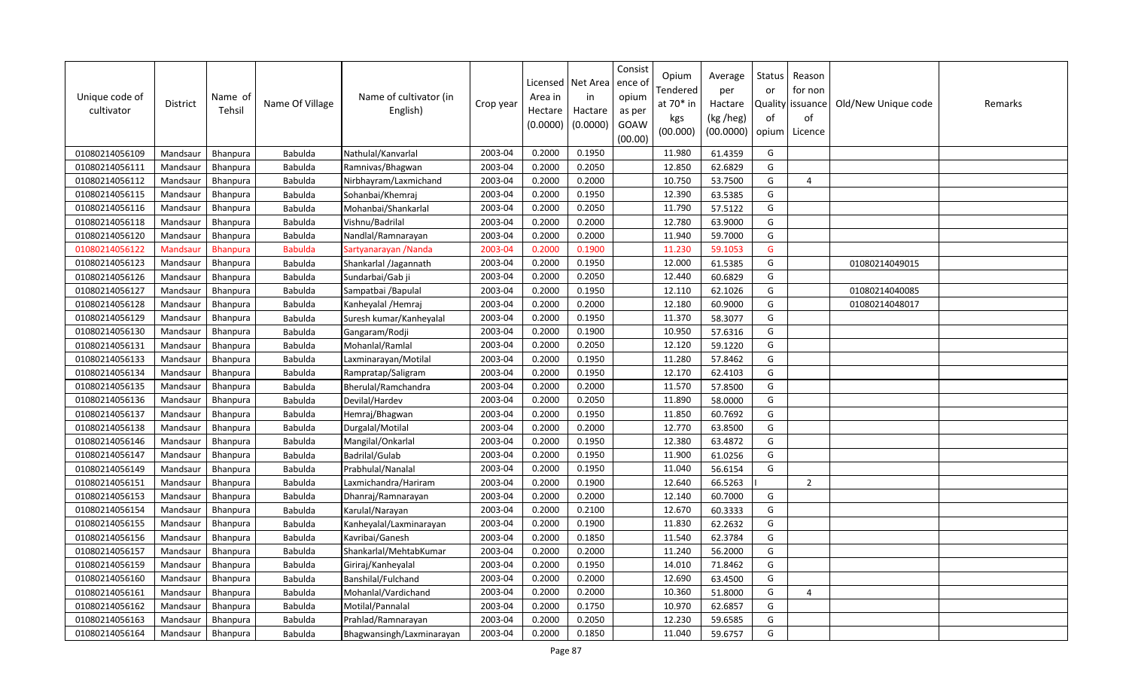| Unique code of<br>cultivator | District | Name of<br>Tehsil | Name Of Village | Name of cultivator (in<br>English) | Crop year | Licensed<br>Area in<br>Hectare<br>(0.0000) | Net Area<br>in<br>Hactare<br>(0.0000) | Consist<br>ence of<br>opium<br>as per<br>GOAW<br>(00.00) | Opium<br>Tendered<br>at 70* in<br>kgs<br>(00.000) | Average<br>per<br>Hactare<br>(kg /heg)<br>(00.0000) | Status<br>or<br>of<br>opium | Reason<br>for non<br>Quality   issuance  <br>of<br>Licence | Old/New Unique code | Remarks |
|------------------------------|----------|-------------------|-----------------|------------------------------------|-----------|--------------------------------------------|---------------------------------------|----------------------------------------------------------|---------------------------------------------------|-----------------------------------------------------|-----------------------------|------------------------------------------------------------|---------------------|---------|
| 01080214056109               | Mandsaur | <b>Bhanpura</b>   | Babulda         | Nathulal/Kanvarlal                 | 2003-04   | 0.2000                                     | 0.1950                                |                                                          | 11.980                                            | 61.4359                                             | G                           |                                                            |                     |         |
| 01080214056111               | Mandsaur | <b>Bhanpura</b>   | Babulda         | Ramnivas/Bhagwan                   | 2003-04   | 0.2000                                     | 0.2050                                |                                                          | 12.850                                            | 62.6829                                             | G                           |                                                            |                     |         |
| 01080214056112               | Mandsaur | <b>Bhanpura</b>   | Babulda         | Nirbhayram/Laxmichand              | 2003-04   | 0.2000                                     | 0.2000                                |                                                          | 10.750                                            | 53.7500                                             | G                           | $\Delta$                                                   |                     |         |
| 01080214056115               | Mandsaur | Bhanpura          | Babulda         | Sohanbai/Khemraj                   | 2003-04   | 0.2000                                     | 0.1950                                |                                                          | 12.390                                            | 63.5385                                             | G                           |                                                            |                     |         |
| 01080214056116               | Mandsaur | <b>Bhanpura</b>   | Babulda         | Mohanbai/Shankarlal                | 2003-04   | 0.2000                                     | 0.2050                                |                                                          | 11.790                                            | 57.5122                                             | G                           |                                                            |                     |         |
| 01080214056118               | Mandsaur | Bhanpura          | Babulda         | Vishnu/Badrilal                    | 2003-04   | 0.2000                                     | 0.2000                                |                                                          | 12.780                                            | 63.9000                                             | G                           |                                                            |                     |         |
| 01080214056120               | Mandsaur | Bhanpura          | Babulda         | Nandlal/Ramnarayan                 | 2003-04   | 0.2000                                     | 0.2000                                |                                                          | 11.940                                            | 59.7000                                             | G                           |                                                            |                     |         |
| 01080214056122               | Mandsaur | <b>Bhanpura</b>   | <b>Babulda</b>  | Sartyanarayan /Nanda               | 2003-04   | 0.2000                                     | 0.1900                                |                                                          | 11.230                                            | 59.1053                                             | G                           |                                                            |                     |         |
| 01080214056123               | Mandsaur | Bhanpura          | Babulda         | Shankarlal /Jagannath              | 2003-04   | 0.2000                                     | 0.1950                                |                                                          | 12.000                                            | 61.5385                                             | G                           |                                                            | 01080214049015      |         |
| 01080214056126               | Mandsaur | Bhanpura          | Babulda         | Sundarbai/Gab ji                   | 2003-04   | 0.2000                                     | 0.2050                                |                                                          | 12.440                                            | 60.6829                                             | G                           |                                                            |                     |         |
| 01080214056127               | Mandsaur | Bhanpura          | Babulda         | Sampatbai / Bapulal                | 2003-04   | 0.2000                                     | 0.1950                                |                                                          | 12.110                                            | 62.1026                                             | G                           |                                                            | 01080214040085      |         |
| 01080214056128               | Mandsaur | <b>Bhanpura</b>   | Babulda         | Kanheyalal / Hemraj                | 2003-04   | 0.2000                                     | 0.2000                                |                                                          | 12.180                                            | 60.9000                                             | G                           |                                                            | 01080214048017      |         |
| 01080214056129               | Mandsaur | Bhanpura          | Babulda         | Suresh kumar/Kanheyalal            | 2003-04   | 0.2000                                     | 0.1950                                |                                                          | 11.370                                            | 58.3077                                             | G                           |                                                            |                     |         |
| 01080214056130               | Mandsaur | <b>Bhanpura</b>   | Babulda         | Gangaram/Rodji                     | 2003-04   | 0.2000                                     | 0.1900                                |                                                          | 10.950                                            | 57.6316                                             | G                           |                                                            |                     |         |
| 01080214056131               | Mandsaur | Bhanpura          | Babulda         | Mohanlal/Ramlal                    | 2003-04   | 0.2000                                     | 0.2050                                |                                                          | 12.120                                            | 59.1220                                             | G                           |                                                            |                     |         |
| 01080214056133               | Mandsaur | <b>Bhanpura</b>   | Babulda         | Laxminarayan/Motilal               | 2003-04   | 0.2000                                     | 0.1950                                |                                                          | 11.280                                            | 57.8462                                             | G                           |                                                            |                     |         |
| 01080214056134               | Mandsaur | Bhanpura          | Babulda         | Rampratap/Saligram                 | 2003-04   | 0.2000                                     | 0.1950                                |                                                          | 12.170                                            | 62.4103                                             | G                           |                                                            |                     |         |
| 01080214056135               | Mandsaur | <b>Bhanpura</b>   | Babulda         | Bherulal/Ramchandra                | 2003-04   | 0.2000                                     | 0.2000                                |                                                          | 11.570                                            | 57.8500                                             | G                           |                                                            |                     |         |
| 01080214056136               | Mandsaur | Bhanpura          | Babulda         | Devilal/Hardev                     | 2003-04   | 0.2000                                     | 0.2050                                |                                                          | 11.890                                            | 58.0000                                             | G                           |                                                            |                     |         |
| 01080214056137               | Mandsaur | Bhanpura          | Babulda         | Hemraj/Bhagwan                     | 2003-04   | 0.2000                                     | 0.1950                                |                                                          | 11.850                                            | 60.7692                                             | G                           |                                                            |                     |         |
| 01080214056138               | Mandsaur | Bhanpura          | Babulda         | Durgalal/Motilal                   | 2003-04   | 0.2000                                     | 0.2000                                |                                                          | 12.770                                            | 63.8500                                             | G                           |                                                            |                     |         |
| 01080214056146               | Mandsaur | Bhanpura          | Babulda         | Mangilal/Onkarlal                  | 2003-04   | 0.2000                                     | 0.1950                                |                                                          | 12.380                                            | 63.4872                                             | G                           |                                                            |                     |         |
| 01080214056147               | Mandsaur | <b>Bhanpura</b>   | Babulda         | Badrilal/Gulab                     | 2003-04   | 0.2000                                     | 0.1950                                |                                                          | 11.900                                            | 61.0256                                             | G                           |                                                            |                     |         |
| 01080214056149               | Mandsaur | Bhanpura          | Babulda         | Prabhulal/Nanalal                  | 2003-04   | 0.2000                                     | 0.1950                                |                                                          | 11.040                                            | 56.6154                                             | G                           |                                                            |                     |         |
| 01080214056151               | Mandsaur | Bhanpura          | Babulda         | Laxmichandra/Hariram               | 2003-04   | 0.2000                                     | 0.1900                                |                                                          | 12.640                                            | 66.5263                                             |                             | $\overline{2}$                                             |                     |         |
| 01080214056153               | Mandsaur | <b>Bhanpura</b>   | Babulda         | Dhanraj/Ramnarayan                 | 2003-04   | 0.2000                                     | 0.2000                                |                                                          | 12.140                                            | 60.7000                                             | G                           |                                                            |                     |         |
| 01080214056154               | Mandsaur | <b>Bhanpura</b>   | Babulda         | Karulal/Narayan                    | 2003-04   | 0.2000                                     | 0.2100                                |                                                          | 12.670                                            | 60.3333                                             | G                           |                                                            |                     |         |
| 01080214056155               | Mandsaur | Bhanpura          | Babulda         | Kanheyalal/Laxminarayan            | 2003-04   | 0.2000                                     | 0.1900                                |                                                          | 11.830                                            | 62.2632                                             | G                           |                                                            |                     |         |
| 01080214056156               | Mandsaur | Bhanpura          | Babulda         | Kavribai/Ganesh                    | 2003-04   | 0.2000                                     | 0.1850                                |                                                          | 11.540                                            | 62.3784                                             | G                           |                                                            |                     |         |
| 01080214056157               | Mandsaur | Bhanpura          | Babulda         | Shankarlal/MehtabKumar             | 2003-04   | 0.2000                                     | 0.2000                                |                                                          | 11.240                                            | 56.2000                                             | G                           |                                                            |                     |         |
| 01080214056159               | Mandsaur | <b>Bhanpura</b>   | Babulda         | Giriraj/Kanheyalal                 | 2003-04   | 0.2000                                     | 0.1950                                |                                                          | 14.010                                            | 71.8462                                             | G                           |                                                            |                     |         |
| 01080214056160               | Mandsaur | <b>Bhanpura</b>   | Babulda         | Banshilal/Fulchand                 | 2003-04   | 0.2000                                     | 0.2000                                |                                                          | 12.690                                            | 63.4500                                             | G                           |                                                            |                     |         |
| 01080214056161               | Mandsaur | Bhanpura          | Babulda         | Mohanlal/Vardichand                | 2003-04   | 0.2000                                     | 0.2000                                |                                                          | 10.360                                            | 51.8000                                             | G                           | 4                                                          |                     |         |
| 01080214056162               | Mandsaur | Bhanpura          | Babulda         | Motilal/Pannalal                   | 2003-04   | 0.2000                                     | 0.1750                                |                                                          | 10.970                                            | 62.6857                                             | G                           |                                                            |                     |         |
| 01080214056163               | Mandsaur | <b>Bhanpura</b>   | Babulda         | Prahlad/Ramnarayan                 | 2003-04   | 0.2000                                     | 0.2050                                |                                                          | 12.230                                            | 59.6585                                             | G                           |                                                            |                     |         |
| 01080214056164               | Mandsaur | Bhanpura          | Babulda         | Bhagwansingh/Laxminarayan          | 2003-04   | 0.2000                                     | 0.1850                                |                                                          | 11.040                                            | 59.6757                                             | G                           |                                                            |                     |         |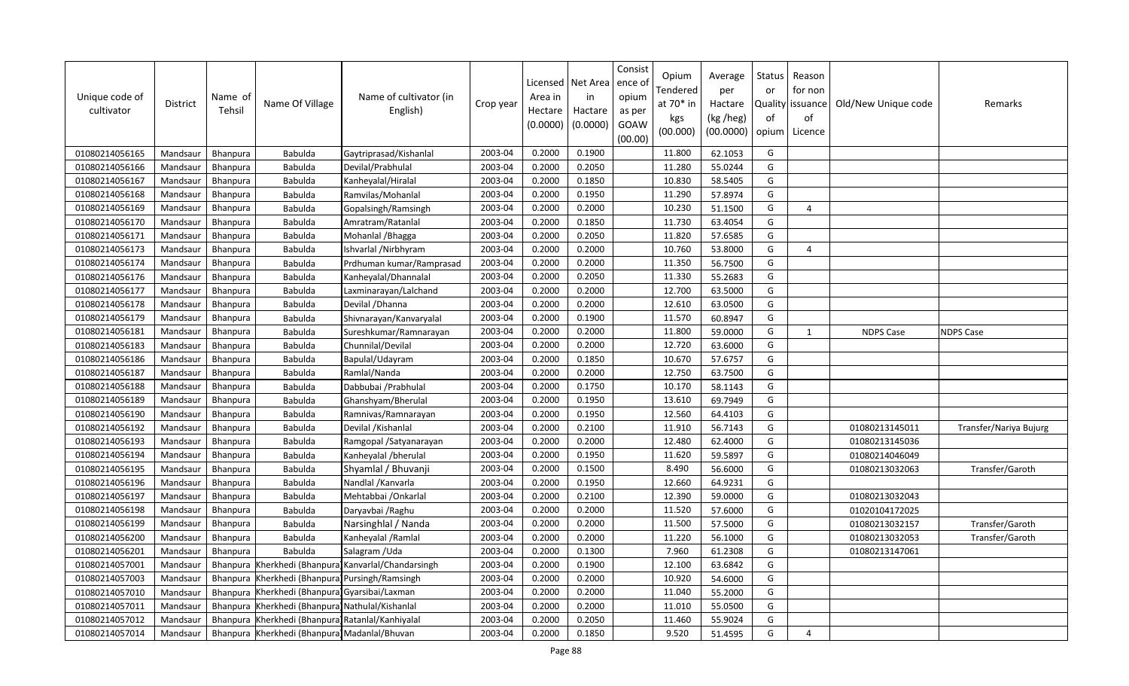| Unique code of<br>cultivator | District | Name of<br>Tehsil | Name Of Village                               | Name of cultivator (in<br>English)          | Crop year | Licensed<br>Area in<br>Hectare<br>(0.0000) | Net Area<br>in<br>Hactare<br>(0.0000) | Consist<br>ence of<br>opium<br>as per<br>GOAW<br>(00.00) | Opium<br>Tendered<br>at 70* in<br>kgs<br>(00.000) | Average<br>per<br>Hactare<br>(kg /heg)<br>(00.0000) | Status<br>or<br>of<br>opium | Reason<br>for non<br>Quality   issuance<br>of<br>Licence | Old/New Unique code | Remarks                |
|------------------------------|----------|-------------------|-----------------------------------------------|---------------------------------------------|-----------|--------------------------------------------|---------------------------------------|----------------------------------------------------------|---------------------------------------------------|-----------------------------------------------------|-----------------------------|----------------------------------------------------------|---------------------|------------------------|
| 01080214056165               | Mandsaur | Bhanpura          | Babulda                                       | Gaytriprasad/Kishanlal                      | 2003-04   | 0.2000                                     | 0.1900                                |                                                          | 11.800                                            | 62.1053                                             | G                           |                                                          |                     |                        |
| 01080214056166               | Mandsaur | Bhanpura          | Babulda                                       | Devilal/Prabhulal                           | 2003-04   | 0.2000                                     | 0.2050                                |                                                          | 11.280                                            | 55.0244                                             | G                           |                                                          |                     |                        |
| 01080214056167               | Mandsaur | <b>Bhanpura</b>   | Babulda                                       | Kanheyalal/Hiralal                          | 2003-04   | 0.2000                                     | 0.1850                                |                                                          | 10.830                                            | 58.5405                                             | G                           |                                                          |                     |                        |
| 01080214056168               | Mandsaur | Bhanpura          | Babulda                                       | Ramvilas/Mohanlal                           | 2003-04   | 0.2000                                     | 0.1950                                |                                                          | 11.290                                            | 57.8974                                             | G                           |                                                          |                     |                        |
| 01080214056169               | Mandsaur | Bhanpura          | Babulda                                       | Gopalsingh/Ramsingh                         | 2003-04   | 0.2000                                     | 0.2000                                |                                                          | 10.230                                            | 51.1500                                             | G                           | 4                                                        |                     |                        |
| 01080214056170               | Mandsaur | <b>Bhanpura</b>   | Babulda                                       | Amratram/Ratanlal                           | 2003-04   | 0.2000                                     | 0.1850                                |                                                          | 11.730                                            | 63.4054                                             | G                           |                                                          |                     |                        |
| 01080214056171               | Mandsaur | Bhanpura          | Babulda                                       | Mohanlal / Bhagga                           | 2003-04   | 0.2000                                     | 0.2050                                |                                                          | 11.820                                            | 57.6585                                             | G                           |                                                          |                     |                        |
| 01080214056173               | Mandsaur | <b>Bhanpura</b>   | Babulda                                       | Ishvarlal /Nirbhyram                        | 2003-04   | 0.2000                                     | 0.2000                                |                                                          | 10.760                                            | 53.8000                                             | G                           | $\overline{4}$                                           |                     |                        |
| 01080214056174               | Mandsaur | Bhanpura          | Babulda                                       | Prdhuman kumar/Ramprasad                    | 2003-04   | 0.2000                                     | 0.2000                                |                                                          | 11.350                                            | 56.7500                                             | G                           |                                                          |                     |                        |
| 01080214056176               | Mandsaur | Bhanpura          | Babulda                                       | Kanheyalal/Dhannalal                        | 2003-04   | 0.2000                                     | 0.2050                                |                                                          | 11.330                                            | 55.2683                                             | G                           |                                                          |                     |                        |
| 01080214056177               | Mandsaur | Bhanpura          | Babulda                                       | Laxminarayan/Lalchand                       | 2003-04   | 0.2000                                     | 0.2000                                |                                                          | 12.700                                            | 63.5000                                             | G                           |                                                          |                     |                        |
| 01080214056178               | Mandsaur | Bhanpura          | Babulda                                       | Devilal / Dhanna                            | 2003-04   | 0.2000                                     | 0.2000                                |                                                          | 12.610                                            | 63.0500                                             | G                           |                                                          |                     |                        |
| 01080214056179               | Mandsaur | Bhanpura          | Babulda                                       | Shivnarayan/Kanvaryalal                     | 2003-04   | 0.2000                                     | 0.1900                                |                                                          | 11.570                                            | 60.8947                                             | G                           |                                                          |                     |                        |
| 01080214056181               | Mandsaur | <b>Bhanpura</b>   | Babulda                                       | Sureshkumar/Ramnarayan                      | 2003-04   | 0.2000                                     | 0.2000                                |                                                          | 11.800                                            | 59.0000                                             | G                           | 1                                                        | <b>NDPS Case</b>    | <b>NDPS Case</b>       |
| 01080214056183               | Mandsaur | <b>Bhanpura</b>   | Babulda                                       | Chunnilal/Devilal                           | 2003-04   | 0.2000                                     | 0.2000                                |                                                          | 12.720                                            | 63.6000                                             | G                           |                                                          |                     |                        |
| 01080214056186               | Mandsaur | Bhanpura          | Babulda                                       | Bapulal/Udayram                             | 2003-04   | 0.2000                                     | 0.1850                                |                                                          | 10.670                                            | 57.6757                                             | G                           |                                                          |                     |                        |
| 01080214056187               | Mandsaur | Bhanpura          | Babulda                                       | Ramlal/Nanda                                | 2003-04   | 0.2000                                     | 0.2000                                |                                                          | 12.750                                            | 63.7500                                             | G                           |                                                          |                     |                        |
| 01080214056188               | Mandsaur | Bhanpura          | Babulda                                       | Dabbubai / Prabhulal                        | 2003-04   | 0.2000                                     | 0.1750                                |                                                          | 10.170                                            | 58.1143                                             | G                           |                                                          |                     |                        |
| 01080214056189               | Mandsaur | Bhanpura          | Babulda                                       | Ghanshyam/Bherulal                          | 2003-04   | 0.2000                                     | 0.1950                                |                                                          | 13.610                                            | 69.7949                                             | G                           |                                                          |                     |                        |
| 01080214056190               | Mandsaur | Bhanpura          | Babulda                                       | Ramnivas/Ramnarayan                         | 2003-04   | 0.2000                                     | 0.1950                                |                                                          | 12.560                                            | 64.4103                                             | G                           |                                                          |                     |                        |
| 01080214056192               | Mandsaur | Bhanpura          | Babulda                                       | Devilal / Kishanlal                         | 2003-04   | 0.2000                                     | 0.2100                                |                                                          | 11.910                                            | 56.7143                                             | G                           |                                                          | 01080213145011      | Transfer/Nariya Bujurg |
| 01080214056193               | Mandsaur | <b>Bhanpura</b>   | Babulda                                       | Ramgopal / Satyanarayan                     | 2003-04   | 0.2000                                     | 0.2000                                |                                                          | 12.480                                            | 62.4000                                             | G                           |                                                          | 01080213145036      |                        |
| 01080214056194               | Mandsaur | <b>Bhanpura</b>   | Babulda                                       | Kanheyalal /bherulal                        | 2003-04   | 0.2000                                     | 0.1950                                |                                                          | 11.620                                            | 59.5897                                             | G                           |                                                          | 01080214046049      |                        |
| 01080214056195               | Mandsaur | Bhanpura          | Babulda                                       | Shyamlal / Bhuvanji                         | 2003-04   | 0.2000                                     | 0.1500                                |                                                          | 8.490                                             | 56.6000                                             | G                           |                                                          | 01080213032063      | Transfer/Garoth        |
| 01080214056196               | Mandsaur | Bhanpura          | Babulda                                       | Nandlal / Kanvarla                          | 2003-04   | 0.2000                                     | 0.1950                                |                                                          | 12.660                                            | 64.9231                                             | G                           |                                                          |                     |                        |
| 01080214056197               | Mandsaur | Bhanpura          | Babulda                                       | Mehtabbai / Onkarlal                        | 2003-04   | 0.2000                                     | 0.2100                                |                                                          | 12.390                                            | 59.0000                                             | G                           |                                                          | 01080213032043      |                        |
| 01080214056198               | Mandsaur | Bhanpura          | Babulda                                       | Daryavbai / Raghu                           | 2003-04   | 0.2000                                     | 0.2000                                |                                                          | 11.520                                            | 57.6000                                             | G                           |                                                          | 01020104172025      |                        |
| 01080214056199               | Mandsaur | Bhanpura          | Babulda                                       | Narsinghlal / Nanda                         | 2003-04   | 0.2000                                     | 0.2000                                |                                                          | 11.500                                            | 57.5000                                             | G                           |                                                          | 01080213032157      | Transfer/Garoth        |
| 01080214056200               | Mandsaur | Bhanpura          | Babulda                                       | Kanheyalal /Ramlal                          | 2003-04   | 0.2000                                     | 0.2000                                |                                                          | 11.220                                            | 56.1000                                             | G                           |                                                          | 01080213032053      | Transfer/Garoth        |
| 01080214056201               | Mandsaur | Bhanpura          | Babulda                                       | Salagram / Uda                              | 2003-04   | 0.2000                                     | 0.1300                                |                                                          | 7.960                                             | 61.2308                                             | G                           |                                                          | 01080213147061      |                        |
| 01080214057001               | Mandsaur | Bhanpura          |                                               | Kherkhedi (Bhanpura) Kanvarlal/Chandarsingh | 2003-04   | 0.2000                                     | 0.1900                                |                                                          | 12.100                                            | 63.6842                                             | G                           |                                                          |                     |                        |
| 01080214057003               | Mandsaur | Bhanpura          | Kherkhedi (Bhanpura) Pursingh/Ramsingh        |                                             | 2003-04   | 0.2000                                     | 0.2000                                |                                                          | 10.920                                            | 54.6000                                             | G                           |                                                          |                     |                        |
| 01080214057010               | Mandsaur | Bhanpura          | Kherkhedi (Bhanpura) Gyarsibai/Laxman         |                                             | 2003-04   | 0.2000                                     | 0.2000                                |                                                          | 11.040                                            | 55.2000                                             | G                           |                                                          |                     |                        |
| 01080214057011               | Mandsaur | Bhanpura          | Kherkhedi (Bhanpura) Nathulal/Kishanlal       |                                             | 2003-04   | 0.2000                                     | 0.2000                                |                                                          | 11.010                                            | 55.0500                                             | G                           |                                                          |                     |                        |
| 01080214057012               | Mandsaur | <b>Bhanpura</b>   | Kherkhedi (Bhanpura) Ratanlal/Kanhiyalal      |                                             | 2003-04   | 0.2000                                     | 0.2050                                |                                                          | 11.460                                            | 55.9024                                             | G                           |                                                          |                     |                        |
| 01080214057014               | Mandsaur |                   | Bhanpura Kherkhedi (Bhanpura) Madanlal/Bhuvan |                                             | 2003-04   | 0.2000                                     | 0.1850                                |                                                          | 9.520                                             | 51.4595                                             | G                           | $\overline{a}$                                           |                     |                        |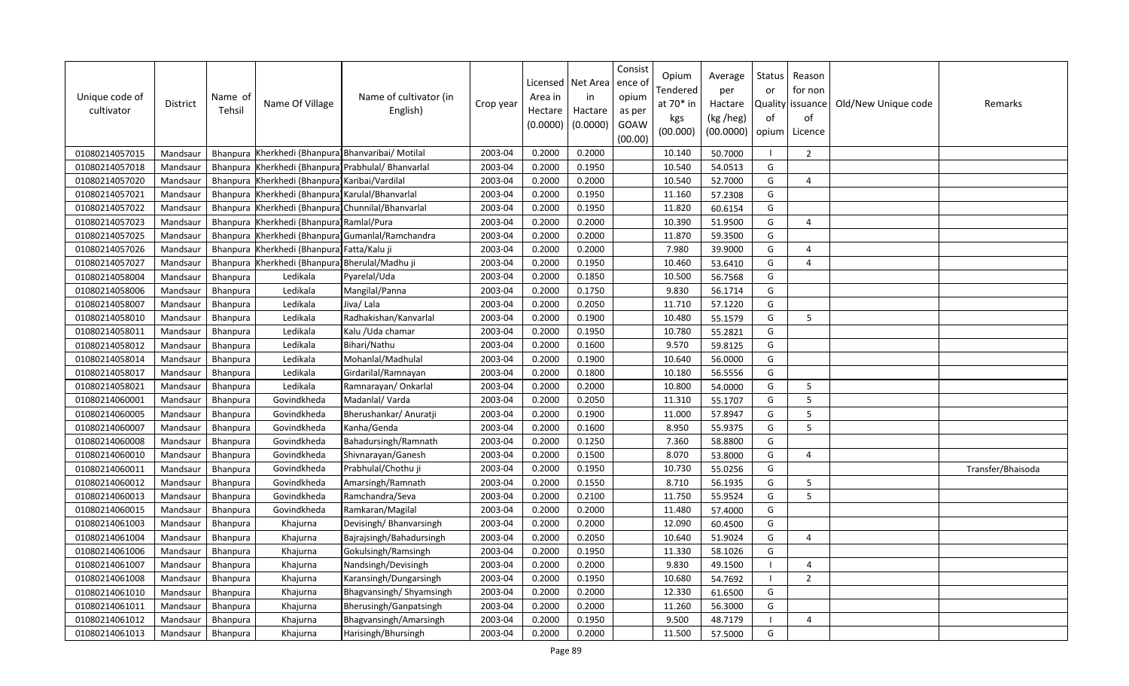| Unique code of<br>cultivator | <b>District</b> | Name of<br>Tehsil | Name Of Village                           | Name of cultivator (in<br>English)         | Crop year | Licensed<br>Area in<br>Hectare<br>(0.0000) | Net Area<br>in<br>Hactare<br>(0.0000) | Consist<br>ence of<br>opium<br>as per<br>GOAW<br>(00.00) | Opium<br>Tendered<br>at 70* in<br>kgs<br>(00.000) | Average<br>per<br>Hactare<br>(kg /heg)<br>(00.0000) | Status<br>or<br>of<br>opium | Reason<br>for non<br>Quality   issuance<br>of<br>Licence | Old/New Unique code | Remarks           |
|------------------------------|-----------------|-------------------|-------------------------------------------|--------------------------------------------|-----------|--------------------------------------------|---------------------------------------|----------------------------------------------------------|---------------------------------------------------|-----------------------------------------------------|-----------------------------|----------------------------------------------------------|---------------------|-------------------|
| 01080214057015               | Mandsaur        | Bhanpura          | Kherkhedi (Bhanpura) Bhanvaribai/ Motilal |                                            | 2003-04   | 0.2000                                     | 0.2000                                |                                                          | 10.140                                            | 50.7000                                             |                             | $\overline{2}$                                           |                     |                   |
| 01080214057018               | Mandsaur        | Bhanpura          |                                           | Kherkhedi (Bhanpura) Prabhulal/ Bhanvarlal | 2003-04   | 0.2000                                     | 0.1950                                |                                                          | 10.540                                            | 54.0513                                             | G                           |                                                          |                     |                   |
| 01080214057020               | Mandsaur        | Bhanpura          | Kherkhedi (Bhanpura) Karibai/Vardilal     |                                            | 2003-04   | 0.2000                                     | 0.2000                                |                                                          | 10.540                                            | 52.7000                                             | G                           | $\overline{4}$                                           |                     |                   |
| 01080214057021               | Mandsaur        | Bhanpura          | Kherkhedi (Bhanpura) Karulal/Bhanvarlal   |                                            | 2003-04   | 0.2000                                     | 0.1950                                |                                                          | 11.160                                            | 57.2308                                             | G                           |                                                          |                     |                   |
| 01080214057022               | Mandsaur        | Bhanpura          |                                           | Kherkhedi (Bhanpura) Chunnilal/Bhanvarlal  | 2003-04   | 0.2000                                     | 0.1950                                |                                                          | 11.820                                            | 60.6154                                             | G                           |                                                          |                     |                   |
| 01080214057023               | Mandsaur        |                   | Bhanpura Kherkhedi (Bhanpura) Ramlal/Pura |                                            | 2003-04   | 0.2000                                     | 0.2000                                |                                                          | 10.390                                            | 51.9500                                             | G                           | $\Delta$                                                 |                     |                   |
| 01080214057025               | Mandsaur        | Bhanpura          |                                           | Kherkhedi (Bhanpura) Gumanlal/Ramchandra   | 2003-04   | 0.2000                                     | 0.2000                                |                                                          | 11.870                                            | 59.3500                                             | G                           |                                                          |                     |                   |
| 01080214057026               | Mandsaur        | Bhanpura          | Kherkhedi (Bhanpura) Fatta/Kalu ji        |                                            | 2003-04   | 0.2000                                     | 0.2000                                |                                                          | 7.980                                             | 39.9000                                             | G                           | $\overline{4}$                                           |                     |                   |
| 01080214057027               | Mandsaur        | Bhanpura          | Kherkhedi (Bhanpura) Bherulal/Madhu ji    |                                            | 2003-04   | 0.2000                                     | 0.1950                                |                                                          | 10.460                                            | 53.6410                                             | G                           | $\Delta$                                                 |                     |                   |
| 01080214058004               | Mandsaur        | Bhanpura          | Ledikala                                  | Pyarelal/Uda                               | 2003-04   | 0.2000                                     | 0.1850                                |                                                          | 10.500                                            | 56.7568                                             | G                           |                                                          |                     |                   |
| 01080214058006               | Mandsaur        | Bhanpura          | Ledikala                                  | Mangilal/Panna                             | 2003-04   | 0.2000                                     | 0.1750                                |                                                          | 9.830                                             | 56.1714                                             | G                           |                                                          |                     |                   |
| 01080214058007               | Mandsaur        | Bhanpura          | Ledikala                                  | Jiva/Lala                                  | 2003-04   | 0.2000                                     | 0.2050                                |                                                          | 11.710                                            | 57.1220                                             | G                           |                                                          |                     |                   |
| 01080214058010               | Mandsaur        | Bhanpura          | Ledikala                                  | Radhakishan/Kanvarlal                      | 2003-04   | 0.2000                                     | 0.1900                                |                                                          | 10.480                                            | 55.1579                                             | G                           | 5                                                        |                     |                   |
| 01080214058011               | Mandsaur        | Bhanpura          | Ledikala                                  | Kalu / Uda chamar                          | 2003-04   | 0.2000                                     | 0.1950                                |                                                          | 10.780                                            | 55.2821                                             | G                           |                                                          |                     |                   |
| 01080214058012               | Mandsaur        | <b>Bhanpura</b>   | Ledikala                                  | Bihari/Nathu                               | 2003-04   | 0.2000                                     | 0.1600                                |                                                          | 9.570                                             | 59.8125                                             | G                           |                                                          |                     |                   |
| 01080214058014               | Mandsaur        | Bhanpura          | Ledikala                                  | Mohanlal/Madhulal                          | 2003-04   | 0.2000                                     | 0.1900                                |                                                          | 10.640                                            | 56.0000                                             | G                           |                                                          |                     |                   |
| 01080214058017               | Mandsaur        | Bhanpura          | Ledikala                                  | Girdarilal/Ramnayan                        | 2003-04   | 0.2000                                     | 0.1800                                |                                                          | 10.180                                            | 56.5556                                             | G                           |                                                          |                     |                   |
| 01080214058021               | Mandsaur        | <b>Bhanpura</b>   | Ledikala                                  | Ramnarayan/Onkarlal                        | 2003-04   | 0.2000                                     | 0.2000                                |                                                          | 10.800                                            | 54.0000                                             | G                           | 5                                                        |                     |                   |
| 01080214060001               | Mandsaur        | Bhanpura          | Govindkheda                               | Madanlal/Varda                             | 2003-04   | 0.2000                                     | 0.2050                                |                                                          | 11.310                                            | 55.1707                                             | G                           | 5                                                        |                     |                   |
| 01080214060005               | Mandsaur        | Bhanpura          | Govindkheda                               | Bherushankar/ Anuratji                     | 2003-04   | 0.2000                                     | 0.1900                                |                                                          | 11.000                                            | 57.8947                                             | G                           | 5                                                        |                     |                   |
| 01080214060007               | Mandsaur        | Bhanpura          | Govindkheda                               | Kanha/Genda                                | 2003-04   | 0.2000                                     | 0.1600                                |                                                          | 8.950                                             | 55.9375                                             | G                           | 5                                                        |                     |                   |
| 01080214060008               | Mandsaur        | Bhanpura          | Govindkheda                               | Bahadursingh/Ramnath                       | 2003-04   | 0.2000                                     | 0.1250                                |                                                          | 7.360                                             | 58.8800                                             | G                           |                                                          |                     |                   |
| 01080214060010               | Mandsaur        | <b>Bhanpura</b>   | Govindkheda                               | Shivnarayan/Ganesh                         | 2003-04   | 0.2000                                     | 0.1500                                |                                                          | 8.070                                             | 53.8000                                             | G                           | $\overline{4}$                                           |                     |                   |
| 01080214060011               | Mandsaur        | Bhanpura          | Govindkheda                               | Prabhulal/Chothu ji                        | 2003-04   | 0.2000                                     | 0.1950                                |                                                          | 10.730                                            | 55.0256                                             | G                           |                                                          |                     | Transfer/Bhaisoda |
| 01080214060012               | Mandsaur        | Bhanpura          | Govindkheda                               | Amarsingh/Ramnath                          | 2003-04   | 0.2000                                     | 0.1550                                |                                                          | 8.710                                             | 56.1935                                             | G                           | 5                                                        |                     |                   |
| 01080214060013               | Mandsaur        | Bhanpura          | Govindkheda                               | Ramchandra/Seva                            | 2003-04   | 0.2000                                     | 0.2100                                |                                                          | 11.750                                            | 55.9524                                             | G                           | 5                                                        |                     |                   |
| 01080214060015               | Mandsaur        | Bhanpura          | Govindkheda                               | Ramkaran/Magilal                           | 2003-04   | 0.2000                                     | 0.2000                                |                                                          | 11.480                                            | 57.4000                                             | G                           |                                                          |                     |                   |
| 01080214061003               | Mandsaur        | Bhanpura          | Khajurna                                  | Devisingh/ Bhanvarsingh                    | 2003-04   | 0.2000                                     | 0.2000                                |                                                          | 12.090                                            | 60.4500                                             | G                           |                                                          |                     |                   |
| 01080214061004               | Mandsaur        | Bhanpura          | Khajurna                                  | Bajrajsingh/Bahadursingh                   | 2003-04   | 0.2000                                     | 0.2050                                |                                                          | 10.640                                            | 51.9024                                             | G                           | $\boldsymbol{\varDelta}$                                 |                     |                   |
| 01080214061006               | Mandsaur        | Bhanpura          | Khajurna                                  | Gokulsingh/Ramsingh                        | 2003-04   | 0.2000                                     | 0.1950                                |                                                          | 11.330                                            | 58.1026                                             | G                           |                                                          |                     |                   |
| 01080214061007               | Mandsaur        | <b>Bhanpura</b>   | Khajurna                                  | Nandsingh/Devisingh                        | 2003-04   | 0.2000                                     | 0.2000                                |                                                          | 9.830                                             | 49.1500                                             |                             | $\Delta$                                                 |                     |                   |
| 01080214061008               | Mandsaur        | <b>Bhanpura</b>   | Khajurna                                  | Karansingh/Dungarsingh                     | 2003-04   | 0.2000                                     | 0.1950                                |                                                          | 10.680                                            | 54.7692                                             |                             | $\overline{2}$                                           |                     |                   |
| 01080214061010               | Mandsaur        | Bhanpura          | Khajurna                                  | Bhagvansingh/ Shyamsingh                   | 2003-04   | 0.2000                                     | 0.2000                                |                                                          | 12.330                                            | 61.6500                                             | G                           |                                                          |                     |                   |
| 01080214061011               | Mandsaur        | Bhanpura          | Khajurna                                  | Bherusingh/Ganpatsingh                     | 2003-04   | 0.2000                                     | 0.2000                                |                                                          | 11.260                                            | 56.3000                                             | G                           |                                                          |                     |                   |
| 01080214061012               | Mandsaur        | Bhanpura          | Khajurna                                  | Bhagvansingh/Amarsingh                     | 2003-04   | 0.2000                                     | 0.1950                                |                                                          | 9.500                                             | 48.7179                                             |                             | $\Delta$                                                 |                     |                   |
| 01080214061013               | Mandsaur        | Bhanpura          | Khajurna                                  | Harisingh/Bhursingh                        | 2003-04   | 0.2000                                     | 0.2000                                |                                                          | 11.500                                            | 57.5000                                             | G                           |                                                          |                     |                   |